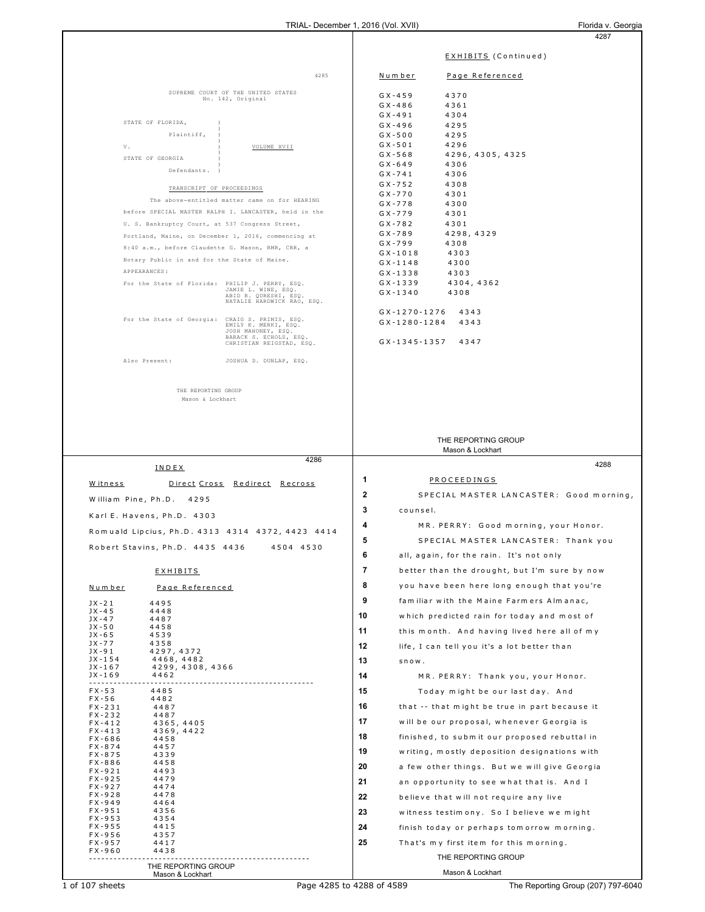|                          |                                                 |                                                                                                        | $\frac{1}{2}$ is the properties of $\frac{1}{2}$ is the set of $\frac{1}{2}$ |                          | 4287                                          |
|--------------------------|-------------------------------------------------|--------------------------------------------------------------------------------------------------------|------------------------------------------------------------------------------|--------------------------|-----------------------------------------------|
|                          |                                                 |                                                                                                        |                                                                              |                          |                                               |
|                          |                                                 |                                                                                                        |                                                                              |                          | <b>EXHIBITS</b> (Continued)                   |
|                          |                                                 | 4285                                                                                                   |                                                                              | Number                   | Page Referenced                               |
|                          |                                                 |                                                                                                        |                                                                              |                          |                                               |
|                          |                                                 | SUPREME COURT OF THE UNITED STATES<br>No. 142, Original                                                |                                                                              | $GX - 459$               | 4370                                          |
|                          |                                                 |                                                                                                        |                                                                              | $GX - 486$<br>$GX - 491$ | 4361<br>4304                                  |
|                          | STATE OF FLORIDA,                               |                                                                                                        |                                                                              | $GX - 496$               | 4295                                          |
|                          | Plaintiff,                                      |                                                                                                        |                                                                              | $GX - 500$               | 4295                                          |
| V.                       |                                                 | VOLUME XVII                                                                                            |                                                                              | $GX - 501$               | 4296                                          |
|                          | STATE OF GEORGIA                                |                                                                                                        |                                                                              | $GX - 568$               | 4296, 4305, 4325                              |
|                          | Defendants.                                     |                                                                                                        |                                                                              | $GX - 649$<br>$GX - 741$ | 4306<br>4306                                  |
|                          | TRANSCRIPT OF PROCEEDINGS                       |                                                                                                        |                                                                              | $GX - 752$               | 4308                                          |
|                          |                                                 |                                                                                                        |                                                                              | $GX - 770$               | 4301                                          |
|                          |                                                 | The above-entitled matter came on for HEARING<br>before SPECIAL MASTER RALPH I. LANCASTER, held in the |                                                                              | $GX - 778$               | 4300                                          |
|                          | U. S. Bankruptcy Court, at 537 Congress Street, |                                                                                                        |                                                                              | $GX - 779$<br>$GX - 782$ | 4301<br>4301                                  |
|                          |                                                 | Portland, Maine, on December 1, 2016, commencing at                                                    |                                                                              | $GX - 789$               | 4298, 4329                                    |
|                          |                                                 | 8:40 a.m., before Claudette G. Mason, RMR, CRR, a                                                      |                                                                              | $GX - 799$               | 4308                                          |
|                          | Notary Public in and for the State of Maine.    |                                                                                                        |                                                                              | $GX - 1018$              | 4303                                          |
|                          | APPEARANCES:                                    |                                                                                                        |                                                                              | $GX - 1148$              | 4300                                          |
|                          | For the State of Florida: PHILIP J. PERRY, ESQ. |                                                                                                        |                                                                              | $GX - 1338$<br>GX-1339   | 4303<br>4304, 4362                            |
|                          |                                                 | JAMIE L. WINE, ESQ.<br>ABID R. QURESHI, ESQ.                                                           |                                                                              | $GX - 1340$              | 4308                                          |
|                          |                                                 | NATALIE HARDWICK RAO, ESQ.                                                                             |                                                                              |                          |                                               |
|                          |                                                 | For the State of Georgia: CRAIG S. PRIMIS, ESQ.                                                        |                                                                              | $GX - 1270 - 1276$       | 4343                                          |
|                          |                                                 | EMILY K. MERKI, ESQ.<br>JOSH MAHONEY, ESQ.                                                             |                                                                              | $GX - 1280 - 1284$       | 4343                                          |
|                          |                                                 | BARACK S. ECHOLS, ESQ.<br>CHRISTIAN REIGSTAD, ESQ.                                                     |                                                                              | $GX - 1345 - 1357$       | 4347                                          |
|                          |                                                 |                                                                                                        |                                                                              |                          |                                               |
|                          | Also Present:                                   | JOSHUA D. DUNLAP, ESQ.                                                                                 |                                                                              |                          |                                               |
|                          |                                                 |                                                                                                        |                                                                              |                          |                                               |
|                          | THE REPORTING GROUP                             |                                                                                                        |                                                                              |                          |                                               |
|                          | Mason & Lockhart                                |                                                                                                        |                                                                              |                          |                                               |
|                          |                                                 |                                                                                                        |                                                                              |                          |                                               |
|                          |                                                 |                                                                                                        |                                                                              |                          |                                               |
|                          |                                                 |                                                                                                        |                                                                              |                          | THE REPORTING GROUP                           |
|                          |                                                 |                                                                                                        |                                                                              |                          | Mason & Lockhart                              |
|                          |                                                 | 4286                                                                                                   |                                                                              |                          |                                               |
|                          |                                                 |                                                                                                        |                                                                              |                          |                                               |
|                          | INDEX                                           |                                                                                                        |                                                                              |                          | 4288                                          |
| Witness                  |                                                 | Direct Cross Redirect Recross                                                                          | 1                                                                            |                          | <b>PROCEEDINGS</b>                            |
|                          | William Pine, Ph.D. 4295                        |                                                                                                        | 2                                                                            |                          | SPECIAL MASTER LANCASTER: Good morning,       |
|                          |                                                 |                                                                                                        | 3                                                                            | counsel.                 |                                               |
|                          | Karl E. Havens, Ph.D. 4303                      |                                                                                                        | 4                                                                            |                          |                                               |
|                          |                                                 | Romuald Lipcius, Ph.D. 4313 4314 4372, 4423 4414                                                       |                                                                              |                          | MR. PERRY: Good morning, your Honor.          |
|                          | Robert Stavins, Ph.D. 4435 4436                 | 4504 4530                                                                                              | 5                                                                            |                          | SPECIAL MASTER LANCASTER: Thank you           |
|                          |                                                 |                                                                                                        | 6                                                                            |                          | all, again, for the rain. It's not only       |
|                          | <b>EXHIBITS</b>                                 |                                                                                                        | 7                                                                            |                          | better than the drought, but I'm sure by now  |
|                          |                                                 |                                                                                                        | 8                                                                            |                          | you have been here long enough that you're    |
| <u>Number</u>            | Page Referenced                                 |                                                                                                        |                                                                              |                          |                                               |
| $JX - 21$<br>$JX - 45$   | 4495<br>4448                                    |                                                                                                        | 9                                                                            |                          | familiar with the Maine Farmers Almanac,      |
| $JX - 47$                | 4487                                            |                                                                                                        | 10                                                                           |                          | which predicted rain for today and most of    |
| $JX - 50$<br>$JX - 65$   | 4458<br>4539                                    |                                                                                                        | 11                                                                           |                          | this month. And having lived here all of my   |
| $JX - 77$                | 4358                                            |                                                                                                        | 12                                                                           |                          | life, I can tell you it's a lot better than   |
| JX-91<br>$JX - 154$      | 4297, 4372<br>4468,4482                         |                                                                                                        |                                                                              |                          |                                               |
| JX-167                   | 4299, 4308, 4366                                |                                                                                                        | 13                                                                           | $S \cap O W$ .           |                                               |
| $JX-169$<br>.            | 4462                                            |                                                                                                        | 14                                                                           |                          | MR. PERRY: Thank you, your Honor.             |
| $FX - 53$                | 4485                                            |                                                                                                        | 15                                                                           |                          | Today might be our last day. And              |
| $FX - 56$<br>$FX - 231$  | 4482<br>4487                                    |                                                                                                        | 16                                                                           |                          | that -- that might be true in part because it |
| FX-232                   | 4487                                            |                                                                                                        | 17                                                                           |                          |                                               |
| $FX - 412$<br>$FX - 413$ | 4365, 4405<br>4369, 4422                        |                                                                                                        |                                                                              |                          | will be our proposal, whenever Georgia is     |
| $FX - 686$               | 4458                                            |                                                                                                        | 18                                                                           |                          | finished, to submit our proposed rebuttal in  |
| $FX - 874$<br>$FX - 875$ | 4457<br>4339                                    |                                                                                                        | 19                                                                           |                          | writing, mostly deposition designations with  |
| $FX - 886$               | 4458                                            |                                                                                                        | 20                                                                           |                          | a few other things. But we will give Georgia  |
| $FX - 921$<br>$FX - 925$ | 4493<br>4479                                    |                                                                                                        | 21                                                                           |                          |                                               |
| FX-927                   | 4474                                            |                                                                                                        |                                                                              |                          | an opportunity to see what that is. And I     |
| $FX - 928$<br>$FX - 949$ | 4478<br>4464                                    |                                                                                                        | 22                                                                           |                          | believe that will not require any live        |
| $FX - 951$               | 4356                                            |                                                                                                        | 23                                                                           |                          | witness testim ony. So I believe we might     |
| $FX - 953$<br>$FX - 955$ | 4354<br>4415                                    |                                                                                                        | 24                                                                           |                          | finish today or perhaps tomorrow morning.     |
| $FX - 956$               | 4357                                            |                                                                                                        | 25                                                                           |                          |                                               |
| $FX - 957$<br>$FX - 960$ | 4417<br>4438                                    |                                                                                                        |                                                                              |                          | That's my first item for this morning.        |
|                          |                                                 |                                                                                                        |                                                                              |                          | THE REPORTING GROUP                           |
|                          | THE REPORTING GROUP<br>Mason & Lockhart         |                                                                                                        |                                                                              |                          | Mason & Lockhart                              |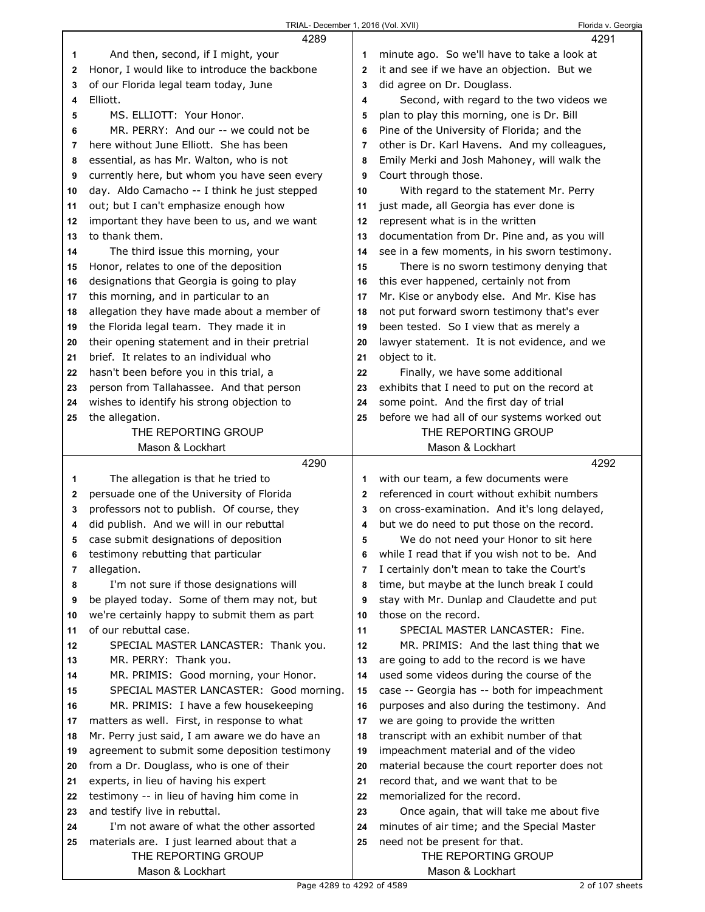|    | 4289                                                              |              | 4291                                                 |
|----|-------------------------------------------------------------------|--------------|------------------------------------------------------|
| 1  | And then, second, if I might, your                                | 1            | minute ago. So we'll have to take a look at          |
| 2  | Honor, I would like to introduce the backbone                     | $\mathbf{2}$ | it and see if we have an objection. But we           |
| 3  | of our Florida legal team today, June                             | 3            | did agree on Dr. Douglass.                           |
| 4  | Elliott.                                                          | 4            | Second, with regard to the two videos we             |
| 5  | MS. ELLIOTT: Your Honor.                                          | 5            | plan to play this morning, one is Dr. Bill           |
| 6  | MR. PERRY: And our -- we could not be                             | 6            | Pine of the University of Florida; and the           |
| 7  | here without June Elliott. She has been                           | 7            | other is Dr. Karl Havens. And my colleagues,         |
| 8  | essential, as has Mr. Walton, who is not                          | 8            | Emily Merki and Josh Mahoney, will walk the          |
| 9  | currently here, but whom you have seen every                      | 9            | Court through those.                                 |
| 10 | day. Aldo Camacho -- I think he just stepped                      | 10           | With regard to the statement Mr. Perry               |
| 11 | out; but I can't emphasize enough how                             | 11           | just made, all Georgia has ever done is              |
| 12 | important they have been to us, and we want                       | 12           | represent what is in the written                     |
| 13 | to thank them.                                                    | 13           | documentation from Dr. Pine and, as you will         |
| 14 | The third issue this morning, your                                | 14           | see in a few moments, in his sworn testimony.        |
| 15 | Honor, relates to one of the deposition                           | 15           | There is no sworn testimony denying that             |
| 16 | designations that Georgia is going to play                        | 16           | this ever happened, certainly not from               |
| 17 | this morning, and in particular to an                             | 17           | Mr. Kise or anybody else. And Mr. Kise has           |
| 18 | allegation they have made about a member of                       | 18           | not put forward sworn testimony that's ever          |
| 19 | the Florida legal team. They made it in                           | 19           | been tested. So I view that as merely a              |
| 20 | their opening statement and in their pretrial                     | 20           | lawyer statement. It is not evidence, and we         |
| 21 | brief. It relates to an individual who                            | 21           | object to it.                                        |
| 22 | hasn't been before you in this trial, a                           | 22           | Finally, we have some additional                     |
| 23 | person from Tallahassee. And that person                          | 23           | exhibits that I need to put on the record at         |
| 24 | wishes to identify his strong objection to                        | 24           | some point. And the first day of trial               |
| 25 | the allegation.                                                   | 25           | before we had all of our systems worked out          |
|    | THE REPORTING GROUP                                               |              | THE REPORTING GROUP                                  |
|    | Mason & Lockhart                                                  |              | Mason & Lockhart                                     |
|    |                                                                   |              |                                                      |
|    | 4290                                                              |              | 4292                                                 |
| 1  | The allegation is that he tried to                                | 1            | with our team, a few documents were                  |
| 2  | persuade one of the University of Florida                         | 2            | referenced in court without exhibit numbers          |
| 3  | professors not to publish. Of course, they                        | 3            | on cross-examination. And it's long delayed,         |
| 4  | did publish. And we will in our rebuttal                          | 4            | but we do need to put those on the record.           |
| 5  | case submit designations of deposition                            | 5            | We do not need your Honor to sit here                |
| 6  | testimony rebutting that particular                               | 6            | while I read that if you wish not to be. And         |
| 7  | allegation.                                                       | 7            | I certainly don't mean to take the Court's           |
| 8  | I'm not sure if those designations will                           | 8            | time, but maybe at the lunch break I could           |
| 9  | be played today. Some of them may not, but                        | 9            | stay with Mr. Dunlap and Claudette and put           |
| 10 | we're certainly happy to submit them as part                      | 10           | those on the record.                                 |
| 11 | of our rebuttal case.                                             | 11           | SPECIAL MASTER LANCASTER: Fine.                      |
| 12 | SPECIAL MASTER LANCASTER: Thank you.                              | 12           | MR. PRIMIS: And the last thing that we               |
| 13 | MR. PERRY: Thank you.                                             | 13           | are going to add to the record is we have            |
| 14 | MR. PRIMIS: Good morning, your Honor.                             | 14           | used some videos during the course of the            |
| 15 | SPECIAL MASTER LANCASTER: Good morning.                           | 15           | case -- Georgia has -- both for impeachment          |
| 16 | MR. PRIMIS: I have a few housekeeping                             | 16           | purposes and also during the testimony. And          |
| 17 | matters as well. First, in response to what                       | 17           | we are going to provide the written                  |
| 18 | Mr. Perry just said, I am aware we do have an                     | 18           | transcript with an exhibit number of that            |
| 19 | agreement to submit some deposition testimony                     | 19           | impeachment material and of the video                |
| 20 | from a Dr. Douglass, who is one of their                          | 20           | material because the court reporter does not         |
| 21 | experts, in lieu of having his expert                             | 21           | record that, and we want that to be                  |
| 22 | testimony -- in lieu of having him come in                        | 22           | memorialized for the record.                         |
| 23 | and testify live in rebuttal.                                     | 23           | Once again, that will take me about five             |
| 24 | I'm not aware of what the other assorted                          | 24           | minutes of air time; and the Special Master          |
| 25 | materials are. I just learned about that a<br>THE REPORTING GROUP | 25           | need not be present for that.<br>THE REPORTING GROUP |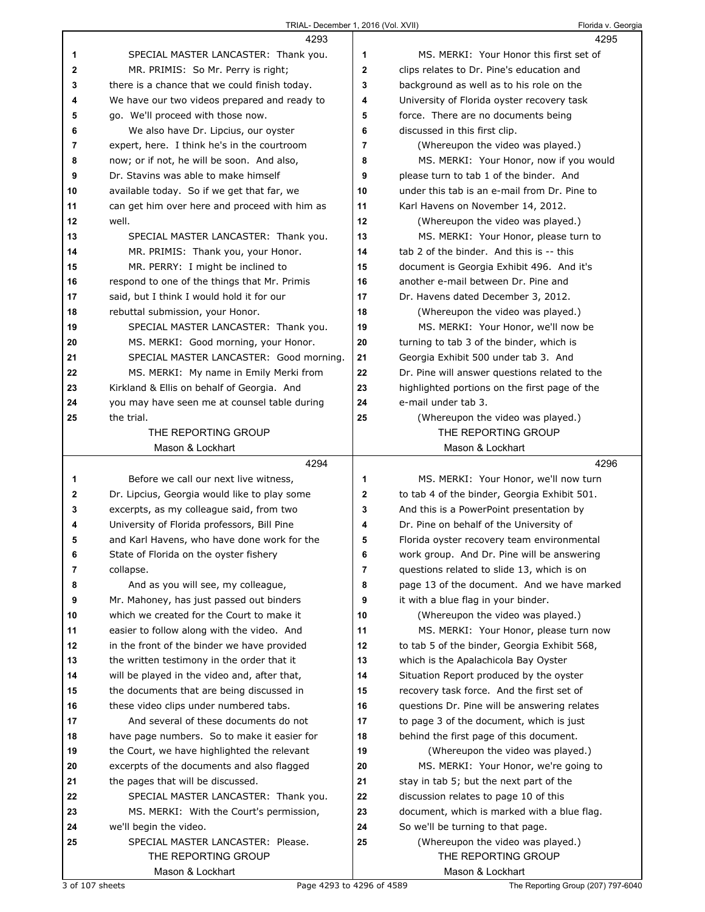|              | 4293                                                     |    | 4295                                                     |
|--------------|----------------------------------------------------------|----|----------------------------------------------------------|
| 1            | SPECIAL MASTER LANCASTER: Thank you.                     | 1  | MS. MERKI: Your Honor this first set of                  |
| $\mathbf{2}$ | MR. PRIMIS: So Mr. Perry is right;                       | 2  | clips relates to Dr. Pine's education and                |
| 3            | there is a chance that we could finish today.            | 3  | background as well as to his role on the                 |
| 4            | We have our two videos prepared and ready to             | 4  | University of Florida oyster recovery task               |
| 5            | go. We'll proceed with those now.                        | 5  | force. There are no documents being                      |
| 6            | We also have Dr. Lipcius, our oyster                     | 6  | discussed in this first clip.                            |
| 7            | expert, here. I think he's in the courtroom              | 7  | (Whereupon the video was played.)                        |
| 8            | now; or if not, he will be soon. And also,               | 8  | MS. MERKI: Your Honor, now if you would                  |
| 9            | Dr. Stavins was able to make himself                     | 9  | please turn to tab 1 of the binder. And                  |
| 10           | available today. So if we get that far, we               | 10 | under this tab is an e-mail from Dr. Pine to             |
| 11           | can get him over here and proceed with him as            | 11 | Karl Havens on November 14, 2012.                        |
| 12           | well.                                                    | 12 | (Whereupon the video was played.)                        |
| 13           | SPECIAL MASTER LANCASTER: Thank you.                     | 13 | MS. MERKI: Your Honor, please turn to                    |
| 14           | MR. PRIMIS: Thank you, your Honor.                       | 14 | tab 2 of the binder. And this is -- this                 |
| 15           | MR. PERRY: I might be inclined to                        | 15 | document is Georgia Exhibit 496. And it's                |
| 16           | respond to one of the things that Mr. Primis             | 16 | another e-mail between Dr. Pine and                      |
| 17           | said, but I think I would hold it for our                | 17 | Dr. Havens dated December 3, 2012.                       |
| 18           | rebuttal submission, your Honor.                         | 18 | (Whereupon the video was played.)                        |
| 19           | SPECIAL MASTER LANCASTER: Thank you.                     | 19 | MS. MERKI: Your Honor, we'll now be                      |
| 20           | MS. MERKI: Good morning, your Honor.                     | 20 | turning to tab 3 of the binder, which is                 |
| 21           | SPECIAL MASTER LANCASTER: Good morning.                  | 21 | Georgia Exhibit 500 under tab 3. And                     |
| 22           | MS. MERKI: My name in Emily Merki from                   | 22 | Dr. Pine will answer questions related to the            |
| 23           | Kirkland & Ellis on behalf of Georgia. And               | 23 | highlighted portions on the first page of the            |
| 24           | you may have seen me at counsel table during             | 24 | e-mail under tab 3.                                      |
| 25           | the trial.                                               | 25 | (Whereupon the video was played.)                        |
|              | THE REPORTING GROUP                                      |    | THE REPORTING GROUP                                      |
|              | Mason & Lockhart                                         |    | Mason & Lockhart                                         |
|              |                                                          |    |                                                          |
|              | 4294                                                     |    | 4296                                                     |
| 1            | Before we call our next live witness,                    | 1  | MS. MERKI: Your Honor, we'll now turn                    |
| $\mathbf{2}$ | Dr. Lipcius, Georgia would like to play some             | 2  | to tab 4 of the binder, Georgia Exhibit 501.             |
| 3            | excerpts, as my colleague said, from two                 | 3  | And this is a PowerPoint presentation by                 |
| 4            | University of Florida professors, Bill Pine              | 4  | Dr. Pine on behalf of the University of                  |
| 5            | and Karl Havens, who have done work for the              | 5  | Florida oyster recovery team environmental               |
| 6            | State of Florida on the oyster fishery                   | 6  | work group. And Dr. Pine will be answering               |
| 7            | collapse.                                                | 7  | questions related to slide 13, which is on               |
| 8            | And as you will see, my colleague,                       | 8  | page 13 of the document. And we have marked              |
| 9            | Mr. Mahoney, has just passed out binders                 | 9  | it with a blue flag in your binder.                      |
| 10           | which we created for the Court to make it                | 10 | (Whereupon the video was played.)                        |
| 11           | easier to follow along with the video. And               | 11 | MS. MERKI: Your Honor, please turn now                   |
| 12           | in the front of the binder we have provided              | 12 | to tab 5 of the binder, Georgia Exhibit 568,             |
| 13           | the written testimony in the order that it               | 13 | which is the Apalachicola Bay Oyster                     |
| 14           | will be played in the video and, after that,             | 14 | Situation Report produced by the oyster                  |
| 15           | the documents that are being discussed in                | 15 | recovery task force. And the first set of                |
| 16           | these video clips under numbered tabs.                   | 16 | questions Dr. Pine will be answering relates             |
| 17           | And several of these documents do not                    | 17 | to page 3 of the document, which is just                 |
| 18           | have page numbers. So to make it easier for              | 18 | behind the first page of this document.                  |
| 19           | the Court, we have highlighted the relevant              | 19 | (Whereupon the video was played.)                        |
| 20           | excerpts of the documents and also flagged               | 20 | MS. MERKI: Your Honor, we're going to                    |
| 21           | the pages that will be discussed.                        | 21 | stay in tab 5; but the next part of the                  |
| 22           | SPECIAL MASTER LANCASTER: Thank you.                     | 22 | discussion relates to page 10 of this                    |
| 23           | MS. MERKI: With the Court's permission,                  | 23 | document, which is marked with a blue flag.              |
| 24           | we'll begin the video.                                   | 24 | So we'll be turning to that page.                        |
| 25           | SPECIAL MASTER LANCASTER: Please.<br>THE REPORTING GROUP | 25 | (Whereupon the video was played.)<br>THE REPORTING GROUP |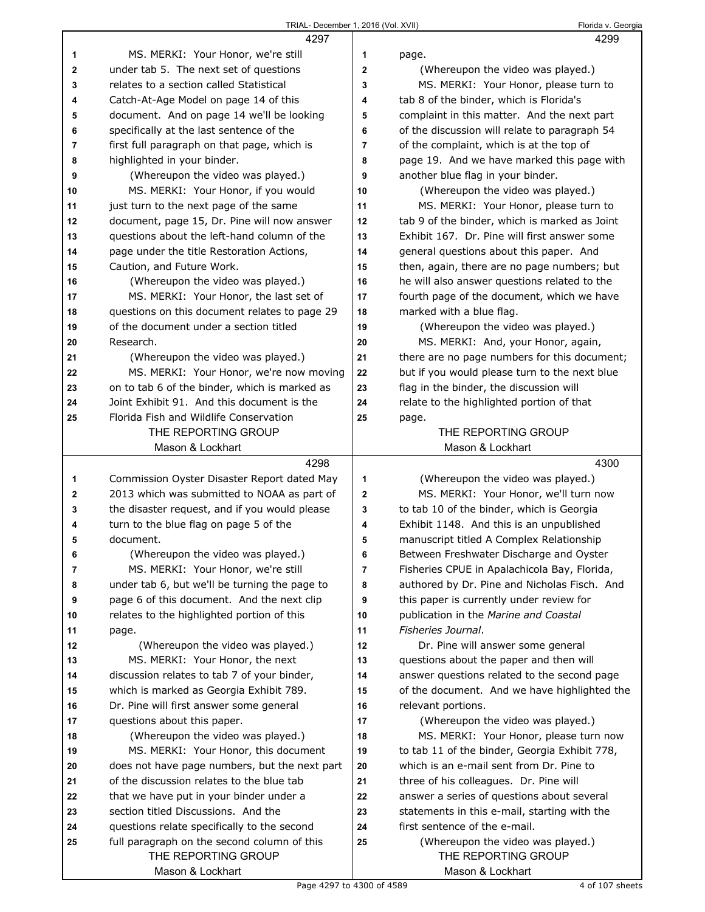|          | 4297                                                                           |                         | 4299                                                                                      |
|----------|--------------------------------------------------------------------------------|-------------------------|-------------------------------------------------------------------------------------------|
| 1        | MS. MERKI: Your Honor, we're still                                             | 1                       | page.                                                                                     |
| 2        | under tab 5. The next set of questions                                         | $\mathbf{2}$            | (Whereupon the video was played.)                                                         |
| 3        | relates to a section called Statistical                                        | 3                       | MS. MERKI: Your Honor, please turn to                                                     |
| 4        | Catch-At-Age Model on page 14 of this                                          | 4                       | tab 8 of the binder, which is Florida's                                                   |
| 5        | document. And on page 14 we'll be looking                                      | 5                       | complaint in this matter. And the next part                                               |
| 6        | specifically at the last sentence of the                                       | 6                       | of the discussion will relate to paragraph 54                                             |
| 7        | first full paragraph on that page, which is                                    | $\overline{7}$          | of the complaint, which is at the top of                                                  |
| 8        | highlighted in your binder.                                                    | 8                       | page 19. And we have marked this page with                                                |
| 9        | (Whereupon the video was played.)                                              | 9                       | another blue flag in your binder.                                                         |
| 10       | MS. MERKI: Your Honor, if you would                                            | 10                      | (Whereupon the video was played.)                                                         |
| 11       | just turn to the next page of the same                                         | 11                      | MS. MERKI: Your Honor, please turn to                                                     |
| 12       | document, page 15, Dr. Pine will now answer                                    | 12                      | tab 9 of the binder, which is marked as Joint                                             |
| 13       | questions about the left-hand column of the                                    | 13                      | Exhibit 167. Dr. Pine will first answer some                                              |
| 14       | page under the title Restoration Actions,                                      | 14                      | general questions about this paper. And                                                   |
| 15       | Caution, and Future Work.                                                      | 15                      | then, again, there are no page numbers; but                                               |
| 16       | (Whereupon the video was played.)                                              | 16                      | he will also answer questions related to the                                              |
| 17       | MS. MERKI: Your Honor, the last set of                                         | 17                      | fourth page of the document, which we have                                                |
| 18       | questions on this document relates to page 29                                  | 18                      | marked with a blue flag.                                                                  |
| 19       | of the document under a section titled                                         | 19                      | (Whereupon the video was played.)                                                         |
| 20       | Research.                                                                      | 20                      | MS. MERKI: And, your Honor, again,                                                        |
| 21       | (Whereupon the video was played.)                                              | 21                      | there are no page numbers for this document;                                              |
| 22       | MS. MERKI: Your Honor, we're now moving                                        | 22                      | but if you would please turn to the next blue                                             |
| 23       | on to tab 6 of the binder, which is marked as                                  | 23                      | flag in the binder, the discussion will                                                   |
| 24       | Joint Exhibit 91. And this document is the                                     | 24                      | relate to the highlighted portion of that                                                 |
| 25       | Florida Fish and Wildlife Conservation                                         | 25                      | page.                                                                                     |
|          | THE REPORTING GROUP                                                            |                         | THE REPORTING GROUP                                                                       |
|          | Mason & Lockhart                                                               |                         | Mason & Lockhart                                                                          |
|          |                                                                                |                         |                                                                                           |
|          | 4298                                                                           |                         | 4300                                                                                      |
| 1        | Commission Oyster Disaster Report dated May                                    | 1                       | (Whereupon the video was played.)                                                         |
| 2        | 2013 which was submitted to NOAA as part of                                    | $\mathbf{2}$            | MS. MERKI: Your Honor, we'll turn now                                                     |
| 3        | the disaster request, and if you would please                                  | 3                       | to tab 10 of the binder, which is Georgia                                                 |
| 4        | turn to the blue flag on page 5 of the                                         | 4                       | Exhibit 1148. And this is an unpublished                                                  |
| 5        | document.                                                                      | 5                       | manuscript titled A Complex Relationship                                                  |
| 6        | (Whereupon the video was played.)                                              | 6                       | Between Freshwater Discharge and Oyster                                                   |
| 7        | MS. MERKI: Your Honor, we're still                                             | $\overline{\mathbf{r}}$ | Fisheries CPUE in Apalachicola Bay, Florida,                                              |
| 8        | under tab 6, but we'll be turning the page to                                  | 8                       | authored by Dr. Pine and Nicholas Fisch. And                                              |
| 9        | page 6 of this document. And the next clip                                     | 9                       | this paper is currently under review for                                                  |
| 10       | relates to the highlighted portion of this                                     | 10                      | publication in the Marine and Coastal                                                     |
| 11       | page.                                                                          | 11                      | Fisheries Journal.                                                                        |
| 12       | (Whereupon the video was played.)                                              | 12                      | Dr. Pine will answer some general                                                         |
| 13       | MS. MERKI: Your Honor, the next                                                | 13                      | questions about the paper and then will                                                   |
| 14       | discussion relates to tab 7 of your binder,                                    | 14                      | answer questions related to the second page                                               |
| 15       | which is marked as Georgia Exhibit 789.                                        | 15                      | of the document. And we have highlighted the                                              |
| 16       | Dr. Pine will first answer some general                                        | 16                      | relevant portions.                                                                        |
| 17       | questions about this paper.                                                    | 17                      | (Whereupon the video was played.)                                                         |
| 18       | (Whereupon the video was played.)                                              | 18<br>19                | MS. MERKI: Your Honor, please turn now                                                    |
| 19<br>20 | MS. MERKI: Your Honor, this document                                           | 20                      | to tab 11 of the binder, Georgia Exhibit 778,<br>which is an e-mail sent from Dr. Pine to |
|          | does not have page numbers, but the next part                                  | 21                      |                                                                                           |
| 21       | of the discussion relates to the blue tab                                      | 22                      | three of his colleagues. Dr. Pine will                                                    |
| 22<br>23 | that we have put in your binder under a<br>section titled Discussions. And the | 23                      | answer a series of questions about several                                                |
| 24       | questions relate specifically to the second                                    | 24                      | statements in this e-mail, starting with the<br>first sentence of the e-mail.             |
| 25       | full paragraph on the second column of this                                    | 25                      | (Whereupon the video was played.)                                                         |
|          | THE REPORTING GROUP                                                            |                         | THE REPORTING GROUP                                                                       |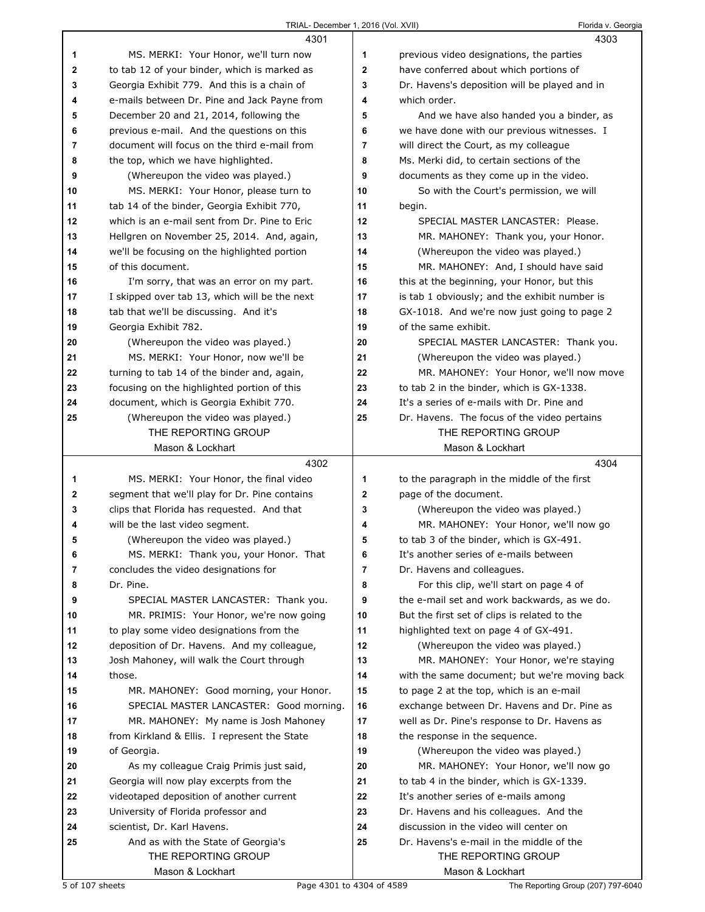|             | 4301                                          |             | 4303                                          |
|-------------|-----------------------------------------------|-------------|-----------------------------------------------|
| 1           | MS. MERKI: Your Honor, we'll turn now         | 1           | previous video designations, the parties      |
| $\mathbf 2$ | to tab 12 of your binder, which is marked as  | 2           | have conferred about which portions of        |
| 3           | Georgia Exhibit 779. And this is a chain of   | 3           | Dr. Havens's deposition will be played and in |
| 4           | e-mails between Dr. Pine and Jack Payne from  | 4           | which order.                                  |
| 5           | December 20 and 21, 2014, following the       | 5           | And we have also handed you a binder, as      |
| 6           | previous e-mail. And the questions on this    | 6           | we have done with our previous witnesses. I   |
| 7           | document will focus on the third e-mail from  | 7           | will direct the Court, as my colleague        |
| 8           | the top, which we have highlighted.           | 8           | Ms. Merki did, to certain sections of the     |
| 9           | (Whereupon the video was played.)             | 9           | documents as they come up in the video.       |
| 10          | MS. MERKI: Your Honor, please turn to         | 10          | So with the Court's permission, we will       |
| 11          | tab 14 of the binder, Georgia Exhibit 770,    | 11          | begin.                                        |
| 12          | which is an e-mail sent from Dr. Pine to Eric | 12          | SPECIAL MASTER LANCASTER: Please.             |
| 13          | Hellgren on November 25, 2014. And, again,    | 13          | MR. MAHONEY: Thank you, your Honor.           |
| 14          | we'll be focusing on the highlighted portion  | 14          | (Whereupon the video was played.)             |
| 15          | of this document.                             | 15          | MR. MAHONEY: And, I should have said          |
| 16          | I'm sorry, that was an error on my part.      | 16          | this at the beginning, your Honor, but this   |
| 17          | I skipped over tab 13, which will be the next | 17          | is tab 1 obviously; and the exhibit number is |
| 18          | tab that we'll be discussing. And it's        | 18          | GX-1018. And we're now just going to page 2   |
| 19          | Georgia Exhibit 782.                          | 19          | of the same exhibit.                          |
| 20          | (Whereupon the video was played.)             | 20          | SPECIAL MASTER LANCASTER: Thank you.          |
| 21          | MS. MERKI: Your Honor, now we'll be           | 21          | (Whereupon the video was played.)             |
| 22          | turning to tab 14 of the binder and, again,   | 22          | MR. MAHONEY: Your Honor, we'll now move       |
| 23          | focusing on the highlighted portion of this   | 23          | to tab 2 in the binder, which is GX-1338.     |
| 24          | document, which is Georgia Exhibit 770.       | 24          | It's a series of e-mails with Dr. Pine and    |
| 25          | (Whereupon the video was played.)             | 25          | Dr. Havens. The focus of the video pertains   |
|             | THE REPORTING GROUP                           |             | THE REPORTING GROUP                           |
|             | Mason & Lockhart                              |             | Mason & Lockhart                              |
|             |                                               |             |                                               |
|             | 4302                                          |             | 4304                                          |
| 1           | MS. MERKI: Your Honor, the final video        | 1           | to the paragraph in the middle of the first   |
| 2           | segment that we'll play for Dr. Pine contains | $\mathbf 2$ | page of the document.                         |
| 3           | clips that Florida has requested. And that    | 3           | (Whereupon the video was played.)             |
| 4           | will be the last video segment.               | 4           | MR. MAHONEY: Your Honor, we'll now go         |
| 5           | (Whereupon the video was played.)             | 5           | to tab 3 of the binder, which is GX-491.      |
| 6           | MS. MERKI: Thank you, your Honor. That        | 6           | It's another series of e-mails between        |
| 7           | concludes the video designations for          | 7           | Dr. Havens and colleagues.                    |
| 8           | Dr. Pine.                                     | 8           | For this clip, we'll start on page 4 of       |
| 9           | SPECIAL MASTER LANCASTER: Thank you.          | 9           | the e-mail set and work backwards, as we do.  |
| 10          | MR. PRIMIS: Your Honor, we're now going       | 10          | But the first set of clips is related to the  |
| 11          | to play some video designations from the      | 11          | highlighted text on page 4 of GX-491.         |
| 12          | deposition of Dr. Havens. And my colleague,   | 12          | (Whereupon the video was played.)             |
| 13          | Josh Mahoney, will walk the Court through     | 13          | MR. MAHONEY: Your Honor, we're staying        |
| 14          | those.                                        | 14          | with the same document; but we're moving back |
| 15          | MR. MAHONEY: Good morning, your Honor.        | 15          | to page 2 at the top, which is an e-mail      |
| 16          | SPECIAL MASTER LANCASTER: Good morning.       | 16          | exchange between Dr. Havens and Dr. Pine as   |
| 17          | MR. MAHONEY: My name is Josh Mahoney          | 17          | well as Dr. Pine's response to Dr. Havens as  |
| 18          | from Kirkland & Ellis. I represent the State  | 18          | the response in the sequence.                 |
| 19          | of Georgia.                                   | 19          | (Whereupon the video was played.)             |
| 20          | As my colleague Craig Primis just said,       | 20          | MR. MAHONEY: Your Honor, we'll now go         |
| 21          | Georgia will now play excerpts from the       | 21          | to tab 4 in the binder, which is GX-1339.     |
| 22          | videotaped deposition of another current      | 22          | It's another series of e-mails among          |
| 23          | University of Florida professor and           | 23          | Dr. Havens and his colleagues. And the        |
| 24          | scientist, Dr. Karl Havens.                   | 24          | discussion in the video will center on        |
| 25          | And as with the State of Georgia's            | 25          | Dr. Havens's e-mail in the middle of the      |
|             | THE REPORTING GROUP<br>Mason & Lockhart       |             | THE REPORTING GROUP<br>Mason & Lockhart       |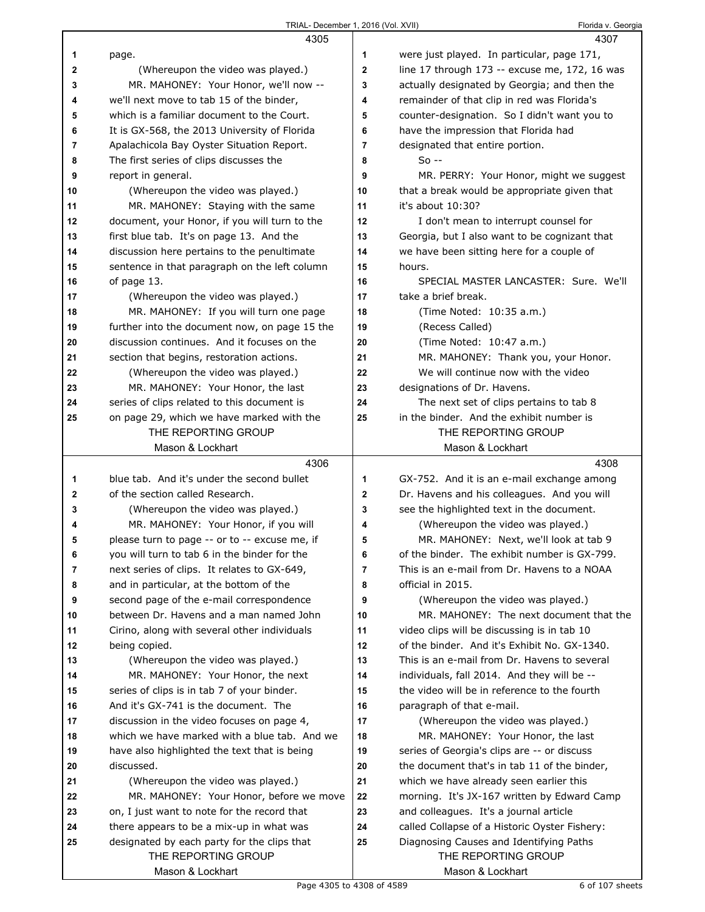|              | 4305                                                               |             | 4307                                                           |
|--------------|--------------------------------------------------------------------|-------------|----------------------------------------------------------------|
| 1            | page.                                                              | 1           | were just played. In particular, page 171,                     |
| 2            | (Whereupon the video was played.)                                  | $\mathbf 2$ | line 17 through 173 -- excuse me, 172, 16 was                  |
| 3            | MR. MAHONEY: Your Honor, we'll now --                              | 3           | actually designated by Georgia; and then the                   |
| 4            | we'll next move to tab 15 of the binder,                           | 4           | remainder of that clip in red was Florida's                    |
| 5            | which is a familiar document to the Court.                         | 5           | counter-designation. So I didn't want you to                   |
| 6            | It is GX-568, the 2013 University of Florida                       | 6           | have the impression that Florida had                           |
| 7            | Apalachicola Bay Oyster Situation Report.                          | 7           | designated that entire portion.                                |
| 8            | The first series of clips discusses the                            | 8           | $So -$                                                         |
| 9            | report in general.                                                 | 9           | MR. PERRY: Your Honor, might we suggest                        |
| 10           | (Whereupon the video was played.)                                  | 10          | that a break would be appropriate given that                   |
| 11           | MR. MAHONEY: Staying with the same                                 | 11          | it's about 10:30?                                              |
| 12           | document, your Honor, if you will turn to the                      | 12          | I don't mean to interrupt counsel for                          |
| 13           | first blue tab. It's on page 13. And the                           | 13          | Georgia, but I also want to be cognizant that                  |
| 14           | discussion here pertains to the penultimate                        | 14          | we have been sitting here for a couple of                      |
| 15           | sentence in that paragraph on the left column                      | 15          | hours.                                                         |
| 16           | of page 13.                                                        | 16          | SPECIAL MASTER LANCASTER: Sure. We'll                          |
| 17           | (Whereupon the video was played.)                                  | 17          | take a brief break.                                            |
| 18           | MR. MAHONEY: If you will turn one page                             | 18          | (Time Noted: 10:35 a.m.)                                       |
| 19           | further into the document now, on page 15 the                      | 19          | (Recess Called)                                                |
| 20           | discussion continues. And it focuses on the                        | 20          | (Time Noted: 10:47 a.m.)                                       |
| 21           | section that begins, restoration actions.                          | 21          | MR. MAHONEY: Thank you, your Honor.                            |
| 22           | (Whereupon the video was played.)                                  | 22          | We will continue now with the video                            |
| 23           | MR. MAHONEY: Your Honor, the last                                  | 23          | designations of Dr. Havens.                                    |
| 24           | series of clips related to this document is                        | 24          | The next set of clips pertains to tab 8                        |
| 25           | on page 29, which we have marked with the                          | 25          | in the binder. And the exhibit number is                       |
|              | THE REPORTING GROUP                                                |             | THE REPORTING GROUP                                            |
|              | Mason & Lockhart                                                   |             | Mason & Lockhart                                               |
|              |                                                                    |             |                                                                |
|              | 4306                                                               |             | 4308                                                           |
| 1            | blue tab. And it's under the second bullet                         | 1           | GX-752. And it is an e-mail exchange among                     |
| $\mathbf{2}$ | of the section called Research.                                    | $\mathbf 2$ | Dr. Havens and his colleagues. And you will                    |
| 3            | (Whereupon the video was played.)                                  | 3           | see the highlighted text in the document.                      |
| 4            | MR. MAHONEY: Your Honor, if you will                               | 4           | (Whereupon the video was played.)                              |
| 5            | please turn to page -- or to -- excuse me, if                      | 5           | MR. MAHONEY: Next, we'll look at tab 9                         |
| 6            | you will turn to tab 6 in the binder for the                       | 6           | of the binder. The exhibit number is GX-799.                   |
| 7            | next series of clips. It relates to GX-649,                        | 7           | This is an e-mail from Dr. Havens to a NOAA                    |
| 8            | and in particular, at the bottom of the                            | 8           | official in 2015.                                              |
| 9            | second page of the e-mail correspondence                           | 9           | (Whereupon the video was played.)                              |
| 10           | between Dr. Havens and a man named John                            | 10          | MR. MAHONEY: The next document that the                        |
| 11           | Cirino, along with several other individuals                       | 11          | video clips will be discussing is in tab 10                    |
| 12           | being copied.                                                      | 12          | of the binder. And it's Exhibit No. GX-1340.                   |
| 13           | (Whereupon the video was played.)                                  | 13          | This is an e-mail from Dr. Havens to several                   |
| 14           | MR. MAHONEY: Your Honor, the next                                  | 14          | individuals, fall 2014. And they will be --                    |
| 15           | series of clips is in tab 7 of your binder.                        | 15          | the video will be in reference to the fourth                   |
| 16           | And it's GX-741 is the document. The                               | 16          | paragraph of that e-mail.                                      |
| 17           | discussion in the video focuses on page 4,                         | 17          | (Whereupon the video was played.)                              |
| 18           | which we have marked with a blue tab. And we                       | 18          | MR. MAHONEY: Your Honor, the last                              |
| 19           | have also highlighted the text that is being                       | 19          | series of Georgia's clips are -- or discuss                    |
| 20           | discussed.                                                         | 20          | the document that's in tab 11 of the binder,                   |
| 21           | (Whereupon the video was played.)                                  | 21          | which we have already seen earlier this                        |
| 22           | MR. MAHONEY: Your Honor, before we move                            | 22          | morning. It's JX-167 written by Edward Camp                    |
| 23           | on, I just want to note for the record that                        | 23          | and colleagues. It's a journal article                         |
| 24           | there appears to be a mix-up in what was                           | 24          | called Collapse of a Historic Oyster Fishery:                  |
| 25           | designated by each party for the clips that<br>THE REPORTING GROUP | 25          | Diagnosing Causes and Identifying Paths<br>THE REPORTING GROUP |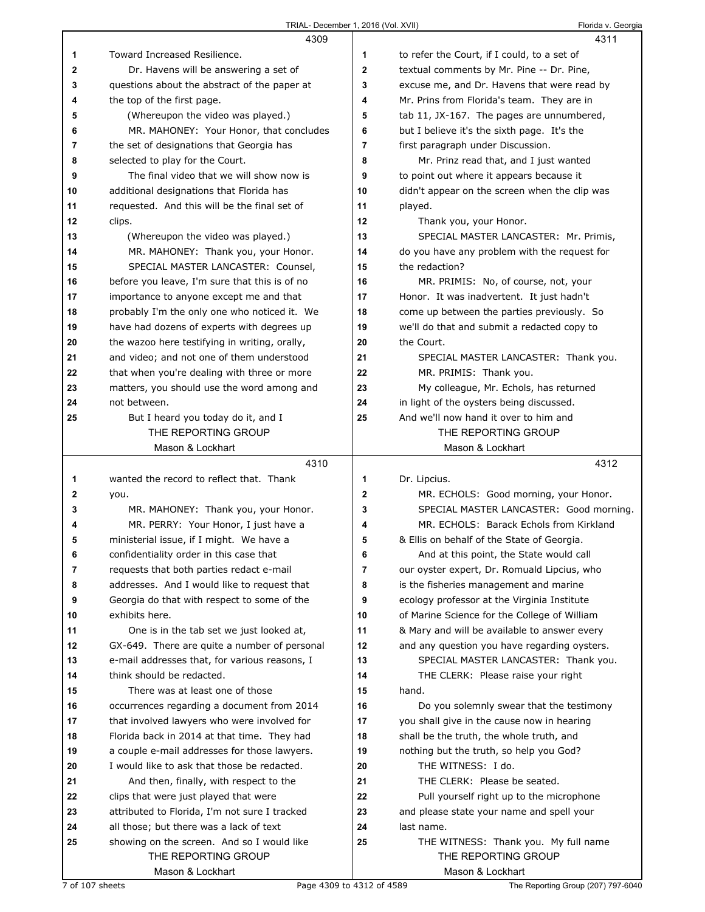|              | 4309                                          |    | 4311                                          |
|--------------|-----------------------------------------------|----|-----------------------------------------------|
| 1            | Toward Increased Resilience.                  | 1  | to refer the Court, if I could, to a set of   |
| $\mathbf{2}$ | Dr. Havens will be answering a set of         | 2  | textual comments by Mr. Pine -- Dr. Pine,     |
| 3            | questions about the abstract of the paper at  | 3  | excuse me, and Dr. Havens that were read by   |
| 4            | the top of the first page.                    | 4  | Mr. Prins from Florida's team. They are in    |
| 5            | (Whereupon the video was played.)             | 5  | tab 11, JX-167. The pages are unnumbered,     |
| 6            | MR. MAHONEY: Your Honor, that concludes       | 6  | but I believe it's the sixth page. It's the   |
| 7            | the set of designations that Georgia has      | 7  | first paragraph under Discussion.             |
| 8            | selected to play for the Court.               | 8  | Mr. Prinz read that, and I just wanted        |
| 9            | The final video that we will show now is      | 9  | to point out where it appears because it      |
| 10           | additional designations that Florida has      | 10 | didn't appear on the screen when the clip was |
| 11           | requested. And this will be the final set of  | 11 | played.                                       |
| 12           | clips.                                        | 12 | Thank you, your Honor.                        |
| 13           | (Whereupon the video was played.)             | 13 | SPECIAL MASTER LANCASTER: Mr. Primis,         |
| 14           | MR. MAHONEY: Thank you, your Honor.           | 14 | do you have any problem with the request for  |
| 15           | SPECIAL MASTER LANCASTER: Counsel,            | 15 | the redaction?                                |
| 16           | before you leave, I'm sure that this is of no | 16 | MR. PRIMIS: No, of course, not, your          |
| 17           | importance to anyone except me and that       | 17 | Honor. It was inadvertent. It just hadn't     |
| 18           | probably I'm the only one who noticed it. We  | 18 | come up between the parties previously. So    |
| 19           | have had dozens of experts with degrees up    | 19 | we'll do that and submit a redacted copy to   |
| 20           | the wazoo here testifying in writing, orally, | 20 | the Court.                                    |
| 21           | and video; and not one of them understood     | 21 | SPECIAL MASTER LANCASTER: Thank you.          |
| 22           | that when you're dealing with three or more   | 22 | MR. PRIMIS: Thank you.                        |
| 23           | matters, you should use the word among and    | 23 | My colleague, Mr. Echols, has returned        |
| 24           | not between.                                  | 24 | in light of the oysters being discussed.      |
| 25           | But I heard you today do it, and I            | 25 | And we'll now hand it over to him and         |
|              | THE REPORTING GROUP                           |    | THE REPORTING GROUP                           |
|              | Mason & Lockhart                              |    | Mason & Lockhart                              |
|              |                                               |    |                                               |
|              | 4310                                          |    | 4312                                          |
| 1            | wanted the record to reflect that. Thank      | 1  | Dr. Lipcius.                                  |
| 2            | you.                                          | 2  | MR. ECHOLS: Good morning, your Honor.         |
| 3            | MR. MAHONEY: Thank you, your Honor.           | 3  | SPECIAL MASTER LANCASTER: Good morning.       |
| 4            | MR. PERRY: Your Honor, I just have a          | 4  | MR. ECHOLS: Barack Echols from Kirkland       |
| 5            | ministerial issue, if I might. We have a      | 5  | & Ellis on behalf of the State of Georgia.    |
| 6            | confidentiality order in this case that       | 6  | And at this point, the State would call       |
| 7            | requests that both parties redact e-mail      | 7  | our oyster expert, Dr. Romuald Lipcius, who   |
| 8            | addresses. And I would like to request that   | 8  | is the fisheries management and marine        |
| 9            | Georgia do that with respect to some of the   | 9  | ecology professor at the Virginia Institute   |
| 10           | exhibits here.                                | 10 | of Marine Science for the College of William  |
| 11           | One is in the tab set we just looked at,      | 11 | & Mary and will be available to answer every  |
| 12           | GX-649. There are quite a number of personal  | 12 | and any question you have regarding oysters.  |
| 13           | e-mail addresses that, for various reasons, I | 13 | SPECIAL MASTER LANCASTER: Thank you.          |
| 14           | think should be redacted.                     | 14 | THE CLERK: Please raise your right            |
| 15           | There was at least one of those               | 15 | hand.                                         |
| 16           | occurrences regarding a document from 2014    | 16 | Do you solemnly swear that the testimony      |
| 17           | that involved lawyers who were involved for   | 17 | you shall give in the cause now in hearing    |
| 18           | Florida back in 2014 at that time. They had   | 18 | shall be the truth, the whole truth, and      |
| 19           | a couple e-mail addresses for those lawyers.  | 19 | nothing but the truth, so help you God?       |
| 20           | I would like to ask that those be redacted.   | 20 | THE WITNESS: I do.                            |
| 21           | And then, finally, with respect to the        | 21 | THE CLERK: Please be seated.                  |
| 22           | clips that were just played that were         | 22 | Pull yourself right up to the microphone      |
| 23           | attributed to Florida, I'm not sure I tracked | 23 | and please state your name and spell your     |
| 24           | all those; but there was a lack of text       | 24 | last name.                                    |
| 25           | showing on the screen. And so I would like    | 25 | THE WITNESS: Thank you. My full name          |
|              | THE REPORTING GROUP<br>Mason & Lockhart       |    | THE REPORTING GROUP<br>Mason & Lockhart       |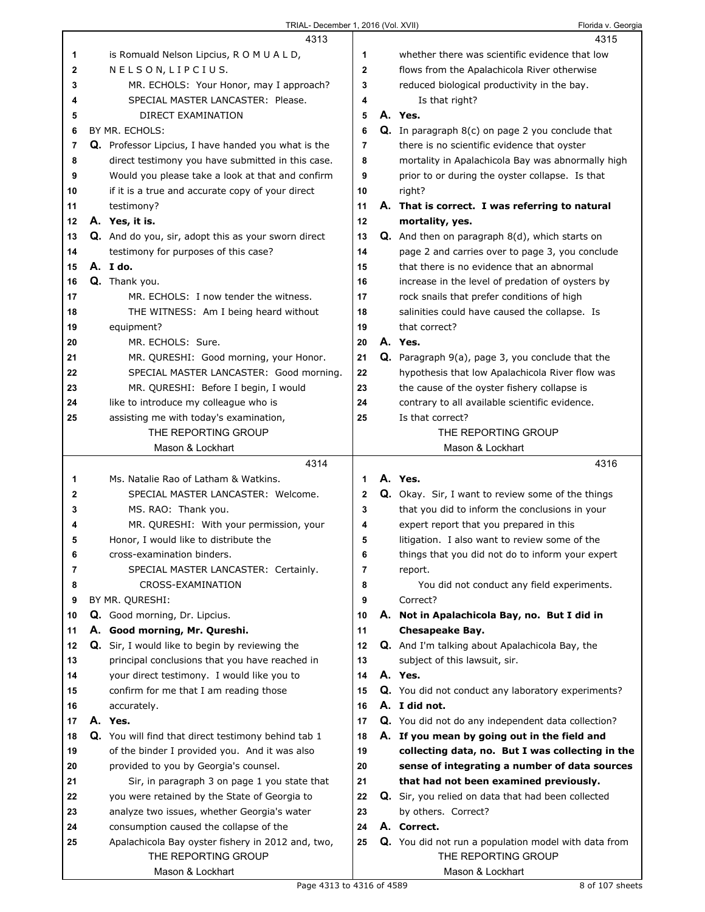|              | 4313                                                |                | 4315                                                     |
|--------------|-----------------------------------------------------|----------------|----------------------------------------------------------|
| 1            | is Romuald Nelson Lipcius, R O M U A L D,           | 1              | whether there was scientific evidence that low           |
| $\mathbf{2}$ | NELSON, LIPCIUS.                                    | $\mathbf 2$    | flows from the Apalachicola River otherwise              |
| 3            | MR. ECHOLS: Your Honor, may I approach?             | 3              | reduced biological productivity in the bay.              |
| 4            | SPECIAL MASTER LANCASTER: Please.                   | 4              | Is that right?                                           |
| 5            | DIRECT EXAMINATION                                  | 5              | A. Yes.                                                  |
| 6            | BY MR. ECHOLS:                                      | 6              | Q. In paragraph 8(c) on page 2 you conclude that         |
| 7            | Q. Professor Lipcius, I have handed you what is the | 7              | there is no scientific evidence that oyster              |
| 8            | direct testimony you have submitted in this case.   | 8              | mortality in Apalachicola Bay was abnormally high        |
| 9            | Would you please take a look at that and confirm    | 9              | prior to or during the oyster collapse. Is that          |
| 10           | if it is a true and accurate copy of your direct    | 10             | right?                                                   |
| 11           | testimony?                                          | 11             | A. That is correct. I was referring to natural           |
| 12           | A. Yes, it is.                                      | 12             | mortality, yes.                                          |
| 13           | Q. And do you, sir, adopt this as your sworn direct | 13             | <b>Q.</b> And then on paragraph 8(d), which starts on    |
|              |                                                     |                |                                                          |
| 14           | testimony for purposes of this case?                | 14             | page 2 and carries over to page 3, you conclude          |
| 15           | A. I do.                                            | 15             | that there is no evidence that an abnormal               |
| 16           | Q. Thank you.                                       | 16             | increase in the level of predation of oysters by         |
| 17           | MR. ECHOLS: I now tender the witness.               | 17             | rock snails that prefer conditions of high               |
| 18           | THE WITNESS: Am I being heard without               | 18             | salinities could have caused the collapse. Is            |
| 19           | equipment?                                          | 19             | that correct?                                            |
| 20           | MR. ECHOLS: Sure.                                   | 20             | A. Yes.                                                  |
| 21           | MR. QURESHI: Good morning, your Honor.              | 21             | <b>Q.</b> Paragraph 9(a), page 3, you conclude that the  |
| 22           | SPECIAL MASTER LANCASTER: Good morning.             | 22             | hypothesis that low Apalachicola River flow was          |
| 23           | MR. QURESHI: Before I begin, I would                | 23             | the cause of the oyster fishery collapse is              |
| 24           | like to introduce my colleague who is               | 24             | contrary to all available scientific evidence.           |
| 25           | assisting me with today's examination,              | 25             | Is that correct?                                         |
|              | THE REPORTING GROUP                                 |                | THE REPORTING GROUP                                      |
|              | Mason & Lockhart                                    |                | Mason & Lockhart                                         |
|              |                                                     |                |                                                          |
|              | 4314                                                |                | 4316                                                     |
| 1            | Ms. Natalie Rao of Latham & Watkins.                | 1              | A. Yes.                                                  |
| 2            | SPECIAL MASTER LANCASTER: Welcome.                  | 2              | <b>Q.</b> Okay. Sir, I want to review some of the things |
| 3            | MS. RAO: Thank you.                                 | 3              | that you did to inform the conclusions in your           |
| 4            | MR. QURESHI: With your permission, your             | 4              | expert report that you prepared in this                  |
| 5            | Honor, I would like to distribute the               | 5              | litigation. I also want to review some of the            |
| 6            | cross-examination binders.                          | 6              | things that you did not do to inform your expert         |
| 7            | SPECIAL MASTER LANCASTER: Certainly.                | $\overline{7}$ | report.                                                  |
| 8            | CROSS-EXAMINATION                                   | 8              | You did not conduct any field experiments.               |
| 9            | BY MR. QURESHI:                                     | 9              | Correct?                                                 |
| 10           | Q. Good morning, Dr. Lipcius.                       | 10             | A. Not in Apalachicola Bay, no. But I did in             |
| 11           | A. Good morning, Mr. Qureshi.                       | 11             | <b>Chesapeake Bay.</b>                                   |
| 12           | Q. Sir, I would like to begin by reviewing the      | 12             | Q. And I'm talking about Apalachicola Bay, the           |
| 13           | principal conclusions that you have reached in      | 13             | subject of this lawsuit, sir.                            |
| 14           | your direct testimony. I would like you to          | 14             | A. Yes.                                                  |
| 15           | confirm for me that I am reading those              | 15             | Q. You did not conduct any laboratory experiments?       |
| 16           | accurately.                                         | 16             | A. I did not.                                            |
| 17           | A. Yes.                                             | 17             | Q. You did not do any independent data collection?       |
| 18           | Q. You will find that direct testimony behind tab 1 | 18             | A. If you mean by going out in the field and             |
| 19           | of the binder I provided you. And it was also       | 19             | collecting data, no. But I was collecting in the         |
| 20           | provided to you by Georgia's counsel.               | 20             | sense of integrating a number of data sources            |
| 21           | Sir, in paragraph 3 on page 1 you state that        | 21             | that had not been examined previously.                   |
| 22           | you were retained by the State of Georgia to        | 22             | Q. Sir, you relied on data that had been collected       |
| 23           | analyze two issues, whether Georgia's water         | 23             | by others. Correct?                                      |
| 24           | consumption caused the collapse of the              | 24             | A. Correct.                                              |
| 25           | Apalachicola Bay oyster fishery in 2012 and, two,   | 25             | Q. You did not run a population model with data from     |
|              | THE REPORTING GROUP                                 |                | THE REPORTING GROUP                                      |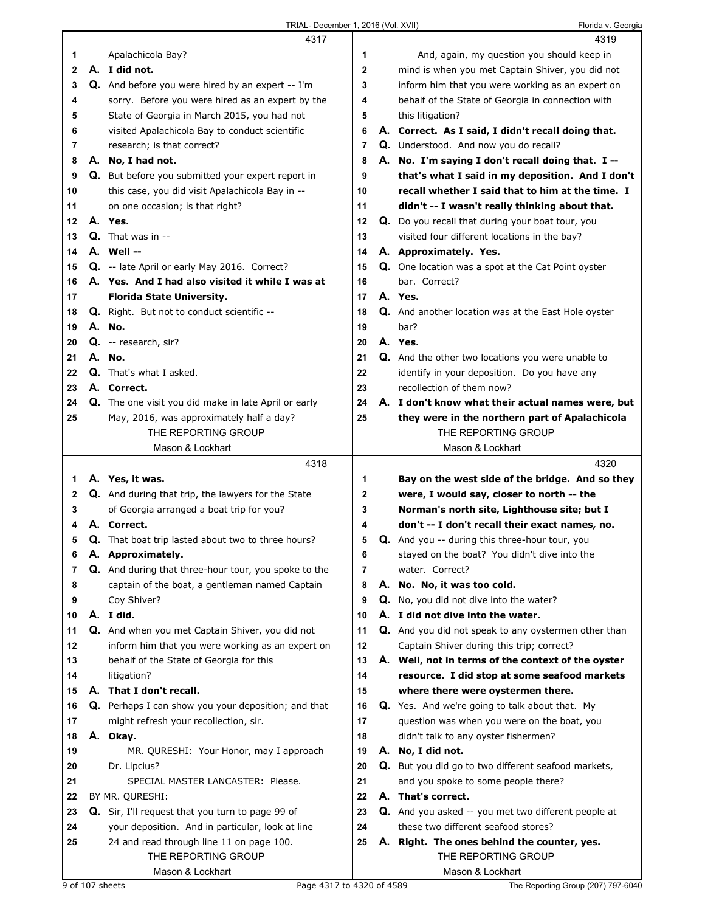|    | 4317                                                       |                | 4319                                                  |
|----|------------------------------------------------------------|----------------|-------------------------------------------------------|
| 1  | Apalachicola Bay?                                          | 1              | And, again, my question you should keep in            |
| 2  | A. I did not.                                              | $\mathbf{2}$   | mind is when you met Captain Shiver, you did not      |
| 3  | Q. And before you were hired by an expert -- I'm           | 3              | inform him that you were working as an expert on      |
| 4  | sorry. Before you were hired as an expert by the           | 4              | behalf of the State of Georgia in connection with     |
| 5  | State of Georgia in March 2015, you had not                | 5              | this litigation?                                      |
| 6  | visited Apalachicola Bay to conduct scientific             | 6              | A. Correct. As I said, I didn't recall doing that.    |
| 7  | research; is that correct?                                 | $\overline{7}$ | Q. Understood. And now you do recall?                 |
| 8  | A. No, I had not.                                          | 8              | A. No. I'm saying I don't recall doing that. I --     |
| 9  | <b>Q.</b> But before you submitted your expert report in   | 9              | that's what I said in my deposition. And I don't      |
|    |                                                            | 10             | recall whether I said that to him at the time. I      |
| 10 | this case, you did visit Apalachicola Bay in --            |                |                                                       |
| 11 | on one occasion; is that right?                            | 11             | didn't -- I wasn't really thinking about that.        |
| 12 | A. Yes.                                                    | 12             | Q. Do you recall that during your boat tour, you      |
| 13 | $Q.$ That was in $-$                                       | 13             | visited four different locations in the bay?          |
| 14 | A. Well --                                                 | 14             | A. Approximately. Yes.                                |
| 15 | Q. -- late April or early May 2016. Correct?               | 15             | Q. One location was a spot at the Cat Point oyster    |
| 16 | A. Yes. And I had also visited it while I was at           | 16             | bar. Correct?                                         |
| 17 | <b>Florida State University.</b>                           | 17             | A. Yes.                                               |
| 18 | Q. Right. But not to conduct scientific --                 | 18             | Q. And another location was at the East Hole oyster   |
| 19 | A. No.                                                     | 19             | bar?                                                  |
| 20 | Q. -- research, sir?                                       | 20             | A. Yes.                                               |
| 21 | A. No.                                                     | 21             | Q. And the other two locations you were unable to     |
| 22 | <b>Q.</b> That's what I asked.                             | 22             | identify in your deposition. Do you have any          |
| 23 | A. Correct.                                                | 23             | recollection of them now?                             |
| 24 | Q. The one visit you did make in late April or early       | 24             | A. I don't know what their actual names were, but     |
| 25 | May, 2016, was approximately half a day?                   | 25             | they were in the northern part of Apalachicola        |
|    | THE REPORTING GROUP                                        |                | THE REPORTING GROUP                                   |
|    | Mason & Lockhart                                           |                | Mason & Lockhart                                      |
|    |                                                            |                |                                                       |
|    |                                                            |                |                                                       |
|    | 4318                                                       |                | 4320                                                  |
| 1  | A. Yes, it was.                                            | 1              | Bay on the west side of the bridge. And so they       |
| 2  | Q. And during that trip, the lawyers for the State         | 2              | were, I would say, closer to north -- the             |
| 3  | of Georgia arranged a boat trip for you?                   | 3              | Norman's north site, Lighthouse site; but I           |
| 4  | A. Correct.                                                | 4              | don't -- I don't recall their exact names, no.        |
| 5  | Q. That boat trip lasted about two to three hours?         | 5              | Q. And you -- during this three-hour tour, you        |
| 6  | A. Approximately.                                          | 6              | stayed on the boat? You didn't dive into the          |
| 7  | Q. And during that three-hour tour, you spoke to the       | $\overline{7}$ | water. Correct?                                       |
| 8  | captain of the boat, a gentleman named Captain             | 8              | A. No. No, it was too cold.                           |
| 9  | Coy Shiver?                                                | 9              | Q. No, you did not dive into the water?               |
| 10 | A. I did.                                                  | 10             | A. I did not dive into the water.                     |
| 11 | Q. And when you met Captain Shiver, you did not            | 11             | Q. And you did not speak to any oystermen other than  |
| 12 | inform him that you were working as an expert on           | 12             | Captain Shiver during this trip; correct?             |
| 13 | behalf of the State of Georgia for this                    | 13             | A. Well, not in terms of the context of the oyster    |
| 14 | litigation?                                                | 14             | resource. I did stop at some seafood markets          |
| 15 | A. That I don't recall.                                    | 15             | where there were oystermen there.                     |
| 16 | <b>Q.</b> Perhaps I can show you your deposition; and that | 16             | <b>Q.</b> Yes. And we're going to talk about that. My |
| 17 | might refresh your recollection, sir.                      | 17             | question was when you were on the boat, you           |
| 18 | A. Okay.                                                   | 18             | didn't talk to any oyster fishermen?                  |
| 19 | MR. QURESHI: Your Honor, may I approach                    | 19             | A. No, I did not.                                     |
| 20 | Dr. Lipcius?                                               | 20             | Q. But you did go to two different seafood markets,   |
| 21 | SPECIAL MASTER LANCASTER: Please.                          | 21             | and you spoke to some people there?                   |
| 22 | BY MR. QURESHI:                                            | 22             | A. That's correct.                                    |
| 23 | <b>Q.</b> Sir, I'll request that you turn to page 99 of    | 23             | Q. And you asked -- you met two different people at   |
| 24 | your deposition. And in particular, look at line           | 24             | these two different seafood stores?                   |
| 25 | 24 and read through line 11 on page 100.                   | 25             | A. Right. The ones behind the counter, yes.           |
|    | THE REPORTING GROUP                                        |                | THE REPORTING GROUP                                   |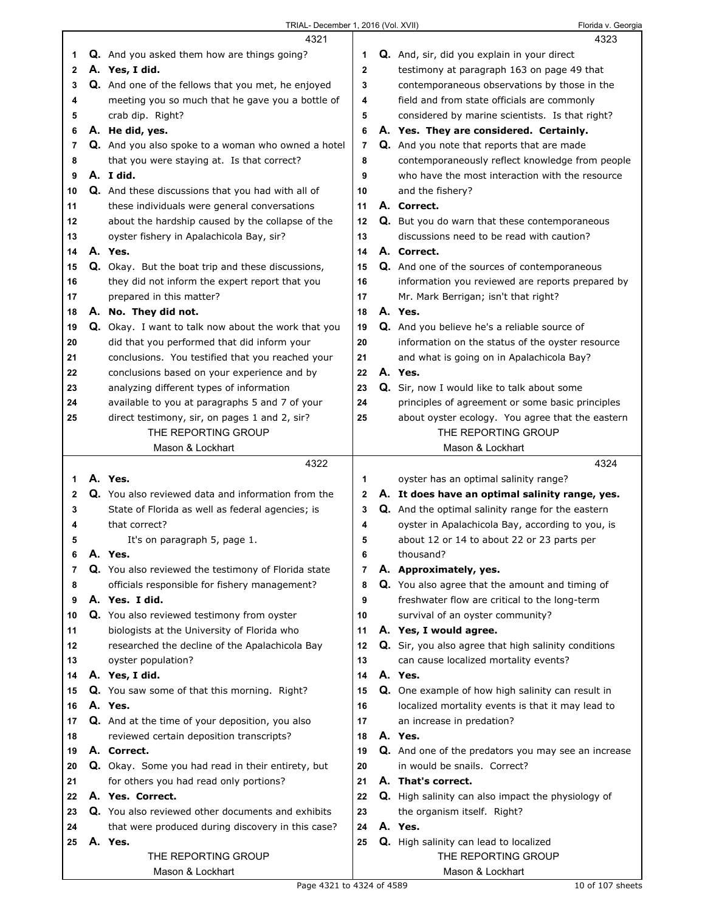|        | TRIAL- December 1, 2016 (Vol. XVII)                      |              | Florida v. Georgia                                       |
|--------|----------------------------------------------------------|--------------|----------------------------------------------------------|
|        | 4321                                                     |              | 4323                                                     |
| 1      | <b>Q.</b> And you asked them how are things going?       | 1            | Q. And, sir, did you explain in your direct              |
| 2      | A. Yes, I did.                                           | $\mathbf{2}$ | testimony at paragraph 163 on page 49 that               |
| 3      | Q. And one of the fellows that you met, he enjoyed       | 3            | contemporaneous observations by those in the             |
| 4      | meeting you so much that he gave you a bottle of         | 4            | field and from state officials are commonly              |
| 5      | crab dip. Right?                                         | 5            | considered by marine scientists. Is that right?          |
| 6      | A. He did, yes.                                          | 6            | A. Yes. They are considered. Certainly.                  |
| 7      | Q. And you also spoke to a woman who owned a hotel       | 7            | Q. And you note that reports that are made               |
| 8      | that you were staying at. Is that correct?               | 8            | contemporaneously reflect knowledge from people          |
| 9      | A. I did.                                                | 9            | who have the most interaction with the resource          |
| 10     | <b>Q.</b> And these discussions that you had with all of | 10           | and the fishery?                                         |
| 11     | these individuals were general conversations             | 11           | A. Correct.                                              |
| 12     | about the hardship caused by the collapse of the         | 12           | Q. But you do warn that these contemporaneous            |
| 13     | oyster fishery in Apalachicola Bay, sir?                 | 13           | discussions need to be read with caution?                |
| 14     | A. Yes.                                                  | 14           | A. Correct.                                              |
| 15     | Q. Okay. But the boat trip and these discussions,        | 15           | <b>Q.</b> And one of the sources of contemporaneous      |
| 16     | they did not inform the expert report that you           | 16           | information you reviewed are reports prepared by         |
| 17     | prepared in this matter?                                 | 17           | Mr. Mark Berrigan; isn't that right?                     |
| 18     | A. No. They did not.                                     | 18           | A. Yes.                                                  |
| 19     | Q. Okay. I want to talk now about the work that you      | 19           | Q. And you believe he's a reliable source of             |
| 20     | did that you performed that did inform your              | 20           | information on the status of the oyster resource         |
| 21     | conclusions. You testified that you reached your         | 21           | and what is going on in Apalachicola Bay?                |
| 22     | conclusions based on your experience and by              | 22           | A. Yes.                                                  |
| 23     | analyzing different types of information                 | 23           | <b>Q.</b> Sir, now I would like to talk about some       |
| 24     | available to you at paragraphs 5 and 7 of your           | 24           | principles of agreement or some basic principles         |
| 25     | direct testimony, sir, on pages 1 and 2, sir?            | 25           | about oyster ecology. You agree that the eastern         |
|        | THE REPORTING GROUP                                      |              | THE REPORTING GROUP                                      |
|        | Mason & Lockhart                                         |              | Mason & Lockhart                                         |
|        | 4322                                                     |              | 4324                                                     |
| 1      | A. Yes.                                                  | 1            | oyster has an optimal salinity range?                    |
| 2      | Q. You also reviewed data and information from the       | $\mathbf{2}$ | A. It does have an optimal salinity range, yes.          |
| 3      | State of Florida as well as federal agencies; is         | 3            | <b>Q.</b> And the optimal salinity range for the eastern |
| 4      | that correct?                                            | 4            | oyster in Apalachicola Bay, according to you, is         |
| 5      | It's on paragraph 5, page 1.<br>A. Yes.                  | 5<br>6       | about 12 or 14 to about 22 or 23 parts per<br>thousand?  |
| 6      | Q. You also reviewed the testimony of Florida state      | 7            | A. Approximately, yes.                                   |
| 7      | officials responsible for fishery management?            | 8            | Q. You also agree that the amount and timing of          |
| 8<br>9 | A. Yes. I did.                                           | 9            | freshwater flow are critical to the long-term            |
| 10     | Q. You also reviewed testimony from oyster               | 10           | survival of an oyster community?                         |
| 11     | biologists at the University of Florida who              | 11           | A. Yes, I would agree.                                   |
| 12     | researched the decline of the Apalachicola Bay           | 12           | Q. Sir, you also agree that high salinity conditions     |
| 13     | oyster population?                                       | 13           | can cause localized mortality events?                    |
| 14     | A. Yes, I did.                                           | 14           | A. Yes.                                                  |
| 15     | Q. You saw some of that this morning. Right?             | 15           | Q. One example of how high salinity can result in        |
| 16     | A. Yes.                                                  | 16           | localized mortality events is that it may lead to        |
| 17     | Q. And at the time of your deposition, you also          | 17           | an increase in predation?                                |
| 18     | reviewed certain deposition transcripts?                 | 18           | A. Yes.                                                  |
| 19     | A. Correct.                                              | 19           | Q. And one of the predators you may see an increase      |
| 20     | Q. Okay. Some you had read in their entirety, but        | 20           | in would be snails. Correct?                             |
| 21     | for others you had read only portions?                   | 21           | A. That's correct.                                       |
| 22     | A. Yes. Correct.                                         | 22           | Q. High salinity can also impact the physiology of       |
| 23     | Q. You also reviewed other documents and exhibits        | 23           | the organism itself. Right?                              |
| 24     | that were produced during discovery in this case?        | 24           | A. Yes.                                                  |
| 25     | A. Yes.                                                  | 25           | Q. High salinity can lead to localized                   |
|        | THE REPORTING GROUP                                      |              | THE REPORTING GROUP                                      |
|        | Mason & Lockhart                                         |              | Mason & Lockhart                                         |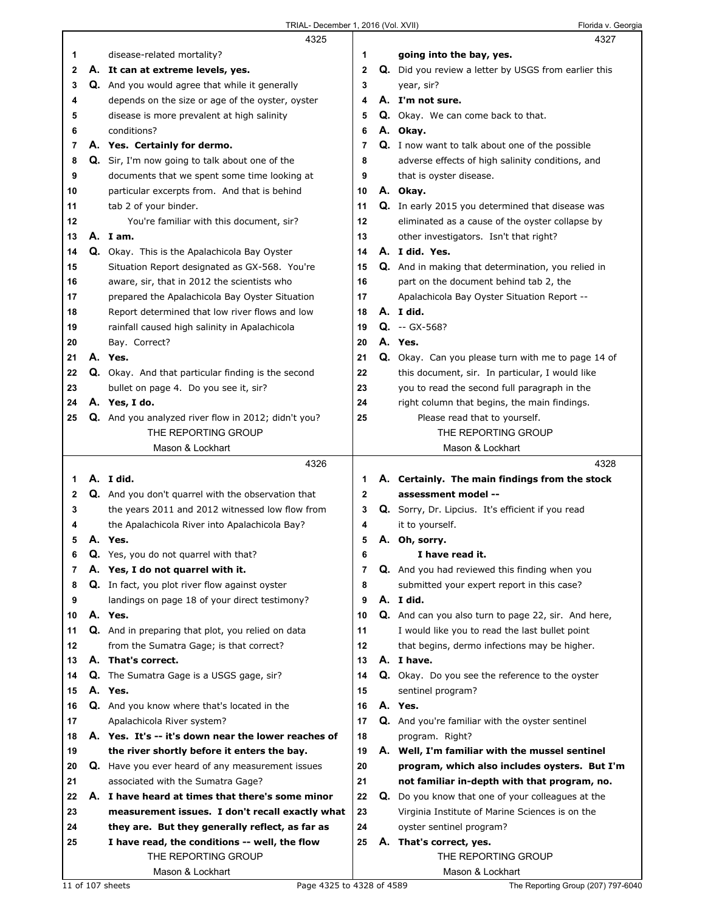|    | 4325                                                      |              |    | 4327                                                    |
|----|-----------------------------------------------------------|--------------|----|---------------------------------------------------------|
| 1  | disease-related mortality?                                | 1            |    | going into the bay, yes.                                |
| 2  | A. It can at extreme levels, yes.                         | $\mathbf{2}$ |    | Q. Did you review a letter by USGS from earlier this    |
| 3  | Q. And you would agree that while it generally            | 3            |    | year, sir?                                              |
| 4  | depends on the size or age of the oyster, oyster          | 4            |    | A. I'm not sure.                                        |
| 5  | disease is more prevalent at high salinity                | 5            |    | Q. Okay. We can come back to that.                      |
| 6  | conditions?                                               | 6            |    | A. Okay.                                                |
| 7  | A. Yes. Certainly for dermo.                              | 7            |    | Q. I now want to talk about one of the possible         |
| 8  | Q. Sir, I'm now going to talk about one of the            | 8            |    | adverse effects of high salinity conditions, and        |
| 9  | documents that we spent some time looking at              | 9            |    | that is oyster disease.                                 |
| 10 | particular excerpts from. And that is behind              | 10           |    | A. Okay.                                                |
| 11 | tab 2 of your binder.                                     | 11           |    | <b>Q.</b> In early 2015 you determined that disease was |
| 12 | You're familiar with this document, sir?                  | 12           |    | eliminated as a cause of the oyster collapse by         |
| 13 | A. Iam.                                                   | 13           |    | other investigators. Isn't that right?                  |
| 14 | Q. Okay. This is the Apalachicola Bay Oyster              | 14           |    | A. I did. Yes.                                          |
| 15 | Situation Report designated as GX-568. You're             | 15           |    | Q. And in making that determination, you relied in      |
| 16 | aware, sir, that in 2012 the scientists who               | 16           |    | part on the document behind tab 2, the                  |
| 17 | prepared the Apalachicola Bay Oyster Situation            | 17           |    | Apalachicola Bay Oyster Situation Report --             |
| 18 | Report determined that low river flows and low            | 18           |    | A. I did.                                               |
| 19 | rainfall caused high salinity in Apalachicola             | 19           |    | $Q. -GX-568?$                                           |
| 20 | Bay. Correct?                                             | 20           |    | A. Yes.                                                 |
| 21 | A. Yes.                                                   | 21           |    | Q. Okay. Can you please turn with me to page 14 of      |
| 22 | <b>Q.</b> Okay. And that particular finding is the second | 22           |    | this document, sir. In particular, I would like         |
| 23 | bullet on page 4. Do you see it, sir?                     | 23           |    | you to read the second full paragraph in the            |
| 24 | A. Yes, I do.                                             | 24           |    | right column that begins, the main findings.            |
| 25 | Q. And you analyzed river flow in 2012; didn't you?       | 25           |    | Please read that to yourself.                           |
|    | THE REPORTING GROUP                                       |              |    | THE REPORTING GROUP                                     |
|    | Mason & Lockhart                                          |              |    | Mason & Lockhart                                        |
|    |                                                           |              |    |                                                         |
|    | 4326                                                      |              |    | 4328                                                    |
| 1  | A. I did.                                                 | 1            |    | A. Certainly. The main findings from the stock          |
| 2  | <b>Q.</b> And you don't quarrel with the observation that | 2            |    | assessment model --                                     |
| 3  | the years 2011 and 2012 witnessed low flow from           | 3            |    | Q. Sorry, Dr. Lipcius. It's efficient if you read       |
| 4  | the Apalachicola River into Apalachicola Bay?             | 4            |    | it to yourself.                                         |
| 5  | A. Yes.                                                   | 5            |    | A. Oh, sorry.                                           |
| 6  | Q. Yes, you do not quarrel with that?                     | 6            |    | I have read it.                                         |
| 7  | A. Yes, I do not quarrel with it.                         | 7            |    | <b>Q.</b> And you had reviewed this finding when you    |
| 8  | Q. In fact, you plot river flow against oyster            | 8            |    | submitted your expert report in this case?              |
| 9  | landings on page 18 of your direct testimony?             | 9            |    | A. I did.                                               |
| 10 | A. Yes.                                                   | 10           |    | Q. And can you also turn to page 22, sir. And here,     |
| 11 | Q. And in preparing that plot, you relied on data         | 11           |    | I would like you to read the last bullet point          |
| 12 | from the Sumatra Gage; is that correct?                   | 12           |    | that begins, dermo infections may be higher.            |
| 13 | A. That's correct.                                        | 13           |    | A. I have.                                              |
| 14 | Q. The Sumatra Gage is a USGS gage, sir?                  | 14           |    | Q. Okay. Do you see the reference to the oyster         |
| 15 | A. Yes.                                                   | 15           |    | sentinel program?                                       |
| 16 | Q. And you know where that's located in the               | 16           |    | A. Yes.                                                 |
| 17 | Apalachicola River system?                                | 17           |    | <b>Q.</b> And you're familiar with the oyster sentinel  |
| 18 | A. Yes. It's -- it's down near the lower reaches of       | 18           |    | program. Right?                                         |
| 19 | the river shortly before it enters the bay.               | 19           |    | A. Well, I'm familiar with the mussel sentinel          |
| 20 | <b>Q.</b> Have you ever heard of any measurement issues   | 20           |    | program, which also includes oysters. But I'm           |
| 21 | associated with the Sumatra Gage?                         | 21           |    | not familiar in-depth with that program, no.            |
| 22 | A. I have heard at times that there's some minor          | 22           | Q. | Do you know that one of your colleagues at the          |
| 23 | measurement issues. I don't recall exactly what           | 23           |    | Virginia Institute of Marine Sciences is on the         |
| 24 | they are. But they generally reflect, as far as           | 24           |    | oyster sentinel program?                                |
| 25 | I have read, the conditions -- well, the flow             | 25           |    | A. That's correct, yes.                                 |
|    | THE REPORTING GROUP<br>Mason & Lockhart                   |              |    | THE REPORTING GROUP<br>Mason & Lockhart                 |

Г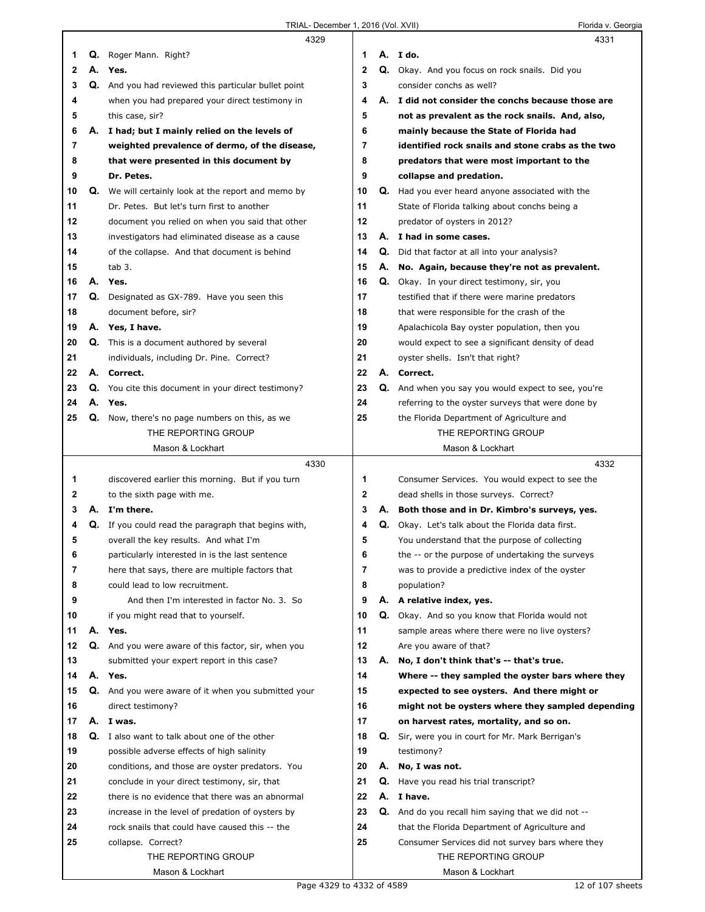|    |    | 4329                                                 |              |    | 4331                                                   |
|----|----|------------------------------------------------------|--------------|----|--------------------------------------------------------|
| 1  | Q. | Roger Mann. Right?                                   | 1            |    | A. Ido.                                                |
| 2  |    | A. Yes.                                              | $\mathbf{2}$ |    | Q. Okay. And you focus on rock snails. Did you         |
| 3  |    | Q. And you had reviewed this particular bullet point | 3            |    | consider conchs as well?                               |
| 4  |    | when you had prepared your direct testimony in       | 4            |    | A. I did not consider the conchs because those are     |
| 5  |    | this case, sir?                                      | 5            |    | not as prevalent as the rock snails. And, also,        |
| 6  | А. | I had; but I mainly relied on the levels of          | 6            |    | mainly because the State of Florida had                |
| 7  |    | weighted prevalence of dermo, of the disease,        | 7            |    | identified rock snails and stone crabs as the two      |
| 8  |    | that were presented in this document by              | 8            |    | predators that were most important to the              |
| 9  |    | Dr. Petes.                                           | 9            |    | collapse and predation.                                |
| 10 | Q. | We will certainly look at the report and memo by     | 10           |    | Q. Had you ever heard anyone associated with the       |
| 11 |    | Dr. Petes. But let's turn first to another           | 11           |    | State of Florida talking about conchs being a          |
| 12 |    | document you relied on when you said that other      | 12           |    | predator of oysters in 2012?                           |
| 13 |    | investigators had eliminated disease as a cause      | 13           |    | A. I had in some cases.                                |
| 14 |    | of the collapse. And that document is behind         | 14           | Q. | Did that factor at all into your analysis?             |
| 15 |    | tab 3.                                               | 15           | А. | No. Again, because they're not as prevalent.           |
| 16 |    | A. Yes.                                              | 16           | Q. | Okay. In your direct testimony, sir, you               |
| 17 | Q. | Designated as GX-789. Have you seen this             | 17           |    | testified that if there were marine predators          |
| 18 |    | document before, sir?                                | 18           |    | that were responsible for the crash of the             |
| 19 |    | A. Yes, I have.                                      | 19           |    | Apalachicola Bay oyster population, then you           |
| 20 |    | <b>Q.</b> This is a document authored by several     | 20           |    | would expect to see a significant density of dead      |
| 21 |    | individuals, including Dr. Pine. Correct?            | 21           |    | oyster shells. Isn't that right?                       |
| 22 |    | A. Correct.                                          | 22           |    | A. Correct.                                            |
| 23 |    | Q. You cite this document in your direct testimony?  | 23           |    | Q. And when you say you would expect to see, you're    |
| 24 | А. | Yes.                                                 | 24           |    | referring to the oyster surveys that were done by      |
| 25 |    | Q. Now, there's no page numbers on this, as we       | 25           |    | the Florida Department of Agriculture and              |
|    |    | THE REPORTING GROUP                                  |              |    | THE REPORTING GROUP                                    |
|    |    | Mason & Lockhart                                     |              |    | Mason & Lockhart                                       |
|    |    |                                                      |              |    |                                                        |
|    |    | 4330                                                 |              |    | 4332                                                   |
| 1  |    | discovered earlier this morning. But if you turn     | 1            |    | Consumer Services. You would expect to see the         |
| 2  |    | to the sixth page with me.                           | $\mathbf{2}$ |    | dead shells in those surveys. Correct?                 |
| 3  |    | A. I'm there.                                        | 3            |    | A. Both those and in Dr. Kimbro's surveys, yes.        |
| 4  | Q. | If you could read the paragraph that begins with,    | 4            | Q. | Okay. Let's talk about the Florida data first.         |
| 5  |    | overall the key results. And what I'm                | 5            |    | You understand that the purpose of collecting          |
| 6  |    | particularly interested in is the last sentence      | 6            |    | the -- or the purpose of undertaking the surveys       |
| 7  |    | here that says, there are multiple factors that      | 7            |    | was to provide a predictive index of the oyster        |
| 8  |    | could lead to low recruitment.                       | 8            |    | population?                                            |
| 9  |    | And then I'm interested in factor No. 3. So          | 9            |    | A. A relative index, yes.                              |
| 10 |    | if you might read that to yourself.                  | 10           |    | <b>Q.</b> Okay. And so you know that Florida would not |
| 11 | А. | Yes.                                                 | 11           |    | sample areas where there were no live oysters?         |
| 12 |    | Q. And you were aware of this factor, sir, when you  | 12           |    | Are you aware of that?                                 |
| 13 |    | submitted your expert report in this case?           | 13           |    | A. No, I don't think that's -- that's true.            |
| 14 |    | A. Yes.                                              | 14           |    | Where -- they sampled the oyster bars where they       |
| 15 |    | Q. And you were aware of it when you submitted your  | 15           |    | expected to see oysters. And there might or            |
| 16 |    | direct testimony?                                    | 16           |    | might not be oysters where they sampled depending      |
| 17 |    | A. I was.                                            | 17           |    | on harvest rates, mortality, and so on.                |
| 18 |    | <b>Q.</b> I also want to talk about one of the other | 18           |    | Q. Sir, were you in court for Mr. Mark Berrigan's      |
| 19 |    | possible adverse effects of high salinity            | 19           |    | testimony?                                             |
| 20 |    | conditions, and those are oyster predators. You      | 20           |    | A. No, I was not.                                      |
| 21 |    | conclude in your direct testimony, sir, that         | 21           |    | <b>Q.</b> Have you read his trial transcript?          |
| 22 |    | there is no evidence that there was an abnormal      | 22           |    | A. I have.                                             |
| 23 |    | increase in the level of predation of oysters by     | 23           |    | Q. And do you recall him saying that we did not --     |
| 24 |    | rock snails that could have caused this -- the       | 24           |    | that the Florida Department of Agriculture and         |
| 25 |    | collapse. Correct?                                   | 25           |    | Consumer Services did not survey bars where they       |
|    |    | THE REPORTING GROUP                                  |              |    | THE REPORTING GROUP                                    |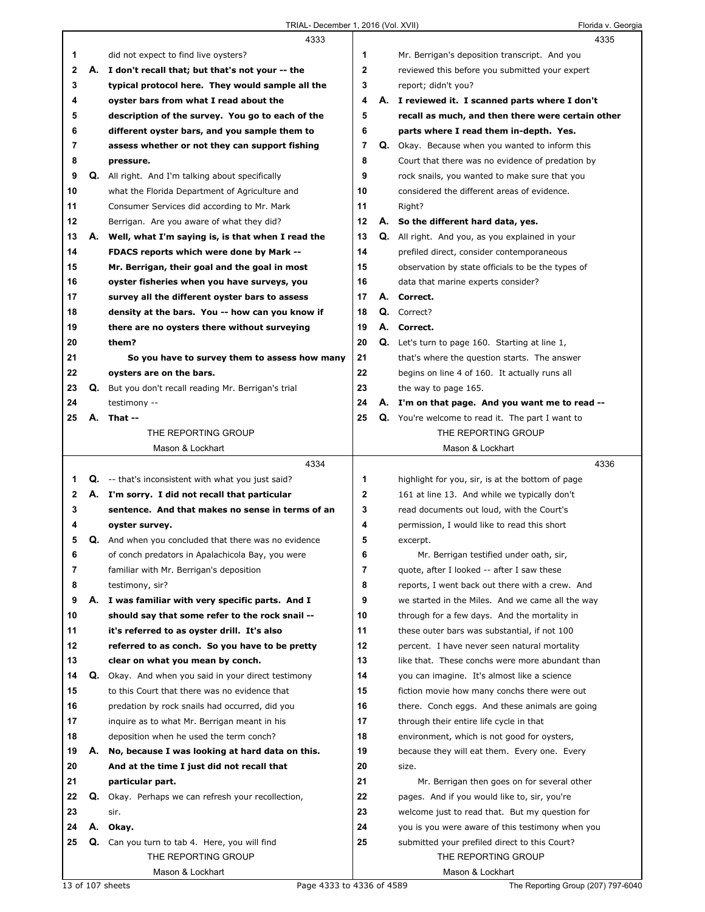|    |    | 4333                                                      |              | 4335                                                    |  |
|----|----|-----------------------------------------------------------|--------------|---------------------------------------------------------|--|
| 1  |    | did not expect to find live oysters?                      | 1            | Mr. Berrigan's deposition transcript. And you           |  |
| 2  | А. | I don't recall that; but that's not your -- the           | $\mathbf{2}$ | reviewed this before you submitted your expert          |  |
| 3  |    | typical protocol here. They would sample all the          | 3            | report; didn't you?                                     |  |
| 4  |    | oyster bars from what I read about the                    | 4            | A. I reviewed it. I scanned parts where I don't         |  |
| 5  |    | description of the survey. You go to each of the          | 5            | recall as much, and then there were certain other       |  |
| 6  |    | different oyster bars, and you sample them to             | 6            | parts where I read them in-depth. Yes.                  |  |
| 7  |    | assess whether or not they can support fishing            | 7            | Q. Okay. Because when you wanted to inform this         |  |
| 8  |    | pressure.                                                 | 8            | Court that there was no evidence of predation by        |  |
| 9  |    | <b>Q.</b> All right. And I'm talking about specifically   | 9            | rock snails, you wanted to make sure that you           |  |
| 10 |    | what the Florida Department of Agriculture and            | 10           | considered the different areas of evidence.             |  |
| 11 |    | Consumer Services did according to Mr. Mark               | 11           | Right?                                                  |  |
| 12 |    | Berrigan. Are you aware of what they did?                 | 12           | A. So the different hard data, yes.                     |  |
| 13 | А. | Well, what I'm saying is, is that when I read the         | 13           | <b>Q.</b> All right. And you, as you explained in your  |  |
| 14 |    | FDACS reports which were done by Mark --                  | 14           | prefiled direct, consider contemporaneous               |  |
| 15 |    | Mr. Berrigan, their goal and the goal in most             | 15           | observation by state officials to be the types of       |  |
| 16 |    | oyster fisheries when you have surveys, you               | 16           | data that marine experts consider?                      |  |
| 17 |    | survey all the different oyster bars to assess            | 17           | A. Correct.                                             |  |
| 18 |    | density at the bars. You -- how can you know if           | 18           | Q. Correct?                                             |  |
| 19 |    | there are no oysters there without surveying              | 19           | A. Correct.                                             |  |
| 20 |    | them?                                                     | 20           | <b>Q.</b> Let's turn to page 160. Starting at line 1,   |  |
| 21 |    | So you have to survey them to assess how many             | 21           | that's where the question starts. The answer            |  |
| 22 |    | oysters are on the bars.                                  | 22           | begins on line 4 of 160. It actually runs all           |  |
| 23 | Q. | But you don't recall reading Mr. Berrigan's trial         | 23           | the way to page 165.                                    |  |
| 24 |    | testimony --                                              | 24           | A. I'm on that page. And you want me to read --         |  |
| 25 |    | A. That --                                                | 25           | <b>Q.</b> You're welcome to read it. The part I want to |  |
|    |    | THE REPORTING GROUP                                       |              | THE REPORTING GROUP                                     |  |
|    |    | Mason & Lockhart                                          |              | Mason & Lockhart                                        |  |
|    |    |                                                           |              |                                                         |  |
|    |    | 4334                                                      |              | 4336                                                    |  |
| 1  |    | <b>Q.</b> -- that's inconsistent with what you just said? | 1            | highlight for you, sir, is at the bottom of page        |  |
| 2  |    | A. I'm sorry. I did not recall that particular            | $\mathbf 2$  | 161 at line 13. And while we typically don't            |  |
| 3  |    | sentence. And that makes no sense in terms of an          | 3            | read documents out loud, with the Court's               |  |
| 4  |    | oyster survey.                                            | 4            | permission, I would like to read this short             |  |
| 5  |    | Q. And when you concluded that there was no evidence      | 5            | excerpt.                                                |  |
| 6  |    | of conch predators in Apalachicola Bay, you were          | 6            | Mr. Berrigan testified under oath, sir,                 |  |
| 7  |    | familiar with Mr. Berrigan's deposition                   | 7            | quote, after I looked -- after I saw these              |  |
| 8  |    | testimony, sir?                                           | 8            | reports, I went back out there with a crew. And         |  |
| 9  | А. | I was familiar with very specific parts. And I            | 9            | we started in the Miles. And we came all the way        |  |
| 10 |    | should say that some refer to the rock snail --           | 10           | through for a few days. And the mortality in            |  |
| 11 |    | it's referred to as oyster drill. It's also               | 11           | these outer bars was substantial, if not 100            |  |
| 12 |    | referred to as conch. So you have to be pretty            | 12           | percent. I have never seen natural mortality            |  |
| 13 |    | clear on what you mean by conch.                          | 13           | like that. These conchs were more abundant than         |  |
| 14 | Q. | Okay. And when you said in your direct testimony          | 14           | you can imagine. It's almost like a science             |  |
| 15 |    | to this Court that there was no evidence that             | 15           | fiction movie how many conchs there were out            |  |
| 16 |    | predation by rock snails had occurred, did you            | 16           | there. Conch eggs. And these animals are going          |  |
| 17 |    | inquire as to what Mr. Berrigan meant in his              | 17           | through their entire life cycle in that                 |  |
| 18 |    | deposition when he used the term conch?                   | 18           | environment, which is not good for oysters,             |  |
| 19 | А. | No, because I was looking at hard data on this.           | 19           | because they will eat them. Every one. Every            |  |
| 20 |    | And at the time I just did not recall that                | 20           | size.                                                   |  |
| 21 |    | particular part.                                          | 21           | Mr. Berrigan then goes on for several other             |  |
| 22 | Q. | Okay. Perhaps we can refresh your recollection,           | 22           | pages. And if you would like to, sir, you're            |  |
| 23 |    | sir.                                                      | 23           | welcome just to read that. But my question for          |  |
| 24 |    | A. Okay.                                                  | 24           | you is you were aware of this testimony when you        |  |
| 25 |    | Q. Can you turn to tab 4. Here, you will find             | 25           | submitted your prefiled direct to this Court?           |  |
|    |    | THE REPORTING GROUP                                       |              | THE REPORTING GROUP                                     |  |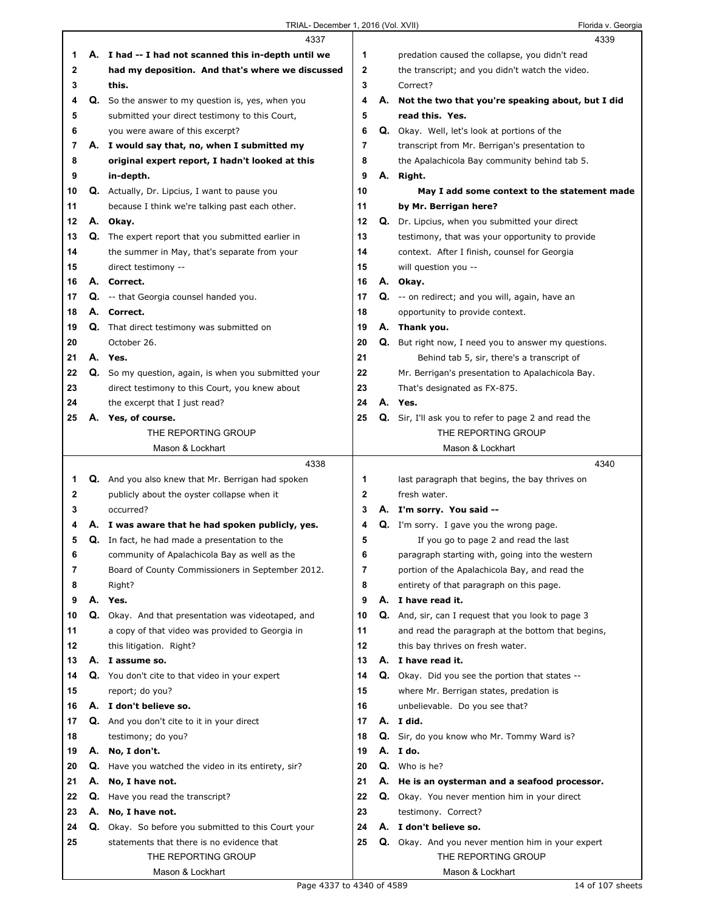|    |    | 4337                                                      |              | 4339                                                        |
|----|----|-----------------------------------------------------------|--------------|-------------------------------------------------------------|
| 1  |    | A. I had -- I had not scanned this in-depth until we      | 1            | predation caused the collapse, you didn't read              |
| 2  |    | had my deposition. And that's where we discussed          | $\mathbf{2}$ | the transcript; and you didn't watch the video.             |
| 3  |    | this.                                                     | 3            | Correct?                                                    |
| 4  |    | Q. So the answer to my question is, yes, when you         | 4            | A. Not the two that you're speaking about, but I did        |
| 5  |    | submitted your direct testimony to this Court,            | 5            | read this. Yes.                                             |
| 6  |    | you were aware of this excerpt?                           | 6            | <b>Q.</b> Okay. Well, let's look at portions of the         |
| 7  |    | A. I would say that, no, when I submitted my              | 7            | transcript from Mr. Berrigan's presentation to              |
| 8  |    | original expert report, I hadn't looked at this           | 8            | the Apalachicola Bay community behind tab 5.                |
| 9  |    | in-depth.                                                 | 9            | A. Right.                                                   |
| 10 |    | Q. Actually, Dr. Lipcius, I want to pause you             | 10           | May I add some context to the statement made                |
| 11 |    | because I think we're talking past each other.            | 11           | by Mr. Berrigan here?                                       |
| 12 |    | A. Okay.                                                  | 12           | Q. Dr. Lipcius, when you submitted your direct              |
| 13 |    | <b>Q.</b> The expert report that you submitted earlier in | 13           | testimony, that was your opportunity to provide             |
| 14 |    | the summer in May, that's separate from your              | 14           | context. After I finish, counsel for Georgia                |
| 15 |    | direct testimony --                                       | 15           | will question you --                                        |
| 16 |    | A. Correct.                                               | 16           | A. Okay.                                                    |
| 17 |    | <b>Q.</b> -- that Georgia counsel handed you.             | 17           | Q. -- on redirect; and you will, again, have an             |
| 18 |    | A. Correct.                                               | 18           | opportunity to provide context.                             |
| 19 |    | <b>Q.</b> That direct testimony was submitted on          | 19           | A. Thank you.                                               |
| 20 |    | October 26.                                               | 20           | Q. But right now, I need you to answer my questions.        |
| 21 |    | A. Yes.                                                   | 21           | Behind tab 5, sir, there's a transcript of                  |
| 22 |    | Q. So my question, again, is when you submitted your      | 22           | Mr. Berrigan's presentation to Apalachicola Bay.            |
| 23 |    | direct testimony to this Court, you knew about            | 23           | That's designated as FX-875.                                |
| 24 |    | the excerpt that I just read?                             | 24           | A. Yes.                                                     |
| 25 | А. | Yes, of course.                                           | 25           | <b>Q.</b> Sir, I'll ask you to refer to page 2 and read the |
|    |    | THE REPORTING GROUP                                       |              | THE REPORTING GROUP                                         |
|    |    | Mason & Lockhart                                          |              | Mason & Lockhart                                            |
|    |    |                                                           |              |                                                             |
|    |    | 4338                                                      |              | 4340                                                        |
| 1  |    | Q. And you also knew that Mr. Berrigan had spoken         | 1            | last paragraph that begins, the bay thrives on              |
| 2  |    | publicly about the oyster collapse when it                | $\mathbf{2}$ | fresh water.                                                |
| 3  |    | occurred?                                                 | 3            | A. I'm sorry. You said --                                   |
| 4  |    | A. I was aware that he had spoken publicly, yes.          | 4            | <b>Q.</b> I'm sorry. I gave you the wrong page.             |
| 5  |    | Q. In fact, he had made a presentation to the             | 5            | If you go to page 2 and read the last                       |
| 6  |    | community of Apalachicola Bay as well as the              | 6            | paragraph starting with, going into the western             |
| 7  |    | Board of County Commissioners in September 2012.          | 7            | portion of the Apalachicola Bay, and read the               |
| 8  |    | Right?                                                    | 8            | entirety of that paragraph on this page.                    |
| 9  |    | A. Yes.                                                   | 9            | A. I have read it.                                          |
| 10 |    | <b>Q.</b> Okay. And that presentation was videotaped, and | 10           | Q. And, sir, can I request that you look to page 3          |
| 11 |    | a copy of that video was provided to Georgia in           | 11           | and read the paragraph at the bottom that begins,           |
| 12 |    | this litigation. Right?                                   | 12           | this bay thrives on fresh water.                            |
| 13 |    | A. I assume so.                                           | 13           | A. I have read it.                                          |
| 14 |    | Q. You don't cite to that video in your expert            | 14           | <b>Q.</b> Okay. Did you see the portion that states --      |
| 15 |    | report; do you?                                           | 15           | where Mr. Berrigan states, predation is                     |
| 16 |    | A. I don't believe so.                                    | 16           | unbelievable. Do you see that?                              |
| 17 |    | Q. And you don't cite to it in your direct                | 17           | A. I did.                                                   |
| 18 |    | testimony; do you?                                        | 18           | Q. Sir, do you know who Mr. Tommy Ward is?                  |
| 19 | А. | No, I don't.                                              | 19           | A. I do.                                                    |
| 20 | Q. | Have you watched the video in its entirety, sir?          | 20           | Q. Who is he?                                               |
| 21 | А. | No, I have not.                                           | 21           | A. He is an oysterman and a seafood processor.              |
| 22 |    | <b>Q.</b> Have you read the transcript?                   | 22           | Q. Okay. You never mention him in your direct               |
| 23 |    | A. No, I have not.                                        | 23           | testimony. Correct?                                         |
| 24 |    | Q. Okay. So before you submitted to this Court your       | 24           | A. I don't believe so.                                      |
| 25 |    | statements that there is no evidence that                 | 25           | Q. Okay. And you never mention him in your expert           |
|    |    | THE REPORTING GROUP                                       |              | THE REPORTING GROUP                                         |

TRIAL- December 1, 2016 (Vol. XVII) Florida v. Georgia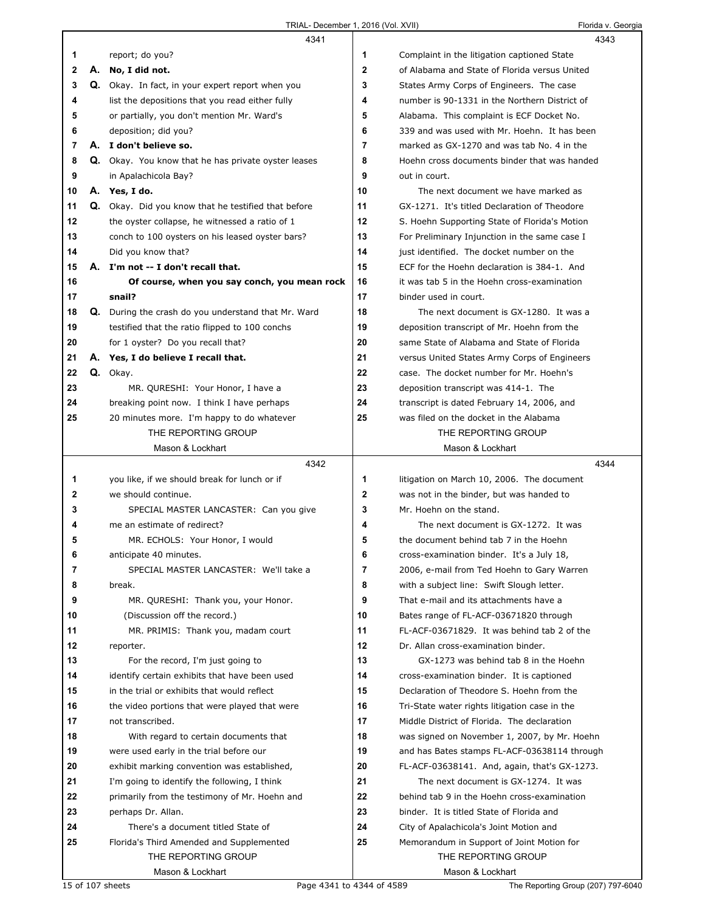| Florida v. Georgia |  |  |
|--------------------|--|--|
|                    |  |  |

|    |    | 4341                                                       |              | 4343                                          |
|----|----|------------------------------------------------------------|--------------|-----------------------------------------------|
| 1  |    | report; do you?                                            | 1            | Complaint in the litigation captioned State   |
| 2  | А. | No, I did not.                                             | $\mathbf 2$  | of Alabama and State of Florida versus United |
| 3  | Q. | Okay. In fact, in your expert report when you              | 3            | States Army Corps of Engineers. The case      |
| 4  |    | list the depositions that you read either fully            | 4            | number is 90-1331 in the Northern District of |
| 5  |    | or partially, you don't mention Mr. Ward's                 | 5            | Alabama. This complaint is ECF Docket No.     |
| 6  |    | deposition; did you?                                       | 6            | 339 and was used with Mr. Hoehn. It has been  |
| 7  |    | A. I don't believe so.                                     | 7            | marked as GX-1270 and was tab No. 4 in the    |
| 8  | Q. | Okay. You know that he has private oyster leases           | 8            | Hoehn cross documents binder that was handed  |
| 9  |    | in Apalachicola Bay?                                       | 9            | out in court.                                 |
| 10 |    | A. Yes, I do.                                              | 10           | The next document we have marked as           |
| 11 |    | Q. Okay. Did you know that he testified that before        | 11           | GX-1271. It's titled Declaration of Theodore  |
| 12 |    | the oyster collapse, he witnessed a ratio of 1             | 12           | S. Hoehn Supporting State of Florida's Motion |
| 13 |    | conch to 100 oysters on his leased oyster bars?            | 13           | For Preliminary Injunction in the same case I |
| 14 |    | Did you know that?                                         | 14           | just identified. The docket number on the     |
| 15 |    | A. I'm not -- I don't recall that.                         | 15           | ECF for the Hoehn declaration is 384-1. And   |
| 16 |    | Of course, when you say conch, you mean rock               | 16           | it was tab 5 in the Hoehn cross-examination   |
| 17 |    | snail?                                                     | 17           | binder used in court.                         |
| 18 |    | <b>Q.</b> During the crash do you understand that Mr. Ward | 18           | The next document is GX-1280. It was a        |
| 19 |    | testified that the ratio flipped to 100 conchs             | 19           | deposition transcript of Mr. Hoehn from the   |
| 20 |    | for 1 oyster? Do you recall that?                          | 20           | same State of Alabama and State of Florida    |
| 21 |    | A. Yes, I do believe I recall that.                        | 21           | versus United States Army Corps of Engineers  |
| 22 |    | Q. Okay.                                                   | 22           | case. The docket number for Mr. Hoehn's       |
| 23 |    | MR. QURESHI: Your Honor, I have a                          | 23           | deposition transcript was 414-1. The          |
| 24 |    | breaking point now. I think I have perhaps                 | 24           | transcript is dated February 14, 2006, and    |
| 25 |    | 20 minutes more. I'm happy to do whatever                  | 25           | was filed on the docket in the Alabama        |
|    |    | THE REPORTING GROUP                                        |              | THE REPORTING GROUP                           |
|    |    | Mason & Lockhart                                           |              | Mason & Lockhart                              |
|    |    |                                                            |              |                                               |
|    |    | 4342                                                       |              | 4344                                          |
| 1  |    | you like, if we should break for lunch or if               | 1            | litigation on March 10, 2006. The document    |
| 2  |    | we should continue.                                        | $\mathbf{2}$ | was not in the binder, but was handed to      |
| 3  |    | SPECIAL MASTER LANCASTER: Can you give                     | 3            | Mr. Hoehn on the stand.                       |
| 4  |    | me an estimate of redirect?                                | 4            | The next document is GX-1272. It was          |
| 5  |    | MR. ECHOLS: Your Honor, I would                            | 5            | the document behind tab 7 in the Hoehn        |
| 6  |    | anticipate 40 minutes.                                     | 6            | cross-examination binder. It's a July 18,     |
| 7  |    | SPECIAL MASTER LANCASTER: We'll take a                     | 7            | 2006, e-mail from Ted Hoehn to Gary Warren    |
| 8  |    | break.                                                     | 8            | with a subject line: Swift Slough letter.     |
| 9  |    | MR. QURESHI: Thank you, your Honor.                        | 9            | That e-mail and its attachments have a        |
| 10 |    | (Discussion off the record.)                               | 10           | Bates range of FL-ACF-03671820 through        |
| 11 |    | MR. PRIMIS: Thank you, madam court                         | 11           | FL-ACF-03671829. It was behind tab 2 of the   |
| 12 |    | reporter.                                                  | 12           | Dr. Allan cross-examination binder.           |
| 13 |    | For the record, I'm just going to                          | 13           | GX-1273 was behind tab 8 in the Hoehn         |
| 14 |    | identify certain exhibits that have been used              | 14           | cross-examination binder. It is captioned     |
| 15 |    | in the trial or exhibits that would reflect                | 15           | Declaration of Theodore S. Hoehn from the     |
| 16 |    | the video portions that were played that were              | 16           | Tri-State water rights litigation case in the |
| 17 |    | not transcribed.                                           | 17           | Middle District of Florida. The declaration   |
| 18 |    | With regard to certain documents that                      | 18           | was signed on November 1, 2007, by Mr. Hoehn  |
| 19 |    | were used early in the trial before our                    | 19           | and has Bates stamps FL-ACF-03638114 through  |
| 20 |    | exhibit marking convention was established,                | 20           | FL-ACF-03638141. And, again, that's GX-1273.  |
| 21 |    | I'm going to identify the following, I think               | 21           | The next document is GX-1274. It was          |
| 22 |    | primarily from the testimony of Mr. Hoehn and              | 22           | behind tab 9 in the Hoehn cross-examination   |
| 23 |    | perhaps Dr. Allan.                                         | 23           | binder. It is titled State of Florida and     |
| 24 |    | There's a document titled State of                         | 24           | City of Apalachicola's Joint Motion and       |
| 25 |    | Florida's Third Amended and Supplemented                   | 25           | Memorandum in Support of Joint Motion for     |
|    |    | THE REPORTING GROUP                                        |              | THE REPORTING GROUP                           |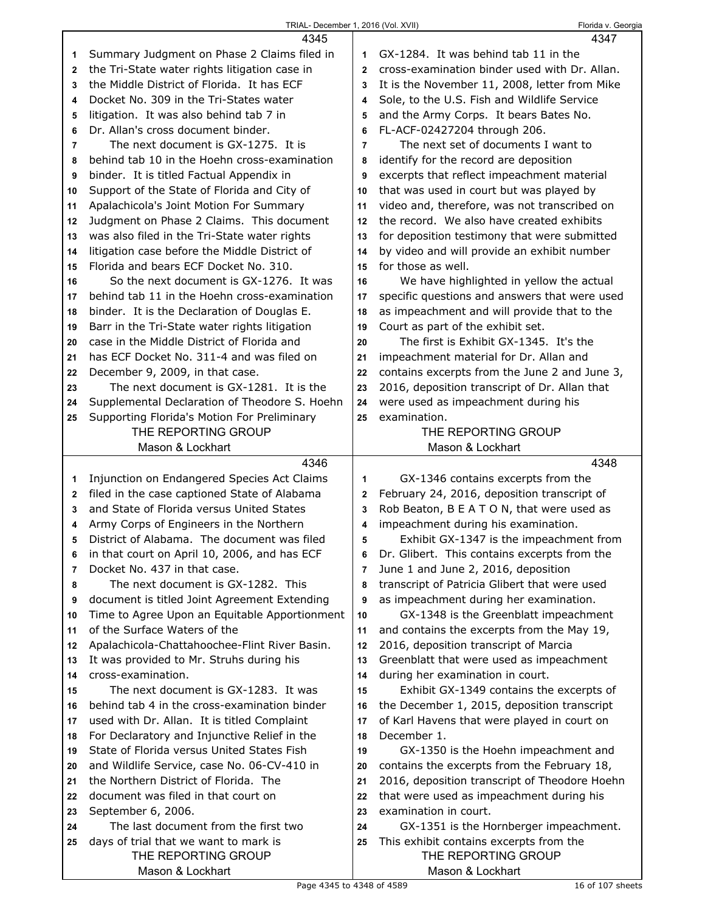|                | 4345                                                         |                | 4347                                                           |
|----------------|--------------------------------------------------------------|----------------|----------------------------------------------------------------|
| 1              | Summary Judgment on Phase 2 Claims filed in                  | 1              | GX-1284. It was behind tab 11 in the                           |
| 2              | the Tri-State water rights litigation case in                | $\mathbf{2}$   | cross-examination binder used with Dr. Allan.                  |
| 3              | the Middle District of Florida. It has ECF                   | 3              | It is the November 11, 2008, letter from Mike                  |
| 4              | Docket No. 309 in the Tri-States water                       | 4              | Sole, to the U.S. Fish and Wildlife Service                    |
| 5              | litigation. It was also behind tab 7 in                      | 5              | and the Army Corps. It bears Bates No.                         |
| 6              | Dr. Allan's cross document binder.                           | 6              | FL-ACF-02427204 through 206.                                   |
| $\overline{7}$ | The next document is GX-1275. It is                          | $\overline{7}$ | The next set of documents I want to                            |
| 8              | behind tab 10 in the Hoehn cross-examination                 | 8              | identify for the record are deposition                         |
| 9              | binder. It is titled Factual Appendix in                     | 9              | excerpts that reflect impeachment material                     |
| 10             | Support of the State of Florida and City of                  | 10             | that was used in court but was played by                       |
| 11             | Apalachicola's Joint Motion For Summary                      | 11             | video and, therefore, was not transcribed on                   |
| 12             | Judgment on Phase 2 Claims. This document                    | 12             | the record. We also have created exhibits                      |
| 13             | was also filed in the Tri-State water rights                 | 13             | for deposition testimony that were submitted                   |
| 14             | litigation case before the Middle District of                | 14             | by video and will provide an exhibit number                    |
| 15             | Florida and bears ECF Docket No. 310.                        | 15             | for those as well.                                             |
| 16             | So the next document is GX-1276. It was                      | 16             | We have highlighted in yellow the actual                       |
| 17             | behind tab 11 in the Hoehn cross-examination                 | 17             | specific questions and answers that were used                  |
| 18             | binder. It is the Declaration of Douglas E.                  | 18             | as impeachment and will provide that to the                    |
| 19             | Barr in the Tri-State water rights litigation                | 19             | Court as part of the exhibit set.                              |
| 20             | case in the Middle District of Florida and                   | 20             | The first is Exhibit GX-1345. It's the                         |
| 21             | has ECF Docket No. 311-4 and was filed on                    | 21             | impeachment material for Dr. Allan and                         |
| 22             | December 9, 2009, in that case.                              | 22             | contains excerpts from the June 2 and June 3,                  |
| 23             | The next document is GX-1281. It is the                      | 23             | 2016, deposition transcript of Dr. Allan that                  |
| 24             | Supplemental Declaration of Theodore S. Hoehn                | 24             | were used as impeachment during his                            |
| 25             | Supporting Florida's Motion For Preliminary                  | 25             | examination.                                                   |
|                | THE REPORTING GROUP                                          |                | THE REPORTING GROUP                                            |
|                | Mason & Lockhart                                             |                | Mason & Lockhart                                               |
|                |                                                              |                |                                                                |
|                | 4346                                                         |                | 4348                                                           |
| 1              | Injunction on Endangered Species Act Claims                  | 1              | GX-1346 contains excerpts from the                             |
| 2              | filed in the case captioned State of Alabama                 | $\overline{2}$ | February 24, 2016, deposition transcript of                    |
| 3              | and State of Florida versus United States                    | 3              | Rob Beaton, B E A T O N, that were used as                     |
| 4              | Army Corps of Engineers in the Northern                      | 4              | impeachment during his examination.                            |
| 5              | District of Alabama. The document was filed                  | 5              | Exhibit GX-1347 is the impeachment from                        |
| 6              | in that court on April 10, 2006, and has ECF                 | 6              | Dr. Glibert. This contains excerpts from the                   |
| 7              | Docket No. 437 in that case.                                 | 7              | June 1 and June 2, 2016, deposition                            |
| 8              | The next document is GX-1282. This                           | 8              | transcript of Patricia Glibert that were used                  |
| 9              | document is titled Joint Agreement Extending                 | 9              | as impeachment during her examination.                         |
| 10             | Time to Agree Upon an Equitable Apportionment                | 10             | GX-1348 is the Greenblatt impeachment                          |
| 11             | of the Surface Waters of the                                 | 11             | and contains the excerpts from the May 19,                     |
| 12             | Apalachicola-Chattahoochee-Flint River Basin.                | 12             | 2016, deposition transcript of Marcia                          |
| 13             | It was provided to Mr. Struhs during his                     | 13             | Greenblatt that were used as impeachment                       |
| 14             | cross-examination.                                           | 14             | during her examination in court.                               |
| 15             | The next document is GX-1283. It was                         | 15             | Exhibit GX-1349 contains the excerpts of                       |
| 16             | behind tab 4 in the cross-examination binder                 | 16             | the December 1, 2015, deposition transcript                    |
| 17             | used with Dr. Allan. It is titled Complaint                  | 17             | of Karl Havens that were played in court on                    |
| 18             | For Declaratory and Injunctive Relief in the                 | 18             | December 1.                                                    |
| 19             | State of Florida versus United States Fish                   | 19             | GX-1350 is the Hoehn impeachment and                           |
| 20             | and Wildlife Service, case No. 06-CV-410 in                  | 20             | contains the excerpts from the February 18,                    |
| 21             | the Northern District of Florida. The                        | 21             | 2016, deposition transcript of Theodore Hoehn                  |
| 22             | document was filed in that court on                          | 22             | that were used as impeachment during his                       |
| 23             | September 6, 2006.                                           | 23             | examination in court.                                          |
| 24             | The last document from the first two                         | 24             | GX-1351 is the Hornberger impeachment.                         |
| 25             | days of trial that we want to mark is<br>THE REPORTING GROUP | 25             | This exhibit contains excerpts from the<br>THE REPORTING GROUP |

ı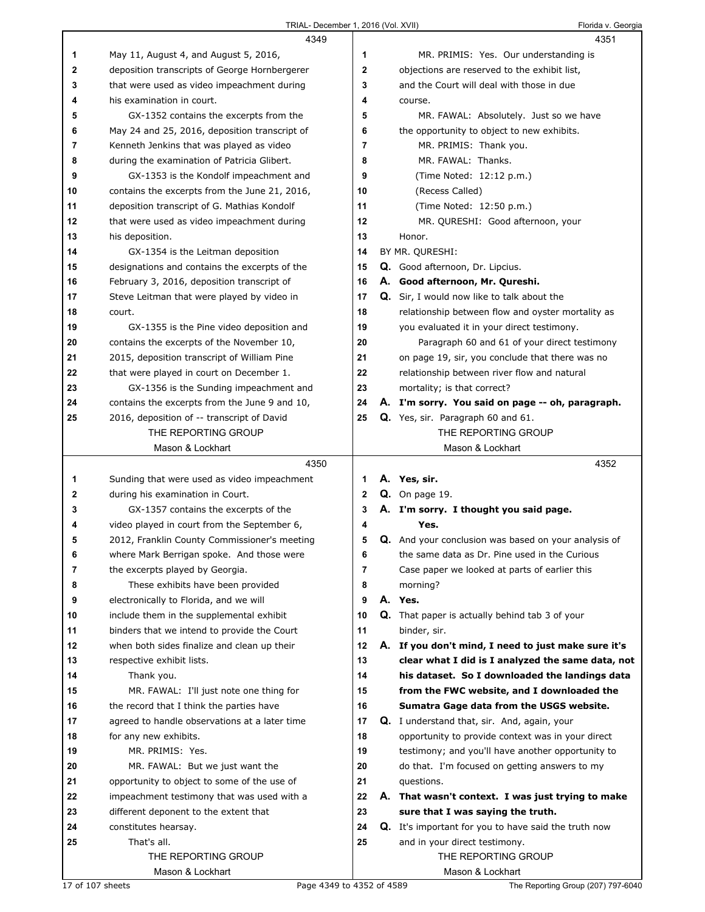|    | 4349                                          |                | 4351                                                  |
|----|-----------------------------------------------|----------------|-------------------------------------------------------|
| 1  | May 11, August 4, and August 5, 2016,         | 1              | MR. PRIMIS: Yes. Our understanding is                 |
| 2  | deposition transcripts of George Hornbergerer | 2              | objections are reserved to the exhibit list,          |
| 3  | that were used as video impeachment during    | 3              | and the Court will deal with those in due             |
| 4  | his examination in court.                     | 4              | course.                                               |
| 5  | GX-1352 contains the excerpts from the        | 5              | MR. FAWAL: Absolutely. Just so we have                |
| 6  | May 24 and 25, 2016, deposition transcript of | 6              | the opportunity to object to new exhibits.            |
| 7  | Kenneth Jenkins that was played as video      | 7              | MR. PRIMIS: Thank you.                                |
| 8  | during the examination of Patricia Glibert.   | 8              | MR. FAWAL: Thanks.                                    |
| 9  | GX-1353 is the Kondolf impeachment and        | 9              | (Time Noted: 12:12 p.m.)                              |
| 10 | contains the excerpts from the June 21, 2016, | 10             | (Recess Called)                                       |
| 11 | deposition transcript of G. Mathias Kondolf   | 11             | (Time Noted: 12:50 p.m.)                              |
| 12 | that were used as video impeachment during    | 12             | MR. QURESHI: Good afternoon, your                     |
| 13 | his deposition.                               | 13             | Honor.                                                |
| 14 | GX-1354 is the Leitman deposition             | 14             | BY MR. QURESHI:                                       |
| 15 | designations and contains the excerpts of the | 15             | Q. Good afternoon, Dr. Lipcius.                       |
| 16 | February 3, 2016, deposition transcript of    | 16             | A. Good afternoon, Mr. Qureshi.                       |
| 17 | Steve Leitman that were played by video in    | 17             | <b>Q.</b> Sir, I would now like to talk about the     |
| 18 | court.                                        | 18             | relationship between flow and oyster mortality as     |
| 19 | GX-1355 is the Pine video deposition and      | 19             | you evaluated it in your direct testimony.            |
| 20 | contains the excerpts of the November 10,     | 20             | Paragraph 60 and 61 of your direct testimony          |
| 21 | 2015, deposition transcript of William Pine   | 21             | on page 19, sir, you conclude that there was no       |
| 22 | that were played in court on December 1.      | 22             | relationship between river flow and natural           |
| 23 | GX-1356 is the Sunding impeachment and        | 23             | mortality; is that correct?                           |
| 24 | contains the excerpts from the June 9 and 10, | 24             | A. I'm sorry. You said on page -- oh, paragraph.      |
| 25 | 2016, deposition of -- transcript of David    | 25             | Q. Yes, sir. Paragraph 60 and 61.                     |
|    | THE REPORTING GROUP                           |                | THE REPORTING GROUP                                   |
|    | Mason & Lockhart                              |                | Mason & Lockhart                                      |
|    |                                               |                |                                                       |
|    | 4350                                          |                | 4352                                                  |
| 1  | Sunding that were used as video impeachment   | 1.             | A. Yes, sir.                                          |
| 2  | during his examination in Court.              | 2              | <b>Q.</b> On page 19.                                 |
| 3  | GX-1357 contains the excerpts of the          | 3              | A. I'm sorry. I thought you said page.                |
| 4  | video played in court from the September 6,   | 4              | Yes.                                                  |
| 5  | 2012, Franklin County Commissioner's meeting  | 5              | Q. And your conclusion was based on your analysis of  |
| 6  | where Mark Berrigan spoke. And those were     | 6              | the same data as Dr. Pine used in the Curious         |
| 7  | the excerpts played by Georgia.               | $\overline{7}$ | Case paper we looked at parts of earlier this         |
| 8  | These exhibits have been provided             | 8              | morning?                                              |
| 9  | electronically to Florida, and we will        | 9              | A. Yes.                                               |
| 10 | include them in the supplemental exhibit      | 10             | <b>Q.</b> That paper is actually behind tab 3 of your |
| 11 | binders that we intend to provide the Court   | 11             | binder, sir.                                          |
| 12 | when both sides finalize and clean up their   | 12             | A. If you don't mind, I need to just make sure it's   |
| 13 | respective exhibit lists.                     | 13             | clear what I did is I analyzed the same data, not     |
| 14 | Thank you.                                    | 14             | his dataset. So I downloaded the landings data        |
| 15 | MR. FAWAL: I'll just note one thing for       | 15             | from the FWC website, and I downloaded the            |
| 16 | the record that I think the parties have      | 16             | Sumatra Gage data from the USGS website.              |
| 17 | agreed to handle observations at a later time | 17             | Q. I understand that, sir. And, again, your           |
| 18 | for any new exhibits.                         | 18             | opportunity to provide context was in your direct     |
| 19 | MR. PRIMIS: Yes.                              | 19             | testimony; and you'll have another opportunity to     |
| 20 | MR. FAWAL: But we just want the               | 20             | do that. I'm focused on getting answers to my         |
| 21 | opportunity to object to some of the use of   | 21             | questions.                                            |
| 22 | impeachment testimony that was used with a    | 22             | A. That wasn't context. I was just trying to make     |
| 23 | different deponent to the extent that         | 23             | sure that I was saying the truth.                     |
| 24 | constitutes hearsay.                          | 24             | Q. It's important for you to have said the truth now  |
| 25 | That's all.                                   | 25             | and in your direct testimony.                         |
|    | THE REPORTING GROUP<br>Mason & Lockhart       |                | THE REPORTING GROUP<br>Mason & Lockhart               |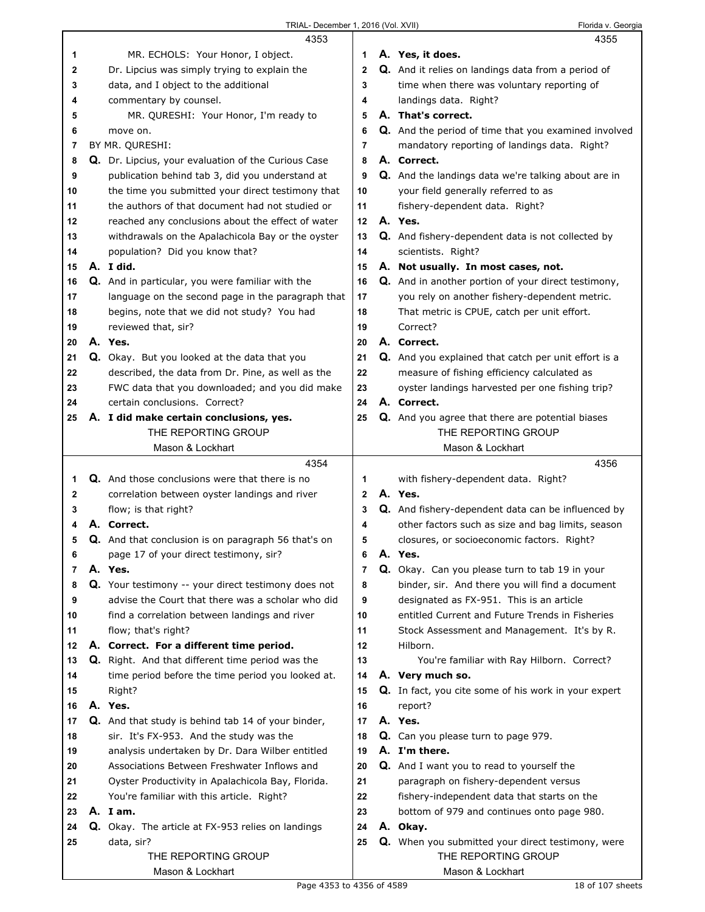|    | 4353                                                       |                |    | 4355                                                      |
|----|------------------------------------------------------------|----------------|----|-----------------------------------------------------------|
| 1  | MR. ECHOLS: Your Honor, I object.                          | 1              |    | A. Yes, it does.                                          |
| 2  | Dr. Lipcius was simply trying to explain the               | $\mathbf{2}$   |    | <b>Q.</b> And it relies on landings data from a period of |
| 3  | data, and I object to the additional                       | 3              |    | time when there was voluntary reporting of                |
| 4  | commentary by counsel.                                     | 4              |    | landings data. Right?                                     |
| 5  | MR. QURESHI: Your Honor, I'm ready to                      | 5              |    | A. That's correct.                                        |
| 6  | move on.                                                   | 6              |    | Q. And the period of time that you examined involved      |
| 7  | BY MR. QURESHI:                                            | 7              |    | mandatory reporting of landings data. Right?              |
| 8  | Q. Dr. Lipcius, your evaluation of the Curious Case        | 8              |    | A. Correct.                                               |
| 9  | publication behind tab 3, did you understand at            | 9              |    | Q. And the landings data we're talking about are in       |
| 10 | the time you submitted your direct testimony that          | 10             |    | your field generally referred to as                       |
| 11 | the authors of that document had not studied or            | 11             |    | fishery-dependent data. Right?                            |
| 12 | reached any conclusions about the effect of water          | 12             |    | A. Yes.                                                   |
| 13 | withdrawals on the Apalachicola Bay or the oyster          | 13             |    | Q. And fishery-dependent data is not collected by         |
| 14 | population? Did you know that?                             | 14             |    | scientists. Right?                                        |
| 15 | A. I did.                                                  | 15             |    | A. Not usually. In most cases, not.                       |
| 16 | Q. And in particular, you were familiar with the           | 16             |    | Q. And in another portion of your direct testimony,       |
| 17 | language on the second page in the paragraph that          | 17             |    | you rely on another fishery-dependent metric.             |
| 18 | begins, note that we did not study? You had                | 18             |    | That metric is CPUE, catch per unit effort.               |
| 19 | reviewed that, sir?                                        | 19             |    | Correct?                                                  |
| 20 | A. Yes.                                                    | 20             |    | A. Correct.                                               |
| 21 | Q. Okay. But you looked at the data that you               | 21             |    | Q. And you explained that catch per unit effort is a      |
| 22 | described, the data from Dr. Pine, as well as the          | 22             |    | measure of fishing efficiency calculated as               |
| 23 | FWC data that you downloaded; and you did make             | 23             |    | oyster landings harvested per one fishing trip?           |
| 24 | certain conclusions. Correct?                              | 24             |    | A. Correct.                                               |
| 25 | A. I did make certain conclusions, yes.                    | 25             |    | Q. And you agree that there are potential biases          |
|    | THE REPORTING GROUP                                        |                |    | THE REPORTING GROUP                                       |
|    | Mason & Lockhart                                           |                |    | Mason & Lockhart                                          |
|    |                                                            |                |    |                                                           |
|    | 4354                                                       |                |    | 4356                                                      |
| 1  | Q. And those conclusions were that there is no             | 1              |    | with fishery-dependent data. Right?                       |
| 2  | correlation between oyster landings and river              | $\mathbf{2}$   |    | A. Yes.                                                   |
| 3  | flow; is that right?                                       | 3              |    | <b>Q.</b> And fishery-dependent data can be influenced by |
| 4  | A. Correct.                                                | 4              |    | other factors such as size and bag limits, season         |
| 5  | <b>Q.</b> And that conclusion is on paragraph 56 that's on | 5              |    | closures, or socioeconomic factors. Right?                |
| 6  | page 17 of your direct testimony, sir?                     | 6              | Α. | Yes.                                                      |
| 7  | A. Yes.                                                    | $\overline{7}$ |    | Q. Okay. Can you please turn to tab 19 in your            |
| 8  | Q. Your testimony -- your direct testimony does not        | 8              |    | binder, sir. And there you will find a document           |
| 9  | advise the Court that there was a scholar who did          | 9              |    | designated as FX-951. This is an article                  |
| 10 | find a correlation between landings and river              | 10             |    | entitled Current and Future Trends in Fisheries           |
| 11 | flow; that's right?                                        | 11             |    | Stock Assessment and Management. It's by R.               |
| 12 | A. Correct. For a different time period.                   | 12             |    | Hilborn.                                                  |
| 13 | <b>Q.</b> Right. And that different time period was the    | 13             |    | You're familiar with Ray Hilborn. Correct?                |
| 14 | time period before the time period you looked at.          | 14             |    | A. Very much so.                                          |
| 15 | Right?                                                     | 15             |    | Q. In fact, you cite some of his work in your expert      |
| 16 | A. Yes.                                                    | 16             |    | report?                                                   |
| 17 | Q. And that study is behind tab 14 of your binder,         | 17             |    | A. Yes.                                                   |
| 18 | sir. It's FX-953. And the study was the                    | 18             |    | Q. Can you please turn to page 979.                       |
| 19 | analysis undertaken by Dr. Dara Wilber entitled            | 19             |    | A. I'm there.                                             |
| 20 | Associations Between Freshwater Inflows and                | 20             |    | <b>Q.</b> And I want you to read to yourself the          |
| 21 | Oyster Productivity in Apalachicola Bay, Florida.          | 21             |    | paragraph on fishery-dependent versus                     |
| 22 | You're familiar with this article. Right?                  | 22             |    | fishery-independent data that starts on the               |
| 23 | A. Iam.                                                    | 23             |    | bottom of 979 and continues onto page 980.                |
| 24 | <b>Q.</b> Okay. The article at FX-953 relies on landings   | 24             |    | A. Okay.                                                  |
| 25 | data, sir?                                                 | 25             |    | Q. When you submitted your direct testimony, were         |
|    | THE REPORTING GROUP<br>Mason & Lockhart                    |                |    | THE REPORTING GROUP<br>Mason & Lockhart                   |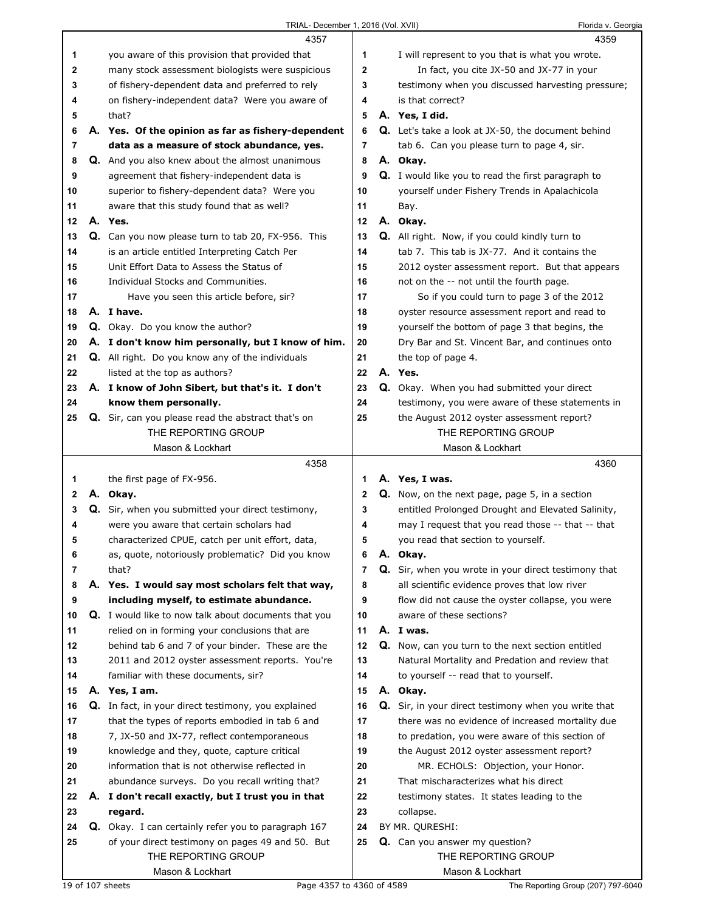| TRIAL- December 1, 2016 (Vol. XVII) |  |  |
|-------------------------------------|--|--|

|    | 4357                                                        |              | 4359                                                      |
|----|-------------------------------------------------------------|--------------|-----------------------------------------------------------|
| 1  | you aware of this provision that provided that              | 1            | I will represent to you that is what you wrote.           |
| 2  | many stock assessment biologists were suspicious            | $\mathbf{2}$ | In fact, you cite JX-50 and JX-77 in your                 |
| 3  | of fishery-dependent data and preferred to rely             | 3            | testimony when you discussed harvesting pressure;         |
| 4  | on fishery-independent data? Were you aware of              | 4            | is that correct?                                          |
| 5  | that?                                                       | 5            | A. Yes, I did.                                            |
| 6  | A. Yes. Of the opinion as far as fishery-dependent          | 6            | Q. Let's take a look at JX-50, the document behind        |
| 7  | data as a measure of stock abundance, yes.                  | 7            | tab 6. Can you please turn to page 4, sir.                |
| 8  | Q. And you also knew about the almost unanimous             | 8            | A. Okay.                                                  |
| 9  | agreement that fishery-independent data is                  | 9            | <b>Q.</b> I would like you to read the first paragraph to |
| 10 | superior to fishery-dependent data? Were you                | 10           | yourself under Fishery Trends in Apalachicola             |
| 11 | aware that this study found that as well?                   | 11           | Bay.                                                      |
| 12 | A. Yes.                                                     | 12           | A. Okay.                                                  |
|    | Q. Can you now please turn to tab 20, FX-956. This          |              | Q. All right. Now, if you could kindly turn to            |
| 13 |                                                             | 13           |                                                           |
| 14 | is an article entitled Interpreting Catch Per               | 14           | tab 7. This tab is JX-77. And it contains the             |
| 15 | Unit Effort Data to Assess the Status of                    | 15           | 2012 oyster assessment report. But that appears           |
| 16 | Individual Stocks and Communities.                          | 16           | not on the -- not until the fourth page.                  |
| 17 | Have you seen this article before, sir?                     | 17           | So if you could turn to page 3 of the 2012                |
| 18 | A. I have.                                                  | 18           | oyster resource assessment report and read to             |
| 19 | Q. Okay. Do you know the author?                            | 19           | yourself the bottom of page 3 that begins, the            |
| 20 | A. I don't know him personally, but I know of him.          | 20           | Dry Bar and St. Vincent Bar, and continues onto           |
| 21 | Q. All right. Do you know any of the individuals            | 21           | the top of page 4.                                        |
| 22 | listed at the top as authors?                               | 22           | A. Yes.                                                   |
| 23 | A. I know of John Sibert, but that's it. I don't            | 23           | Q. Okay. When you had submitted your direct               |
| 24 | know them personally.                                       | 24           | testimony, you were aware of these statements in          |
| 25 | Q. Sir, can you please read the abstract that's on          | 25           | the August 2012 oyster assessment report?                 |
|    | THE REPORTING GROUP                                         |              | THE REPORTING GROUP                                       |
|    | Mason & Lockhart                                            |              | Mason & Lockhart                                          |
|    |                                                             |              |                                                           |
|    | 4358                                                        |              | 4360                                                      |
| 1  | the first page of FX-956.                                   | 1            | A. Yes, I was.                                            |
| 2  | A. Okay.                                                    | $\mathbf 2$  | Q. Now, on the next page, page 5, in a section            |
| 3  | Q. Sir, when you submitted your direct testimony,           | 3            | entitled Prolonged Drought and Elevated Salinity,         |
| 4  | were you aware that certain scholars had                    | 4            | may I request that you read those -- that -- that         |
| 5  | characterized CPUE, catch per unit effort, data,            | 5            | you read that section to yourself.                        |
| 6  | as, quote, notoriously problematic? Did you know            | 6            | A. Okay.                                                  |
| 7  | that?                                                       | 7            | Q. Sir, when you wrote in your direct testimony that      |
| 8  | A. Yes. I would say most scholars felt that way,            | 8            | all scientific evidence proves that low river             |
| 9  | including myself, to estimate abundance.                    | 9            | flow did not cause the oyster collapse, you were          |
| 10 | <b>Q.</b> I would like to now talk about documents that you | 10           | aware of these sections?                                  |
| 11 | relied on in forming your conclusions that are              | 11           | A. I was.                                                 |
| 12 | behind tab 6 and 7 of your binder. These are the            | 12           | Q. Now, can you turn to the next section entitled         |
| 13 | 2011 and 2012 oyster assessment reports. You're             | 13           | Natural Mortality and Predation and review that           |
| 14 | familiar with these documents, sir?                         | 14           | to yourself -- read that to yourself.                     |
| 15 | A. Yes, I am.                                               | 15           | A. Okay.                                                  |
| 16 | Q. In fact, in your direct testimony, you explained         | 16           | Q. Sir, in your direct testimony when you write that      |
| 17 | that the types of reports embodied in tab 6 and             | 17           | there was no evidence of increased mortality due          |
| 18 | 7, JX-50 and JX-77, reflect contemporaneous                 | 18           | to predation, you were aware of this section of           |
| 19 | knowledge and they, quote, capture critical                 | 19           | the August 2012 oyster assessment report?                 |
| 20 | information that is not otherwise reflected in              | 20           | MR. ECHOLS: Objection, your Honor.                        |
| 21 | abundance surveys. Do you recall writing that?              | 21           | That mischaracterizes what his direct                     |
| 22 | A. I don't recall exactly, but I trust you in that          | 22           | testimony states. It states leading to the                |
| 23 | regard.                                                     | 23           | collapse.                                                 |
| 24 | Q. Okay. I can certainly refer you to paragraph 167         | 24           | BY MR. QURESHI:                                           |
| 25 | of your direct testimony on pages 49 and 50. But            | 25           | Q. Can you answer my question?                            |
|    | THE REPORTING GROUP                                         |              | THE REPORTING GROUP                                       |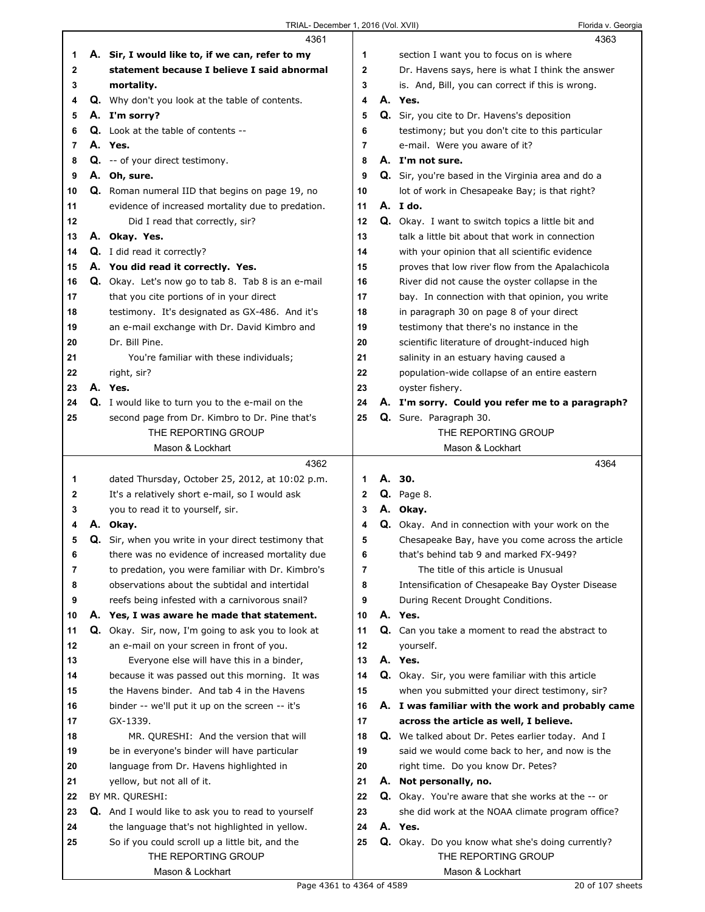|    | 4361                                                      |                | 4363                                                     |
|----|-----------------------------------------------------------|----------------|----------------------------------------------------------|
| 1  | A. Sir, I would like to, if we can, refer to my           | 1              | section I want you to focus on is where                  |
| 2  | statement because I believe I said abnormal               | $\mathbf 2$    | Dr. Havens says, here is what I think the answer         |
| 3  | mortality.                                                | 3              | is. And, Bill, you can correct if this is wrong.         |
| 4  | Q. Why don't you look at the table of contents.           | 4              | A. Yes.                                                  |
| 5  | A. I'm sorry?                                             | 5              | Q. Sir, you cite to Dr. Havens's deposition              |
| 6  | Q. Look at the table of contents --                       | 6              | testimony; but you don't cite to this particular         |
| 7  | A. Yes.                                                   | $\overline{7}$ | e-mail. Were you aware of it?                            |
| 8  | <b>Q.</b> -- of your direct testimony.                    | 8              | A. I'm not sure.                                         |
| 9  | A. Oh, sure.                                              | 9              | Q. Sir, you're based in the Virginia area and do a       |
| 10 | <b>Q.</b> Roman numeral IID that begins on page 19, no    | 10             | lot of work in Chesapeake Bay; is that right?            |
| 11 | evidence of increased mortality due to predation.         | 11             | A. Ido.                                                  |
| 12 | Did I read that correctly, sir?                           | 12             | <b>Q.</b> Okay. I want to switch topics a little bit and |
| 13 | A. Okay. Yes.                                             | 13             | talk a little bit about that work in connection          |
| 14 | Q. I did read it correctly?                               | 14             | with your opinion that all scientific evidence           |
| 15 | A. You did read it correctly. Yes.                        | 15             | proves that low river flow from the Apalachicola         |
| 16 | Q. Okay. Let's now go to tab 8. Tab 8 is an e-mail        | 16             | River did not cause the oyster collapse in the           |
| 17 | that you cite portions of in your direct                  | 17             | bay. In connection with that opinion, you write          |
| 18 | testimony. It's designated as GX-486. And it's            | 18             | in paragraph 30 on page 8 of your direct                 |
| 19 | an e-mail exchange with Dr. David Kimbro and              | 19             | testimony that there's no instance in the                |
| 20 | Dr. Bill Pine.                                            | 20             | scientific literature of drought-induced high            |
| 21 | You're familiar with these individuals;                   | 21             | salinity in an estuary having caused a                   |
| 22 | right, sir?                                               | 22             | population-wide collapse of an entire eastern            |
| 23 | A. Yes.                                                   | 23             | oyster fishery.                                          |
| 24 | <b>Q.</b> I would like to turn you to the e-mail on the   | 24             | A. I'm sorry. Could you refer me to a paragraph?         |
| 25 | second page from Dr. Kimbro to Dr. Pine that's            | 25             | Q. Sure. Paragraph 30.                                   |
|    | THE REPORTING GROUP                                       |                | THE REPORTING GROUP                                      |
|    | Mason & Lockhart                                          |                | Mason & Lockhart                                         |
|    |                                                           |                |                                                          |
|    |                                                           |                |                                                          |
|    | 4362                                                      |                | 4364                                                     |
| 1  | dated Thursday, October 25, 2012, at 10:02 p.m.           | 1              | A. 30.                                                   |
| 2  | It's a relatively short e-mail, so I would ask            | 2              | <b>Q.</b> Page 8.                                        |
| 3  | you to read it to yourself, sir.                          | 3              | A. Okay.                                                 |
| 4  | A. Okay.                                                  | 4              | Q. Okay. And in connection with your work on the         |
| 5  | Q. Sir, when you write in your direct testimony that      | 5              | Chesapeake Bay, have you come across the article         |
| 6  | there was no evidence of increased mortality due          | 6              | that's behind tab 9 and marked FX-949?                   |
| 7  | to predation, you were familiar with Dr. Kimbro's         | 7              | The title of this article is Unusual                     |
| 8  | observations about the subtidal and intertidal            | 8              | Intensification of Chesapeake Bay Oyster Disease         |
| 9  | reefs being infested with a carnivorous snail?            | 9              | During Recent Drought Conditions.                        |
| 10 | A. Yes, I was aware he made that statement.               | 10             | A. Yes.                                                  |
| 11 | Q. Okay. Sir, now, I'm going to ask you to look at        | 11             | Q. Can you take a moment to read the abstract to         |
| 12 | an e-mail on your screen in front of you.                 | 12             | yourself.                                                |
| 13 | Everyone else will have this in a binder,                 | 13             | A. Yes.                                                  |
| 14 | because it was passed out this morning. It was            | 14             | Q. Okay. Sir, you were familiar with this article        |
| 15 | the Havens binder. And tab 4 in the Havens                | 15             | when you submitted your direct testimony, sir?           |
| 16 | binder -- we'll put it up on the screen -- it's           | 16             | A. I was familiar with the work and probably came        |
| 17 | GX-1339.                                                  | 17             | across the article as well, I believe.                   |
| 18 | MR. QURESHI: And the version that will                    | 18             | Q. We talked about Dr. Petes earlier today. And I        |
| 19 | be in everyone's binder will have particular              | 19             | said we would come back to her, and now is the           |
| 20 | language from Dr. Havens highlighted in                   | 20             | right time. Do you know Dr. Petes?                       |
| 21 | yellow, but not all of it.                                | 21             | A. Not personally, no.                                   |
| 22 | BY MR. QURESHI:                                           | 22             | <b>Q.</b> Okay. You're aware that she works at the -- or |
| 23 | <b>Q.</b> And I would like to ask you to read to yourself | 23             | she did work at the NOAA climate program office?         |
| 24 | the language that's not highlighted in yellow.            | 24             | A. Yes.                                                  |
| 25 | So if you could scroll up a little bit, and the           | 25             | Q. Okay. Do you know what she's doing currently?         |
|    | THE REPORTING GROUP<br>Mason & Lockhart                   |                | THE REPORTING GROUP<br>Mason & Lockhart                  |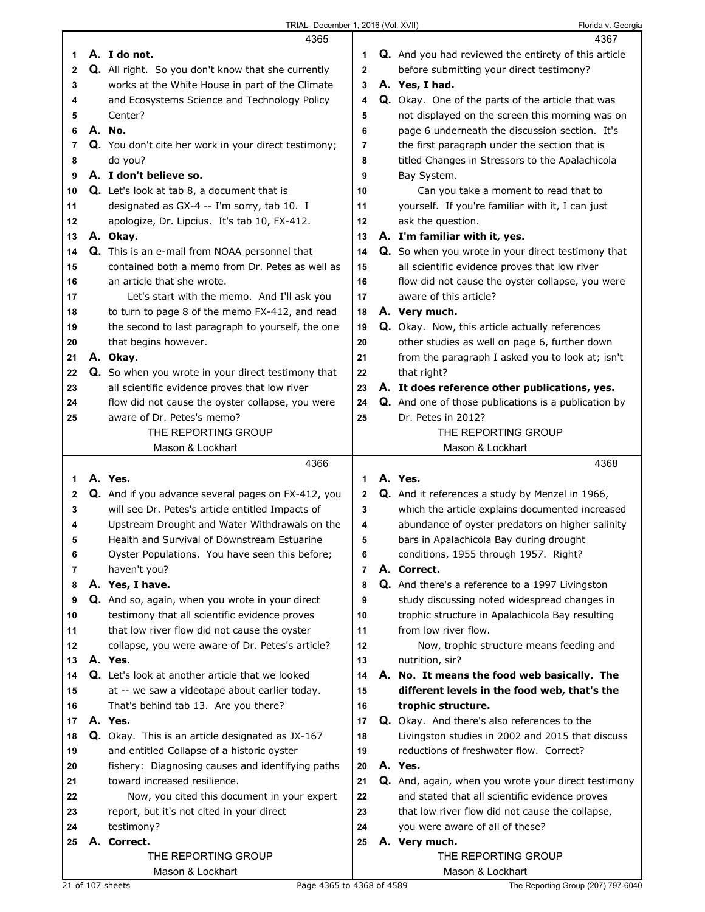|              | 4365                                                      |              | 4367                                                        |
|--------------|-----------------------------------------------------------|--------------|-------------------------------------------------------------|
| 1            | A. I do not.                                              | 1            | <b>Q.</b> And you had reviewed the entirety of this article |
| $\mathbf{2}$ | <b>Q.</b> All right. So you don't know that she currently | $\mathbf{2}$ | before submitting your direct testimony?                    |
| 3            | works at the White House in part of the Climate           | 3            | A. Yes, I had.                                              |
| 4            | and Ecosystems Science and Technology Policy              | 4            | Q. Okay. One of the parts of the article that was           |
| 5            | Center?                                                   | 5            | not displayed on the screen this morning was on             |
|              | A. No.                                                    |              |                                                             |
| 6            |                                                           | 6            | page 6 underneath the discussion section. It's              |
| 7            | Q. You don't cite her work in your direct testimony;      | 7            | the first paragraph under the section that is               |
| 8            | do you?                                                   | 8            | titled Changes in Stressors to the Apalachicola             |
| 9            | A. I don't believe so.                                    | 9            | Bay System.                                                 |
| 10           | Q. Let's look at tab 8, a document that is                | 10           | Can you take a moment to read that to                       |
| 11           | designated as GX-4 -- I'm sorry, tab 10. I                | 11           | yourself. If you're familiar with it, I can just            |
| 12           | apologize, Dr. Lipcius. It's tab 10, FX-412.              | 12           | ask the question.                                           |
| 13           | A. Okay.                                                  | 13           | A. I'm familiar with it, yes.                               |
| 14           | Q. This is an e-mail from NOAA personnel that             | 14           | Q. So when you wrote in your direct testimony that          |
| 15           | contained both a memo from Dr. Petes as well as           | 15           | all scientific evidence proves that low river               |
| 16           | an article that she wrote.                                | 16           | flow did not cause the oyster collapse, you were            |
| 17           | Let's start with the memo. And I'll ask you               | 17           | aware of this article?                                      |
| 18           | to turn to page 8 of the memo FX-412, and read            | 18           | A. Very much.                                               |
| 19           | the second to last paragraph to yourself, the one         | 19           | <b>Q.</b> Okay. Now, this article actually references       |
| 20           | that begins however.                                      | 20           | other studies as well on page 6, further down               |
| 21           | A. Okay.                                                  | 21           | from the paragraph I asked you to look at; isn't            |
| 22           | Q. So when you wrote in your direct testimony that        | 22           | that right?                                                 |
| 23           | all scientific evidence proves that low river             | 23           | A. It does reference other publications, yes.               |
| 24           | flow did not cause the oyster collapse, you were          | 24           | Q. And one of those publications is a publication by        |
| 25           | aware of Dr. Petes's memo?                                | 25           | Dr. Petes in 2012?                                          |
|              | THE REPORTING GROUP                                       |              | THE REPORTING GROUP                                         |
|              | Mason & Lockhart                                          |              | Mason & Lockhart                                            |
|              |                                                           |              |                                                             |
|              |                                                           |              |                                                             |
|              | 4366                                                      |              | 4368                                                        |
| 1            | A. Yes.                                                   | 1            | A. Yes.                                                     |
| 2            | Q. And if you advance several pages on FX-412, you        | 2            | Q. And it references a study by Menzel in 1966,             |
| 3            | will see Dr. Petes's article entitled Impacts of          | 3            | which the article explains documented increased             |
| 4            | Upstream Drought and Water Withdrawals on the             | 4            | abundance of oyster predators on higher salinity            |
| 5            | Health and Survival of Downstream Estuarine               | 5            | bars in Apalachicola Bay during drought                     |
| 6            | Oyster Populations. You have seen this before;            | 6            | conditions, 1955 through 1957. Right?                       |
| 7            | haven't you?                                              | 7            | A. Correct.                                                 |
| 8            | A. Yes, I have.                                           | 8            | Q. And there's a reference to a 1997 Livingston             |
| 9            | Q. And so, again, when you wrote in your direct           | 9            | study discussing noted widespread changes in                |
| 10           | testimony that all scientific evidence proves             | 10           | trophic structure in Apalachicola Bay resulting             |
| 11           | that low river flow did not cause the oyster              | 11           | from low river flow.                                        |
| 12           | collapse, you were aware of Dr. Petes's article?          | 12           | Now, trophic structure means feeding and                    |
| 13           | A. Yes.                                                   | 13           | nutrition, sir?                                             |
| 14           | Q. Let's look at another article that we looked           | 14           | A. No. It means the food web basically. The                 |
| 15           | at -- we saw a videotape about earlier today.             | 15           | different levels in the food web, that's the                |
| 16           | That's behind tab 13. Are you there?                      | 16           | trophic structure.                                          |
| 17           | A. Yes.                                                   | 17           | Q. Okay. And there's also references to the                 |
| 18           | Q. Okay. This is an article designated as JX-167          | 18           | Livingston studies in 2002 and 2015 that discuss            |
| 19           | and entitled Collapse of a historic oyster                | 19           | reductions of freshwater flow. Correct?                     |
| 20           | fishery: Diagnosing causes and identifying paths          | 20           | A. Yes.                                                     |
| 21           | toward increased resilience.                              | 21           | Q. And, again, when you wrote your direct testimony         |
| 22           | Now, you cited this document in your expert               | 22           | and stated that all scientific evidence proves              |
| 23           | report, but it's not cited in your direct                 | 23           | that low river flow did not cause the collapse,             |
| 24           | testimony?                                                | 24           | you were aware of all of these?                             |
| 25           | A. Correct.                                               | 25           | A. Very much.                                               |
|              | THE REPORTING GROUP                                       |              | THE REPORTING GROUP                                         |

Г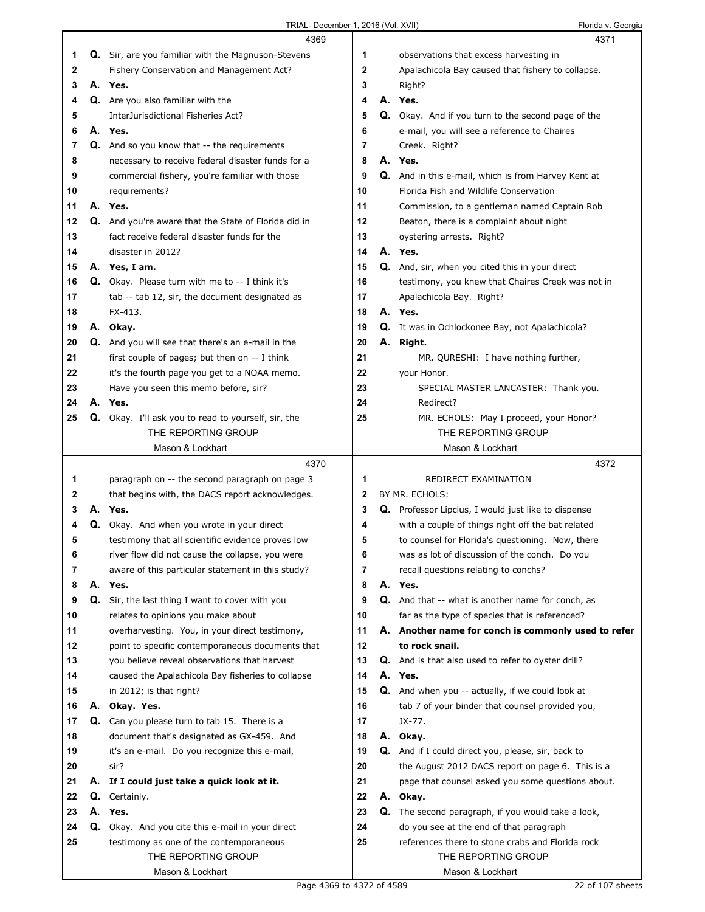|    |    | TRIAL- December 1, 2016 (Vol. XVII)                    |              | Florida v. Georgia                                         |
|----|----|--------------------------------------------------------|--------------|------------------------------------------------------------|
|    |    | 4369                                                   |              | 4371                                                       |
| 1. |    | Q. Sir, are you familiar with the Magnuson-Stevens     | 1            | observations that excess harvesting in                     |
| 2  |    | Fishery Conservation and Management Act?               | $\mathbf{2}$ | Apalachicola Bay caused that fishery to collapse.          |
| 3  |    | A. Yes.                                                | 3            | Right?                                                     |
| 4  |    | Q. Are you also familiar with the                      | 4            | A. Yes.                                                    |
| 5  |    | InterJurisdictional Fisheries Act?                     | 5            | Q. Okay. And if you turn to the second page of the         |
| 6  |    | A. Yes.                                                | 6            | e-mail, you will see a reference to Chaires                |
| 7  |    | <b>Q.</b> And so you know that -- the requirements     | 7            | Creek. Right?                                              |
| 8  |    |                                                        | 8            | A. Yes.                                                    |
|    |    | necessary to receive federal disaster funds for a      |              |                                                            |
| 9  |    | commercial fishery, you're familiar with those         | 9            | Q. And in this e-mail, which is from Harvey Kent at        |
| 10 |    | requirements?                                          | 10           | Florida Fish and Wildlife Conservation                     |
| 11 |    | A. Yes.                                                | 11           | Commission, to a gentleman named Captain Rob               |
| 12 |    | Q. And you're aware that the State of Florida did in   | 12           | Beaton, there is a complaint about night                   |
| 13 |    | fact receive federal disaster funds for the            | 13           | oystering arrests. Right?                                  |
| 14 |    | disaster in 2012?                                      | 14           | A. Yes.                                                    |
| 15 |    | A. Yes, I am.                                          | 15           | Q. And, sir, when you cited this in your direct            |
| 16 |    | <b>Q.</b> Okay. Please turn with me to -- I think it's | 16           | testimony, you knew that Chaires Creek was not in          |
| 17 |    | tab -- tab 12, sir, the document designated as         | 17           | Apalachicola Bay. Right?                                   |
| 18 |    | FX-413.                                                | 18           | A. Yes.                                                    |
| 19 |    | A. Okay.                                               | 19           | Q. It was in Ochlockonee Bay, not Apalachicola?            |
| 20 |    | Q. And you will see that there's an e-mail in the      | 20           | A. Right.                                                  |
| 21 |    | first couple of pages; but then on -- I think          | 21           | MR. QURESHI: I have nothing further,                       |
| 22 |    | it's the fourth page you get to a NOAA memo.           | 22           | your Honor.                                                |
| 23 |    | Have you seen this memo before, sir?                   | 23           | SPECIAL MASTER LANCASTER: Thank you.                       |
| 24 |    | A. Yes.                                                | 24           | Redirect?                                                  |
| 25 |    | Q. Okay. I'll ask you to read to yourself, sir, the    | 25           | MR. ECHOLS: May I proceed, your Honor?                     |
|    |    | THE REPORTING GROUP                                    |              | THE REPORTING GROUP                                        |
|    |    | Mason & Lockhart                                       |              | Mason & Lockhart                                           |
|    |    | 4370                                                   |              | 4372                                                       |
| 1. |    | paragraph on -- the second paragraph on page 3         | 1            | REDIRECT EXAMINATION                                       |
| 2  |    | that begins with, the DACS report acknowledges.        | $\mathbf{2}$ | BY MR. ECHOLS:                                             |
| 3  |    | A. Yes.                                                | 3            | <b>Q.</b> Professor Lipcius, I would just like to dispense |
| 4  |    | Q. Okay. And when you wrote in your direct             | 4            | with a couple of things right off the bat related          |
| 5  |    | testimony that all scientific evidence proves low      | 5            | to counsel for Florida's questioning. Now, there           |
| 6  |    | river flow did not cause the collapse, you were        | 6            | was as lot of discussion of the conch. Do you              |
| 7  |    | aware of this particular statement in this study?      | 7            | recall questions relating to conchs?                       |
| 8  |    | A. Yes.                                                | 8            | A. Yes.                                                    |
| 9  |    | Q. Sir, the last thing I want to cover with you        | 9            | Q. And that -- what is another name for conch, as          |
| 10 |    | relates to opinions you make about                     | 10           | far as the type of species that is referenced?             |
| 11 |    | overharvesting. You, in your direct testimony,         | 11           | A. Another name for conch is commonly used to refer        |
| 12 |    | point to specific contemporaneous documents that       | 12           | to rock snail.                                             |
| 13 |    | you believe reveal observations that harvest           | 13           | Q. And is that also used to refer to oyster drill?         |
|    |    |                                                        | 14           | A. Yes.                                                    |
| 14 |    | caused the Apalachicola Bay fisheries to collapse      |              |                                                            |
| 15 |    | in 2012; is that right?                                | 15           | <b>Q.</b> And when you -- actually, if we could look at    |
| 16 | А. | Okay. Yes.                                             | 16           | tab 7 of your binder that counsel provided you,            |
| 17 |    | Q. Can you please turn to tab 15. There is a           | 17           | JX-77.                                                     |
| 18 |    | document that's designated as GX-459. And              | 18           | A. Okay.                                                   |
| 19 |    | it's an e-mail. Do you recognize this e-mail,          | 19           | Q. And if I could direct you, please, sir, back to         |
| 20 |    | sir?                                                   | 20           | the August 2012 DACS report on page 6. This is a           |
| 21 |    | A. If I could just take a quick look at it.            | 21           | page that counsel asked you some questions about.          |
| 22 | Q. | Certainly.                                             | 22           | A. Okay.                                                   |
| 23 |    | A. Yes.                                                | 23           | <b>Q.</b> The second paragraph, if you would take a look,  |
| 24 |    | Q. Okay. And you cite this e-mail in your direct       | 24           | do you see at the end of that paragraph                    |
| 25 |    | testimony as one of the contemporaneous                | 25           | references there to stone crabs and Florida rock           |
|    |    | THE REPORTING GROUP                                    |              | THE REPORTING GROUP                                        |
|    |    | Mason & Lockhart                                       |              | Mason & Lockhart                                           |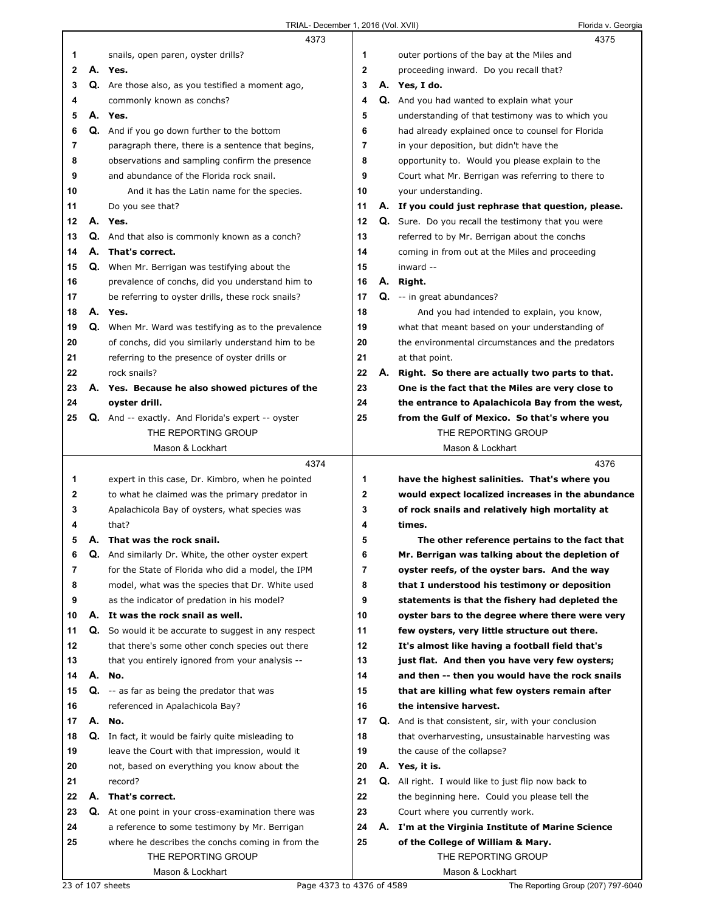|              |    | 4373                                                      |              | 4375                                                        |
|--------------|----|-----------------------------------------------------------|--------------|-------------------------------------------------------------|
| 1            |    | snails, open paren, oyster drills?                        | 1            | outer portions of the bay at the Miles and                  |
| $\mathbf{2}$ |    | A. Yes.                                                   | $\mathbf{2}$ | proceeding inward. Do you recall that?                      |
| 3            |    | Q. Are those also, as you testified a moment ago,         | 3            | A. Yes, I do.                                               |
| 4            |    | commonly known as conchs?                                 | 4            | Q. And you had wanted to explain what your                  |
| 5            |    | A. Yes.                                                   | 5            | understanding of that testimony was to which you            |
| 6            |    | Q. And if you go down further to the bottom               | 6            | had already explained once to counsel for Florida           |
| 7            |    | paragraph there, there is a sentence that begins,         | 7            | in your deposition, but didn't have the                     |
| 8            |    | observations and sampling confirm the presence            | 8            | opportunity to. Would you please explain to the             |
| 9            |    | and abundance of the Florida rock snail.                  | 9            | Court what Mr. Berrigan was referring to there to           |
| 10           |    | And it has the Latin name for the species.                | 10           | your understanding.                                         |
| 11           |    | Do you see that?                                          | 11           | A. If you could just rephrase that question, please.        |
| 12           |    | A. Yes.                                                   | 12           | Q. Sure. Do you recall the testimony that you were          |
| 13           |    | Q. And that also is commonly known as a conch?            | 13           | referred to by Mr. Berrigan about the conchs                |
| 14           |    | A. That's correct.                                        | 14           | coming in from out at the Miles and proceeding              |
| 15           |    | Q. When Mr. Berrigan was testifying about the             | 15           | inward --                                                   |
| 16           |    | prevalence of conchs, did you understand him to           | 16           | A. Right.                                                   |
| 17           |    | be referring to oyster drills, these rock snails?         | 17           | Q. -- in great abundances?                                  |
| 18           |    | A. Yes.                                                   | 18           | And you had intended to explain, you know,                  |
| 19           |    | Q. When Mr. Ward was testifying as to the prevalence      | 19           | what that meant based on your understanding of              |
| 20           |    | of conchs, did you similarly understand him to be         | 20           | the environmental circumstances and the predators           |
| 21           |    | referring to the presence of oyster drills or             | 21           | at that point.                                              |
| 22           |    | rock snails?                                              | 22           | A. Right. So there are actually two parts to that.          |
| 23           |    | A. Yes. Because he also showed pictures of the            | 23           | One is the fact that the Miles are very close to            |
| 24           |    | oyster drill.                                             | 24           | the entrance to Apalachicola Bay from the west,             |
| 25           |    | <b>Q.</b> And -- exactly. And Florida's expert -- oyster  | 25           | from the Gulf of Mexico. So that's where you                |
|              |    | THE REPORTING GROUP                                       |              | THE REPORTING GROUP                                         |
|              |    | Mason & Lockhart                                          |              | Mason & Lockhart                                            |
|              |    |                                                           |              |                                                             |
|              |    | 4374                                                      |              | 4376                                                        |
| 1            |    | expert in this case, Dr. Kimbro, when he pointed          | 1            | have the highest salinities. That's where you               |
| 2            |    | to what he claimed was the primary predator in            | 2            | would expect localized increases in the abundance           |
| 3            |    | Apalachicola Bay of oysters, what species was             | 3            | of rock snails and relatively high mortality at             |
| 4            |    | that?                                                     | 4            | times.                                                      |
| 5            |    | A. That was the rock snail.                               | 5            | The other reference pertains to the fact that               |
| 6            | Q. | And similarly Dr. White, the other oyster expert          | 6            | Mr. Berrigan was talking about the depletion of             |
| 7            |    | for the State of Florida who did a model, the IPM         | 7            | oyster reefs, of the oyster bars. And the way               |
| 8            |    | model, what was the species that Dr. White used           | 8            | that I understood his testimony or deposition               |
| 9            |    | as the indicator of predation in his model?               | 9            | statements is that the fishery had depleted the             |
| 10           |    | A. It was the rock snail as well.                         | 10           | oyster bars to the degree where there were very             |
| 11           |    | Q. So would it be accurate to suggest in any respect      | 11           | few oysters, very little structure out there.               |
| 12           |    | that there's some other conch species out there           | 12           | It's almost like having a football field that's             |
| 13           |    | that you entirely ignored from your analysis --           | 13           | just flat. And then you have very few oysters;              |
| 14           |    | A. No.                                                    | 14           | and then -- then you would have the rock snails             |
| 15           |    | Q. -- as far as being the predator that was               | 15           | that are killing what few oysters remain after              |
| 16           |    | referenced in Apalachicola Bay?                           | 16           | the intensive harvest.                                      |
| 17           |    | A. No.                                                    | 17           | <b>Q.</b> And is that consistent, sir, with your conclusion |
| 18           |    | <b>Q.</b> In fact, it would be fairly quite misleading to | 18           | that overharvesting, unsustainable harvesting was           |
| 19           |    | leave the Court with that impression, would it            | 19           | the cause of the collapse?                                  |
| 20           |    | not, based on everything you know about the               | 20           | A. Yes, it is.                                              |
| 21           |    | record?                                                   | 21           | <b>Q.</b> All right. I would like to just flip now back to  |
| 22           |    | A. That's correct.                                        | 22           | the beginning here. Could you please tell the               |
| 23           | Q. | At one point in your cross-examination there was          | 23           | Court where you currently work.                             |
| 24           |    | a reference to some testimony by Mr. Berrigan             | 24           | A. I'm at the Virginia Institute of Marine Science          |
| 25           |    | where he describes the conchs coming in from the          | 25           | of the College of William & Mary.                           |
|              |    | THE REPORTING GROUP                                       |              | THE REPORTING GROUP                                         |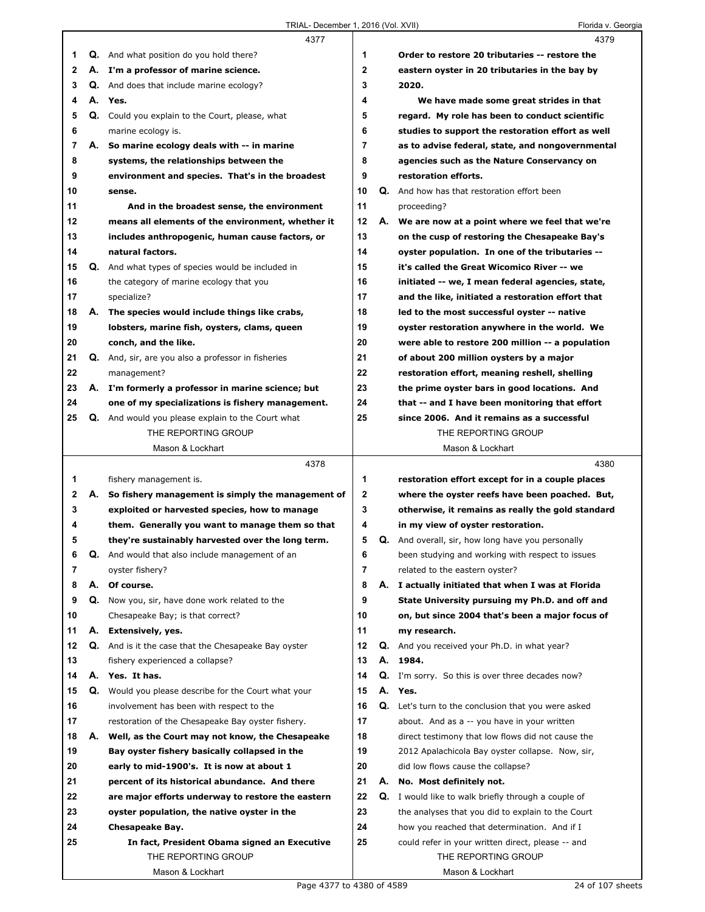|              |    | 4377                                                      |                |    | 4379                                                     |  |
|--------------|----|-----------------------------------------------------------|----------------|----|----------------------------------------------------------|--|
| 1            |    | <b>Q.</b> And what position do you hold there?            | 1              |    | Order to restore 20 tributaries -- restore the           |  |
| $\mathbf{2}$ |    | A. I'm a professor of marine science.                     | $\mathbf{2}$   |    | eastern oyster in 20 tributaries in the bay by           |  |
| 3            |    | <b>Q.</b> And does that include marine ecology?           | 3              |    | 2020.                                                    |  |
| 4            |    | A. Yes.                                                   | 4              |    | We have made some great strides in that                  |  |
| 5            |    | Q. Could you explain to the Court, please, what           | 5              |    | regard. My role has been to conduct scientific           |  |
| 6            |    | marine ecology is.                                        | 6              |    | studies to support the restoration effort as well        |  |
| 7            | А. | So marine ecology deals with -- in marine                 | $\overline{7}$ |    | as to advise federal, state, and nongovernmental         |  |
| 8            |    | systems, the relationships between the                    | 8              |    | agencies such as the Nature Conservancy on               |  |
| 9            |    | environment and species. That's in the broadest           | 9              |    | restoration efforts.                                     |  |
| 10           |    | sense.                                                    | 10             | Q. | And how has that restoration effort been                 |  |
| 11           |    | And in the broadest sense, the environment                | 11             |    | proceeding?                                              |  |
| 12           |    | means all elements of the environment, whether it         | 12             | А. | We are now at a point where we feel that we're           |  |
| 13           |    | includes anthropogenic, human cause factors, or           | 13             |    | on the cusp of restoring the Chesapeake Bay's            |  |
| 14           |    | natural factors.                                          | 14             |    | oyster population. In one of the tributaries --          |  |
| 15           |    | Q. And what types of species would be included in         | 15             |    | it's called the Great Wicomico River -- we               |  |
| 16           |    | the category of marine ecology that you                   | 16             |    | initiated -- we, I mean federal agencies, state,         |  |
| 17           |    | specialize?                                               | 17             |    | and the like, initiated a restoration effort that        |  |
| 18           | А. | The species would include things like crabs,              | 18             |    | led to the most successful oyster -- native              |  |
| 19           |    | lobsters, marine fish, oysters, clams, queen              | 19             |    | oyster restoration anywhere in the world. We             |  |
| 20           |    | conch, and the like.                                      | 20             |    | were able to restore 200 million -- a population         |  |
| 21           |    | <b>Q.</b> And, sir, are you also a professor in fisheries | 21             |    | of about 200 million oysters by a major                  |  |
| 22           |    | management?                                               | 22             |    | restoration effort, meaning reshell, shelling            |  |
| 23           |    | A. I'm formerly a professor in marine science; but        | 23             |    | the prime oyster bars in good locations. And             |  |
| 24           |    | one of my specializations is fishery management.          | 24             |    | that -- and I have been monitoring that effort           |  |
| 25           |    | Q. And would you please explain to the Court what         | 25             |    | since 2006. And it remains as a successful               |  |
|              |    | THE REPORTING GROUP                                       |                |    | THE REPORTING GROUP                                      |  |
|              |    | Mason & Lockhart                                          |                |    | Mason & Lockhart                                         |  |
|              |    |                                                           |                |    |                                                          |  |
|              |    | 4378                                                      |                |    | 4380                                                     |  |
| 1            |    | fishery management is.                                    | 1              |    | restoration effort except for in a couple places         |  |
| 2            | А. | So fishery management is simply the management of         | $\mathbf{2}$   |    | where the oyster reefs have been poached. But,           |  |
| 3            |    | exploited or harvested species, how to manage             | 3              |    | otherwise, it remains as really the gold standard        |  |
| 4            |    | them. Generally you want to manage them so that           | 4              |    | in my view of oyster restoration.                        |  |
| 5            |    | they're sustainably harvested over the long term.         | 5              |    | <b>Q.</b> And overall, sir, how long have you personally |  |
| 6            | Q. | And would that also include management of an              | 6              |    | been studying and working with respect to issues         |  |
| 7            |    | oyster fishery?                                           | 7              |    | related to the eastern oyster?                           |  |
| 8            | А. | Of course.                                                | 8              | А. | I actually initiated that when I was at Florida          |  |
| 9            |    | Q. Now you, sir, have done work related to the            | 9              |    | State University pursuing my Ph.D. and off and           |  |
| 10           |    | Chesapeake Bay; is that correct?                          | 10             |    | on, but since 2004 that's been a major focus of          |  |
| 11           | А. | Extensively, yes.                                         | 11             |    | my research.                                             |  |
| 12           | Q. | And is it the case that the Chesapeake Bay oyster         | 12             | Q. | And you received your Ph.D. in what year?                |  |
| 13           |    | fishery experienced a collapse?                           | 13             | А. | 1984.                                                    |  |
| 14           |    | A. Yes. It has.                                           | 14             |    | Q. I'm sorry. So this is over three decades now?         |  |
| 15           | Q. | Would you please describe for the Court what your         | 15             | А. | Yes.                                                     |  |
| 16           |    | involvement has been with respect to the                  | 16             |    | Q. Let's turn to the conclusion that you were asked      |  |
| 17           |    | restoration of the Chesapeake Bay oyster fishery.         | 17             |    | about. And as a -- you have in your written              |  |
| 18           | А. | Well, as the Court may not know, the Chesapeake           | 18             |    | direct testimony that low flows did not cause the        |  |
| 19           |    | Bay oyster fishery basically collapsed in the             | 19             |    | 2012 Apalachicola Bay oyster collapse. Now, sir,         |  |
| 20           |    | early to mid-1900's. It is now at about 1                 | 20             |    | did low flows cause the collapse?                        |  |
| 21           |    | percent of its historical abundance. And there            | 21             | А. | No. Most definitely not.                                 |  |
| 22           |    | are major efforts underway to restore the eastern         | 22             | Q. | I would like to walk briefly through a couple of         |  |
| 23           |    | oyster population, the native oyster in the               | 23             |    | the analyses that you did to explain to the Court        |  |
| 24           |    | Chesapeake Bay.                                           | 24             |    | how you reached that determination. And if I             |  |
| 25           |    | In fact, President Obama signed an Executive              | 25             |    | could refer in your written direct, please -- and        |  |
|              |    | THE REPORTING GROUP<br>Mason & Lockhart                   |                |    | THE REPORTING GROUP<br>Mason & Lockhart                  |  |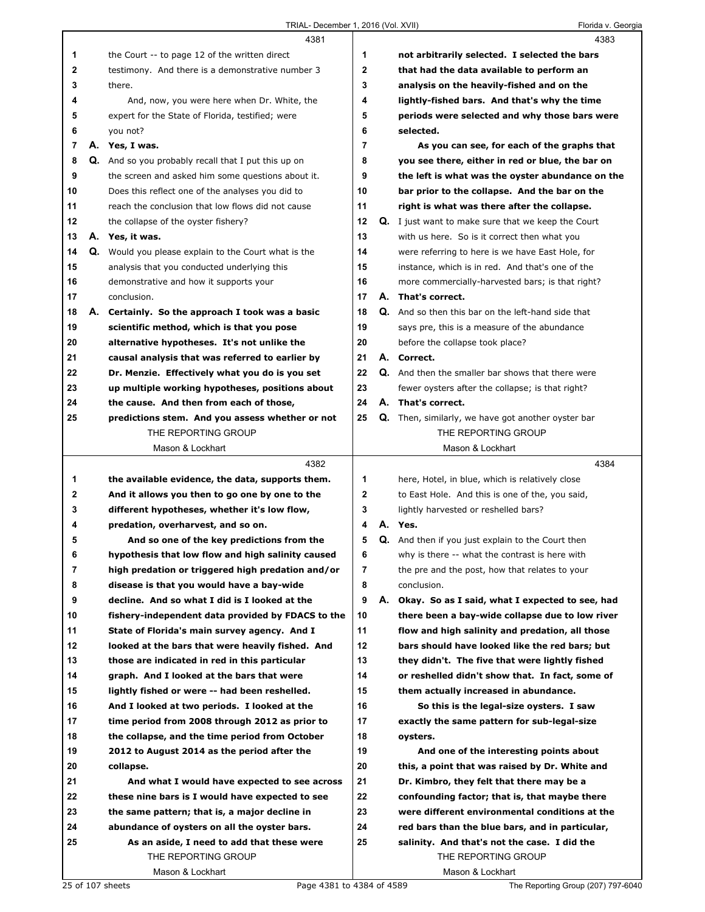|          | 4381                                                                                              |                |    | 4383                                                                                              |
|----------|---------------------------------------------------------------------------------------------------|----------------|----|---------------------------------------------------------------------------------------------------|
| 1        | the Court -- to page 12 of the written direct                                                     | 1              |    | not arbitrarily selected. I selected the bars                                                     |
| 2        | testimony. And there is a demonstrative number 3                                                  | $\overline{2}$ |    | that had the data available to perform an                                                         |
| 3        | there.                                                                                            | 3              |    | analysis on the heavily-fished and on the                                                         |
| 4        | And, now, you were here when Dr. White, the                                                       | 4              |    | lightly-fished bars. And that's why the time                                                      |
| 5        | expert for the State of Florida, testified; were                                                  | 5              |    | periods were selected and why those bars were                                                     |
| 6        | you not?                                                                                          | 6              |    | selected.                                                                                         |
| 7        | A. Yes, I was.                                                                                    | $\overline{7}$ |    | As you can see, for each of the graphs that                                                       |
| 8        | Q. And so you probably recall that I put this up on                                               | 8              |    | you see there, either in red or blue, the bar on                                                  |
| 9        | the screen and asked him some questions about it.                                                 | 9              |    | the left is what was the oyster abundance on the                                                  |
| 10       | Does this reflect one of the analyses you did to                                                  | 10             |    | bar prior to the collapse. And the bar on the                                                     |
| 11       | reach the conclusion that low flows did not cause                                                 | 11             |    | right is what was there after the collapse.                                                       |
| 12       | the collapse of the oyster fishery?                                                               | 12             |    | <b>Q.</b> I just want to make sure that we keep the Court                                         |
| 13       | A. Yes, it was.                                                                                   | 13             |    | with us here. So is it correct then what you                                                      |
| 14       | Q. Would you please explain to the Court what is the                                              | 14             |    | were referring to here is we have East Hole, for                                                  |
| 15       | analysis that you conducted underlying this                                                       | 15             |    | instance, which is in red. And that's one of the                                                  |
| 16       | demonstrative and how it supports your                                                            | 16             |    | more commercially-harvested bars; is that right?                                                  |
| 17       | conclusion.                                                                                       | 17             |    | A. That's correct.                                                                                |
| 18       | A. Certainly. So the approach I took was a basic                                                  | 18             |    | Q. And so then this bar on the left-hand side that                                                |
| 19       | scientific method, which is that you pose                                                         | 19             |    | says pre, this is a measure of the abundance                                                      |
| 20       | alternative hypotheses. It's not unlike the                                                       | 20             |    | before the collapse took place?                                                                   |
| 21       | causal analysis that was referred to earlier by                                                   | 21             |    | A. Correct.                                                                                       |
| 22       | Dr. Menzie. Effectively what you do is you set                                                    | 22             | Q. | And then the smaller bar shows that there were                                                    |
| 23       | up multiple working hypotheses, positions about                                                   | 23             |    | fewer oysters after the collapse; is that right?                                                  |
| 24       | the cause. And then from each of those,                                                           | 24             |    | A. That's correct.                                                                                |
| 25       | predictions stem. And you assess whether or not                                                   | 25             |    | <b>Q.</b> Then, similarly, we have got another oyster bar                                         |
|          | THE REPORTING GROUP                                                                               |                |    | THE REPORTING GROUP                                                                               |
|          | Mason & Lockhart                                                                                  |                |    | Mason & Lockhart                                                                                  |
|          |                                                                                                   |                |    |                                                                                                   |
|          |                                                                                                   |                |    |                                                                                                   |
|          | 4382                                                                                              |                |    | 4384                                                                                              |
| 1        | the available evidence, the data, supports them.                                                  | 1              |    | here, Hotel, in blue, which is relatively close                                                   |
| 2        | And it allows you then to go one by one to the                                                    | $\mathbf 2$    |    | to East Hole. And this is one of the, you said,                                                   |
| 3        | different hypotheses, whether it's low flow,                                                      | 3              |    | lightly harvested or reshelled bars?                                                              |
| 4        | predation, overharvest, and so on.                                                                | 4              |    | A. Yes.                                                                                           |
| 5        | And so one of the key predictions from the                                                        | 5              |    | Q. And then if you just explain to the Court then                                                 |
| 6        | hypothesis that low flow and high salinity caused                                                 | 6              |    | why is there -- what the contrast is here with                                                    |
| 7        | high predation or triggered high predation and/or                                                 | 7              |    | the pre and the post, how that relates to your                                                    |
| 8        | disease is that you would have a bay-wide                                                         | 8              |    | conclusion.                                                                                       |
| 9        | decline. And so what I did is I looked at the                                                     | 9              | А. | Okay. So as I said, what I expected to see, had                                                   |
| 10       | fishery-independent data provided by FDACS to the                                                 | 10             |    | there been a bay-wide collapse due to low river                                                   |
| 11       | State of Florida's main survey agency. And I                                                      | 11<br>12       |    | flow and high salinity and predation, all those<br>bars should have looked like the red bars; but |
| 12       | looked at the bars that were heavily fished. And<br>those are indicated in red in this particular | 13             |    | they didn't. The five that were lightly fished                                                    |
| 13       |                                                                                                   | 14             |    |                                                                                                   |
| 14       | graph. And I looked at the bars that were                                                         | 15             |    | or reshelled didn't show that. In fact, some of<br>them actually increased in abundance.          |
| 15       | lightly fished or were -- had been reshelled.                                                     | 16             |    |                                                                                                   |
| 16<br>17 | And I looked at two periods. I looked at the<br>time period from 2008 through 2012 as prior to    | 17             |    | So this is the legal-size oysters. I saw                                                          |
| 18       | the collapse, and the time period from October                                                    | 18             |    | exactly the same pattern for sub-legal-size<br>oysters.                                           |
| 19       | 2012 to August 2014 as the period after the                                                       | 19             |    | And one of the interesting points about                                                           |
| 20       | collapse.                                                                                         | 20             |    | this, a point that was raised by Dr. White and                                                    |
| 21       | And what I would have expected to see across                                                      | 21             |    | Dr. Kimbro, they felt that there may be a                                                         |
| 22       | these nine bars is I would have expected to see                                                   | 22             |    | confounding factor; that is, that maybe there                                                     |
| 23       | the same pattern; that is, a major decline in                                                     | 23             |    | were different environmental conditions at the                                                    |
| 24       | abundance of oysters on all the oyster bars.                                                      | 24             |    | red bars than the blue bars, and in particular,                                                   |
| 25       | As an aside, I need to add that these were                                                        | 25             |    | salinity. And that's not the case. I did the                                                      |
|          | THE REPORTING GROUP                                                                               |                |    | THE REPORTING GROUP                                                                               |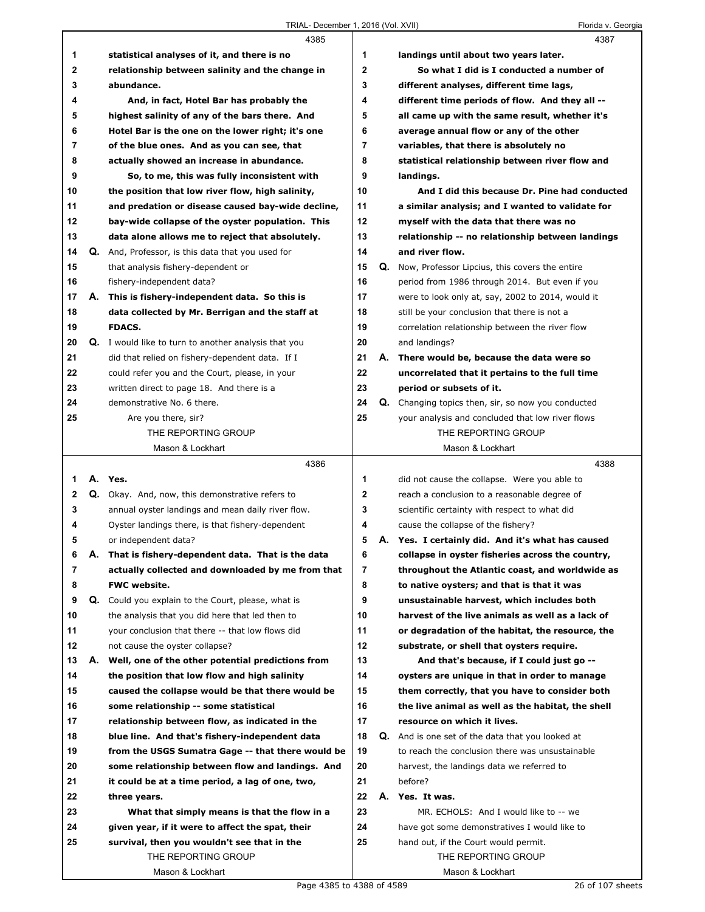|             |    | 4385                                                         |                |    | 4387                                               |
|-------------|----|--------------------------------------------------------------|----------------|----|----------------------------------------------------|
| 1           |    | statistical analyses of it, and there is no                  | 1              |    | landings until about two years later.              |
| $\mathbf 2$ |    | relationship between salinity and the change in              | $\mathbf{2}$   |    | So what I did is I conducted a number of           |
| 3           |    | abundance.                                                   | 3              |    | different analyses, different time lags,           |
| 4           |    | And, in fact, Hotel Bar has probably the                     | 4              |    | different time periods of flow. And they all --    |
| 5           |    | highest salinity of any of the bars there. And               | 5              |    | all came up with the same result, whether it's     |
| 6           |    | Hotel Bar is the one on the lower right; it's one            | 6              |    | average annual flow or any of the other            |
| 7           |    | of the blue ones. And as you can see, that                   | $\overline{7}$ |    | variables, that there is absolutely no             |
| 8           |    | actually showed an increase in abundance.                    | 8              |    | statistical relationship between river flow and    |
| 9           |    | So, to me, this was fully inconsistent with                  | 9              |    | landings.                                          |
| 10          |    | the position that low river flow, high salinity,             | 10             |    | And I did this because Dr. Pine had conducted      |
| 11          |    | and predation or disease caused bay-wide decline,            | 11             |    | a similar analysis; and I wanted to validate for   |
| 12          |    | bay-wide collapse of the oyster population. This             | 12             |    | myself with the data that there was no             |
| 13          |    | data alone allows me to reject that absolutely.              | 13             |    | relationship -- no relationship between landings   |
| 14          |    | Q. And, Professor, is this data that you used for            | 14             |    | and river flow.                                    |
| 15          |    | that analysis fishery-dependent or                           | 15             | Q. | Now, Professor Lipcius, this covers the entire     |
| 16          |    | fishery-independent data?                                    | 16             |    | period from 1986 through 2014. But even if you     |
| 17          | А. | This is fishery-independent data. So this is                 | 17             |    | were to look only at, say, 2002 to 2014, would it  |
| 18          |    | data collected by Mr. Berrigan and the staff at              | 18             |    | still be your conclusion that there is not a       |
| 19          |    | <b>FDACS.</b>                                                | 19             |    | correlation relationship between the river flow    |
| 20          |    | Q. I would like to turn to another analysis that you         | 20             |    | and landings?                                      |
| 21          |    | did that relied on fishery-dependent data. If I              | 21             | А. | There would be, because the data were so           |
| 22          |    | could refer you and the Court, please, in your               | 22             |    | uncorrelated that it pertains to the full time     |
| 23          |    | written direct to page 18. And there is a                    | 23             |    | period or subsets of it.                           |
| 24          |    | demonstrative No. 6 there.                                   | 24             |    | Q. Changing topics then, sir, so now you conducted |
| 25          |    | Are you there, sir?                                          | 25             |    | your analysis and concluded that low river flows   |
|             |    | THE REPORTING GROUP                                          |                |    | THE REPORTING GROUP                                |
|             |    | Mason & Lockhart                                             |                |    | Mason & Lockhart                                   |
|             |    | 4386                                                         |                |    | 4388                                               |
| 1           |    | A. Yes.                                                      | 1              |    | did not cause the collapse. Were you able to       |
| 2           |    | Q. Okay. And, now, this demonstrative refers to              | $\mathbf{2}$   |    | reach a conclusion to a reasonable degree of       |
| 3           |    | annual oyster landings and mean daily river flow.            | 3              |    | scientific certainty with respect to what did      |
| 4           |    | Oyster landings there, is that fishery-dependent             | 4              |    | cause the collapse of the fishery?                 |
| 5           |    | or independent data?                                         | 5              |    | A. Yes. I certainly did. And it's what has caused  |
| 6           | Α. | That is fishery-dependent data. That is the data             | 6              |    | collapse in oyster fisheries across the country,   |
| 7           |    | actually collected and downloaded by me from that            | 7              |    | throughout the Atlantic coast, and worldwide as    |
| 8           |    | <b>FWC website.</b>                                          | 8              |    | to native oysters; and that is that it was         |
| 9           |    | <b>Q.</b> Could you explain to the Court, please, what is    | 9              |    | unsustainable harvest, which includes both         |
| 10          |    | the analysis that you did here that led then to              | 10             |    | harvest of the live animals as well as a lack of   |
| 11          |    | your conclusion that there -- that low flows did             | 11             |    | or degradation of the habitat, the resource, the   |
| 12          |    | not cause the oyster collapse?                               | 12             |    | substrate, or shell that oysters require.          |
| 13          | А. | Well, one of the other potential predictions from            | 13             |    | And that's because, if I could just go --          |
| 14          |    | the position that low flow and high salinity                 | 14             |    | oysters are unique in that in order to manage      |
| 15          |    | caused the collapse would be that there would be             | 15             |    | them correctly, that you have to consider both     |
| 16          |    | some relationship -- some statistical                        | 16             |    | the live animal as well as the habitat, the shell  |
| 17          |    |                                                              |                |    |                                                    |
|             |    | relationship between flow, as indicated in the               | 17             |    | resource on which it lives.                        |
| 18          |    | blue line. And that's fishery-independent data               | 18             |    | Q. And is one set of the data that you looked at   |
| 19          |    | from the USGS Sumatra Gage -- that there would be            | 19             |    | to reach the conclusion there was unsustainable    |
| 20          |    | some relationship between flow and landings. And             | 20             |    | harvest, the landings data we referred to          |
| 21          |    | it could be at a time period, a lag of one, two,             | 21             |    | before?                                            |
| 22          |    |                                                              | 22             |    | A. Yes. It was.                                    |
| 23          |    | three years.<br>What that simply means is that the flow in a | 23             |    | MR. ECHOLS: And I would like to -- we              |
| 24          |    | given year, if it were to affect the spat, their             | 24             |    | have got some demonstratives I would like to       |
| 25          |    | survival, then you wouldn't see that in the                  | 25             |    | hand out, if the Court would permit.               |
|             |    | THE REPORTING GROUP                                          |                |    | THE REPORTING GROUP                                |
|             |    | Mason & Lockhart                                             |                |    | Mason & Lockhart                                   |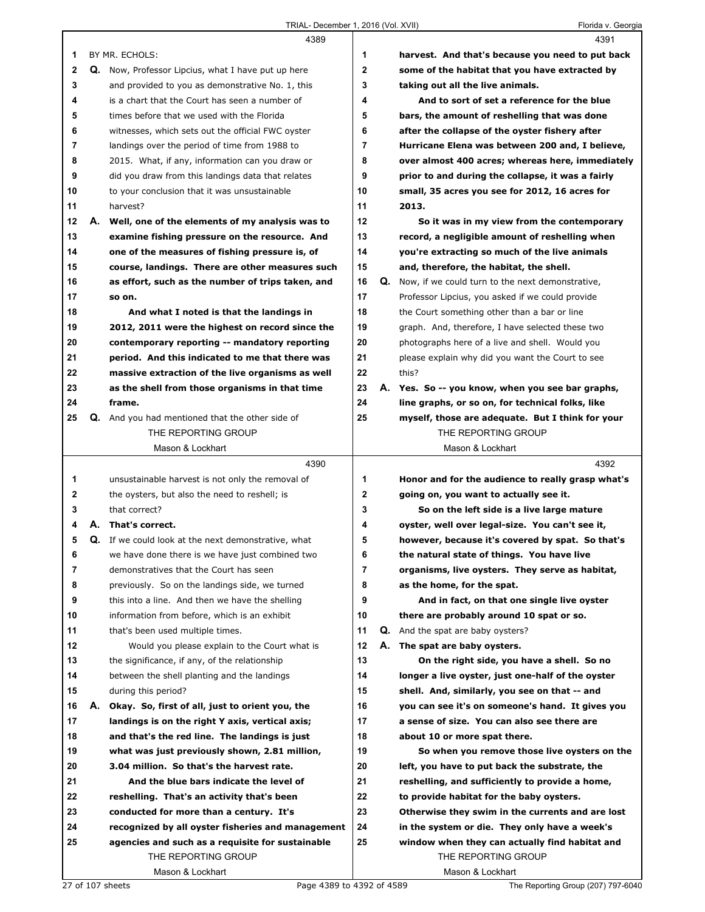|             |    | 4389                                                       |                |    | 4391                                              |
|-------------|----|------------------------------------------------------------|----------------|----|---------------------------------------------------|
| 1           |    | BY MR. ECHOLS:                                             | 1              |    | harvest. And that's because you need to put back  |
| $\mathbf 2$ |    | <b>Q.</b> Now, Professor Lipcius, what I have put up here  | $\mathbf 2$    |    | some of the habitat that you have extracted by    |
| 3           |    | and provided to you as demonstrative No. 1, this           | 3              |    | taking out all the live animals.                  |
| 4           |    | is a chart that the Court has seen a number of             | 4              |    | And to sort of set a reference for the blue       |
| 5           |    | times before that we used with the Florida                 | 5              |    | bars, the amount of reshelling that was done      |
| 6           |    | witnesses, which sets out the official FWC oyster          | 6              |    | after the collapse of the oyster fishery after    |
| 7           |    | landings over the period of time from 1988 to              | $\overline{7}$ |    | Hurricane Elena was between 200 and, I believe,   |
| 8           |    | 2015. What, if any, information can you draw or            | 8              |    | over almost 400 acres; whereas here, immediately  |
| 9           |    | did you draw from this landings data that relates          | 9              |    | prior to and during the collapse, it was a fairly |
| 10          |    | to your conclusion that it was unsustainable               | 10             |    | small, 35 acres you see for 2012, 16 acres for    |
| 11          |    | harvest?                                                   | 11             |    | 2013.                                             |
| 12          |    | A. Well, one of the elements of my analysis was to         | 12             |    | So it was in my view from the contemporary        |
| 13          |    | examine fishing pressure on the resource. And              | 13             |    | record, a negligible amount of reshelling when    |
|             |    |                                                            |                |    |                                                   |
| 14          |    | one of the measures of fishing pressure is, of             | 14             |    | you're extracting so much of the live animals     |
| 15          |    | course, landings. There are other measures such            | 15             |    | and, therefore, the habitat, the shell.           |
| 16          |    | as effort, such as the number of trips taken, and          | 16             | Q. | Now, if we could turn to the next demonstrative,  |
| 17          |    | so on.                                                     | 17             |    | Professor Lipcius, you asked if we could provide  |
| 18          |    | And what I noted is that the landings in                   | 18             |    | the Court something other than a bar or line      |
| 19          |    | 2012, 2011 were the highest on record since the            | 19             |    | graph. And, therefore, I have selected these two  |
| 20          |    | contemporary reporting -- mandatory reporting              | 20             |    | photographs here of a live and shell. Would you   |
| 21          |    | period. And this indicated to me that there was            | 21             |    | please explain why did you want the Court to see  |
| 22          |    | massive extraction of the live organisms as well           | 22             |    | this?                                             |
| 23          |    | as the shell from those organisms in that time             | 23             |    | A. Yes. So -- you know, when you see bar graphs,  |
| 24          |    | frame.                                                     | 24             |    | line graphs, or so on, for technical folks, like  |
| 25          |    | <b>Q.</b> And you had mentioned that the other side of     | 25             |    | myself, those are adequate. But I think for your  |
|             |    | THE REPORTING GROUP                                        |                |    | THE REPORTING GROUP                               |
|             |    | Mason & Lockhart                                           |                |    | Mason & Lockhart                                  |
|             |    |                                                            |                |    |                                                   |
|             |    | 4390                                                       |                |    | 4392                                              |
| 1           |    | unsustainable harvest is not only the removal of           | 1              |    | Honor and for the audience to really grasp what's |
| 2           |    | the oysters, but also the need to reshell; is              | 2              |    | going on, you want to actually see it.            |
| 3           |    | that correct?                                              | 3              |    | So on the left side is a live large mature        |
| 4           | А. | That's correct.                                            | 4              |    | oyster, well over legal-size. You can't see it,   |
| 5           |    | <b>Q.</b> If we could look at the next demonstrative, what | 5              |    | however, because it's covered by spat. So that's  |
| ь           |    | we have done there is we have just combined two            | 6              |    | the natural state of things. You have live        |
| 7           |    | demonstratives that the Court has seen                     | 7              |    | organisms, live oysters. They serve as habitat,   |
| 8           |    | previously. So on the landings side, we turned             | 8              |    | as the home, for the spat.                        |
| 9           |    | this into a line. And then we have the shelling            | 9              |    | And in fact, on that one single live oyster       |
| 10          |    | information from before, which is an exhibit               | 10             |    |                                                   |
|             |    |                                                            |                |    | there are probably around 10 spat or so.          |
| 11          |    | that's been used multiple times.                           | 11<br>12       | А. | <b>Q.</b> And the spat are baby oysters?          |
| 12          |    | Would you please explain to the Court what is              |                |    | The spat are baby oysters.                        |
| 13          |    | the significance, if any, of the relationship              | 13             |    | On the right side, you have a shell. So no        |
| 14          |    | between the shell planting and the landings                | 14             |    | longer a live oyster, just one-half of the oyster |
| 15          |    | during this period?                                        | 15             |    | shell. And, similarly, you see on that -- and     |
| 16          |    | A. Okay. So, first of all, just to orient you, the         | 16             |    | you can see it's on someone's hand. It gives you  |
| 17          |    | landings is on the right Y axis, vertical axis;            | 17             |    | a sense of size. You can also see there are       |
| 18          |    | and that's the red line. The landings is just              | 18             |    | about 10 or more spat there.                      |
| 19          |    | what was just previously shown, 2.81 million,              | 19             |    | So when you remove those live oysters on the      |
| 20          |    | 3.04 million. So that's the harvest rate.                  | 20             |    | left, you have to put back the substrate, the     |
| 21          |    | And the blue bars indicate the level of                    | 21             |    | reshelling, and sufficiently to provide a home,   |
| 22          |    | reshelling. That's an activity that's been                 | 22             |    | to provide habitat for the baby oysters.          |
| 23          |    | conducted for more than a century. It's                    | 23             |    | Otherwise they swim in the currents and are lost  |
| 24          |    | recognized by all oyster fisheries and management          | 24             |    | in the system or die. They only have a week's     |
| 25          |    | agencies and such as a requisite for sustainable           | 25             |    | window when they can actually find habitat and    |
|             |    | THE REPORTING GROUP                                        |                |    | THE REPORTING GROUP                               |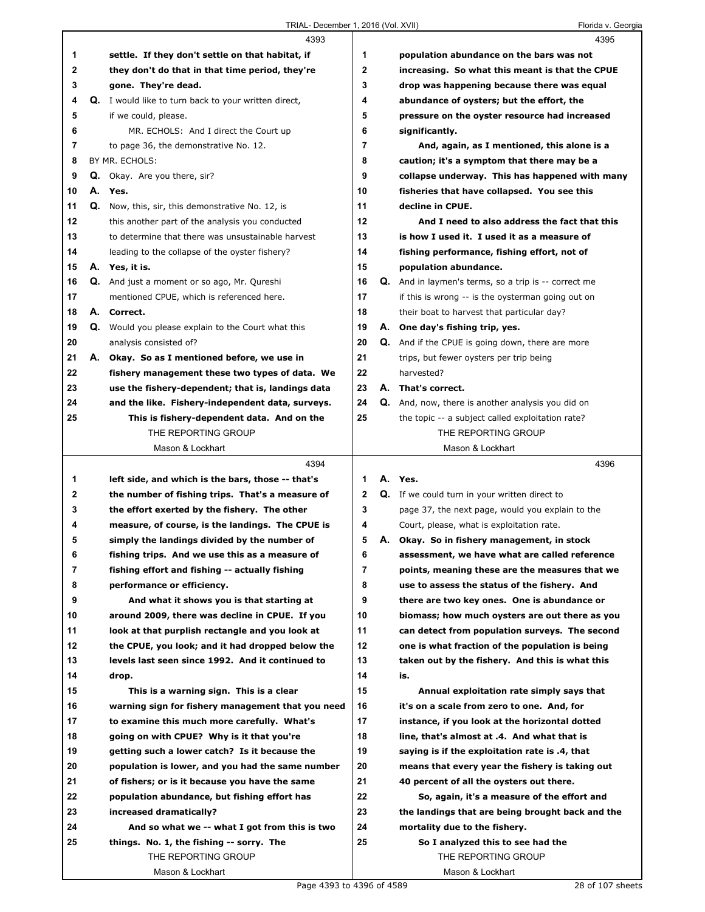|    |    | 4393                                                        |                | 4395                                                        |
|----|----|-------------------------------------------------------------|----------------|-------------------------------------------------------------|
| 1  |    | settle. If they don't settle on that habitat, if            | 1              | population abundance on the bars was not                    |
| 2  |    | they don't do that in that time period, they're             | $\mathbf 2$    | increasing. So what this meant is that the CPUE             |
| 3  |    | gone. They're dead.                                         | 3              | drop was happening because there was equal                  |
| 4  |    | <b>Q.</b> I would like to turn back to your written direct, | 4              | abundance of oysters; but the effort, the                   |
| 5  |    | if we could, please.                                        | 5              | pressure on the oyster resource had increased               |
| 6  |    | MR. ECHOLS: And I direct the Court up                       | 6              | significantly.                                              |
| 7  |    | to page 36, the demonstrative No. 12.                       | $\overline{7}$ | And, again, as I mentioned, this alone is a                 |
| 8  |    | BY MR. ECHOLS:                                              | 8              | caution; it's a symptom that there may be a                 |
| 9  |    | Q. Okay. Are you there, sir?                                | 9              | collapse underway. This has happened with many              |
| 10 |    | A. Yes.                                                     | 10             | fisheries that have collapsed. You see this                 |
| 11 | Q. | Now, this, sir, this demonstrative No. 12, is               | 11             | decline in CPUE.                                            |
| 12 |    | this another part of the analysis you conducted             | 12             | And I need to also address the fact that this               |
| 13 |    | to determine that there was unsustainable harvest           | 13             | is how I used it. I used it as a measure of                 |
| 14 |    | leading to the collapse of the oyster fishery?              | 14             | fishing performance, fishing effort, not of                 |
| 15 |    | A. Yes, it is.                                              | 15             | population abundance.                                       |
| 16 |    | Q. And just a moment or so ago, Mr. Qureshi                 | 16             | <b>Q.</b> And in laymen's terms, so a trip is -- correct me |
| 17 |    |                                                             | 17             |                                                             |
|    |    | mentioned CPUE, which is referenced here.                   | 18             | if this is wrong -- is the oysterman going out on           |
| 18 |    | A. Correct.                                                 |                | their boat to harvest that particular day?                  |
| 19 |    | Q. Would you please explain to the Court what this          | 19             | A. One day's fishing trip, yes.                             |
| 20 |    | analysis consisted of?                                      | 20             | <b>Q.</b> And if the CPUE is going down, there are more     |
| 21 |    | A. Okay. So as I mentioned before, we use in                | 21             | trips, but fewer oysters per trip being                     |
| 22 |    | fishery management these two types of data. We              | 22             | harvested?                                                  |
| 23 |    | use the fishery-dependent; that is, landings data           | 23             | A. That's correct.                                          |
| 24 |    | and the like. Fishery-independent data, surveys.            | 24             | Q. And, now, there is another analysis you did on           |
| 25 |    | This is fishery-dependent data. And on the                  | 25             | the topic -- a subject called exploitation rate?            |
|    |    | THE REPORTING GROUP                                         |                | THE REPORTING GROUP                                         |
|    |    | Mason & Lockhart                                            |                | Mason & Lockhart                                            |
|    |    |                                                             |                |                                                             |
|    |    | 4394                                                        |                | 4396                                                        |
| 1  |    | left side, and which is the bars, those -- that's           | 1              | A. Yes.                                                     |
| 2  |    | the number of fishing trips. That's a measure of            | $\mathbf 2$    | <b>Q.</b> If we could turn in your written direct to        |
| 3  |    | the effort exerted by the fishery. The other                | 3              | page 37, the next page, would you explain to the            |
| 4  |    | measure, of course, is the landings. The CPUE is            | 4              | Court, please, what is exploitation rate.                   |
| 5  |    | simply the landings divided by the number of                | 5              | A. Okay. So in fishery management, in stock                 |
| 6  |    | fishing trips. And we use this as a measure of              | 6              | assessment, we have what are called reference               |
| 7  |    | fishing effort and fishing -- actually fishing              | 7              | points, meaning these are the measures that we              |
| 8  |    | performance or efficiency.                                  | 8              | use to assess the status of the fishery. And                |
| 9  |    | And what it shows you is that starting at                   | 9              | there are two key ones. One is abundance or                 |
| 10 |    | around 2009, there was decline in CPUE. If you              | 10             | biomass; how much oysters are out there as you              |
| 11 |    | look at that purplish rectangle and you look at             | 11             | can detect from population surveys. The second              |
| 12 |    | the CPUE, you look; and it had dropped below the            | 12             | one is what fraction of the population is being             |
| 13 |    | levels last seen since 1992. And it continued to            | 13             | taken out by the fishery. And this is what this             |
| 14 |    | drop.                                                       | 14             | is.                                                         |
| 15 |    | This is a warning sign. This is a clear                     | 15             | Annual exploitation rate simply says that                   |
| 16 |    | warning sign for fishery management that you need           | 16             | it's on a scale from zero to one. And, for                  |
| 17 |    | to examine this much more carefully. What's                 | 17             | instance, if you look at the horizontal dotted              |
| 18 |    | going on with CPUE? Why is it that you're                   | 18             | line, that's almost at .4. And what that is                 |
| 19 |    | getting such a lower catch? Is it because the               | 19             | saying is if the exploitation rate is .4, that              |
| 20 |    | population is lower, and you had the same number            | 20             | means that every year the fishery is taking out             |
| 21 |    | of fishers; or is it because you have the same              | 21             | 40 percent of all the oysters out there.                    |
| 22 |    | population abundance, but fishing effort has                | 22             | So, again, it's a measure of the effort and                 |
| 23 |    | increased dramatically?                                     | 23             | the landings that are being brought back and the            |
| 24 |    | And so what we -- what I got from this is two               | 24             | mortality due to the fishery.                               |
| 25 |    | things. No. 1, the fishing -- sorry. The                    | 25             | So I analyzed this to see had the                           |
|    |    | THE REPORTING GROUP                                         |                | THE REPORTING GROUP                                         |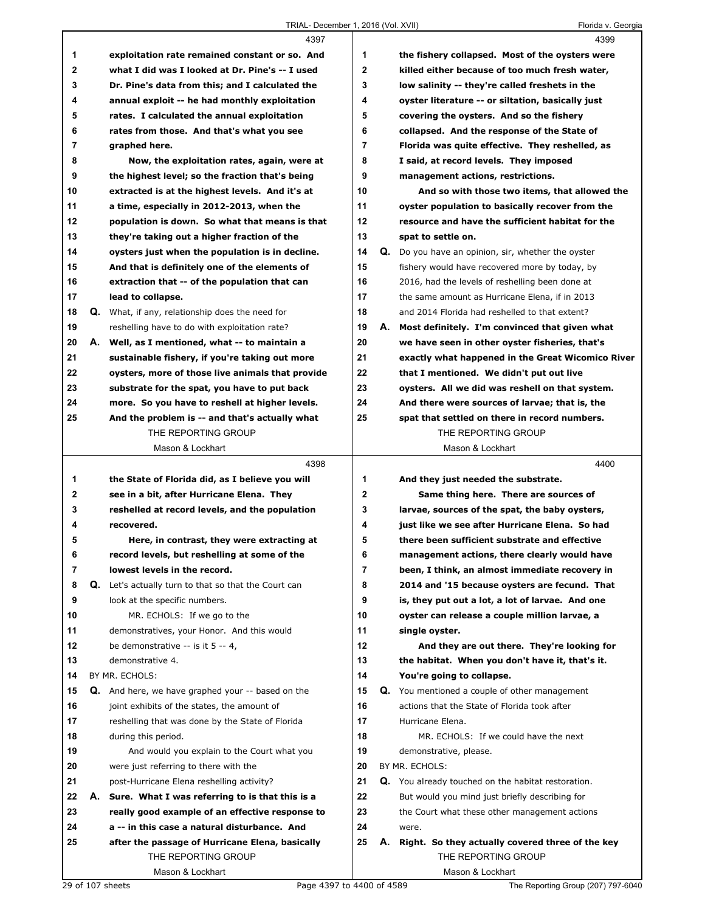|              | TRIAL- December 1, 2016 (Vol. XVII)                         |              |    | Florida v. Georgia                                   |
|--------------|-------------------------------------------------------------|--------------|----|------------------------------------------------------|
|              | 4397                                                        |              |    | 4399                                                 |
| 1            | exploitation rate remained constant or so. And              | 1            |    | the fishery collapsed. Most of the oysters were      |
| $\mathbf{2}$ | what I did was I looked at Dr. Pine's -- I used             | $\mathbf{2}$ |    | killed either because of too much fresh water,       |
| 3            | Dr. Pine's data from this; and I calculated the             | 3            |    | low salinity -- they're called freshets in the       |
| 4            | annual exploit -- he had monthly exploitation               | 4            |    | oyster literature -- or siltation, basically just    |
| 5            | rates. I calculated the annual exploitation                 | 5            |    | covering the oysters. And so the fishery             |
| 6            | rates from those. And that's what you see                   | 6            |    | collapsed. And the response of the State of          |
| 7            | graphed here.                                               | 7            |    | Florida was quite effective. They reshelled, as      |
| 8            | Now, the exploitation rates, again, were at                 | 8            |    | I said, at record levels. They imposed               |
| 9            | the highest level; so the fraction that's being             | 9            |    | management actions, restrictions.                    |
| 10           | extracted is at the highest levels. And it's at             | 10           |    | And so with those two items, that allowed the        |
| 11           | a time, especially in 2012-2013, when the                   | 11           |    | oyster population to basically recover from the      |
| 12           | population is down. So what that means is that              | 12           |    | resource and have the sufficient habitat for the     |
| 13           | they're taking out a higher fraction of the                 | 13           |    | spat to settle on.                                   |
| 14           | oysters just when the population is in decline.             | 14           |    | Q. Do you have an opinion, sir, whether the oyster   |
| 15           | And that is definitely one of the elements of               | 15           |    | fishery would have recovered more by today, by       |
| 16           | extraction that -- of the population that can               | 16           |    | 2016, had the levels of reshelling been done at      |
| 17           | lead to collapse.                                           | 17           |    | the same amount as Hurricane Elena, if in 2013       |
| 18           | Q. What, if any, relationship does the need for             | 18           |    | and 2014 Florida had reshelled to that extent?       |
|              |                                                             |              |    |                                                      |
| 19           | reshelling have to do with exploitation rate?               | 19<br>20     |    | A. Most definitely. I'm convinced that given what    |
| 20           | A. Well, as I mentioned, what -- to maintain a              | 21           |    | we have seen in other oyster fisheries, that's       |
| 21<br>22     | sustainable fishery, if you're taking out more              | 22           |    | exactly what happened in the Great Wicomico River    |
|              | oysters, more of those live animals that provide            |              |    | that I mentioned. We didn't put out live             |
| 23           | substrate for the spat, you have to put back                | 23           |    | oysters. All we did was reshell on that system.      |
| 24           | more. So you have to reshell at higher levels.              | 24           |    | And there were sources of larvae; that is, the       |
| 25           | And the problem is -- and that's actually what              | 25           |    | spat that settled on there in record numbers.        |
|              | THE REPORTING GROUP                                         |              |    | THE REPORTING GROUP                                  |
|              | Mason & Lockhart                                            |              |    | Mason & Lockhart                                     |
|              | 4398                                                        |              |    | 4400                                                 |
| 1            | the State of Florida did, as I believe you will             | 1            |    | And they just needed the substrate.                  |
| $\mathbf{2}$ | see in a bit, after Hurricane Elena. They                   | $\mathbf{2}$ |    | Same thing here. There are sources of                |
| 3            | reshelled at record levels, and the population              | 3            |    | larvae, sources of the spat, the baby oysters,       |
| 4            | recovered.                                                  | 4            |    | just like we see after Hurricane Elena. So had       |
| 5            | Here, in contrast, they were extracting at                  | 5            |    | there been sufficient substrate and effective        |
| 6            | record levels, but reshelling at some of the                | 6            |    | management actions, there clearly would have         |
| 7            | lowest levels in the record.                                | 7            |    | been, I think, an almost immediate recovery in       |
| 8            | <b>Q.</b> Let's actually turn to that so that the Court can | 8            |    | 2014 and '15 because oysters are fecund. That        |
| 9            | look at the specific numbers.                               | 9            |    | is, they put out a lot, a lot of larvae. And one     |
| 10           | MR. ECHOLS: If we go to the                                 | 10           |    | oyster can release a couple million larvae, a        |
| 11           | demonstratives, your Honor. And this would                  | 11           |    | single oyster.                                       |
| 12           | be demonstrative $-$ is it 5 $-$ 4,                         | 12           |    | And they are out there. They're looking for          |
| 13           | demonstrative 4.                                            | 13           |    | the habitat. When you don't have it, that's it.      |
| 14           | BY MR. ECHOLS:                                              | 14           |    | You're going to collapse.                            |
| 15           | <b>Q.</b> And here, we have graphed your -- based on the    | 15           |    | <b>Q.</b> You mentioned a couple of other management |
| 16           | joint exhibits of the states, the amount of                 | 16           |    | actions that the State of Florida took after         |
| 17           | reshelling that was done by the State of Florida            | 17           |    | Hurricane Elena.                                     |
| 18           | during this period.                                         | 18           |    | MR. ECHOLS: If we could have the next                |
| 19           | And would you explain to the Court what you                 | 19           |    | demonstrative, please.                               |
| 20           | were just referring to there with the                       | 20           |    | BY MR. ECHOLS:                                       |
| 21           | post-Hurricane Elena reshelling activity?                   | 21           |    | Q. You already touched on the habitat restoration.   |
| 22           | A. Sure. What I was referring to is that this is a          | 22           |    | But would you mind just briefly describing for       |
| 23           | really good example of an effective response to             | 23           |    | the Court what these other management actions        |
| 24           | a -- in this case a natural disturbance. And                | 24           |    | were.                                                |
| 25           | after the passage of Hurricane Elena, basically             | 25           | А. | Right. So they actually covered three of the key     |
|              | THE REPORTING GROUP                                         |              |    | THE REPORTING GROUP                                  |
|              | Mason & Lockhart                                            |              |    | Mason & Lockhart                                     |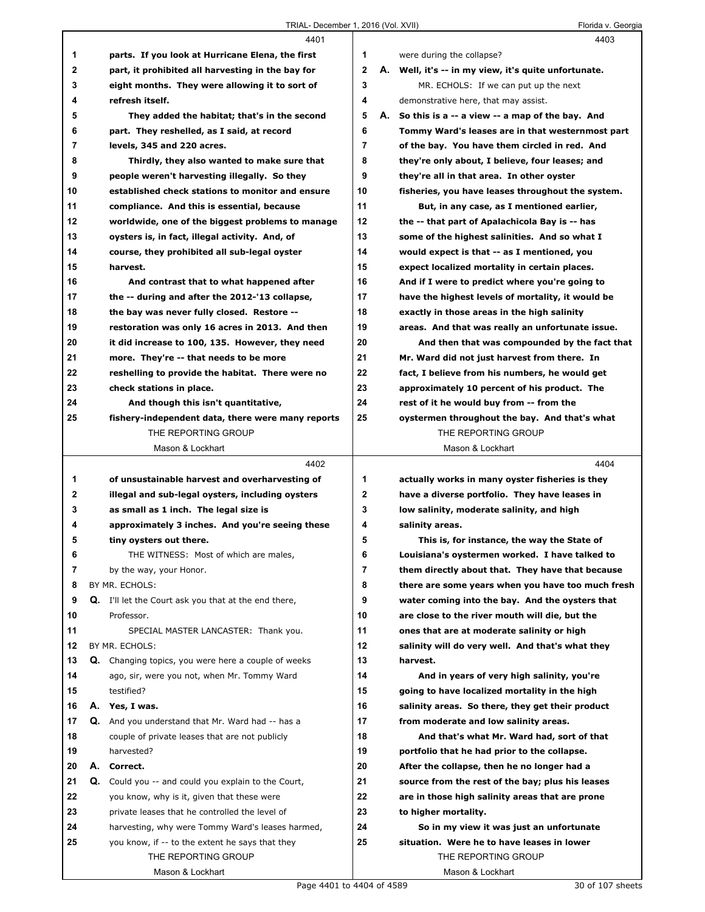|    | 4401                                                                   |                | 4403                                                              |
|----|------------------------------------------------------------------------|----------------|-------------------------------------------------------------------|
| 1  | parts. If you look at Hurricane Elena, the first                       | 1              | were during the collapse?                                         |
| 2  | part, it prohibited all harvesting in the bay for                      | $\mathbf{2}$   | A. Well, it's -- in my view, it's quite unfortunate.              |
| 3  | eight months. They were allowing it to sort of                         | 3              | MR. ECHOLS: If we can put up the next                             |
| 4  | refresh itself.                                                        | 4              | demonstrative here, that may assist.                              |
| 5  | They added the habitat; that's in the second                           | 5              | A. So this is a -- a view -- a map of the bay. And                |
| 6  | part. They reshelled, as I said, at record                             | 6              | Tommy Ward's leases are in that westernmost part                  |
| 7  | levels, 345 and 220 acres.                                             | $\overline{7}$ | of the bay. You have them circled in red. And                     |
| 8  | Thirdly, they also wanted to make sure that                            | 8              | they're only about, I believe, four leases; and                   |
| 9  | people weren't harvesting illegally. So they                           | 9              | they're all in that area. In other oyster                         |
| 10 | established check stations to monitor and ensure                       | 10             | fisheries, you have leases throughout the system.                 |
| 11 | compliance. And this is essential, because                             | 11             | But, in any case, as I mentioned earlier,                         |
| 12 | worldwide, one of the biggest problems to manage                       | 12             | the -- that part of Apalachicola Bay is -- has                    |
| 13 | oysters is, in fact, illegal activity. And, of                         | 13             | some of the highest salinities. And so what I                     |
| 14 | course, they prohibited all sub-legal oyster                           | 14             | would expect is that -- as I mentioned, you                       |
| 15 | harvest.                                                               | 15             | expect localized mortality in certain places.                     |
| 16 | And contrast that to what happened after                               | 16             | And if I were to predict where you're going to                    |
| 17 | the -- during and after the 2012-'13 collapse,                         | 17             | have the highest levels of mortality, it would be                 |
| 18 | the bay was never fully closed. Restore --                             | 18             | exactly in those areas in the high salinity                       |
| 19 | restoration was only 16 acres in 2013. And then                        | 19             | areas. And that was really an unfortunate issue.                  |
| 20 | it did increase to 100, 135. However, they need                        | 20             | And then that was compounded by the fact that                     |
| 21 | more. They're -- that needs to be more                                 | 21             | Mr. Ward did not just harvest from there. In                      |
| 22 | reshelling to provide the habitat. There were no                       | 22             | fact, I believe from his numbers, he would get                    |
| 23 | check stations in place.                                               | 23             | approximately 10 percent of his product. The                      |
| 24 | And though this isn't quantitative,                                    | 24             | rest of it he would buy from -- from the                          |
| 25 | fishery-independent data, there were many reports                      | 25             | oystermen throughout the bay. And that's what                     |
|    | THE REPORTING GROUP                                                    |                | THE REPORTING GROUP                                               |
|    |                                                                        |                |                                                                   |
|    | Mason & Lockhart                                                       |                | Mason & Lockhart                                                  |
|    | 4402                                                                   |                | 4404                                                              |
| 1. | of unsustainable harvest and overharvesting of                         | 1              | actually works in many oyster fisheries is they                   |
| 2  | illegal and sub-legal oysters, including oysters                       | $\mathbf 2$    | have a diverse portfolio. They have leases in                     |
| 3  | as small as 1 inch. The legal size is                                  | 3              | low salinity, moderate salinity, and high                         |
| 4  | approximately 3 inches. And you're seeing these                        | 4              | salinity areas.                                                   |
| 5  | tiny oysters out there.                                                | 5              | This is, for instance, the way the State of                       |
| 6  | THE WITNESS: Most of which are males,                                  | 6              | Louisiana's oystermen worked. I have talked to                    |
| 7  | by the way, your Honor.                                                | 7              | them directly about that. They have that because                  |
| 8  | BY MR. ECHOLS:                                                         | 8              | there are some years when you have too much fresh                 |
| 9  | <b>Q.</b> I'll let the Court ask you that at the end there,            | 9              | water coming into the bay. And the oysters that                   |
| 10 | Professor.                                                             | 10             | are close to the river mouth will die, but the                    |
| 11 | SPECIAL MASTER LANCASTER: Thank you.                                   | 11             | ones that are at moderate salinity or high                        |
| 12 | BY MR. ECHOLS:                                                         | 12             | salinity will do very well. And that's what they                  |
| 13 | Q. Changing topics, you were here a couple of weeks                    | 13             | harvest.                                                          |
| 14 | ago, sir, were you not, when Mr. Tommy Ward                            | 14             | And in years of very high salinity, you're                        |
| 15 | testified?                                                             | 15             | going to have localized mortality in the high                     |
| 16 | A. Yes, I was.                                                         | 16             | salinity areas. So there, they get their product                  |
| 17 | <b>Q.</b> And you understand that Mr. Ward had -- has a                | 17             | from moderate and low salinity areas.                             |
| 18 | couple of private leases that are not publicly                         | 18             | And that's what Mr. Ward had, sort of that                        |
| 19 | harvested?                                                             | 19             | portfolio that he had prior to the collapse.                      |
| 20 | A. Correct.                                                            | 20             |                                                                   |
| 21 | Q.                                                                     | 21             | After the collapse, then he no longer had a                       |
| 22 | Could you -- and could you explain to the Court,                       | 22             | source from the rest of the bay; plus his leases                  |
| 23 | you know, why is it, given that these were                             | 23             | are in those high salinity areas that are prone                   |
|    | private leases that he controlled the level of                         |                | to higher mortality.                                              |
| 24 | harvesting, why were Tommy Ward's leases harmed,                       | 24             | So in my view it was just an unfortunate                          |
| 25 | you know, if -- to the extent he says that they<br>THE REPORTING GROUP | 25             | situation. Were he to have leases in lower<br>THE REPORTING GROUP |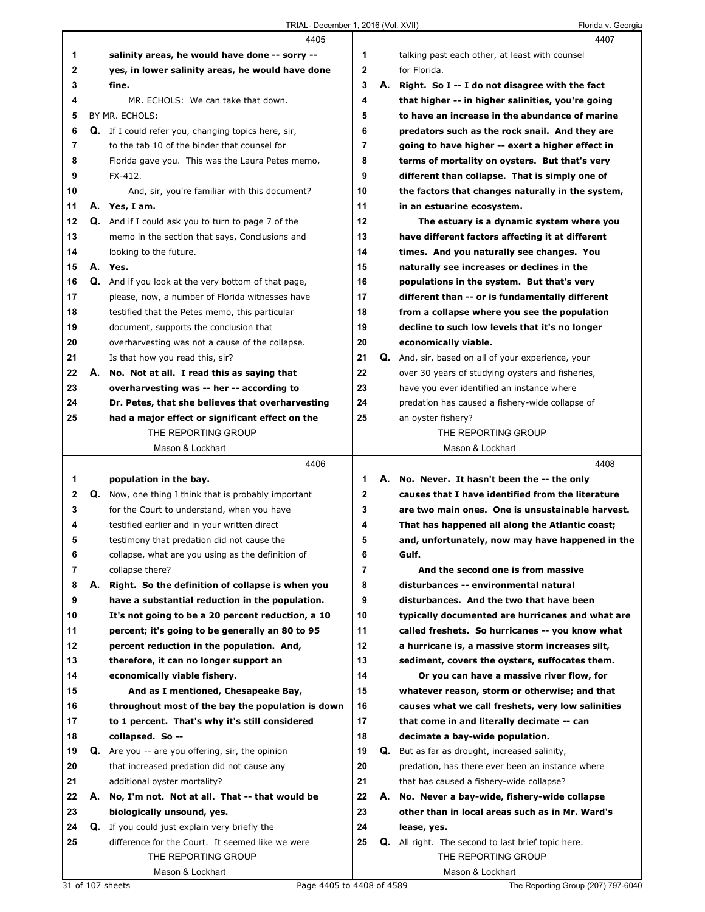|    |    | 4405                                                 |              | 4407                                                      |
|----|----|------------------------------------------------------|--------------|-----------------------------------------------------------|
| 1  |    | salinity areas, he would have done -- sorry --       | 1            | talking past each other, at least with counsel            |
| 2  |    | yes, in lower salinity areas, he would have done     | $\mathbf{2}$ | for Florida.                                              |
| 3  |    | fine.                                                | 3            | A. Right. So I -- I do not disagree with the fact         |
| 4  |    | MR. ECHOLS: We can take that down.                   | 4            | that higher -- in higher salinities, you're going         |
| 5  |    | BY MR. ECHOLS:                                       | 5            | to have an increase in the abundance of marine            |
| 6  |    | Q. If I could refer you, changing topics here, sir,  | 6            | predators such as the rock snail. And they are            |
| 7  |    | to the tab 10 of the binder that counsel for         | 7            | going to have higher -- exert a higher effect in          |
| 8  |    | Florida gave you. This was the Laura Petes memo,     | 8            | terms of mortality on oysters. But that's very            |
| 9  |    | FX-412.                                              | 9            | different than collapse. That is simply one of            |
| 10 |    | And, sir, you're familiar with this document?        | 10           | the factors that changes naturally in the system,         |
| 11 |    | A. Yes, I am.                                        | 11           | in an estuarine ecosystem.                                |
| 12 |    | Q. And if I could ask you to turn to page 7 of the   | 12           | The estuary is a dynamic system where you                 |
| 13 |    | memo in the section that says, Conclusions and       | 13           | have different factors affecting it at different          |
| 14 |    | looking to the future.                               | 14           | times. And you naturally see changes. You                 |
| 15 |    | A. Yes.                                              | 15           | naturally see increases or declines in the                |
| 16 |    | Q. And if you look at the very bottom of that page,  | 16           | populations in the system. But that's very                |
| 17 |    | please, now, a number of Florida witnesses have      | 17           | different than -- or is fundamentally different           |
| 18 |    | testified that the Petes memo, this particular       | 18           | from a collapse where you see the population              |
| 19 |    | document, supports the conclusion that               | 19           | decline to such low levels that it's no longer            |
| 20 |    | overharvesting was not a cause of the collapse.      | 20           | economically viable.                                      |
| 21 |    | Is that how you read this, sir?                      | 21           | Q. And, sir, based on all of your experience, your        |
| 22 |    | A. No. Not at all. I read this as saying that        | 22           | over 30 years of studying oysters and fisheries,          |
| 23 |    | overharvesting was -- her -- according to            | 23           | have you ever identified an instance where                |
| 24 |    | Dr. Petes, that she believes that overharvesting     | 24           | predation has caused a fishery-wide collapse of           |
| 25 |    | had a major effect or significant effect on the      | 25           | an oyster fishery?                                        |
|    |    | THE REPORTING GROUP                                  |              | THE REPORTING GROUP                                       |
|    |    | Mason & Lockhart                                     |              | Mason & Lockhart                                          |
|    |    | 4406                                                 |              | 4408                                                      |
| 1. |    | population in the bay.                               | 1            | A. No. Never. It hasn't been the -- the only              |
| 2  |    | Q. Now, one thing I think that is probably important | $\mathbf{2}$ | causes that I have identified from the literature         |
| 3  |    | for the Court to understand, when you have           | 3            | are two main ones. One is unsustainable harvest.          |
| 4  |    | testified earlier and in your written direct         | 4            | That has happened all along the Atlantic coast;           |
| 5  |    | testimony that predation did not cause the           | 5            | and, unfortunately, now may have happened in the          |
| 6  |    | collapse, what are you using as the definition of    | 6            | Gulf.                                                     |
| 7  |    | collapse there?                                      | 7            | And the second one is from massive                        |
| 8  | А. | Right. So the definition of collapse is when you     | 8            | disturbances -- environmental natural                     |
| 9  |    | have a substantial reduction in the population.      | 9            | disturbances. And the two that have been                  |
| 10 |    | It's not going to be a 20 percent reduction, a 10    | 10           | typically documented are hurricanes and what are          |
| 11 |    | percent; it's going to be generally an 80 to 95      | 11           | called freshets. So hurricanes -- you know what           |
| 12 |    | percent reduction in the population. And,            | 12           | a hurricane is, a massive storm increases silt,           |
| 13 |    | therefore, it can no longer support an               | 13           | sediment, covers the oysters, suffocates them.            |
| 14 |    | economically viable fishery.                         | 14           | Or you can have a massive river flow, for                 |
| 15 |    | And as I mentioned, Chesapeake Bay,                  | 15           | whatever reason, storm or otherwise; and that             |
| 16 |    | throughout most of the bay the population is down    | 16           | causes what we call freshets, very low salinities         |
| 17 |    | to 1 percent. That's why it's still considered       | 17           | that come in and literally decimate -- can                |
| 18 |    | collapsed. So --                                     | 18           | decimate a bay-wide population.                           |
| 19 |    | $Q.$ Are you -- are you offering, sir, the opinion   | 19           | Q. But as far as drought, increased salinity,             |
| 20 |    | that increased predation did not cause any           | 20           | predation, has there ever been an instance where          |
| 21 |    | additional oyster mortality?                         | 21           | that has caused a fishery-wide collapse?                  |
| 22 | А. | No, I'm not. Not at all. That -- that would be       | 22           | A. No. Never a bay-wide, fishery-wide collapse            |
| 23 |    | biologically unsound, yes.                           | 23           | other than in local areas such as in Mr. Ward's           |
| 24 |    | <b>Q.</b> If you could just explain very briefly the | 24           | lease, yes.                                               |
| 25 |    | difference for the Court. It seemed like we were     | 25           | <b>Q.</b> All right. The second to last brief topic here. |
|    |    | THE REPORTING GROUP                                  |              | THE REPORTING GROUP                                       |
|    |    |                                                      |              |                                                           |
|    |    | Mason & Lockhart                                     |              | Mason & Lockhart                                          |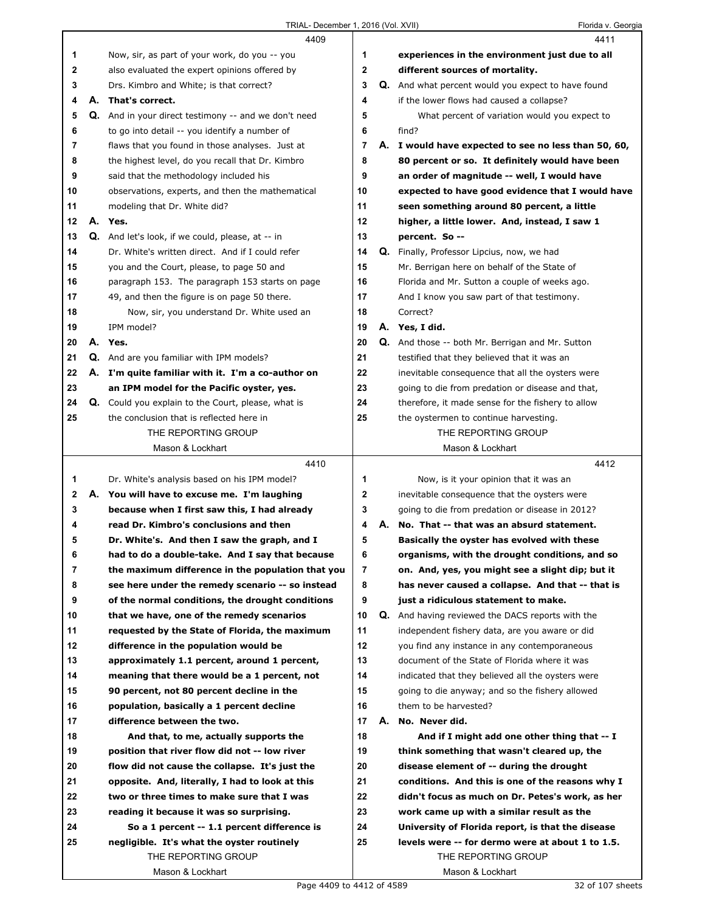|              | 4409                                                                                   |                |    | 4411                                                                                                 |
|--------------|----------------------------------------------------------------------------------------|----------------|----|------------------------------------------------------------------------------------------------------|
| 1            | Now, sir, as part of your work, do you -- you                                          | 1              |    | experiences in the environment just due to all                                                       |
| $\mathbf{2}$ | also evaluated the expert opinions offered by                                          | $\mathbf{2}$   |    | different sources of mortality.                                                                      |
| 3            | Drs. Kimbro and White; is that correct?                                                | 3              |    | Q. And what percent would you expect to have found                                                   |
| 4            | A. That's correct.                                                                     | 4              |    | if the lower flows had caused a collapse?                                                            |
| 5            | Q. And in your direct testimony -- and we don't need                                   | 5              |    | What percent of variation would you expect to                                                        |
| 6            | to go into detail -- you identify a number of                                          | 6              |    | find?                                                                                                |
| 7            | flaws that you found in those analyses. Just at                                        | $\overline{7}$ |    | A. I would have expected to see no less than 50, 60,                                                 |
| 8            | the highest level, do you recall that Dr. Kimbro                                       | 8              |    | 80 percent or so. It definitely would have been                                                      |
| 9            | said that the methodology included his                                                 | 9              |    | an order of magnitude -- well, I would have                                                          |
| 10           | observations, experts, and then the mathematical                                       | 10             |    | expected to have good evidence that I would have                                                     |
| 11           | modeling that Dr. White did?                                                           | 11             |    | seen something around 80 percent, a little                                                           |
| 12           | A. Yes.                                                                                | 12             |    | higher, a little lower. And, instead, I saw 1                                                        |
| 13           | Q. And let's look, if we could, please, at -- in                                       | 13             |    | percent. So --                                                                                       |
| 14           | Dr. White's written direct. And if I could refer                                       | 14             |    | Q. Finally, Professor Lipcius, now, we had                                                           |
| 15           | you and the Court, please, to page 50 and                                              | 15             |    | Mr. Berrigan here on behalf of the State of                                                          |
| 16           | paragraph 153. The paragraph 153 starts on page                                        | 16             |    | Florida and Mr. Sutton a couple of weeks ago.                                                        |
| 17           | 49, and then the figure is on page 50 there.                                           | 17             |    | And I know you saw part of that testimony.                                                           |
| 18           | Now, sir, you understand Dr. White used an                                             | 18             |    | Correct?                                                                                             |
| 19           | IPM model?                                                                             | 19             |    | A. Yes, I did.                                                                                       |
| 20           | A. Yes.                                                                                | 20             |    | <b>Q.</b> And those -- both Mr. Berrigan and Mr. Sutton                                              |
| 21           | <b>Q.</b> And are you familiar with IPM models?                                        | 21             |    | testified that they believed that it was an                                                          |
| 22           | A. I'm quite familiar with it. I'm a co-author on                                      | 22             |    | inevitable consequence that all the oysters were                                                     |
| 23           | an IPM model for the Pacific oyster, yes.                                              | 23             |    | going to die from predation or disease and that,                                                     |
| 24           | Q. Could you explain to the Court, please, what is                                     | 24             |    | therefore, it made sense for the fishery to allow                                                    |
| 25           | the conclusion that is reflected here in                                               | 25             |    | the oystermen to continue harvesting.                                                                |
|              | THE REPORTING GROUP                                                                    |                |    | THE REPORTING GROUP                                                                                  |
|              | Mason & Lockhart                                                                       |                |    | Mason & Lockhart                                                                                     |
|              |                                                                                        |                |    |                                                                                                      |
|              |                                                                                        |                |    |                                                                                                      |
|              | 4410                                                                                   |                |    | 4412                                                                                                 |
| 1            | Dr. White's analysis based on his IPM model?                                           | 1              |    | Now, is it your opinion that it was an                                                               |
| $\mathbf{2}$ | A. You will have to excuse me. I'm laughing                                            | 2              |    | inevitable consequence that the oysters were                                                         |
| 3            | because when I first saw this, I had already                                           | 3              |    | going to die from predation or disease in 2012?                                                      |
| 4            | read Dr. Kimbro's conclusions and then                                                 | 4              | А. | No. That -- that was an absurd statement.                                                            |
| 5            | Dr. White's. And then I saw the graph, and I                                           | 5              |    | Basically the oyster has evolved with these                                                          |
| 6            | had to do a double-take. And I say that because                                        | 6              |    | organisms, with the drought conditions, and so                                                       |
| 7            | the maximum difference in the population that you                                      | 7              |    | on. And, yes, you might see a slight dip; but it                                                     |
| 8            | see here under the remedy scenario -- so instead                                       | 8              |    | has never caused a collapse. And that -- that is                                                     |
| 9            | of the normal conditions, the drought conditions                                       | 9              |    | just a ridiculous statement to make.                                                                 |
| 10           | that we have, one of the remedy scenarios                                              | 10             |    | <b>Q.</b> And having reviewed the DACS reports with the                                              |
| 11           | requested by the State of Florida, the maximum                                         | 11<br>12       |    | independent fishery data, are you aware or did                                                       |
| 12<br>13     | difference in the population would be                                                  | 13             |    | you find any instance in any contemporaneous<br>document of the State of Florida where it was        |
| 14           | approximately 1.1 percent, around 1 percent,                                           | 14             |    |                                                                                                      |
|              | meaning that there would be a 1 percent, not                                           | 15             |    | indicated that they believed all the oysters were<br>going to die anyway; and so the fishery allowed |
| 15<br>16     | 90 percent, not 80 percent decline in the<br>population, basically a 1 percent decline | 16             |    | them to be harvested?                                                                                |
| 17           | difference between the two.                                                            | 17             |    | A. No. Never did.                                                                                    |
| 18           | And that, to me, actually supports the                                                 | 18             |    | And if I might add one other thing that -- I                                                         |
| 19           | position that river flow did not -- low river                                          | 19             |    | think something that wasn't cleared up, the                                                          |
| 20           | flow did not cause the collapse. It's just the                                         | 20             |    | disease element of -- during the drought                                                             |
| 21           | opposite. And, literally, I had to look at this                                        | 21             |    | conditions. And this is one of the reasons why I                                                     |
| 22           | two or three times to make sure that I was                                             | 22             |    | didn't focus as much on Dr. Petes's work, as her                                                     |
| 23           | reading it because it was so surprising.                                               | 23             |    | work came up with a similar result as the                                                            |
| 24           | So a 1 percent -- 1.1 percent difference is                                            | 24             |    | University of Florida report, is that the disease                                                    |
| 25           | negligible. It's what the oyster routinely                                             | 25             |    | levels were -- for dermo were at about 1 to 1.5.                                                     |
|              | THE REPORTING GROUP                                                                    |                |    | THE REPORTING GROUP                                                                                  |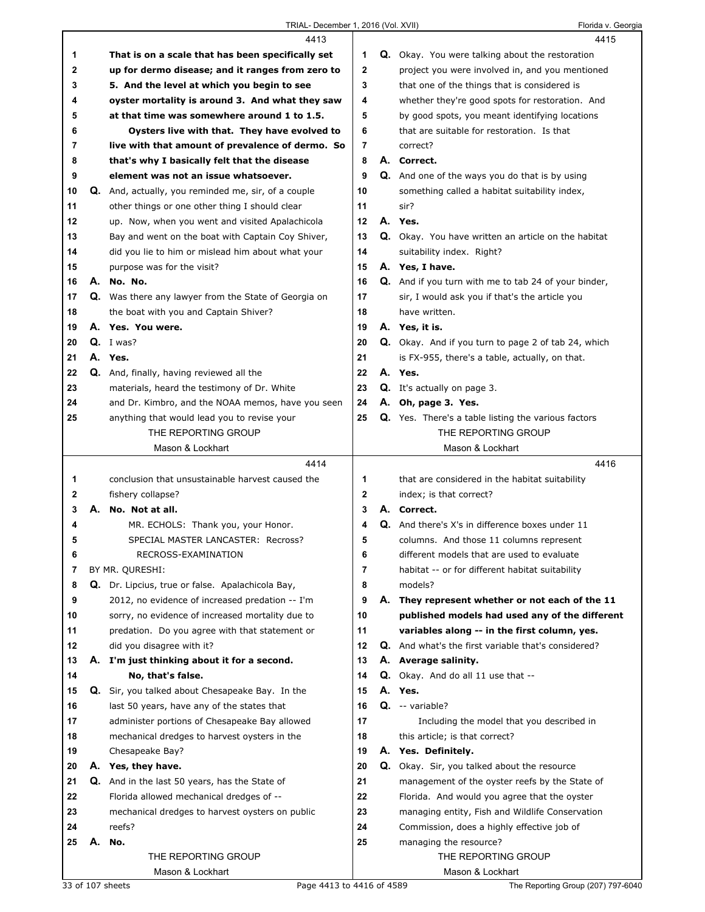|    |    | 4413                                                 |    |    | 4415                                                       |
|----|----|------------------------------------------------------|----|----|------------------------------------------------------------|
| 1  |    | That is on a scale that has been specifically set    | 1  |    | Q. Okay. You were talking about the restoration            |
| 2  |    | up for dermo disease; and it ranges from zero to     | 2  |    | project you were involved in, and you mentioned            |
| 3  |    | 5. And the level at which you begin to see           | 3  |    | that one of the things that is considered is               |
| 4  |    | oyster mortality is around 3. And what they saw      | 4  |    | whether they're good spots for restoration. And            |
| 5  |    | at that time was somewhere around 1 to 1.5.          | 5  |    | by good spots, you meant identifying locations             |
| 6  |    | Oysters live with that. They have evolved to         | 6  |    | that are suitable for restoration. Is that                 |
| 7  |    | live with that amount of prevalence of dermo. So     | 7  |    | correct?                                                   |
| 8  |    | that's why I basically felt that the disease         | 8  |    | A. Correct.                                                |
| 9  |    | element was not an issue whatsoever.                 | 9  |    | <b>Q.</b> And one of the ways you do that is by using      |
| 10 |    | Q. And, actually, you reminded me, sir, of a couple  | 10 |    | something called a habitat suitability index,              |
| 11 |    | other things or one other thing I should clear       | 11 |    | sir?                                                       |
| 12 |    | up. Now, when you went and visited Apalachicola      | 12 |    | A. Yes.                                                    |
| 13 |    | Bay and went on the boat with Captain Coy Shiver,    | 13 |    | Q. Okay. You have written an article on the habitat        |
| 14 |    | did you lie to him or mislead him about what your    | 14 |    | suitability index. Right?                                  |
| 15 |    | purpose was for the visit?                           | 15 |    | A. Yes, I have.                                            |
| 16 |    | A. No. No.                                           | 16 |    | Q. And if you turn with me to tab 24 of your binder,       |
| 17 |    | Q. Was there any lawyer from the State of Georgia on | 17 |    | sir, I would ask you if that's the article you             |
| 18 |    | the boat with you and Captain Shiver?                | 18 |    | have written.                                              |
| 19 |    | A. Yes. You were.                                    | 19 |    | A. Yes, it is.                                             |
| 20 |    | $Q.$ I was?                                          | 20 |    | Q. Okay. And if you turn to page 2 of tab 24, which        |
| 21 |    | A. Yes.                                              | 21 |    | is FX-955, there's a table, actually, on that.             |
| 22 |    | Q. And, finally, having reviewed all the             | 22 |    | A. Yes.                                                    |
| 23 |    | materials, heard the testimony of Dr. White          | 23 |    | <b>Q.</b> It's actually on page 3.                         |
| 24 |    | and Dr. Kimbro, and the NOAA memos, have you seen    | 24 |    | A. Oh, page 3. Yes.                                        |
| 25 |    | anything that would lead you to revise your          | 25 |    | <b>Q.</b> Yes. There's a table listing the various factors |
|    |    | THE REPORTING GROUP                                  |    |    | THE REPORTING GROUP                                        |
|    |    | Mason & Lockhart                                     |    |    | Mason & Lockhart                                           |
|    |    |                                                      |    |    |                                                            |
|    |    |                                                      |    |    |                                                            |
|    |    | 4414                                                 |    |    | 4416                                                       |
| 1  |    | conclusion that unsustainable harvest caused the     | 1  |    | that are considered in the habitat suitability             |
| 2  |    | fishery collapse?                                    | 2  |    | index; is that correct?                                    |
| 3  |    | A. No. Not at all.                                   | 3  |    | A. Correct.                                                |
| 4  |    | MR. ECHOLS: Thank you, your Honor.                   | 4  |    | <b>Q.</b> And there's X's in difference boxes under 11     |
| 5  |    | SPECIAL MASTER LANCASTER: Recross?                   | 5  |    | columns. And those 11 columns represent                    |
| 6  |    | RECROSS-EXAMINATION                                  | 6  |    | different models that are used to evaluate                 |
| 7  |    | BY MR. QURESHI:                                      | 7  |    | habitat -- or for different habitat suitability            |
| 8  |    | Q. Dr. Lipcius, true or false. Apalachicola Bay,     | 8  |    | models?                                                    |
| 9  |    | 2012, no evidence of increased predation -- I'm      | 9  | А. | They represent whether or not each of the 11               |
| 10 |    | sorry, no evidence of increased mortality due to     | 10 |    | published models had used any of the different             |
| 11 |    | predation. Do you agree with that statement or       | 11 |    | variables along -- in the first column, yes.               |
| 12 |    | did you disagree with it?                            | 12 |    | <b>Q.</b> And what's the first variable that's considered? |
| 13 |    | A. I'm just thinking about it for a second.          | 13 |    | A. Average salinity.                                       |
| 14 |    | No, that's false.                                    | 14 |    | <b>Q.</b> Okay. And do all 11 use that --                  |
| 15 | Q. | Sir, you talked about Chesapeake Bay. In the         | 15 |    | A. Yes.                                                    |
| 16 |    | last 50 years, have any of the states that           | 16 |    | Q. -- variable?                                            |
| 17 |    | administer portions of Chesapeake Bay allowed        | 17 |    | Including the model that you described in                  |
| 18 |    | mechanical dredges to harvest oysters in the         | 18 |    | this article; is that correct?                             |
| 19 |    | Chesapeake Bay?                                      | 19 |    | A. Yes. Definitely.                                        |
| 20 |    | A. Yes, they have.                                   | 20 |    | Q. Okay. Sir, you talked about the resource                |
| 21 |    | Q. And in the last 50 years, has the State of        | 21 |    | management of the oyster reefs by the State of             |
| 22 |    | Florida allowed mechanical dredges of --             | 22 |    | Florida. And would you agree that the oyster               |
| 23 |    | mechanical dredges to harvest oysters on public      | 23 |    | managing entity, Fish and Wildlife Conservation            |
| 24 |    | reefs?                                               | 24 |    | Commission, does a highly effective job of                 |
| 25 | А. | No.                                                  | 25 |    | managing the resource?                                     |
|    |    | THE REPORTING GROUP<br>Mason & Lockhart              |    |    | THE REPORTING GROUP<br>Mason & Lockhart                    |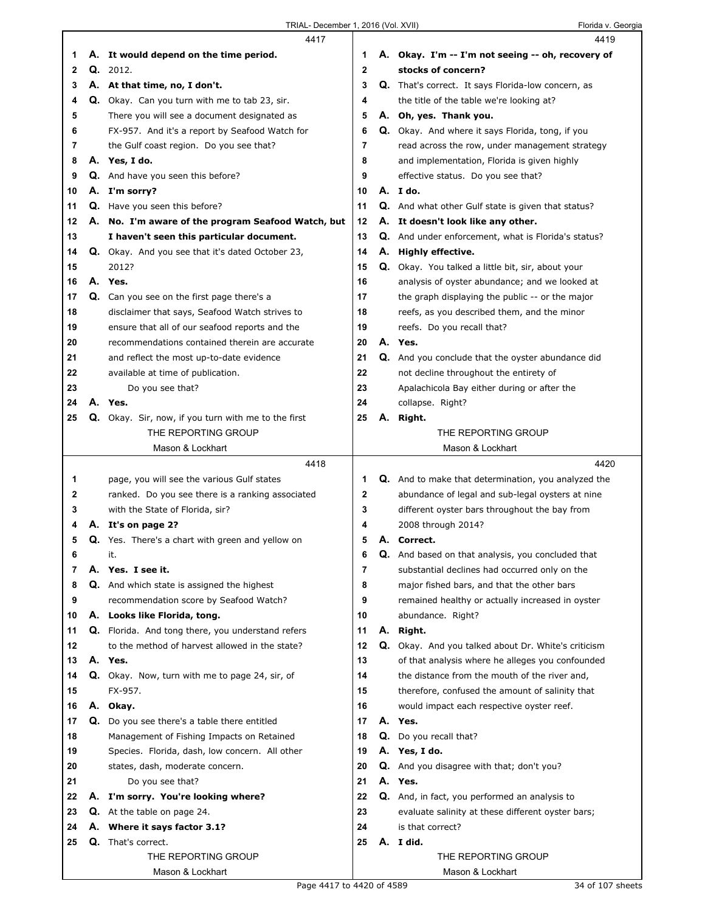|              |    | 4417                                                                          |             |    | 4419                                                                                        |
|--------------|----|-------------------------------------------------------------------------------|-------------|----|---------------------------------------------------------------------------------------------|
| 1            |    | A. It would depend on the time period.                                        | 1           |    | A. Okay. I'm -- I'm not seeing -- oh, recovery of                                           |
| $\mathbf{2}$ |    | Q. 2012.                                                                      | $\mathbf 2$ |    | stocks of concern?                                                                          |
| 3            |    | A. At that time, no, I don't.                                                 | 3           |    | <b>Q.</b> That's correct. It says Florida-low concern, as                                   |
| 4            |    | Q. Okay. Can you turn with me to tab 23, sir.                                 | 4           |    | the title of the table we're looking at?                                                    |
| 5            |    | There you will see a document designated as                                   | 5           |    | A. Oh, yes. Thank you.                                                                      |
| 6            |    | FX-957. And it's a report by Seafood Watch for                                | 6           |    | Q. Okay. And where it says Florida, tong, if you                                            |
| 7            |    | the Gulf coast region. Do you see that?                                       | 7           |    | read across the row, under management strategy                                              |
| 8            |    | A. Yes, I do.                                                                 | 8           |    | and implementation, Florida is given highly                                                 |
| 9            |    | <b>Q.</b> And have you seen this before?                                      | 9           |    | effective status. Do you see that?                                                          |
| 10           |    | A. I'm sorry?                                                                 | 10          |    | A. I do.                                                                                    |
| 11           |    | Q. Have you seen this before?                                                 | 11          |    | Q. And what other Gulf state is given that status?                                          |
| 12           |    | A. No. I'm aware of the program Seafood Watch, but                            | 12          |    | A. It doesn't look like any other.                                                          |
| 13           |    | I haven't seen this particular document.                                      | 13          |    | Q. And under enforcement, what is Florida's status?                                         |
| 14           |    | <b>Q.</b> Okay. And you see that it's dated October 23,                       | 14          |    | A. Highly effective.                                                                        |
| 15           |    | 2012?                                                                         | 15          |    | Q. Okay. You talked a little bit, sir, about your                                           |
| 16           |    | A. Yes.                                                                       | 16          |    | analysis of oyster abundance; and we looked at                                              |
| 17           |    | Q. Can you see on the first page there's a                                    | 17          |    | the graph displaying the public -- or the major                                             |
| 18           |    | disclaimer that says, Seafood Watch strives to                                | 18          |    | reefs, as you described them, and the minor                                                 |
| 19           |    | ensure that all of our seafood reports and the                                | 19          |    | reefs. Do you recall that?                                                                  |
| 20           |    | recommendations contained therein are accurate                                | 20          |    | A. Yes.                                                                                     |
| 21           |    |                                                                               | 21          |    |                                                                                             |
| 22           |    | and reflect the most up-to-date evidence<br>available at time of publication. | 22          |    | Q. And you conclude that the oyster abundance did<br>not decline throughout the entirety of |
|              |    |                                                                               |             |    |                                                                                             |
| 23           |    | Do you see that?<br>A. Yes.                                                   | 23          |    | Apalachicola Bay either during or after the                                                 |
| 24           |    |                                                                               | 24          |    | collapse. Right?                                                                            |
| 25           |    | Q. Okay. Sir, now, if you turn with me to the first<br>THE REPORTING GROUP    | 25          |    | A. Right.<br>THE REPORTING GROUP                                                            |
|              |    | Mason & Lockhart                                                              |             |    | Mason & Lockhart                                                                            |
|              |    |                                                                               |             |    |                                                                                             |
|              |    |                                                                               |             |    |                                                                                             |
|              |    | 4418                                                                          |             |    | 4420                                                                                        |
| 1            |    | page, you will see the various Gulf states                                    | 1           |    | Q. And to make that determination, you analyzed the                                         |
| 2            |    | ranked. Do you see there is a ranking associated                              | $\mathbf 2$ |    | abundance of legal and sub-legal oysters at nine                                            |
| 3            |    | with the State of Florida, sir?                                               | 3           |    | different oyster bars throughout the bay from                                               |
| 4            |    | A. It's on page 2?                                                            | 4           |    | 2008 through 2014?                                                                          |
| 5            |    | Q. Yes. There's a chart with green and yellow on                              | 5           |    | A. Correct.                                                                                 |
| 6            |    | it.                                                                           | 6           | Q. | And based on that analysis, you concluded that                                              |
| 7            |    | A. Yes. I see it.                                                             | 7           |    | substantial declines had occurred only on the                                               |
| 8            |    | Q. And which state is assigned the highest                                    | 8           |    | major fished bars, and that the other bars                                                  |
| 9            |    | recommendation score by Seafood Watch?                                        | 9           |    | remained healthy or actually increased in oyster                                            |
| 10           |    | A. Looks like Florida, tong.                                                  | 10          |    | abundance. Right?                                                                           |
| 11           |    | Q. Florida. And tong there, you understand refers                             | 11          |    | A. Right.                                                                                   |
| 12           |    | to the method of harvest allowed in the state?                                | 12          |    | Q. Okay. And you talked about Dr. White's criticism                                         |
| 13           |    | A. Yes.                                                                       | 13          |    | of that analysis where he alleges you confounded                                            |
| 14           |    | Q. Okay. Now, turn with me to page 24, sir, of                                | 14          |    | the distance from the mouth of the river and,                                               |
| 15           |    | FX-957.                                                                       | 15          |    | therefore, confused the amount of salinity that                                             |
| 16           |    | A. Okay.                                                                      | 16          |    | would impact each respective oyster reef.                                                   |
| 17           | Q. | Do you see there's a table there entitled                                     | 17          |    | A. Yes.                                                                                     |
| 18           |    | Management of Fishing Impacts on Retained                                     | 18          |    | Q. Do you recall that?                                                                      |
| 19           |    | Species. Florida, dash, low concern. All other                                | 19          |    | A. Yes, I do.                                                                               |
| 20           |    | states, dash, moderate concern.                                               | 20          |    | Q. And you disagree with that; don't you?                                                   |
| 21           |    | Do you see that?                                                              | 21          |    | A. Yes.                                                                                     |
| 22           |    | A. I'm sorry. You're looking where?                                           | 22          |    | Q. And, in fact, you performed an analysis to                                               |
| 23           |    | <b>Q.</b> At the table on page 24.                                            | 23          |    | evaluate salinity at these different oyster bars;                                           |
| 24           | А. | Where it says factor 3.1?                                                     | 24          |    | is that correct?                                                                            |
| 25           | Q. | That's correct.                                                               | 25          |    | A. I did.                                                                                   |
|              |    | THE REPORTING GROUP<br>Mason & Lockhart                                       |             |    | THE REPORTING GROUP<br>Mason & Lockhart                                                     |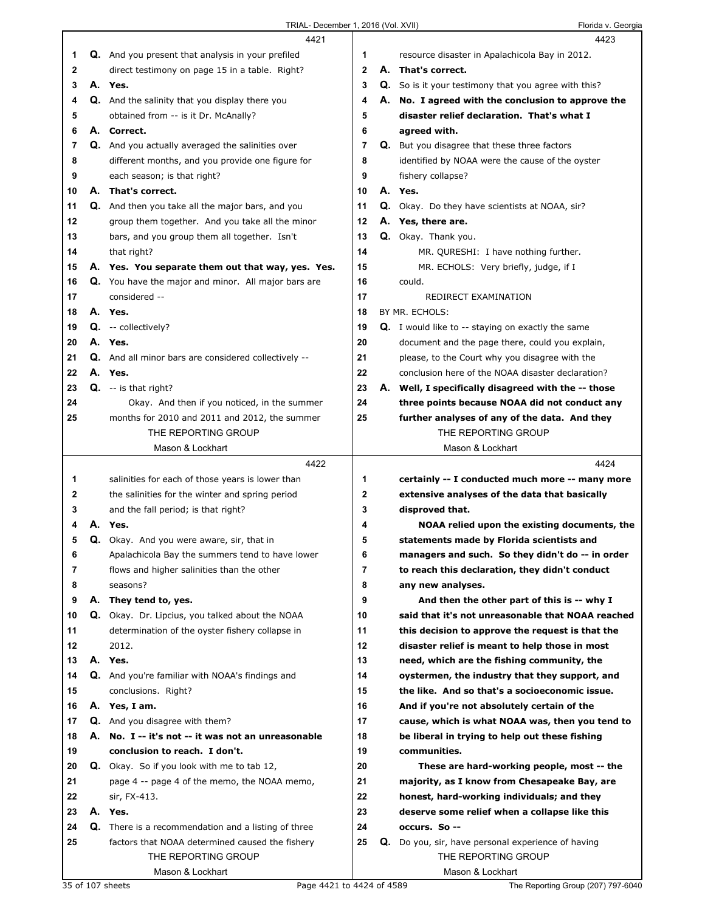|              | 4421                                                                                   |                         | 4423                                                                                      |
|--------------|----------------------------------------------------------------------------------------|-------------------------|-------------------------------------------------------------------------------------------|
| 1            | Q. And you present that analysis in your prefiled                                      | 1                       | resource disaster in Apalachicola Bay in 2012.                                            |
| $\mathbf{2}$ | direct testimony on page 15 in a table. Right?                                         | $\overline{\mathbf{2}}$ | A. That's correct.                                                                        |
| 3            | A. Yes.                                                                                | 3                       | <b>Q.</b> So is it your testimony that you agree with this?                               |
| 4            | Q. And the salinity that you display there you                                         | 4                       | A. No. I agreed with the conclusion to approve the                                        |
| 5            | obtained from -- is it Dr. McAnally?                                                   | 5                       | disaster relief declaration. That's what I                                                |
| 6            | A. Correct.                                                                            | 6                       | agreed with.                                                                              |
| 7            | Q. And you actually averaged the salinities over                                       | 7                       | <b>Q.</b> But you disagree that these three factors                                       |
| 8            | different months, and you provide one figure for                                       | 8                       | identified by NOAA were the cause of the oyster                                           |
| 9            | each season; is that right?                                                            | 9                       | fishery collapse?                                                                         |
| 10           | A. That's correct.                                                                     | 10                      | A. Yes.                                                                                   |
| 11           | Q. And then you take all the major bars, and you                                       | 11                      | <b>Q.</b> Okay. Do they have scientists at NOAA, sir?                                     |
| 12           | group them together. And you take all the minor                                        | 12                      | A. Yes, there are.                                                                        |
| 13           | bars, and you group them all together. Isn't                                           | 13                      | Q. Okay. Thank you.                                                                       |
| 14           | that right?                                                                            | 14                      | MR. QURESHI: I have nothing further.                                                      |
| 15           | A. Yes. You separate them out that way, yes. Yes.                                      | 15                      | MR. ECHOLS: Very briefly, judge, if I                                                     |
| 16           | Q. You have the major and minor. All major bars are                                    | 16                      | could.                                                                                    |
| 17           | considered --                                                                          | 17                      | REDIRECT EXAMINATION                                                                      |
| 18           | A. Yes.                                                                                | 18                      | BY MR. ECHOLS:                                                                            |
| 19           | Q. -- collectively?                                                                    | 19                      | <b>Q.</b> I would like to -- staying on exactly the same                                  |
| 20           | A. Yes.                                                                                | 20                      | document and the page there, could you explain,                                           |
| 21           | <b>Q.</b> And all minor bars are considered collectively --                            | 21                      | please, to the Court why you disagree with the                                            |
| 22           | A. Yes.                                                                                | 22                      | conclusion here of the NOAA disaster declaration?                                         |
| 23           | $Q. - is that right?$                                                                  | 23                      | A. Well, I specifically disagreed with the -- those                                       |
| 24           | Okay. And then if you noticed, in the summer                                           | 24                      | three points because NOAA did not conduct any                                             |
| 25           | months for 2010 and 2011 and 2012, the summer                                          | 25                      | further analyses of any of the data. And they                                             |
|              | THE REPORTING GROUP                                                                    |                         | THE REPORTING GROUP                                                                       |
|              | Mason & Lockhart                                                                       |                         | Mason & Lockhart                                                                          |
|              |                                                                                        |                         |                                                                                           |
|              | 4422                                                                                   |                         | 4424                                                                                      |
| 1            |                                                                                        | 1                       |                                                                                           |
| 2            | salinities for each of those years is lower than                                       |                         | certainly -- I conducted much more -- many more                                           |
| 3            | the salinities for the winter and spring period<br>and the fall period; is that right? | 2<br>3                  | extensive analyses of the data that basically<br>disproved that.                          |
| 4            | A. Yes.                                                                                | 4                       |                                                                                           |
| 5            | Q. Okay. And you were aware, sir, that in                                              | 5                       | NOAA relied upon the existing documents, the<br>statements made by Florida scientists and |
| 6            | Apalachicola Bay the summers tend to have lower                                        | 6                       | managers and such. So they didn't do -- in order                                          |
| 7            | flows and higher salinities than the other                                             | 7                       | to reach this declaration, they didn't conduct                                            |
| 8            | seasons?                                                                               | 8                       | any new analyses.                                                                         |
| 9            | A. They tend to, yes.                                                                  | 9                       | And then the other part of this is -- why I                                               |
| 10           | Q. Okay. Dr. Lipcius, you talked about the NOAA                                        | 10                      | said that it's not unreasonable that NOAA reached                                         |
| 11           | determination of the oyster fishery collapse in                                        | 11                      | this decision to approve the request is that the                                          |
| 12           | 2012.                                                                                  | 12                      | disaster relief is meant to help those in most                                            |
| 13           | A. Yes.                                                                                | 13                      | need, which are the fishing community, the                                                |
| 14           | Q. And you're familiar with NOAA's findings and                                        | 14                      | oystermen, the industry that they support, and                                            |
| 15           | conclusions. Right?                                                                    | 15                      | the like. And so that's a socioeconomic issue.                                            |
| 16           | A. Yes, I am.                                                                          | 16                      | And if you're not absolutely certain of the                                               |
| 17           | Q. And you disagree with them?                                                         | 17                      | cause, which is what NOAA was, then you tend to                                           |
| 18           | A. No. I -- it's not -- it was not an unreasonable                                     | 18                      | be liberal in trying to help out these fishing                                            |
| 19           | conclusion to reach. I don't.                                                          | 19                      | communities.                                                                              |
| 20           | <b>Q.</b> Okay. So if you look with me to tab 12,                                      | 20                      | These are hard-working people, most -- the                                                |
| 21           | page 4 -- page 4 of the memo, the NOAA memo,                                           | 21                      | majority, as I know from Chesapeake Bay, are                                              |
| 22           | sir, FX-413.                                                                           | 22                      | honest, hard-working individuals; and they                                                |
| 23           | A. Yes.                                                                                | 23                      | deserve some relief when a collapse like this                                             |
| 24           | <b>Q.</b> There is a recommendation and a listing of three                             | 24                      | occurs. So --                                                                             |
| 25           | factors that NOAA determined caused the fishery                                        | 25                      | Q. Do you, sir, have personal experience of having                                        |
|              | THE REPORTING GROUP                                                                    |                         | THE REPORTING GROUP                                                                       |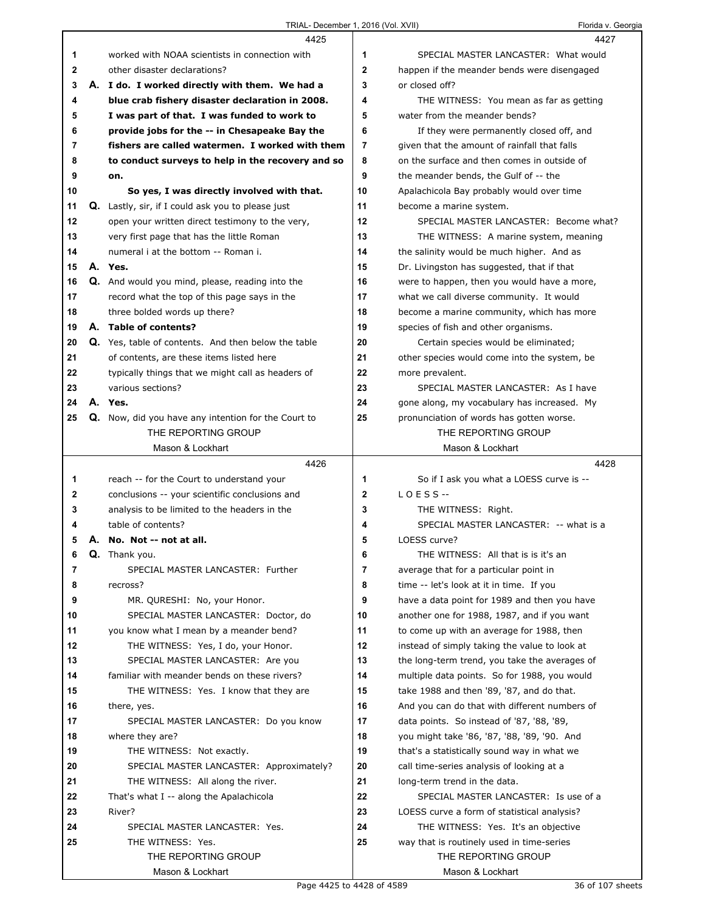|    | 4425                                                       |                | 4427                                          |
|----|------------------------------------------------------------|----------------|-----------------------------------------------|
| 1  | worked with NOAA scientists in connection with             | 1              | SPECIAL MASTER LANCASTER: What would          |
| 2  | other disaster declarations?                               | $\mathbf{2}$   | happen if the meander bends were disengaged   |
| 3  | A. I do. I worked directly with them. We had a             | 3              | or closed off?                                |
| 4  | blue crab fishery disaster declaration in 2008.            | 4              | THE WITNESS: You mean as far as getting       |
| 5  | I was part of that. I was funded to work to                | 5              | water from the meander bends?                 |
| 6  | provide jobs for the -- in Chesapeake Bay the              | 6              | If they were permanently closed off, and      |
| 7  | fishers are called watermen. I worked with them            | $\overline{7}$ | given that the amount of rainfall that falls  |
| 8  | to conduct surveys to help in the recovery and so          | 8              | on the surface and then comes in outside of   |
| 9  | on.                                                        | 9              | the meander bends, the Gulf of -- the         |
| 10 | So yes, I was directly involved with that.                 | 10             | Apalachicola Bay probably would over time     |
| 11 | Q. Lastly, sir, if I could ask you to please just          | 11             | become a marine system.                       |
| 12 | open your written direct testimony to the very,            | 12             | SPECIAL MASTER LANCASTER: Become what?        |
| 13 | very first page that has the little Roman                  | 13             | THE WITNESS: A marine system, meaning         |
| 14 | numeral i at the bottom -- Roman i.                        | 14             | the salinity would be much higher. And as     |
| 15 | A. Yes.                                                    | 15             | Dr. Livingston has suggested, that if that    |
| 16 | Q. And would you mind, please, reading into the            | 16             | were to happen, then you would have a more,   |
| 17 | record what the top of this page says in the               | 17             | what we call diverse community. It would      |
| 18 | three bolded words up there?                               | 18             | become a marine community, which has more     |
| 19 | A. Table of contents?                                      | 19             | species of fish and other organisms.          |
| 20 | Q. Yes, table of contents. And then below the table        | 20             | Certain species would be eliminated;          |
| 21 | of contents, are these items listed here                   | 21             | other species would come into the system, be  |
| 22 | typically things that we might call as headers of          | 22             | more prevalent.                               |
| 23 | various sections?                                          | 23             | SPECIAL MASTER LANCASTER: As I have           |
| 24 | A. Yes.                                                    | 24             | gone along, my vocabulary has increased. My   |
| 25 | <b>Q.</b> Now, did you have any intention for the Court to | 25             | pronunciation of words has gotten worse.      |
|    | THE REPORTING GROUP                                        |                | THE REPORTING GROUP                           |
|    | Mason & Lockhart                                           |                | Mason & Lockhart                              |
|    |                                                            |                |                                               |
|    | 4426                                                       |                | 4428                                          |
| 1  | reach -- for the Court to understand your                  | 1              | So if I ask you what a LOESS curve is --      |
| 2  | conclusions -- your scientific conclusions and             | $\mathbf{2}$   | $LOESS -$                                     |
| 3  | analysis to be limited to the headers in the               | 3              | THE WITNESS: Right.                           |
| 4  | table of contents?                                         | 4              | SPECIAL MASTER LANCASTER: -- what is a        |
| 5  | A. No. Not -- not at all.                                  | 5              | LOESS curve?                                  |
| 6  | Q. Thank you.                                              | 6              | THE WITNESS: All that is is it's an           |
| 7  | SPECIAL MASTER LANCASTER: Further                          | 7              | average that for a particular point in        |
| 8  | recross?                                                   | 8              | time -- let's look at it in time. If you      |
| 9  | MR. QURESHI: No, your Honor.                               | 9              | have a data point for 1989 and then you have  |
| 10 | SPECIAL MASTER LANCASTER: Doctor, do                       | 10             | another one for 1988, 1987, and if you want   |
| 11 | you know what I mean by a meander bend?                    | 11             | to come up with an average for 1988, then     |
| 12 | THE WITNESS: Yes, I do, your Honor.                        | 12             | instead of simply taking the value to look at |
| 13 | SPECIAL MASTER LANCASTER: Are you                          | 13             | the long-term trend, you take the averages of |
| 14 | familiar with meander bends on these rivers?               | 14             | multiple data points. So for 1988, you would  |
| 15 | THE WITNESS: Yes. I know that they are                     | 15             | take 1988 and then '89, '87, and do that.     |
| 16 | there, yes.                                                | 16             | And you can do that with different numbers of |
| 17 | SPECIAL MASTER LANCASTER: Do you know                      | 17             | data points. So instead of '87, '88, '89,     |
| 18 | where they are?                                            | 18             | you might take '86, '87, '88, '89, '90. And   |
| 19 | THE WITNESS: Not exactly.                                  | 19             | that's a statistically sound way in what we   |
| 20 | SPECIAL MASTER LANCASTER: Approximately?                   | 20             | call time-series analysis of looking at a     |
| 21 | THE WITNESS: All along the river.                          | 21             | long-term trend in the data.                  |
| 22 | That's what I -- along the Apalachicola                    | 22             | SPECIAL MASTER LANCASTER: Is use of a         |
| 23 | River?                                                     | 23             | LOESS curve a form of statistical analysis?   |
| 24 | SPECIAL MASTER LANCASTER: Yes.                             | 24             | THE WITNESS: Yes. It's an objective           |
| 25 | THE WITNESS: Yes.                                          | 25             | way that is routinely used in time-series     |
|    | THE REPORTING GROUP                                        |                | THE REPORTING GROUP                           |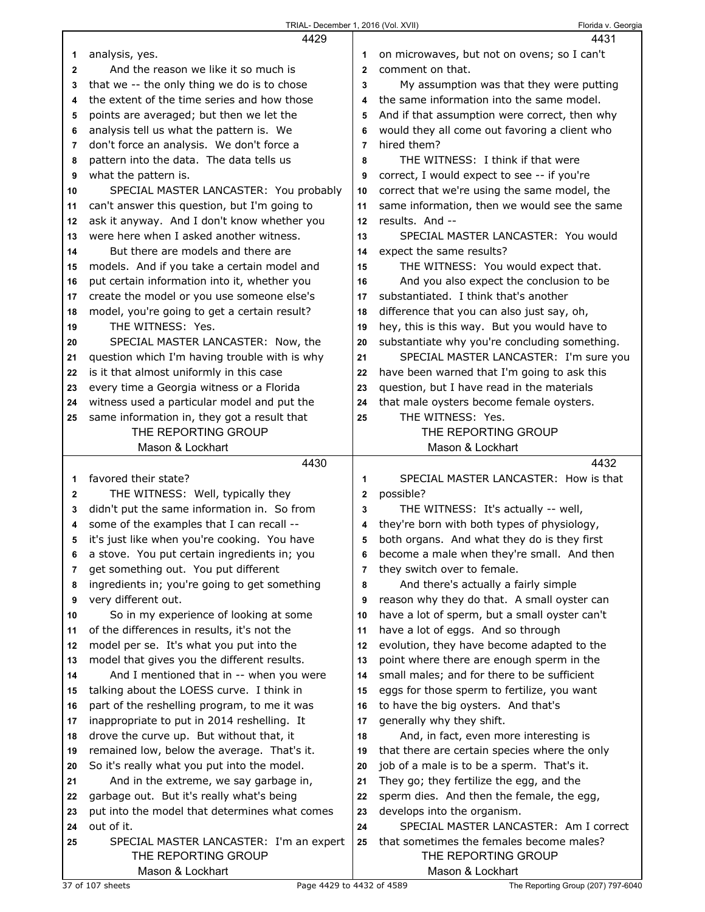|              | 4429                                          |                | 4431                                          |
|--------------|-----------------------------------------------|----------------|-----------------------------------------------|
| 1            | analysis, yes.                                | 1              | on microwaves, but not on ovens; so I can't   |
| $\mathbf{2}$ | And the reason we like it so much is          | $\mathbf{2}$   | comment on that.                              |
| 3            | that we -- the only thing we do is to chose   | 3              | My assumption was that they were putting      |
| 4            | the extent of the time series and how those   | 4              | the same information into the same model.     |
| 5            | points are averaged; but then we let the      | 5              | And if that assumption were correct, then why |
| 6            | analysis tell us what the pattern is. We      | 6              | would they all come out favoring a client who |
| 7            | don't force an analysis. We don't force a     | $\overline{7}$ | hired them?                                   |
| 8            | pattern into the data. The data tells us      | 8              | THE WITNESS: I think if that were             |
| 9            | what the pattern is.                          | 9              | correct, I would expect to see -- if you're   |
| 10           | SPECIAL MASTER LANCASTER: You probably        | 10             | correct that we're using the same model, the  |
| 11           | can't answer this question, but I'm going to  | 11             | same information, then we would see the same  |
| 12           | ask it anyway. And I don't know whether you   | 12             | results. And --                               |
| 13           | were here when I asked another witness.       | 13             | SPECIAL MASTER LANCASTER: You would           |
| 14           | But there are models and there are            | 14             | expect the same results?                      |
| 15           | models. And if you take a certain model and   | 15             | THE WITNESS: You would expect that.           |
| 16           | put certain information into it, whether you  | 16             | And you also expect the conclusion to be      |
| 17           | create the model or you use someone else's    | 17             | substantiated. I think that's another         |
| 18           | model, you're going to get a certain result?  | 18             | difference that you can also just say, oh,    |
| 19           | THE WITNESS: Yes.                             | 19             | hey, this is this way. But you would have to  |
| 20           | SPECIAL MASTER LANCASTER: Now, the            | 20             | substantiate why you're concluding something. |
| 21           | question which I'm having trouble with is why | 21             | SPECIAL MASTER LANCASTER: I'm sure you        |
| 22           | is it that almost uniformly in this case      | 22             | have been warned that I'm going to ask this   |
| 23           | every time a Georgia witness or a Florida     | 23             | question, but I have read in the materials    |
| 24           | witness used a particular model and put the   | 24             | that male oysters become female oysters.      |
| 25           | same information in, they got a result that   | 25             | THE WITNESS: Yes.                             |
|              | THE REPORTING GROUP                           |                | THE REPORTING GROUP                           |
|              | Mason & Lockhart                              |                | Mason & Lockhart                              |
|              |                                               |                |                                               |
|              | 4430                                          |                | 4432                                          |
| 1            | favored their state?                          | 1              | SPECIAL MASTER LANCASTER: How is that         |
| 2            | THE WITNESS: Well, typically they             | $\mathbf 2$    | possible?                                     |
| 3            | didn't put the same information in. So from   | 3              | THE WITNESS: It's actually -- well,           |
| 4            | some of the examples that I can recall --     | 4              | they're born with both types of physiology,   |
| 5            | it's just like when you're cooking. You have  | 5              | both organs. And what they do is they first   |
| 6            | a stove. You put certain ingredients in; you  | 6              | become a male when they're small. And then    |
| 7            | get something out. You put different          | 7              | they switch over to female.                   |
| 8            | ingredients in; you're going to get something | 8              | And there's actually a fairly simple          |
| 9            | very different out.                           | 9              | reason why they do that. A small oyster can   |
| 10           | So in my experience of looking at some        | 10             | have a lot of sperm, but a small oyster can't |
| 11           | of the differences in results, it's not the   | 11             | have a lot of eggs. And so through            |
| 12           | model per se. It's what you put into the      | 12             | evolution, they have become adapted to the    |
| 13           | model that gives you the different results.   | 13             | point where there are enough sperm in the     |
| 14           | And I mentioned that in -- when you were      | 14             | small males; and for there to be sufficient   |
| 15           | talking about the LOESS curve. I think in     | 15             | eggs for those sperm to fertilize, you want   |
| 16           | part of the reshelling program, to me it was  | 16             | to have the big oysters. And that's           |
| 17           | inappropriate to put in 2014 reshelling. It   | 17             | generally why they shift.                     |
| 18           | drove the curve up. But without that, it      | 18             | And, in fact, even more interesting is        |
| 19           | remained low, below the average. That's it.   | 19             | that there are certain species where the only |
| 20           | So it's really what you put into the model.   | 20             | job of a male is to be a sperm. That's it.    |
| 21           | And in the extreme, we say garbage in,        | 21             | They go; they fertilize the egg, and the      |
| 22           | garbage out. But it's really what's being     | 22             | sperm dies. And then the female, the egg,     |
| 23           | put into the model that determines what comes | 23             | develops into the organism.                   |
| 24           | out of it.                                    | 24             | SPECIAL MASTER LANCASTER: Am I correct        |
| 25           | SPECIAL MASTER LANCASTER: I'm an expert       | 25             | that sometimes the females become males?      |
|              | THE REPORTING GROUP<br>Mason & Lockhart       |                | THE REPORTING GROUP<br>Mason & Lockhart       |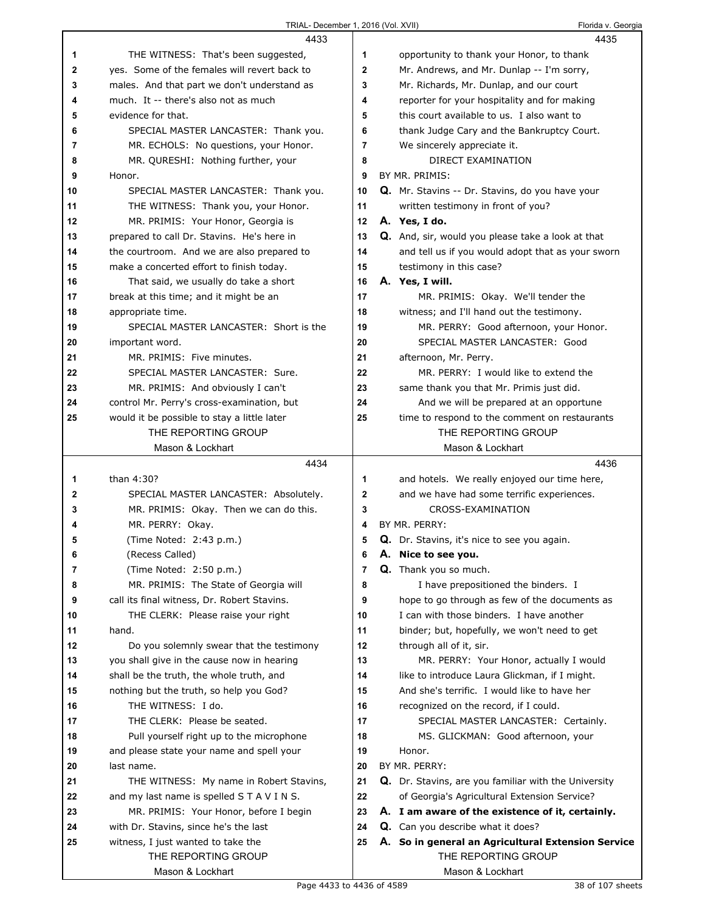|    | 4433                                         |                | 4435                                                 |
|----|----------------------------------------------|----------------|------------------------------------------------------|
| 1  | THE WITNESS: That's been suggested,          | 1              | opportunity to thank your Honor, to thank            |
| 2  | yes. Some of the females will revert back to | $\mathbf{2}$   | Mr. Andrews, and Mr. Dunlap -- I'm sorry,            |
| 3  | males. And that part we don't understand as  | 3              | Mr. Richards, Mr. Dunlap, and our court              |
| 4  | much. It -- there's also not as much         | 4              | reporter for your hospitality and for making         |
| 5  | evidence for that.                           | 5              | this court available to us. I also want to           |
| 6  | SPECIAL MASTER LANCASTER: Thank you.         | 6              | thank Judge Cary and the Bankruptcy Court.           |
| 7  | MR. ECHOLS: No questions, your Honor.        | $\overline{7}$ | We sincerely appreciate it.                          |
| 8  | MR. QURESHI: Nothing further, your           | 8              | DIRECT EXAMINATION                                   |
| 9  | Honor.                                       | 9              | BY MR. PRIMIS:                                       |
| 10 | SPECIAL MASTER LANCASTER: Thank you.         | 10             | Q. Mr. Stavins -- Dr. Stavins, do you have your      |
| 11 | THE WITNESS: Thank you, your Honor.          | 11             | written testimony in front of you?                   |
| 12 | MR. PRIMIS: Your Honor, Georgia is           | 12             | A. Yes, I do.                                        |
| 13 | prepared to call Dr. Stavins. He's here in   | 13             | Q. And, sir, would you please take a look at that    |
| 14 | the courtroom. And we are also prepared to   | 14             | and tell us if you would adopt that as your sworn    |
| 15 | make a concerted effort to finish today.     | 15             | testimony in this case?                              |
| 16 | That said, we usually do take a short        | 16             | A. Yes, I will.                                      |
| 17 | break at this time; and it might be an       | 17             | MR. PRIMIS: Okay. We'll tender the                   |
| 18 | appropriate time.                            | 18             | witness; and I'll hand out the testimony.            |
| 19 | SPECIAL MASTER LANCASTER: Short is the       | 19             | MR. PERRY: Good afternoon, your Honor.               |
| 20 | important word.                              | 20             | SPECIAL MASTER LANCASTER: Good                       |
| 21 | MR. PRIMIS: Five minutes.                    | 21             | afternoon, Mr. Perry.                                |
| 22 | SPECIAL MASTER LANCASTER: Sure.              | 22             | MR. PERRY: I would like to extend the                |
| 23 | MR. PRIMIS: And obviously I can't            | 23             | same thank you that Mr. Primis just did.             |
| 24 | control Mr. Perry's cross-examination, but   | 24             | And we will be prepared at an opportune              |
| 25 | would it be possible to stay a little later  | 25             | time to respond to the comment on restaurants        |
|    | THE REPORTING GROUP                          |                | THE REPORTING GROUP                                  |
|    | Mason & Lockhart                             |                | Mason & Lockhart                                     |
|    |                                              |                |                                                      |
|    | 4434                                         |                | 4436                                                 |
| 1  | than 4:30?                                   | 1              | and hotels. We really enjoyed our time here,         |
| 2  | SPECIAL MASTER LANCASTER: Absolutely.        | $\mathbf{2}$   | and we have had some terrific experiences.           |
| 3  | MR. PRIMIS: Okay. Then we can do this.       | 3              | CROSS-EXAMINATION                                    |
| 4  | MR. PERRY: Okay.                             | 4              | BY MR. PERRY:                                        |
| 5  | (Time Noted: 2:43 p.m.)                      | 5              | Q. Dr. Stavins, it's nice to see you again.          |
| 6  | (Recess Called)                              | 6              | A. Nice to see you.                                  |
| 7  | (Time Noted: 2:50 p.m.)                      | 7              | Q. Thank you so much.                                |
| 8  | MR. PRIMIS: The State of Georgia will        | 8              | I have prepositioned the binders. I                  |
| 9  | call its final witness, Dr. Robert Stavins.  | 9              | hope to go through as few of the documents as        |
| 10 | THE CLERK: Please raise your right           | 10             | I can with those binders. I have another             |
| 11 | hand.                                        | 11             | binder; but, hopefully, we won't need to get         |
| 12 | Do you solemnly swear that the testimony     | 12             | through all of it, sir.                              |
| 13 | you shall give in the cause now in hearing   | 13             | MR. PERRY: Your Honor, actually I would              |
| 14 | shall be the truth, the whole truth, and     | 14             | like to introduce Laura Glickman, if I might.        |
| 15 | nothing but the truth, so help you God?      | 15             | And she's terrific. I would like to have her         |
| 16 | THE WITNESS: I do.                           | 16             | recognized on the record, if I could.                |
| 17 | THE CLERK: Please be seated.                 | 17             | SPECIAL MASTER LANCASTER: Certainly.                 |
| 18 | Pull yourself right up to the microphone     | 18             | MS. GLICKMAN: Good afternoon, your                   |
| 19 | and please state your name and spell your    | 19             | Honor.                                               |
| 20 | last name.                                   | 20             | BY MR. PERRY:                                        |
| 21 | THE WITNESS: My name in Robert Stavins,      | 21             | Q. Dr. Stavins, are you familiar with the University |
| 22 | and my last name is spelled STAVINS.         | 22             | of Georgia's Agricultural Extension Service?         |
| 23 | MR. PRIMIS: Your Honor, before I begin       | 23             | A. I am aware of the existence of it, certainly.     |
| 24 | with Dr. Stavins, since he's the last        | 24             | Q. Can you describe what it does?                    |
| 25 | witness, I just wanted to take the           | 25             | A. So in general an Agricultural Extension Service   |
|    | THE REPORTING GROUP<br>Mason & Lockhart      |                | THE REPORTING GROUP<br>Mason & Lockhart              |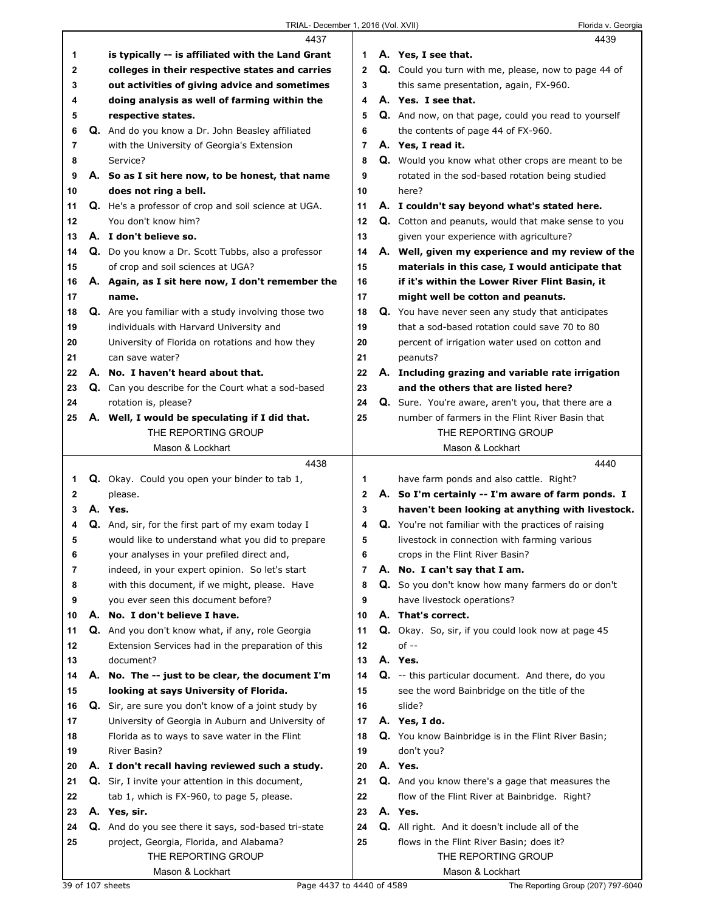|    |    | 4437                                                 |                | 4439                                                 |
|----|----|------------------------------------------------------|----------------|------------------------------------------------------|
| 1  |    | is typically -- is affiliated with the Land Grant    | 1              | A. Yes, I see that.                                  |
| 2  |    | colleges in their respective states and carries      | $\mathbf{2}$   | Q. Could you turn with me, please, now to page 44 of |
| 3  |    | out activities of giving advice and sometimes        | 3              | this same presentation, again, FX-960.               |
| 4  |    | doing analysis as well of farming within the         | 4              | A. Yes. I see that.                                  |
| 5  |    | respective states.                                   | 5              | Q. And now, on that page, could you read to yourself |
| 6  |    | Q. And do you know a Dr. John Beasley affiliated     | 6              | the contents of page 44 of FX-960.                   |
| 7  |    | with the University of Georgia's Extension           | $\overline{7}$ | A. Yes, I read it.                                   |
| 8  |    | Service?                                             | 8              | Q. Would you know what other crops are meant to be   |
| 9  |    | A. So as I sit here now, to be honest, that name     | 9              | rotated in the sod-based rotation being studied      |
| 10 |    | does not ring a bell.                                | 10             | here?                                                |
| 11 |    | Q. He's a professor of crop and soil science at UGA. | 11             | A. I couldn't say beyond what's stated here.         |
| 12 |    | You don't know him?                                  | 12             | Q. Cotton and peanuts, would that make sense to you  |
| 13 |    | A. I don't believe so.                               | 13             | given your experience with agriculture?              |
| 14 |    | Q. Do you know a Dr. Scott Tubbs, also a professor   | 14             | A. Well, given my experience and my review of the    |
| 15 |    |                                                      | 15             | materials in this case, I would anticipate that      |
|    |    | of crop and soil sciences at UGA?                    |                |                                                      |
| 16 |    | A. Again, as I sit here now, I don't remember the    | 16             | if it's within the Lower River Flint Basin, it       |
| 17 |    | name.                                                | 17             | might well be cotton and peanuts.                    |
| 18 |    | Q. Are you familiar with a study involving those two | 18             | Q. You have never seen any study that anticipates    |
| 19 |    | individuals with Harvard University and              | 19             | that a sod-based rotation could save 70 to 80        |
| 20 |    | University of Florida on rotations and how they      | 20             | percent of irrigation water used on cotton and       |
| 21 |    | can save water?                                      | 21             | peanuts?                                             |
| 22 |    | A. No. I haven't heard about that.                   | 22             | A. Including grazing and variable rate irrigation    |
| 23 |    | Q. Can you describe for the Court what a sod-based   | 23             | and the others that are listed here?                 |
| 24 |    | rotation is, please?                                 | 24             | Q. Sure. You're aware, aren't you, that there are a  |
| 25 |    | A. Well, I would be speculating if I did that.       | 25             | number of farmers in the Flint River Basin that      |
|    |    | THE REPORTING GROUP                                  |                | THE REPORTING GROUP                                  |
|    |    | Mason & Lockhart                                     |                |                                                      |
|    |    |                                                      |                | Mason & Lockhart                                     |
|    |    | 4438                                                 |                | 4440                                                 |
| 1  |    | Q. Okay. Could you open your binder to tab 1,        | 1              | have farm ponds and also cattle. Right?              |
| 2  |    | please.                                              | 2              | A. So I'm certainly -- I'm aware of farm ponds. I    |
| 3  |    | A. Yes.                                              | 3              | haven't been looking at anything with livestock.     |
| 4  |    | Q. And, sir, for the first part of my exam today I   | 4              | Q. You're not familiar with the practices of raising |
| 5  |    | would like to understand what you did to prepare     | 5              | livestock in connection with farming various         |
| 6  |    | your analyses in your prefiled direct and,           | 6              | crops in the Flint River Basin?                      |
| 7  |    | indeed, in your expert opinion. So let's start       | 7              | A. No. I can't say that I am.                        |
| 8  |    | with this document, if we might, please. Have        | 8              | Q. So you don't know how many farmers do or don't    |
| 9  |    | you ever seen this document before?                  | 9              | have livestock operations?                           |
| 10 | А. | No. I don't believe I have.                          | 10             | A. That's correct.                                   |
| 11 |    | Q. And you don't know what, if any, role Georgia     | 11             | Q. Okay. So, sir, if you could look now at page 45   |
| 12 |    | Extension Services had in the preparation of this    | 12             | $of -$                                               |
| 13 |    | document?                                            | 13             | A. Yes.                                              |
| 14 |    | A. No. The -- just to be clear, the document I'm     | 14             | Q. -- this particular document. And there, do you    |
| 15 |    | looking at says University of Florida.               | 15             | see the word Bainbridge on the title of the          |
| 16 |    | Q. Sir, are sure you don't know of a joint study by  | 16             | slide?                                               |
| 17 |    | University of Georgia in Auburn and University of    | 17             | A. Yes, I do.                                        |
| 18 |    | Florida as to ways to save water in the Flint        | 18             | Q. You know Bainbridge is in the Flint River Basin;  |
| 19 |    | River Basin?                                         | 19             | don't you?                                           |
| 20 |    | A. I don't recall having reviewed such a study.      | 20             | A. Yes.                                              |
| 21 |    | Q. Sir, I invite your attention in this document,    | 21             | Q. And you know there's a gage that measures the     |
| 22 |    | tab 1, which is FX-960, to page 5, please.           | 22             | flow of the Flint River at Bainbridge. Right?        |
| 23 |    | A. Yes, sir.                                         | 23             | A. Yes.                                              |
| 24 |    | Q. And do you see there it says, sod-based tri-state | 24             | Q. All right. And it doesn't include all of the      |
| 25 |    | project, Georgia, Florida, and Alabama?              | 25             | flows in the Flint River Basin; does it?             |
|    |    | THE REPORTING GROUP<br>Mason & Lockhart              |                | THE REPORTING GROUP<br>Mason & Lockhart              |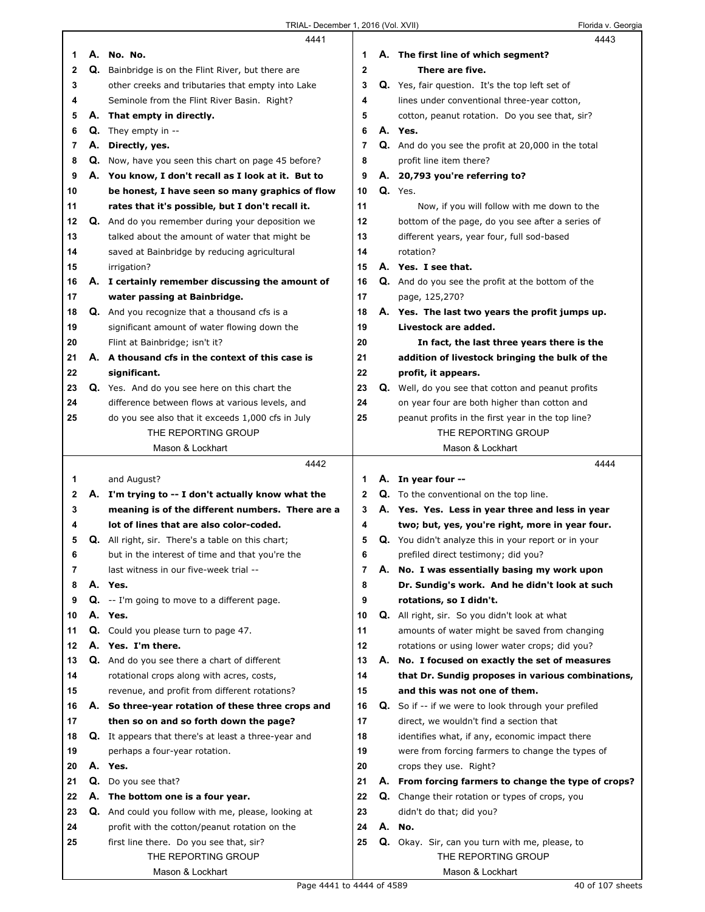|          |    | 4441                                                        |          |    | 4443                                                        |
|----------|----|-------------------------------------------------------------|----------|----|-------------------------------------------------------------|
| 1        |    | A. No. No.                                                  | 1        |    | A. The first line of which segment?                         |
| 2        |    | <b>Q.</b> Bainbridge is on the Flint River, but there are   | 2        |    | There are five.                                             |
| 3        |    | other creeks and tributaries that empty into Lake           | 3        |    | <b>Q.</b> Yes, fair question. It's the top left set of      |
| 4        |    | Seminole from the Flint River Basin. Right?                 | 4        |    | lines under conventional three-year cotton,                 |
| 5        |    | A. That empty in directly.                                  | 5        |    | cotton, peanut rotation. Do you see that, sir?              |
| 6        | Q. | They empty in --                                            | 6        |    | A. Yes.                                                     |
| 7        | А. | Directly, yes.                                              | 7        |    | Q. And do you see the profit at 20,000 in the total         |
| 8        |    | Q. Now, have you seen this chart on page 45 before?         | 8        |    | profit line item there?                                     |
| 9        |    | A. You know, I don't recall as I look at it. But to         | 9        |    | A. 20,793 you're referring to?                              |
| 10       |    | be honest, I have seen so many graphics of flow             | 10       |    | Q. Yes.                                                     |
| 11       |    | rates that it's possible, but I don't recall it.            | 11       |    | Now, if you will follow with me down to the                 |
| 12       |    | <b>Q.</b> And do you remember during your deposition we     | 12       |    | bottom of the page, do you see after a series of            |
| 13       |    | talked about the amount of water that might be              | 13       |    | different years, year four, full sod-based                  |
| 14       |    | saved at Bainbridge by reducing agricultural                | 14       |    | rotation?                                                   |
| 15       |    | irrigation?                                                 | 15       |    | A. Yes. I see that.                                         |
| 16       |    | A. I certainly remember discussing the amount of            | 16       |    | <b>Q.</b> And do you see the profit at the bottom of the    |
| 17       |    | water passing at Bainbridge.                                | 17       |    | page, 125,270?                                              |
| 18       |    | <b>Q.</b> And you recognize that a thousand cfs is a        | 18       |    | A. Yes. The last two years the profit jumps up.             |
| 19       |    | significant amount of water flowing down the                | 19       |    | Livestock are added.                                        |
| 20       |    | Flint at Bainbridge; isn't it?                              | 20       |    | In fact, the last three years there is the                  |
| 21       |    | A. A thousand cfs in the context of this case is            | 21       |    | addition of livestock bringing the bulk of the              |
| 22       |    | significant.                                                | 22       |    | profit, it appears.                                         |
| 23       |    | Q. Yes. And do you see here on this chart the               | 23       |    | Q. Well, do you see that cotton and peanut profits          |
| 24       |    | difference between flows at various levels, and             | 24       |    | on year four are both higher than cotton and                |
| 25       |    | do you see also that it exceeds 1,000 cfs in July           | 25       |    | peanut profits in the first year in the top line?           |
|          |    | THE REPORTING GROUP                                         |          |    | THE REPORTING GROUP                                         |
|          |    | Mason & Lockhart                                            |          |    | Mason & Lockhart                                            |
|          |    |                                                             |          |    |                                                             |
|          |    |                                                             |          |    |                                                             |
|          |    | 4442                                                        |          |    | 4444                                                        |
| 1        |    | and August?                                                 | 1        |    | A. In year four --                                          |
| 2        |    | A. I'm trying to -- I don't actually know what the          | 2        |    | Q. To the conventional on the top line.                     |
| 3        |    | meaning is of the different numbers. There are a            | 3        |    | A. Yes. Yes. Less in year three and less in year            |
| 4        |    | lot of lines that are also color-coded.                     | 4        |    | two; but, yes, you're right, more in year four.             |
| 5        |    | <b>Q.</b> All right, sir. There's a table on this chart;    | 5        |    | Q. You didn't analyze this in your report or in your        |
| 6        |    | but in the interest of time and that you're the             | 6        |    | prefiled direct testimony; did you?                         |
| 7        |    | last witness in our five-week trial --                      | 7        | А. | No. I was essentially basing my work upon                   |
| 8        |    | A. Yes.                                                     | 8        |    | Dr. Sundig's work. And he didn't look at such               |
| 9        | Q. | -- I'm going to move to a different page.                   | 9        |    | rotations, so I didn't.                                     |
| 10       |    | A. Yes.                                                     | 10       |    | Q. All right, sir. So you didn't look at what               |
| 11       |    | Q. Could you please turn to page 47.                        | 11       |    | amounts of water might be saved from changing               |
| 12       | А. | Yes. I'm there.                                             | 12       |    | rotations or using lower water crops; did you?              |
| 13       |    | Q. And do you see there a chart of different                | 13       |    | A. No. I focused on exactly the set of measures             |
| 14       |    | rotational crops along with acres, costs,                   | 14       |    | that Dr. Sundig proposes in various combinations,           |
| 15       |    | revenue, and profit from different rotations?               | 15       |    | and this was not one of them.                               |
| 16       |    | A. So three-year rotation of these three crops and          | 16       |    | <b>Q.</b> So if -- if we were to look through your prefiled |
| 17       |    | then so on and so forth down the page?                      | 17       |    | direct, we wouldn't find a section that                     |
| 18<br>19 |    | <b>Q.</b> It appears that there's at least a three-year and | 18<br>19 |    | identifies what, if any, economic impact there              |
|          |    | perhaps a four-year rotation.                               |          |    | were from forcing farmers to change the types of            |
| 20       |    | A. Yes.                                                     | 20       |    | crops they use. Right?                                      |
| 21       | Q. | Do you see that?                                            | 21       |    | A. From forcing farmers to change the type of crops?        |
| 22       |    | A. The bottom one is a four year.                           | 22       |    | Q. Change their rotation or types of crops, you             |
| 23       |    | Q. And could you follow with me, please, looking at         | 23       |    | didn't do that; did you?                                    |
| 24       |    | profit with the cotton/peanut rotation on the               | 24       |    | A. No.                                                      |
| 25       |    | first line there. Do you see that, sir?                     | 25       |    | Q. Okay. Sir, can you turn with me, please, to              |
|          |    | THE REPORTING GROUP<br>Mason & Lockhart                     |          |    | THE REPORTING GROUP<br>Mason & Lockhart                     |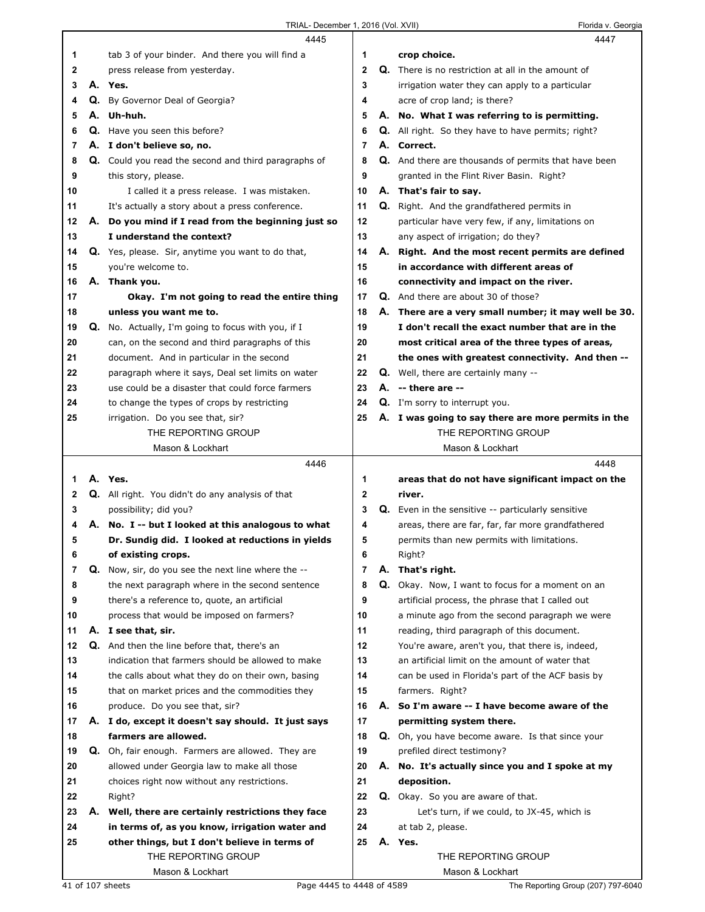|    |    | 4445                                                                                              |              | 4447                                                        |
|----|----|---------------------------------------------------------------------------------------------------|--------------|-------------------------------------------------------------|
| 1. |    | tab 3 of your binder. And there you will find a                                                   | 1            | crop choice.                                                |
| 2  |    | press release from yesterday.                                                                     | $\mathbf{2}$ | <b>Q.</b> There is no restriction at all in the amount of   |
| 3  |    | A. Yes.                                                                                           | 3            | irrigation water they can apply to a particular             |
| 4  | Q. | By Governor Deal of Georgia?                                                                      | 4            | acre of crop land; is there?                                |
| 5  | А. | Uh-huh.                                                                                           | 5            | A. No. What I was referring to is permitting.               |
| 6  |    | <b>Q.</b> Have you seen this before?                                                              | 6            | <b>Q.</b> All right. So they have to have permits; right?   |
| 7  |    | A. I don't believe so, no.                                                                        | 7            | A. Correct.                                                 |
| 8  |    | <b>Q.</b> Could you read the second and third paragraphs of                                       | 8            | <b>Q.</b> And there are thousands of permits that have been |
| 9  |    | this story, please.                                                                               | 9            | granted in the Flint River Basin. Right?                    |
| 10 |    | I called it a press release. I was mistaken.                                                      | 10           | A. That's fair to say.                                      |
| 11 |    | It's actually a story about a press conference.                                                   | 11           | <b>Q.</b> Right. And the grandfathered permits in           |
| 12 |    | A. Do you mind if I read from the beginning just so                                               | 12           | particular have very few, if any, limitations on            |
| 13 |    | I understand the context?                                                                         | 13           | any aspect of irrigation; do they?                          |
| 14 |    | Q. Yes, please. Sir, anytime you want to do that,                                                 | 14           | A. Right. And the most recent permits are defined           |
| 15 |    | you're welcome to.                                                                                | 15           | in accordance with different areas of                       |
|    |    |                                                                                                   | 16           | connectivity and impact on the river.                       |
| 16 |    | A. Thank you.                                                                                     |              |                                                             |
| 17 |    | Okay. I'm not going to read the entire thing                                                      | 17           | <b>Q.</b> And there are about 30 of those?                  |
| 18 |    | unless you want me to.                                                                            | 18           | A. There are a very small number; it may well be 30.        |
| 19 |    | <b>Q.</b> No. Actually, I'm going to focus with you, if I                                         | 19           | I don't recall the exact number that are in the             |
| 20 |    | can, on the second and third paragraphs of this                                                   | 20           | most critical area of the three types of areas,             |
| 21 |    | document. And in particular in the second                                                         | 21           | the ones with greatest connectivity. And then --            |
| 22 |    | paragraph where it says, Deal set limits on water                                                 | 22           | <b>Q.</b> Well, there are certainly many --                 |
| 23 |    | use could be a disaster that could force farmers                                                  | 23           | A. -- there are --                                          |
| 24 |    | to change the types of crops by restricting                                                       | 24           | Q. I'm sorry to interrupt you.                              |
| 25 |    | irrigation. Do you see that, sir?                                                                 | 25           | A. I was going to say there are more permits in the         |
|    |    | THE REPORTING GROUP                                                                               |              | THE REPORTING GROUP                                         |
|    |    | Mason & Lockhart                                                                                  |              | Mason & Lockhart                                            |
|    |    |                                                                                                   |              |                                                             |
|    |    | 4446                                                                                              |              | 4448                                                        |
| 1  |    | A. Yes.                                                                                           | 1            | areas that do not have significant impact on the            |
| 2  |    | Q. All right. You didn't do any analysis of that                                                  | $\mathbf 2$  | river.                                                      |
| 3  |    | possibility; did you?                                                                             | 3            | <b>Q.</b> Even in the sensitive -- particularly sensitive   |
| 4  |    | A. No. I -- but I looked at this analogous to what                                                | 4            | areas, there are far, far, far more grandfathered           |
| 5  |    | Dr. Sundig did. I looked at reductions in yields                                                  | 5            | permits than new permits with limitations.                  |
| 6  |    | of existing crops.                                                                                | 6            | Right?                                                      |
| 7  |    | <b>Q.</b> Now, sir, do you see the next line where the --                                         | 7            | A. That's right.                                            |
| 8  |    | the next paragraph where in the second sentence                                                   | 8            | <b>Q.</b> Okay. Now, I want to focus for a moment on an     |
| 9  |    | there's a reference to, quote, an artificial                                                      | 9            | artificial process, the phrase that I called out            |
| 10 |    | process that would be imposed on farmers?                                                         | 10           | a minute ago from the second paragraph we were              |
| 11 |    | A. I see that, sir.                                                                               | 11           | reading, third paragraph of this document.                  |
| 12 |    |                                                                                                   | 12           | You're aware, aren't you, that there is, indeed,            |
| 13 |    | Q. And then the line before that, there's an<br>indication that farmers should be allowed to make | 13           | an artificial limit on the amount of water that             |
| 14 |    |                                                                                                   | 14           | can be used in Florida's part of the ACF basis by           |
|    |    | the calls about what they do on their own, basing                                                 |              |                                                             |
| 15 |    | that on market prices and the commodities they                                                    | 15           | farmers. Right?                                             |
| 16 |    | produce. Do you see that, sir?                                                                    | 16           | A. So I'm aware -- I have become aware of the               |
| 17 |    | A. I do, except it doesn't say should. It just says                                               | 17           | permitting system there.                                    |
| 18 |    | farmers are allowed.                                                                              | 18           | Q. Oh, you have become aware. Is that since your            |
| 19 |    | <b>Q.</b> Oh, fair enough. Farmers are allowed. They are                                          | 19           | prefiled direct testimony?                                  |
| 20 |    | allowed under Georgia law to make all those                                                       | 20           | A. No. It's actually since you and I spoke at my            |
| 21 |    | choices right now without any restrictions.                                                       | 21           | deposition.                                                 |
| 22 |    | Right?                                                                                            | 22           | Q. Okay. So you are aware of that.                          |
| 23 | А. | Well, there are certainly restrictions they face                                                  | 23           | Let's turn, if we could, to JX-45, which is                 |
| 24 |    | in terms of, as you know, irrigation water and                                                    | 24           | at tab 2, please.                                           |
| 25 |    | other things, but I don't believe in terms of                                                     | 25           | A. Yes.                                                     |
|    |    | THE REPORTING GROUP                                                                               |              | THE REPORTING GROUP                                         |
|    |    | Mason & Lockhart<br>Page 4445 to 4448 of 4589<br>41 of 107 sheets                                 |              | Mason & Lockhart<br>The Reporting Group (207) 797-6040      |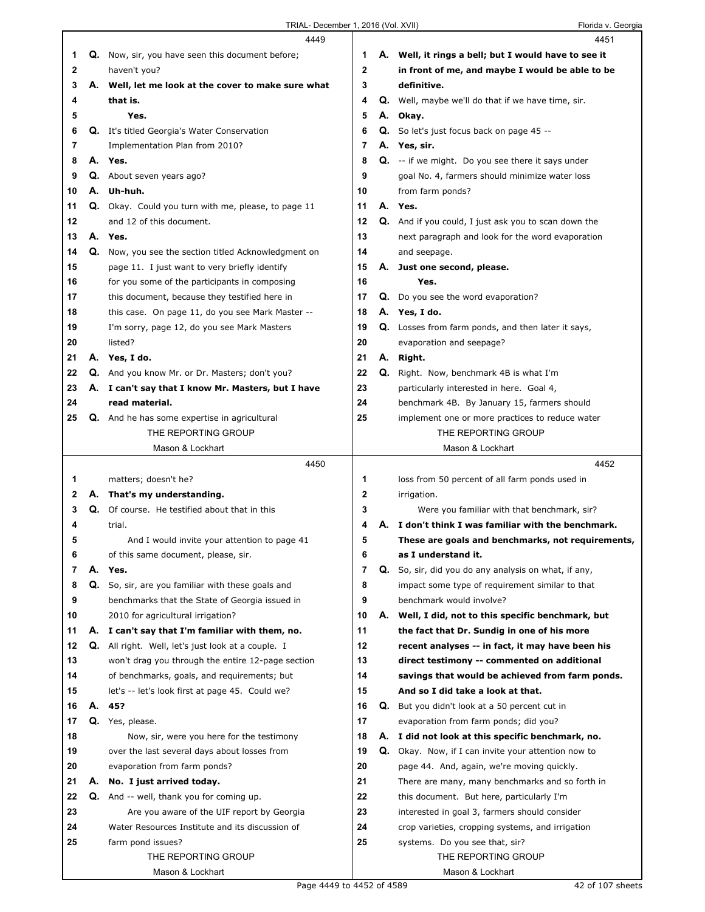|    |    | 4449                                                    |    |    | 4451                                                      |
|----|----|---------------------------------------------------------|----|----|-----------------------------------------------------------|
| 1  |    | <b>Q.</b> Now, sir, you have seen this document before; | 1. |    | A. Well, it rings a bell; but I would have to see it      |
| 2  |    | haven't you?                                            | 2  |    | in front of me, and maybe I would be able to be           |
| 3  |    | A. Well, let me look at the cover to make sure what     | 3  |    | definitive.                                               |
| 4  |    | that is.                                                | 4  |    | Q. Well, maybe we'll do that if we have time, sir.        |
| 5  |    | Yes.                                                    | 5  |    | A. Okay.                                                  |
| 6  |    | Q. It's titled Georgia's Water Conservation             | 6  |    | <b>Q.</b> So let's just focus back on page 45 --          |
| 7  |    | Implementation Plan from 2010?                          | 7  |    | A. Yes, sir.                                              |
| 8  |    | A. Yes.                                                 | 8  |    | $Q.$ -- if we might. Do you see there it says under       |
| 9  |    | Q. About seven years ago?                               | 9  |    | goal No. 4, farmers should minimize water loss            |
| 10 |    | A. Uh-huh.                                              | 10 |    | from farm ponds?                                          |
| 11 |    | Q. Okay. Could you turn with me, please, to page 11     | 11 |    | A. Yes.                                                   |
| 12 |    | and 12 of this document.                                | 12 |    | Q. And if you could, I just ask you to scan down the      |
| 13 |    | A. Yes.                                                 | 13 |    | next paragraph and look for the word evaporation          |
| 14 | Q. | Now, you see the section titled Acknowledgment on       | 14 |    | and seepage.                                              |
| 15 |    | page 11. I just want to very briefly identify           | 15 |    | A. Just one second, please.                               |
| 16 |    | for you some of the participants in composing           | 16 |    | Yes.                                                      |
| 17 |    | this document, because they testified here in           | 17 |    | <b>Q.</b> Do you see the word evaporation?                |
| 18 |    | this case. On page 11, do you see Mark Master --        | 18 |    | A. Yes, I do.                                             |
| 19 |    | I'm sorry, page 12, do you see Mark Masters             | 19 |    | <b>Q.</b> Losses from farm ponds, and then later it says, |
| 20 |    | listed?                                                 | 20 |    | evaporation and seepage?                                  |
| 21 |    | A. Yes, I do.                                           | 21 |    | A. Right.                                                 |
| 22 |    | Q. And you know Mr. or Dr. Masters; don't you?          | 22 |    | Q. Right. Now, benchmark 4B is what I'm                   |
| 23 |    | A. I can't say that I know Mr. Masters, but I have      | 23 |    | particularly interested in here. Goal 4,                  |
| 24 |    | read material.                                          | 24 |    | benchmark 4B. By January 15, farmers should               |
| 25 |    | <b>Q.</b> And he has some expertise in agricultural     | 25 |    | implement one or more practices to reduce water           |
|    |    | THE REPORTING GROUP                                     |    |    | THE REPORTING GROUP                                       |
|    |    | Mason & Lockhart                                        |    |    | Mason & Lockhart                                          |
|    |    |                                                         |    |    |                                                           |
|    |    | 4450                                                    |    |    | 4452                                                      |
| 1  |    | matters; doesn't he?                                    | 1  |    | loss from 50 percent of all farm ponds used in            |
| 2  | А. | That's my understanding.                                | 2  |    | irrigation.                                               |
| 3  | Q. | Of course. He testified about that in this              | 3  |    | Were you familiar with that benchmark, sir?               |
| 4  |    | trial.                                                  | 4  | А. | I don't think I was familiar with the benchmark.          |
| 5  |    | And I would invite your attention to page 41            | 5  |    | These are goals and benchmarks, not requirements,         |
| 6  |    | of this same document, please, sir.                     | 6  |    | as I understand it.                                       |
| 7  | А. | Yes.                                                    | 7  |    | Q. So, sir, did you do any analysis on what, if any,      |
| 8  |    | Q. So, sir, are you familiar with these goals and       | 8  |    | impact some type of requirement similar to that           |
| 9  |    | benchmarks that the State of Georgia issued in          | 9  |    | benchmark would involve?                                  |
| 10 |    | 2010 for agricultural irrigation?                       | 10 |    | A. Well, I did, not to this specific benchmark, but       |
| 11 | А. | I can't say that I'm familiar with them, no.            | 11 |    | the fact that Dr. Sundig in one of his more               |
| 12 | Q. | All right. Well, let's just look at a couple. I         | 12 |    | recent analyses -- in fact, it may have been his          |
| 13 |    | won't drag you through the entire 12-page section       | 13 |    | direct testimony -- commented on additional               |
| 14 |    | of benchmarks, goals, and requirements; but             | 14 |    | savings that would be achieved from farm ponds.           |
| 15 |    | let's -- let's look first at page 45. Could we?         | 15 |    | And so I did take a look at that.                         |
| 16 | А. | 45?                                                     | 16 |    | Q. But you didn't look at a 50 percent cut in             |
| 17 | Q. | Yes, please.                                            | 17 |    | evaporation from farm ponds; did you?                     |
| 18 |    | Now, sir, were you here for the testimony               | 18 |    | A. I did not look at this specific benchmark, no.         |
| 19 |    | over the last several days about losses from            | 19 |    | Q. Okay. Now, if I can invite your attention now to       |
| 20 |    | evaporation from farm ponds?                            | 20 |    | page 44. And, again, we're moving quickly.                |
| 21 | А. | No. I just arrived today.                               | 21 |    | There are many, many benchmarks and so forth in           |
| 22 | Q. | And -- well, thank you for coming up.                   | 22 |    | this document. But here, particularly I'm                 |
| 23 |    | Are you aware of the UIF report by Georgia              | 23 |    | interested in goal 3, farmers should consider             |
| 24 |    | Water Resources Institute and its discussion of         | 24 |    | crop varieties, cropping systems, and irrigation          |
| 25 |    | farm pond issues?                                       | 25 |    | systems. Do you see that, sir?                            |
|    |    | THE REPORTING GROUP<br>Mason & Lockhart                 |    |    | THE REPORTING GROUP<br>Mason & Lockhart                   |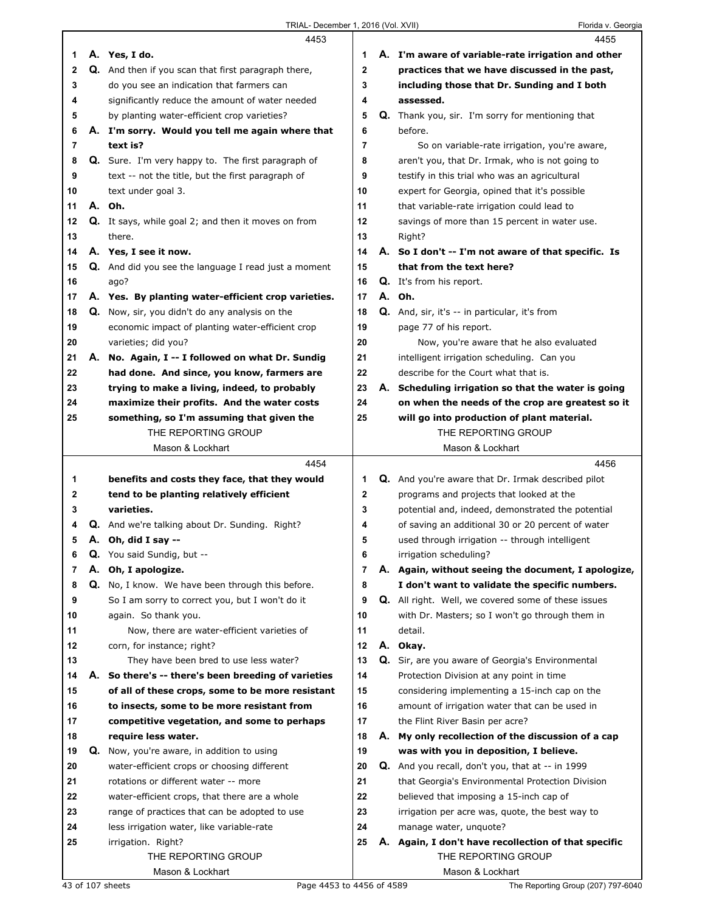|                |    | 4453                                                       |                | 4455                                                      |
|----------------|----|------------------------------------------------------------|----------------|-----------------------------------------------------------|
| 1              |    | A. Yes, I do.                                              | 1              | A. I'm aware of variable-rate irrigation and other        |
| 2              |    | Q. And then if you scan that first paragraph there,        | $\mathbf{2}$   | practices that we have discussed in the past,             |
| 3              |    | do you see an indication that farmers can                  | 3              | including those that Dr. Sunding and I both               |
| 4              |    | significantly reduce the amount of water needed            | 4              | assessed.                                                 |
| 5              |    | by planting water-efficient crop varieties?                | 5              | <b>Q.</b> Thank you, sir. I'm sorry for mentioning that   |
| 6              |    | A. I'm sorry. Would you tell me again where that           | 6              | before.                                                   |
| 7              |    | text is?                                                   | 7              |                                                           |
|                |    |                                                            |                | So on variable-rate irrigation, you're aware,             |
| 8              |    | <b>Q.</b> Sure. I'm very happy to. The first paragraph of  | 8              | aren't you, that Dr. Irmak, who is not going to           |
| 9              |    | text -- not the title, but the first paragraph of          | 9              | testify in this trial who was an agricultural             |
| 10             |    | text under goal 3.                                         | 10             | expert for Georgia, opined that it's possible             |
| 11             |    | A. Oh.                                                     | 11             | that variable-rate irrigation could lead to               |
| 12             |    | <b>Q.</b> It says, while goal 2; and then it moves on from | 12             | savings of more than 15 percent in water use.             |
| 13             |    | there.                                                     | 13             | Right?                                                    |
| 14             |    | A. Yes, I see it now.                                      | 14             | A. So I don't -- I'm not aware of that specific. Is       |
| 15             |    | Q. And did you see the language I read just a moment       | 15             | that from the text here?                                  |
| 16             |    | ago?                                                       | 16             | Q. It's from his report.                                  |
| 17             |    | A. Yes. By planting water-efficient crop varieties.        | 17             | A. Oh.                                                    |
| 18             |    | Q. Now, sir, you didn't do any analysis on the             | 18             | Q. And, sir, it's -- in particular, it's from             |
| 19             |    | economic impact of planting water-efficient crop           | 19             | page 77 of his report.                                    |
| 20             |    | varieties; did you?                                        | 20             | Now, you're aware that he also evaluated                  |
| 21             |    | A. No. Again, I -- I followed on what Dr. Sundig           | 21             | intelligent irrigation scheduling. Can you                |
| 22             |    | had done. And since, you know, farmers are                 | 22             | describe for the Court what that is.                      |
| 23             |    | trying to make a living, indeed, to probably               | 23             | A. Scheduling irrigation so that the water is going       |
| 24             |    | maximize their profits. And the water costs                | 24             | on when the needs of the crop are greatest so it          |
| 25             |    | something, so I'm assuming that given the                  | 25             | will go into production of plant material.                |
|                |    | THE REPORTING GROUP                                        |                | THE REPORTING GROUP                                       |
|                |    |                                                            |                |                                                           |
|                |    | Mason & Lockhart                                           |                | Mason & Lockhart                                          |
|                |    |                                                            |                |                                                           |
|                |    | 4454                                                       |                | 4456                                                      |
| 1              |    | benefits and costs they face, that they would              | 1              | <b>Q.</b> And you're aware that Dr. Irmak described pilot |
| $\mathbf{2}$   |    | tend to be planting relatively efficient                   | 2              | programs and projects that looked at the                  |
| 3              |    | varieties.                                                 | 3              | potential and, indeed, demonstrated the potential         |
| 4              |    | Q. And we're talking about Dr. Sunding. Right?             | 4              | of saving an additional 30 or 20 percent of water         |
| 5              |    | A. Oh, did I say --                                        | 5              | used through irrigation -- through intelligent            |
| 6              | Q. | You said Sundig, but --                                    | 6              | irrigation scheduling?                                    |
| $\overline{7}$ | А. | Oh, I apologize.                                           | $\overline{7}$ | A. Again, without seeing the document, I apologize,       |
| 8              |    | Q. No, I know. We have been through this before.           | 8              | I don't want to validate the specific numbers.            |
| 9              |    | So I am sorry to correct you, but I won't do it            | 9              | Q. All right. Well, we covered some of these issues       |
| 10             |    | again. So thank you.                                       | 10             | with Dr. Masters; so I won't go through them in           |
| 11             |    | Now, there are water-efficient varieties of                | 11             | detail.                                                   |
| 12             |    | corn, for instance; right?                                 | 12             | A. Okay.                                                  |
| 13             |    | They have been bred to use less water?                     | 13             | Q. Sir, are you aware of Georgia's Environmental          |
| 14             | А. | So there's -- there's been breeding of varieties           | 14             | Protection Division at any point in time                  |
| 15             |    | of all of these crops, some to be more resistant           | 15             | considering implementing a 15-inch cap on the             |
| 16             |    | to insects, some to be more resistant from                 | 16             | amount of irrigation water that can be used in            |
| 17             |    | competitive vegetation, and some to perhaps                | 17             | the Flint River Basin per acre?                           |
| 18             |    | require less water.                                        | 18             | A. My only recollection of the discussion of a cap        |
| 19             |    | <b>Q.</b> Now, you're aware, in addition to using          | 19             | was with you in deposition, I believe.                    |
| 20             |    | water-efficient crops or choosing different                | 20             | <b>Q.</b> And you recall, don't you, that at -- in 1999   |
| 21             |    | rotations or different water -- more                       | 21             | that Georgia's Environmental Protection Division          |
|                |    |                                                            |                |                                                           |
| 22             |    | water-efficient crops, that there are a whole              | 22             | believed that imposing a 15-inch cap of                   |
| 23             |    | range of practices that can be adopted to use              | 23             | irrigation per acre was, quote, the best way to           |
| 24             |    | less irrigation water, like variable-rate                  | 24             | manage water, unquote?                                    |
| 25             |    | irrigation. Right?                                         | 25             | A. Again, I don't have recollection of that specific      |
|                |    | THE REPORTING GROUP<br>Mason & Lockhart                    |                | THE REPORTING GROUP<br>Mason & Lockhart                   |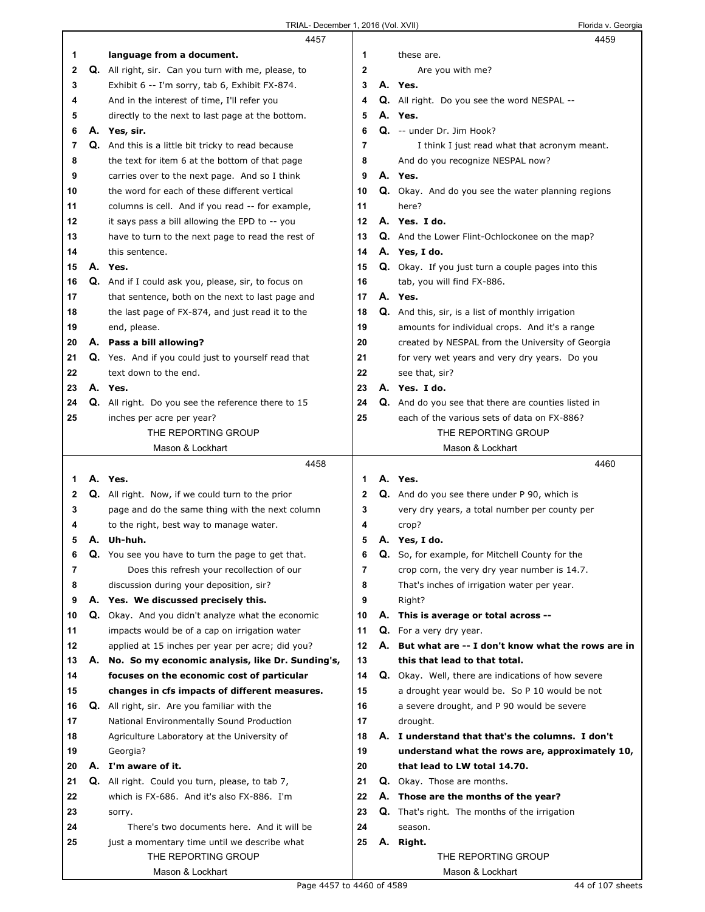|    | 4457                                                       |             |    | 4459                                                     |
|----|------------------------------------------------------------|-------------|----|----------------------------------------------------------|
| 1  | language from a document.                                  | 1           |    | these are.                                               |
| 2  | Q. All right, sir. Can you turn with me, please, to        | $\mathbf 2$ |    | Are you with me?                                         |
| 3  | Exhibit 6 -- I'm sorry, tab 6, Exhibit FX-874.             | 3           |    | A. Yes.                                                  |
| 4  | And in the interest of time, I'll refer you                | 4           |    | <b>Q.</b> All right. Do you see the word NESPAL --       |
| 5  | directly to the next to last page at the bottom.           | 5           |    | A. Yes.                                                  |
| 6  | A. Yes, sir.                                               | 6           |    | Q. -- under Dr. Jim Hook?                                |
| 7  | Q. And this is a little bit tricky to read because         | 7           |    | I think I just read what that acronym meant.             |
| 8  | the text for item 6 at the bottom of that page             | 8           |    | And do you recognize NESPAL now?                         |
|    |                                                            | 9           |    |                                                          |
| 9  | carries over to the next page. And so I think              |             |    | A. Yes.                                                  |
| 10 | the word for each of these different vertical              | 10          |    | Q. Okay. And do you see the water planning regions       |
| 11 | columns is cell. And if you read -- for example,           | 11          |    | here?                                                    |
| 12 | it says pass a bill allowing the EPD to -- you             | 12          |    | A. Yes. I do.                                            |
| 13 | have to turn to the next page to read the rest of          | 13          |    | <b>Q.</b> And the Lower Flint-Ochlockonee on the map?    |
| 14 | this sentence.                                             | 14          |    | A. Yes, I do.                                            |
| 15 | A. Yes.                                                    | 15          |    | Q. Okay. If you just turn a couple pages into this       |
| 16 | <b>Q.</b> And if I could ask you, please, sir, to focus on | 16          |    | tab, you will find FX-886.                               |
| 17 | that sentence, both on the next to last page and           | 17          |    | A. Yes.                                                  |
| 18 | the last page of FX-874, and just read it to the           | 18          |    | <b>Q.</b> And this, sir, is a list of monthly irrigation |
| 19 | end, please.                                               | 19          |    | amounts for individual crops. And it's a range           |
| 20 | A. Pass a bill allowing?                                   | 20          |    | created by NESPAL from the University of Georgia         |
| 21 | Q. Yes. And if you could just to yourself read that        | 21          |    | for very wet years and very dry years. Do you            |
| 22 | text down to the end.                                      | 22          |    | see that, sir?                                           |
| 23 | A. Yes.                                                    | 23          |    | A. Yes. I do.                                            |
| 24 | <b>Q.</b> All right. Do you see the reference there to 15  | 24          |    | Q. And do you see that there are counties listed in      |
| 25 | inches per acre per year?                                  | 25          |    | each of the various sets of data on FX-886?              |
|    | THE REPORTING GROUP                                        |             |    | THE REPORTING GROUP                                      |
|    | Mason & Lockhart                                           |             |    | Mason & Lockhart                                         |
|    |                                                            |             |    |                                                          |
|    |                                                            |             |    |                                                          |
|    | 4458                                                       |             |    | 4460                                                     |
| 1. | A. Yes.                                                    | 1           |    | A. Yes.                                                  |
| 2  | <b>Q.</b> All right. Now, if we could turn to the prior    | 2           |    | <b>Q.</b> And do you see there under P 90, which is      |
| 3  | page and do the same thing with the next column            | 3           |    | very dry years, a total number per county per            |
| 4  | to the right, best way to manage water.                    | 4           |    | crop?                                                    |
| 5  | A. Uh-huh.                                                 | 5           |    | A. Yes, I do.                                            |
| 6  | Q. You see you have to turn the page to get that.          | 6           | Q. | So, for example, for Mitchell County for the             |
| 7  | Does this refresh your recollection of our                 | 7           |    | crop corn, the very dry year number is 14.7.             |
| 8  | discussion during your deposition, sir?                    | 8           |    | That's inches of irrigation water per year.              |
| 9  | A. Yes. We discussed precisely this.                       | 9           |    | Right?                                                   |
| 10 | Q. Okay. And you didn't analyze what the economic          | 10          |    | A. This is average or total across --                    |
| 11 | impacts would be of a cap on irrigation water              | 11          |    | Q. For a very dry year.                                  |
| 12 | applied at 15 inches per year per acre; did you?           | 12          | А. | But what are -- I don't know what the rows are in        |
| 13 | A. No. So my economic analysis, like Dr. Sunding's,        | 13          |    | this that lead to that total.                            |
| 14 | focuses on the economic cost of particular                 | 14          | Q. | Okay. Well, there are indications of how severe          |
| 15 | changes in cfs impacts of different measures.              | 15          |    | a drought year would be. So P 10 would be not            |
| 16 | Q. All right, sir. Are you familiar with the               | 16          |    | a severe drought, and P 90 would be severe               |
| 17 | National Environmentally Sound Production                  | 17          |    | drought.                                                 |
| 18 | Agriculture Laboratory at the University of                | 18          |    | A. I understand that that's the columns. I don't         |
| 19 | Georgia?                                                   | 19          |    | understand what the rows are, approximately 10,          |
| 20 | A. I'm aware of it.                                        | 20          |    | that lead to LW total 14.70.                             |
|    |                                                            |             |    |                                                          |
| 21 | Q. All right. Could you turn, please, to tab 7,            | 21          |    | <b>Q.</b> Okay. Those are months.                        |
| 22 | which is FX-686. And it's also FX-886. I'm                 | 22          |    | A. Those are the months of the year?                     |
| 23 | sorry.                                                     | 23          | Q. | That's right. The months of the irrigation               |
| 24 | There's two documents here. And it will be                 | 24          |    | season.                                                  |
| 25 | just a momentary time until we describe what               | 25          | А. | Right.                                                   |
|    | THE REPORTING GROUP<br>Mason & Lockhart                    |             |    | THE REPORTING GROUP<br>Mason & Lockhart                  |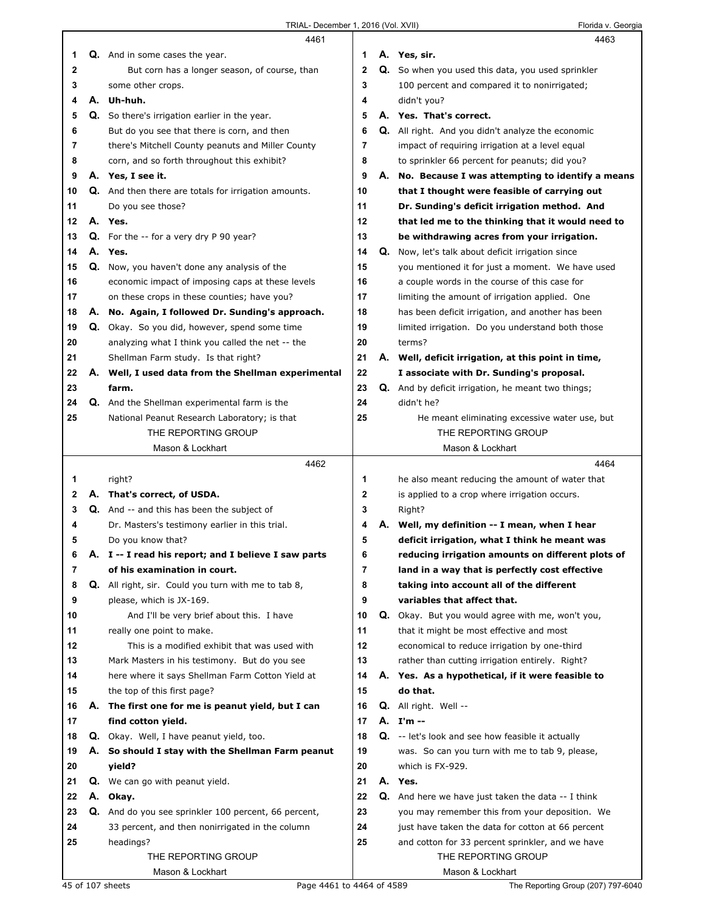|    |    | 4461                                                 |              | 4463                                                |
|----|----|------------------------------------------------------|--------------|-----------------------------------------------------|
| 1  |    | <b>Q.</b> And in some cases the year.                | 1            | A. Yes, sir.                                        |
| 2  |    | But corn has a longer season, of course, than        | $\mathbf{2}$ | Q. So when you used this data, you used sprinkler   |
| 3  |    | some other crops.                                    | 3            | 100 percent and compared it to nonirrigated;        |
| 4  | А. | Uh-huh.                                              | 4            | didn't you?                                         |
| 5  |    | Q. So there's irrigation earlier in the year.        | 5            | A. Yes. That's correct.                             |
| 6  |    | But do you see that there is corn, and then          | 6            | Q. All right. And you didn't analyze the economic   |
|    |    |                                                      | 7            |                                                     |
| 7  |    | there's Mitchell County peanuts and Miller County    |              | impact of requiring irrigation at a level equal     |
| 8  |    | corn, and so forth throughout this exhibit?          | 8            | to sprinkler 66 percent for peanuts; did you?       |
| 9  |    | A. Yes, I see it.                                    | 9            | A. No. Because I was attempting to identify a means |
| 10 |    | Q. And then there are totals for irrigation amounts. | 10           | that I thought were feasible of carrying out        |
| 11 |    | Do you see those?                                    | 11           | Dr. Sunding's deficit irrigation method. And        |
| 12 |    | A. Yes.                                              | 12           | that led me to the thinking that it would need to   |
| 13 |    | <b>Q.</b> For the $-$ for a very dry P 90 year?      | 13           | be withdrawing acres from your irrigation.          |
| 14 |    | A. Yes.                                              | 14           | Q. Now, let's talk about deficit irrigation since   |
| 15 |    | Q. Now, you haven't done any analysis of the         | 15           | you mentioned it for just a moment. We have used    |
| 16 |    | economic impact of imposing caps at these levels     | 16           | a couple words in the course of this case for       |
| 17 |    | on these crops in these counties; have you?          | 17           | limiting the amount of irrigation applied. One      |
| 18 |    | A. No. Again, I followed Dr. Sunding's approach.     | 18           | has been deficit irrigation, and another has been   |
| 19 |    | Q. Okay. So you did, however, spend some time        | 19           | limited irrigation. Do you understand both those    |
| 20 |    | analyzing what I think you called the net -- the     | 20           | terms?                                              |
|    |    |                                                      |              |                                                     |
| 21 |    | Shellman Farm study. Is that right?                  | 21           | A. Well, deficit irrigation, at this point in time, |
| 22 |    | A. Well, I used data from the Shellman experimental  | 22           | I associate with Dr. Sunding's proposal.            |
| 23 |    | farm.                                                | 23           | Q. And by deficit irrigation, he meant two things;  |
| 24 |    | Q. And the Shellman experimental farm is the         | 24           | didn't he?                                          |
| 25 |    | National Peanut Research Laboratory; is that         | 25           | He meant eliminating excessive water use, but       |
|    |    | THE REPORTING GROUP                                  |              | THE REPORTING GROUP                                 |
|    |    | Mason & Lockhart                                     |              | Mason & Lockhart                                    |
|    |    |                                                      |              |                                                     |
|    |    | 4462                                                 |              | 4464                                                |
| 1  |    | right?                                               | 1            | he also meant reducing the amount of water that     |
| 2  |    | A. That's correct, of USDA.                          | 2            | is applied to a crop where irrigation occurs.       |
| 3  |    | Q. And -- and this has been the subject of           | 3            | Right?                                              |
| 4  |    | Dr. Masters's testimony earlier in this trial.       | 4            | A. Well, my definition -- I mean, when I hear       |
| 5  |    |                                                      | 5            |                                                     |
|    |    | Do you know that?                                    |              | deficit irrigation, what I think he meant was       |
| 6  | Α. | I -- I read his report; and I believe I saw parts    | o            | reducing irrigation amounts on different plots of   |
| 7  |    | of his examination in court.                         | 7            | land in a way that is perfectly cost effective      |
| 8  |    | Q. All right, sir. Could you turn with me to tab 8,  | 8            | taking into account all of the different            |
| 9  |    | please, which is JX-169.                             | 9            | variables that affect that.                         |
| 10 |    | And I'll be very brief about this. I have            | 10           | Q. Okay. But you would agree with me, won't you,    |
| 11 |    | really one point to make.                            | 11           | that it might be most effective and most            |
| 12 |    | This is a modified exhibit that was used with        | 12           | economical to reduce irrigation by one-third        |
| 13 |    | Mark Masters in his testimony. But do you see        | 13           | rather than cutting irrigation entirely. Right?     |
| 14 |    | here where it says Shellman Farm Cotton Yield at     | 14           | A. Yes. As a hypothetical, if it were feasible to   |
| 15 |    | the top of this first page?                          | 15           | do that.                                            |
| 16 |    | A. The first one for me is peanut yield, but I can   | 16           | Q. All right. Well --                               |
| 17 |    | find cotton yield.                                   | 17           | A. I'm --                                           |
| 18 |    | <b>Q.</b> Okay. Well, I have peanut yield, too.      | 18           | Q. -- let's look and see how feasible it actually   |
| 19 |    | A. So should I stay with the Shellman Farm peanut    | 19           | was. So can you turn with me to tab 9, please,      |
| 20 |    | yield?                                               | 20           | which is FX-929.                                    |
| 21 |    | Q. We can go with peanut yield.                      | 21           | A. Yes.                                             |
|    |    |                                                      |              |                                                     |
| 22 |    | A. Okay.                                             | 22           | Q. And here we have just taken the data -- I think  |
| 23 |    | Q. And do you see sprinkler 100 percent, 66 percent, | 23           | you may remember this from your deposition. We      |
| 24 |    | 33 percent, and then nonirrigated in the column      | 24           | just have taken the data for cotton at 66 percent   |
| 25 |    | headings?                                            | 25           | and cotton for 33 percent sprinkler, and we have    |
|    |    | THE REPORTING GROUP<br>Mason & Lockhart              |              | THE REPORTING GROUP<br>Mason & Lockhart             |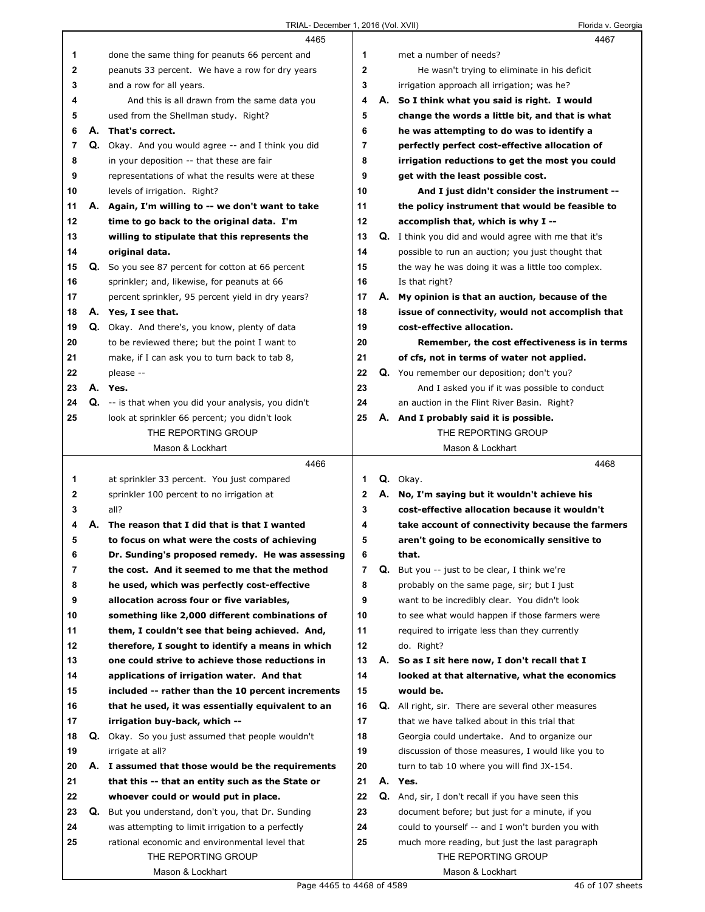|              |    | 4465                                                     |                |    | 4467                                                        |
|--------------|----|----------------------------------------------------------|----------------|----|-------------------------------------------------------------|
| 1            |    | done the same thing for peanuts 66 percent and           | 1              |    | met a number of needs?                                      |
| $\mathbf{2}$ |    | peanuts 33 percent. We have a row for dry years          | $\mathbf{2}$   |    | He wasn't trying to eliminate in his deficit                |
| 3            |    | and a row for all years.                                 | 3              |    | irrigation approach all irrigation; was he?                 |
| 4            |    | And this is all drawn from the same data you             | 4              |    | A. So I think what you said is right. I would               |
| 5            |    | used from the Shellman study. Right?                     | 5              |    | change the words a little bit, and that is what             |
| 6            |    | A. That's correct.                                       | 6              |    | he was attempting to do was to identify a                   |
| 7            |    | Q. Okay. And you would agree -- and I think you did      | 7              |    | perfectly perfect cost-effective allocation of              |
| 8            |    | in your deposition -- that these are fair                | 8              |    | irrigation reductions to get the most you could             |
| 9            |    | representations of what the results were at these        | 9              |    | get with the least possible cost.                           |
| 10           |    | levels of irrigation. Right?                             | 10             |    | And I just didn't consider the instrument --                |
| 11           |    | A. Again, I'm willing to -- we don't want to take        | 11             |    | the policy instrument that would be feasible to             |
| 12           |    | time to go back to the original data. I'm                | 12             |    | accomplish that, which is why I --                          |
| 13           |    | willing to stipulate that this represents the            | 13             |    | <b>Q.</b> I think you did and would agree with me that it's |
| 14           |    | original data.                                           | 14             |    | possible to run an auction; you just thought that           |
| 15           |    | <b>Q.</b> So you see 87 percent for cotton at 66 percent | 15             |    | the way he was doing it was a little too complex.           |
| 16           |    | sprinkler; and, likewise, for peanuts at 66              | 16             |    | Is that right?                                              |
| 17           |    | percent sprinkler, 95 percent yield in dry years?        | 17             |    | A. My opinion is that an auction, because of the            |
| 18           |    | A. Yes, I see that.                                      | 18             |    | issue of connectivity, would not accomplish that            |
| 19           |    | Q. Okay. And there's, you know, plenty of data           | 19             |    | cost-effective allocation.                                  |
| 20           |    | to be reviewed there; but the point I want to            | 20             |    | Remember, the cost effectiveness is in terms                |
| 21           |    | make, if I can ask you to turn back to tab 8,            | 21             |    | of cfs, not in terms of water not applied.                  |
| 22           |    | please --                                                | 22             |    | Q. You remember our deposition; don't you?                  |
| 23           |    | A. Yes.                                                  | 23             |    | And I asked you if it was possible to conduct               |
| 24           |    | Q. -- is that when you did your analysis, you didn't     | 24             |    | an auction in the Flint River Basin. Right?                 |
| 25           |    | look at sprinkler 66 percent; you didn't look            | 25             |    | A. And I probably said it is possible.                      |
|              |    | THE REPORTING GROUP                                      |                |    | THE REPORTING GROUP                                         |
|              |    | Mason & Lockhart                                         |                |    | Mason & Lockhart                                            |
|              |    |                                                          |                |    |                                                             |
|              |    | 4466                                                     |                |    | 4468                                                        |
| 1            |    | at sprinkler 33 percent. You just compared               | 1              |    | Q. Okay.                                                    |
| 2            |    | sprinkler 100 percent to no irrigation at                | 2              |    | A. No, I'm saying but it wouldn't achieve his               |
| 3            |    | all?                                                     | 3              |    | cost-effective allocation because it wouldn't               |
| 4            | А. | The reason that I did that is that I wanted              | 4              |    | take account of connectivity because the farmers            |
| 5            |    | to focus on what were the costs of achieving             | 5              |    | aren't going to be economically sensitive to                |
| 6            |    | Dr. Sunding's proposed remedy. He was assessing          | 6              |    | that.                                                       |
| 7            |    | the cost. And it seemed to me that the method            | $\overline{7}$ | Q. | But you -- just to be clear, I think we're                  |
| 8            |    | he used, which was perfectly cost-effective              | 8              |    | probably on the same page, sir; but I just                  |
| 9            |    | allocation across four or five variables,                | 9              |    | want to be incredibly clear. You didn't look                |
| 10           |    | something like 2,000 different combinations of           | 10             |    | to see what would happen if those farmers were              |
| 11           |    | them, I couldn't see that being achieved. And,           | 11             |    | required to irrigate less than they currently               |
| 12           |    | therefore, I sought to identify a means in which         | 12             |    | do. Right?                                                  |
| 13           |    | one could strive to achieve those reductions in          | 13             | А. | So as I sit here now, I don't recall that I                 |
| 14           |    | applications of irrigation water. And that               | 14             |    | looked at that alternative, what the economics              |
| 15           |    | included -- rather than the 10 percent increments        | 15             |    | would be.                                                   |
| 16           |    | that he used, it was essentially equivalent to an        | 16             |    | <b>Q.</b> All right, sir. There are several other measures  |
| 17           |    | irrigation buy-back, which --                            | 17             |    | that we have talked about in this trial that                |
| 18           |    | <b>Q.</b> Okay. So you just assumed that people wouldn't | 18             |    | Georgia could undertake. And to organize our                |
| 19           |    | irrigate at all?                                         | 19             |    | discussion of those measures, I would like you to           |
| 20           |    | A. I assumed that those would be the requirements        | 20             |    | turn to tab 10 where you will find JX-154.                  |
| 21           |    | that this -- that an entity such as the State or         | 21             |    | A. Yes.                                                     |
| 22           |    | whoever could or would put in place.                     | 22             |    | Q. And, sir, I don't recall if you have seen this           |
| 23           | Q. | But you understand, don't you, that Dr. Sunding          | 23             |    | document before; but just for a minute, if you              |
| 24           |    | was attempting to limit irrigation to a perfectly        | 24             |    | could to yourself -- and I won't burden you with            |
| 25           |    | rational economic and environmental level that           | 25             |    | much more reading, but just the last paragraph              |
|              |    | THE REPORTING GROUP                                      |                |    | THE REPORTING GROUP                                         |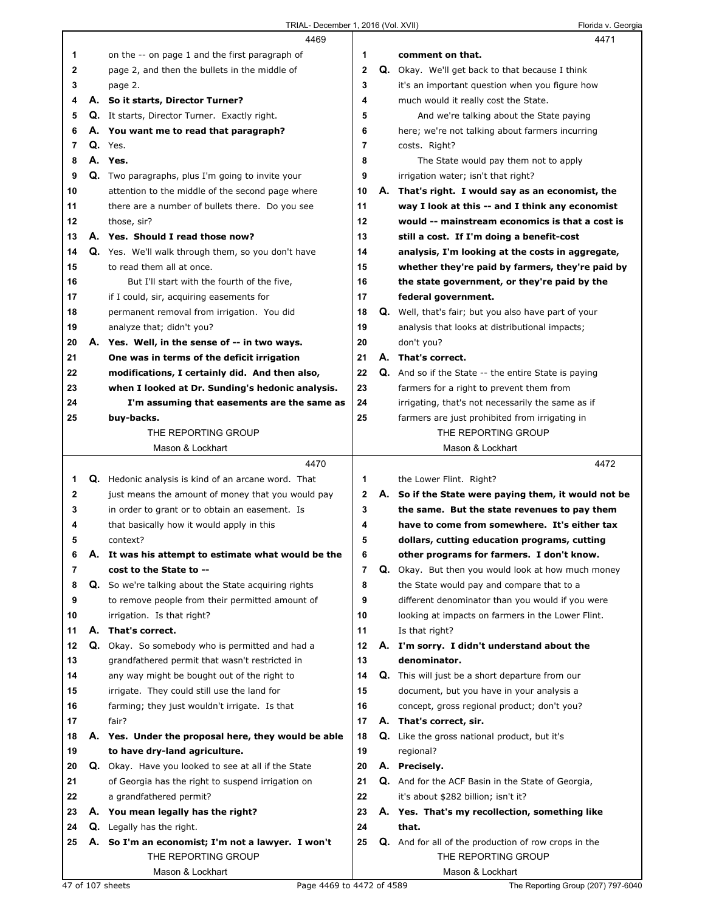|    |    | 4469                                                    |                         | 4471                                                        |
|----|----|---------------------------------------------------------|-------------------------|-------------------------------------------------------------|
| 1  |    | on the -- on page 1 and the first paragraph of          | 1                       | comment on that.                                            |
| 2  |    | page 2, and then the bullets in the middle of           | $\overline{\mathbf{2}}$ | <b>Q.</b> Okay. We'll get back to that because I think      |
| 3  |    | page 2.                                                 | 3                       | it's an important question when you figure how              |
| 4  |    | A. So it starts, Director Turner?                       | 4                       | much would it really cost the State.                        |
| 5  |    | Q. It starts, Director Turner. Exactly right.           | 5                       | And we're talking about the State paying                    |
| 6  |    | A. You want me to read that paragraph?                  | 6                       | here; we're not talking about farmers incurring             |
| 7  |    | $Q.$ Yes.                                               | 7                       | costs. Right?                                               |
| 8  |    | A. Yes.                                                 | 8                       | The State would pay them not to apply                       |
| 9  |    | <b>Q.</b> Two paragraphs, plus I'm going to invite your | 9                       | irrigation water; isn't that right?                         |
| 10 |    | attention to the middle of the second page where        | 10                      | A. That's right. I would say as an economist, the           |
| 11 |    | there are a number of bullets there. Do you see         | 11                      | way I look at this -- and I think any economist             |
| 12 |    | those, sir?                                             | 12                      | would -- mainstream economics is that a cost is             |
| 13 |    | A. Yes. Should I read those now?                        | 13                      | still a cost. If I'm doing a benefit-cost                   |
| 14 |    | Q. Yes. We'll walk through them, so you don't have      | 14                      | analysis, I'm looking at the costs in aggregate,            |
| 15 |    | to read them all at once.                               | 15                      | whether they're paid by farmers, they're paid by            |
| 16 |    | But I'll start with the fourth of the five,             | 16                      | the state government, or they're paid by the                |
| 17 |    | if I could, sir, acquiring easements for                | 17                      | federal government.                                         |
| 18 |    | permanent removal from irrigation. You did              | 18                      | Q. Well, that's fair; but you also have part of your        |
| 19 |    | analyze that; didn't you?                               | 19                      | analysis that looks at distributional impacts;              |
| 20 |    | A. Yes. Well, in the sense of -- in two ways.           | 20                      | don't you?                                                  |
| 21 |    | One was in terms of the deficit irrigation              | 21                      | A. That's correct.                                          |
| 22 |    | modifications, I certainly did. And then also,          | 22                      | <b>Q.</b> And so if the State -- the entire State is paying |
| 23 |    | when I looked at Dr. Sunding's hedonic analysis.        | 23                      | farmers for a right to prevent them from                    |
| 24 |    | I'm assuming that easements are the same as             | 24                      | irrigating, that's not necessarily the same as if           |
| 25 |    | buy-backs.                                              | 25                      | farmers are just prohibited from irrigating in              |
|    |    | THE REPORTING GROUP                                     |                         | THE REPORTING GROUP                                         |
|    |    | Mason & Lockhart                                        |                         | Mason & Lockhart                                            |
|    |    |                                                         |                         |                                                             |
|    |    |                                                         |                         |                                                             |
|    |    | 4470                                                    |                         | 4472                                                        |
| 1  |    | Q. Hedonic analysis is kind of an arcane word. That     | 1                       | the Lower Flint. Right?                                     |
| 2  |    | just means the amount of money that you would pay       | $\mathbf{2}$            | A. So if the State were paying them, it would not be        |
| 3  |    | in order to grant or to obtain an easement. Is          | 3                       | the same. But the state revenues to pay them                |
| 4  |    | that basically how it would apply in this               | 4                       | have to come from somewhere. It's either tax                |
| 5  |    | context?                                                | 5                       | dollars, cutting education programs, cutting                |
| 6  |    | A. It was his attempt to estimate what would be the     | 6                       | other programs for farmers. I don't know.                   |
| 7  |    | cost to the State to --                                 | $\overline{7}$          | Q. Okay. But then you would look at how much money          |
| 8  |    | Q. So we're talking about the State acquiring rights    | 8                       | the State would pay and compare that to a                   |
| 9  |    | to remove people from their permitted amount of         | 9                       | different denominator than you would if you were            |
| 10 |    | irrigation. Is that right?                              | 10                      | looking at impacts on farmers in the Lower Flint.           |
| 11 | А. | That's correct.                                         | 11                      | Is that right?                                              |
| 12 |    | Q. Okay. So somebody who is permitted and had a         | 12                      | A. I'm sorry. I didn't understand about the                 |
| 13 |    | grandfathered permit that wasn't restricted in          | 13                      | denominator.                                                |
| 14 |    | any way might be bought out of the right to             | 14                      | <b>Q.</b> This will just be a short departure from our      |
| 15 |    | irrigate. They could still use the land for             | 15                      | document, but you have in your analysis a                   |
| 16 |    | farming; they just wouldn't irrigate. Is that           | 16                      | concept, gross regional product; don't you?                 |
| 17 |    | fair?                                                   | 17                      | A. That's correct, sir.                                     |
| 18 |    | A. Yes. Under the proposal here, they would be able     | 18                      | <b>Q.</b> Like the gross national product, but it's         |
| 19 |    | to have dry-land agriculture.                           | 19                      | regional?                                                   |
| 20 |    | Q. Okay. Have you looked to see at all if the State     | 20                      | A. Precisely.                                               |
| 21 |    | of Georgia has the right to suspend irrigation on       | 21                      | Q. And for the ACF Basin in the State of Georgia,           |
| 22 |    | a grandfathered permit?                                 | 22                      | it's about \$282 billion; isn't it?                         |
| 23 |    | A. You mean legally has the right?                      | 23                      | A. Yes. That's my recollection, something like              |
| 24 |    | <b>Q.</b> Legally has the right.                        | 24                      | that.                                                       |
| 25 |    | A. So I'm an economist; I'm not a lawyer. I won't       | 25                      | Q. And for all of the production of row crops in the        |
|    |    | THE REPORTING GROUP<br>Mason & Lockhart                 |                         | THE REPORTING GROUP<br>Mason & Lockhart                     |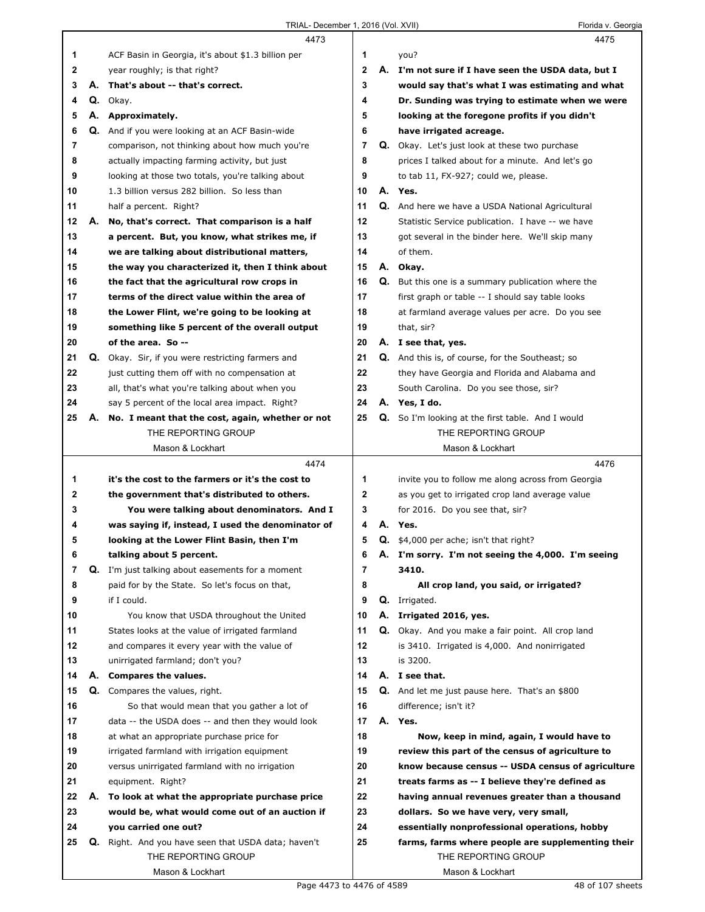|    |    | 4473                                                     |    |    | 4475                                                      |
|----|----|----------------------------------------------------------|----|----|-----------------------------------------------------------|
| 1  |    | ACF Basin in Georgia, it's about \$1.3 billion per       | 1  |    | you?                                                      |
| 2  |    | year roughly; is that right?                             | 2  | А. | I'm not sure if I have seen the USDA data, but I          |
| 3  |    | A. That's about -- that's correct.                       | 3  |    | would say that's what I was estimating and what           |
| 4  |    | Q. Okav.                                                 | 4  |    | Dr. Sunding was trying to estimate when we were           |
| 5  |    | A. Approximately.                                        | 5  |    | looking at the foregone profits if you didn't             |
| 6  |    | Q. And if you were looking at an ACF Basin-wide          | 6  |    | have irrigated acreage.                                   |
| 7  |    | comparison, not thinking about how much you're           | 7  |    | Q. Okay. Let's just look at these two purchase            |
| 8  |    | actually impacting farming activity, but just            | 8  |    | prices I talked about for a minute. And let's go          |
| 9  |    | looking at those two totals, you're talking about        | 9  |    | to tab 11, FX-927; could we, please.                      |
| 10 |    | 1.3 billion versus 282 billion. So less than             | 10 |    | A. Yes.                                                   |
| 11 |    | half a percent. Right?                                   | 11 |    | <b>Q.</b> And here we have a USDA National Agricultural   |
| 12 | А. | No, that's correct. That comparison is a half            | 12 |    | Statistic Service publication. I have -- we have          |
| 13 |    | a percent. But, you know, what strikes me, if            | 13 |    | got several in the binder here. We'll skip many           |
| 14 |    | we are talking about distributional matters,             | 14 |    | of them.                                                  |
| 15 |    | the way you characterized it, then I think about         | 15 |    | A. Okay.                                                  |
| 16 |    | the fact that the agricultural row crops in              | 16 |    | <b>Q.</b> But this one is a summary publication where the |
| 17 |    | terms of the direct value within the area of             | 17 |    | first graph or table -- I should say table looks          |
| 18 |    | the Lower Flint, we're going to be looking at            | 18 |    | at farmland average values per acre. Do you see           |
| 19 |    | something like 5 percent of the overall output           | 19 |    | that, sir?                                                |
| 20 |    | of the area. So --                                       | 20 |    | A. I see that, yes.                                       |
| 21 |    | <b>Q.</b> Okay. Sir, if you were restricting farmers and | 21 |    | Q. And this is, of course, for the Southeast; so          |
| 22 |    | just cutting them off with no compensation at            | 22 |    | they have Georgia and Florida and Alabama and             |
| 23 |    | all, that's what you're talking about when you           | 23 |    | South Carolina. Do you see those, sir?                    |
| 24 |    | say 5 percent of the local area impact. Right?           | 24 |    | A. Yes, I do.                                             |
| 25 | А. | No. I meant that the cost, again, whether or not         | 25 |    | Q. So I'm looking at the first table. And I would         |
|    |    | THE REPORTING GROUP                                      |    |    | THE REPORTING GROUP                                       |
|    |    | Mason & Lockhart                                         |    |    | Mason & Lockhart                                          |
|    |    |                                                          |    |    |                                                           |
|    |    | 4474                                                     |    |    | 4476                                                      |
| 1. |    | it's the cost to the farmers or it's the cost to         | 1  |    | invite you to follow me along across from Georgia         |
| 2  |    | the government that's distributed to others.             | 2  |    | as you get to irrigated crop land average value           |
| 3  |    | You were talking about denominators. And I               | 3  |    | for 2016. Do you see that, sir?                           |
| 4  |    | was saying if, instead, I used the denominator of        | 4  | А. | Yes.                                                      |
| 5  |    | looking at the Lower Flint Basin, then I'm               | 5  |    | $Q.$ \$4,000 per ache; isn't that right?                  |
| 6  |    | talking about 5 percent.                                 | 6  |    | A. I'm sorry. I'm not seeing the 4,000. I'm seeing        |
| 7  |    | <b>Q.</b> I'm just talking about easements for a moment  | 7  |    | 3410.                                                     |
| 8  |    | paid for by the State. So let's focus on that,           | 8  |    | All crop land, you said, or irrigated?                    |
| 9  |    | if I could.                                              | 9  |    | Q. Irrigated.                                             |
| 10 |    | You know that USDA throughout the United                 | 10 |    | A. Irrigated 2016, yes.                                   |
| 11 |    | States looks at the value of irrigated farmland          | 11 |    | Q. Okay. And you make a fair point. All crop land         |
| 12 |    | and compares it every year with the value of             | 12 |    | is 3410. Irrigated is 4,000. And nonirrigated             |
| 13 |    | unirrigated farmland; don't you?                         | 13 |    | is 3200.                                                  |
| 14 |    | A. Compares the values.                                  | 14 |    | A. I see that.                                            |
| 15 | Q. | Compares the values, right.                              | 15 |    | Q. And let me just pause here. That's an \$800            |
| 16 |    | So that would mean that you gather a lot of              | 16 |    | difference; isn't it?                                     |
| 17 |    | data -- the USDA does -- and then they would look        | 17 |    | A. Yes.                                                   |
| 18 |    | at what an appropriate purchase price for                | 18 |    | Now, keep in mind, again, I would have to                 |
| 19 |    | irrigated farmland with irrigation equipment             | 19 |    | review this part of the census of agriculture to          |
| 20 |    | versus unirrigated farmland with no irrigation           | 20 |    | know because census -- USDA census of agriculture         |
| 21 |    | equipment. Right?                                        | 21 |    | treats farms as -- I believe they're defined as           |
| 22 | А. | To look at what the appropriate purchase price           | 22 |    | having annual revenues greater than a thousand            |
| 23 |    | would be, what would come out of an auction if           | 23 |    | dollars. So we have very, very small,                     |
| 24 |    | you carried one out?                                     | 24 |    | essentially nonprofessional operations, hobby             |
| 25 | Q. | Right. And you have seen that USDA data; haven't         | 25 |    | farms, farms where people are supplementing their         |
|    |    | THE REPORTING GROUP                                      |    |    | THE REPORTING GROUP                                       |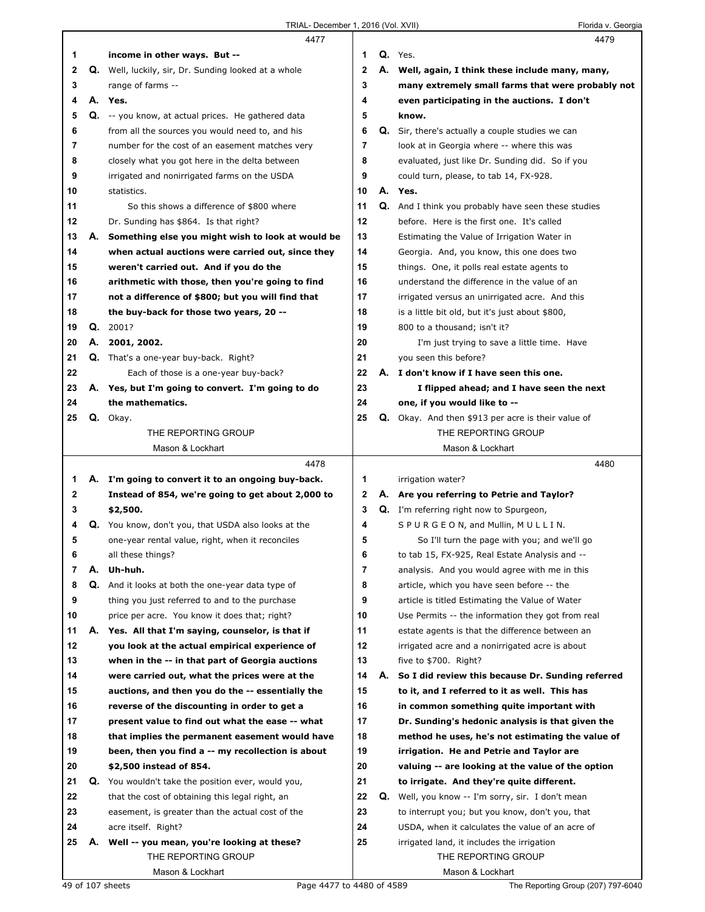|    |    | 4477                                                        |                |    | 4479                                               |
|----|----|-------------------------------------------------------------|----------------|----|----------------------------------------------------|
| 1  |    | income in other ways. But --                                | 1              |    | Q. Yes.                                            |
| 2  |    | <b>Q.</b> Well, luckily, sir, Dr. Sunding looked at a whole | $\mathbf 2$    |    | A. Well, again, I think these include many, many,  |
| 3  |    | range of farms --                                           | 3              |    | many extremely small farms that were probably not  |
| 4  |    | A. Yes.                                                     | 4              |    | even participating in the auctions. I don't        |
| 5  | Q. | -- you know, at actual prices. He gathered data             | 5              |    | know.                                              |
| 6  |    | from all the sources you would need to, and his             | 6              | Q. | Sir, there's actually a couple studies we can      |
| 7  |    | number for the cost of an easement matches very             | 7              |    | look at in Georgia where -- where this was         |
| 8  |    | closely what you got here in the delta between              | 8              |    | evaluated, just like Dr. Sunding did. So if you    |
| 9  |    | irrigated and nonirrigated farms on the USDA                | 9              |    | could turn, please, to tab 14, FX-928.             |
| 10 |    | statistics.                                                 | 10             | А. | Yes.                                               |
| 11 |    | So this shows a difference of \$800 where                   | 11             | Q. | And I think you probably have seen these studies   |
| 12 |    | Dr. Sunding has \$864. Is that right?                       | 12             |    | before. Here is the first one. It's called         |
| 13 | А. | Something else you might wish to look at would be           | 13             |    | Estimating the Value of Irrigation Water in        |
| 14 |    | when actual auctions were carried out, since they           | 14             |    | Georgia. And, you know, this one does two          |
| 15 |    | weren't carried out. And if you do the                      | 15             |    | things. One, it polls real estate agents to        |
| 16 |    | arithmetic with those, then you're going to find            | 16             |    | understand the difference in the value of an       |
| 17 |    | not a difference of \$800; but you will find that           | 17             |    | irrigated versus an unirrigated acre. And this     |
| 18 |    | the buy-back for those two years, 20 --                     | 18             |    | is a little bit old, but it's just about \$800,    |
| 19 | Q. | 2001?                                                       | 19             |    | 800 to a thousand; isn't it?                       |
| 20 | А. | 2001, 2002.                                                 | 20             |    | I'm just trying to save a little time. Have        |
| 21 | Q. | That's a one-year buy-back. Right?                          | 21             |    | you seen this before?                              |
| 22 |    |                                                             | 22             |    | A. I don't know if I have seen this one.           |
|    |    | Each of those is a one-year buy-back?                       |                |    |                                                    |
| 23 |    | A. Yes, but I'm going to convert. I'm going to do           | 23<br>24       |    | I flipped ahead; and I have seen the next          |
| 24 |    | the mathematics.                                            |                |    | one, if you would like to --                       |
| 25 |    | Q. Okay.                                                    | 25             |    | Q. Okay. And then \$913 per acre is their value of |
|    |    | THE REPORTING GROUP                                         |                |    | THE REPORTING GROUP                                |
|    |    | Mason & Lockhart                                            |                |    | Mason & Lockhart                                   |
|    |    |                                                             |                |    |                                                    |
|    |    | 4478                                                        |                |    | 4480                                               |
| 1  |    | A. I'm going to convert it to an ongoing buy-back.          | 1              |    | irrigation water?                                  |
| 2  |    | Instead of 854, we're going to get about 2,000 to           | 2              |    | A. Are you referring to Petrie and Taylor?         |
| 3  |    | \$2,500.                                                    | 3              |    | Q. I'm referring right now to Spurgeon,            |
| 4  |    | <b>Q.</b> You know, don't you, that USDA also looks at the  | 4              |    | SPURGEON, and Mullin, MULLIN.                      |
| 5  |    | one-year rental value, right, when it reconciles            | 5              |    | So I'll turn the page with you; and we'll go       |
|    |    | all these things?                                           | 6              |    | to tab 15, FX-925, Real Estate Analysis and --     |
| 7  | А. | Uh-huh.                                                     | $\overline{7}$ |    | analysis. And you would agree with me in this      |
| 8  | Q. | And it looks at both the one-year data type of              | 8              |    | article, which you have seen before -- the         |
| 9  |    | thing you just referred to and to the purchase              | 9              |    | article is titled Estimating the Value of Water    |
| 10 |    | price per acre. You know it does that; right?               | 10             |    | Use Permits -- the information they got from real  |
| 11 |    | A. Yes. All that I'm saying, counselor, is that if          | 11             |    | estate agents is that the difference between an    |
| 12 |    | you look at the actual empirical experience of              | 12             |    | irrigated acre and a nonirrigated acre is about    |
| 13 |    | when in the -- in that part of Georgia auctions             | 13             |    | five to $$700.$ Right?                             |
| 14 |    | were carried out, what the prices were at the               | 14             | А. | So I did review this because Dr. Sunding referred  |
| 15 |    | auctions, and then you do the -- essentially the            | 15             |    | to it, and I referred to it as well. This has      |
| 16 |    | reverse of the discounting in order to get a                | 16             |    | in common something quite important with           |
| 17 |    | present value to find out what the ease -- what             | 17             |    | Dr. Sunding's hedonic analysis is that given the   |
| 18 |    | that implies the permanent easement would have              | 18             |    | method he uses, he's not estimating the value of   |
| 19 |    | been, then you find a -- my recollection is about           | 19             |    | irrigation. He and Petrie and Taylor are           |
| 20 |    | \$2,500 instead of 854.                                     | 20             |    | valuing -- are looking at the value of the option  |
| 21 |    | Q. You wouldn't take the position ever, would you,          | 21             |    | to irrigate. And they're quite different.          |
| 22 |    | that the cost of obtaining this legal right, an             | 22             |    | Q. Well, you know -- I'm sorry, sir. I don't mean  |
| 23 |    | easement, is greater than the actual cost of the            | 23             |    | to interrupt you; but you know, don't you, that    |
| 24 |    | acre itself. Right?                                         | 24             |    | USDA, when it calculates the value of an acre of   |
| 25 | А. | Well -- you mean, you're looking at these?                  | 25             |    | irrigated land, it includes the irrigation         |
|    |    | THE REPORTING GROUP                                         |                |    | THE REPORTING GROUP                                |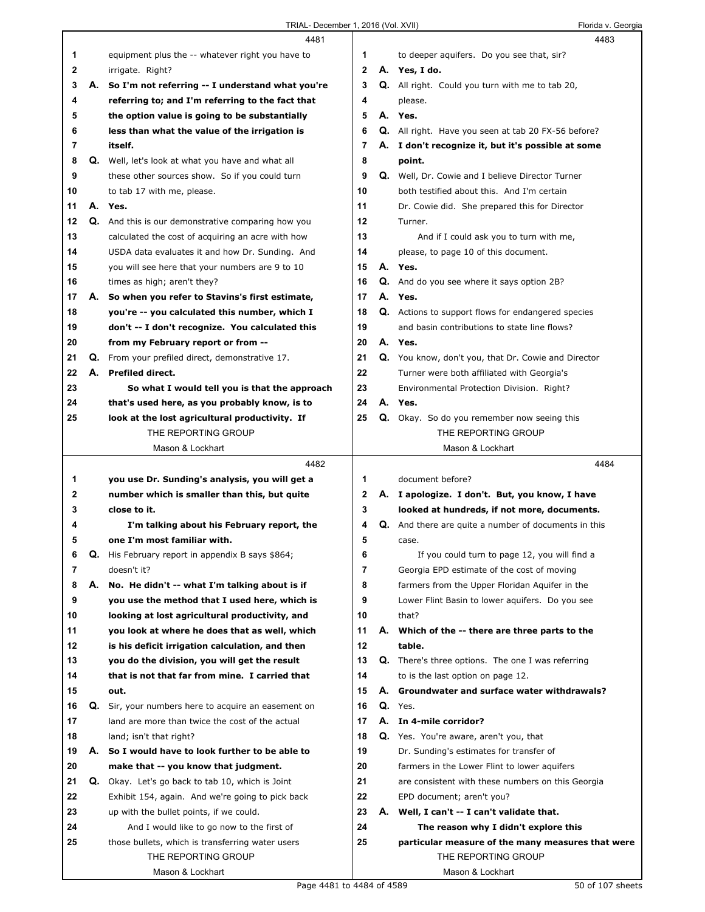|    |    | 4481                                                                    |              | 4483                                                                               |
|----|----|-------------------------------------------------------------------------|--------------|------------------------------------------------------------------------------------|
| 1  |    | equipment plus the -- whatever right you have to                        | 1            | to deeper aquifers. Do you see that, sir?                                          |
| 2  |    | irrigate. Right?                                                        | $\mathbf{2}$ | A. Yes, I do.                                                                      |
| 3  |    | A. So I'm not referring -- I understand what you're                     | 3            | <b>Q.</b> All right. Could you turn with me to tab 20,                             |
| 4  |    | referring to; and I'm referring to the fact that                        | 4            | please.                                                                            |
| 5  |    | the option value is going to be substantially                           | 5            | A. Yes.                                                                            |
| 6  |    | less than what the value of the irrigation is                           | 6            | <b>Q.</b> All right. Have you seen at tab 20 FX-56 before?                         |
| 7  |    | itself.                                                                 | 7            | A. I don't recognize it, but it's possible at some                                 |
| 8  |    | Q. Well, let's look at what you have and what all                       | 8            | point.                                                                             |
| 9  |    | these other sources show. So if you could turn                          | 9            | Q. Well, Dr. Cowie and I believe Director Turner                                   |
| 10 |    | to tab 17 with me, please.                                              | 10           | both testified about this. And I'm certain                                         |
| 11 |    | A. Yes.                                                                 | 11           | Dr. Cowie did. She prepared this for Director                                      |
| 12 |    | Q. And this is our demonstrative comparing how you                      | 12           | Turner.                                                                            |
| 13 |    |                                                                         | 13           |                                                                                    |
|    |    | calculated the cost of acquiring an acre with how                       |              | And if I could ask you to turn with me,                                            |
| 14 |    | USDA data evaluates it and how Dr. Sunding. And                         | 14           | please, to page 10 of this document.                                               |
| 15 |    | you will see here that your numbers are 9 to 10                         | 15           | A. Yes.                                                                            |
| 16 |    | times as high; aren't they?                                             | 16           | Q. And do you see where it says option 2B?                                         |
| 17 |    | A. So when you refer to Stavins's first estimate,                       | 17           | A. Yes.                                                                            |
| 18 |    | you're -- you calculated this number, which I                           | 18           | Q. Actions to support flows for endangered species                                 |
| 19 |    | don't -- I don't recognize. You calculated this                         | 19           | and basin contributions to state line flows?                                       |
| 20 |    | from my February report or from --                                      | 20           | A. Yes.                                                                            |
| 21 |    | Q. From your prefiled direct, demonstrative 17.                         | 21           | Q. You know, don't you, that Dr. Cowie and Director                                |
| 22 | А. | <b>Prefiled direct.</b>                                                 | 22           | Turner were both affiliated with Georgia's                                         |
| 23 |    | So what I would tell you is that the approach                           | 23           | Environmental Protection Division. Right?                                          |
| 24 |    | that's used here, as you probably know, is to                           | 24           | A. Yes.                                                                            |
| 25 |    | look at the lost agricultural productivity. If                          | 25           | Q. Okay. So do you remember now seeing this                                        |
|    |    | THE REPORTING GROUP                                                     |              | THE REPORTING GROUP                                                                |
|    |    | Mason & Lockhart                                                        |              | Mason & Lockhart                                                                   |
|    |    |                                                                         |              |                                                                                    |
|    |    | 4482                                                                    |              | 4484                                                                               |
| 1  |    | you use Dr. Sunding's analysis, you will get a                          | 1            | document before?                                                                   |
| 2  |    | number which is smaller than this, but quite                            | 2            | A. I apologize. I don't. But, you know, I have                                     |
| 3  |    | close to it.                                                            | 3            | looked at hundreds, if not more, documents.                                        |
| 4  |    | I'm talking about his February report, the                              | 4            | Q. And there are quite a number of documents in this                               |
| 5  |    | one I'm most familiar with.                                             | 5            | case.                                                                              |
| 6  | Q. | His February report in appendix B says \$864;                           | 6            | If you could turn to page 12, you will find a                                      |
| 7  |    | doesn't it?                                                             | 7            | Georgia EPD estimate of the cost of moving                                         |
| 8  | А. | No. He didn't -- what I'm talking about is if                           | 8            | farmers from the Upper Floridan Aquifer in the                                     |
| 9  |    | you use the method that I used here, which is                           | 9            | Lower Flint Basin to lower aquifers. Do you see                                    |
| 10 |    | looking at lost agricultural productivity, and                          | 10           | that?                                                                              |
| 11 |    | vou look at where he does that as well, which                           | 11           | A. Which of the -- there are three parts to the                                    |
| 12 |    | is his deficit irrigation calculation, and then                         | 12           | table.                                                                             |
| 13 |    | you do the division, you will get the result                            | 13           | Q. There's three options. The one I was referring                                  |
| 14 |    | that is not that far from mine. I carried that                          | 14           | to is the last option on page 12.                                                  |
| 15 |    | out.                                                                    | 15           | A. Groundwater and surface water withdrawals?                                      |
| 16 |    | Q. Sir, your numbers here to acquire an easement on                     | 16           | Q. Yes.                                                                            |
| 17 |    | land are more than twice the cost of the actual                         | 17           | A. In 4-mile corridor?                                                             |
| 18 |    | land; isn't that right?                                                 | 18           | Q. Yes. You're aware, aren't you, that                                             |
| 19 |    | A. So I would have to look further to be able to                        | 19           | Dr. Sunding's estimates for transfer of                                            |
| 20 |    | make that -- you know that judgment.                                    | 20           | farmers in the Lower Flint to lower aquifers                                       |
| 21 |    | Q. Okay. Let's go back to tab 10, which is Joint                        | 21           | are consistent with these numbers on this Georgia                                  |
| 22 |    | Exhibit 154, again. And we're going to pick back                        | 22           | EPD document; aren't you?                                                          |
| 23 |    | up with the bullet points, if we could.                                 | 23           |                                                                                    |
| 24 |    | And I would like to go now to the first of                              | 24           | A. Well, I can't -- I can't validate that.<br>The reason why I didn't explore this |
|    |    |                                                                         | 25           |                                                                                    |
| 25 |    | those bullets, which is transferring water users<br>THE REPORTING GROUP |              | particular measure of the many measures that were<br>THE REPORTING GROUP           |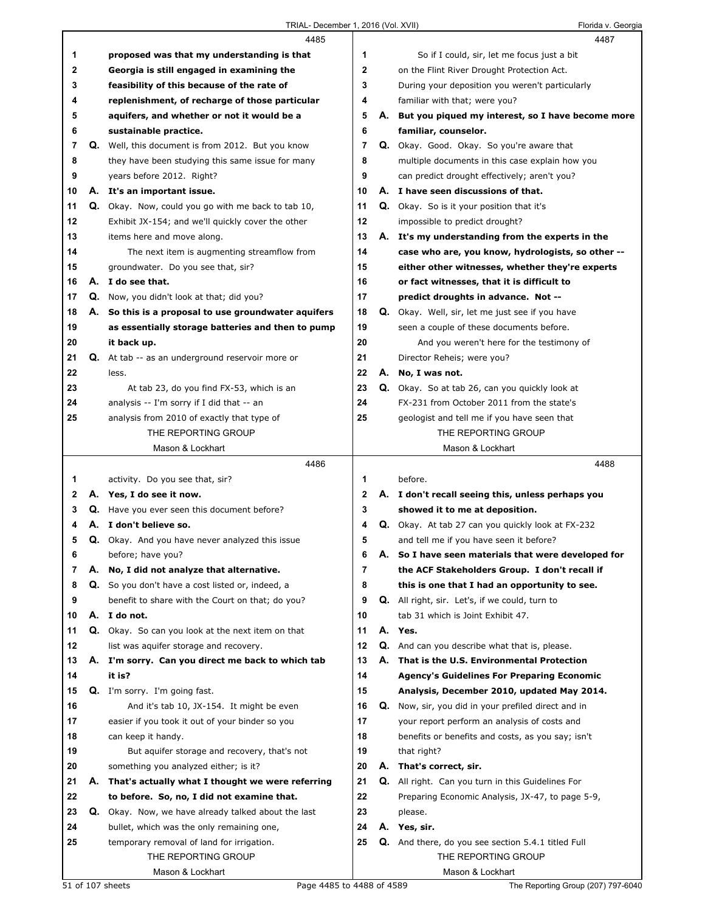|    |    | 4485                                                 |                | 4487                                                  |
|----|----|------------------------------------------------------|----------------|-------------------------------------------------------|
| 1  |    | proposed was that my understanding is that           | 1              | So if I could, sir, let me focus just a bit           |
| 2  |    | Georgia is still engaged in examining the            | 2              | on the Flint River Drought Protection Act.            |
| 3  |    | feasibility of this because of the rate of           | 3              | During your deposition you weren't particularly       |
| 4  |    | replenishment, of recharge of those particular       | 4              | familiar with that; were you?                         |
| 5  |    | aquifers, and whether or not it would be a           | 5              | A. But you piqued my interest, so I have become more  |
| 6  |    | sustainable practice.                                | 6              | familiar, counselor.                                  |
| 7  |    | Q. Well, this document is from 2012. But you know    | $\overline{7}$ | Q. Okay. Good. Okay. So you're aware that             |
| 8  |    | they have been studying this same issue for many     | 8              | multiple documents in this case explain how you       |
| 9  |    | years before 2012. Right?                            | 9              | can predict drought effectively; aren't you?          |
| 10 |    | A. It's an important issue.                          | 10             | A. I have seen discussions of that.                   |
| 11 |    | Q. Okay. Now, could you go with me back to tab 10,   | 11             | <b>Q.</b> Okay. So is it your position that it's      |
| 12 |    | Exhibit JX-154; and we'll quickly cover the other    | 12             | impossible to predict drought?                        |
| 13 |    | items here and move along.                           | 13             | A. It's my understanding from the experts in the      |
| 14 |    | The next item is augmenting streamflow from          | 14             | case who are, you know, hydrologists, so other --     |
| 15 |    | groundwater. Do you see that, sir?                   | 15             | either other witnesses, whether they're experts       |
| 16 | А. | I do see that.                                       | 16             | or fact witnesses, that it is difficult to            |
| 17 |    | Q. Now, you didn't look at that; did you?            | 17             | predict droughts in advance. Not --                   |
| 18 |    | A. So this is a proposal to use groundwater aquifers | 18             | Q. Okay. Well, sir, let me just see if you have       |
| 19 |    | as essentially storage batteries and then to pump    | 19             | seen a couple of these documents before.              |
| 20 |    | it back up.                                          | 20             | And you weren't here for the testimony of             |
| 21 | Q. | At tab -- as an underground reservoir more or        | 21             | Director Reheis; were you?                            |
| 22 |    | less.                                                | 22             | A. No, I was not.                                     |
| 23 |    | At tab 23, do you find FX-53, which is an            | 23             | <b>Q.</b> Okay. So at tab 26, can you quickly look at |
| 24 |    | analysis -- I'm sorry if I did that -- an            | 24             | FX-231 from October 2011 from the state's             |
| 25 |    | analysis from 2010 of exactly that type of           | 25             | geologist and tell me if you have seen that           |
|    |    | THE REPORTING GROUP                                  |                | THE REPORTING GROUP                                   |
|    |    | Mason & Lockhart                                     |                | Mason & Lockhart                                      |
|    |    |                                                      |                |                                                       |
|    |    | 4486                                                 |                | 4488                                                  |
| 1  |    | activity. Do you see that, sir?                      | 1              | before.                                               |
| 2  |    | A. Yes, I do see it now.                             | 2              | A. I don't recall seeing this, unless perhaps you     |
| 3  |    | <b>Q.</b> Have you ever seen this document before?   | 3              | showed it to me at deposition.                        |
| 4  | А. | I don't believe so.                                  | 4              | Q. Okay. At tab 27 can you quickly look at FX-232     |
| 5  |    | Q. Okay. And you have never analyzed this issue      | 5              | and tell me if you have seen it before?               |
| 6  |    | before; have you?                                    | 6              | A. So I have seen materials that were developed for   |
| 7  | А. | No, I did not analyze that alternative.              | 7              | the ACF Stakeholders Group. I don't recall if         |
| 8  |    | Q. So you don't have a cost listed or, indeed, a     | 8              | this is one that I had an opportunity to see.         |
| 9  |    | benefit to share with the Court on that; do you?     | 9              | Q. All right, sir. Let's, if we could, turn to        |
| 10 |    | A. I do not.                                         | 10             | tab 31 which is Joint Exhibit 47.                     |
| 11 | Q. | Okay. So can you look at the next item on that       | 11             | A. Yes.                                               |
| 12 |    | list was aquifer storage and recovery.               | 12             | Q. And can you describe what that is, please.         |
| 13 |    | A. I'm sorry. Can you direct me back to which tab    | 13             | A. That is the U.S. Environmental Protection          |
| 14 |    | it is?                                               | 14             | <b>Agency's Guidelines For Preparing Economic</b>     |
| 15 |    | Q. I'm sorry. I'm going fast.                        | 15             | Analysis, December 2010, updated May 2014.            |
| 16 |    | And it's tab 10, JX-154. It might be even            | 16             | Q. Now, sir, you did in your prefiled direct and in   |
| 17 |    | easier if you took it out of your binder so you      | 17             | your report perform an analysis of costs and          |
| 18 |    | can keep it handy.                                   | 18             | benefits or benefits and costs, as you say; isn't     |
| 19 |    | But aquifer storage and recovery, that's not         | 19             | that right?                                           |
| 20 |    | something you analyzed either; is it?                | 20             | A. That's correct, sir.                               |
| 21 | А. | That's actually what I thought we were referring     | 21             | Q. All right. Can you turn in this Guidelines For     |
| 22 |    | to before. So, no, I did not examine that.           | 22             | Preparing Economic Analysis, JX-47, to page 5-9,      |
| 23 | Q. | Okay. Now, we have already talked about the last     | 23             | please.                                               |
| 24 |    | bullet, which was the only remaining one,            | 24             | A. Yes, sir.                                          |
| 25 |    | temporary removal of land for irrigation.            | 25             | Q. And there, do you see section 5.4.1 titled Full    |
|    |    | THE REPORTING GROUP<br>Mason & Lockhart              |                | THE REPORTING GROUP<br>Mason & Lockhart               |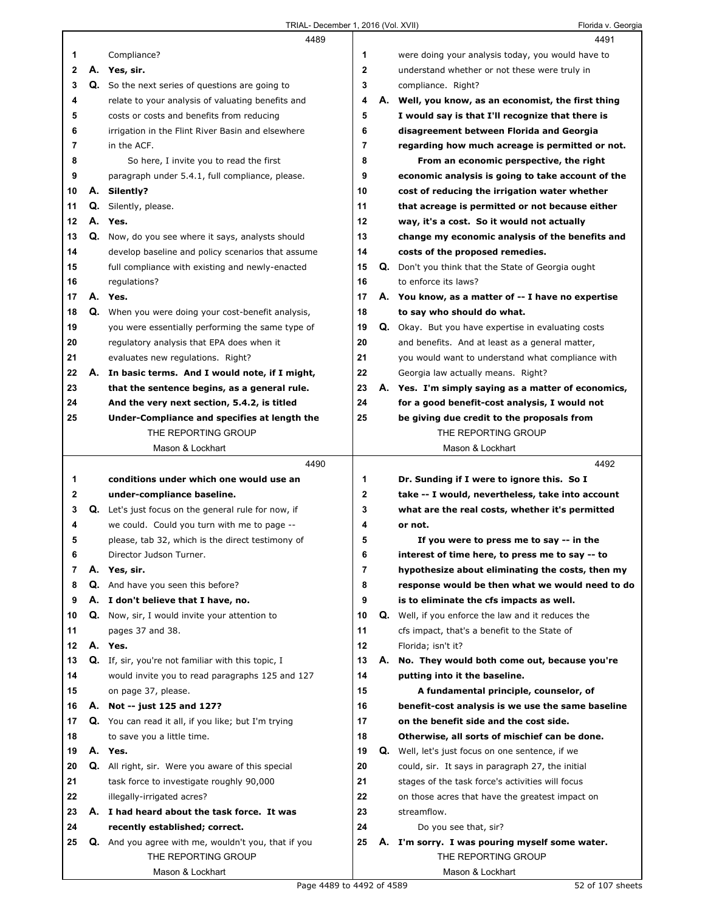|              |    | 4489                                                                                                  |                         |    | 4491                                                                                        |
|--------------|----|-------------------------------------------------------------------------------------------------------|-------------------------|----|---------------------------------------------------------------------------------------------|
| 1            |    | Compliance?                                                                                           | 1                       |    | were doing your analysis today, you would have to                                           |
| $\mathbf{2}$ |    | A. Yes, sir.                                                                                          | $\overline{\mathbf{2}}$ |    | understand whether or not these were truly in                                               |
| 3            |    | Q. So the next series of questions are going to                                                       | 3                       |    | compliance. Right?                                                                          |
| 4            |    | relate to your analysis of valuating benefits and                                                     | 4                       |    | A. Well, you know, as an economist, the first thing                                         |
| 5            |    | costs or costs and benefits from reducing                                                             | 5                       |    | I would say is that I'll recognize that there is                                            |
| 6            |    | irrigation in the Flint River Basin and elsewhere                                                     | 6                       |    | disagreement between Florida and Georgia                                                    |
| 7            |    | in the ACF.                                                                                           | $\overline{7}$          |    | regarding how much acreage is permitted or not.                                             |
| 8            |    | So here, I invite you to read the first                                                               | 8                       |    | From an economic perspective, the right                                                     |
| 9            |    | paragraph under 5.4.1, full compliance, please.                                                       | 9                       |    | economic analysis is going to take account of the                                           |
| 10           |    | A. Silently?                                                                                          | 10                      |    | cost of reducing the irrigation water whether                                               |
| 11           |    | Q. Silently, please.                                                                                  | 11                      |    | that acreage is permitted or not because either                                             |
| 12           |    | A. Yes.                                                                                               | 12                      |    | way, it's a cost. So it would not actually                                                  |
| 13           |    | Q. Now, do you see where it says, analysts should                                                     | 13                      |    | change my economic analysis of the benefits and                                             |
| 14           |    | develop baseline and policy scenarios that assume                                                     | 14                      |    | costs of the proposed remedies.                                                             |
| 15           |    | full compliance with existing and newly-enacted                                                       | 15                      | Q. | Don't you think that the State of Georgia ought                                             |
| 16           |    | regulations?                                                                                          | 16                      |    | to enforce its laws?                                                                        |
| 17           |    | A. Yes.                                                                                               | 17                      |    | A. You know, as a matter of -- I have no expertise                                          |
| 18           |    | Q. When you were doing your cost-benefit analysis,                                                    | 18                      |    | to say who should do what.                                                                  |
| 19           |    | you were essentially performing the same type of                                                      | 19                      |    | <b>Q.</b> Okay. But you have expertise in evaluating costs                                  |
| 20           |    | regulatory analysis that EPA does when it                                                             | 20                      |    | and benefits. And at least as a general matter,                                             |
| 21           |    | evaluates new regulations. Right?                                                                     | 21                      |    | you would want to understand what compliance with                                           |
| 22           | А. | In basic terms. And I would note, if I might,                                                         | 22                      |    | Georgia law actually means. Right?                                                          |
| 23           |    | that the sentence begins, as a general rule.                                                          | 23                      |    | A. Yes. I'm simply saying as a matter of economics,                                         |
| 24           |    | And the very next section, 5.4.2, is titled                                                           | 24                      |    | for a good benefit-cost analysis, I would not                                               |
| 25           |    | Under-Compliance and specifies at length the                                                          | 25                      |    | be giving due credit to the proposals from                                                  |
|              |    | THE REPORTING GROUP                                                                                   |                         |    | THE REPORTING GROUP                                                                         |
|              |    | Mason & Lockhart                                                                                      |                         |    | Mason & Lockhart                                                                            |
|              |    |                                                                                                       |                         |    |                                                                                             |
|              |    | 4490                                                                                                  |                         |    | 4492                                                                                        |
| 1            |    | conditions under which one would use an                                                               | 1                       |    | Dr. Sunding if I were to ignore this. So I                                                  |
| 2            |    |                                                                                                       | $\mathbf{2}$            |    |                                                                                             |
| 3            | Q. | under-compliance baseline.                                                                            | 3                       |    | take -- I would, nevertheless, take into account                                            |
| 4            |    | Let's just focus on the general rule for now, if<br>we could. Could you turn with me to page --       | 4                       |    | what are the real costs, whether it's permitted<br>or not.                                  |
| 5            |    |                                                                                                       | 5                       |    |                                                                                             |
| 6            |    | please, tab 32, which is the direct testimony of<br>Director Judson Turner.                           | 6                       |    | If you were to press me to say -- in the<br>interest of time here, to press me to say -- to |
| 7            |    | A. Yes, sir.                                                                                          | 7                       |    |                                                                                             |
| 8            |    |                                                                                                       | 8                       |    | hypothesize about eliminating the costs, then my                                            |
| 9            |    | Q. And have you seen this before?<br>A. I don't believe that I have, no.                              | 9                       |    | response would be then what we would need to do                                             |
| 10           | Q. | Now, sir, I would invite your attention to                                                            | 10                      | Q. | is to eliminate the cfs impacts as well.                                                    |
| 11           |    |                                                                                                       | 11                      |    | Well, if you enforce the law and it reduces the                                             |
| 12           |    | pages 37 and 38.<br>A. Yes.                                                                           | 12                      |    | cfs impact, that's a benefit to the State of<br>Florida; isn't it?                          |
| 13           |    |                                                                                                       | 13                      | А. | No. They would both come out, because you're                                                |
| 14           |    | Q. If, sir, you're not familiar with this topic, I<br>would invite you to read paragraphs 125 and 127 | 14                      |    | putting into it the baseline.                                                               |
| 15           |    | on page 37, please.                                                                                   | 15                      |    | A fundamental principle, counselor, of                                                      |
| 16           |    | A. Not -- just 125 and 127?                                                                           | 16                      |    | benefit-cost analysis is we use the same baseline                                           |
| 17           |    | Q. You can read it all, if you like; but I'm trying                                                   | 17                      |    | on the benefit side and the cost side.                                                      |
| 18           |    | to save you a little time.                                                                            | 18                      |    | Otherwise, all sorts of mischief can be done.                                               |
| 19           |    | A. Yes.                                                                                               | 19                      | Q. | Well, let's just focus on one sentence, if we                                               |
| 20           |    | <b>Q.</b> All right, sir. Were you aware of this special                                              | 20                      |    | could, sir. It says in paragraph 27, the initial                                            |
| 21           |    | task force to investigate roughly 90,000                                                              | 21                      |    | stages of the task force's activities will focus                                            |
| 22           |    | illegally-irrigated acres?                                                                            | 22                      |    | on those acres that have the greatest impact on                                             |
| 23           |    | A. I had heard about the task force. It was                                                           | 23                      |    | streamflow.                                                                                 |
| 24           |    | recently established; correct.                                                                        | 24                      |    | Do you see that, sir?                                                                       |
| 25           |    | Q. And you agree with me, wouldn't you, that if you                                                   | 25                      |    | A. I'm sorry. I was pouring myself some water.                                              |
|              |    | THE REPORTING GROUP                                                                                   |                         |    | THE REPORTING GROUP                                                                         |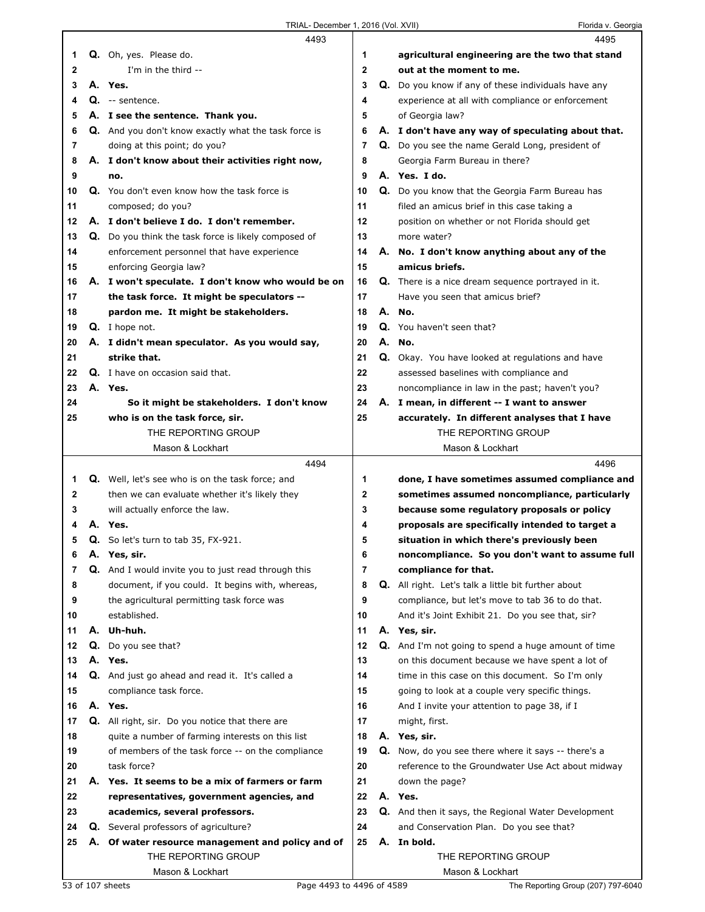|    |    | 4493                                                        |              | 4495                                                       |
|----|----|-------------------------------------------------------------|--------------|------------------------------------------------------------|
| 1  |    | Q. Oh, yes. Please do.                                      | 1            | agricultural engineering are the two that stand            |
| 2  |    | I'm in the third --                                         | $\mathbf{2}$ | out at the moment to me.                                   |
| 3  |    | A. Yes.                                                     | 3            | Q. Do you know if any of these individuals have any        |
| 4  |    | Q. -- sentence.                                             | 4            | experience at all with compliance or enforcement           |
| 5  |    | A. I see the sentence. Thank you.                           | 5            | of Georgia law?                                            |
| 6  |    | Q. And you don't know exactly what the task force is        | 6            | A. I don't have any way of speculating about that.         |
| 7  |    | doing at this point; do you?                                | 7            | Q. Do you see the name Gerald Long, president of           |
| 8  |    | A. I don't know about their activities right now,           | 8            | Georgia Farm Bureau in there?                              |
| 9  |    | no.                                                         | 9            | A. Yes. I do.                                              |
| 10 |    | Q. You don't even know how the task force is                | 10           | Q. Do you know that the Georgia Farm Bureau has            |
| 11 |    | composed; do you?                                           | 11           | filed an amicus brief in this case taking a                |
| 12 |    | A. I don't believe I do. I don't remember.                  | 12           | position on whether or not Florida should get              |
| 13 |    | <b>Q.</b> Do you think the task force is likely composed of | 13           | more water?                                                |
| 14 |    | enforcement personnel that have experience                  | 14           | A. No. I don't know anything about any of the              |
| 15 |    | enforcing Georgia law?                                      | 15           | amicus briefs.                                             |
| 16 |    | A. I won't speculate. I don't know who would be on          | 16           | <b>Q.</b> There is a nice dream sequence portrayed in it.  |
| 17 |    | the task force. It might be speculators --                  | 17           | Have you seen that amicus brief?                           |
| 18 |    | pardon me. It might be stakeholders.                        | 18           | A. No.                                                     |
| 19 |    | Q. I hope not.                                              | 19           | Q. You haven't seen that?                                  |
| 20 |    | A. I didn't mean speculator. As you would say,              | 20           | A. No.                                                     |
| 21 |    | strike that.                                                | 21           | Q. Okay. You have looked at regulations and have           |
| 22 |    | Q. I have on occasion said that.                            | 22           | assessed baselines with compliance and                     |
| 23 |    | A. Yes.                                                     | 23           | noncompliance in law in the past; haven't you?             |
| 24 |    | So it might be stakeholders. I don't know                   | 24           | A. I mean, in different -- I want to answer                |
| 25 |    | who is on the task force, sir.                              | 25           | accurately. In different analyses that I have              |
|    |    | THE REPORTING GROUP                                         |              | THE REPORTING GROUP                                        |
|    |    | Mason & Lockhart                                            |              | Mason & Lockhart                                           |
|    |    |                                                             |              |                                                            |
|    |    | 4494                                                        |              | 4496                                                       |
| 1  |    | Q. Well, let's see who is on the task force; and            | 1            | done, I have sometimes assumed compliance and              |
| 2  |    | then we can evaluate whether it's likely they               | $\mathbf{2}$ | sometimes assumed noncompliance, particularly              |
| 3  |    | will actually enforce the law.                              | 3            | because some regulatory proposals or policy                |
| 4  |    | A. Yes.                                                     | 4            | proposals are specifically intended to target a            |
| 5  |    | Q. So let's turn to tab 35, FX-921.                         | 5            | situation in which there's previously been                 |
| 6  | Α. | Yes, sir.                                                   | 6            | noncompliance. So you don't want to assume full            |
| 7  |    | <b>Q.</b> And I would invite you to just read through this  | 7            | compliance for that.                                       |
| 8  |    | document, if you could. It begins with, whereas,            | 8            | <b>Q.</b> All right. Let's talk a little bit further about |
| 9  |    | the agricultural permitting task force was                  | 9            | compliance, but let's move to tab 36 to do that.           |
| 10 |    | established.                                                | 10           | And it's Joint Exhibit 21. Do you see that, sir?           |
| 11 |    | A. Uh-huh.                                                  | 11           | A. Yes, sir.                                               |
| 12 |    | Q. Do you see that?                                         | 12           | Q. And I'm not going to spend a huge amount of time        |
| 13 |    | A. Yes.                                                     | 13           | on this document because we have spent a lot of            |
| 14 |    | Q. And just go ahead and read it. It's called a             | 14           | time in this case on this document. So I'm only            |
| 15 |    | compliance task force.                                      | 15           | going to look at a couple very specific things.            |
| 16 |    | A. Yes.                                                     | 16           | And I invite your attention to page 38, if I               |
| 17 |    | Q. All right, sir. Do you notice that there are             | 17           | might, first.                                              |
| 18 |    | quite a number of farming interests on this list            | 18           | A. Yes, sir.                                               |
| 19 |    | of members of the task force -- on the compliance           | 19           | <b>Q.</b> Now, do you see there where it says -- there's a |
| 20 |    | task force?                                                 | 20           | reference to the Groundwater Use Act about midway          |
| 21 |    | A. Yes. It seems to be a mix of farmers or farm             | 21           | down the page?                                             |
| 22 |    | representatives, government agencies, and                   | 22           | A. Yes.                                                    |
| 23 |    | academics, several professors.                              | 23           | Q. And then it says, the Regional Water Development        |
| 24 |    | Q. Several professors of agriculture?                       | 24           | and Conservation Plan. Do you see that?                    |
| 25 |    | A. Of water resource management and policy and of           | 25           | A. In bold.                                                |
|    |    | THE REPORTING GROUP<br>Mason & Lockhart                     |              | THE REPORTING GROUP<br>Mason & Lockhart                    |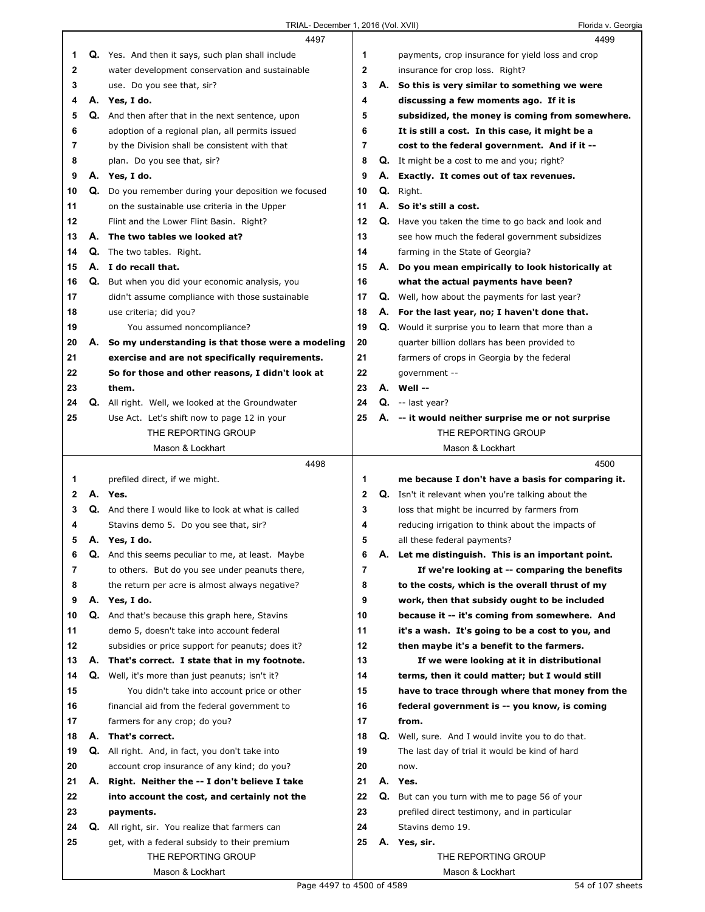|    |    | 4497                                                     |             |    | 4499                                                      |
|----|----|----------------------------------------------------------|-------------|----|-----------------------------------------------------------|
| 1  |    | <b>Q.</b> Yes. And then it says, such plan shall include | 1           |    | payments, crop insurance for yield loss and crop          |
| 2  |    | water development conservation and sustainable           | $\mathbf 2$ |    | insurance for crop loss. Right?                           |
| 3  |    | use. Do you see that, sir?                               | 3           |    | A. So this is very similar to something we were           |
| 4  |    | A. Yes, I do.                                            | 4           |    | discussing a few moments ago. If it is                    |
| 5  | Q. | And then after that in the next sentence, upon           | 5           |    | subsidized, the money is coming from somewhere.           |
| 6  |    | adoption of a regional plan, all permits issued          | 6           |    | It is still a cost. In this case, it might be a           |
|    |    |                                                          | 7           |    |                                                           |
| 7  |    | by the Division shall be consistent with that            |             |    | cost to the federal government. And if it --              |
| 8  |    | plan. Do you see that, sir?                              | 8           |    | <b>Q.</b> It might be a cost to me and you; right?        |
| 9  |    | A. Yes, I do.                                            | 9           | А. | Exactly. It comes out of tax revenues.                    |
| 10 | Q. | Do you remember during your deposition we focused        | 10          | Q. | Right.                                                    |
| 11 |    | on the sustainable use criteria in the Upper             | 11          |    | A. So it's still a cost.                                  |
| 12 |    | Flint and the Lower Flint Basin. Right?                  | 12          |    | Q. Have you taken the time to go back and look and        |
| 13 | А. | The two tables we looked at?                             | 13          |    | see how much the federal government subsidizes            |
| 14 |    | <b>Q.</b> The two tables. Right.                         | 14          |    | farming in the State of Georgia?                          |
| 15 |    | A. I do recall that.                                     | 15          |    | A. Do you mean empirically to look historically at        |
| 16 | Q. | But when you did your economic analysis, you             | 16          |    | what the actual payments have been?                       |
| 17 |    | didn't assume compliance with those sustainable          | 17          |    | <b>Q.</b> Well, how about the payments for last year?     |
| 18 |    | use criteria; did you?                                   | 18          |    | A. For the last year, no; I haven't done that.            |
| 19 |    | You assumed noncompliance?                               | 19          |    | Q. Would it surprise you to learn that more than a        |
| 20 | А. | So my understanding is that those were a modeling        | 20          |    | quarter billion dollars has been provided to              |
| 21 |    | exercise and are not specifically requirements.          | 21          |    | farmers of crops in Georgia by the federal                |
| 22 |    | So for those and other reasons, I didn't look at         | 22          |    | government --                                             |
| 23 |    | them.                                                    | 23          |    | A. Well --                                                |
| 24 | Q. | All right. Well, we looked at the Groundwater            | 24          |    | $Q. -$ last year?                                         |
| 25 |    | Use Act. Let's shift now to page 12 in your              | 25          |    | A. -- it would neither surprise me or not surprise        |
|    |    | THE REPORTING GROUP                                      |             |    | THE REPORTING GROUP                                       |
|    |    | Mason & Lockhart                                         |             |    | Mason & Lockhart                                          |
|    |    |                                                          |             |    |                                                           |
|    |    |                                                          |             |    |                                                           |
|    |    | 4498                                                     |             |    | 4500                                                      |
| 1  |    | prefiled direct, if we might.                            | 1           |    | me because I don't have a basis for comparing it.         |
| 2  |    | A. Yes.                                                  | $\mathbf 2$ |    | <b>Q.</b> Isn't it relevant when you're talking about the |
| 3  |    | Q. And there I would like to look at what is called      | 3           |    | loss that might be incurred by farmers from               |
| 4  |    | Stavins demo 5. Do you see that, sir?                    | 4           |    | reducing irrigation to think about the impacts of         |
| 5  |    | A. Yes, I do.                                            | 5           |    | all these federal payments?                               |
| 6  | Q. | And this seems peculiar to me, at least. Maybe           | 6           | Α. | Let me distinguish. This is an important point.           |
| 7  |    | to others. But do you see under peanuts there,           | 7           |    | If we're looking at -- comparing the benefits             |
| 8  |    | the return per acre is almost always negative?           | 8           |    | to the costs, which is the overall thrust of my           |
| 9  |    | A. Yes, I do.                                            | 9           |    | work, then that subsidy ought to be included              |
| 10 |    | Q. And that's because this graph here, Stavins           | 10          |    | because it -- it's coming from somewhere. And             |
| 11 |    | demo 5, doesn't take into account federal                | 11          |    | it's a wash. It's going to be a cost to you, and          |
| 12 |    | subsidies or price support for peanuts; does it?         | 12          |    | then maybe it's a benefit to the farmers.                 |
| 13 | А. | That's correct. I state that in my footnote.             | 13          |    | If we were looking at it in distributional                |
| 14 |    | Q. Well, it's more than just peanuts; isn't it?          | 14          |    | terms, then it could matter; but I would still            |
| 15 |    | You didn't take into account price or other              | 15          |    | have to trace through where that money from the           |
| 16 |    | financial aid from the federal government to             | 16          |    | federal government is -- you know, is coming              |
| 17 |    | farmers for any crop; do you?                            | 17          |    | from.                                                     |
| 18 | А. | That's correct.                                          | 18          |    | Q. Well, sure. And I would invite you to do that.         |
| 19 |    | Q. All right. And, in fact, you don't take into          | 19          |    | The last day of trial it would be kind of hard            |
| 20 |    | account crop insurance of any kind; do you?              | 20          |    | now.                                                      |
| 21 | А. | Right. Neither the -- I don't believe I take             | 21          |    | A. Yes.                                                   |
| 22 |    |                                                          | 22          | Q. |                                                           |
|    |    | into account the cost, and certainly not the             |             |    | But can you turn with me to page 56 of your               |
| 23 |    | payments.                                                | 23          |    | prefiled direct testimony, and in particular              |
| 24 |    | <b>Q.</b> All right, sir. You realize that farmers can   | 24          |    | Stavins demo 19.                                          |
| 25 |    | get, with a federal subsidy to their premium             | 25          |    | A. Yes, sir.                                              |
|    |    | THE REPORTING GROUP<br>Mason & Lockhart                  |             |    | THE REPORTING GROUP<br>Mason & Lockhart                   |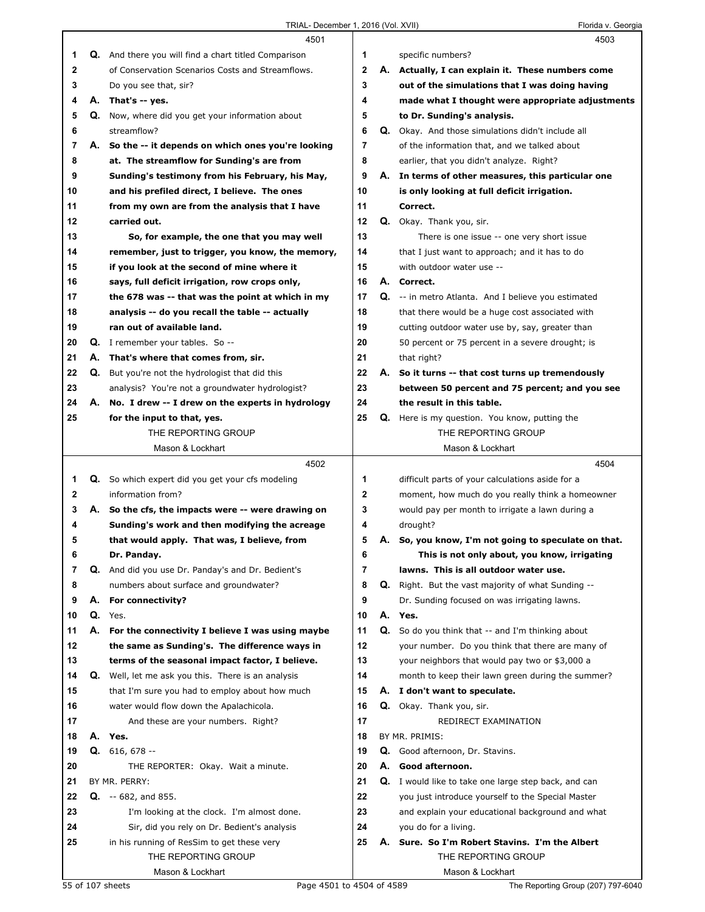|              |    | 4501                                                 |                |    | 4503                                                     |
|--------------|----|------------------------------------------------------|----------------|----|----------------------------------------------------------|
| 1            |    | Q. And there you will find a chart titled Comparison | 1              |    | specific numbers?                                        |
| 2            |    | of Conservation Scenarios Costs and Streamflows.     | $\mathbf{2}$   |    | A. Actually, I can explain it. These numbers come        |
| 3            |    | Do you see that, sir?                                | 3              |    | out of the simulations that I was doing having           |
| 4            |    | A. That's -- yes.                                    | 4              |    | made what I thought were appropriate adjustments         |
| 5            |    | Q. Now, where did you get your information about     | 5              |    | to Dr. Sunding's analysis.                               |
| 6            |    | streamflow?                                          | 6              |    | <b>Q.</b> Okay. And those simulations didn't include all |
| 7            | А. | So the -- it depends on which ones you're looking    | $\overline{7}$ |    | of the information that, and we talked about             |
| 8            |    | at. The streamflow for Sunding's are from            | 8              |    | earlier, that you didn't analyze. Right?                 |
| 9            |    | Sunding's testimony from his February, his May,      | 9              |    | A. In terms of other measures, this particular one       |
| 10           |    | and his prefiled direct, I believe. The ones         | 10             |    | is only looking at full deficit irrigation.              |
| 11           |    | from my own are from the analysis that I have        | 11             |    | Correct.                                                 |
| 12           |    | carried out.                                         | 12             |    | Q. Okay. Thank you, sir.                                 |
| 13           |    | So, for example, the one that you may well           | 13             |    | There is one issue -- one very short issue               |
| 14           |    | remember, just to trigger, you know, the memory,     | 14             |    | that I just want to approach; and it has to do           |
| 15           |    | if you look at the second of mine where it           | 15             |    | with outdoor water use --                                |
| 16           |    | says, full deficit irrigation, row crops only,       | 16             |    | A. Correct.                                              |
| 17           |    | the 678 was -- that was the point at which in my     | 17             |    | Q. -- in metro Atlanta. And I believe you estimated      |
| 18           |    | analysis -- do you recall the table -- actually      | 18             |    | that there would be a huge cost associated with          |
| 19           |    | ran out of available land.                           | 19             |    | cutting outdoor water use by, say, greater than          |
| 20           |    | <b>Q.</b> I remember your tables. So --              | 20             |    | 50 percent or 75 percent in a severe drought; is         |
| 21           |    | A. That's where that comes from, sir.                | 21             |    | that right?                                              |
| 22           | Q. | But you're not the hydrologist that did this         | 22             |    | A. So it turns -- that cost turns up tremendously        |
| 23           |    | analysis? You're not a groundwater hydrologist?      | 23             |    | between 50 percent and 75 percent; and you see           |
| 24           |    | A. No. I drew -- I drew on the experts in hydrology  | 24             |    | the result in this table.                                |
| 25           |    | for the input to that, yes.                          | 25             |    | Q. Here is my question. You know, putting the            |
|              |    | THE REPORTING GROUP                                  |                |    | THE REPORTING GROUP                                      |
|              |    | Mason & Lockhart                                     |                |    | Mason & Lockhart                                         |
|              |    | 4502                                                 |                |    | 4504                                                     |
| 1            |    | Q. So which expert did you get your cfs modeling     | 1              |    | difficult parts of your calculations aside for a         |
| $\mathbf{2}$ |    | information from?                                    | $\mathbf{2}$   |    | moment, how much do you really think a homeowner         |
| 3            | А. | So the cfs, the impacts were -- were drawing on      | 3              |    | would pay per month to irrigate a lawn during a          |
| 4            |    | Sunding's work and then modifying the acreage        | 4              |    | drought?                                                 |
| 5            |    | that would apply. That was, I believe, from          | 5              | А. | So, you know, I'm not going to speculate on that.        |
| 6            |    | Dr. Panday.                                          | 6              |    | This is not only about, you know, irrigating             |
| 7            |    | Q. And did you use Dr. Panday's and Dr. Bedient's    | $\overline{7}$ |    | lawns. This is all outdoor water use.                    |
| 8            |    | numbers about surface and groundwater?               | 8              |    | Q. Right. But the vast majority of what Sunding --       |
| 9            |    | A. For connectivity?                                 | 9              |    | Dr. Sunding focused on was irrigating lawns.             |
| 10           |    | Q. Yes.                                              | 10             | А. | Yes.                                                     |
| 11           |    | A. For the connectivity I believe I was using maybe  | 11             |    | Q. So do you think that -- and I'm thinking about        |
| 12           |    | the same as Sunding's. The difference ways in        | 12             |    | your number. Do you think that there are many of         |
| 13           |    | terms of the seasonal impact factor, I believe.      | 13             |    | your neighbors that would pay two or \$3,000 a           |
| 14           |    | Q. Well, let me ask you this. There is an analysis   | 14             |    | month to keep their lawn green during the summer?        |
| 15           |    | that I'm sure you had to employ about how much       | 15             |    | A. I don't want to speculate.                            |
| 16           |    | water would flow down the Apalachicola.              | 16             |    | Q. Okay. Thank you, sir.                                 |
| 17           |    | And these are your numbers. Right?                   | 17             |    | REDIRECT EXAMINATION                                     |
| 18           |    | A. Yes.                                              | 18             |    | BY MR. PRIMIS:                                           |
| 19           |    | $Q. 616, 678 -$                                      | 19             |    | Q. Good afternoon, Dr. Stavins.                          |
| 20           |    | THE REPORTER: Okay. Wait a minute.                   | 20             | А. | Good afternoon.                                          |
| 21           |    | BY MR. PERRY:                                        | 21             |    | Q. I would like to take one large step back, and can     |
| 22           |    | $Q. -682$ , and 855.                                 | 22             |    | you just introduce yourself to the Special Master        |
| 23           |    | I'm looking at the clock. I'm almost done.           | 23             |    | and explain your educational background and what         |
| 24           |    | Sir, did you rely on Dr. Bedient's analysis          | 24             |    | you do for a living.                                     |
| 25           |    | in his running of ResSim to get these very           | 25             |    | A. Sure. So I'm Robert Stavins. I'm the Albert           |
|              |    | THE REPORTING GROUP                                  |                |    | THE REPORTING GROUP                                      |
|              |    | Mason & Lockhart                                     |                |    | Mason & Lockhart                                         |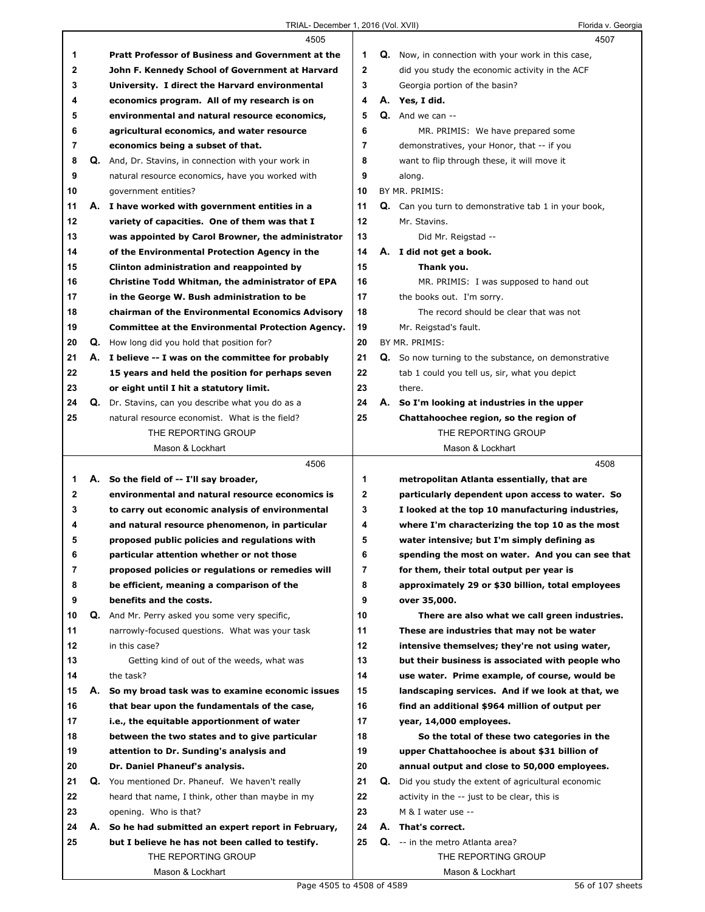|             |    | 4505                                                        |              |    | 4507                                                                                          |
|-------------|----|-------------------------------------------------------------|--------------|----|-----------------------------------------------------------------------------------------------|
| 1           |    | <b>Pratt Professor of Business and Government at the</b>    | 1            |    | <b>Q.</b> Now, in connection with your work in this case,                                     |
| 2           |    | John F. Kennedy School of Government at Harvard             | $\mathbf{2}$ |    | did you study the economic activity in the ACF                                                |
| 3           |    | University. I direct the Harvard environmental              | 3            |    | Georgia portion of the basin?                                                                 |
| 4           |    | economics program. All of my research is on                 | 4            |    | A. Yes, I did.                                                                                |
| 5           |    | environmental and natural resource economics,               | 5            |    | Q. And we can --                                                                              |
| 6           |    | agricultural economics, and water resource                  | 6            |    | MR. PRIMIS: We have prepared some                                                             |
| 7           |    | economics being a subset of that.                           | 7            |    | demonstratives, your Honor, that -- if you                                                    |
| 8           |    | <b>Q.</b> And, Dr. Stavins, in connection with your work in | 8            |    | want to flip through these, it will move it                                                   |
| 9           |    | natural resource economics, have you worked with            | 9            |    | along.                                                                                        |
| 10          |    | government entities?                                        | 10           |    | BY MR. PRIMIS:                                                                                |
| 11          |    | A. I have worked with government entities in a              | 11           |    | Q. Can you turn to demonstrative tab 1 in your book,                                          |
| 12          |    | variety of capacities. One of them was that I               | 12           |    | Mr. Stavins.                                                                                  |
| 13          |    | was appointed by Carol Browner, the administrator           | 13           |    | Did Mr. Reigstad --                                                                           |
| 14          |    | of the Environmental Protection Agency in the               | 14           |    | A. I did not get a book.                                                                      |
| 15          |    | Clinton administration and reappointed by                   | 15           |    | Thank you.                                                                                    |
| 16          |    | Christine Todd Whitman, the administrator of EPA            | 16           |    | MR. PRIMIS: I was supposed to hand out                                                        |
| 17          |    | in the George W. Bush administration to be                  | 17           |    | the books out. I'm sorry.                                                                     |
| 18          |    | chairman of the Environmental Economics Advisory            | 18           |    | The record should be clear that was not                                                       |
| 19          |    | <b>Committee at the Environmental Protection Agency.</b>    | 19           |    | Mr. Reigstad's fault.                                                                         |
| 20          |    | <b>Q.</b> How long did you hold that position for?          | 20           |    | BY MR. PRIMIS:                                                                                |
| 21          |    | A. I believe -- I was on the committee for probably         | 21           |    | Q. So now turning to the substance, on demonstrative                                          |
| 22          |    | 15 years and held the position for perhaps seven            | 22           |    | tab 1 could you tell us, sir, what you depict                                                 |
| 23          |    | or eight until I hit a statutory limit.                     | 23           |    | there.                                                                                        |
| 24          |    | Q. Dr. Stavins, can you describe what you do as a           | 24           | А. | So I'm looking at industries in the upper                                                     |
| 25          |    | natural resource economist. What is the field?              | 25           |    | Chattahoochee region, so the region of                                                        |
|             |    | THE REPORTING GROUP                                         |              |    | THE REPORTING GROUP                                                                           |
|             |    | Mason & Lockhart                                            |              |    | Mason & Lockhart                                                                              |
|             |    |                                                             |              |    |                                                                                               |
|             |    | 4506                                                        |              |    | 4508                                                                                          |
| 1           |    | A. So the field of -- I'll say broader,                     | 1            |    |                                                                                               |
| $\mathbf 2$ |    | environmental and natural resource economics is             | $\mathbf 2$  |    | metropolitan Atlanta essentially, that are<br>particularly dependent upon access to water. So |
| 3           |    | to carry out economic analysis of environmental             | 3            |    | I looked at the top 10 manufacturing industries,                                              |
| 4           |    | and natural resource phenomenon, in particular              | 4            |    | where I'm characterizing the top 10 as the most                                               |
| 5           |    | proposed public policies and regulations with               | 5            |    | water intensive; but I'm simply defining as                                                   |
| 6           |    | particular attention whether or not those                   | 6            |    | spending the most on water. And you can see that                                              |
| 7           |    | proposed policies or regulations or remedies will           | 7            |    | for them, their total output per year is                                                      |
| 8           |    | be efficient, meaning a comparison of the                   | 8            |    | approximately 29 or \$30 billion, total employees                                             |
| 9           |    | benefits and the costs.                                     | 9            |    | over 35,000.                                                                                  |
| 10          |    | <b>Q.</b> And Mr. Perry asked you some very specific,       | 10           |    | There are also what we call green industries.                                                 |
| 11          |    | narrowly-focused questions. What was your task              | 11           |    | These are industries that may not be water                                                    |
| 12          |    | in this case?                                               | 12           |    | intensive themselves; they're not using water,                                                |
| 13          |    | Getting kind of out of the weeds, what was                  | 13           |    | but their business is associated with people who                                              |
| 14          |    | the task?                                                   | 14           |    | use water. Prime example, of course, would be                                                 |
| 15          | А. | So my broad task was to examine economic issues             | 15           |    | landscaping services. And if we look at that, we                                              |
| 16          |    | that bear upon the fundamentals of the case,                | 16           |    | find an additional \$964 million of output per                                                |
| 17          |    | i.e., the equitable apportionment of water                  | 17           |    | year, 14,000 employees.                                                                       |
| 18          |    | between the two states and to give particular               | 18           |    | So the total of these two categories in the                                                   |
| 19          |    | attention to Dr. Sunding's analysis and                     | 19           |    | upper Chattahoochee is about \$31 billion of                                                  |
| 20          |    | Dr. Daniel Phaneuf's analysis.                              | 20           |    | annual output and close to 50,000 employees.                                                  |
| 21          |    | Q. You mentioned Dr. Phaneuf. We haven't really             | 21           | Q. | Did you study the extent of agricultural economic                                             |
| 22          |    | heard that name, I think, other than maybe in my            | 22           |    | activity in the -- just to be clear, this is                                                  |
| 23          |    | opening. Who is that?                                       | 23           |    | M & I water use --                                                                            |
| 24          |    | A. So he had submitted an expert report in February,        | 24           |    | A. That's correct.                                                                            |
| 25          |    | but I believe he has not been called to testify.            | 25           |    | <b>Q.</b> -- in the metro Atlanta area?                                                       |
|             |    | THE REPORTING GROUP                                         |              |    | THE REPORTING GROUP                                                                           |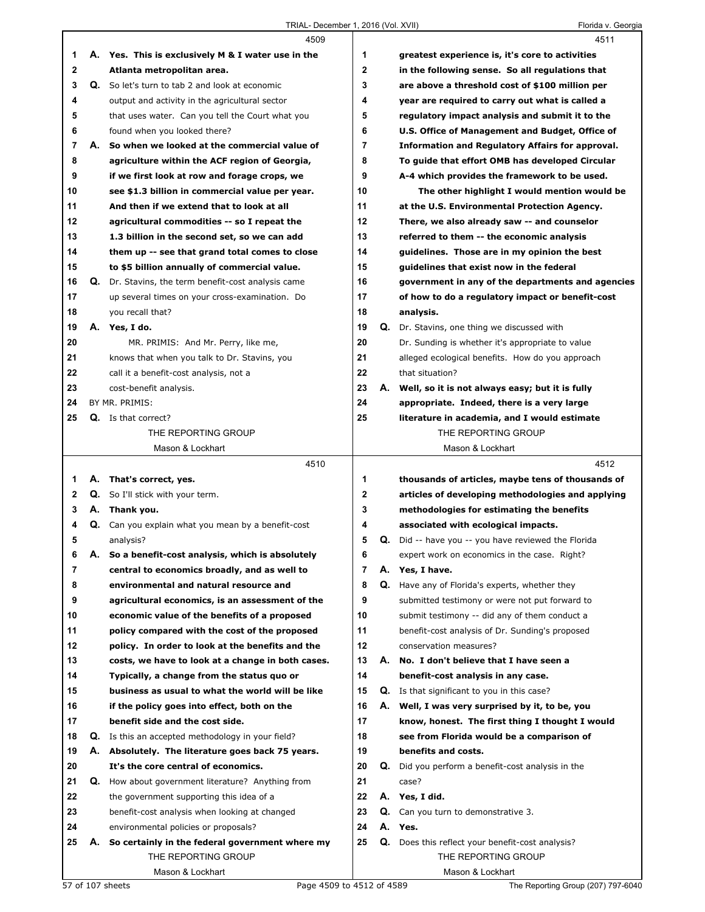|                   |    | 4509                                                                                            |                     |    | 4511                                                                                          |
|-------------------|----|-------------------------------------------------------------------------------------------------|---------------------|----|-----------------------------------------------------------------------------------------------|
| 1                 |    | A. Yes. This is exclusively M & I water use in the                                              | 1                   |    | greatest experience is, it's core to activities                                               |
| 2                 |    | Atlanta metropolitan area.                                                                      | $\mathbf{2}$        |    | in the following sense. So all regulations that                                               |
| 3                 |    | Q. So let's turn to tab 2 and look at economic                                                  | 3                   |    | are above a threshold cost of \$100 million per                                               |
| 4                 |    | output and activity in the agricultural sector                                                  | 4                   |    | year are required to carry out what is called a                                               |
| 5                 |    | that uses water. Can you tell the Court what you                                                | 5                   |    | regulatory impact analysis and submit it to the                                               |
| 6                 |    | found when you looked there?                                                                    | 6                   |    | U.S. Office of Management and Budget, Office of                                               |
| 7                 | А. | So when we looked at the commercial value of                                                    | $\overline{7}$      |    | <b>Information and Regulatory Affairs for approval.</b>                                       |
| 8                 |    | agriculture within the ACF region of Georgia,                                                   | 8                   |    | To guide that effort OMB has developed Circular                                               |
| 9                 |    | if we first look at row and forage crops, we                                                    | 9                   |    | A-4 which provides the framework to be used.                                                  |
| 10                |    | see \$1.3 billion in commercial value per year.                                                 | 10                  |    | The other highlight I would mention would be                                                  |
| 11                |    | And then if we extend that to look at all                                                       | 11                  |    | at the U.S. Environmental Protection Agency.                                                  |
| 12                |    | agricultural commodities -- so I repeat the                                                     | 12                  |    | There, we also already saw -- and counselor                                                   |
| 13                |    | 1.3 billion in the second set, so we can add                                                    | 13                  |    | referred to them -- the economic analysis                                                     |
| 14                |    | them up -- see that grand total comes to close                                                  | 14                  |    | guidelines. Those are in my opinion the best                                                  |
| 15                |    | to \$5 billion annually of commercial value.                                                    | 15                  |    | guidelines that exist now in the federal                                                      |
| 16                | Q. | Dr. Stavins, the term benefit-cost analysis came                                                | 16                  |    | government in any of the departments and agencies                                             |
| 17                |    | up several times on your cross-examination. Do                                                  | 17                  |    | of how to do a regulatory impact or benefit-cost                                              |
| 18                |    | you recall that?                                                                                | 18                  |    | analysis.                                                                                     |
| 19                |    | A. Yes, I do.                                                                                   | 19                  |    | <b>Q.</b> Dr. Stavins, one thing we discussed with                                            |
| 20                |    | MR. PRIMIS: And Mr. Perry, like me,                                                             | 20                  |    | Dr. Sunding is whether it's appropriate to value                                              |
| 21                |    | knows that when you talk to Dr. Stavins, you                                                    | 21                  |    | alleged ecological benefits. How do you approach                                              |
| 22                |    | call it a benefit-cost analysis, not a                                                          | 22                  |    | that situation?                                                                               |
| 23                |    | cost-benefit analysis.                                                                          | 23                  |    | A. Well, so it is not always easy; but it is fully                                            |
| 24                |    | BY MR. PRIMIS:                                                                                  | 24                  |    | appropriate. Indeed, there is a very large                                                    |
| 25                |    | <b>Q.</b> Is that correct?                                                                      | 25                  |    | literature in academia, and I would estimate                                                  |
|                   |    | THE REPORTING GROUP                                                                             |                     |    | THE REPORTING GROUP                                                                           |
|                   |    | Mason & Lockhart                                                                                |                     |    | Mason & Lockhart                                                                              |
|                   |    |                                                                                                 |                     |    |                                                                                               |
|                   |    |                                                                                                 |                     |    |                                                                                               |
|                   |    | 4510                                                                                            |                     |    | 4512                                                                                          |
| 1                 | А. | That's correct, yes.                                                                            | 1                   |    | thousands of articles, maybe tens of thousands of                                             |
| $\mathbf{2}$<br>3 | А. | <b>Q.</b> So I'll stick with your term.                                                         | $\mathbf 2$<br>3    |    | articles of developing methodologies and applying                                             |
| 4                 |    | Thank you.                                                                                      | 4                   |    | methodologies for estimating the benefits                                                     |
|                   |    | Q. Can you explain what you mean by a benefit-cost                                              | 5                   |    | associated with ecological impacts.                                                           |
| 5                 |    | analysis?                                                                                       |                     |    | Q. Did -- have you -- you have reviewed the Florida                                           |
| 6<br>7            | Α. | So a benefit-cost analysis, which is absolutely                                                 | 6<br>$\overline{7}$ | А. | expert work on economics in the case. Right?                                                  |
| 8                 |    | central to economics broadly, and as well to<br>environmental and natural resource and          |                     | Q. | Yes, I have.                                                                                  |
| 9                 |    |                                                                                                 | 8<br>9              |    | Have any of Florida's experts, whether they<br>submitted testimony or were not put forward to |
| 10                |    | agricultural economics, is an assessment of the<br>economic value of the benefits of a proposed | 10                  |    | submit testimony -- did any of them conduct a                                                 |
| 11                |    | policy compared with the cost of the proposed                                                   | 11                  |    |                                                                                               |
| 12                |    | policy. In order to look at the benefits and the                                                | 12                  |    | benefit-cost analysis of Dr. Sunding's proposed<br>conservation measures?                     |
| 13                |    | costs, we have to look at a change in both cases.                                               | 13                  | А. | No. I don't believe that I have seen a                                                        |
| 14                |    | Typically, a change from the status quo or                                                      | 14                  |    | benefit-cost analysis in any case.                                                            |
| 15                |    | business as usual to what the world will be like                                                | 15                  |    | <b>Q.</b> Is that significant to you in this case?                                            |
| 16                |    | if the policy goes into effect, both on the                                                     | 16                  |    | A. Well, I was very surprised by it, to be, you                                               |
| 17                |    | benefit side and the cost side.                                                                 | 17                  |    | know, honest. The first thing I thought I would                                               |
| 18                |    | <b>Q.</b> Is this an accepted methodology in your field?                                        | 18                  |    | see from Florida would be a comparison of                                                     |
| 19                |    | A. Absolutely. The literature goes back 75 years.                                               | 19                  |    | benefits and costs.                                                                           |
| 20                |    | It's the core central of economics.                                                             | 20                  | Q. | Did you perform a benefit-cost analysis in the                                                |
| 21                |    | <b>Q.</b> How about government literature? Anything from                                        | 21                  |    | case?                                                                                         |
| 22                |    | the government supporting this idea of a                                                        | 22                  |    | A. Yes, I did.                                                                                |
| 23                |    | benefit-cost analysis when looking at changed                                                   | 23                  | Q. | Can you turn to demonstrative 3.                                                              |
| 24                |    | environmental policies or proposals?                                                            | 24                  | А. | Yes.                                                                                          |
| 25                | А. | So certainly in the federal government where my                                                 | 25                  |    | <b>Q.</b> Does this reflect your benefit-cost analysis?                                       |
|                   |    | THE REPORTING GROUP                                                                             |                     |    | THE REPORTING GROUP                                                                           |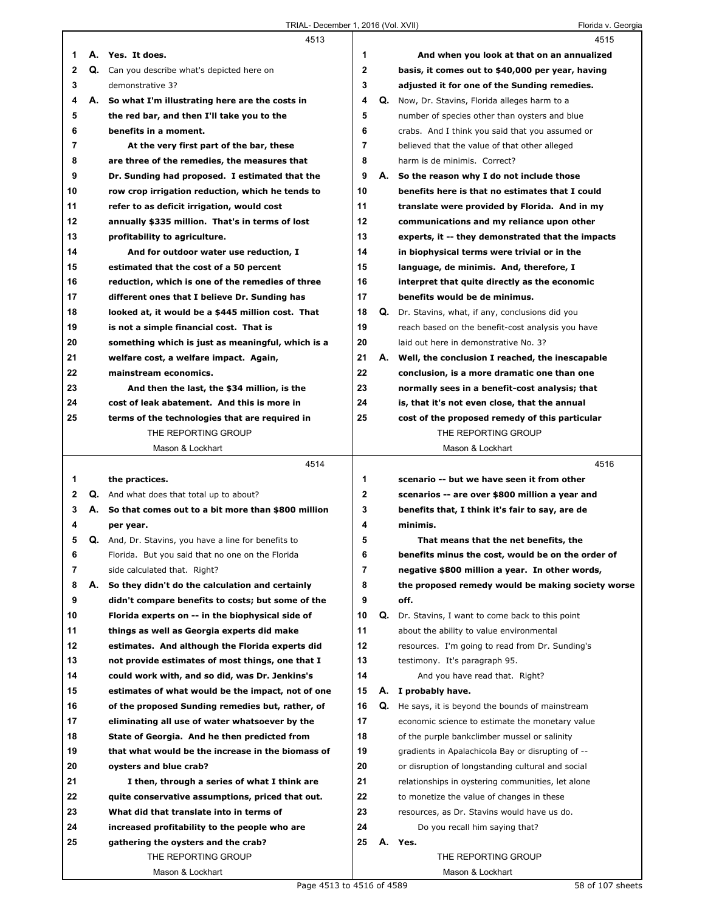|    |    | 4513                                                                  |                |    | 4515                                                                  |
|----|----|-----------------------------------------------------------------------|----------------|----|-----------------------------------------------------------------------|
| 1  |    | A. Yes. It does.                                                      | 1              |    | And when you look at that on an annualized                            |
| 2  |    | Q. Can you describe what's depicted here on                           | 2              |    | basis, it comes out to \$40,000 per year, having                      |
| 3  |    | demonstrative 3?                                                      | 3              |    | adjusted it for one of the Sunding remedies.                          |
| 4  | А. | So what I'm illustrating here are the costs in                        | 4              |    | Q. Now, Dr. Stavins, Florida alleges harm to a                        |
| 5  |    | the red bar, and then I'll take you to the                            | 5              |    | number of species other than oysters and blue                         |
| 6  |    | benefits in a moment.                                                 | 6              |    | crabs. And I think you said that you assumed or                       |
| 7  |    | At the very first part of the bar, these                              | $\overline{7}$ |    | believed that the value of that other alleged                         |
| 8  |    | are three of the remedies, the measures that                          | 8              |    | harm is de minimis. Correct?                                          |
| 9  |    | Dr. Sunding had proposed. I estimated that the                        | 9              |    | A. So the reason why I do not include those                           |
| 10 |    | row crop irrigation reduction, which he tends to                      | 10             |    | benefits here is that no estimates that I could                       |
| 11 |    | refer to as deficit irrigation, would cost                            | 11             |    | translate were provided by Florida. And in my                         |
| 12 |    | annually \$335 million. That's in terms of lost                       | 12             |    | communications and my reliance upon other                             |
| 13 |    | profitability to agriculture.                                         | 13             |    | experts, it -- they demonstrated that the impacts                     |
| 14 |    | And for outdoor water use reduction, I                                | 14             |    | in biophysical terms were trivial or in the                           |
| 15 |    | estimated that the cost of a 50 percent                               | 15             |    | language, de minimis. And, therefore, I                               |
| 16 |    | reduction, which is one of the remedies of three                      | 16             |    | interpret that quite directly as the economic                         |
| 17 |    | different ones that I believe Dr. Sunding has                         | 17             |    | benefits would be de minimus.                                         |
| 18 |    | looked at, it would be a \$445 million cost. That                     | 18             |    | Q. Dr. Stavins, what, if any, conclusions did you                     |
| 19 |    | is not a simple financial cost. That is                               | 19             |    | reach based on the benefit-cost analysis you have                     |
| 20 |    | something which is just as meaningful, which is a                     | 20             |    | laid out here in demonstrative No. 3?                                 |
| 21 |    | welfare cost, a welfare impact. Again,                                | 21             |    | A. Well, the conclusion I reached, the inescapable                    |
| 22 |    | mainstream economics.                                                 | 22             |    |                                                                       |
| 23 |    |                                                                       | 23             |    | conclusion, is a more dramatic one than one                           |
| 24 |    | And then the last, the \$34 million, is the                           | 24             |    | normally sees in a benefit-cost analysis; that                        |
|    |    | cost of leak abatement. And this is more in                           | 25             |    | is, that it's not even close, that the annual                         |
| 25 |    | terms of the technologies that are required in<br>THE REPORTING GROUP |                |    | cost of the proposed remedy of this particular<br>THE REPORTING GROUP |
|    |    | Mason & Lockhart                                                      |                |    | Mason & Lockhart                                                      |
|    |    |                                                                       |                |    |                                                                       |
|    |    |                                                                       |                |    |                                                                       |
|    |    | 4514                                                                  |                |    | 4516                                                                  |
| 1  |    | the practices.                                                        | $\mathbf 1$    |    | scenario -- but we have seen it from other                            |
| 2  |    | <b>Q.</b> And what does that total up to about?                       | 2              |    | scenarios -- are over \$800 million a year and                        |
| 3  |    | A. So that comes out to a bit more than \$800 million                 | 3              |    | benefits that, I think it's fair to say, are de                       |
| 4  |    | per year.                                                             | 4              |    | minimis.                                                              |
| 5  |    | Q. And, Dr. Stavins, you have a line for benefits to                  | 5              |    | That means that the net benefits, the                                 |
| 6  |    | Florida. But you said that no one on the Florida                      | 6              |    | benefits minus the cost, would be on the order of                     |
| 7  |    | side calculated that. Right?                                          | 7              |    | negative \$800 million a year. In other words,                        |
| 8  | А. | So they didn't do the calculation and certainly                       | 8              |    | the proposed remedy would be making society worse                     |
| 9  |    | didn't compare benefits to costs; but some of the                     | 9              |    | off.                                                                  |
| 10 |    | Florida experts on -- in the biophysical side of                      | 10             | Q. | Dr. Stavins, I want to come back to this point                        |
| 11 |    | things as well as Georgia experts did make                            | 11             |    | about the ability to value environmental                              |
| 12 |    | estimates. And although the Florida experts did                       | 12             |    | resources. I'm going to read from Dr. Sunding's                       |
| 13 |    | not provide estimates of most things, one that I                      | 13             |    | testimony. It's paragraph 95.                                         |
| 14 |    | could work with, and so did, was Dr. Jenkins's                        | 14             |    | And you have read that. Right?                                        |
| 15 |    | estimates of what would be the impact, not of one                     | 15             | А. | I probably have.                                                      |
| 16 |    | of the proposed Sunding remedies but, rather, of                      | 16             | Q. | He says, it is beyond the bounds of mainstream                        |
| 17 |    | eliminating all use of water whatsoever by the                        | 17             |    | economic science to estimate the monetary value                       |
| 18 |    | State of Georgia. And he then predicted from                          | 18             |    | of the purple bankclimber mussel or salinity                          |
| 19 |    | that what would be the increase in the biomass of                     | 19             |    | gradients in Apalachicola Bay or disrupting of --                     |
| 20 |    | oysters and blue crab?                                                | 20             |    | or disruption of longstanding cultural and social                     |
| 21 |    | I then, through a series of what I think are                          | 21             |    | relationships in oystering communities, let alone                     |
| 22 |    | quite conservative assumptions, priced that out.                      | 22             |    | to monetize the value of changes in these                             |
| 23 |    | What did that translate into in terms of                              | 23             |    | resources, as Dr. Stavins would have us do.                           |
| 24 |    | increased profitability to the people who are                         | 24             |    | Do you recall him saying that?                                        |
| 25 |    | gathering the oysters and the crab?                                   | 25             |    | A. Yes.                                                               |
|    |    | THE REPORTING GROUP<br>Mason & Lockhart                               |                |    | THE REPORTING GROUP<br>Mason & Lockhart                               |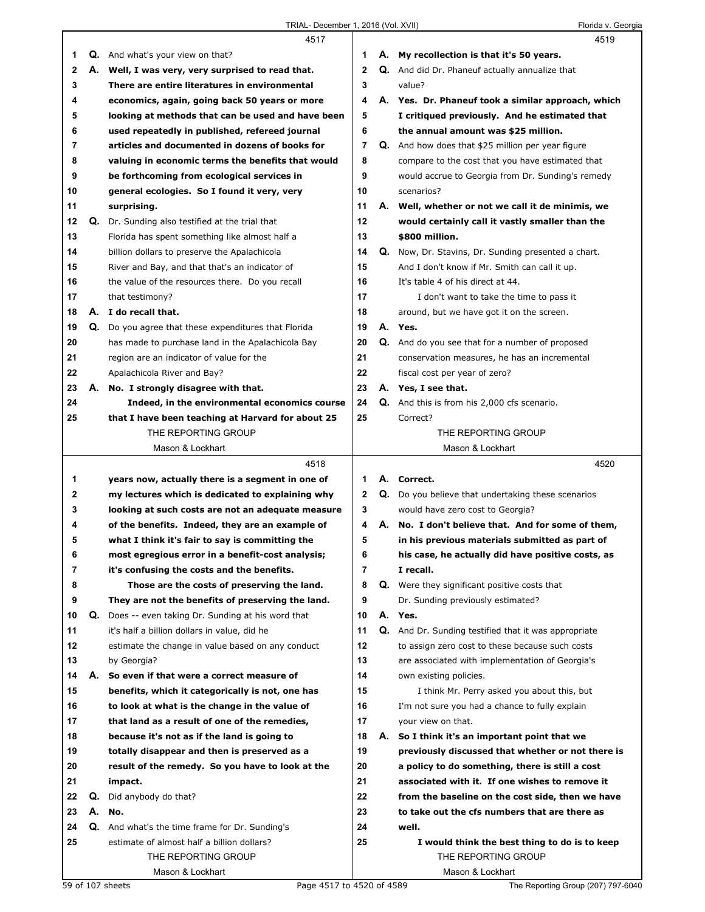|    |    | 4517                                                                                         |                |    | 4519                                                                 |
|----|----|----------------------------------------------------------------------------------------------|----------------|----|----------------------------------------------------------------------|
| 1  |    | <b>Q.</b> And what's your view on that?                                                      | 1              |    | A. My recollection is that it's 50 years.                            |
| 2  |    | A. Well, I was very, very surprised to read that.                                            | $\mathbf{2}$   |    | Q. And did Dr. Phaneuf actually annualize that                       |
| 3  |    | There are entire literatures in environmental                                                | 3              |    | value?                                                               |
| 4  |    | economics, again, going back 50 years or more                                                | 4              |    | A. Yes. Dr. Phaneuf took a similar approach, which                   |
| 5  |    | looking at methods that can be used and have been                                            | 5              |    | I critiqued previously. And he estimated that                        |
| 6  |    | used repeatedly in published, refereed journal                                               | 6              |    | the annual amount was \$25 million.                                  |
| 7  |    | articles and documented in dozens of books for                                               | $\overline{7}$ |    | <b>Q.</b> And how does that \$25 million per year figure             |
| 8  |    | valuing in economic terms the benefits that would                                            | 8              |    | compare to the cost that you have estimated that                     |
| 9  |    | be forthcoming from ecological services in                                                   | 9              |    | would accrue to Georgia from Dr. Sunding's remedy                    |
| 10 |    | general ecologies. So I found it very, very                                                  | 10             |    | scenarios?                                                           |
| 11 |    | surprising.                                                                                  | 11             |    | A. Well, whether or not we call it de minimis, we                    |
| 12 |    | <b>Q.</b> Dr. Sunding also testified at the trial that                                       | 12             |    | would certainly call it vastly smaller than the                      |
| 13 |    | Florida has spent something like almost half a                                               | 13             |    | \$800 million.                                                       |
| 14 |    | billion dollars to preserve the Apalachicola                                                 | 14             |    | Q. Now, Dr. Stavins, Dr. Sunding presented a chart.                  |
|    |    |                                                                                              | 15             |    |                                                                      |
| 15 |    | River and Bay, and that that's an indicator of                                               |                |    | And I don't know if Mr. Smith can call it up.                        |
| 16 |    | the value of the resources there. Do you recall                                              | 16             |    | It's table 4 of his direct at 44.                                    |
| 17 |    | that testimony?                                                                              | 17             |    | I don't want to take the time to pass it                             |
| 18 |    | A. I do recall that.                                                                         | 18             |    | around, but we have got it on the screen.                            |
| 19 |    | Q. Do you agree that these expenditures that Florida                                         | 19             |    | A. Yes.                                                              |
| 20 |    | has made to purchase land in the Apalachicola Bay                                            | 20             |    | Q. And do you see that for a number of proposed                      |
| 21 |    | region are an indicator of value for the                                                     | 21             |    | conservation measures, he has an incremental                         |
| 22 |    | Apalachicola River and Bay?                                                                  | 22             |    | fiscal cost per year of zero?                                        |
| 23 |    | A. No. I strongly disagree with that.                                                        | 23             |    | A. Yes, I see that.                                                  |
| 24 |    | Indeed, in the environmental economics course                                                | 24             |    | Q. And this is from his 2,000 cfs scenario.                          |
| 25 |    | that I have been teaching at Harvard for about 25                                            | 25             |    | Correct?                                                             |
|    |    | THE REPORTING GROUP                                                                          |                |    | THE REPORTING GROUP                                                  |
|    |    | Mason & Lockhart                                                                             |                |    | Mason & Lockhart                                                     |
|    |    | 4518                                                                                         |                |    | 4520                                                                 |
|    |    |                                                                                              |                |    |                                                                      |
| 1  |    | years now, actually there is a segment in one of                                             | 1              |    | A. Correct.                                                          |
| 2  |    | my lectures which is dedicated to explaining why                                             | 2              |    | Q. Do you believe that undertaking these scenarios                   |
| 3  |    | looking at such costs are not an adequate measure                                            | 3              |    | would have zero cost to Georgia?                                     |
| 4  |    | of the benefits. Indeed, they are an example of                                              | 4              |    | A. No. I don't believe that. And for some of them,                   |
| 5  |    | what I think it's fair to say is committing the                                              | 5              |    | in his previous materials submitted as part of                       |
| 6  |    | most egregious error in a benefit-cost analysis;                                             | 6              |    | his case, he actually did have positive costs, as                    |
| 7  |    | it's confusing the costs and the benefits.                                                   | $\overline{7}$ |    | I recall.                                                            |
| 8  |    | Those are the costs of preserving the land.                                                  | 8              |    | <b>Q.</b> Were they significant positive costs that                  |
| 9  |    | They are not the benefits of preserving the land.                                            | 9              |    | Dr. Sunding previously estimated?                                    |
| 10 |    | Q. Does -- even taking Dr. Sunding at his word that                                          | 10             |    | A. Yes.                                                              |
| 11 |    | it's half a billion dollars in value, did he                                                 | 11             |    | Q. And Dr. Sunding testified that it was appropriate                 |
| 12 |    | estimate the change in value based on any conduct                                            | 12             |    | to assign zero cost to these because such costs                      |
| 13 |    | by Georgia?                                                                                  | 13             |    | are associated with implementation of Georgia's                      |
| 14 | А. | So even if that were a correct measure of                                                    | 14             |    | own existing policies.                                               |
| 15 |    | benefits, which it categorically is not, one has                                             | 15             |    | I think Mr. Perry asked you about this, but                          |
| 16 |    | to look at what is the change in the value of                                                | 16             |    | I'm not sure you had a chance to fully explain                       |
| 17 |    | that land as a result of one of the remedies,                                                | 17             |    | your view on that.                                                   |
| 18 |    | because it's not as if the land is going to                                                  | 18             | А. | So I think it's an important point that we                           |
| 19 |    | totally disappear and then is preserved as a                                                 | 19             |    | previously discussed that whether or not there is                    |
| 20 |    | result of the remedy. So you have to look at the                                             | 20             |    | a policy to do something, there is still a cost                      |
| 21 |    | impact.                                                                                      | 21             |    | associated with it. If one wishes to remove it                       |
| 22 | Q. | Did anybody do that?                                                                         | 22             |    | from the baseline on the cost side, then we have                     |
| 23 |    | A. No.                                                                                       | 23             |    | to take out the cfs numbers that are there as                        |
| 24 |    |                                                                                              | 24             |    | well.                                                                |
| 25 |    | Q. And what's the time frame for Dr. Sunding's<br>estimate of almost half a billion dollars? | 25             |    |                                                                      |
|    |    | THE REPORTING GROUP                                                                          |                |    | I would think the best thing to do is to keep<br>THE REPORTING GROUP |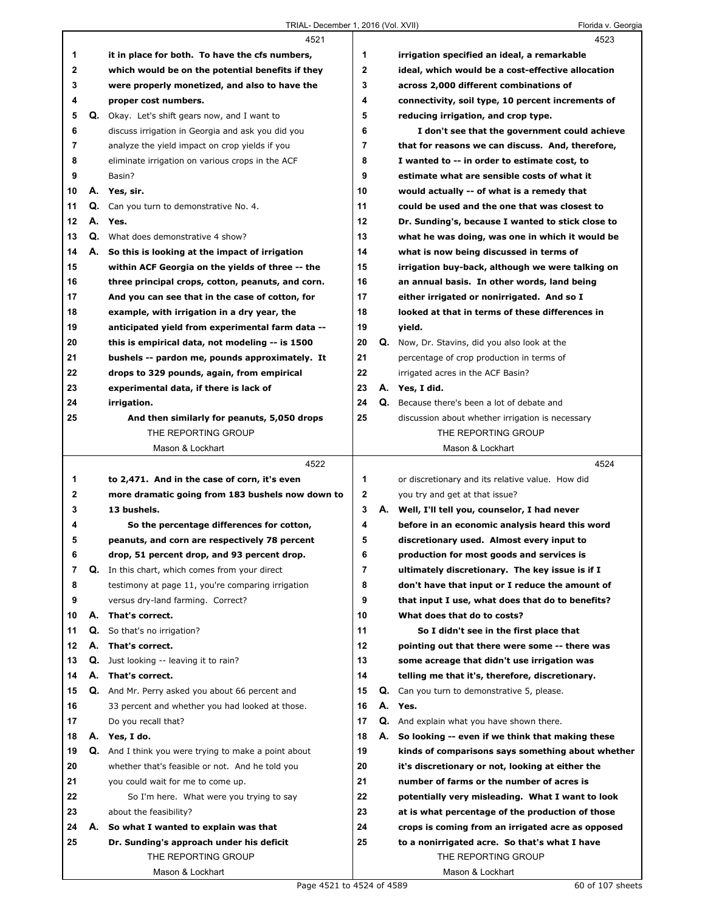$\Gamma$ 

|             |    | 4521                                                 |                |    | 4523                                                                    |
|-------------|----|------------------------------------------------------|----------------|----|-------------------------------------------------------------------------|
| 1           |    | it in place for both. To have the cfs numbers,       | 1              |    | irrigation specified an ideal, a remarkable                             |
| $\mathbf 2$ |    | which would be on the potential benefits if they     | $\mathbf{2}$   |    | ideal, which would be a cost-effective allocation                       |
| 3           |    | were properly monetized, and also to have the        | 3              |    | across 2,000 different combinations of                                  |
| 4           |    | proper cost numbers.                                 | 4              |    | connectivity, soil type, 10 percent increments of                       |
| 5           |    | <b>Q.</b> Okay. Let's shift gears now, and I want to | 5              |    | reducing irrigation, and crop type.                                     |
| 6           |    | discuss irrigation in Georgia and ask you did you    | 6              |    | I don't see that the government could achieve                           |
| 7           |    | analyze the yield impact on crop yields if you       | $\overline{7}$ |    | that for reasons we can discuss. And, therefore,                        |
| 8           |    | eliminate irrigation on various crops in the ACF     | 8              |    | I wanted to -- in order to estimate cost, to                            |
| 9           |    | Basin?                                               | 9              |    | estimate what are sensible costs of what it                             |
| 10          |    | A. Yes, sir.                                         | 10             |    | would actually -- of what is a remedy that                              |
| 11          |    | Q. Can you turn to demonstrative No. 4.              | 11             |    | could be used and the one that was closest to                           |
| 12          |    | A. Yes.                                              | 12             |    | Dr. Sunding's, because I wanted to stick close to                       |
| 13          |    | <b>Q.</b> What does demonstrative 4 show?            | 13             |    | what he was doing, was one in which it would be                         |
| 14          |    | A. So this is looking at the impact of irrigation    | 14             |    | what is now being discussed in terms of                                 |
| 15          |    | within ACF Georgia on the yields of three -- the     | 15             |    | irrigation buy-back, although we were talking on                        |
| 16          |    | three principal crops, cotton, peanuts, and corn.    | 16             |    | an annual basis. In other words, land being                             |
| 17          |    | And you can see that in the case of cotton, for      | 17             |    | either irrigated or nonirrigated. And so I                              |
| 18          |    | example, with irrigation in a dry year, the          | 18             |    | looked at that in terms of these differences in                         |
| 19          |    | anticipated yield from experimental farm data --     | 19             |    | yield.                                                                  |
| 20          |    | this is empirical data, not modeling -- is 1500      | 20             |    | Q. Now, Dr. Stavins, did you also look at the                           |
| 21          |    | bushels -- pardon me, pounds approximately. It       | 21             |    | percentage of crop production in terms of                               |
| 22          |    | drops to 329 pounds, again, from empirical           | 22             |    | irrigated acres in the ACF Basin?                                       |
| 23          |    | experimental data, if there is lack of               | 23             |    | A. Yes, I did.                                                          |
| 24          |    | irrigation.                                          | 24             | Q. | Because there's been a lot of debate and                                |
| 25          |    | And then similarly for peanuts, 5,050 drops          | 25             |    |                                                                         |
|             |    | THE REPORTING GROUP                                  |                |    | discussion about whether irrigation is necessary<br>THE REPORTING GROUP |
|             |    | Mason & Lockhart                                     |                |    | Mason & Lockhart                                                        |
|             |    |                                                      |                |    |                                                                         |
|             |    |                                                      |                |    |                                                                         |
|             |    | 4522                                                 |                |    | 4524                                                                    |
| 1           |    | to 2,471. And in the case of corn, it's even         | 1              |    | or discretionary and its relative value. How did                        |
| 2           |    | more dramatic going from 183 bushels now down to     | $\mathbf{2}$   |    | you try and get at that issue?                                          |
| 3           |    | 13 bushels.                                          | 3              |    | A. Well, I'll tell you, counselor, I had never                          |
| 4           |    | So the percentage differences for cotton,            | 4              |    | before in an economic analysis heard this word                          |
| 5           |    | peanuts, and corn are respectively 78 percent        | 5              |    | discretionary used. Almost every input to                               |
| 6           |    | drop, 51 percent drop, and 93 percent drop.          | 6              |    | production for most goods and services is                               |
| 7           |    | Q. In this chart, which comes from your direct       | 7              |    | ultimately discretionary. The key issue is if I                         |
| 8           |    | testimony at page 11, you're comparing irrigation    | 8              |    | don't have that input or I reduce the amount of                         |
| 9           |    | versus dry-land farming. Correct?                    | 9              |    | that input I use, what does that do to benefits?                        |
| 10          | А. | That's correct.                                      | 10             |    | What does that do to costs?                                             |
| 11          | Q. | So that's no irrigation?                             | 11             |    | So I didn't see in the first place that                                 |
| 12          | А. | That's correct.                                      | 12             |    | pointing out that there were some -- there was                          |
| 13          | Q. | Just looking -- leaving it to rain?                  | 13             |    | some acreage that didn't use irrigation was                             |
| 14          | А. | That's correct.                                      | 14             |    | telling me that it's, therefore, discretionary.                         |
| 15          | Q. | And Mr. Perry asked you about 66 percent and         | 15             | Q. | Can you turn to demonstrative 5, please.                                |
| 16          |    | 33 percent and whether you had looked at those.      | 16             | А. | Yes.                                                                    |
| 17          |    | Do you recall that?                                  | 17             |    | Q. And explain what you have shown there.                               |
| 18          | А. | Yes, I do.                                           | 18             | А. | So looking -- even if we think that making these                        |
| 19          |    | Q. And I think you were trying to make a point about | 19             |    | kinds of comparisons says something about whether                       |
| 20          |    | whether that's feasible or not. And he told you      | 20             |    | it's discretionary or not, looking at either the                        |
| 21          |    | you could wait for me to come up.                    | 21             |    | number of farms or the number of acres is                               |
| 22          |    | So I'm here. What were you trying to say             | 22             |    | potentially very misleading. What I want to look                        |
| 23          |    | about the feasibility?                               | 23             |    | at is what percentage of the production of those                        |
| 24          | А. | So what I wanted to explain was that                 | 24             |    | crops is coming from an irrigated acre as opposed                       |
| 25          |    | Dr. Sunding's approach under his deficit             | 25             |    | to a nonirrigated acre. So that's what I have                           |
|             |    | THE REPORTING GROUP<br>Mason & Lockhart              |                |    | THE REPORTING GROUP<br>Mason & Lockhart                                 |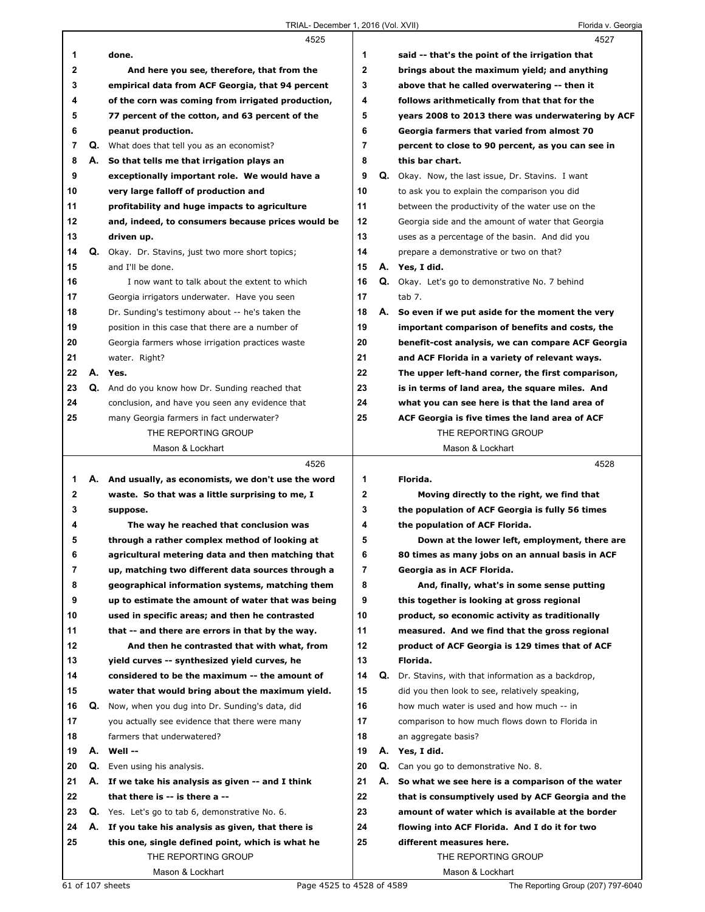|              |    | 4525                                                 |                |    | 4527                                                   |
|--------------|----|------------------------------------------------------|----------------|----|--------------------------------------------------------|
| 1            |    | done.                                                | 1              |    | said -- that's the point of the irrigation that        |
| $\mathbf{2}$ |    | And here you see, therefore, that from the           | $\mathbf{2}$   |    | brings about the maximum yield; and anything           |
| 3            |    | empirical data from ACF Georgia, that 94 percent     | 3              |    | above that he called overwatering -- then it           |
| 4            |    | of the corn was coming from irrigated production,    | 4              |    | follows arithmetically from that that for the          |
| 5            |    | 77 percent of the cotton, and 63 percent of the      | 5              |    | years 2008 to 2013 there was underwatering by ACF      |
| 6            |    | peanut production.                                   | 6              |    | Georgia farmers that varied from almost 70             |
| 7            |    | Q. What does that tell you as an economist?          | $\overline{7}$ |    | percent to close to 90 percent, as you can see in      |
| 8            |    | A. So that tells me that irrigation plays an         | 8              |    | this bar chart.                                        |
| 9            |    | exceptionally important role. We would have a        | 9              | Q. | Okay. Now, the last issue, Dr. Stavins. I want         |
| 10           |    | very large falloff of production and                 | 10             |    | to ask you to explain the comparison you did           |
| 11           |    | profitability and huge impacts to agriculture        | 11             |    | between the productivity of the water use on the       |
| 12           |    | and, indeed, to consumers because prices would be    | 12             |    | Georgia side and the amount of water that Georgia      |
| 13           |    | driven up.                                           | 13             |    | uses as a percentage of the basin. And did you         |
| 14           | Q. | Okay. Dr. Stavins, just two more short topics;       | 14             |    | prepare a demonstrative or two on that?                |
| 15           |    | and I'll be done.                                    | 15             |    | A. Yes, I did.                                         |
| 16           |    | I now want to talk about the extent to which         | 16             |    | <b>Q.</b> Okay. Let's go to demonstrative No. 7 behind |
| 17           |    | Georgia irrigators underwater. Have you seen         | 17             |    | tab 7.                                                 |
| 18           |    | Dr. Sunding's testimony about -- he's taken the      | 18             | А. | So even if we put aside for the moment the very        |
| 19           |    | position in this case that there are a number of     | 19             |    | important comparison of benefits and costs, the        |
| 20           |    | Georgia farmers whose irrigation practices waste     | 20             |    | benefit-cost analysis, we can compare ACF Georgia      |
| 21           |    | water. Right?                                        | 21             |    | and ACF Florida in a variety of relevant ways.         |
| 22           |    | A. Yes.                                              | 22             |    | The upper left-hand corner, the first comparison,      |
| 23           |    | Q. And do you know how Dr. Sunding reached that      | 23             |    | is in terms of land area, the square miles. And        |
| 24           |    | conclusion, and have you seen any evidence that      | 24             |    | what you can see here is that the land area of         |
| 25           |    | many Georgia farmers in fact underwater?             | 25             |    | ACF Georgia is five times the land area of ACF         |
|              |    | THE REPORTING GROUP                                  |                |    | THE REPORTING GROUP                                    |
|              |    | Mason & Lockhart                                     |                |    |                                                        |
|              |    |                                                      |                |    | Mason & Lockhart                                       |
|              |    | 4526                                                 |                |    | 4528                                                   |
| 1            |    | A. And usually, as economists, we don't use the word | 1              |    | Florida.                                               |
| 2            |    | waste. So that was a little surprising to me, I      | $\mathbf{2}$   |    | Moving directly to the right, we find that             |
| 3            |    | suppose.                                             | 3              |    | the population of ACF Georgia is fully 56 times        |
| 4            |    | The way he reached that conclusion was               | 4              |    | the population of ACF Florida.                         |
| 5            |    | through a rather complex method of looking at        | 5              |    | Down at the lower left, employment, there are          |
| 6            |    | agricultural metering data and then matching that    | 6              |    | 80 times as many jobs on an annual basis in ACF        |
| 7            |    | up, matching two different data sources through a    | 7              |    | Georgia as in ACF Florida.                             |
| 8            |    | geographical information systems, matching them      | 8              |    | And, finally, what's in some sense putting             |
| 9            |    | up to estimate the amount of water that was being    | 9              |    | this together is looking at gross regional             |
| 10           |    | used in specific areas; and then he contrasted       | 10             |    | product, so economic activity as traditionally         |
| 11           |    | that -- and there are errors in that by the way.     | 11             |    | measured. And we find that the gross regional          |
| 12           |    | And then he contrasted that with what, from          | 12             |    | product of ACF Georgia is 129 times that of ACF        |
| 13           |    | yield curves -- synthesized yield curves, he         | 13             |    | Florida.                                               |
| 14           |    | considered to be the maximum -- the amount of        | 14             | Q. | Dr. Stavins, with that information as a backdrop,      |
| 15           |    | water that would bring about the maximum yield.      | 15             |    | did you then look to see, relatively speaking,         |
| 16           | Q. | Now, when you dug into Dr. Sunding's data, did       | 16             |    | how much water is used and how much -- in              |
| 17           |    | you actually see evidence that there were many       | 17             |    | comparison to how much flows down to Florida in        |
| 18           |    | farmers that underwatered?                           | 18             |    | an aggregate basis?                                    |
| 19           | А. | Well --                                              | 19             |    | A. Yes, I did.                                         |
| 20           | Q. | Even using his analysis.                             | 20             |    | Q. Can you go to demonstrative No. 8.                  |
| 21           |    | A. If we take his analysis as given -- and I think   | 21             | А. | So what we see here is a comparison of the water       |
| 22           |    | that there is -- is there a --                       | 22             |    | that is consumptively used by ACF Georgia and the      |
| 23           |    | Q. Yes. Let's go to tab 6, demonstrative No. 6.      | 23             |    | amount of water which is available at the border       |
| 24           | А. | If you take his analysis as given, that there is     | 24             |    | flowing into ACF Florida. And I do it for two          |
| 25           |    | this one, single defined point, which is what he     | 25             |    | different measures here.                               |
|              |    | THE REPORTING GROUP                                  |                |    | THE REPORTING GROUP                                    |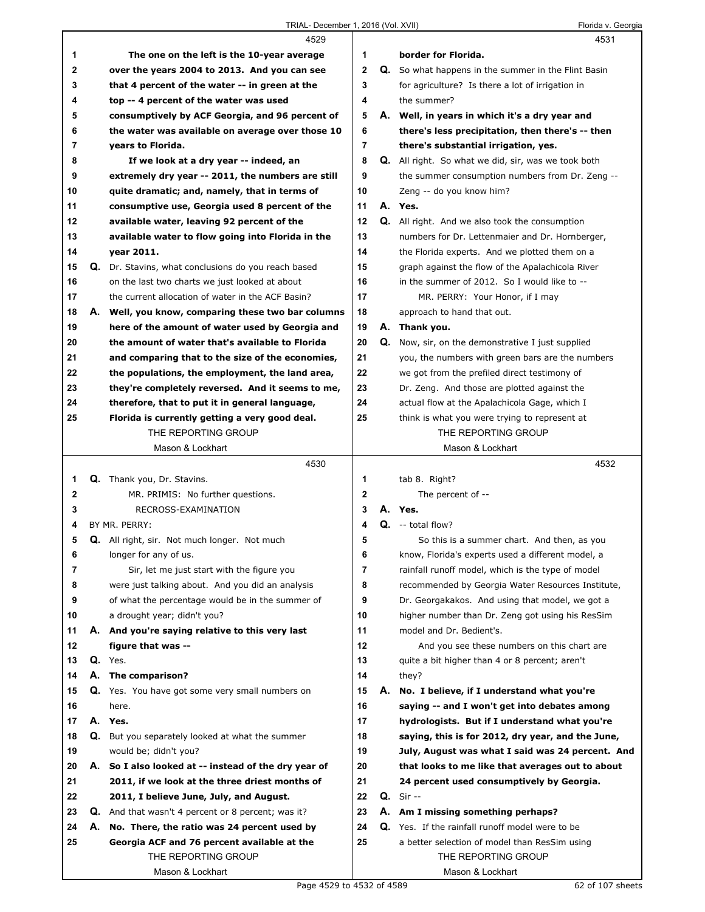|    | 4529                                                      |              | 4531                                                       |
|----|-----------------------------------------------------------|--------------|------------------------------------------------------------|
| 1  | The one on the left is the 10-year average                | 1            | border for Florida.                                        |
| 2  | over the years 2004 to 2013. And you can see              | $\mathbf{2}$ | Q. So what happens in the summer in the Flint Basin        |
| 3  | that 4 percent of the water -- in green at the            | 3            | for agriculture? Is there a lot of irrigation in           |
| 4  | top -- 4 percent of the water was used                    | 4            | the summer?                                                |
| 5  | consumptively by ACF Georgia, and 96 percent of           | 5            | A. Well, in years in which it's a dry year and             |
| 6  | the water was available on average over those 10          | 6            | there's less precipitation, then there's -- then           |
| 7  | years to Florida.                                         | 7            | there's substantial irrigation, yes.                       |
| 8  | If we look at a dry year -- indeed, an                    | 8            | <b>Q.</b> All right. So what we did, sir, was we took both |
| 9  | extremely dry year -- 2011, the numbers are still         | 9            | the summer consumption numbers from Dr. Zeng --            |
| 10 | quite dramatic; and, namely, that in terms of             | 10           | Zeng -- do you know him?                                   |
| 11 | consumptive use, Georgia used 8 percent of the            | 11           | A. Yes.                                                    |
| 12 | available water, leaving 92 percent of the                | 12           | <b>Q.</b> All right. And we also took the consumption      |
| 13 | available water to flow going into Florida in the         | 13           | numbers for Dr. Lettenmaier and Dr. Hornberger,            |
| 14 | year 2011.                                                | 14           | the Florida experts. And we plotted them on a              |
| 15 | Q. Dr. Stavins, what conclusions do you reach based       | 15           | graph against the flow of the Apalachicola River           |
| 16 | on the last two charts we just looked at about            | 16           | in the summer of 2012. So I would like to --               |
| 17 | the current allocation of water in the ACF Basin?         | 17           | MR. PERRY: Your Honor, if I may                            |
| 18 | A. Well, you know, comparing these two bar columns        | 18           | approach to hand that out.                                 |
| 19 | here of the amount of water used by Georgia and           | 19           | A. Thank you.                                              |
| 20 | the amount of water that's available to Florida           | 20           | Q. Now, sir, on the demonstrative I just supplied          |
| 21 | and comparing that to the size of the economies,          | 21           | you, the numbers with green bars are the numbers           |
| 22 | the populations, the employment, the land area,           | 22           | we got from the prefiled direct testimony of               |
| 23 | they're completely reversed. And it seems to me,          | 23           | Dr. Zeng. And those are plotted against the                |
| 24 | therefore, that to put it in general language,            | 24           | actual flow at the Apalachicola Gage, which I              |
| 25 | Florida is currently getting a very good deal.            | 25           | think is what you were trying to represent at              |
|    | THE REPORTING GROUP                                       |              | THE REPORTING GROUP                                        |
|    | Mason & Lockhart                                          |              | Mason & Lockhart                                           |
|    |                                                           |              |                                                            |
|    |                                                           |              |                                                            |
|    | 4530                                                      |              | 4532                                                       |
| 1  | Q. Thank you, Dr. Stavins.                                | 1            | tab 8. Right?                                              |
| 2  | MR. PRIMIS: No further questions.                         | 2            | The percent of --                                          |
| 3  | RECROSS-EXAMINATION                                       | 3            | A. Yes.                                                    |
| 4  | BY MR. PERRY:                                             | 4            | $Q_{1}$ -- total flow?                                     |
| 5  | Q. All right, sir. Not much longer. Not much              | 5            | So this is a summer chart. And then, as you                |
| 6  | longer for any of us.                                     | 6            | know, Florida's experts used a different model, a          |
| 7  | Sir, let me just start with the figure you                | 7            | rainfall runoff model, which is the type of model          |
| 8  | were just talking about. And you did an analysis          | 8            | recommended by Georgia Water Resources Institute,          |
| 9  | of what the percentage would be in the summer of          | 9            | Dr. Georgakakos. And using that model, we got a            |
| 10 | a drought year; didn't you?                               | 10           | higher number than Dr. Zeng got using his ResSim           |
| 11 | A. And you're saying relative to this very last           | 11           | model and Dr. Bedient's.                                   |
| 12 | figure that was --                                        | $12 \,$      | And you see these numbers on this chart are                |
| 13 | Q. Yes.                                                   | 13           | quite a bit higher than 4 or 8 percent; aren't             |
| 14 | A. The comparison?                                        | 14           | they?                                                      |
| 15 | Q. Yes. You have got some very small numbers on           | 15           | A. No. I believe, if I understand what you're              |
| 16 | here.                                                     | 16           | saying -- and I won't get into debates among               |
| 17 | A. Yes.                                                   | 17           | hydrologists. But if I understand what you're              |
| 18 | Q. But you separately looked at what the summer           | 18           | saying, this is for 2012, dry year, and the June,          |
| 19 | would be; didn't you?                                     | 19           | July, August was what I said was 24 percent. And           |
| 20 | A. So I also looked at -- instead of the dry year of      | 20           | that looks to me like that averages out to about           |
| 21 | 2011, if we look at the three driest months of            | 21           | 24 percent used consumptively by Georgia.                  |
| 22 | 2011, I believe June, July, and August.                   | 22           | $Q.$ Sir --                                                |
| 23 | <b>Q.</b> And that wasn't 4 percent or 8 percent; was it? | 23           | A. Am I missing something perhaps?                         |
| 24 | A. No. There, the ratio was 24 percent used by            | 24           | Q. Yes. If the rainfall runoff model were to be            |
| 25 | Georgia ACF and 76 percent available at the               | 25           | a better selection of model than ResSim using              |
|    | THE REPORTING GROUP<br>Mason & Lockhart                   |              | THE REPORTING GROUP<br>Mason & Lockhart                    |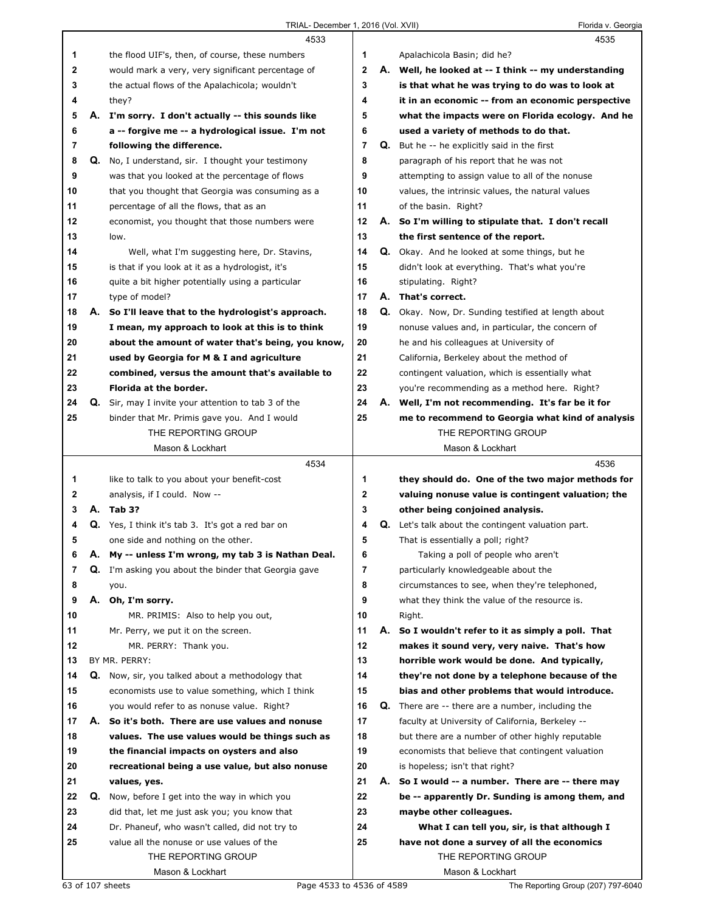|          |    | 4533                                                                                        |                |    | 4535                                                                       |
|----------|----|---------------------------------------------------------------------------------------------|----------------|----|----------------------------------------------------------------------------|
| 1        |    | the flood UIF's, then, of course, these numbers                                             | 1              |    | Apalachicola Basin; did he?                                                |
| 2        |    | would mark a very, very significant percentage of                                           | $\mathbf 2$    |    | A. Well, he looked at -- I think -- my understanding                       |
| 3        |    | the actual flows of the Apalachicola; wouldn't                                              | 3              |    | is that what he was trying to do was to look at                            |
| 4        |    | they?                                                                                       | 4              |    | it in an economic -- from an economic perspective                          |
| 5        |    | A. I'm sorry. I don't actually -- this sounds like                                          | 5              |    | what the impacts were on Florida ecology. And he                           |
| 6        |    | a -- forgive me -- a hydrological issue. I'm not                                            | 6              |    | used a variety of methods to do that.                                      |
| 7        |    | following the difference.                                                                   | $\overline{7}$ |    | <b>Q.</b> But he -- he explicitly said in the first                        |
| 8        | Q. | No, I understand, sir. I thought your testimony                                             | 8              |    | paragraph of his report that he was not                                    |
| 9        |    | was that you looked at the percentage of flows                                              | 9              |    | attempting to assign value to all of the nonuse                            |
| 10       |    | that you thought that Georgia was consuming as a                                            | 10             |    | values, the intrinsic values, the natural values                           |
| 11       |    | percentage of all the flows, that as an                                                     | 11             |    | of the basin. Right?                                                       |
| 12       |    | economist, you thought that those numbers were                                              | 12             |    | A. So I'm willing to stipulate that. I don't recall                        |
| 13       |    | low.                                                                                        | 13             |    | the first sentence of the report.                                          |
| 14       |    | Well, what I'm suggesting here, Dr. Stavins,                                                | 14             |    | <b>Q.</b> Okay. And he looked at some things, but he                       |
| 15       |    | is that if you look at it as a hydrologist, it's                                            | 15             |    | didn't look at everything. That's what you're                              |
| 16       |    | quite a bit higher potentially using a particular                                           | 16             |    | stipulating. Right?                                                        |
| 17       |    | type of model?                                                                              | 17             |    | A. That's correct.                                                         |
| 18       |    | A. So I'll leave that to the hydrologist's approach.                                        | 18             |    | Q. Okay. Now, Dr. Sunding testified at length about                        |
| 19       |    | I mean, my approach to look at this is to think                                             | 19             |    | nonuse values and, in particular, the concern of                           |
| 20       |    | about the amount of water that's being, you know,                                           | 20             |    | he and his colleagues at University of                                     |
| 21       |    | used by Georgia for M & I and agriculture                                                   | 21             |    | California, Berkeley about the method of                                   |
| 22       |    | combined, versus the amount that's available to                                             | 22             |    | contingent valuation, which is essentially what                            |
| 23       |    | Florida at the border.                                                                      | 23             |    | you're recommending as a method here. Right?                               |
| 24       | Q. | Sir, may I invite your attention to tab 3 of the                                            | 24             | А. | Well, I'm not recommending. It's far be it for                             |
| 25       |    | binder that Mr. Primis gave you. And I would                                                | 25             |    | me to recommend to Georgia what kind of analysis                           |
|          |    | THE REPORTING GROUP                                                                         |                |    | THE REPORTING GROUP                                                        |
|          |    | Mason & Lockhart                                                                            |                |    | Mason & Lockhart                                                           |
|          |    | 4534                                                                                        |                |    |                                                                            |
|          |    |                                                                                             |                |    | 4536                                                                       |
| 1        |    | like to talk to you about your benefit-cost                                                 | 1              |    | they should do. One of the two major methods for                           |
| 2        |    | analysis, if I could. Now --                                                                | 2              |    | valuing nonuse value is contingent valuation; the                          |
| 3        |    | A. Tab 3?                                                                                   | 3              |    | other being conjoined analysis.                                            |
| 4        |    | Q. Yes, I think it's tab 3. It's got a red bar on                                           | 4              |    | <b>Q.</b> Let's talk about the contingent valuation part.                  |
| 5        |    | one side and nothing on the other.                                                          | 5              |    | That is essentially a poll; right?                                         |
| 6        | Α. | My -- unless I'm wrong, my tab 3 is Nathan Deal.                                            | 6              |    | Taking a poll of people who aren't                                         |
| 7        |    | <b>Q.</b> I'm asking you about the binder that Georgia gave                                 | 7              |    | particularly knowledgeable about the                                       |
| 8        |    | you.                                                                                        | 8              |    | circumstances to see, when they're telephoned,                             |
| 9        |    | A. Oh, I'm sorry.                                                                           | 9              |    | what they think the value of the resource is.                              |
| 10       |    | MR. PRIMIS: Also to help you out,                                                           | 10             |    | Right.                                                                     |
| 11       |    | Mr. Perry, we put it on the screen.                                                         | 11             |    | A. So I wouldn't refer to it as simply a poll. That                        |
| 12       |    | MR. PERRY: Thank you.                                                                       | 12             |    | makes it sound very, very naive. That's how                                |
| 13       |    | BY MR. PERRY:                                                                               | 13             |    | horrible work would be done. And typically,                                |
| 14       | Q. | Now, sir, you talked about a methodology that                                               | 14             |    | they're not done by a telephone because of the                             |
| 15       |    | economists use to value something, which I think                                            | 15             |    | bias and other problems that would introduce.                              |
| 16       |    | you would refer to as nonuse value. Right?                                                  | 16             |    | <b>Q.</b> There are -- there are a number, including the                   |
| 17       |    | A. So it's both. There are use values and nonuse                                            | 17             |    | faculty at University of California, Berkeley --                           |
| 18       |    | values. The use values would be things such as                                              | 18             |    | but there are a number of other highly reputable                           |
| 19       |    | the financial impacts on oysters and also                                                   | 19             |    | economists that believe that contingent valuation                          |
| 20       |    | recreational being a use value, but also nonuse                                             | 20             |    | is hopeless; isn't that right?                                             |
| 21<br>22 | Q. | values, yes.                                                                                | 21<br>22       |    | A. So I would -- a number. There are -- there may                          |
| 23       |    | Now, before I get into the way in which you<br>did that, let me just ask you; you know that | 23             |    | be -- apparently Dr. Sunding is among them, and<br>maybe other colleagues. |
| 24       |    | Dr. Phaneuf, who wasn't called, did not try to                                              | 24             |    | What I can tell you, sir, is that although I                               |
| 25       |    | value all the nonuse or use values of the                                                   | 25             |    | have not done a survey of all the economics                                |
|          |    | THE REPORTING GROUP                                                                         |                |    | THE REPORTING GROUP                                                        |
|          |    | Mason & Lockhart                                                                            |                |    | Mason & Lockhart                                                           |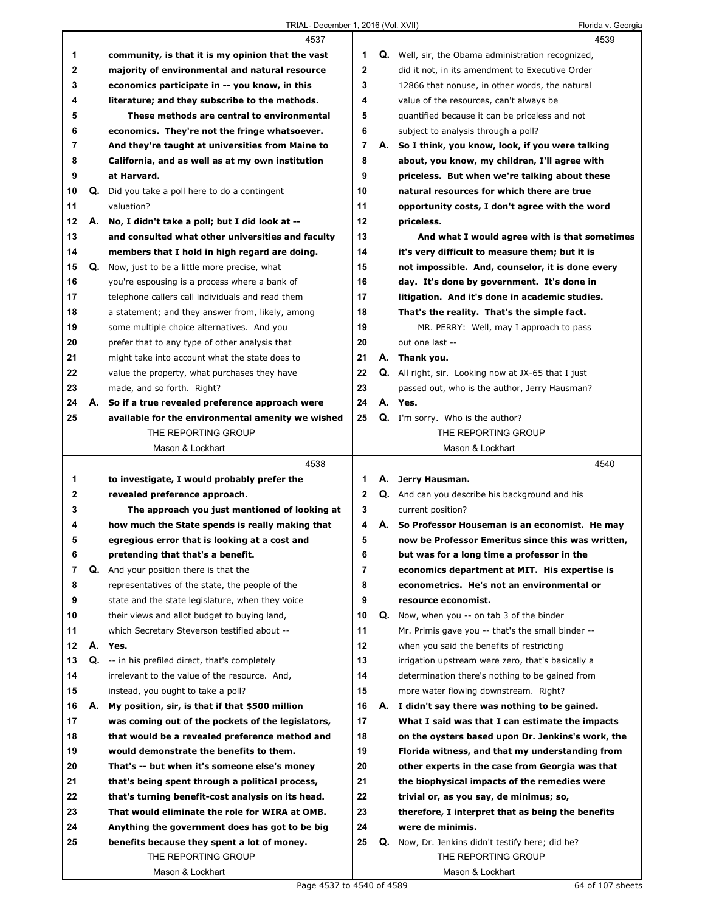|             |    | 4537                                                                                             |                | 4539                                                       |
|-------------|----|--------------------------------------------------------------------------------------------------|----------------|------------------------------------------------------------|
| 1           |    | community, is that it is my opinion that the vast                                                | 1              | <b>Q.</b> Well, sir, the Obama administration recognized,  |
| $\mathbf 2$ |    | majority of environmental and natural resource                                                   | $\mathbf{2}$   | did it not, in its amendment to Executive Order            |
| 3           |    | economics participate in -- you know, in this                                                    | 3              | 12866 that nonuse, in other words, the natural             |
| 4           |    | literature; and they subscribe to the methods.                                                   | 4              | value of the resources, can't always be                    |
| 5           |    | These methods are central to environmental                                                       | 5              | quantified because it can be priceless and not             |
| 6           |    | economics. They're not the fringe whatsoever.                                                    | 6              | subject to analysis through a poll?                        |
| 7           |    | And they're taught at universities from Maine to                                                 | $\overline{7}$ | A. So I think, you know, look, if you were talking         |
| 8           |    | California, and as well as at my own institution                                                 | 8              | about, you know, my children, I'll agree with              |
| 9           |    | at Harvard.                                                                                      | 9              | priceless. But when we're talking about these              |
| 10          | Q. | Did you take a poll here to do a contingent                                                      | 10             | natural resources for which there are true                 |
| 11          |    | valuation?                                                                                       | 11             | opportunity costs, I don't agree with the word             |
| 12          |    | A. No, I didn't take a poll; but I did look at --                                                | 12             | priceless.                                                 |
| 13          |    |                                                                                                  | 13             |                                                            |
|             |    | and consulted what other universities and faculty                                                |                | And what I would agree with is that sometimes              |
| 14          |    | members that I hold in high regard are doing.                                                    | 14             | it's very difficult to measure them; but it is             |
| 15          | Q. | Now, just to be a little more precise, what                                                      | 15             | not impossible. And, counselor, it is done every           |
| 16          |    | you're espousing is a process where a bank of                                                    | 16             | day. It's done by government. It's done in                 |
| 17          |    | telephone callers call individuals and read them                                                 | 17             | litigation. And it's done in academic studies.             |
| 18          |    | a statement; and they answer from, likely, among                                                 | 18             | That's the reality. That's the simple fact.                |
| 19          |    | some multiple choice alternatives. And you                                                       | 19             | MR. PERRY: Well, may I approach to pass                    |
| 20          |    | prefer that to any type of other analysis that                                                   | 20             | out one last --                                            |
| 21          |    | might take into account what the state does to                                                   | 21             | A. Thank you.                                              |
| 22          |    | value the property, what purchases they have                                                     | 22             | <b>Q.</b> All right, sir. Looking now at JX-65 that I just |
| 23          |    | made, and so forth. Right?                                                                       | 23             | passed out, who is the author, Jerry Hausman?              |
| 24          | А. | So if a true revealed preference approach were                                                   | 24             | A. Yes.                                                    |
| 25          |    | available for the environmental amenity we wished                                                | 25             | <b>Q.</b> I'm sorry. Who is the author?                    |
|             |    | THE REPORTING GROUP                                                                              |                | THE REPORTING GROUP                                        |
|             |    | Mason & Lockhart                                                                                 |                | Mason & Lockhart                                           |
|             |    |                                                                                                  |                |                                                            |
|             |    | 4538                                                                                             |                | 4540                                                       |
| 1           |    | to investigate, I would probably prefer the                                                      | 1.             | A. Jerry Hausman.                                          |
| 2           |    | revealed preference approach.                                                                    | $\mathbf{2}$   | Q. And can you describe his background and his             |
| 3           |    | The approach you just mentioned of looking at                                                    | 3              | current position?                                          |
| 4           |    | how much the State spends is really making that                                                  | 4              | A. So Professor Houseman is an economist. He may           |
| 5           |    | egregious error that is looking at a cost and                                                    | 5              | now be Professor Emeritus since this was written,          |
| 6           |    | pretending that that's a benefit.                                                                | 6              | but was for a long time a professor in the                 |
| 7           |    | Q. And your position there is that the                                                           | 7              | economics department at MIT. His expertise is              |
| 8           |    | representatives of the state, the people of the                                                  | 8              | econometrics. He's not an environmental or                 |
| 9           |    | state and the state legislature, when they voice                                                 | 9              | resource economist.                                        |
| 10          |    | their views and allot budget to buying land,                                                     | 10             | <b>Q.</b> Now, when you -- on tab 3 of the binder          |
| 11          |    | which Secretary Steverson testified about --                                                     | 11             | Mr. Primis gave you -- that's the small binder --          |
| 12          |    | A. Yes.                                                                                          | 12             | when you said the benefits of restricting                  |
| 13          |    |                                                                                                  | 13             | irrigation upstream were zero, that's basically a          |
| 14          |    | Q. -- in his prefiled direct, that's completely<br>irrelevant to the value of the resource. And, | 14             | determination there's nothing to be gained from            |
|             |    |                                                                                                  |                |                                                            |
| 15          |    | instead, you ought to take a poll?                                                               | 15             | more water flowing downstream. Right?                      |
| 16          | А. | My position, sir, is that if that \$500 million                                                  | 16             | A. I didn't say there was nothing to be gained.            |
| 17          |    | was coming out of the pockets of the legislators,                                                | 17             | What I said was that I can estimate the impacts            |
| 18          |    | that would be a revealed preference method and                                                   | 18             | on the oysters based upon Dr. Jenkins's work, the          |
| 19          |    | would demonstrate the benefits to them.                                                          | 19             | Florida witness, and that my understanding from            |
| 20          |    | That's -- but when it's someone else's money                                                     | 20             | other experts in the case from Georgia was that            |
| 21          |    | that's being spent through a political process,                                                  | 21             | the biophysical impacts of the remedies were               |
| 22          |    | that's turning benefit-cost analysis on its head.                                                | 22             | trivial or, as you say, de minimus; so,                    |
| 23          |    | That would eliminate the role for WIRA at OMB.                                                   | 23             | therefore, I interpret that as being the benefits          |
| 24          |    | Anything the government does has got to be big                                                   | 24             | were de minimis.                                           |
| 25          |    | benefits because they spent a lot of money.                                                      | 25             | <b>Q.</b> Now, Dr. Jenkins didn't testify here; did he?    |
|             |    | THE REPORTING GROUP<br>Mason & Lockhart                                                          |                | THE REPORTING GROUP<br>Mason & Lockhart                    |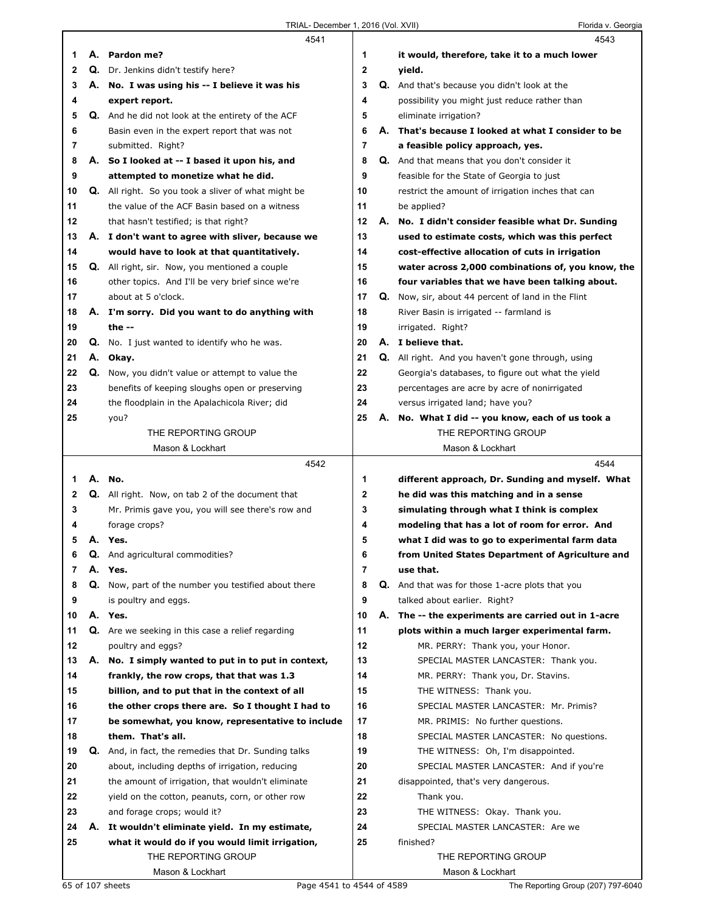|          |    | 4541                                                                   |                | 4543                                                                          |
|----------|----|------------------------------------------------------------------------|----------------|-------------------------------------------------------------------------------|
| 1        |    | A. Pardon me?                                                          | 1              | it would, therefore, take it to a much lower                                  |
| 2        |    | Q. Dr. Jenkins didn't testify here?                                    | 2              | yield.                                                                        |
| 3        |    | A. No. I was using his -- I believe it was his                         | 3              | <b>Q.</b> And that's because you didn't look at the                           |
| 4        |    | expert report.                                                         | 4              | possibility you might just reduce rather than                                 |
| 5        |    | Q. And he did not look at the entirety of the ACF                      | 5              | eliminate irrigation?                                                         |
| 6        |    | Basin even in the expert report that was not                           | 6              | A. That's because I looked at what I consider to be                           |
| 7        |    | submitted. Right?                                                      | $\overline{7}$ | a feasible policy approach, yes.                                              |
| 8        |    | A. So I looked at -- I based it upon his, and                          | 8              | Q. And that means that you don't consider it                                  |
| 9        |    | attempted to monetize what he did.                                     | 9              | feasible for the State of Georgia to just                                     |
| 10       |    | Q. All right. So you took a sliver of what might be                    | 10             | restrict the amount of irrigation inches that can                             |
| 11       |    | the value of the ACF Basin based on a witness                          | 11             | be applied?                                                                   |
| 12       |    | that hasn't testified; is that right?                                  | 12             | A. No. I didn't consider feasible what Dr. Sunding                            |
| 13       |    | A. I don't want to agree with sliver, because we                       | 13             | used to estimate costs, which was this perfect                                |
| 14       |    | would have to look at that quantitatively.                             | 14             | cost-effective allocation of cuts in irrigation                               |
| 15       |    | <b>Q.</b> All right, sir. Now, you mentioned a couple                  | 15             | water across 2,000 combinations of, you know, the                             |
| 16       |    | other topics. And I'll be very brief since we're                       | 16             | four variables that we have been talking about.                               |
| 17       |    | about at 5 o'clock.                                                    | 17             | Q. Now, sir, about 44 percent of land in the Flint                            |
| 18       |    | A. I'm sorry. Did you want to do anything with                         | 18             | River Basin is irrigated -- farmland is                                       |
| 19       |    | the $-$                                                                | 19             | irrigated. Right?                                                             |
| 20       |    | <b>Q.</b> No. I just wanted to identify who he was.                    | 20             | A. I believe that.                                                            |
| 21       |    | A. Okay.                                                               | 21             | Q. All right. And you haven't gone through, using                             |
| 22       |    | Q. Now, you didn't value or attempt to value the                       | 22             | Georgia's databases, to figure out what the yield                             |
| 23       |    | benefits of keeping sloughs open or preserving                         | 23             | percentages are acre by acre of nonirrigated                                  |
| 24       |    | the floodplain in the Apalachicola River; did                          | 24             | versus irrigated land; have you?                                              |
| 25       |    | you?                                                                   | 25             | A. No. What I did -- you know, each of us took a                              |
|          |    | THE REPORTING GROUP                                                    |                | THE REPORTING GROUP                                                           |
|          |    | Mason & Lockhart                                                       |                | Mason & Lockhart                                                              |
|          |    |                                                                        |                |                                                                               |
|          |    | 4542                                                                   |                | 4544                                                                          |
| 1        |    | A. No.                                                                 | 1              | different approach, Dr. Sunding and myself. What                              |
| 2        |    | <b>Q.</b> All right. Now, on tab 2 of the document that                | 2              | he did was this matching and in a sense                                       |
| 3        |    | Mr. Primis gave you, you will see there's row and                      | 3              | simulating through what I think is complex                                    |
| 4        |    | forage crops?                                                          | 4              | modeling that has a lot of room for error. And                                |
| 5        |    | A. Yes.                                                                | 5              | what I did was to go to experimental farm data                                |
|          | Q. | And agricultural commodities?                                          | ь              | from United States Department of Agriculture and                              |
| 7        |    | A. Yes.                                                                | 7              | use that.                                                                     |
| 8        | Q. | Now, part of the number you testified about there                      | 8              | Q. And that was for those 1-acre plots that you                               |
| 9        |    | is poultry and eggs.                                                   | 9              | talked about earlier. Right?                                                  |
| 10       |    | A. Yes.                                                                | 10             | A. The -- the experiments are carried out in 1-acre                           |
| 11       |    | <b>Q.</b> Are we seeking in this case a relief regarding               | 11             | plots within a much larger experimental farm.                                 |
| 12       |    | poultry and eggs?                                                      | 12             | MR. PERRY: Thank you, your Honor.                                             |
| 13       | А. | No. I simply wanted to put in to put in context,                       | 13             | SPECIAL MASTER LANCASTER: Thank you.                                          |
| 14       |    | frankly, the row crops, that that was 1.3                              | 14             | MR. PERRY: Thank you, Dr. Stavins.                                            |
| 15       |    | billion, and to put that in the context of all                         | 15<br>16       | THE WITNESS: Thank you.                                                       |
| 16       |    | the other crops there are. So I thought I had to                       |                | SPECIAL MASTER LANCASTER: Mr. Primis?                                         |
| 17       |    | be somewhat, you know, representative to include                       | 17             | MR. PRIMIS: No further questions.                                             |
| 18<br>19 | Q. | them. That's all.<br>And, in fact, the remedies that Dr. Sunding talks | 18<br>19       | SPECIAL MASTER LANCASTER: No questions.<br>THE WITNESS: Oh, I'm disappointed. |
| 20       |    | about, including depths of irrigation, reducing                        | 20             | SPECIAL MASTER LANCASTER: And if you're                                       |
| 21       |    | the amount of irrigation, that wouldn't eliminate                      | 21             | disappointed, that's very dangerous.                                          |
| 22       |    | yield on the cotton, peanuts, corn, or other row                       | 22             | Thank you.                                                                    |
| 23       |    | and forage crops; would it?                                            | 23             | THE WITNESS: Okay. Thank you.                                                 |
| 24       | А. | It wouldn't eliminate yield. In my estimate,                           | 24             | SPECIAL MASTER LANCASTER: Are we                                              |
| 25       |    | what it would do if you would limit irrigation,                        | 25             | finished?                                                                     |
|          |    | THE REPORTING GROUP                                                    |                | THE REPORTING GROUP                                                           |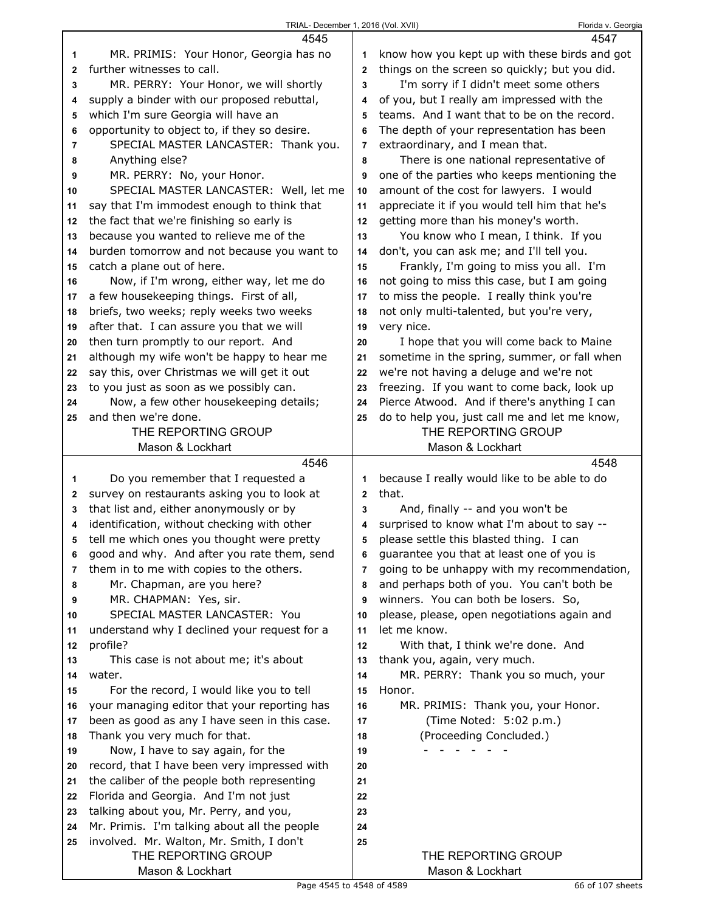|                | 4545                                                            |                | 4547                                          |
|----------------|-----------------------------------------------------------------|----------------|-----------------------------------------------|
| 1              | MR. PRIMIS: Your Honor, Georgia has no                          | 1              | know how you kept up with these birds and got |
| $\mathbf{2}$   | further witnesses to call.                                      | $\mathbf{2}$   | things on the screen so quickly; but you did. |
| 3              | MR. PERRY: Your Honor, we will shortly                          | 3              | I'm sorry if I didn't meet some others        |
| 4              | supply a binder with our proposed rebuttal,                     | 4              | of you, but I really am impressed with the    |
| 5              | which I'm sure Georgia will have an                             | 5              | teams. And I want that to be on the record.   |
| 6              | opportunity to object to, if they so desire.                    | 6              | The depth of your representation has been     |
| $\overline{7}$ | SPECIAL MASTER LANCASTER: Thank you.                            | 7              | extraordinary, and I mean that.               |
| 8              | Anything else?                                                  | 8              | There is one national representative of       |
| 9              | MR. PERRY: No, your Honor.                                      | 9              | one of the parties who keeps mentioning the   |
| 10             | SPECIAL MASTER LANCASTER: Well, let me                          | 10             | amount of the cost for lawyers. I would       |
| 11             | say that I'm immodest enough to think that                      | 11             | appreciate it if you would tell him that he's |
| 12             | the fact that we're finishing so early is                       | 12             | getting more than his money's worth.          |
| 13             | because you wanted to relieve me of the                         | 13             | You know who I mean, I think. If you          |
| 14             | burden tomorrow and not because you want to                     | 14             | don't, you can ask me; and I'll tell you.     |
| 15             | catch a plane out of here.                                      | 15             | Frankly, I'm going to miss you all. I'm       |
| 16             | Now, if I'm wrong, either way, let me do                        | 16             | not going to miss this case, but I am going   |
| 17             | a few housekeeping things. First of all,                        | 17             | to miss the people. I really think you're     |
| 18             | briefs, two weeks; reply weeks two weeks                        | 18             | not only multi-talented, but you're very,     |
| 19             | after that. I can assure you that we will                       | 19             | very nice.                                    |
| 20             | then turn promptly to our report. And                           | 20             | I hope that you will come back to Maine       |
| 21             | although my wife won't be happy to hear me                      | 21             | sometime in the spring, summer, or fall when  |
| 22             | say this, over Christmas we will get it out                     | 22             | we're not having a deluge and we're not       |
| 23             | to you just as soon as we possibly can.                         | 23             | freezing. If you want to come back, look up   |
| 24             | Now, a few other housekeeping details;                          | 24             | Pierce Atwood. And if there's anything I can  |
| 25             | and then we're done.                                            | 25             | do to help you, just call me and let me know, |
|                | THE REPORTING GROUP                                             |                | THE REPORTING GROUP                           |
|                | Mason & Lockhart                                                |                | Mason & Lockhart                              |
|                |                                                                 |                |                                               |
|                | 4546                                                            |                | 4548                                          |
| 1              | Do you remember that I requested a                              | 1              | because I really would like to be able to do  |
| 2              | survey on restaurants asking you to look at                     | $\mathbf{2}$   | that.                                         |
| 3              | that list and, either anonymously or by                         | 3              | And, finally -- and you won't be              |
| 4              | identification, without checking with other                     | 4              | surprised to know what I'm about to say --    |
| 5              | tell me which ones you thought were pretty                      | 5              | please settle this blasted thing. I can       |
| 6              | good and why. And after you rate them, send                     | 6              | guarantee you that at least one of you is     |
| 7              | them in to me with copies to the others.                        | $\overline{7}$ | going to be unhappy with my recommendation,   |
| 8              | Mr. Chapman, are you here?                                      | 8              | and perhaps both of you. You can't both be    |
| 9              | MR. CHAPMAN: Yes, sir.                                          | 9              | winners. You can both be losers. So,          |
| 10             | SPECIAL MASTER LANCASTER: You                                   | 10             | please, please, open negotiations again and   |
| 11             | understand why I declined your request for a                    | 11             | let me know.                                  |
| 12             | profile?                                                        | 12             | With that, I think we're done. And            |
| 13             | This case is not about me; it's about                           | 13             | thank you, again, very much.                  |
| 14             | water.                                                          | 14             | MR. PERRY: Thank you so much, your            |
| 15             | For the record, I would like you to tell                        | 15             | Honor.                                        |
| 16             | your managing editor that your reporting has                    | 16             | MR. PRIMIS: Thank you, your Honor.            |
| 17             | been as good as any I have seen in this case.                   | 17             | (Time Noted: 5:02 p.m.)                       |
| 18             | Thank you very much for that.                                   | 18             | (Proceeding Concluded.)                       |
| 19             | Now, I have to say again, for the                               | 19             |                                               |
| 20             | record, that I have been very impressed with                    | 20             |                                               |
| 21             | the caliber of the people both representing                     | 21             |                                               |
| 22             | Florida and Georgia. And I'm not just                           | 22             |                                               |
| 23             | talking about you, Mr. Perry, and you,                          | 23             |                                               |
| 24             | Mr. Primis. I'm talking about all the people                    | 24             |                                               |
| 25             | involved. Mr. Walton, Mr. Smith, I don't<br>THE REPORTING GROUP | 25             | THE REPORTING GROUP                           |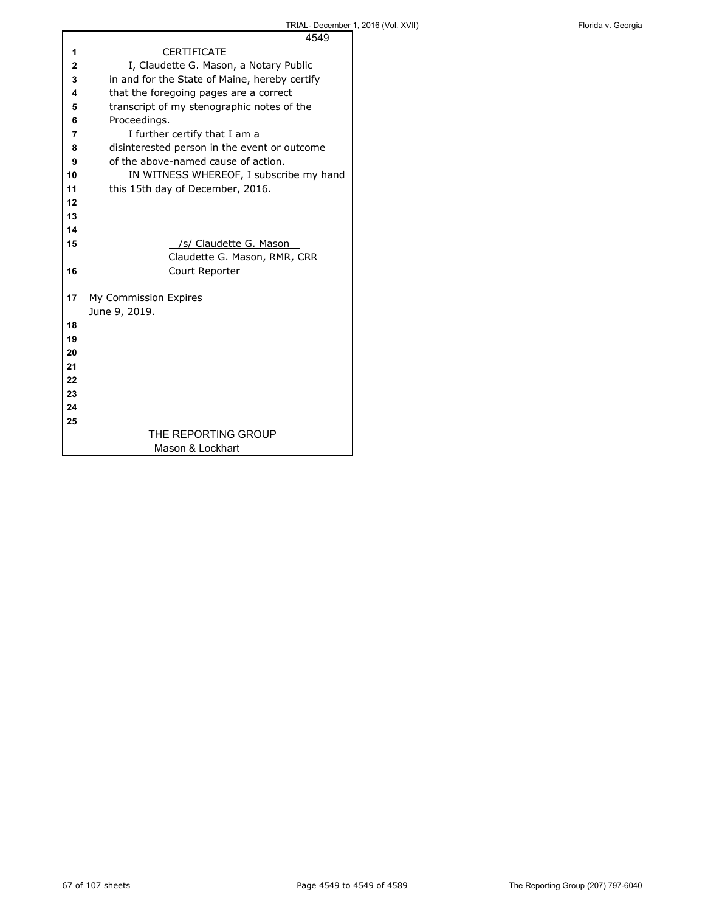|    | 4549                                          |
|----|-----------------------------------------------|
| 1  | <b>CERTIFICATE</b>                            |
| 2  | I, Claudette G. Mason, a Notary Public        |
| 3  | in and for the State of Maine, hereby certify |
| 4  | that the foregoing pages are a correct        |
| 5  | transcript of my stenographic notes of the    |
| 6  | Proceedings.                                  |
| 7  | I further certify that I am a                 |
| 8  | disinterested person in the event or outcome  |
| 9  | of the above-named cause of action.           |
| 10 | IN WITNESS WHEREOF, I subscribe my hand       |
| 11 | this 15th day of December, 2016.              |
| 12 |                                               |
| 13 |                                               |
| 14 |                                               |
| 15 | /s/ Claudette G. Mason                        |
|    | Claudette G. Mason, RMR, CRR                  |
| 16 | Court Reporter                                |
|    |                                               |
| 17 | My Commission Expires                         |
|    | June 9, 2019.                                 |
| 18 |                                               |
| 19 |                                               |
| 20 |                                               |
| 21 |                                               |
| 22 |                                               |
| 23 |                                               |
| 24 |                                               |
| 25 |                                               |
|    | THE REPORTING GROUP                           |
|    | Mason & Lockhart                              |

 $\mathsf{r}$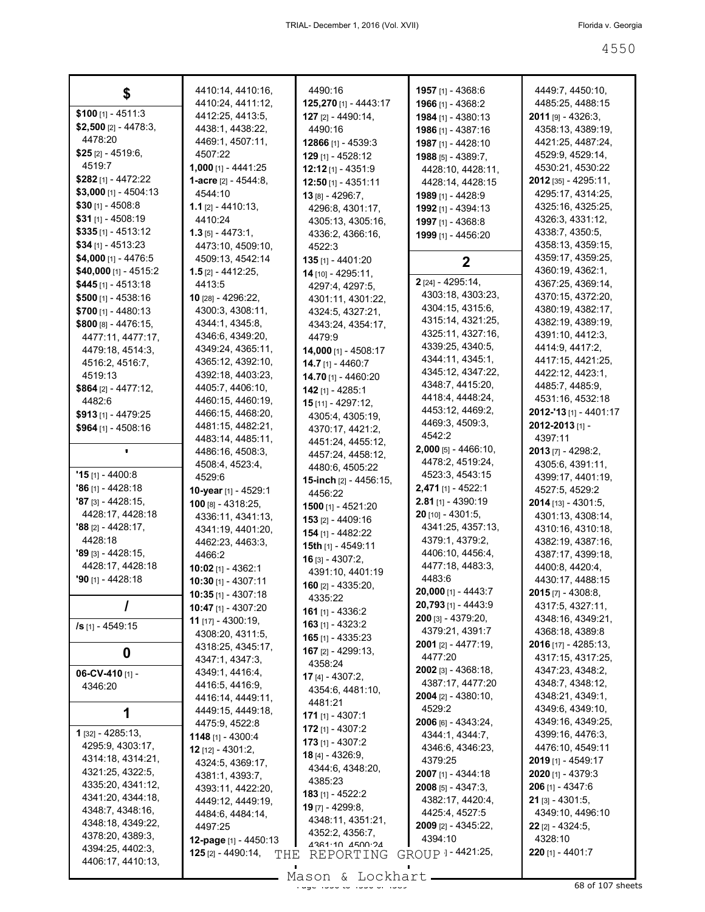|                             | 4410:14, 4410:16,                          | 4490:16                                 | 1957 [1] - 4368:6               | 4449:7, 4450:10,                      |
|-----------------------------|--------------------------------------------|-----------------------------------------|---------------------------------|---------------------------------------|
| \$100 $[1] - 4511:3$        | 4410:24, 4411:12,                          | 125,270 [1] - 4443:17                   | 1966 [1] - 4368:2               | 4485:25, 4488:15                      |
| $$2,500$ [2] - 4478:3,      | 4412:25, 4413:5,                           | <b>127</b> [2] - 4490:14,               | 1984 [1] - 4380:13              | <b>2011</b> [9] - 4326:3,             |
| 4478:20                     | 4438:1, 4438:22,                           | 4490:16                                 | 1986 [1] - 4387:16              | 4358:13, 4389:19,                     |
| <b>\$25</b> [2] - 4519:6,   | 4469:1, 4507:11,<br>4507:22                | <b>12866</b> [1] - 4539:3               | 1987 [1] - 4428:10              | 4421:25, 4487:24,                     |
| 4519:7                      | <b>1,000</b> [1] - 4441:25                 | 129 [1] - 4528:12                       | 1988 [5] - 4389:7,              | 4529:9, 4529:14,<br>4530:21, 4530:22  |
| \$282 [1] - 4472:22         | 1-acre [2] - 4544:8,                       | <b>12:12</b> [1] - 4351:9               | 4428:10, 4428:11,               | <b>2012</b> [35] - 4295:11,           |
| $$3,000$ [1] - 4504:13      | 4544:10                                    | 12:50 [1] - 4351:11                     | 4428:14, 4428:15                | 4295:17, 4314:25,                     |
| $$30$ [1] - 4508:8          | <b>1.1</b> [2] - 4410:13,                  | 13 [8] - 4296:7.                        | 1989 [1] - 4428:9               | 4325:16, 4325:25,                     |
| \$31 [1] - 4508:19          | 4410:24                                    | 4296:8, 4301:17,                        | <b>1992</b> [1] - 4394:13       | 4326:3, 4331:12,                      |
| $$335$ [1] - 4513:12        | $1.3$ [5] - 4473:1,                        | 4305:13, 4305:16,<br>4336:2, 4366:16,   | 1997 [1] - 4368:8               | 4338:7, 4350:5,                       |
| $$34$ [1] - 4513:23         | 4473:10, 4509:10,                          | 4522:3                                  | 1999 [1] - 4456:20              | 4358:13, 4359:15,                     |
| \$4,000 [1] - 4476:5        | 4509:13, 4542:14                           | 135 [1] - 4401:20                       | $\mathbf{2}$                    | 4359:17, 4359:25,                     |
| \$40,000 [1] - 4515:2       | <b>1.5</b> [2] - 4412:25,                  | 14 [10] - 4295:11,                      |                                 | 4360:19, 4362:1,                      |
| <b>\$445</b> [1] - 4513:18  | 4413:5                                     | 4297:4, 4297:5,                         | 2 [24] - 4295:14,               | 4367:25, 4369:14,                     |
| $$500$ [1] - 4538:16        | <b>10</b> [28] - 4296:22,                  | 4301:11, 4301:22,                       | 4303:18, 4303:23,               | 4370:15, 4372:20,                     |
| $$700$ [1] - 4480:13        | 4300:3, 4308:11,                           | 4324:5, 4327:21,                        | 4304:15, 4315:6,                | 4380:19, 4382:17,                     |
| $$800$ [8] - 4476:15,       | 4344:1, 4345:8,                            | 4343:24, 4354:17,                       | 4315:14, 4321:25,               | 4382:19, 4389:19,                     |
| 4477:11, 4477:17,           | 4346:6, 4349:20,                           | 4479.9                                  | 4325:11, 4327:16,               | 4391:10, 4412:3,                      |
| 4479:18, 4514:3,            | 4349:24, 4365:11,                          | 14,000 [1] - 4508:17                    | 4339:25, 4340:5,                | 4414 9, 4417 2,                       |
| 4516:2, 4516:7,             | 4365:12, 4392:10,                          | 14.7 [1] - 4460:7                       | 4344:11, 4345:1,                | 4417:15, 4421:25,                     |
| 4519:13                     | 4392:18, 4403:23,                          | 14.70 [1] - 4460:20                     | 4345:12, 4347:22,               | 4422:12, 4423:1,                      |
| <b>\$864</b> [2] - 4477:12, | 4405:7, 4406:10,                           | $142$ [1] - 4285:1                      | 4348.7, 4415:20,                | 4485:7, 4485:9,                       |
| 4482:6                      | 4460:15, 4460:19,                          | 15 $[11] - 4297:12$                     | 4418:4, 4448:24,                | 4531:16, 4532:18                      |
| <b>\$913</b> [1] - 4479:25  | 4466:15, 4468:20,                          | 4305:4, 4305:19,                        | 4453:12, 4469:2,                | 2012-'13 [1] - 4401:17                |
| $$964$ [1] - 4508:16        | 4481:15, 4482:21,                          | 4370:17, 4421:2,                        | 4469:3, 4509:3,<br>4542:2       | 2012-2013 [1] -                       |
|                             | 4483:14, 4485:11,                          | 4451:24, 4455:12,                       | $2,000$ [5] - 4466:10,          | 4397:11                               |
|                             | 4486:16, 4508:3,                           | 4457:24, 4458:12,                       | 4478:2, 4519:24,                | <b>2013</b> [7] - 4298:2,             |
| $"15$ [1] - 4400:8          | 4508:4, 4523:4,                            | 4480:6, 4505:22                         | 4523:3, 4543:15                 | 4305:6, 4391:11,                      |
| <b>'86</b> [1] - 4428:18    | 4529:6                                     | <b>15-inch</b> $[2] - 4456:15$ ,        | <b>2,471</b> [1] - 4522:1       | 4399:17, 4401:19,<br>4527:5, 4529:2   |
| <b>'87</b> [3] - 4428:15,   | 10-year [1] - 4529:1<br>100 [8] - 4318:25, | 4456:22                                 | 2.81 [1] - 4390:19              | $2014$ [13] - 4301:5,                 |
| 4428:17, 4428:18            | 4336:11, 4341:13,                          | 1500 [1] - 4521:20                      | $20$ [10] - 4301:5,             | 4301:13, 4308:14,                     |
| <b>'88</b> [2] - 4428:17,   | 4341:19, 4401:20,                          | <b>153</b> [2] - 4409:16                | 4341:25, 4357:13,               | 4310:16, 4310:18,                     |
| 4428:18                     | 4462:23, 4463:3,                           | <b>154</b> [1] - 4482:22                | 4379:1, 4379:2,                 | 4382:19, 4387:16,                     |
| <b>'89</b> [3] - 4428:15,   | 4466:2                                     | 15th [1] - 4549:11                      | 4406:10, 4456:4,                | 4387:17, 4399:18,                     |
| 4428:17, 4428:18            | <b>10:02</b> [1] - 4362:1                  | 16 $[3] - 4307:2$                       | 4477:18, 4483:3,                | 4400:8, 4420:4,                       |
| <b>'90</b> [1] - 4428:18    | <b>10:30</b> [1] - 4307:11                 | 4391:10, 4401:19<br>160 $[2] - 4335:20$ | 4483.6                          | 4430:17, 4488:15                      |
|                             | <b>10:35</b> [1] - 4307:18                 | 4335:22                                 | 20,000 [1] - 4443:7             | $2015$ [7] - 4308:8,                  |
| 7                           | <b>10:47</b> [1] - 4307:20                 | 161 [1] - 4336:2                        | 20,793 [1] - 4443:9             | 4317:5, 4327:11,                      |
| /s [1] - 4549:15            | 11 [17] - 4300:19,                         | <b>163</b> [1] - 4323:2                 | 200 [3] - 4379:20,              | 4348:16, 4349:21,                     |
|                             | 4308:20, 4311:5,                           | <b>165</b> [1] - 4335:23                | 4379:21, 4391:7                 | 4368:18, 4389:8                       |
| 0                           | 4318:25, 4345:17,                          | 167 $[2] - 4299:13$                     | <b>2001</b> [2] - 4477:19,      | 2016 [17] - 4285:13,                  |
|                             | 4347:1, 4347:3,                            | 4358:24                                 | 4477:20                         | 4317:15, 4317:25,                     |
| 06-CV-410 [1] -             | 4349:1, 4416:4,                            | <b>17</b> [4] - 4307:2,                 | 2002 [3] - 4368:18,             | 4347:23, 4348:2,                      |
| 4346:20                     | 4416:5, 4416:9,                            | 4354:6, 4481:10,                        | 4387:17, 4477:20                | 4348:7, 4348:12,                      |
|                             | 4416:14, 4449:11,                          | 4481:21                                 | <b>2004</b> [2] - 4380:10,      | 4348:21, 4349:1,                      |
| 1                           | 4449:15, 4449:18,                          | $171$ [1] - 4307:1                      | 4529:2<br>$2006$ [6] - 4343:24, | 4349:6, 4349:10,<br>4349:16, 4349:25, |
| 1 [32] - 4285:13,           | 4475:9, 4522:8                             | $172$ [1] - 4307:2                      | 4344:1, 4344:7,                 | 4399:16, 4476:3,                      |
| 4295:9, 4303:17,            | 1148 [1] - 4300:4<br>12 [12] - 4301:2,     | 173 [1] - 4307:2                        | 4346:6, 4346:23,                | 4476:10, 4549:11                      |
| 4314:18, 4314:21,           | 4324:5, 4369:17,                           | 18 [4] - 4326:9,                        | 4379:25                         | 2019 [1] - 4549:17                    |
| 4321:25, 4322:5,            | 4381:1, 4393:7,                            | 4344:6, 4348:20,                        | 2007 [1] - 4344:18              | 2020 [1] - 4379:3                     |
| 4335:20, 4341:12,           | 4393:11, 4422:20,                          | 4385:23                                 | $2008$ [5] - 4347:3,            | 206 [1] - 4347:6                      |
| 4341:20, 4344:18,           | 4449:12, 4449:19,                          | $183$ [1] - 4522:2                      | 4382:17, 4420:4,                | $21$ [3] - 4301:5,                    |
| 4348:7, 4348:16,            | 4484:6, 4484:14,                           | <b>19</b> [7] - 4299:8,                 | 4425:4, 4527:5                  | 4349:10, 4496:10                      |
| 4348:18, 4349:22,           | 4497:25                                    | 4348:11, 4351:21,                       | 2009 [2] - 4345:22,             | $22$ [2] - 4324:5,                    |
| 4378:20, 4389:3,            | 12-page [1] - 4450:13                      | 4352:2, 4356:7,<br>4361.10 4500.24      | 4394:10                         | 4328:10                               |
| 4394:25, 4402:3,            | $125$ [2] - 4490:14,<br>THE                | REPORTING                               | GROUP 1-4421:25,                | 220 [1] - 4401:7                      |
| 4406:17, 4410:13,           |                                            | Mason & Lockhart                        |                                 |                                       |
|                             |                                            |                                         |                                 |                                       |

Mason & Lockhart <u>entitled and the 45 of 107 sheets</u>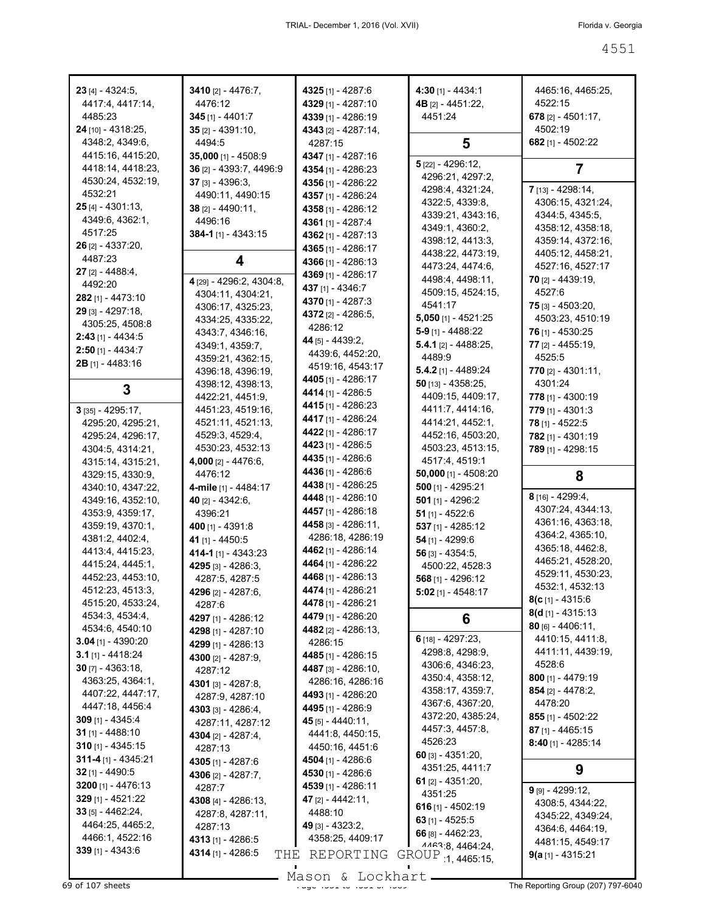| $23$ [4] - 4324:5,       | 3410 [2] - 4476:7,         | 4325 [1] - 4287:6         | $4:30$ [1] - 4434:1                   | 4465:16, 4465:25,                          |
|--------------------------|----------------------------|---------------------------|---------------------------------------|--------------------------------------------|
| 4417:4, 4417:14,         | 4476:12                    | 4329 [1] - 4287:10        | 4B [2] - 4451:22,                     | 4522:15                                    |
| 4485:23                  | <b>345</b> [1] - 4401:7    | 4339 [1] - 4286:19        | 4451:24                               | 678 $[2] - 4501:17$ ,                      |
| 24 [10] - 4318:25,       | $35$ [2] - 4391:10,        | 4343 [2] - 4287:14,       |                                       | 4502:19                                    |
| 4348:2, 4349:6,          | 4494:5                     | 4287:15                   | 5                                     | 682 [1] - 4502:22                          |
| 4415:16, 4415:20,        | <b>35,000</b> [1] - 4508:9 | <b>4347</b> [1] - 4287:16 |                                       |                                            |
| 4418:14, 4418:23,        | 36 [2] - 4393:7, 4496:9    | 4354 [1] - 4286:23        | 5 [22] - 4296:12,                     | 7                                          |
| 4530:24, 4532:19,        | $37$ [3] - 4396:3,         | 4356 [1] - 4286:22        | 4296:21, 4297:2,                      |                                            |
| 4532:21                  | 4490:11, 4490:15           | 4357 [1] - 4286:24        | 4298:4, 4321:24,                      | 7 [13] - 4298:14,                          |
| 25 [4] - 4301:13,        | $38$ [2] - 4490:11,        | 4358 [1] - 4286:12        | 4322:5, 4339:8,                       | 4306:15, 4321:24,                          |
| 4349:6, 4362:1,          | 4496:16                    | 4361 [1] - 4287:4         | 4339:21, 4343:16,                     | 4344 5, 4345 5,                            |
| 4517:25                  | <b>384-1</b> [1] - 4343:15 | 4362 [1] - 4287:13        | 4349:1, 4360:2,                       | 4358:12, 4358:18,                          |
| 26 [2] - 4337:20,        |                            | 4365 [1] - 4286:17        | 4398:12, 4413:3,                      | 4359:14, 4372:16,                          |
| 4487:23                  | 4                          | 4366 [1] - 4286:13        | 4438:22, 4473:19,                     | 4405:12, 4458:21,                          |
| 27 (2) - 4488:4,         |                            | 4369 [1] - 4286:17        | 4473:24, 4474:6,                      | 4527:16, 4527:17                           |
| 4492:20                  | 4 [29] - 4296:2, 4304:8,   | 437 [1] - 4346:7          | 4498:4, 4498:11,                      | <b>70</b> [2] - 4439:19,                   |
| <b>282</b> [1] - 4473:10 | 4304:11, 4304:21,          | 4370 [1] - 4287:3         | 4509:15, 4524:15,                     | 4527:6                                     |
| 29 [3] - 4297:18,        | 4306:17, 4325:23,          | 4372 [2] - 4286:5.        | 4541:17                               | <b>75</b> [3] - 4503:20,                   |
| 4305:25, 4508:8          | 4334:25, 4335:22,          | 4286:12                   | 5,050 [1] - 4521:25                   | 4503:23, 4510:19                           |
| <b>2:43</b> [1] - 4434:5 | 4343:7, 4346:16,           | <b>44</b> [5] - 4439:2,   | $5-9$ [1] - 4488:22                   | 76 [1] - 4530:25                           |
| $2:50$ [1] - 4434:7      | 4349:1, 4359:7,            | 4439:6, 4452:20,          | 5.4.1 $[2] - 4488:25$ ,               | 77 [2] - 4455:19,                          |
| 2B [1] - 4483:16         | 4359:21, 4362:15,          | 4519:16, 4543:17          | 4489.9                                | 4525:5                                     |
|                          | 4396:18, 4396:19,          | 4405 [1] - 4286:17        | $5.4.2$ [1] - 4489:24                 | $770$ [2] - 4301:11,                       |
| 3                        | 4398:12, 4398:13,          | 4414 [1] - 4286:5         | $50$ [13] - 4358:25,                  | 4301:24                                    |
|                          | 4422:21, 4451:9,           |                           | 4409:15, 4409:17,                     | 778 [1] - 4300:19                          |
| 3 [35] - 4295:17,        | 4451:23, 4519:16,          | <b>4415</b> [1] - 4286:23 | 4411:7, 4414:16,                      | <b>779</b> [1] - 4301:3                    |
| 4295:20, 4295:21,        | 4521:11, 4521:13,          | 4417 [1] - 4286:24        | 4414:21, 4452:1,                      | 78 [1] - 4522:5                            |
| 4295:24, 4296:17,        | 4529:3, 4529:4,            | <b>4422</b> [1] - 4286:17 | 4452:16, 4503:20,                     | 782 [1] - 4301:19                          |
| 4304:5, 4314:21,         | 4530:23, 4532:13           | 4423 [1] - 4286:5         | 4503:23, 4513:15,                     | 789 [1] - 4298:15                          |
| 4315:14, 4315:21,        | 4,000 [2] - 4476:6,        | 4435 [1] - 4286:6         | 4517:4, 4519:1                        |                                            |
| 4329:15, 4330:9,         | 4476:12                    | 4436 [1] - 4286:6         | 50,000 [1] - 4508:20                  |                                            |
|                          |                            |                           |                                       | 8                                          |
| 4340:10, 4347:22,        | 4-mile [1] - 4484:17       | 4438 [1] - 4286:25        | $500$ [1] - 4295:21                   |                                            |
| 4349:16, 4352:10,        | 40 $[2] - 4342:6$          | 4448 [1] - 4286:10        | $501$ [1] - 4296:2                    | $8$ [16] - 4299:4,                         |
| 4353:9, 4359:17,         | 4396:21                    | 4457 [1] - 4286:18        | 51 $[1] - 4522:6$                     | 4307:24, 4344:13,                          |
| 4359:19, 4370:1,         | 400 $[1] - 4391:8$         | 4458 [3] - 4286:11,       | 537 [1] - 4285:12                     | 4361:16, 4363:18,                          |
| 4381:2, 4402:4,          | 41 [1] - 4450:5            | 4286:18, 4286:19          | $54$ [1] - 4299:6                     | 4364:2, 4365:10,                           |
| 4413:4, 4415:23,         | 414-1 [1] - 4343:23        | 4462 [1] - 4286:14        | $56$ [3] - 4354:5,                    | 4365:18, 4462:8,                           |
| 4415:24, 4445:1,         | 4295 [3] - 4286:3,         | 4464 [1] - 4286:22        | 4500:22, 4528:3                       | 4465:21, 4528:20,                          |
| 4452:23, 4453:10,        | 4287:5, 4287:5             | 4468 [1] - 4286:13        | 568 [1] - 4296:12                     | 4529:11, 4530:23,                          |
| 4512:23, 4513:3,         | 4296 [2] - 4287:6,         | 4474 [1] - 4286:21        | $5:02$ [1] - 4548:17                  | 4532:1, 4532:13                            |
| 4515:20, 4533:24,        | 4287:6                     | 4478 [1] - 4286:21        |                                       | $8(c_{[1]} - 4315.6)$                      |
| 4534:3, 4534:4,          | 4297 [1] - 4286:12         | 4479 [1] - 4286:20        | 6                                     | $8(d_{[1]} - 4315:13)$                     |
| 4534:6, 4540:10          | 4298 [1] - 4287:10         | 4482 [2] - 4286:13,       |                                       | $80$ [6] - 4406:11,                        |
| 3.04 [1] - 4390:20       | 4299 [1] - 4286:13         | 4286:15                   | $6$ [18] - 4297:23,                   | 4410:15, 4411:8,                           |
| $3.1$ [1] - 4418:24      | 4300 [2] - 4287:9,         | 4485 [1] - 4286:15        | 4298:8, 4298:9,                       | 4411:11, 4439:19,                          |
| $30$ [7] - 4363:18,      | 4287:12                    | 4487 [3] - 4286:10,       | 4306:6, 4346:23,                      | 4528:6                                     |
| 4363:25, 4364:1,         | 4301 [3] - 4287:8,         | 4286:16, 4286:16          | 4350:4, 4358:12,                      | $800$ [1] - 4479:19                        |
| 4407:22, 4447:17,        | 4287:9, 4287:10            | 4493 [1] - 4286:20        | 4358:17, 4359:7,                      | $854$ [2] - 4478:2.                        |
| 4447:18, 4456:4          | 4303 [3] - 4286:4,         | 4495 [1] - 4286:9         | 4367:6, 4367:20,                      | 4478:20                                    |
| $309$ [1] - 4345:4       | 4287:11, 4287:12           | 45 $[5] - 4440:11,$       | 4372:20, 4385:24,                     | 855 [1] - 4502:22                          |
| <b>31</b> [1] - 4488:10  | 4304 [2] - 4287:4,         | 4441:8, 4450:15,          | 4457:3, 4457:8,                       | 87 [1] - 4465:15                           |
| $310$ [1] - 4345:15      | 4287:13                    | 4450:16, 4451:6           | 4526:23                               | <b>8:40</b> [1] - 4285:14                  |
| 311-4 $[1] - 4345:21$    | 4305 [1] - 4287:6          | 4504 [1] - 4286:6         | 60 $[3] - 4351:20,$                   |                                            |
| $32$ [1] - 4490:5        | 4306 [2] - 4287:7,         | 4530 [1] - 4286:6         | 4351:25, 4411:7                       | 9                                          |
| 3200 [1] - 4476:13       | 4287:7                     | 4539 [1] - 4286:11        | 61 $[2]$ - 4351:20,                   |                                            |
| 329 [1] - 4521:22        | 4308 [4] - 4286:13,        | 47 [2] - 4442:11,         | 4351:25                               | $9$ [9] - 4299:12,                         |
| $33$ [5] - 4462:24,      | 4287:8, 4287:11,           | 4488:10                   | 616 $[1] - 4502:19$                   | 4308:5, 4344:22,                           |
| 4464:25, 4465:2,         | 4287:13                    | $49$ [3] - 4323:2,        | 63 $[1] - 4525:5$                     | 4345:22, 4349:24,                          |
| 4466:1, 4522:16          | 4313 [1] - 4286:5          | 4358:25, 4409:17          | 66 $[8] - 4462:23$                    | 4364:6, 4464:19,                           |
| $339$ [1] - 4343:6       | 4314 [1] - 4286:5          | THE REPORTING             | 1163.8, 4464.24,<br>GROUP 1, 4465:15, | 4481:15, 4549:17<br>$9(a_{[1]} - 4315:21)$ |

Mason & Lockhart **Page 4551 of 4551 and 4551 to 4551 components** Page 4551 of 4550 Mason & Lockhart **Page 4551 of 4551 components** The Reporting Group (207) 797-6040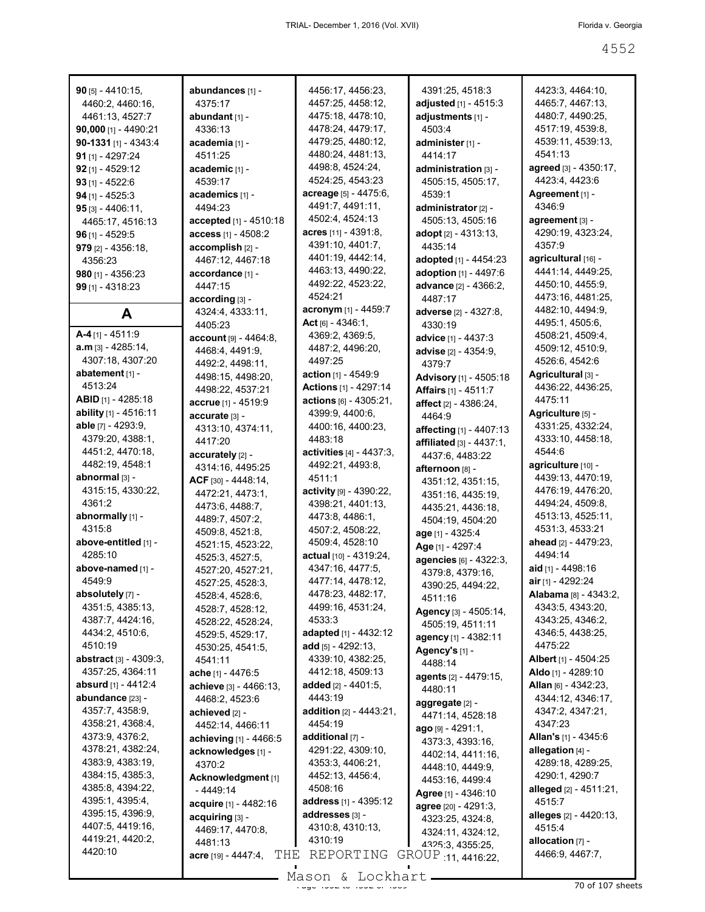| $90$ [5] - 4410:15,                 | abundances [1] -                      | 4456:17, 4456:23,                    | 4391:25, 4518:3                        | 4423:3, 4464:10,                       |
|-------------------------------------|---------------------------------------|--------------------------------------|----------------------------------------|----------------------------------------|
| 4460:2, 4460:16,                    | 4375:17                               | 4457:25, 4458:12,                    | adjusted [1] - 4515:3                  | 4465:7, 4467:13,                       |
| 4461:13, 4527:7                     | abundant [1] -                        | 4475:18, 4478:10,                    | adjustments [1] -                      | 4480:7, 4490:25,                       |
| 90,000 [1] - 4490:21                | 4336:13                               | 4478:24, 4479:17,                    | 4503:4                                 | 4517:19, 4539:8,                       |
| $90-1331$ [1] - 4343:4              | academia [1] -                        | 4479:25, 4480:12,                    | administer [1] -                       | 4539:11, 4539:13,                      |
| 91 $[1] - 4297:24$                  | 4511:25                               | 4480:24, 4481:13,                    | 4414:17                                | 4541:13                                |
| $92$ [1] - 4529:12                  | academic [1] -                        | 4498:8, 4524:24,                     | administration [3] -                   | agreed [3] - 4350:17,                  |
| $93$ [1] - 4522:6                   | 4539:17                               | 4524:25, 4543:23                     | 4505:15, 4505:17,                      | 4423:4, 4423:6                         |
| $94$ [1] - 4525:3                   | academics [1] -                       | acreage [5] - 4475:6,                | 4539:1                                 | Agreement [1] -                        |
| $95$ [3] - 4406:11,                 | 4494:23                               | 4491:7, 4491:11,                     | administrator [2] -                    | 4346:9                                 |
| 4465:17, 4516:13                    | accepted [1] - 4510:18                | 4502:4, 4524:13                      | 4505:13, 4505:16                       | agreement [3] -                        |
| $96$ [1] - 4529:5                   | access [1] - 4508:2                   | acres $[11] - 4391.8$ ,              | adopt [2] - 4313:13,                   | 4290:19, 4323:24,                      |
| $979$ [2] - 4356:18,                | accomplish [2] -                      | 4391:10, 4401:7,                     | 4435:14                                | 4357:9                                 |
| 4356:23                             | 4467:12, 4467:18                      | 4401:19, 4442:14,                    | adopted [1] - 4454:23                  | agricultural [16] -                    |
| <b>980</b> [1] - 4356:23            | accordance [1] -                      | 4463:13, 4490:22,                    | adoption [1] - 4497:6                  | 4441:14, 4449:25,                      |
| $99$ [1] - 4318:23                  | 4447:15                               | 4492:22, 4523:22,                    | advance [2] - 4366:2,                  | 4450:10, 4455:9,                       |
|                                     | according [3] -                       | 4524:21                              | 4487:17                                | 4473:16, 4481:25,                      |
| A                                   | 4324:4, 4333:11,                      | acronym [1] - 4459:7                 | adverse [2] - 4327:8,                  | 4482:10, 4494:9,                       |
|                                     | 4405:23                               | Act $[6] - 4346:1$ ,                 | 4330:19                                | 4495:1, 4505:6,                        |
| $A-4$ [1] - 4511:9                  | account [9] - 4464:8,                 | 4369:2, 4369:5,                      | advice [1] - 4437:3                    | 4508:21, 4509:4,                       |
| <b>a.m</b> [3] - 4285:14,           | 4468:4, 4491:9,                       | 4487:2, 4496:20,                     | advise [2] - 4354:9.                   | 4509:12, 4510:9,                       |
| 4307:18, 4307:20                    | 4492:2, 4498:11,                      | 4497:25                              | 4379.7                                 | 4526:6, 4542:6                         |
| abatement [1] -                     | 4498:15, 4498:20,                     | action [1] - 4549:9                  | Advisory [1] - 4505:18                 | Agricultural [3] -                     |
| 4513:24                             | 4498:22, 4537:21                      | <b>Actions</b> [1] - 4297:14         | <b>Affairs</b> [1] - 4511:7            | 4436:22, 4436:25,                      |
| <b>ABID</b> $[1]$ - 4285:18         | accrue [1] - 4519:9                   | actions [6] - 4305:21,               | affect [2] - 4386:24,                  | 4475:11                                |
| ability [1] - 4516:11               | accurate [3] -                        | 4399:9, 4400:6,                      | 4464:9                                 | Agriculture [5] -                      |
| able [7] - 4293:9,                  | 4313:10, 4374:11,                     | 4400:16, 4400:23,                    | affecting [1] - 4407:13                | 4331:25, 4332:24,                      |
| 4379:20, 4388:1,                    | 4417:20                               | 4483:18                              | <b>affiliated</b> $[3] - 4437:1$ ,     | 4333:10, 4458:18,                      |
| 4451:2, 4470:18,                    | accurately [2] -                      | activities [4] - 4437:3,             | 4437:6, 4483:22                        | 4544:6                                 |
| 4482:19, 4548:1                     | 4314:16, 4495:25                      | 4492:21, 4493:8,                     | afternoon [8] -                        | agriculture [10] -                     |
| abnormal [3] -<br>4315:15, 4330:22, | ACF [30] - 4448:14,                   | 4511:1                               | 4351:12, 4351:15,                      | 4439:13, 4470:19,<br>4476:19, 4476:20, |
| 4361:2                              | 4472:21, 4473:1,                      | activity [9] - 4390:22,              | 4351:16, 4435:19,                      | 4494:24, 4509:8,                       |
| abnormally [1] -                    | 4473:6, 4488:7,                       | 4398:21, 4401:13,<br>4473:8, 4486:1, | 4435:21, 4436:18,                      | 4513:13, 4525:11,                      |
| 4315:8                              | 4489:7, 4507:2,                       | 4507:2, 4508:22,                     | 4504:19, 4504:20                       | 4531:3, 4533:21                        |
| above-entitled [1] -                | 4509:8, 4521:8,                       | 4509:4, 4528:10                      | age [1] - 4325:4                       | ahead [2] - 4479:23,                   |
| 4285:10                             | 4521:15, 4523:22,                     | actual [10] - 4319:24,               | Age [1] - 4297:4                       | 4494:14                                |
| above-named [1] -                   | 4525:3, 4527:5,                       | 4347:16, 4477:5,                     | agencies [6] - 4322:3,                 | aid $[1] - 4498:16$                    |
| 4549:9                              | 4527:20, 4527:21,<br>4527:25, 4528:3, | 4477:14, 4478:12,                    | 4379.8, 4379:16,                       | air [1] - 4292:24                      |
| absolutely [7] -                    | 4528:4, 4528:6,                       | 4478:23, 4482:17,                    | 4390:25, 4494:22,                      | <b>Alabama</b> [8] - 4343:2,           |
| 4351:5, 4385:13,                    | 4528:7, 4528:12,                      | 4499:16, 4531:24,                    | 4511:16                                | 4343:5, 4343:20,                       |
| 4387:7, 4424:16,                    | 4528:22, 4528:24,                     | 4533:3                               | Agency [3] - 4505:14,                  | 4343:25, 4346:2,                       |
| 4434:2, 4510:6,                     | 4529:5, 4529:17,                      | adapted [1] - 4432:12                | 4505:19, 4511:11                       | 4346:5, 4438:25,                       |
| 4510:19                             | 4530:25, 4541:5,                      | add [5] - 4292:13,                   | agency [1] - 4382:11<br>Agency's [1] - | 4475:22                                |
| <b>abstract</b> $[3] - 4309:3$      | 4541:11                               | 4339:10, 4382:25,                    | 4488:14                                | Albert [1] - 4504:25                   |
| 4357:25, 4364:11                    | ache [1] - 4476:5                     | 4412:18, 4509:13                     | agents [2] - 4479:15,                  | Aldo [1] - 4289:10                     |
| absurd [1] - 4412:4                 | achieve [3] - 4466:13,                | added [2] - 4401:5,                  | 4480:11                                | Allan [6] - 4342:23,                   |
| abundance [23] -                    | 4468:2, 4523:6                        | 4443:19                              | aggregate [2] -                        | 4344:12, 4346:17,                      |
| 4357:7, 4358:9,                     | achieved [2] -                        | <b>addition</b> [2] - 4443:21,       | 4471:14, 4528:18                       | 4347:2, 4347:21,                       |
| 4358:21, 4368:4,                    | 4452:14, 4466:11                      | 4454:19                              | $ago$ [9] - 4291:1,                    | 4347:23                                |
| 4373:9, 4376:2,                     | achieving [1] - 4466:5                | additional [7] -                     | 4373:3, 4393:16,                       | <b>Allan's</b> [1] - 4345:6            |
| 4378:21, 4382:24,                   | acknowledges [1] -                    | 4291:22, 4309:10,                    | 4402:14, 4411:16,                      | allegation [4] -                       |
| 4383:9, 4383:19,                    | 4370:2                                | 4353:3, 4406:21,                     | 4448:10, 4449:9,                       | 4289:18, 4289:25,                      |
| 4384:15, 4385:3,                    | Acknowledgment [1]                    | 4452:13, 4456:4,                     | 4453:16, 4499:4                        | 4290:1, 4290:7                         |
| 4385:8, 4394:22,                    | $-4449:14$                            | 4508:16                              | Agree [1] - 4346:10                    | alleged [2] - 4511:21,                 |
| 4395:1, 4395:4,                     | acquire [1] - 4482:16                 | address [1] - 4395:12                | agree [20] - 4291:3,                   | 4515:7                                 |
| 4395:15, 4396:9,                    | acquiring [3] -                       | addresses [3] -                      | 4323:25, 4324:8,                       | alleges [2] - 4420:13,                 |
| 4407:5, 4419:16,                    | 4469:17, 4470:8,                      | 4310:8, 4310:13,                     | 4324:11, 4324:12,                      | 4515:4                                 |
| 4419:21, 4420:2,<br>4420:10         | 4481:13                               | 4310:19                              | 4325 3, 4355:25,                       | allocation [7] -                       |
|                                     | THE<br>$accre$ [19] - 4447:4,         | REPORTING                            | GROUP 11, 4416:22,                     | 4466:9, 4467:7,                        |
|                                     |                                       | Mason & Lockhart                     |                                        |                                        |

Mason & Lockhart <u>entitled and the 45 years of 407 sheets</u>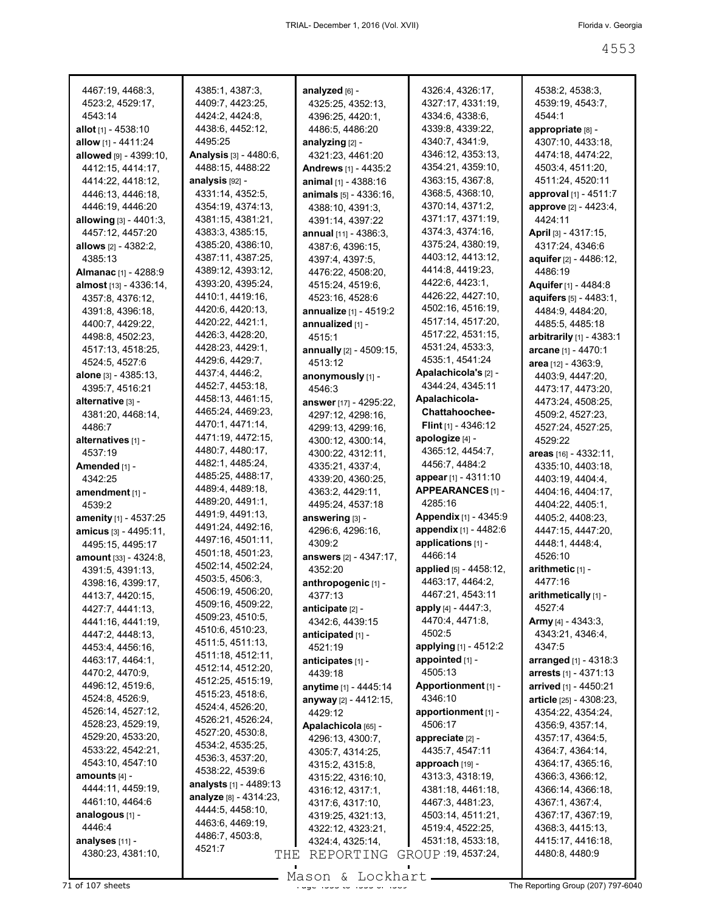| 4467:19, 4468:3,                     | 4385:1, 4387:3,<br>4409:7, 4423:25,   | analyzed [6] -                        | 4326:4, 4326:17,<br>4327:17, 4331:19,   | 4538:2, 4538:3,<br>4539:19, 4543:7,   |
|--------------------------------------|---------------------------------------|---------------------------------------|-----------------------------------------|---------------------------------------|
| 4523:2, 4529:17,<br>4543:14          | 4424:2, 4424:8,                       | 4325:25, 4352:13,<br>4396:25, 4420:1, | 4334:6, 4338:6,                         | 4544:1                                |
| <b>allot</b> [1] - 4538:10           | 4438:6, 4452:12,                      | 4486:5, 4486:20                       | 4339.8, 4339:22,                        | appropriate [8] -                     |
| allow [1] - 4411:24                  | 4495:25                               | analyzing $[2]$ -                     | 4340:7, 4341:9,                         | 4307:10, 4433:18,                     |
| allowed [9] - 4399:10,               | <b>Analysis</b> [3] - 4480:6,         | 4321:23, 4461:20                      | 4346:12, 4353:13,                       | 4474:18, 4474:22,                     |
| 4412:15, 4414:17,                    | 4488:15, 4488:22                      | <b>Andrews</b> [1] - 4435:2           | 4354:21, 4359:10,                       | 4503:4, 4511:20,                      |
| 4414:22, 4418:12,                    | analysis [92] -                       | <b>animal</b> א - וו                  | 4363:15, 4367:8,                        | 4511:24, 4520:11                      |
| 4446:13, 4446:18,                    | 4331:14, 4352:5,                      | <b>animals</b> [5] - 4336:16,         | 4368:5, 4368:10,                        | approval [1] - 4511:7                 |
| 4446:19, 4446:20                     | 4354:19, 4374:13,                     | 4388:10, 4391:3,                      | 4370:14, 4371:2,                        | approve [2] - 4423:4,                 |
| allowing [3] - 4401:3,               | 4381:15, 4381:21,                     | 4391:14, 4397:22                      | 4371:17, 4371:19,                       | 4424:11                               |
| 4457:12, 4457:20                     | 4383:3, 4385:15,                      | annual [11] - 4386:3.                 | 4374:3, 4374:16,                        | <b>April</b> [3] - 4317:15,           |
| <b>allows</b> [2] - 4382:2,          | 4385:20, 4386:10,                     | 4387:6, 4396:15,                      | 4375:24, 4380:19,                       | 4317:24, 4346:6                       |
| 4385:13                              | 4387:11, 4387:25,                     | 4397:4, 4397:5,                       | 4403:12, 4413:12,                       | aquifer [2] - 4486:12,                |
| Almanac [1] - 4288:9                 | 4389:12, 4393:12,                     | 4476:22, 4508:20,                     | 4414:8, 4419:23,                        | 4486:19                               |
| almost [13] - 4336:14,               | 4393:20, 4395:24,                     | 4515:24, 4519:6,                      | 4422:6, 4423:1,                         | Aquifer [1] - 4484:8                  |
| 4357:8, 4376:12,                     | 4410:1, 4419:16,                      | 4523:16, 4528:6                       | 4426:22, 4427:10,                       | <b>aquifers</b> [5] - 4483:1,         |
| 4391:8, 4396:18,                     | 4420:6, 4420:13,                      | annualize [1] - 4519:2                | 4502:16, 4516:19,                       | 4484:9, 4484:20,                      |
| 4400:7, 4429:22,                     | 4420:22, 4421:1,                      | annualized [1] -                      | 4517:14, 4517:20,                       | 4485:5, 4485:18                       |
| 4498:8, 4502:23,                     | 4426:3, 4428:20,                      | 4515:1                                | 4517:22, 4531:15,                       | <b>arbitrarily</b> $[1] - 4383:1$     |
| 4517:13, 4518:25,                    | 4428:23, 4429:1,                      | annually $[2] - 4509:15$ ,            | 4531:24, 4533:3,                        | arcane [1] - 4470:1                   |
| 4524:5, 4527:6                       | 4429:6, 4429:7,                       | 4513:12                               | 4535:1, 4541:24<br>Apalachicola's [2] - | area [12] - 4363:9,                   |
| <b>alone</b> [3] - 4385:13,          | 4437:4, 4446:2,                       | anonymously [1] -                     | 4344:24, 4345:11                        | 4403:9, 4447:20,                      |
| 4395:7, 4516:21                      | 4452:7, 4453:18,<br>4458:13, 4461:15, | 4546:3                                |                                         | 4473:17, 4473:20,                     |
| alternative [3] -                    | 4465:24, 4469:23,                     | answer [17] - 4295:22,                | Apalachicola-<br><b>Chattahoochee-</b>  | 4473:24, 4508:25,                     |
| 4381:20, 4468:14,                    | 4470:1, 4471:14,                      | 4297:12, 4298:16,                     | <b>Flint</b> $[1]$ - 4346:12            | 4509:2, 4527:23,                      |
| 4486:7                               | 4471:19, 4472:15,                     | 4299:13, 4299:16,                     | apologize [4] -                         | 4527:24, 4527:25,                     |
| alternatives [1] -                   | 4480:7, 4480:17,                      | 4300:12, 4300:14,                     | 4365:12, 4454:7,                        | 4529:22                               |
| 4537:19                              | 4482:1, 4485:24,                      | 4300:22, 4312:11,                     | 4456:7, 4484:2                          | areas [16] - 4332:11,                 |
| Amended [1] -                        | 4485:25, 4488:17,                     | 4335:21, 4337:4,                      | <b>appear</b> [1] - 4311:10             | 4335:10, 4403:18,                     |
| 4342:25                              | 4489:4, 4489:18,                      | 4339:20, 4360:25,                     | APPEARANCES [1] -                       | 4403:19, 4404:4,                      |
| amendment [1] -<br>4539:2            | 4489:20, 4491:1,                      | 4363:2, 4429:11,<br>4495:24, 4537:18  | 4285:16                                 | 4404:16, 4404:17,<br>4404:22, 4405:1, |
| <b>amenity</b> [1] - 4537:25         | 4491:9, 4491:13,                      | answering [3] -                       | <b>Appendix</b> [1] - 4345:9            | 4405:2, 4408:23,                      |
| <b>amicus</b> [3] - 4495:11,         | 4491:24, 4492:16,                     | 4296:6, 4296:16,                      | appendix [1] - 4482:6                   | 4447:15, 4447:20,                     |
| 4495:15, 4495:17                     | 4497:16, 4501:11,                     | 4309:2                                | applications [1] -                      | 4448:1, 4448:4,                       |
| amount [33] - 4324:8,                | 4501:18, 4501:23,                     | <b>answers</b> [2] - 4347:17,         | 4466:14                                 | 4526:10                               |
| 4391:5, 4391:13,                     | 4502:14, 4502:24,                     | 4352:20                               | <b>applied</b> [5] - 4458:12,           | arithmetic $[1]$ -                    |
| 4398:16, 4399:17,                    | 4503:5, 4506:3,                       | anthropogenic [1] -                   | 4463:17, 4464:2,                        | 4477:16                               |
| 4413:7, 4420:15,                     | 4506:19, 4506:20,                     | 4377:13                               | 4467:21, 4543:11                        | arithmetically [1] -                  |
| 4427:7, 4441:13,                     | 4509:16, 4509:22,                     | anticipate [2] -                      | apply [4] - 4447:3,                     | 4527:4                                |
| 4441:16, 4441:19,                    | 4509:23, 4510:5,                      | 4342:6, 4439:15                       | 4470:4, 4471:8,                         | <b>Army</b> [4] - 4343:3,             |
| 4447:2, 4448:13,                     | 4510:6, 4510:23,                      | anticipated [1] -                     | 4502:5                                  | 4343:21, 4346:4,                      |
| 4453:4, 4456:16,                     | 4511:5, 4511:13,                      | 4521:19                               | applying [1] - 4512:2                   | 4347:5                                |
| 4463:17, 4464:1,                     | 4511:18, 4512:11,                     | anticipates [1] -                     | appointed [1] -                         | arranged [1] - 4318:3                 |
| 4470:2, 4470:9,                      | 4512:14, 4512:20,                     | 4439:18                               | 4505:13                                 | arrests [1] - 4371:13                 |
| 4496:12, 4519:6,                     | 4512:25, 4515:19,                     | anytime [1] - 4445:14                 | Apportionment [1] -                     | arrived [1] - 4450:21                 |
| 4524:8, 4526:9,                      | 4515:23, 4518:6,<br>4524:4, 4526:20,  | anyway [2] - 4412:15,                 | 4346:10                                 | article [25] - 4308:23,               |
| 4526:14, 4527:12,                    | 4526:21, 4526:24,                     | 4429:12                               | apportionment [1] -                     | 4354:22, 4354:24,                     |
| 4528:23, 4529:19,                    | 4527:20, 4530:8,                      | Apalachicola [65] -                   | 4506:17                                 | 4356:9, 4357:14,                      |
| 4529:20, 4533:20,                    | 4534:2, 4535:25,                      | 4296:13, 4300:7,                      | appreciate [2] -                        | 4357:17, 4364:5,                      |
| 4533:22, 4542:21,                    | 4536:3, 4537:20,                      | 4305:7, 4314:25,                      | 4435:7, 4547:11                         | 4364:7, 4364:14,                      |
| 4543:10, 4547:10                     | 4538:22, 4539:6                       | 4315:2, 4315:8,                       | approach [19] -                         | 4364:17, 4365:16,                     |
| amounts [4] -                        | <b>analysts</b> [1] - 4489:13         | 4315:22, 4316:10,                     | 4313:3, 4318:19,                        | 4366:3, 4366:12,                      |
| 4444:11, 4459:19,                    | analyze [8] - 4314:23,                | 4316:12, 4317:1,                      | 4381:18, 4461:18,                       | 4366:14, 4366:18,                     |
| 4461:10, 4464:6                      | 4444:5, 4458:10,                      | 4317:6, 4317:10,                      | 4467:3, 4481:23,                        | 4367:1, 4367:4,                       |
| analogous [1] -<br>4446:4            | 4463:6, 4469:19,                      | 4319:25, 4321:13,                     | 4503:14, 4511:21,                       | 4367:17, 4367:19,                     |
|                                      | 4486:7, 4503:8,                       | 4322:12, 4323:21,                     | 4519:4, 4522:25,                        | 4368:3, 4415:13,                      |
| analyses [11] -<br>4380:23, 4381:10, | 4521:7                                | 4324:4, 4325:14,                      | 4531:18, 4533:18,<br>GROUP 19, 4537:24, | 4415:17, 4416:18,<br>4480:8, 4480:9   |
|                                      | THE                                   | REPORTING                             |                                         |                                       |
|                                      |                                       |                                       |                                         |                                       |

Mason & Lockhart

 $\overline{71}$  of 107 sheets  $\overline{73}$  of  $\overline{107}$  sheets  $\overline{75}$  of  $\overline{107}$  sheets  $\overline{75}$  The Reporting Group (207) 797-6040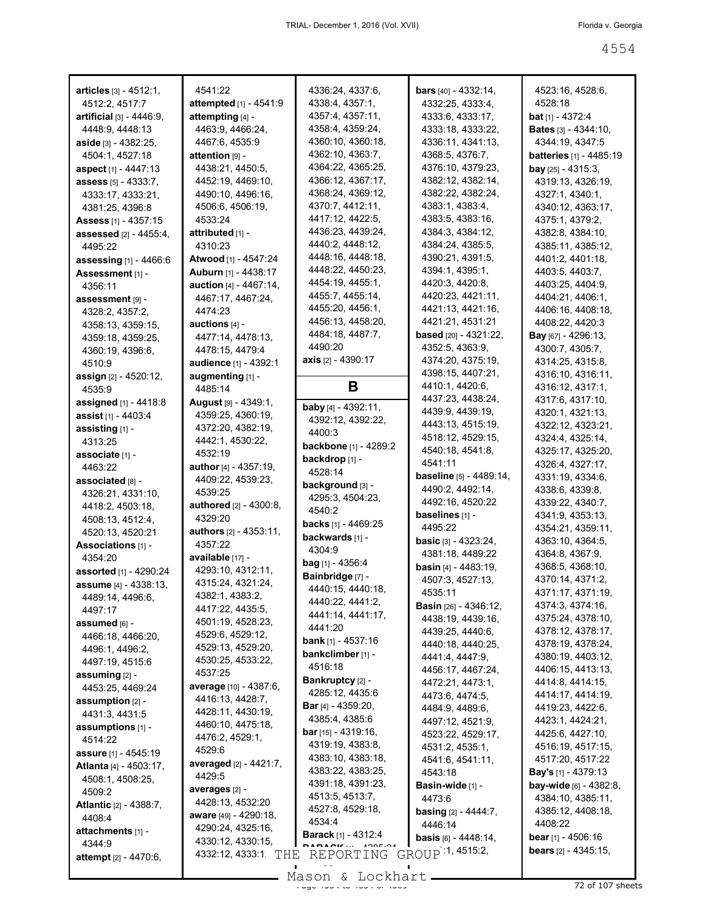| $articles$ [3] - $4512:1$ ,        | 4541:22                         | 4336:24, 4337:6,                               | <b>bars</b> $[40] - 4332:14$ ,       | 4523:16, 4528:6,                                   |
|------------------------------------|---------------------------------|------------------------------------------------|--------------------------------------|----------------------------------------------------|
| 4512:2, 4517:7                     | attempted [1] - 4541:9          | 4338:4, 4357:1,                                | 4332:25, 4333:4,                     | 4528:18                                            |
| <b>artificial</b> $[3] - 4446:9$ , | attempting [4] -                | 4357:4, 4357:11,                               | 4333:6, 4333:17,                     | <b>bat</b> [1] - 4372:4                            |
| 4448:9, 4448:13                    | 4463:9, 4466:24,                | 4358:4, 4359:24,                               | 4333:18, 4333:22,                    | <b>Bates</b> $[3] - 4344:10$ ,                     |
| aside $[3] - 4382:25$ ,            | 4467:6, 4535:9                  | 4360:10, 4360:18,                              | 4336:11, 4341:13,                    | 4344:19, 4347:5                                    |
| 4504:1, 4527:18                    | attention <sub>[9]</sub> -      | 4362:10, 4363:7,                               | 4368:5, 4376:7,                      | <b>batteries</b> [1] - 4485:19                     |
| aspect $[1] - 4447:13$             | 4438:21, 4450:5,                | 4364:22, 4365:25,                              | 4376:10, 4379:23,                    | <b>bay</b> [25] - 4315:3,                          |
| <b>assess</b> [5] - 4333:7,        | 4452:19, 4469:10,               | 4366:12, 4367:17,                              | 4382:12, 4382:14,                    | 4319:13, 4326:19,                                  |
| 4333:17, 4333:21,                  | 4490:10, 4496:16,               | 4368:24, 4369:12,                              | 4382:22, 4382:24,                    | 4327:1, 4340:1,                                    |
| 4381:25, 4396:8                    | 4506:6, 4506:19,                | 4370:7, 4412:11,                               | 4383:1, 4383:4,                      | 4340:12, 4363:17,                                  |
| <b>Assess</b> [1] - 4357:15        | 4533:24                         | 4417:12, 4422:5,                               | 4383:5, 4383:16,                     | 4375:1, 4379:2,                                    |
| <b>assessed</b> [2] - 4455:4,      | attributed [1] -                | 4436:23, 4439:24,                              | 4384:3, 4384:12,                     | 4382:8, 4384:10,                                   |
| 4495:22                            | 4310:23                         | 4440:2, 4448:12,                               | 4384:24, 4385:5,                     | 4385:11, 4385:12,                                  |
| <b>assessing</b> $[1] - 4466:6$    | Atwood [1] - 4547:24            | 4448:16, 4448:18,                              | 4390:21, 4391:5,                     | 4401:2, 4401:18,                                   |
| Assessment [1] -                   | Auburn [1] - 4438:17            | 4448:22, 4450:23,                              | 4394:1, 4395:1,                      | 4403:5, 4403:7,                                    |
| 4356:11                            | <b>auction</b> [4] - 4467:14,   | 4454:19, 4455:1,                               | 4420:3, 4420:8,                      | 4403:25, 4404:9,                                   |
| assessment [9] -                   | 4467:17, 4467:24,               | 4455:7, 4455:14,                               | 4420:23, 4421:11,                    | 4404:21, 4406:1,                                   |
| 4328:2, 4357:2,                    | 4474:23                         | 4455:20, 4456:1,                               | 4421:13, 4421:16,                    | 4406:16, 4408:18,                                  |
| 4358:13, 4359:15,                  | auctions $[4]$ -                | 4456:13, 4458:20,                              | 4421:21, 4531:21                     | 4408:22, 4420:3                                    |
| 4359:18, 4359:25,                  | 4477:14, 4478:13,               | 4484:18, 4487:7,                               | based [20] - 4321:22,                | <b>Bay</b> [67] - 4296:13,                         |
| 4360:19, 4396:6,                   | 4478:15, 4479:4                 | 4490:20                                        | 4352:5, 4363:9,                      | 4300:7, 4305:7,                                    |
| 4510:9                             | audience [1] - 4392:1           | <b>axis</b> $[2] - 4390:17$                    | 4374:20, 4375:19,                    | 4314:25, 4315:8,                                   |
| <b>assign</b> [2] - 4520:12,       | augmenting [1] -                |                                                | 4398:15, 4407:21,                    | 4316:10, 4316:11,                                  |
| 4535:9                             | 4485:14                         | В                                              | 4410:1, 4420:6,                      | 4316:12, 4317:1,                                   |
| <b>assigned</b> [1] - 4418:8       | <b>August</b> [9] - 4349:1,     | baby [4] - 4392:11,                            | 4437:23, 4438:24,                    | 4317:6, 4317:10,                                   |
| assist [1] - 4403:4                | 4359:25, 4360:19,               |                                                | 4439:9, 4439:19,                     | 4320:1, 4321:13,                                   |
| assisting [1] -                    | 4372:20, 4382:19,               | 4392:12, 4392:22,<br>4400:3                    | 4443:13, 4515:19,                    | 4322:12, 4323:21,                                  |
| 4313:25                            | 4442:1, 4530:22,                |                                                | 4518:12, 4529:15,                    | 4324:4, 4325:14,                                   |
| associate [1] -                    | 4532:19                         | <b>backbone</b> [1] - 4289:2<br>backdrop [1] - | 4540:18, 4541:8,                     | 4325:17, 4325:20,                                  |
| 4463:22                            | <b>author</b> $[4] - 4357:19$ , | 4528:14                                        | 4541:11                              | 4326:4, 4327:17,                                   |
| associated [8] -                   | 4409:22, 4539:23,               |                                                | baseline [5] - 4489:14,              | 4331:19, 4334:6,                                   |
| 4326:21, 4331:10,                  | 4539:25                         | background [3] -                               | 4490:2, 4492:14,                     | 4338:6, 4339:8,                                    |
| 4418:2, 4503:18,                   | authored [2] - 4300:8,          | 4295:3, 4504:23,<br>4540:2                     | 4492:16, 4520:22                     | 4339:22, 4340:7,                                   |
| 4508:13, 4512:4,                   | 4329:20                         | <b>backs</b> [1] - 4469:25                     | baselines [1] -                      | 4341:9, 4353:13,                                   |
| 4520:13, 4520:21                   | <b>authors</b> [2] - 4353:11,   |                                                | 4495:22                              | 4354:21, 4359:11,                                  |
| Associations [1] -                 | 4357:22                         | backwards [1] -<br>4304:9                      | <b>basic</b> $[3]$ - 4323:24,        | 4363:10, 4364:5,                                   |
| 4354:20                            | available [17] -                | $bag$ [1] - 4356:4                             | 4381:18, 4489:22                     | 4364:8, 4367:9,                                    |
| <b>assorted</b> [1] - 4290:24      | 4293:10, 4312:11,               | Bainbridge [7] -                               | <b>basin</b> $[4] - 4483:19$ ,       | 4368:5, 4368:10,                                   |
| assume [4] - 4338:13,              | 4315:24, 4321:24,               | 4440:15, 4440:18.                              | 4507:3, 4527:13,                     | 4370:14, 4371:2,                                   |
| 4489:14, 4496:6,                   | 4382:1, 4383:2,                 | 4440:22, 4441:2,                               | 4535:11                              | 4371:17, 4371:19,                                  |
| 4497:17                            | 4417:22, 4435:5,                | 4441:14, 4441:17,                              | <b>Basin</b> $[26] - 4346:12$ ,      | 4374:3, 4374:16,                                   |
| assumed [6] -                      | 4501:19, 4528:23,               | 4441:20                                        | 4438:19, 4439:16,                    | 4375:24, 4378:10,                                  |
| 4466:18, 4466:20,                  | 4529:6, 4529:12,                | <b>bank</b> [1] - 4537:16                      | 4439:25, 4440:6,                     | 4378:12, 4378:17,                                  |
| 4496:1, 4496:2,                    | 4529:13, 4529:20,               | bankclimber [1] -                              | 4440:18, 4440:25,                    | 4378:19, 4378:24,                                  |
| 4497:19, 4515:6                    | 4530:25, 4533:22,               | 4516:18                                        | 4441:4, 4447:9,                      | 4380:19, 4403:12,                                  |
| assuming [2] -                     | 4537:25                         | Bankruptcy [2] -                               | 4456:17, 4467:24,                    | 4406:15, 4413:13,                                  |
| 4453:25, 4469:24                   | average [10] - 4387:6,          | 4285:12, 4435:6                                | 4472:21, 4473:1,                     | 4414:8, 4414:15,                                   |
| assumption $[2]$ -                 | 4416:13, 4428:7,                | <b>Bar</b> $[4] - 4359:20$ ,                   | 4473.6, 4474.5,                      | 4414:17, 4414:19,<br>4419:23, 4422:6,              |
| 4431:3, 4431:5                     | 4428:11, 4430:19,               | 4385:4, 4385:6                                 | 4484:9, 4489:6,                      |                                                    |
| assumptions $[1]$ -                | 4460:10, 4475:18,               | <b>bar</b> [15] - 4319:16,                     | 4497:12, 4521:9,                     | 4423:1, 4424:21,<br>4425:6, 4427:10,               |
| 4514:22                            | 4476:2, 4529:1,                 | 4319:19, 4383:8,                               | 4523:22, 4529:17,<br>4531:2, 4535:1, | 4516:19, 4517:15,                                  |
| <b>assure</b> [1] - 4545:19        | 4529:6                          | 4383:10, 4383:18,                              |                                      | 4517:20, 4517:22                                   |
| <b>Atlanta</b> [4] - 4503:17,      | averaged [2] - 4421:7,          | 4383:22, 4383:25,                              | 4541:6, 4541:11,<br>4543:18          | <b>Bay's</b> [1] - 4379:13                         |
| 4508:1, 4508:25,                   | 4429:5                          | 4391:18, 4391:23,                              |                                      |                                                    |
| 4509:2                             | averages [2] -                  | 4513:5, 4513:7,                                | Basin-wide [1] -<br>4473:6           | <b>bay-wide</b> [6] - 4382:8,<br>4384:10, 4385:11, |
| <b>Atlantic</b> [2] - 4388:7,      | 4428:13, 4532:20                | 4527:8, 4529:18,                               | <b>basing</b> $[2] - 4444:7$ ,       | 4385:12, 4408:18,                                  |
| 4408:4                             | <b>aware</b> [49] - 4290:18,    | 4534:4                                         | 4446:14                              | 4408:22                                            |
| attachments [1] -                  | 4290:24, 4325:16,               | <b>Barack</b> [1] - 4312:4                     | <b>basis</b> $[6] - 4448:14$ ,       | <b>bear</b> [1] - 4506:16                          |
| 4344:9                             | 4330:12, 4330:15,               |                                                |                                      | <b>bears</b> $[2] - 4345:15$ ,                     |
| attempt [2] - 4470:6,              | 4332:12, 4333:1 THE REPORTING   |                                                | GROUP 1, 4515:2,                     |                                                    |
|                                    |                                 | $Mason$ for $k$ for $k$                        |                                      |                                                    |

Mason & Lockhart <u>entitled and the 45 years of 407 sheets</u>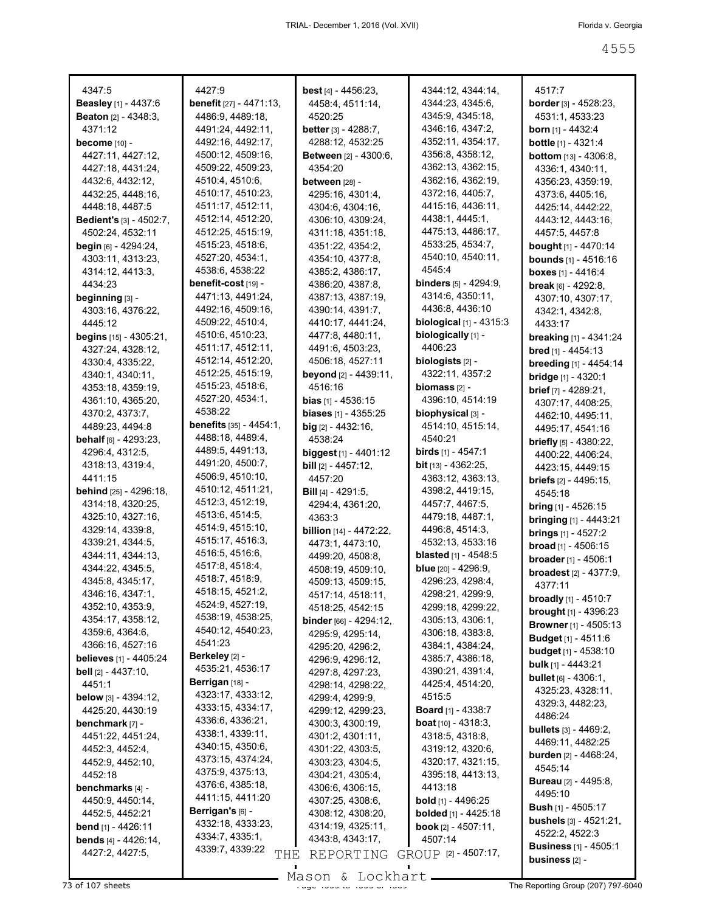| 4347:5                               | 4427:9                              | <b>best</b> $[4] - 4456:23$ ,        | 4344:12, 4344:14,                     |                                         |
|--------------------------------------|-------------------------------------|--------------------------------------|---------------------------------------|-----------------------------------------|
| <b>Beasley</b> [1] - 4437:6          | <b>benefit</b> [27] - $4471:13$ ,   | 4458:4, 4511:14,                     | 4344:23, 4345:6,                      | 4517:7<br><b>border</b> $[3] - 4528:23$ |
| <b>Beaton</b> $[2] - 4348:3$ ,       | 4486:9, 4489:18,                    | 4520:25                              | 4345:9, 4345:18,                      | 4531:1, 4533:23                         |
| 4371:12                              | 4491:24, 4492:11,                   | <b>better</b> $[3]$ - 4288:7,        | 4346:16, 4347:2,                      | <b>born</b> [1] - 4432:4                |
| become $[10]$ -                      | 4492:16, 4492:17,                   | 4288:12, 4532:25                     | 4352:11, 4354:17,                     | bottle [1] - 4321:4                     |
| 4427:11, 4427:12,                    | 4500:12, 4509:16,                   | <b>Between</b> $[2] - 4300:6$        | 4356:8, 4358:12,                      | <b>bottom</b> $[13] - 4306:8$           |
| 4427:18, 4431:24,                    | 4509:22, 4509:23,                   | 4354:20                              | 4362:13, 4362:15,                     | 4336:1, 4340:11,                        |
| 4432:6, 4432:12,                     | 4510:4, 4510:6,                     | <b>between</b> [28] -                | 4362:16, 4362:19,                     | 4356:23, 4359:19,                       |
| 4432:25, 4448:16,                    | 4510:17, 4510:23,                   | 4295:16, 4301:4,                     | 4372:16, 4405:7,                      | 4373:6, 4405:16,                        |
| 4448:18, 4487:5                      | 4511:17, 4512:11,                   | 4304:6, 4304:16,                     | 4415:16, 4436:11,                     | 4425:14, 4442:22,                       |
| <b>Bedient's</b> $[3]$ - 4502:7,     | 4512:14, 4512:20,                   | 4306:10, 4309:24,                    | 4438:1, 4445:1,                       | 4443:12, 4443:16,                       |
| 4502:24, 4532:11                     | 4512:25, 4515:19,                   | 4311:18, 4351:18,                    | 4475:13, 4486:17,                     | 4457:5, 4457:8                          |
| <b>begin</b> $[6] - 4294:24$ ,       | 4515:23, 4518:6,                    | 4351:22, 4354:2,                     | 4533:25, 4534:7,                      | bought [1] - 4470:14                    |
| 4303:11, 4313:23,                    | 4527:20, 4534:1,                    | 4354:10, 4377:8,                     | 4540:10, 4540:11,                     | <b>bounds</b> $[1]$ - 4516:16           |
| 4314:12, 4413:3,                     | 4538:6, 4538:22                     | 4385:2, 4386:17,                     | 4545:4                                | boxes $[1] - 4416:4$                    |
| 4434:23                              | benefit-cost [19] -                 | 4386:20, 4387:8,                     | <b>binders</b> $[5]$ - 4294:9,        | <b>break</b> $[6] - 4292:8$             |
| beginning [3] -                      | 4471:13, 4491:24,                   | 4387:13, 4387:19,                    | 4314:6, 4350:11,                      | 4307:10, 4307:17,                       |
| 4303:16, 4376:22,                    | 4492:16, 4509:16,                   | 4390:14, 4391:7,                     | 4436:8, 4436:10                       | 4342:1, 4342:8,                         |
| 4445:12                              | 4509:22, 4510:4,                    | 4410:17, 4441:24,                    | <b>biological</b> $[1] - 4315:3$      | 4433:17                                 |
| <b>begins</b> $[15]$ - $4305:21$ ,   | 4510:6, 4510:23,                    | 4477:8, 4480:11,                     | biologically [1] -                    | <b>breaking</b> [1] - 4341:24           |
| 4327:24, 4328:12,                    | 4511:17, 4512:11,                   | 4491:6, 4503:23,                     | 4406:23                               | <b>bred</b> [1] - 4454:13               |
| 4330:4, 4335:22,                     | 4512:14, 4512:20,                   | 4506:18, 4527:11                     | biologists $[2]$ -                    | breeding [1] - 4454:14                  |
| 4340:1, 4340:11,                     | 4512:25, 4515:19,                   | beyond [2] - 4439:11.                | 4322:11, 4357:2                       | bridge [1] - 4320:1                     |
| 4353:18, 4359:19,                    | 4515:23, 4518:6,                    | 4516:16                              | $binom{2}{2}$ -                       | <b>brief</b> $[7] - 4289:21$ ,          |
| 4361:10, 4365:20,                    | 4527:20, 4534:1,                    | <b>bias</b> $[1]$ - 4536:15          | 4396:10, 4514:19                      | 4307:17, 4408:25,                       |
| 4370:2, 4373:7,                      | 4538:22                             | <b>biases</b> $[1] - 4355:25$        | biophysical [3] -                     | 4462:10, 4495:11,                       |
| 4489:23, 4494:8                      | <b>benefits</b> $[35] - 4454:1$     | <b>big</b> $[2]$ - 4432:16,          | 4514:10, 4515:14,                     | 4495:17, 4541:16                        |
| <b>behalf</b> $[6] - 4293:23$        | 4488:18, 4489:4,                    | 4538:24                              | 4540:21                               | briefly [5] - 4380:22,                  |
| 4296:4, 4312:5,                      | 4489:5, 4491:13,                    | <b>biggest</b> [1] - 4401:12         | <b>birds</b> [1] - 4547:1             | 4400:22, 4406:24,                       |
| 4318:13, 4319:4,                     | 4491:20, 4500:7,                    | <b>bill</b> $[2] - 4457:12$ ,        | <b>bit</b> [13] - 4362:25,            | 4423:15, 4449:15                        |
| 4411:15                              | 4506:9, 4510:10,                    | 4457:20                              | 4363:12, 4363:13,                     | <b>briefs</b> $[2]$ - 4495:15,          |
| <b>behind</b> [25] - 4296:18,        | 4510:12, 4511:21,                   | <b>Bill</b> [4] - 4291:5,            | 4398:2, 4419:15,                      | 4545:18                                 |
| 4314:18, 4320:25,                    | 4512:3, 4512:19,                    | 4294:4, 4361:20,                     | 4457:7, 4467:5,                       | <b>bring</b> [1] - 4526:15              |
| 4325:10, 4327:16,                    | 4513:6, 4514:5,                     | 4363:3                               | 4479:18, 4487:1,                      | <b>bringing</b> $[1] - 4443:21$         |
| 4329:14, 4339:8,                     | 4514:9, 4515:10,                    | <b>billion</b> [14] - 4472:22,       | 4496:8, 4514:3,                       | brings [1] - 4527:2                     |
| 4339:21, 4344:5,                     | 4515:17, 4516:3,<br>4516:5, 4516:6, | 4473:1, 4473:10,                     | 4532:13, 4533:16                      | <b>broad</b> $[1] - 4506:15$            |
| 4344:11, 4344:13,                    | 4517:8, 4518:4,                     | 4499:20, 4508:8,                     | <b>blasted</b> [1] - $4548:5$         | <b>broader</b> [1] - 4506:1             |
| 4344:22, 4345:5,                     | 4518:7, 4518:9,                     | 4508:19, 4509:10,                    | <b>blue</b> $[20] - 4296:9$ ,         | <b>broadest</b> $[2] - 4377:9$ ,        |
| 4345:8, 4345:17,                     | 4518:15, 4521:2,                    | 4509:13, 4509:15,                    | 4296:23, 4298:4,                      | 4377:11                                 |
| 4346:16, 4347:1,<br>4352:10, 4353:9, | 4524:9, 4527:19,                    | 4517:14, 4518:11,                    | 4298:21, 4299:9,                      | <b>broadly</b> $[1]$ - 4510:7           |
| 4354:17, 4358:12,                    | 4538:19, 4538:25,                   | 4518:25, 4542:15                     | 4299:18, 4299:22,<br>4305:13, 4306:1, | <b>brought</b> [1] - 4396:23            |
| 4359:6, 4364:6,                      | 4540:12, 4540:23,                   | <b>binder</b> $[66] - 4294:12$ ,     | 4306:18, 4383:8,                      | <b>Browner</b> [1] - 4505:13            |
| 4366:16, 4527:16                     | 4541:23                             | 4295:9, 4295:14,<br>4295:20, 4296:2, | 4384:1, 4384:24,                      | <b>Budget</b> [1] - 4511:6              |
| <b>believes</b> [1] - 4405:24        | Berkeley [2] -                      | 4296:9, 4296:12,                     | 4385:7, 4386:18,                      | <b>budget</b> $[1] - 4538:10$           |
| bell [2] - 4437:10,                  | 4535:21, 4536:17                    | 4297:8, 4297:23,                     | 4390:21, 4391:4,                      | <b>bulk</b> $[1] - 4443:21$             |
| 4451:1                               | Berrigan [18] -                     | 4298:14, 4298:22,                    | 4425:4, 4514:20,                      | <b>bullet</b> $[6] - 4306:1$ ,          |
| below [3] - 4394:12,                 | 4323:17, 4333:12,                   | 4299:4, 4299:9,                      | 4515:5                                | 4325:23, 4328:11,                       |
| 4425:20, 4430:19                     | 4333:15, 4334:17,                   | 4299:12, 4299:23,                    | <b>Board</b> [1] - 4338:7             | 4329:3, 4482:23,                        |
| benchmark [7] -                      | 4336:6, 4336:21,                    | 4300:3, 4300:19,                     | <b>boat</b> $[10] - 4318:3$ ,         | 4486:24                                 |
| 4451:22, 4451:24,                    | 4338:1, 4339:11,                    | 4301:2, 4301:11,                     | 4318:5, 4318:8,                       | <b>bullets</b> $[3] - 4469:2$ ,         |
| 4452:3, 4452:4,                      | 4340:15, 4350:6,                    | 4301:22, 4303:5,                     | 4319:12, 4320:6,                      | 4469:11, 4482:25                        |
| 4452:9, 4452:10,                     | 4373:15, 4374:24,                   | 4303:23, 4304:5,                     | 4320:17, 4321:15,                     | <b>burden</b> [2] - 4468:24,            |
| 4452:18                              | 4375:9, 4375:13,                    | 4304:21, 4305:4,                     | 4395:18, 4413:13,                     | 4545:14                                 |
| benchmarks [4] -                     | 4376:6, 4385:18,                    | 4306:6, 4306:15,                     | 4413:18                               | <b>Bureau</b> [2] - 4495:8,             |
| 4450:9, 4450:14,                     | 4411:15, 4411:20                    | 4307:25, 4308:6,                     | <b>bold</b> [1] - 4496:25             | 4495:10                                 |
| 4452:5, 4452:21                      | Berrigan's [6] -                    | 4308:12, 4308:20,                    | <b>bolded</b> [1] - $4425:18$         | <b>Bush</b> [1] - 4505:17               |
| <b>bend</b> $[1] - 4426:11$          | 4332:18, 4333:23,                   | 4314:19, 4325:11,                    | <b>book</b> $[2] - 4507:11$ ,         | <b>bushels</b> $[3] - 4521:21$ ,        |
| <b>bends</b> $[4] - 4426:14,$        | 4334:7, 4335:1,                     | 4343:8, 4343:17,                     | 4507:14                               | 4522:2, 4522:3                          |
| 4427:2, 4427:5,                      | 4339:7, 4339:22<br>THE              | REPORTING                            | GROUP [2] - 4507:17,                  | <b>Business</b> [1] - 4505:1            |
|                                      |                                     |                                      |                                       | business $[2]$ -                        |

Mason & Lockhart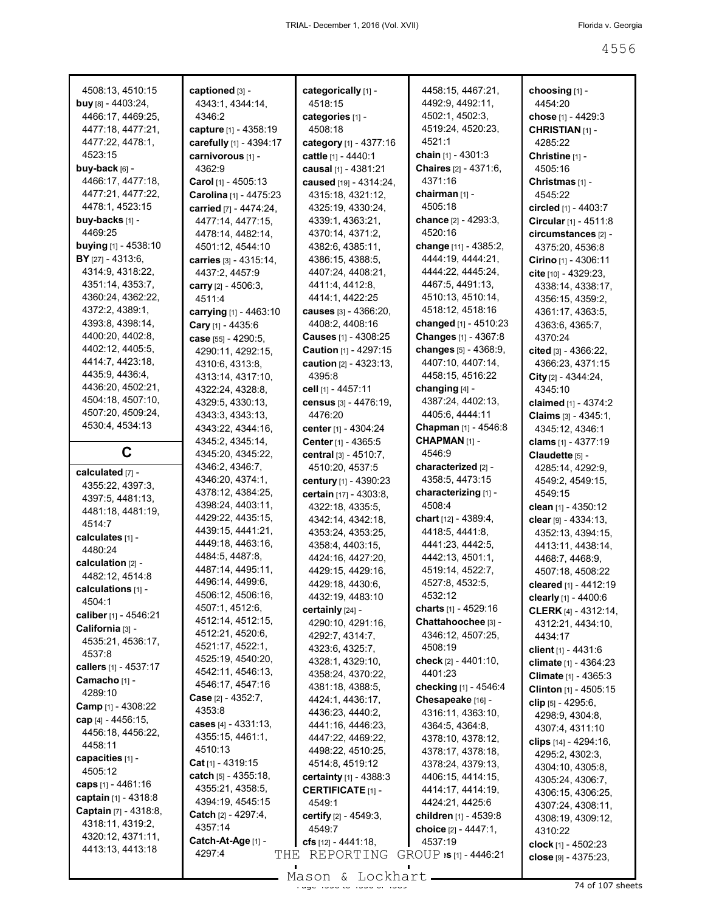| 4508:13, 4510:15                          | captioned [3] -             | categorically [1] -             | 4458:15, 4467:21,              | choosing [1] -                 |
|-------------------------------------------|-----------------------------|---------------------------------|--------------------------------|--------------------------------|
| buy [8] - 4403:24,                        | 4343:1, 4344:14,            | 4518:15                         | 4492:9, 4492:11,               | 4454:20                        |
| 4466:17, 4469:25,                         | 4346:2                      | categories [1] -                | 4502:1, 4502:3,                | chose [1] - 4429:3             |
| 4477:18, 4477:21,                         | capture [1] - 4358:19       | 4508:18                         | 4519:24, 4520:23,              | <b>CHRISTIAN [1] -</b>         |
| 4477:22, 4478:1,                          | carefully [1] - 4394:17     | category [1] - 4377:16          | 4521:1                         | 4285:22                        |
| 4523:15                                   | carnivorous [1] -           | cattle [1] - 4440:1             | chain $[1] - 4301.3$           | Christine [1] -                |
| buy-back [6] -                            | 4362:9                      | causal [1] - 4381:21            | Chaires [2] - 4371:6,          | 4505:16                        |
| 4466:17, 4477:18,                         | <b>Carol</b> [1] - 4505:13  | caused [19] - 4314:24,          | 4371:16                        | Christmas <sub>[1]</sub> -     |
| 4477:21, 4477:22,                         | Carolina [1] - 4475:23      | 4315:18, 4321:12,               | chairman [1] -                 | 4545:22                        |
| 4478:1, 4523:15                           | carried [7] - 4474:24,      | 4325:19, 4330:24,               | 4505:18                        | circled [1] - 4403:7           |
| buy-backs [1] -                           | 4477:14, 4477:15,           | 4339:1, 4363:21,                | chance [2] - 4293:3,           | Circular [1] - 4511:8          |
| 4469:25                                   | 4478:14, 4482:14,           | 4370:14, 4371:2,                | 4520:16                        | circumstances [2] -            |
| buying [1] - 4538:10                      | 4501:12, 4544:10            | 4382:6, 4385:11,                | change [11] - 4385:2,          | 4375:20, 4536:8                |
| <b>BY</b> $[27] - 4313:6$ ,               | carries [3] - 4315:14,      | 4386:15, 4388:5,                | 4444:19, 4444:21,              | Cirino [1] - 4306:11           |
| 4314:9, 4318:22,                          | 4437:2, 4457:9              | 4407:24, 4408:21,               | 4444:22, 4445:24,              | cite [10] - 4329:23,           |
| 4351:14, 4353:7,                          | carry [2] - 4506:3,         | 4411:4, 4412:8,                 | 4467:5, 4491:13,               | 4338:14, 4338:17,              |
| 4360:24, 4362:22,                         | 4511:4                      | 4414:1, 4422:25                 | 4510:13, 4510:14,              | 4356:15, 4359:2,               |
| 4372:2, 4389:1,                           | carrying [1] - 4463:10      | causes [3] - 4366:20,           | 4518:12, 4518:16               | 4361:17, 4363:5,               |
| 4393:8, 4398:14,                          | Cary [1] - 4435:6           | 4408:2, 4408:16                 | changed [1] - 4510:23          | 4363:6, 4365:7,                |
| 4400:20, 4402:8,                          | case [55] - 4290:5,         | <b>Causes</b> $[1] - 4308:25$   | Changes [1] - 4367:8           | 4370:24                        |
| 4402:12, 4405:5,                          | 4290:11, 4292:15,           | Caution [1] - 4297:15           | changes [5] - 4368:9,          | cited [3] - 4366:22,           |
| 4414:7, 4423:18,                          | 4310:6, 4313:8,             | caution [2] - 4323:13,          | 4407:10, 4407:14,              | 4366:23, 4371:15               |
| 4435:9, 4436:4,                           | 4313:14, 4317:10,           | 4395:8                          | 4458:15, 4516:22               | City [2] - 4344:24,            |
| 4436:20, 4502:21,                         | 4322:24, 4328:8,            | cell [1] - 4457:11              | changing $[4]$ -               | 4345:10                        |
| 4504:18, 4507:10,                         | 4329:5, 4330:13,            | census [3] - 4476:19,           | 4387:24, 4402:13,              | claimed [1] - 4374:2           |
| 4507:20, 4509:24,                         | 4343:3, 4343:13,            | 4476:20                         | 4405:6, 4444:11                | <b>Claims</b> $[3] - 4345:1$ , |
| 4530:4, 4534:13                           | 4343:22, 4344:16,           | center [1] - 4304:24            | Chapman [1] - 4546:8           | 4345:12, 4346:1                |
|                                           | 4345:2, 4345:14,            |                                 | CHAPMAN <sub>[1]</sub> -       |                                |
| C                                         | 4345:20, 4345:22,           | Center [1] - 4365:5             | 4546:9                         | clams [1] - 4377:19            |
|                                           | 4346:2, 4346:7,             | central $[3] - 4510:7$ ,        | characterized <sub>[2]</sub> - | Claudette [5] -                |
| calculated [7] -                          | 4346:20, 4374:1,            | 4510:20, 4537:5                 | 4358:5, 4473:15                | 4285:14, 4292:9,               |
|                                           |                             | century [1] - 4390:23           |                                | 4549:2, 4549:15,               |
| 4355:22, 4397:3,                          |                             |                                 |                                |                                |
| 4397:5, 4481:13,                          | 4378:12, 4384:25,           | certain [17] - 4303:8,          | characterizing [1] -           | 4549:15                        |
| 4481:18, 4481:19,                         | 4398:24, 4403:11,           | 4322:18, 4335:5,                | 4508:4                         | clean $[1] - 4350:12$          |
| 4514:7                                    | 4429:22, 4435:15,           | 4342:14, 4342:18,               | chart [12] - 4389:4,           | clear $[9] - 4334:13$ ,        |
| calculates [1] -                          | 4439:15, 4441:21,           | 4353:24, 4353:25,               | 4418:5, 4441:8,                | 4352:13, 4394:15,              |
| 4480:24                                   | 4449:18, 4463:16,           | 4358:4, 4403:15,                | 4441:23, 4442:5,               | 4413:11, 4438:14,              |
| calculation [2] -                         | 4484:5, 4487:8,             | 4424:16, 4427:20,               | 4442:13, 4501:1,               | 4468:7, 4468:9,                |
| 4482:12, 4514:8                           | 4487:14, 4495:11,           | 4429:15, 4429:16,               | 4519:14, 4522:7,               | 4507:18, 4508:22               |
| calculations [1] -                        | 4496:14, 4499:6,            | 4429:18, 4430:6,                | 4527:8, 4532:5,                | cleared [1] - 4412:19          |
| 4504:1                                    | 4506:12, 4506:16,           | 4432:19, 4483:10                | 4532:12                        | clearly [1] - 4400:6           |
|                                           | 4507:1, 4512:6,             | certainly [24] -                | charts $[1] - 4529:16$         | <b>CLERK</b> [4] - 4312:14,    |
| caliber [1] - 4546:21<br>California [3] - | 4512:14, 4512:15,           | 4290:10, 4291:16,               | Chattahoochee [3] -            | 4312:21, 4434:10,              |
| 4535:21, 4536:17,                         | 4512:21, 4520:6,            | 4292:7, 4314:7,                 | 4346:12, 4507:25.              | 4434:17                        |
| 4537:8                                    | 4521:17, 4522:1,            | 4323:6, 4325:7,                 | 4508:19                        | client [1] - 4431:6            |
|                                           | 4525:19, 4540:20,           | 4328:1, 4329:10,                | check [2] - 4401:10,           | <b>climate</b> [1] - 4364:23   |
| callers [1] - 4537:17                     | 4542:11, 4546:13,           | 4358:24, 4370:22,               | 4401:23                        |                                |
| Camacho [1] -<br>4289:10                  | 4546:17, 4547:16            | 4381:18, 4388:5,                | checking [1] - 4546:4          | Clinton [1] - 4505:15          |
|                                           | <b>Case</b> $[2] - 4352:7$  | 4424:1, 4436:17,                | Chesapeake [16] -              | clip $[5] - 4295.6$ ,          |
| Camp [1] - 4308:22                        | 4353:8                      | 4436:23, 4440:2,                | 4316:11, 4363:10,              | 4298:9, 4304:8,                |
| cap $[4] - 4456:15$ ,                     | cases [4] - 4331:13,        | 4441:16, 4446:23,               | 4364:5, 4364:8,                | 4307:4, 4311:10                |
| 4456:18, 4456:22,<br>4458:11              | 4355:15, 4461:1,            | 4447:22, 4469:22,               | 4378:10, 4378:12,              | clips [14] - 4294:16,          |
|                                           | 4510:13                     | 4498:22, 4510:25,               | 4378:17, 4378:18,              | 4295:2, 4302:3,                |
| capacities [1] -                          | <b>Cat</b> [1] - 4319:15    | 4514:8, 4519:12                 | 4378:24, 4379:13,              | 4304:10, 4305:8,               |
| 4505:12                                   | catch $[5] - 4355:18$ ,     | <b>certainty</b> $[1] - 4388.3$ | 4406:15, 4414:15,              | 4305:24, 4306:7,               |
| caps $[1] - 4461:16$                      | 4355:21, 4358:5,            | <b>CERTIFICATE [1] -</b>        | 4414:17, 4414:19,              | 4306:15, 4306:25,              |
| captain [1] - 4318:8                      | 4394:19, 4545:15            | 4549:1                          | 4424:21, 4425:6                | 4307:24, 4308:11,              |
| Captain [7] - 4318:8,                     | <b>Catch</b> $[2] - 4297:4$ | certify [2] - 4549:3,           | children [1] - 4539:8          | 4308:19, 4309:12,              |
| 4318:11, 4319:2,                          | 4357:14                     | 4549:7                          | choice [2] - 4447:1,           | 4310:22                        |
| 4320:12, 4371:11,                         | Catch-At-Age [1] -          | cfs $[12] - 4441:18$ ,          | 4537:19                        | clock [1] - 4502:23            |
| 4413:13, 4413:18                          | 4297:4<br>THE.              | REPORTING                       | $GROUP$ :s [1] - 4446:21       | close $[9] - 4375:23$ ,        |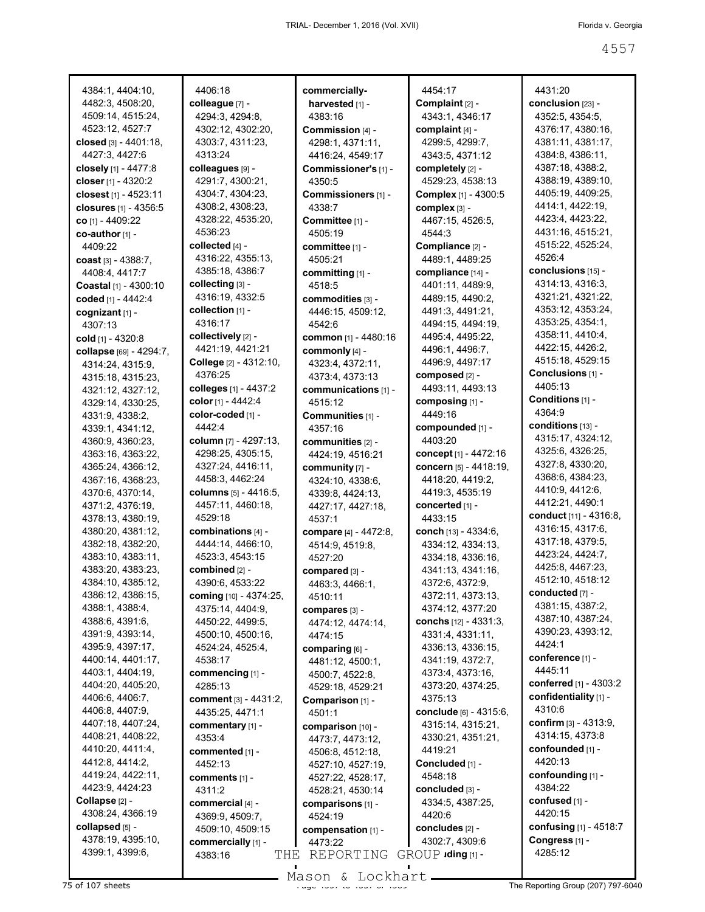4384:1, 4404:10, 4482:3, 4508:20, 4509:14, 4515:24, 4523:12, 4527:7 **closed** [3] - 4401:18, 4427:3, 4427:6 **closely** [1] - 4477:8 **closer** [1] - 4320:2 **closest** [1] - 4523:11 **closures** [1] - 4356:5 **co** [1] - 4409:22 **co-author** [1] - 4409:22 **coast** [3] - 4388:7, 4408:4, 4417:7 **Coastal** [1] - 4300:10 **coded** [1] - 4442:4 **cognizant** [1] - 4307:13 **cold** [1] - 4320:8 **collapse** [69] - 4294:7, 4314:24, 4315:9, 4315:18, 4315:23, 4321:12, 4327:12, 4329:14, 4330:25, 4331:9, 4338:2, 4339:1, 4341:12, 4360:9, 4360:23, 4363:16, 4363:22, 4365:24, 4366:12, 4367:16, 4368:23, 4370:6, 4370:14, 4371:2, 4376:19, 4378:13, 4380:19, 4380:20, 4381:12, 4382:18, 4382:20, 4383:10, 4383:11, 4383:20, 4383:23, 4384:10, 4385:12, 4386:12, 4386:15, 4388:1, 4388:4, 4388:6, 4391:6, 4391:9, 4393:14, 4395:9, 4397:17, 4400:14, 4401:17, 4403:1, 4404:19, 4404:20, 4405:20, 4406:6, 4406:7, 4406:8, 4407:9, 4407:18, 4407:24, 4408:21, 4408:22, 4410:20, 4411:4, 4412:8, 4414:2, 4419:24, 4422:11, 4423:9, 4424:23 **Collapse** [2] - 4308:24, 4366:19 **collapsed** [5] - 4378:19, 4395:10, 4399:1, 4399:6,

4406:18 **colleague** [7] - 4294:3, 4294:8, 4302:12, 4302:20, 4303:7, 4311:23, 4313:24 **colleagues** [9] - 4291:7, 4300:21, 4304:7, 4304:23, 4308:2, 4308:23, 4328:22, 4535:20, 4536:23 **collected** [4] - 4316:22, 4355:13, 4385:18, 4386:7 **collecting** [3] - 4316:19, 4332:5 **collection** [1] - 4316:17 **collectively** [2] - 4421:19, 4421:21 **College** [2] - 4312:10, 4376:25 **colleges** [1] - 4437:2 **color** [1] - 4442:4 **color-coded** [1] - 4442:4 **column** [7] - 4297:13, 4298:25, 4305:15, 4327:24, 4416:11, 4458:3, 4462:24 **columns** [5] - 4416:5, 4457:11, 4460:18, 4529:18 **combinations** [4] - 4444:14, 4466:10, 4523:3, 4543:15 **combined** [2] - 4390:6, 4533:22 **coming** [10] - 4374:25, 4375:14, 4404:9, 4450:22, 4499:5, 4500:10, 4500:16, 4524:24, 4525:4, 4538:17 **commencing** [1] - 4285:13 **comment** [3] - 4431:2, 4435:25, 4471:1 **commentary** [1] - 4353:4 **commented** [1] - 4452:13 **comments** [1] - 4311:2 **commercial** [4] - 4369:9, 4509:7, 4509:10, 4509:15 **commercially** [1] - 4383:16

**commerciallyharvested** [1] -4383:16 **Commission** [4] - 4298:1, 4371:11, 4416:24, 4549:17 **Commissioner's** [1] - 4350:5 **Commissioners** [1] - 4338:7 **Committee** [1] - 4505:19 **committee** [1] - 4505:21 **committing** [1] - 4518:5 **commodities** [3] - 4446:15, 4509:12, 4542:6 **common** [1] - 4480:16 **commonly** [4] - 4323:4, 4372:11, 4373:4, 4373:13 **communications** [1] - 4515:12 **Communities** [1] - 4357:16 **communities** [2] - 4424:19, 4516:21 **community** [7] - 4324:10, 4338:6, 4339:8, 4424:13, 4427:17, 4427:18, 4537:1 **compare** [4] - 4472:8, 4514:9, 4519:8, 4527:20 **compared** [3] - 4463:3, 4466:1, 4510:11 **compares** [3] - 4474:12, 4474:14, 4474:15 **comparing** [6] - 4481:12, 4500:1, 4500:7, 4522:8, 4529:18, 4529:21 **Comparison** [1] - 4501:1 **comparison** [10] - 4473:7, 4473:12, 4506:8, 4512:18, 4527:10, 4527:19, 4527:22, 4528:17, 4528:21, 4530:14 **comparisons** [1] - 4524:19 **compensation** [1] - 4473:22  $\texttt{THE REPORTING GROUP}$  **iding** [1] -

4454:17 **Complaint** [2] - 4343:1, 4346:17 **complaint** [4] - 4299:5, 4299:7, 4343:5, 4371:12 **completely** [2] - 4529:23, 4538:13 **Complex** [1] - 4300:5 **complex** [3] - 4467:15, 4526:5, 4544:3 **Compliance** [2] - 4489:1, 4489:25 **compliance** [14] - 4401:11, 4489:9, 4489:15, 4490:2, 4491:3, 4491:21, 4494:15, 4494:19, 4495:4, 4495:22, 4496:1, 4496:7, 4496:9, 4497:17 **composed** [2] - 4493:11, 4493:13 **composing** [1] - 4449:16 **compounded** [1] - 4403:20 **concept** [1] - 4472:16 **concern** [5] - 4418:19, 4418:20, 4419:2, 4419:3, 4535:19 **concerted** [1] - 4433:15 **conch** [13] - 4334:6, 4334:12, 4334:13, 4334:18, 4336:16, 4341:13, 4341:16, 4372:6, 4372:9, 4372:11, 4373:13, 4374:12, 4377:20 **conchs** [12] - 4331:3, 4331:4, 4331:11, 4336:13, 4336:15, 4341:19, 4372:7, 4373:4, 4373:16, 4373:20, 4374:25, 4375:13 **conclude** [6] - 4315:6, 4315:14, 4315:21, 4330:21, 4351:21, 4419:21 **Concluded** [1] - 4548:18 **concluded** [3] - 4334:5, 4387:25, 4420:6 **concludes** [2] - 4302:7, 4309:6

4431:20 **conclusion** [23] - 4352:5, 4354:5, 4376:17, 4380:16, 4381:11, 4381:17, 4384:8, 4386:11, 4387:18, 4388:2, 4388:19, 4389:10, 4405:19, 4409:25, 4414:1, 4422:19, 4423:4, 4423:22, 4431:16, 4515:21, 4515:22, 4525:24, 4526:4 **conclusions** [15] - 4314:13, 4316:3, 4321:21, 4321:22, 4353:12, 4353:24, 4353:25, 4354:1, 4358:11, 4410:4, 4422:15, 4426:2, 4515:18, 4529:15 **Conclusions** [1] - 4405:13 **Conditions** [1] - 4364:9 **conditions** [13] - 4315:17, 4324:12, 4325:6, 4326:25, 4327:8, 4330:20, 4368:6, 4384:23, 4410:9, 4412:6, 4412:21, 4490:1 **conduct** [11] - 4316:8, 4316:15, 4317:6, 4317:18, 4379:5, 4423:24, 4424:7, 4425:8, 4467:23, 4512:10, 4518:12 **conducted** [7] - 4381:15, 4387:2, 4387:10, 4387:24, 4390:23, 4393:12, 4424:1 **conference** [1] - 4445:11 **conferred** [1] - 4303:2 **confidentiality** [1] - 4310:6 **confirm** [3] - 4313:9, 4314:15, 4373:8 **confounded** [1] - 4420:13 **confounding** [1] - 4384:22 **confused** [1] - 4420:15 **confusing** [1] - 4518:7 **Congress** [1] - 4285:12

75 of 107 sheets **Page 1989 The Reporting Group (207) 797-6040** Mason & Lockhart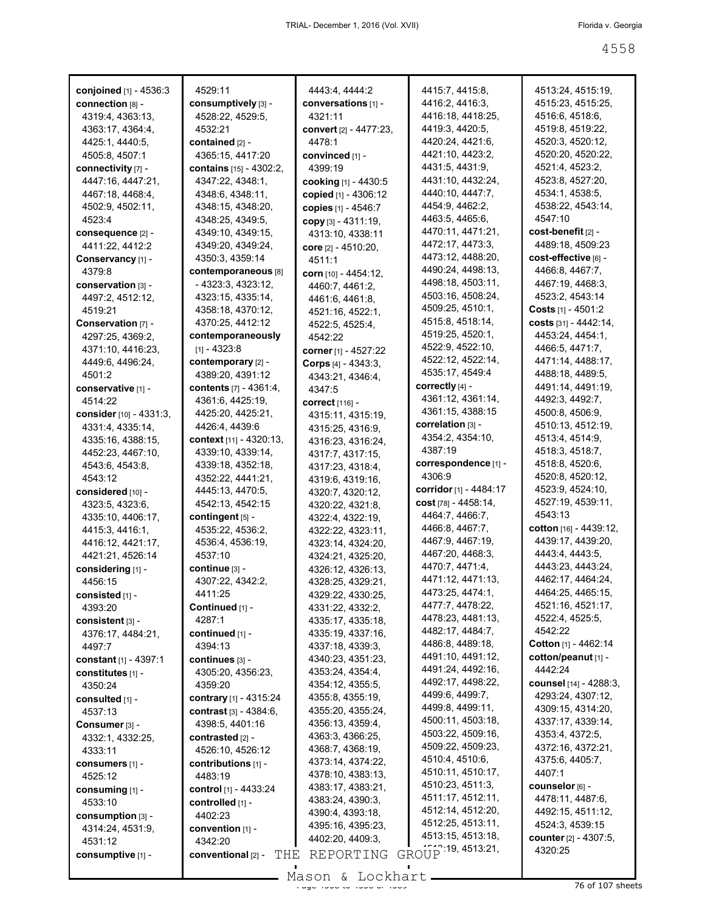| conjoined [1] - 4536:3    | 4529:11                        | 4443:4, 4444:2         | 4415:7, 4415:8,                        | 4513:24, 4515:19,                       |
|---------------------------|--------------------------------|------------------------|----------------------------------------|-----------------------------------------|
| connection [8] -          | consumptively [3] -            | conversations [1] -    | 4416:2, 4416:3,                        | 4515:23, 4515:25,                       |
| 4319:4, 4363:13,          | 4528:22, 4529:5,               | 4321:11                | 4416:18, 4418:25,                      | 4516:6, 4518:6,                         |
| 4363:17, 4364:4,          | 4532:21                        | convert [2] - 4477:23, | 4419:3, 4420:5,                        | 4519:8, 4519:22,                        |
| 4425:1, 4440:5,           | contained [2] -                | 4478:1                 | 4420:24, 4421:6,                       | 4520:3, 4520:12,                        |
| 4505:8, 4507:1            | 4365:15, 4417:20               | convinced [1] -        | 4421:10, 4423:2,                       | 4520:20, 4520:22,                       |
| connectivity [7] -        | <b>contains</b> [15] - 4302:2, | 4399:19                | 4431:5, 4431:9,                        | 4521:4, 4523:2,                         |
| 4447:16, 4447:21,         | 4347:22, 4348:1,               | cooking [1] - 4430:5   | 4431:10, 4432:24,                      | 4523:8, 4527:20,                        |
| 4467:18, 4468:4,          | 4348:6, 4348:11,               | copied [1] - 4306:12   | 4440:10, 4447:7,                       | 4534:1, 4538:5,                         |
| 4502:9, 4502:11,          | 4348:15, 4348:20,              | copies [1] - 4546:7    | 4454:9, 4462:2,                        | 4538:22, 4543:14,                       |
| 4523:4                    | 4348:25, 4349:5,               | copy [3] - 4311:19,    | 4463:5, 4465:6,                        | 4547:10                                 |
| consequence [2] -         | 4349:10, 4349:15,              | 4313:10, 4338:11       | 4470:11, 4471:21,                      | cost-benefit [2] -                      |
| 4411:22, 4412:2           | 4349:20, 4349:24,              |                        | 4472:17, 4473:3,                       | 4489:18, 4509:23                        |
| Conservancy [1] -         | 4350:3, 4359:14                | core [2] - 4510:20,    | 4473:12, 4488:20,                      | cost-effective [6] -                    |
| 4379:8                    | contemporaneous [8]            | 4511:1                 | 4490:24, 4498:13,                      | 4466:8, 4467:7,                         |
| conservation [3] -        | - 4323:3, 4323:12,             | corn [10] - 4454:12,   | 4498:18, 4503:11,                      | 4467:19, 4468:3,                        |
| 4497:2, 4512:12,          | 4323:15, 4335:14,              | 4460:7, 4461:2,        | 4503:16, 4508:24,                      | 4523:2, 4543:14                         |
| 4519:21                   | 4358:18, 4370:12,              | 4461:6, 4461:8,        | 4509:25, 4510:1,                       | Costs $[1] - 4501:2$                    |
| Conservation [7] -        | 4370:25, 4412:12               | 4521:16, 4522:1,       | 4515:8, 4518:14,                       | costs [31] - 4442:14,                   |
|                           | contemporaneously              | 4522:5, 4525:4,        | 4519:25, 4520:1,                       | 4453:24, 4454:1,                        |
| 4297:25, 4369:2,          |                                | 4542:22                | 4522:9, 4522:10,                       | 4466:5, 4471:7,                         |
| 4371:10, 4416:23,         | $[1] - 4323.8$                 | corner [1] - 4527:22   | 4522:12, 4522:14,                      | 4471:14, 4488:17,                       |
| 4449:6, 4496:24,          | contemporary [2] -             | Corps $[4] - 4343.3,$  | 4535:17, 4549:4                        | 4488:18, 4489:5,                        |
| 4501:2                    | 4389:20, 4391:12               | 4343:21, 4346:4,       | correctly $[4]$ -                      | 4491:14, 4491:19,                       |
| conservative [1] -        | <b>contents</b> [7] - 4361:4,  | 4347:5                 | 4361:12, 4361:14,                      | 4492:3, 4492:7,                         |
| 4514:22                   | 4361:6, 4425:19,               | correct [116] -        | 4361:15, 4388:15                       | 4500:8, 4506:9,                         |
| consider [10] - 4331:3,   | 4425:20, 4425:21,              | 4315:11, 4315:19,      | correlation [3] -                      | 4510:13, 4512:19,                       |
| 4331:4, 4335:14,          | 4426:4, 4439:6                 | 4315:25, 4316:9,       | 4354:2, 4354:10,                       | 4513:4, 4514:9,                         |
| 4335:16, 4388:15,         | context [11] - 4320:13,        | 4316:23, 4316:24,      | 4387:19                                | 4518:3, 4518:7,                         |
| 4452:23, 4467:10,         | 4339:10, 4339:14,              | 4317:7, 4317:15,       | correspondence [1] -                   | 4518:8, 4520:6,                         |
| 4543:6, 4543:8,           | 4339:18, 4352:18,              | 4317:23, 4318:4,       | 4306:9                                 | 4520:8, 4520:12,                        |
| 4543:12                   | 4352:22, 4441:21,              | 4319:6, 4319:16,       | corridor [1] - 4484:17                 | 4523:9, 4524:10,                        |
| considered [10] -         | 4445:13, 4470:5,               | 4320:7, 4320:12,       |                                        | 4527:19, 4539:11,                       |
| 4323:5, 4323:6,           | 4542:13, 4542:15               | 4320:22, 4321:8,       | cost [78] - 4458:14,                   | 4543:13                                 |
| 4335:10, 4406:17,         | contingent [5] -               | 4322:4, 4322:19,       | 4464:7, 4466:7,<br>4466:8, 4467:7,     | cotton [16] - 4439:12,                  |
| 4415:3, 4416:1,           | 4535:22, 4536:2,               | 4322:22, 4323:11,      | 4467:9, 4467:19,                       |                                         |
| 4416:12, 4421:17,         | 4536:4, 4536:19,               | 4323:14, 4324:20,      |                                        | 4439:17, 4439:20,                       |
| 4421:21, 4526:14          | 4537:10                        | 4324:21, 4325:20,      | 4467:20, 4468:3,                       | 4443:4, 4443:5,                         |
| considering [1] -         | continue [3] -                 | 4326:12, 4326:13,      | 4470.7, 4471.4,                        | 4443:23, 4443:24,                       |
| 4456:15                   | 4307:22, 4342:2,               | 4328:25, 4329:21,      | 4471:12, 4471:13,                      | 4462:17, 4464:24,                       |
| consisted [1] -           | 4411:25                        | 4329:22, 4330:25,      | 4473:25, 4474:1,                       | 4464:25, 4465:15,                       |
| 4393:20                   | Continued [1] -                | 4331:22, 4332:2,       | 4477:7, 4478:22,                       | 4521:16, 4521:17,                       |
| consistent [3] -          | 4287:1                         | 4335:17, 4335:18,      | 4478:23, 4481:13,                      | 4522:4, 4525:5,                         |
| 4376:17, 4484:21,         | continued [1] -                | 4335:19, 4337:16,      | 4482:17, 4484:7,                       | 4542:22                                 |
| 4497:7                    | 4394:13                        | 4337:18, 4339:3,       | 4486:8, 4489:18,                       | Cotton [1] - 4462:14                    |
| constant [1] - 4397:1     | continues [3] -                | 4340:23, 4351:23,      | 4491:10, 4491:12,                      | cotton/peanut [1] -                     |
| constitutes [1] -         | 4305:20, 4356:23,              | 4353:24, 4354:4,       | 4491:24, 4492:16,                      | 4442:24                                 |
| 4350:24                   | 4359:20                        | 4354:12, 4355:5,       | 4492:17, 4498:22,                      | counsel [14] - 4288:3,                  |
| consulted [1] -           | contrary [1] - 4315:24         | 4355:8, 4355:19,       | 4499:6, 4499:7,<br>4499:8, 4499:11,    | 4293:24, 4307:12,                       |
| 4537:13                   | contrast $[3] - 4384:6$ ,      | 4355:20, 4355:24,      |                                        | 4309:15, 4314:20,                       |
| Consumer <sup>[3]</sup> - | 4398:5, 4401:16                | 4356:13, 4359:4,       | 4500:11, 4503:18,<br>4503:22, 4509:16, | 4337:17, 4339:14,                       |
| 4332:1, 4332:25,          | contrasted [2] -               | 4363:3, 4366:25,       | 4509:22, 4509:23,                      | 4353:4, 4372:5,                         |
| 4333:11                   | 4526:10, 4526:12               | 4368:7, 4368:19,       | 4510:4, 4510:6,                        | 4372:16, 4372:21,                       |
| <b>consumers</b> [1] -    | contributions [1] -            | 4373:14, 4374:22,      | 4510:11, 4510:17,                      | 4375:6, 4405:7,                         |
| 4525:12                   | 4483:19                        | 4378:10, 4383:13,      | 4510:23, 4511:3,                       | 4407:1                                  |
| consuming [1] -           | control [1] - 4433:24          | 4383:17, 4383:21,      | 4511:17, 4512:11,                      | counselor [6] -                         |
| 4533:10                   | controlled [1] -               | 4383:24, 4390:3,       | 4512:14, 4512:20,                      | 4478:11, 4487:6,                        |
| $consumption$ [3] -       | 4402:23                        | 4390:4, 4393:18,       | 4512:25, 4513:11,                      | 4492:15, 4511:12,                       |
| 4314:24, 4531:9,          | convention [1] -               | 4395:16, 4395:23,      | 4513:15, 4513:18,                      | 4524:3, 4539:15                         |
| 4531:12                   | 4342:20                        | 4402:20, 4409:3,       | GROUP 19, 4513:21,                     | <b>counter</b> [2] - 4307:5,<br>4320:25 |
| consumptive [1] -         | conventional [2] -<br>THE      | REPORTING              |                                        |                                         |

 $\frac{1}{25}$  and  $\frac{1}{25}$  of  $\frac{1}{25}$  of  $\frac{1}{25}$  of  $\frac{1}{25}$  of  $\frac{1}{25}$  sheets Mason & Lockhart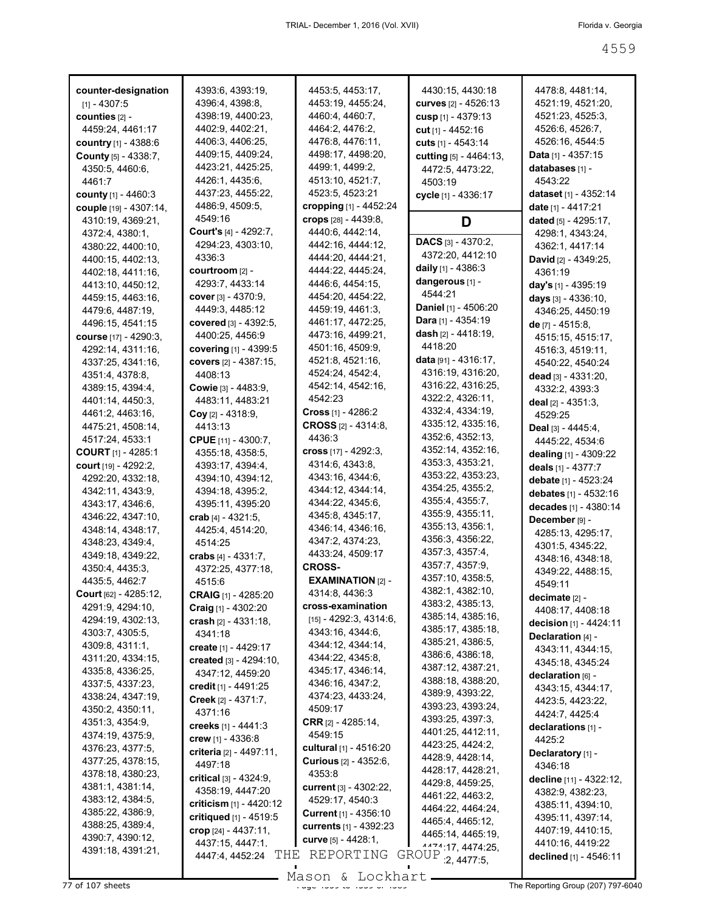| counter-designation                   | 4393:6, 4393:19,                          | 4453:5, 4453:17,                           | 4430:15, 4430:18                      | 4478.8, 4481:14,             |
|---------------------------------------|-------------------------------------------|--------------------------------------------|---------------------------------------|------------------------------|
| $[1] - 4307.5$                        | 4396:4, 4398:8,                           | 4453:19, 4455:24,                          | <b>curves</b> [2] - 4526:13           | 4521:19, 4521:20,            |
| counties $[2]$ -                      | 4398:19, 4400:23,                         | 4460:4, 4460:7,                            | cusp $[1] - 4379:13$                  | 4521:23, 4525:3,             |
| 4459:24, 4461:17                      | 4402:9, 4402:21,                          | 4464:2, 4476:2,                            | cut $[1] - 4452:16$                   | 4526:6, 4526:7,              |
| <b>country</b> [1] - 4388:6           | 4406:3, 4406:25,                          | 4476:8, 4476:11,                           | cuts [1] - 4543:14                    | 4526:16, 4544:5              |
| County [5] - 4338:7,                  | 4409:15, 4409:24,                         | 4498:17, 4498:20,                          | cutting $[5] - 4464:13$ ,             | <b>Data</b> [1] - 4357:15    |
| 4350:5, 4460:6,                       | 4423:21, 4425:25,                         | 4499:1, 4499:2,                            | 4472:5, 4473:22,                      | databases [1] -              |
| 4461:7                                | 4426:1, 4435:6,                           | 4513:10, 4521:7,                           | 4503:19                               | 4543:22                      |
| county [1] - 4460:3                   | 4437:23, 4455:22,                         | 4523:5, 4523:21                            | cycle [1] - 4336:17                   | dataset [1] - 4352:14        |
| couple [19] - 4307:14,                | 4486:9, 4509:5,                           | cropping $[1] - 4452:24$                   |                                       | date [1] - 4417:21           |
| 4310:19, 4369:21,                     | 4549:16                                   | crops [28] - 4439:8,                       | D                                     | dated $[5] - 4295:17$ ,      |
| 4372:4, 4380:1,                       | <b>Court's</b> $[4] - 4292:7$ ,           | 4440:6, 4442:14,                           |                                       | 4298:1, 4343:24,             |
| 4380:22, 4400:10,                     | 4294:23, 4303:10,                         | 4442:16, 4444:12,                          | <b>DACS</b> [3] - 4370:2,             | 4362:1, 4417:14              |
| 4400:15, 4402:13,                     | 4336.3                                    | 4444:20, 4444:21,                          | 4372:20, 4412:10                      | <b>David</b> [2] - 4349:25,  |
| 4402:18, 4411:16,                     | courtroom [2] -                           | 4444:22, 4445:24,                          | daily [1] - 4386:3                    | 4361:19                      |
| 4413:10, 4450:12,                     | 4293:7, 4433:14                           | 4446:6, 4454:15,                           | dangerous [1] -                       | day's $[1]$ - 4395:19        |
| 4459:15, 4463:16,                     | cover $[3] - 4370.9$ ,                    | 4454:20, 4454:22,                          | 4544:21                               | days [3] - 4336:10,          |
| 4479:6, 4487:19,                      | 4449:3, 4485:12                           | 4459:19, 4461:3,                           | <b>Daniel</b> [1] - 4506:20           | 4346:25, 4450:19             |
| 4496:15, 4541:15                      | <b>covered</b> [3] - $4392:5$ ,           | 4461:17, 4472:25,                          | Dara [1] - 4354:19                    | de $[7] - 4515.8$ ,          |
| <b>course</b> [17] - 4290:3,          | 4400:25, 4456:9                           | 4473:16, 4499:21,                          | <b>dash</b> [2] - 4418:19,            | 4515:15, 4515:17,            |
| 4292:14, 4311:16,                     | covering [1] - 4399:5                     | 4501:16, 4509:9,                           | 4418:20                               | 4516:3, 4519:11,             |
| 4337:25, 4341:16,                     | <b>covers</b> [2] - 4387:15,              | 4521:8, 4521:16,                           | <b>data</b> $[91] - 4316:17$ ,        | 4540:22, 4540:24             |
| 4351:4, 4378:8,                       | 4408:13                                   | 4524:24, 4542:4,                           | 4316:19, 4316:20,                     | dead $[3] - 4331:20$         |
| 4389:15, 4394:4,                      | <b>Cowie</b> $[3] - 4483:9$ ,             | 4542:14, 4542:16,                          | 4316:22, 4316:25,<br>4322:2, 4326:11, | 4332:2, 4393:3               |
| 4401:14, 4450:3,                      | 4483:11, 4483:21                          | 4542:23                                    | 4332:4, 4334:19,                      | <b>deal</b> $[2] - 4351:3$   |
| 4461:2, 4463:16,                      | <b>Coy</b> [2] - 4318:9,                  | <b>Cross</b> [1] - 4286:2                  | 4335:12, 4335:16,                     | 4529:25                      |
| 4475:21, 4508:14,                     | 4413:13                                   | <b>CROSS</b> $[2] - 4314:8$                | 4352:6, 4352:13,                      | Deal [3] - 4445:4,           |
| 4517:24, 4533:1                       | <b>CPUE</b> [11] - 4300:7,                | 4436:3                                     | 4352:14, 4352:16,                     | 4445:22, 4534:6              |
| <b>COURT</b> [1] - 4285:1             | 4355:18, 4358:5,                          | cross $[17] - 4292:3$ ,<br>4314:6, 4343:8, | 4353:3, 4353:21,                      | <b>dealing</b> [1] - 4309:22 |
| court [19] - 4292:2,                  | 4393:17, 4394:4,                          | 4343:16, 4344:6,                           | 4353:22, 4353:23,                     | deals [1] - 4377:7           |
| 4292:20, 4332:18,                     | 4394:10, 4394:12,                         | 4344:12, 4344:14,                          | 4354:25, 4355:2,                      | debate $[1] - 4523:24$       |
| 4342:11, 4343:9,                      | 4394:18, 4395:2,                          | 4344:22, 4345:6,                           | 4355:4, 4355:7,                       | <b>debates</b> [1] - 4532:16 |
| 4343:17, 4346:6,<br>4346:22, 4347:10, | 4395:11, 4395:20<br>crab $[4] - 4321:5$ , | 4345:8, 4345:17,                           | 4355:9, 4355:11,                      | decades [1] - 4380:14        |
| 4348:14, 4348:17,                     | 4425:4, 4514:20,                          | 4346:14, 4346:16,                          | 4355:13, 4356:1,                      | December [9] -               |
| 4348:23, 4349:4,                      | 4514:25                                   | 4347:2, 4374:23,                           | 4356:3, 4356:22,                      | 4285:13, 4295:17,            |
| 4349:18, 4349:22,                     | crabs $[4] - 4331:7$ ,                    | 4433:24, 4509:17                           | 4357:3, 4357:4,                       | 4301:5, 4345:22,             |
| 4350:4, 4435:3,                       | 4372:25, 4377:18,                         | <b>CROSS-</b>                              | 4357:7, 4357:9,                       | 4348:16, 4348:18,            |
| 4435:5, 4462:7                        | 4515:6                                    | $EXAMPLE 2$ -                              | 4357:10, 4358:5,                      | 4349:22, 4488:15,<br>4549:11 |
| <b>Court</b> [62] - 4285:12,          | <b>CRAIG</b> [1] - 4285:20                | 4314:8, 4436:3                             | 4382:1, 4382:10,                      | decimate [2] -               |
| 4291:9, 4294:10,                      | Craig [1] - 4302:20                       | cross-examination                          | 4383:2, 4385:13,                      | 4408:17, 4408:18             |
| 4294:19, 4302:13,                     | crash [2] - 4331:18,                      | $[15] - 4292:3, 4314:6,$                   | 4385:14, 4385:16,                     | decision [1] - 4424:11       |
| 4303:7, 4305:5,                       | 4341:18                                   | 4343:16, 4344:6,                           | 4385:17, 4385:18,                     | Declaration $[4]$ -          |
| 4309:8, 4311:1,                       | create [1] - 4429:17                      | 4344:12, 4344:14,                          | 4385:21, 4386:5,                      | 4343:11, 4344:15,            |
| 4311:20, 4334:15,                     | created [3] - 4294:10,                    | 4344:22, 4345:8,                           | 4386:6, 4386:18,                      | 4345:18, 4345:24             |
| 4335:8, 4336:25,                      | 4347:12, 4459:20                          | 4345:17, 4346:14,                          | 4387:12, 4387:21,                     | declaration $[6]$ -          |
| 4337:5, 4337:23,                      | credit [1] - 4491:25                      | 4346:16, 4347:2,                           | 4388:18, 4388:20,                     | 4343:15, 4344:17,            |
| 4338:24, 4347:19,                     | <b>Creek</b> $[2] - 4371.7$ ,             | 4374:23, 4433:24,                          | 4389:9, 4393:22,                      | 4423:5, 4423:22,             |
| 4350:2, 4350:11,                      | 4371:16                                   | 4509:17                                    | 4393:23, 4393:24,                     | 4424:7, 4425:4               |
| 4351:3, 4354:9,                       | creeks $[1] - 4441:3$                     | <b>CRR</b> $[2] - 4285:14,$                | 4393:25, 4397:3,                      | declarations [1] -           |
| 4374:19, 4375:9,                      | crew [1] - 4336:8                         | 4549:15                                    | 4401:25, 4412:11,                     | 4425:2                       |
| 4376:23, 4377:5,                      | criteria [2] - 4497:11,                   | cultural [1] - 4516:20                     | 4423:25, 4424:2,<br>4428:9, 4428:14,  | Declaratory [1] -            |
| 4377:25, 4378:15,                     | 4497:18                                   | <b>Curious</b> $[2] - 4352:6$ ,            | 4428:17, 4428:21,                     | 4346:18                      |
| 4378:18, 4380:23,                     | critical [3] - 4324:9,                    | 4353:8                                     | 4429:8, 4459:25,                      | decline [11] - 4322:12,      |
| 4381:1, 4381:14,                      | 4358:19, 4447:20                          | current $[3] - 4302:22,$                   | 4461:22, 4463:2,                      | 4382:9, 4382:23,             |
| 4383:12, 4384:5,                      | criticism $[1] - 4420:12$                 | 4529:17, 4540:3                            | 4464:22, 4464:24,                     | 4385:11, 4394:10,            |
| 4385:22, 4386:9,                      | critiqued [1] - 4519:5                    | <b>Current</b> $[1] - 4356:10$             | 4465:4, 4465:12,                      | 4395:11, 4397:14,            |
| 4388:25, 4389:4,                      | crop $[24] - 4437:11$ ,                   | currents [1] - 4392:23                     | 4465:14, 4465:19,                     | 4407:19, 4410:15,            |
| 4390:7, 4390:12,<br>4391:18, 4391:21, | 4437:15, 4447:1.                          | curve $[5] - 4428:1,$                      | 1471.17, 4474.25,                     | 4410:16, 4419:22             |
|                                       | 4447:4, 4452:24                           | THE REPORTING                              | GROUP 2, 4477:5,                      | declined [1] - 4546:11       |

 $\frac{2569610}{1000}$  and  $\frac{2569610}{1000}$  of  $\frac{2569610}{1000}$  or  $\frac{25696100}{1000}$  of  $\frac{25696100}{1000}$  The Reporting Group (207) 797-6040 Mason & Lockhart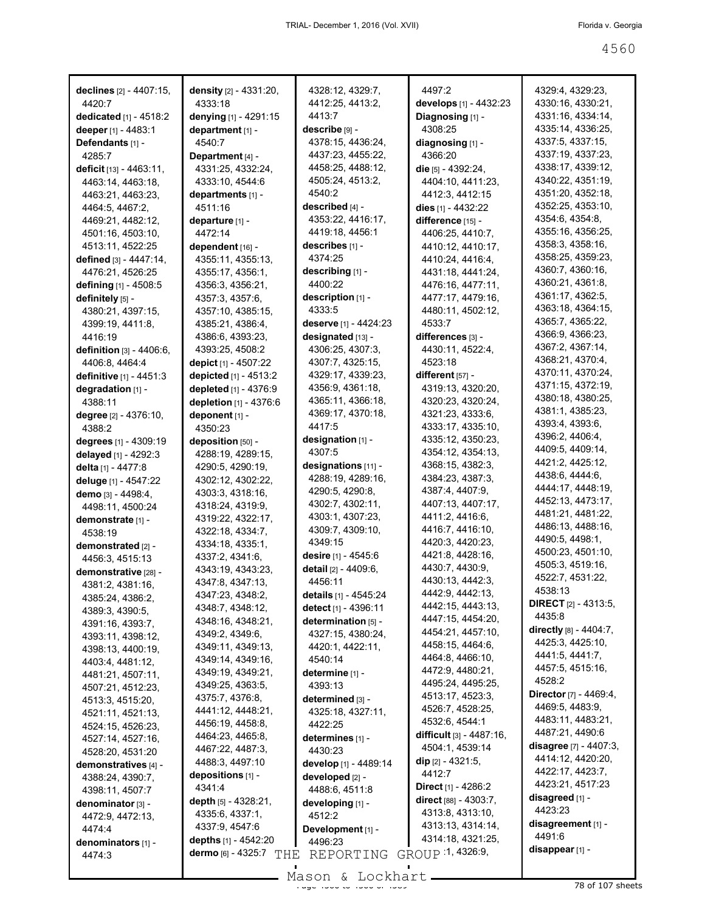| declines [2] - 4407:15,                 | density [2] - 4331:20,     | 4328:12, 4329:7,         | 4497:2                                              | 4329:4, 4329:23,                       |
|-----------------------------------------|----------------------------|--------------------------|-----------------------------------------------------|----------------------------------------|
| 4420:7                                  | 4333:18                    | 4412:25, 4413:2,         | develops [1] - 4432:23                              | 4330:16, 4330:21,                      |
| dedicated [1] - 4518:2                  | denying [1] - 4291:15      | 4413:7<br>describe [9] - | Diagnosing [1] -<br>4308:25                         | 4331:16, 4334:14,<br>4335:14, 4336:25, |
| deeper [1] - 4483:1<br>Defendants [1] - | department [1] -<br>4540:7 | 4378:15, 4436:24,        | diagnosing [1] -                                    | 4337:5, 4337:15,                       |
| 4285:7                                  | Department [4] -           | 4437:23, 4455:22,        | 4366:20                                             | 4337:19, 4337:23,                      |
| deficit [13] - 4463:11,                 | 4331:25, 4332:24,          | 4458:25, 4488:12,        | die [5] - 4392:24,                                  | 4338:17, 4339:12,                      |
| 4463:14, 4463:18,                       | 4333:10, 4544:6            | 4505:24, 4513:2,         | 4404:10, 4411:23,                                   | 4340:22, 4351:19,                      |
| 4463:21, 4463:23,                       | departments [1] -          | 4540:2                   | 4412:3, 4412:15                                     | 4351:20, 4352:18,                      |
| 4464:5, 4467:2,                         | 4511:16                    | described [4] -          | dies [1] - 4432:22                                  | 4352:25, 4353:10,                      |
| 4469:21, 4482:12,                       | departure [1] -            | 4353:22, 4416:17,        | difference [15] -                                   | 4354:6, 4354:8,                        |
| 4501:16, 4503:10,                       | 4472:14                    | 4419:18, 4456:1          | 4406:25, 4410:7,                                    | 4355:16, 4356:25,                      |
| 4513:11, 4522:25                        | dependent [16] -           | describes [1] -          | 4410:12, 4410:17,                                   | 4358:3, 4358:16,                       |
| defined [3] - 4447:14,                  | 4355:11, 4355:13,          | 4374:25                  | 4410:24, 4416:4,                                    | 4358:25, 4359:23,                      |
| 4476:21, 4526:25                        | 4355:17, 4356:1,           | describing [1] -         | 4431:18, 4441:24,                                   | 4360:7, 4360:16,                       |
| defining [1] - 4508:5                   | 4356:3, 4356:21,           | 4400:22                  | 4476:16, 4477:11,                                   | 4360:21, 4361:8,                       |
| definitely [5] -                        | 4357:3, 4357:6,            | description [1] -        | 4477:17, 4479:16,                                   | 4361:17, 4362:5,                       |
| 4380:21, 4397:15,                       | 4357:10, 4385:15,          | 4333:5                   | 4480:11, 4502:12,                                   | 4363:18, 4364:15,                      |
| 4399:19, 4411:8,                        | 4385:21, 4386:4,           | deserve [1] - 4424:23    | 4533:7                                              | 4365:7, 4365:22,                       |
| 4416:19                                 | 4386:6, 4393:23,           | designated [13] -        | differences [3] -                                   | 4366:9, 4366:23,                       |
| definition [3] - 4406:6,                | 4393:25, 4508:2            | 4306:25, 4307:3,         | 4430:11, 4522:4,                                    | 4367:2, 4367:14,                       |
| 4406:8, 4464:4                          | depict [1] - 4507:22       | 4307:7, 4325:15,         | 4523:18                                             | 4368:21, 4370:4,                       |
| definitive [1] - 4451:3                 | depicted [1] - 4513:2      | 4329:17, 4339:23,        | different $[57]$ -                                  | 4370:11, 4370:24,                      |
| degradation [1] -                       | depleted [1] - 4376:9      | 4356:9, 4361:18,         | 4319:13, 4320:20,                                   | 4371:15, 4372:19,                      |
| 4388:11                                 | depletion [1] - 4376:6     | 4365:11, 4366:18,        | 4320:23, 4320:24,                                   | 4380:18, 4380:25,                      |
| degree [2] - 4376:10,                   | deponent [1] -             | 4369:17, 4370:18,        | 4321:23, 4333:6,                                    | 4381:1, 4385:23,                       |
| 4388:2                                  | 4350:23                    | 4417:5                   | 4333:17, 4335:10,                                   | 4393:4, 4393:6,                        |
| degrees [1] - 4309:19                   | deposition [50] -          | designation [1] -        | 4335:12, 4350:23,                                   | 4396:2, 4406:4,                        |
| delayed [1] - 4292:3                    | 4288:19, 4289:15,          | 4307:5                   | 4354:12, 4354:13,                                   | 4409:5, 4409:14,                       |
| delta [1] - 4477:8                      | 4290:5, 4290:19,           | designations [11] -      | 4368:15, 4382:3,                                    | 4421:2, 4425:12,                       |
| deluge [1] - 4547:22                    | 4302:12, 4302:22,          | 4288:19, 4289:16,        | 4384:23, 4387:3,                                    | 4438:6, 4444:6,                        |
| demo [3] - 4498:4,                      | 4303:3, 4318:16,           | 4290:5, 4290:8,          | 4387:4, 4407:9,                                     | 4444:17, 4448:19,                      |
| 4498:11, 4500:24                        | 4318:24, 4319:9,           | 4302:7, 4302:11,         | 4407:13, 4407:17,                                   | 4452:13, 4473:17,                      |
| demonstrate [1] -                       | 4319:22, 4322:17,          | 4303:1, 4307:23,         | 4411:2, 4416:6,                                     | 4481:21, 4481:22,                      |
| 4538:19                                 | 4322:18, 4334:7,           | 4309:7, 4309:10,         | 4416:7, 4416:10,                                    | 4486:13, 4488:16,                      |
| demonstrated [2] -                      | 4334:18, 4335:1,           | 4349:15                  | 4420:3, 4420:23,                                    | 4490:5, 4498:1,                        |
| 4456:3, 4515:13                         | 4337:2, 4341:6,            | desire [1] - 4545:6      | 4421:8, 4428:16,                                    | 4500:23, 4501:10,                      |
| demonstrative [28] -                    | 4343:19, 4343:23,          | detail [2] - 4409:6,     | 4430:7, 4430:9,                                     | 4505:3, 4519:16,                       |
| 4381:2, 4381:16,                        | 4347:8, 4347:13,           | 4456:11                  | 4430:13, 4442:3,                                    | 4522:7, 4531:22,                       |
| 4385:24, 4386:2,                        | 4347:23, 4348:2,           | details [1] - 4545:24    | 4442:9, 4442:13,                                    | 4538:13                                |
| 4389:3, 4390:5,                         | 4348:7, 4348:12,           | detect [1] - 4396:11     | 4442:15, 4443:13,                                   | <b>DIRECT</b> [2] - 4313:5,            |
| 4391:16, 4393:7,                        | 4348:16, 4348:21,          | determination [5] -      | 4447:15, 4454:20,                                   | 4435:8<br>directly [8] - 4404:7,       |
| 4393:11, 4398:12,                       | 4349:2, 4349:6,            | 4327:15, 4380:24,        | 4454:21, 4457:10,                                   | 4425:3, 4425:10,                       |
| 4398:13, 4400:19,                       | 4349:11, 4349:13,          | 4420:1, 4422:11,         | 4458:15, 4464:6,                                    | 4441:5, 4441:7,                        |
| 4403:4, 4481:12,                        | 4349:14, 4349:16,          | 4540:14                  | 4464:8, 4466:10,                                    | 4457:5, 4515:16,                       |
| 4481:21, 4507:11,                       | 4349:19, 4349:21,          | determine [1] -          | 4472:9, 4480:21,                                    | 4528:2                                 |
| 4507:21, 4512:23,                       | 4349:25, 4363:5,           | 4393:13                  | 4495:24, 4495:25,                                   | Director [7] - 4469:4,                 |
| 4513:3, 4515:20,                        | 4375:7, 4376:8,            | determined [3] -         | 4513:17, 4523:3,                                    | 4469:5, 4483:9,                        |
| 4521:11, 4521:13,                       | 4441:12, 4448:21,          | 4325:18, 4327:11,        | 4526:7, 4528:25,                                    | 4483:11, 4483:21,                      |
| 4524:15, 4526:23,                       | 4456:19, 4458:8.           | 4422:25                  | 4532:6, 4544:1                                      | 4487:21, 4490:6                        |
| 4527:14, 4527:16,                       | 4464:23, 4465:8,           | determines [1] -         | <b>difficult</b> [3] - 4487:16,<br>4504:1, 4539:14  | disagree [7] - 4407:3,                 |
| 4528:20, 4531:20                        | 4467:22, 4487:3,           | 4430:23                  |                                                     | 4414:12, 4420:20,                      |
| demonstratives [4] -                    | 4488:3, 4497:10            | develop [1] - 4489:14    | dip [2] - 4321:5,<br>4412:7                         | 4422:17, 4423:7,                       |
| 4388:24, 4390:7,                        | depositions [1] -          | developed [2] -          |                                                     | 4423:21, 4517:23                       |
| 4398:11, 4507:7                         | 4341:4                     | 4488:6, 4511:8           | <b>Direct</b> [1] - 4286:2<br>direct [88] - 4303:7, | disagreed [1] -                        |
| denominator [3] -                       | depth $[5]$ - 4328:21,     | developing [1] -         | 4313:8, 4313:10,                                    | 4423:23                                |
| 4472:9, 4472:13,                        | 4335:6, 4337:1,            | 4512:2                   | 4313:13, 4314:14,                                   | disagreement [1] -                     |
| 4474:4                                  | 4337:9, 4547:6             | Development [1] -        | 4314:18, 4321:25,                                   | 4491:6                                 |
| denominators [1] -                      | depths [1] - 4542:20       | 4496:23                  | GROUP 1, 4326:9,                                    | disappear [1] -                        |
| 4474:3                                  | dermo [6] - 4325:7<br>THE  | REPORTING                |                                                     |                                        |

 $\frac{2560 \text{ cm}}{380 \text{ cm}}$  of 107 sheets Mason & Lockhart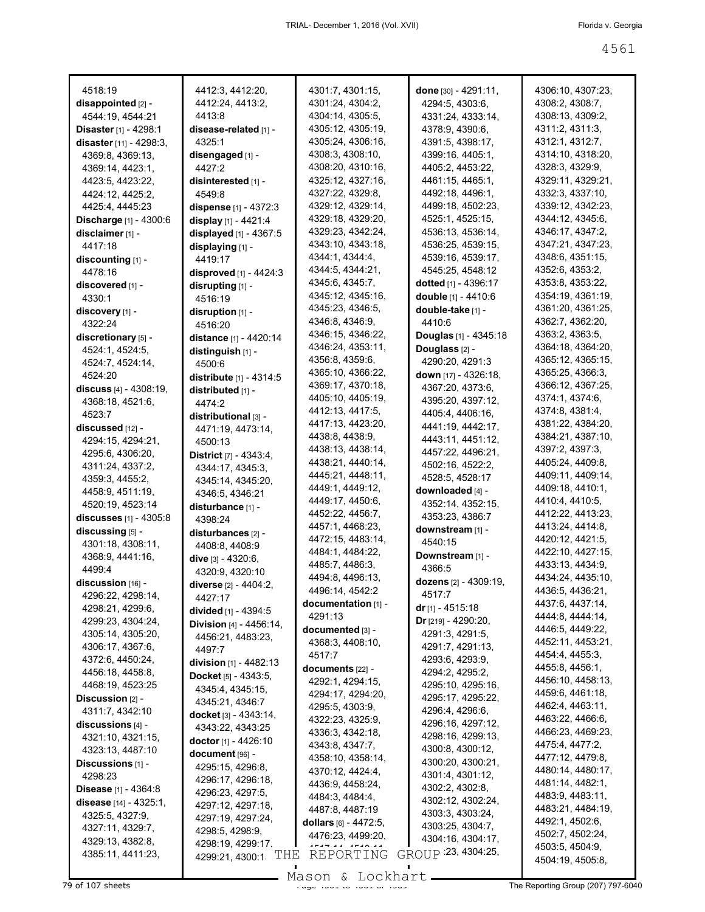| 4518:19                               |                                            |                                      |                                         |                                      |
|---------------------------------------|--------------------------------------------|--------------------------------------|-----------------------------------------|--------------------------------------|
| disappointed [2] -                    | 4412:3, 4412:20,<br>4412:24, 4413:2,       | 4301:7, 4301:15,<br>4301:24, 4304:2, | done [30] - 4291:11,<br>4294:5, 4303:6, | 4306:10, 4307:23,<br>4308:2, 4308:7, |
| 4544:19, 4544:21                      | 4413:8                                     | 4304:14, 4305:5,                     | 4331:24, 4333:14,                       | 4308:13, 4309:2,                     |
| Disaster [1] - 4298:1                 | disease-related <sub>[1]</sub> -           | 4305:12, 4305:19,                    | 4378:9, 4390:6,                         | 4311:2, 4311:3,                      |
| disaster [11] - 4298:3,               | 4325:1                                     | 4305:24, 4306:16,                    | 4391:5, 4398:17,                        | 4312:1, 4312:7,                      |
| 4369:8, 4369:13,                      | disengaged [1] -                           | 4308:3, 4308:10,                     | 4399:16, 4405:1,                        | 4314:10, 4318:20,                    |
| 4369:14, 4423:1,                      | 4427:2                                     | 4308:20, 4310:16,                    | 4405:2, 4453:22,                        | 4328:3, 4329:9,                      |
| 4423:5, 4423:22,                      | disinterested [1] -                        | 4325:12, 4327:16,                    | 4461:15, 4465:1,                        | 4329:11, 4329:21,                    |
| 4424:12, 4425:2,                      | 4549:8                                     | 4327:22, 4329:8,                     | 4492:18, 4496:1,                        | 4332:3, 4337:10,                     |
| 4425:4, 4445:23                       | dispense [1] - 4372:3                      | 4329:12, 4329:14,                    | 4499:18, 4502:23,                       | 4339:12, 4342:23,                    |
| <b>Discharge</b> [1] - 4300:6         | display [1] - 4421:4                       | 4329:18, 4329:20,                    | 4525:1, 4525:15,                        | 4344:12, 4345:6,                     |
| disclaimer [1] -                      | displayed [1] - 4367:5                     | 4329:23, 4342:24,                    | 4536:13, 4536:14,                       | 4346:17, 4347:2,                     |
| 4417:18                               |                                            | 4343:10, 4343:18,                    | 4536:25, 4539:15,                       | 4347:21, 4347:23,                    |
| discounting [1] -                     | displaying [1] -<br>4419:17                | 4344:1, 4344:4,                      | 4539:16, 4539:17,                       | 4348:6, 4351:15,                     |
| 4478:16                               |                                            | 4344:5, 4344:21,                     | 4545:25, 4548:12                        | 4352:6, 4353:2,                      |
| discovered [1] -                      | disproved [1] - 4424:3                     | 4345:6, 4345:7,                      | dotted $[1] - 4396:17$                  | 4353:8, 4353:22,                     |
| 4330:1                                | disrupting [1] -                           | 4345:12, 4345:16,                    | double [1] - 4410:6                     | 4354:19, 4361:19,                    |
|                                       | 4516:19                                    | 4345:23, 4346:5,                     | double-take [1] -                       | 4361:20, 4361:25,                    |
| discovery [1] -<br>4322:24            | disruption $[1]$ -                         | 4346:8, 4346:9,                      | 4410:6                                  | 4362:7, 4362:20,                     |
|                                       | 4516:20                                    | 4346:15, 4346:22,                    | Douglas [1] - 4345:18                   | 4363:2, 4363:5,                      |
| discretionary [5] -                   | distance [1] - 4420:14                     | 4346:24, 4353:11,                    | Douglass <sub>[2]</sub> -               | 4364:18, 4364:20,                    |
| 4524:1, 4524:5,                       | distinguish [1] -                          | 4356:8, 4359:6,                      | 4290:20, 4291:3                         | 4365:12, 4365:15,                    |
| 4524:7, 4524:14,                      | 4500:6                                     | 4365:10, 4366:22,                    | down [17] - 4326:18,                    | 4365:25, 4366:3,                     |
| 4524:20                               | distribute $[1] - 4314.5$                  | 4369:17, 4370:18,                    | 4367:20, 4373:6,                        | 4366:12, 4367:25,                    |
| discuss $[4] - 4308:19$ ,             | distributed [1] -                          | 4405:10, 4405:19,                    | 4395:20, 4397:12,                       | 4374:1, 4374:6,                      |
| 4368:18, 4521:6,                      | 4474:2                                     | 4412:13, 4417:5,                     | 4405:4, 4406:16,                        | 4374:8, 4381:4,                      |
| 4523:7                                | distributional [3] -                       | 4417:13, 4423:20,                    | 4441:19, 4442:17,                       | 4381:22, 4384:20,                    |
| discussed [12] -                      | 4471:19, 4473:14,                          | 4438:8, 4438:9,                      | 4443:11, 4451:12,                       | 4384:21, 4387:10,                    |
| 4294:15, 4294:21,                     | 4500:13                                    | 4438:13, 4438:14,                    | 4457:22, 4496:21,                       | 4397:2, 4397:3,                      |
| 4295:6, 4306:20,                      | <b>District</b> [7] - 4343:4,              | 4438:21, 4440:14,                    | 4502:16, 4522:2,                        | 4405:24, 4409:8,                     |
| 4311:24, 4337:2,                      | 4344:17, 4345:3,                           | 4445:21, 4448:11,                    | 4528:5, 4528:17                         | 4409:11, 4409:14,                    |
| 4359:3, 4455:2,                       | 4345:14, 4345:20,                          | 4449:1, 4449:12,                     | downloaded [4] -                        | 4409:18, 4410:1,                     |
| 4458:9, 4511:19,                      | 4346:5, 4346:21                            | 4449:17, 4450:6,                     | 4352:14, 4352:15,                       | 4410:4, 4410:5,                      |
| 4520:19, 4523:14                      | disturbance [1] -                          | 4452:22, 4456:7,                     | 4353:23, 4386:7                         | 4412:22, 4413:23,                    |
| discusses $[1] - 4305:8$              | 4398:24                                    | 4457:1, 4468:23,                     | downstream [1] -                        | 4413:24, 4414:8,                     |
| discussing [5] -                      | disturbances [2] -                         | 4472:15, 4483:14,                    | 4540:15                                 | 4420:12, 4421:5,                     |
| 4301:18, 4308:11,                     | 4408:8, 4408:9                             | 4484:1, 4484:22,                     | Downstream [1] -                        | 4422:10, 4427:15,                    |
| 4368:9, 4441:16,<br>4499:4            | dive [3] - 4320:6.                         | 4485:7, 4486:3,                      | 4366:5                                  | 4433:13, 4434:9,                     |
| discussion [16] -                     | 4320:9, 4320:10                            | 4494:8, 4496:13,                     | dozens [2] - 4309:19,                   | 4434:24, 4435:10,                    |
|                                       | diverse [2] - 4404:2,                      | 4496:14, 4542:2                      | 4517:7                                  | 4436:5, 4436:21,                     |
| 4296:22, 4298:14,<br>4298:21, 4299:6, | 4427:17                                    | documentation [1] -                  | dr $[1]$ - 4515:18                      | 4437:6, 4437:14,                     |
| 4299:23, 4304:24,                     | divided [1] - 4394:5                       | 4291:13                              | $Dr$ [219] - 4290:20,                   | 4444:8, 4444:14,                     |
| 4305:14, 4305:20,                     | Division [4] - 4456:14,                    | documented [3] -                     | 4291:3, 4291:5,                         | 4446:5, 4449:22,                     |
| 4306:17, 4367:6,                      | 4456:21, 4483:23,                          | 4368:3, 4408:10,                     | 4291:7, 4291:13,                        | 4452:11, 4453:21,                    |
| 4372:6, 4450:24,                      | 4497:7                                     | 4517:7                               | 4293:6, 4293:9,                         | 4454:4, 4455:3,                      |
| 4456:18, 4458:8,                      | division [1] - 4482:13                     | documents $[22] -$                   | 4294:2, 4295:2,                         | 4455:8, 4456:1,                      |
| 4468:19, 4523:25                      | <b>Docket</b> $[5] - 4343.5$ ,             | 4292:1, 4294:15,                     | 4295:10, 4295:16,                       | 4456:10, 4458:13,                    |
| Discussion $[2]$ -                    | 4345:4, 4345:15,                           | 4294:17, 4294:20,                    | 4295:17, 4295:22,                       | 4459:6, 4461:18,                     |
| 4311:7, 4342:10                       | 4345:21, 4346:7                            | 4295:5, 4303:9,                      | 4296:4, 4296:6,                         | 4462:4, 4463:11,                     |
| discussions [4] -                     | docket [3] - 4343:14,                      | 4322:23, 4325:9,                     | 4296:16, 4297:12,                       | 4463:22, 4466:6,                     |
| 4321:10, 4321:15,                     | 4343:22, 4343:25                           | 4336:3, 4342:18,                     | 4298:16, 4299:13,                       | 4466:23, 4469:23,                    |
| 4323:13, 4487:10                      | <b>doctor</b> [1] - 4426:10                | 4343:8, 4347:7,                      | 4300:8, 4300:12,                        | 4475:4, 4477:2,                      |
| Discussions $[1]$ -                   | document [96] -                            | 4358:10, 4358:14,                    | 4300:20, 4300:21,                       | 4477:12, 4479:8,                     |
| 4298:23                               | 4295:15, 4296:8,                           | 4370:12, 4424:4,                     | 4301:4, 4301:12,                        | 4480:14, 4480:17,                    |
| <b>Disease</b> [1] - $4364:8$         | 4296:17, 4296:18,                          | 4436:9, 4458:24,                     | 4302:2, 4302:8,                         | 4481:14, 4482:1,                     |
| disease [14] - 4325:1,                | 4296:23, 4297:5,                           | 4484:3, 4484:4,                      | 4302:12, 4302:24,                       | 4483:9, 4483:11,                     |
| 4325:5, 4327:9,                       | 4297:12, 4297:18,                          | 4487:8, 4487:19                      | 4303:3, 4303:24,                        | 4483:21, 4484:19,                    |
| 4327:11, 4329:7,                      | 4297:19, 4297:24,                          | dollars [6] - 4472:5,                | 4303:25, 4304:7,                        | 4492:1, 4502:6,                      |
| 4329:13, 4382:8,                      | 4298:5, 4298:9,                            | 4476:23, 4499:20,                    | 4304:16, 4304:17,                       | 4502:7, 4502:24,                     |
| 4385:11, 4411:23,                     | 4298:19, 4299:17<br>THE<br>4299:21, 4300:1 | REPORTING                            | GROUP 23, 4304:25,                      | 4503:5, 4504:9,                      |
|                                       |                                            |                                      |                                         | 4504:19, 4505:8,                     |
|                                       |                                            |                                      |                                         |                                      |

The Reporting Group (207) 797-6040<br>The Reporting Group (207) 797-6040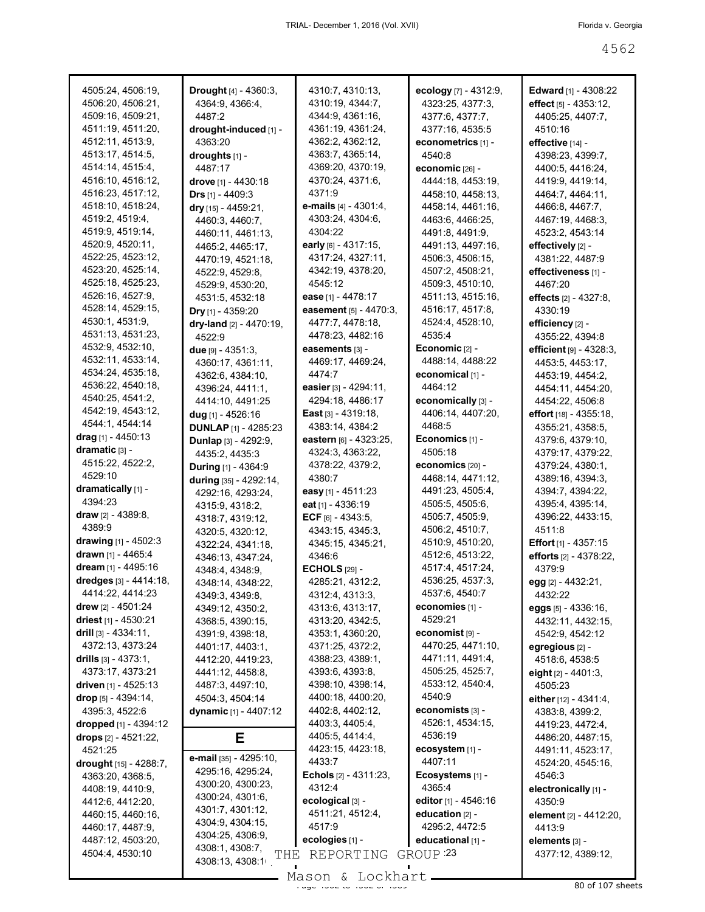| 4505:24, 4506:19,         | Drought [4] - 4360:3,                | 4310:7, 4310:13,                | ecology [7] - 4312:9, | <b>Edward</b> [1] - 4308:22   |
|---------------------------|--------------------------------------|---------------------------------|-----------------------|-------------------------------|
| 4506:20, 4506:21,         | 4364:9, 4366:4,                      | 4310:19, 4344:7,                | 4323:25, 4377:3,      | effect $[5] - 4353:12$ ,      |
| 4509:16, 4509:21,         | 4487:2                               | 4344:9, 4361:16,                | 4377:6, 4377:7,       | 4405:25, 4407:7,              |
| 4511:19, 4511:20,         | drought-induced [1] -                | 4361:19, 4361:24,               | 4377:16, 4535:5       | 4510:16                       |
| 4512:11, 4513:9,          | 4363:20                              | 4362:2, 4362:12,                | econometrics [1] -    | effective [14] -              |
| 4513:17, 4514:5,          | droughts [1] -                       | 4363:7, 4365:14,                | 4540:8                | 4398:23, 4399:7,              |
| 4514:14, 4515:4,          | 4487:17                              | 4369:20, 4370:19,               | economic [26] -       | 4400:5, 4416:24,              |
| 4516:10, 4516:12,         | <b>drove</b> [1] - 4430:18           | 4370:24, 4371:6,                | 4444:18, 4453:19,     | 4419:9, 4419:14,              |
| 4516:23, 4517:12,         | <b>Drs</b> $[1] - 4409:3$            | 4371:9                          | 4458:10.4458:13.      | 4464:7, 4464:11,              |
| 4518:10, 4518:24,         | dry [15] - 4459:21,                  | <b>e-mails</b> $[4] - 4301:4$ , | 4458:14, 4461:16,     | 4466:8, 4467:7,               |
| 4519:2, 4519:4,           | 4460:3, 4460:7,                      | 4303:24, 4304:6,                | 4463:6, 4466:25,      | 4467:19, 4468:3,              |
| 4519:9, 4519:14,          | 4460:11, 4461:13,                    | 4304:22                         | 4491:8, 4491:9,       | 4523:2, 4543:14               |
| 4520:9, 4520:11,          | 4465:2, 4465:17,                     | early [6] - 4317:15,            | 4491:13, 4497:16,     | effectively [2] -             |
| 4522:25, 4523:12,         | 4470:19, 4521:18,                    | 4317:24, 4327:11,               | 4506:3, 4506:15,      | 4381:22, 4487:9               |
| 4523:20, 4525:14,         | 4522:9, 4529:8,                      | 4342:19, 4378:20,               | 4507:2, 4508:21,      | effectiveness [1] -           |
| 4525:18, 4525:23,         | 4529:9, 4530:20,                     | 4545:12                         | 4509:3, 4510:10,      | 4467:20                       |
| 4526:16, 4527:9,          | 4531:5, 4532:18                      | <b>ease</b> [1] - 4478:17       | 4511:13, 4515:16,     | effects $[2] - 4327:8$ ,      |
| 4528:14, 4529:15,         | Dry [1] - 4359:20                    | easement [5] - 4470:3,          | 4516:17, 4517:8,      | 4330:19                       |
| 4530:1, 4531:9,           | dry-land [2] - 4470:19,              | 4477:7, 4478:18,                | 4524:4, 4528:10,      | efficiency [2] -              |
| 4531:13, 4531:23,         | 4522:9                               | 4478:23, 4482:16                | 4535:4                | 4355:22, 4394:8               |
| 4532:9, 4532:10,          | due $[9] - 4351:3,$                  | easements [3] -                 | Economic $[2] -$      | efficient $[9] - 4328:3$ ,    |
| 4532:11, 4533:14,         | 4360:17, 4361:11,                    | 4469:17, 4469:24,               | 4488:14, 4488:22      | 4453:5, 4453:17,              |
| 4534:24, 4535:18,         | 4362:6, 4384:10,                     | 4474:7                          | economical [1] -      | 4453:19, 4454:2,              |
| 4536:22, 4540:18,         | 4396:24, 4411:1,                     | easier $[3] - 4294:11,$         | 4464:12               | 4454:11, 4454:20,             |
| 4540:25, 4541:2,          | 4414:10, 4491:25                     | 4294:18, 4486:17                | economically [3] -    | 4454:22, 4506:8               |
| 4542:19, 4543:12,         | <b>dug</b> [1] - 4526:16             | <b>East</b> [3] - 4319:18,      | 4406:14, 4407:20,     | <b>effort</b> [18] - 4355:18, |
| 4544:1, 4544:14           | <b>DUNLAP [1] - 4285:23</b>          | 4383:14, 4384:2                 | 4468:5                | 4355:21, 4358:5,              |
| drag [1] - 4450:13        | Dunlap [3] - 4292:9,                 | eastern [6] - 4323:25,          | Economics [1] -       | 4379:6, 4379:10,              |
| dramatic [3] -            | 4435:2, 4435:3                       | 4324:3, 4363:22,                | 4505:18               | 4379:17, 4379:22,             |
| 4515:22, 4522:2,          | <b>During</b> $[1] - 4364:9$         | 4378:22, 4379:2,                | economics [20] -      | 4379:24, 4380:1,              |
| 4529:10                   |                                      | 4380:7                          | 4468:14, 4471:12,     | 4389:16, 4394:3,              |
| dramatically [1] -        | during [35] - 4292:14,               | easy [1] - 4511:23              | 4491:23, 4505:4,      | 4394:7, 4394:22,              |
| 4394:23                   | 4292:16, 4293:24,                    | eat <sub>[1]</sub> - 4336:19    | 4505:5, 4505:6,       | 4395:4, 4395:14,              |
| draw [2] - 4389:8,        | 4315:9, 4318:2,                      | ECF $[6] - 4343:5$ ,            | 4505:7, 4505:9,       | 4396:22, 4433:15,             |
| 4389:9                    | 4318:7, 4319:12,<br>4320:5, 4320:12, | 4343:15, 4345:3,                | 4506:2, 4510:7,       | 4511:8                        |
| drawing $[1] - 4502:3$    | 4322:24, 4341:18,                    | 4345:15, 4345:21,               | 4510:9, 4510:20,      | <b>Effort</b> $[1] - 4357:15$ |
| drawn [1] - 4465:4        | 4346:13, 4347:24,                    | 4346:6                          | 4512:6, 4513:22,      | efforts [2] - 4378:22,        |
| dream [1] - 4495:16       | 4348:4, 4348:9,                      | <b>ECHOLS</b> [29] -            | 4517:4, 4517:24,      | 4379.9                        |
| dredges [3] - 4414:18,    | 4348:14, 4348:22,                    | 4285:21, 4312:2,                | 4536:25, 4537:3,      | egg [2] - 4432:21,            |
| 4414:22, 4414:23          | 4349:3, 4349:8,                      | 4312:4, 4313:3,                 | 4537:6, 4540:7        | 4432:22                       |
| <b>drew</b> [2] - 4501:24 | 4349:12, 4350:2,                     | 4313:6, 4313:17,                | economies [1] -       | eggs [5] - 4336:16,           |
| driest $[1]$ - 4530:21    | 4368:5, 4390:15,                     | 4313:20, 4342:5,                | 4529:21               | 4432:11, 4432:15,             |
| drill $[3] - 4334:11$ ,   | 4391:9, 4398:18,                     | 4353:1, 4360:20,                | economist [9] -       | 4542:9, 4542:12               |
| 4372:13, 4373:24          | 4401:17, 4403:1,                     | 4371:25, 4372:2,                | 4470:25, 4471:10,     | egregious [2] -               |
| drills $[3] - 4373:1,$    | 4412:20, 4419:23,                    | 4388:23, 4389:1,                | 4471:11, 4491:4,      | 4518:6, 4538:5                |
| 4373:17, 4373:21          | 4441:12, 4458:8,                     | 4393:6, 4393:8,                 | 4505:25, 4525:7,      | eight $[2] - 4401:3$ ,        |
| driven [1] - 4525:13      | 4487:3, 4497:10,                     | 4398:10, 4398:14,               | 4533:12, 4540:4,      | 4505:23                       |
| drop [5] - 4394:14,       | 4504:3, 4504:14                      | 4400:18, 4400:20,               | 4540:9                | either $[12] - 4341:4,$       |
| 4395:3, 4522:6            | dynamic [1] - 4407:12                | 4402:8, 4402:12,                | economists [3] -      | 4383:8, 4399:2,               |
| dropped [1] - 4394:12     |                                      | 4403:3, 4405:4,                 | 4526:1, 4534:15,      | 4419:23, 4472:4,              |
| drops [2] - 4521:22,      | Е                                    | 4405:5, 4414:4,                 | 4536:19               | 4486:20, 4487:15,             |
| 4521:25                   |                                      | 4423:15, 4423:18,               | ecosystem [1] -       | 4491:11, 4523:17,             |
| drought [15] - 4288:7,    | e-mail [35] - 4295:10,               | 4433:7                          | 4407:11               | 4524:20, 4545:16,             |
| 4363:20, 4368:5,          | 4295:16, 4295:24,                    | <b>Echols</b> $[2] - 4311:23$   | Ecosystems [1] -      | 4546:3                        |
| 4408:19, 4410:9,          | 4300:20, 4300:23,                    | 4312:4                          | 4365:4                | electronically [1] -          |
| 4412:6, 4412:20,          | 4300:24, 4301:6,                     | ecological [3] -                | editor [1] - 4546:16  | 4350:9                        |
| 4460:15, 4460:16,         | 4301:7, 4301:12,                     | 4511:21, 4512:4,                | education $[2] -$     | element [2] - 4412:20,        |
| 4460:17, 4487:9,          | 4304:9, 4304:15,                     | 4517:9                          | 4295:2, 4472:5        | 4413:9                        |
| 4487:12, 4503:20,         | 4304:25, 4306:9,                     | ecologies [1] -                 | educational [1] -     | elements [3] -                |
| 4504:4, 4530:10           | 4308:1, 4308:7,                      |                                 | GROUP <sup>23</sup>   |                               |
|                           | THE<br>4308:13, 4308:1               | REPORTING                       |                       | 4377:12, 4389:12,             |
|                           |                                      | Mason & Lockhart                |                       |                               |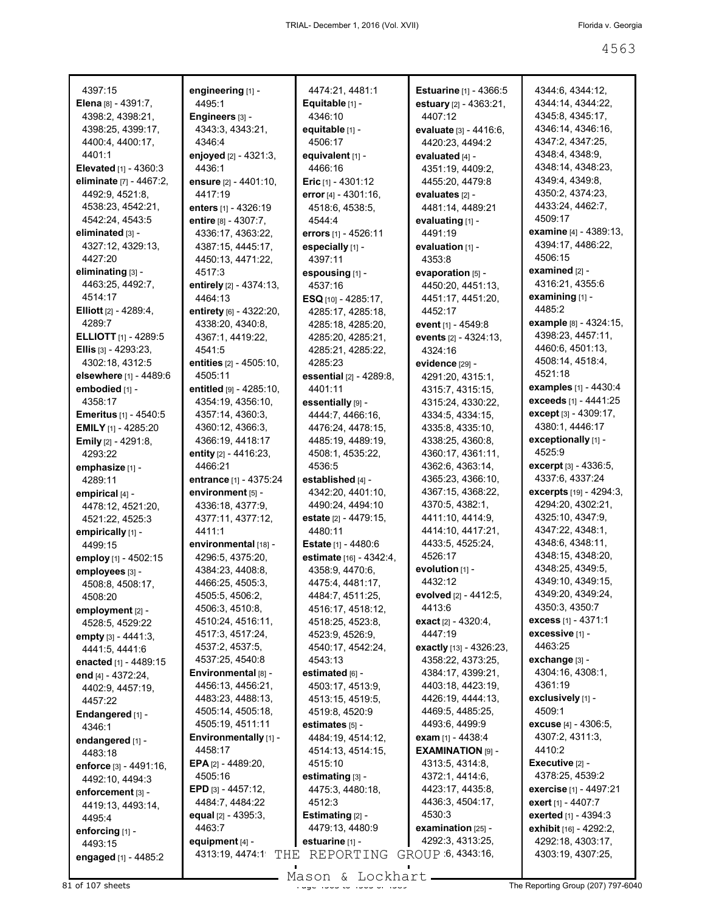| 4397:15                         | engineering [1] -                         | 4474:21, 4481:1              | <b>Estuarine</b> [1] - 4366:5         | 4344:6, 4344:12,                                       |
|---------------------------------|-------------------------------------------|------------------------------|---------------------------------------|--------------------------------------------------------|
| <b>Elena</b> $[8] - 4391:7$ ,   | 4495:1                                    | Equitable [1] -              | estuary [2] - 4363:21,                | 4344:14, 4344:22,                                      |
| 4398:2, 4398:21,                | Engineers [3] -                           | 4346:10                      | 4407:12                               | 4345:8, 4345:17,                                       |
| 4398:25, 4399:17,               | 4343:3, 4343:21,                          | equitable [1] -              | evaluate [3] - 4416:6,                | 4346:14, 4346:16,                                      |
| 4400:4, 4400:17,                | 4346:4                                    | 4506:17                      | 4420:23, 4494:2                       | 4347:2, 4347:25,                                       |
| 4401:1                          | enjoyed [2] - 4321:3,                     | equivalent [1] -             | evaluated [4] -                       | 4348:4, 4348:9,                                        |
| <b>Elevated</b> $[1] - 4360:3$  | 4436:1                                    | 4466:16                      | 4351:19, 4409:2,                      | 4348:14, 4348:23,                                      |
| eliminate [7] - 4467:2,         | ensure $[2] - 4401:10$ ,                  | <b>Eric</b> [1] - 4301:12    | 4455:20, 4479:8                       | 4349:4, 4349:8,                                        |
| 4492:9, 4521:8,                 | 4417:19                                   | error [4] - 4301:16,         | evaluates [2] -                       | 4350:2, 4374:23,                                       |
| 4538:23, 4542:21,               | enters [1] - 4326:19                      | 4518:6, 4538:5,              | 4481:14, 4489:21                      | 4433:24, 4462:7,                                       |
| 4542:24, 4543:5                 | entire [8] - 4307:7,                      | 4544:4                       | evaluating $[1]$ -                    | 4509:17                                                |
| eliminated אa -                 | 4336:17, 4363:22,                         | errors [1] - 4526:11         | 4491:19                               | <b>examine</b> [4] - 4389:13,                          |
| 4327:12, 4329:13,               | 4387:15, 4445:17,                         | especially [1] -             | evaluation [1] -                      | 4394:17, 4486:22,                                      |
| 4427:20                         | 4450:13, 4471:22,                         | 4397:11                      | 4353:8                                | 4506:15                                                |
| eliminating <sub>[3]</sub> -    | 4517:3                                    | espousing [1] -              | evaporation [5] -                     | examined $[2]$ -                                       |
| 4463:25, 4492:7,                | entirely [2] - 4374:13,                   | 4537:16                      | 4450:20, 4451:13,                     | 4316:21, 4355:6                                        |
| 4514:17                         | 4464:13                                   | ESQ $[10] - 4285:17$ ,       | 4451:17, 4451:20,                     | examining [1] -                                        |
| <b>Elliott</b> $[2] - 4289:4$   | entirety [6] - 4322:20,                   | 4285:17, 4285:18,            | 4452:17                               | 4485:2                                                 |
| 4289:7                          | 4338:20, 4340:8,                          | 4285:18, 4285:20,            | event $[1]$ - 4549:8                  | example [8] - 4324:15,                                 |
| <b>ELLIOTT</b> [1] - 4289:5     | 4367:1, 4419:22,                          | 4285:20, 4285:21,            | events [2] - 4324:13,                 | 4398:23, 4457:11,                                      |
| <b>Ellis</b> [3] - 4293:23,     | 4541:5                                    | 4285:21, 4285:22,            | 4324:16                               | 4460:6, 4501:13,                                       |
| 4302:18, 4312:5                 | entities [2] - 4505:10,                   | 4285:23                      | evidence [29] -                       | 4508:14, 4518:4,                                       |
| elsewhere [1] - 4489:6          | 4505:11                                   | essential [2] - 4289:8,      | 4291:20, 4315:1,                      | 4521:18                                                |
| embodied [1] -                  | entitled [9] - 4285:10,                   | 4401:11                      | 4315:7, 4315:15,                      | examples $[1] - 4430:4$                                |
| 4358:17                         | 4354:19, 4356:10,                         | essentially [9] -            | 4315:24, 4330:22,                     | exceeds [1] - 4441:25                                  |
| <b>Emeritus</b> $[1]$ - 4540:5  | 4357:14, 4360:3,                          | 4444:7, 4466:16,             | 4334:5, 4334:15,                      | <b>except</b> $[3] - 4309:17$ ,                        |
| <b>EMILY</b> [1] - 4285:20      | 4360:12, 4366:3,                          | 4476:24, 4478:15,            | 4335:8, 4335:10,                      | 4380:1, 4446:17                                        |
| <b>Emily</b> [2] - 4291:8,      | 4366:19, 4418:17                          | 4485:19, 4489:19,            | 4338:25, 4360:8,                      | exceptionally [1] -                                    |
| 4293:22                         | entity $[2] - 4416:23$ ,                  | 4508:1, 4535:22,             | 4360:17, 4361:11,                     | 4525:9                                                 |
| emphasize [1] -                 | 4466:21                                   | 4536:5                       | 4362:6, 4363:14,                      | <b>excerpt</b> [3] - 4336:5,                           |
|                                 |                                           |                              |                                       |                                                        |
|                                 |                                           |                              |                                       | 4337:6, 4337:24                                        |
| 4289:11                         | <b>entrance</b> [1] - 4375:24             | established [4] -            | 4365:23, 4366:10,                     |                                                        |
| empirical [4] -                 | environment [5] -                         | 4342:20, 4401:10,            | 4367:15, 4368:22,                     | <b>excerpts</b> $[19] - 4294:3$ ,<br>4294:20, 4302:21, |
| 4478:12, 4521:20,               | 4336:18, 4377:9,                          | 4490:24, 4494:10             | 4370:5, 4382:1,                       | 4325:10, 4347:9,                                       |
| 4521:22, 4525:3                 | 4377:11, 4377:12,                         | <b>estate</b> [2] - 4479:15, | 4411:10, 4414:9,                      | 4347:22, 4348:1,                                       |
| empirically [1] -               | 4411:1                                    | 4480:11                      | 4414:10, 4417:21,<br>4433:5, 4525:24, | 4348:6, 4348:11,                                       |
| 4499:15                         | environmental [18] -                      | Estate [1] - 4480:6          | 4526:17                               | 4348:15, 4348:20,                                      |
| employ [1] - 4502:15            | 4296:5, 4375:20,                          | estimate [16] - 4342:4,      |                                       | 4348:25, 4349:5,                                       |
| employees [3] -                 | 4384:23, 4408:8,                          | 4358:9, 4470:6,              | evolution $[1]$ -                     |                                                        |
| 4508:8, 4508:17,                | 4466:25, 4505:3,                          | 4475:4, 4481:17,             | 4432:12                               | 4349:10, 4349:15,                                      |
| 4508:20                         | 4505:5, 4506:2,                           | 4484:7, 4511:25,             | evolved [2] - 4412:5,                 | 4349:20, 4349:24,<br>4350:3, 4350:7                    |
| employment [2] -                | 4506:3, 4510:8,                           | 4516:17, 4518:12,            | 4413:6                                | excess [1] - 4371:1                                    |
| 4528:5, 4529:22                 | 4510:24, 4516:11,                         | 4518:25, 4523:8,             | exact [2] - 4320:4,                   |                                                        |
| empty [3] - 4441:3,             | 4517:3, 4517:24,                          | 4523:9, 4526:9,              | 4447:19                               | excessive [1] -<br>4463:25                             |
| 4441:5, 4441:6                  | 4537:2, 4537:5,                           | 4540:17, 4542:24,            | exactly [13] - 4326:23,               |                                                        |
| enacted [1] - 4489:15           | 4537:25, 4540:8                           | 4543:13                      | 4358:22, 4373:25,                     | exchange [3] -                                         |
| end [4] - 4372:24,              | Environmental [8] -                       | estimated [6] -              | 4384:17, 4399:21,                     | 4304:16, 4308:1,                                       |
| 4402:9, 4457:19,                | 4456:13, 4456:21,                         | 4503:17, 4513:9,             | 4403:18, 4423:19,                     | 4361:19                                                |
| 4457:22                         | 4483:23, 4488:13,                         | 4513:15, 4519:5,             | 4426:19, 4444:13,                     | exclusively [1] -                                      |
| Endangered [1] -                | 4505:14, 4505:18,                         | 4519:8, 4520:9               | 4469:5, 4485:25,                      | 4509:1                                                 |
| 4346:1                          | 4505:19, 4511:11                          | estimates [5] -              | 4493:6, 4499:9                        | excuse [4] - 4306:5,                                   |
| endangered [1] -                | Environmentally [1] -                     | 4484:19, 4514:12,            | exam $[1] - 4438:4$                   | 4307:2, 4311:3,                                        |
| 4483:18                         | 4458:17                                   | 4514:13, 4514:15,            | <b>EXAMINATION [9] -</b>              | 4410:2                                                 |
| enforce [3] - 4491:16,          | <b>EPA</b> [2] - 4489:20,                 | 4515:10                      | 4313:5, 4314:8,                       | Executive [2] -                                        |
| 4492:10, 4494:3                 | 4505:16                                   | estimating [3] -             | 4372:1, 4414:6,                       | 4378:25, 4539:2                                        |
| enforcement [3] -               | <b>EPD</b> [3] - 4457:12,                 | 4475:3, 4480:18,             | 4423:17, 4435:8,                      | exercise [1] - 4497:21                                 |
| 4419:13, 4493:14,               | 4484:7, 4484:22                           | 4512:3                       | 4436:3, 4504:17,                      | exert [1] - 4407:7                                     |
| 4495:4                          | equal $[2] - 4395:3$ ,                    | <b>Estimating</b> $[2]$ -    | 4530:3                                | exerted [1] - 4394:3                                   |
| enforcing [1] -                 | 4463:7                                    | 4479:13, 4480:9              | examination $[25]$ -                  | exhibit [16] - 4292:2,                                 |
| 4493:15<br>engaged [1] - 4485:2 | equipment [4] -<br>4313:19, 4474:1<br>THE | estuarine [1] -<br>REPORTING | 4292:3, 4313:25,<br>GROUP 6, 4343:16, | 4292:18, 4303:17,<br>4303:19, 4307:25,                 |

 $81$  of 107 sheets  $\frac{3}{5}$  of  $\frac{3}{5}$  of  $\frac{3}{5}$  of  $\frac{3}{5}$  of  $\frac{3}{5}$  of  $\frac{3}{5}$  of  $\frac{3}{5}$  of  $\frac{3}{5}$  of  $\frac{3}{5}$  of  $\frac{3}{5}$  of  $\frac{3}{5}$  or  $\frac{3}{5}$  or  $\frac{3}{5}$  or  $\frac{3}{5}$  or  $\frac{3}{5}$  or  $\frac{3}{5$ Mason & Lockhart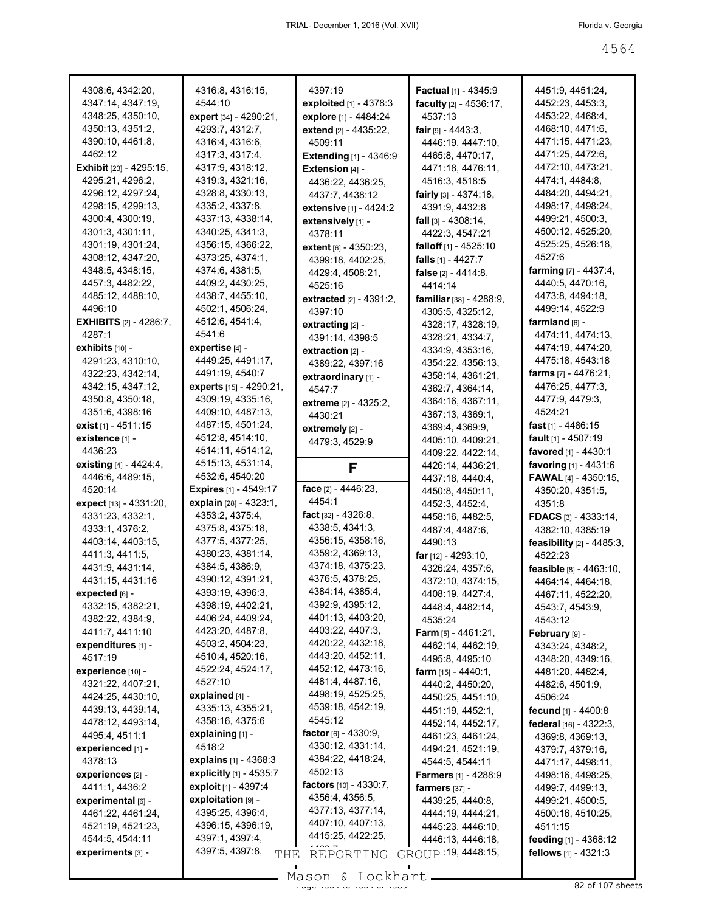| 4308:6, 4342:20,                     | 4316:8, 4316:15,             | 4397:19                                   | <b>Factual</b> [1] - 4345:9          | 4451:9, 4451:24,                    |
|--------------------------------------|------------------------------|-------------------------------------------|--------------------------------------|-------------------------------------|
| 4347:14, 4347:19,                    | 4544:10                      | <b>exploited</b> $[1]$ - 4378:3           | faculty [2] - 4536:17,               | 4452:23, 4453:3,                    |
| 4348:25, 4350:10,                    | expert [34] - 4290:21,       | explore [1] - 4484:24                     | 4537:13                              | 4453:22, 4468:4,                    |
| 4350:13, 4351:2,                     | 4293:7, 4312:7,              | extend [2] - 4435:22,                     | <b>fair</b> թթ - 4443:3,             | 4468:10, 4471:6,                    |
| 4390:10, 4461:8,                     | 4316:4, 4316:6,              | 4509:11                                   | 4446:19, 4447:10,                    | 4471:15, 4471:23,                   |
| 4462:12                              | 4317:3, 4317:4,              | <b>Extending</b> $[1] - 4346.9$           | 4465:8, 4470:17,                     | 4471:25, 4472:6,                    |
| <b>Exhibit</b> [23] - 4295:15,       | 4317:9, 4318:12,             | Extension [4] -                           | 4471:18, 4476:11,                    | 4472:10, 4473:21,                   |
| 4295:21, 4296:2,                     | 4319:3, 4321:16,             | 4436:22, 4436:25,                         | 4516:3, 4518:5                       | 4474:1, 4484:8,                     |
| 4296:12, 4297:24,                    | 4328:8, 4330:13,             | 4437:7, 4438:12                           | fairly [3] - 4374:18,                | 4484:20, 4494:21,                   |
| 4298:15, 4299:13,                    | 4335:2, 4337:8,              | extensive [1] - 4424:2                    | 4391:9, 4432:8                       | 4498:17, 4498:24,                   |
| 4300:4, 4300:19,                     | 4337:13, 4338:14,            | extensively [1] -                         | <b>fall</b> [3] - 4308:14,           | 4499:21, 4500:3,                    |
| 4301:3, 4301:11,                     | 4340:25, 4341:3,             | 4378:11                                   | 4422:3, 4547:21                      | 4500:12, 4525:20,                   |
| 4301:19, 4301:24,                    | 4356:15, 4366:22,            | <b>extent</b> [6] - 4350:23,              | falloff $[1] - 4525:10$              | 4525:25, 4526:18,                   |
| 4308:12, 4347:20,                    | 4373:25, 4374:1,             | 4399:18, 4402:25,                         | falls $[1] - 4427:7$                 | 4527:6                              |
| 4348:5, 4348:15,                     | 4374:6, 4381:5,              | 4429:4, 4508:21,                          | false $[2] - 4414:8$ ,               | <b>farming</b> $[7] - 4437:4$ ,     |
| 4457:3, 4482:22,                     | 4409:2, 4430:25,             | 4525:16                                   | 4414:14                              | 4440:5, 4470:16,                    |
| 4485:12, 4488:10,                    | 4438:7, 4455:10,             | <b>extracted</b> <sub>[2]</sub> - 4391:2, | <b>familiar</b> [38] - 4288:9,       | 4473:8, 4494:18,                    |
| 4496:10                              | 4502:1, 4506:24,             | 4397:10                                   | 4305:5, 4325:12,                     | 4499:14, 4522:9                     |
| <b>EXHIBITS</b> [2] - 4286:7,        | 4512:6, 4541:4,              | extracting $[2]$ -                        | 4328:17, 4328:19,                    | farmland <sub>[6]</sub> -           |
| 4287:1                               | 4541:6                       | 4391:14, 4398:5                           | 4328:21, 4334:7,                     | 4474:11, 4474:13,                   |
| exhibits [10] -                      | expertise $[4]$ -            | extraction $[2]$ -                        | 4334:9, 4353:16,                     | 4474:19, 4474:20,                   |
| 4291:23, 4310:10,                    | 4449:25, 4491:17,            | 4389:22, 4397:16                          | 4354:22, 4356:13,                    | 4475:18, 4543:18                    |
| 4322:23, 4342:14,                    | 4491:19, 4540:7              |                                           | 4358:14, 4361:21,                    | <b>farms</b> $[7] - 4476:21$ ,      |
| 4342:15, 4347:12,                    | experts [15] - 4290:21,      | extraordinary [1] -                       | 4362:7, 4364:14,                     | 4476:25, 4477:3,                    |
| 4350:8, 4350:18,                     | 4309:19, 4335:16,            | 4547:7                                    | 4364:16, 4367:11,                    | 4477:9, 4479:3,                     |
| 4351:6, 4398:16                      | 4409:10, 4487:13,            | <b>extreme</b> [2] - 4325:2,              |                                      | 4524:21                             |
| exist [1] - 4511:15                  | 4487:15, 4501:24,            | 4430:21                                   | 4367:13, 4369:1,                     | <b>fast</b> [1] - 4486:15           |
| existence [1] -                      | 4512:8, 4514:10,             | extremely $[2]$ -                         | 4369:4, 4369:9,                      | <b>fault</b> [1] - 4507:19          |
| 4436:23                              | 4514:11, 4514:12,            | 4479:3, 4529:9                            | 4405:10, 4409:21,                    |                                     |
|                                      | 4515:13, 4531:14,            |                                           | 4409:22, 4422:14,                    | <b>favored</b> [1] - 4430:1         |
| <b>existing</b> $[4] - 4424:4,$      | 4532:6, 4540:20              | F                                         | 4426:14, 4436:21,                    | favoring [1] - 4431:6               |
| 4446:6, 4489:15,                     |                              | face $[2] - 4446:23$ ,                    | 4437:18, 4440:4,                     | <b>FAWAL</b> [4] - 4350:15,         |
| 4520:14                              | <b>Expires</b> [1] - 4549:17 |                                           | 4450:8, 4450:11,                     | 4350:20, 4351:5,                    |
|                                      |                              |                                           |                                      |                                     |
| expect [13] - 4331:20,               | explain [28] - 4323:1,       | 4454:1                                    | 4452:3, 4452:4,                      | 4351:8                              |
| 4331:23, 4332:1,                     | 4353:2, 4375:4,              | <b>fact</b> [32] - $4326:8$ ,             | 4458:16, 4482:5,                     | <b>FDACS</b> [3] - 4333:14,         |
| 4333:1, 4376:2,                      | 4375:8, 4375:18,             | 4338:5, 4341:3,                           | 4487:4, 4487:6,                      | 4382:10, 4385:19                    |
| 4403:14, 4403:15,                    | 4377:5, 4377:25,             | 4356:15, 4358:16,                         | 4490:13                              | <b>feasibility</b> $[2] - 4485:3$ , |
| 4411:3, 4411:5,                      | 4380:23, 4381:14,            | 4359:2, 4369:13,                          | <b>far</b> [12] - 4293:10,           | 4522:23                             |
| 4431:9, 4431:14,                     | 4384:5, 4386:9,              | 4374:18, 4375:23,                         | 4326:24, 4357:6,                     | feasible [8] - 4463:10,             |
| 4431:15, 4431:16                     | 4390:12, 4391:21,            | 4376:5, 4378:25,                          | 4372:10, 4374:15,                    | 4464:14, 4464:18,                   |
| expected [6] -                       | 4393:19, 4396:3,             | 4384:14, 4385:4,                          | 4408:19, 4427:4,                     | 4467:11, 4522:20,                   |
| 4332:15, 4382:21,                    | 4398:19, 4402:21,            | 4392:9, 4395:12,                          | 4448:4, 4482:14,                     | 4543:7, 4543:9,                     |
| 4382:22, 4384:9,                     | 4406:24, 4409:24,            | 4401:13, 4403:20,                         | 4535:24                              | 4543:12                             |
| 4411:7, 4411:10                      | 4423:20, 4487:8,             | 4403:22, 4407:3,                          | <b>Farm</b> [5] - 4461:21,           | February [9] -                      |
| expenditures [1] -                   | 4503:2, 4504:23,             | 4420:22, 4432:18,                         | 4462:14, 4462:19,                    | 4343:24, 4348:2,                    |
| 4517:19                              | 4510:4, 4520:16,             | 4443:20, 4452:11,                         | 4495:8, 4495:10                      | 4348:20, 4349:16,                   |
| experience [10] -                    | 4522:24, 4524:17,            | 4452:12, 4473:16,                         | <b>farm</b> $[15] - 4440:1$ ,        | 4481:20, 4482:4,                    |
| 4321:22, 4407:21,                    | 4527:10                      | 4481:4, 4487:16,                          | 4440:2, 4450:20,                     | 4482:6, 4501:9,                     |
| 4424:25, 4430:10,                    | explained [4] -              | 4498:19, 4525:25,                         | 4450:25, 4451:10,                    | 4506:24                             |
| 4439:13, 4439:14,                    | 4335:13, 4355:21,            | 4539:18, 4542:19,                         | 4451:19, 4452:1,                     | <b>fecund</b> [1] - 4400:8          |
| 4478:12, 4493:14,                    | 4358:16, 4375:6              | 4545:12                                   | 4452:14, 4452:17,                    | federal [16] - 4322:3,              |
| 4495:4, 4511:1                       | explaining [1] -             | factor $[6] - 4330.9$ ,                   | 4461:23, 4461:24,                    | 4369:8, 4369:13,                    |
| experienced [1] -                    | 4518:2                       | 4330:12, 4331:14,                         | 4494:21, 4521:19,                    |                                     |
| 4378:13                              | explains [1] - 4368:3        | 4384:22, 4418:24,                         | 4544:5, 4544:11                      | 4379:7, 4379:16,                    |
| experiences [2] -                    | explicitly [1] - 4535:7      | 4502:13                                   | <b>Farmers</b> [1] - 4288:9          | 4471:17, 4498:11,                   |
|                                      | exploit [1] - 4397:4         | factors [10] - 4330:7,                    |                                      | 4498:16, 4498:25,                   |
| 4411:1, 4436:2<br>experimental [6] - | exploitation [9] -           | 4356:4, 4356:5,                           | farmers $[37]$ -<br>4439:25, 4440:8, | 4499:7, 4499:13,                    |
|                                      | 4395:25, 4396:4,             | 4377:13, 4377:14,                         |                                      | 4499:21, 4500:5,                    |
| 4461:22, 4461:24,                    |                              | 4407:10, 4407:13,                         | 4444:19, 4444:21,                    | 4500:16, 4510:25,                   |
| 4521:19, 4521:23,                    | 4396:15, 4396:19,            | 4415:25, 4422:25,                         | 4445:23, 4446:10,                    | 4511:15                             |
| 4544:5, 4544:11                      | 4397:1, 4397:4,              | $\cdots$ -                                | 4446:13, 4446:18,                    | feeding [1] - 4368:12               |
| experiments [3] -                    | 4397:5, 4397:8,<br>THE       | REPORTING                                 | GROUP 19, 4448 15,                   | fellows $[1] - 4321:3$              |

Mason & Lockhart <u>entitled and the 45 second section</u> and 42 of 107 sheets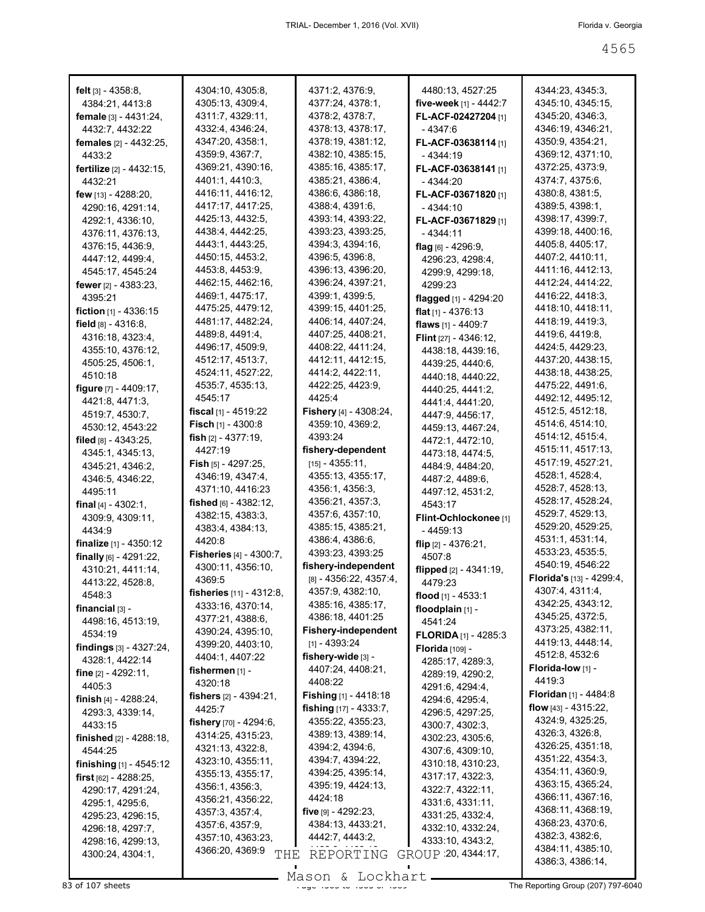| <b>felt</b> $[3] - 4358.8$      | 4304:10, 4305:8,               | 4371:2, 4376:9,                  | 4480:13, 4527:25                | 4344:23, 4345:3,                      |
|---------------------------------|--------------------------------|----------------------------------|---------------------------------|---------------------------------------|
| 4384:21, 4413:8                 | 4305:13, 4309:4,               | 4377:24, 4378:1,                 | five-week [1] - 4442:7          | 4345:10, 4345:15,                     |
| <b>female</b> $[3] - 4431:24$ , | 4311:7, 4329:11,               | 4378:2, 4378:7,                  | <b>FL-ACF-02427204</b> [1]      | 4345:20, 4346:3,                      |
| 4432:7, 4432:22                 | 4332:4, 4346:24,               | 4378:13, 4378:17,                | - 4347:6                        | 4346:19, 4346:21,                     |
| <b>females</b> [2] - 4432:25,   | 4347:20, 4358:1,               | 4378:19, 4381:12,                | <b>FL-ACF-03638114</b> [1]      | 4350:9, 4354:21,                      |
| 4433:2                          | 4359:9, 4367:7,                | 4382:10, 4385:15,                | - 4344:19                       | 4369:12, 4371:10,                     |
| <b>fertilize</b> [2] - 4432:15, | 4369:21, 4390:16,              | 4385:16, 4385:17,                | <b>FL-ACF-03638141</b> [1]      | 4372:25, 4373:9,                      |
| 4432:21                         | 4401:1, 4410:3,                | 4385:21, 4386:4,                 | - 4344:20                       | 4374.7, 4375.6,                       |
| <b>few</b> [13] - 4288:20,      | 4416:11, 4416:12,              | 4386:6, 4386:18,                 | <b>FL-ACF-03671820</b> [1]      | 4380 8, 4381 5,                       |
| 4290:16, 4291:14,               | 4417:17, 4417:25,              | 4388:4, 4391:6,                  | - 4344:10                       | 4389:5, 4398:1,                       |
| 4292:1, 4336:10,                | 4425:13, 4432:5,               | 4393:14, 4393:22,                | <b>FL-ACF-03671829</b> [1]      | 4398:17, 4399:7,                      |
| 4376:11, 4376:13,               | 4438:4, 4442:25,               | 4393:23, 4393:25,                | - 4344:11                       | 4399:18, 4400:16,                     |
| 4376:15, 4436:9,                | 4443:1, 4443:25,               | 4394:3, 4394:16,                 | flag $[6]$ - 4296:9,            | 4405:8, 4405:17,                      |
| 4447:12, 4499:4,                | 4450:15, 4453:2,               | 4396:5, 4396:8,                  | 4296:23, 4298:4,                | 4407:2, 4410:11,                      |
| 4545:17, 4545:24                | 4453:8, 4453:9,                | 4396:13, 4396:20,                | 4299:9, 4299:18,                | 4411:16, 4412:13,                     |
|                                 | 4462:15, 4462:16,              | 4396:24, 4397:21,                | 4299:23                         | 4412:24, 4414:22,                     |
| 4395:21                         | 4469:1, 4475:17,               | 4399:1, 4399:5,                  | flagged [1] - 4294:20           | 4416:22, 4418:3,                      |
| <b>fiction</b> $[1] - 4336:15$  | 4475:25, 4479:12,              | 4399:15, 4401:25,                | flat $[1] - 4376:13$            | 4418:10, 4418:11,                     |
| field $[8] - 4316.8$ ,          | 4481:17, 4482:24,              | 4406:14, 4407:24,                | flaws [1] - 4409:7              | 4418:19, 4419:3,                      |
| 4316:18, 4323:4,                | 4489:8, 4491:4,                | 4407:25, 4408:21,                | <b>Flint</b> $[27] - 4346:12$ , | 4419:6, 4419:8,                       |
| 4355:10, 4376:12,               | 4496:17, 4509:9,               | 4408:22, 4411:24,                | 4438:18, 4439:16,               | 4424:5, 4429:23,                      |
| 4505:25, 4506:1,                | 4512:17, 4513:7,               | 4412:11, 4412:15,                | 4439:25, 4440:6,                | 4437:20, 4438:15,                     |
| 4510:18                         | 4524:11, 4527:22,              | 4414:2, 4422:11,                 | 4440:18, 4440:22,               | 4438:18, 4438:25,                     |
| figure [7] - 4409:17,           | 4535:7, 4535:13,               | 4422:25, 4423:9,                 | 4440:25, 4441:2,                | 4475:22, 4491:6,                      |
| 4421:8, 4471:3,                 | 4545:17                        | 4425:4                           | 4441:4, 4441:20,                | 4492:12, 4495:12,                     |
| 4519:7, 4530:7,                 | <b>fiscal</b> [1] - 4519:22    | <b>Fishery</b> $[4] - 4308:24$ , | 4447:9, 4456:17,                | 4512:5, 4512:18,                      |
| 4530:12, 4543:22                | <b>Fisch</b> [1] - 4300:8      | 4359:10, 4369:2,                 | 4459:13, 4467:24,               | 4514:6, 4514:10,                      |
| filed $[8] - 4343:25$ ,         | <b>fish</b> $[2] - 4377:19$ ,  | 4393:24                          | 4472:1, 4472:10,                | 4514:12, 4515:4,                      |
| 4345:1, 4345:13,                | 4427:19                        | fishery-dependent                | 4473:18, 4474:5,                | 4515:11, 4517:13,                     |
| 4345:21, 4346:2,                | <b>Fish</b> [5] - 4297:25,     | [15] - 4355:11,                  | 4484:9, 4484:20,                | 4517:19, 4527:21,                     |
| 4346:5, 4346:22,                | 4346:19, 4347:4,               | 4355:13, 4355:17,                | 4487:2, 4489:6,                 | 4528:1, 4528:4,                       |
| 4495:11                         | 4371:10, 4416:23               | 4356:1, 4356:3,                  | 4497:12, 4531:2,                | 4528:7, 4528:13,                      |
| final $[4] - 4302:1$ ,          | fished $_{[6]}$ - 4382:12,     | 4356:21, 4357:3,                 | 4543:17                         | 4528:17, 4528:24,                     |
| 4309:9, 4309:11,                | 4382:15, 4383:3,               | 4357:6, 4357:10,                 | <b>Flint-Ochlockonee</b> [1]    | 4529:7, 4529:13,                      |
| 4434:9                          | 4383:4, 4384:13,               | 4385:15, 4385:21,                | $-4459:13$                      | 4529:20, 4529:25,                     |
| <b>finalize</b> $[1]$ - 4350:12 | 4420:8                         | 4386:4, 4386:6,                  | flip $[2] - 4376:21$ ,          | 4531:1, 4531:14,                      |
| finally $[6] - 4291:22$ ,       | <b>Fisheries [4] - 4300:7,</b> | 4393:23, 4393:25                 | 4507:8                          | 4533:23, 4535:5,                      |
| 4310:21, 4411:14,               | 4300:11, 4356:10,              | fishery-independent              | flipped $[2] - 4341:19$ ,       | 4540:19, 4546:22                      |
| 4413:22, 4528:8,                | 4369:5                         | $[8] - 4356:22, 4357:4,$         | 4479:23                         | <b>Florida's</b> $[13] - 4299:4$      |
| 4548:3                          | fisheries [11] - 4312:8,       | 4357:9, 4382:10,                 | flood [1] - 4533:1              | 4307:4, 4311:4,                       |
| financial $[3]$ -               | 4333:16, 4370:14,              | 4385:16, 4385:17,                | floodplain [1] -                | 4342:25, 4343:12,                     |
| 4498:16, 4513:19,               | 4377:21, 4388:6,               | 4386:18, 4401:25                 | 4541:24                         | 4345:25, 4372:5,<br>4373:25, 4382:11, |
| 4534:19                         | 4390:24, 4395:10,              | <b>Fishery-independent</b>       | <b>FLORIDA</b> $[1]$ - 4285:3   | 4419:13, 4448:14,                     |
| findings $[3] - 4327:24$ ,      | 4399:20, 4403:10,              | [1] - 4393:24                    | Florida [109] -                 |                                       |
| 4328:1, 4422:14                 | 4404:1, 4407:22                | fishery-wide $[3]$ -             | 4285:17, 4289:3,                | 4512:8, 4532:6<br>Florida-low [1] -   |
| fine $[2] - 4292:11$ ,          | fishermen $[1]$ -              | 4407:24, 4408:21,                | 4289:19, 4290:2,                | 4419:3                                |
| 4405:3                          | 4320:18                        | 4408:22                          | 4291:6, 4294:4,                 | <b>Floridan</b> [1] - 4484:8          |
| finish $[4]$ - 4288:24,         | fishers $[2] - 4394:21$ ,      | Fishing [1] - 4418:18            | 4294:6, 4295:4,                 | flow $[43] - 4315:22$ ,               |
| 4293:3, 4339:14,                | 4425:7                         | fishing [17] - 4333:7,           | 4296:5, 4297:25,                | 4324:9, 4325:25,                      |
| 4433:15                         | fishery [70] - 4294:6,         | 4355:22, 4355:23,                | 4300:7, 4302:3,                 | 4326:3, 4326:8,                       |
| finished [2] - 4288:18,         | 4314:25, 4315:23,              | 4389:13, 4389:14,                | 4302:23, 4305:6,                |                                       |
| 4544:25                         | 4321:13, 4322:8,               | 4394:2, 4394:6,                  | 4307:6, 4309:10,                | 4326:25, 4351:18,<br>4351:22, 4354:3, |
| finishing [1] - 4545:12         | 4323:10, 4355:11,              | 4394:7, 4394:22,                 | 4310:18, 4310:23,               | 4354:11, 4360:9,                      |
| <b>first</b> $[62] - 4288:25$ , | 4355:13, 4355:17,              | 4394:25, 4395:14,                | 4317:17, 4322:3,                |                                       |
| 4290:17, 4291:24,               | 4356:1, 4356:3,                | 4395:19, 4424:13,                | 4322:7, 4322:11,                | 4363:15, 4365:24,                     |
| 4295:1, 4295:6,                 | 4356:21, 4356:22,              | 4424:18                          | 4331:6, 4331:11,                | 4366:11, 4367:16,                     |
| 4295:23, 4296:15,               | 4357:3, 4357:4,                | five $[9] - 4292:23$ ,           | 4331:25, 4332:4,                | 4368:11, 4368:19,                     |
| 4296:18, 4297:7,                | 4357:6, 4357:9,                | 4384:13, 4433:21,                | 4332:10, 4332:24,               | 4368:23, 4370:6,                      |
| 4298:16, 4299:13,               | 4357:10, 4363:23,              | 4442:7, 4443:2,                  | 4333:10, 4343:2,                | 4382:3, 4382:6,                       |
| 4300:24, 4304:1,                | 4366:20, 4369:9<br>THE         | REPORTING                        | GROUP 20, 4344:17,              | 4384:11, 4385:10,                     |
|                                 |                                |                                  |                                 | 4386:3, 4386:14,                      |

Mason & Lockhart **Page 4565 of 107 sheets** Page 4565 Mason & Lockhart **Page 4565 of 4565 Apple 107** Sheets **of 4565 of 4565 Apple 107** Sheets Apple 107 sheets Apple 107 sheets Apple 107 Sheets Apple 107 Sheets Apple 107 Sh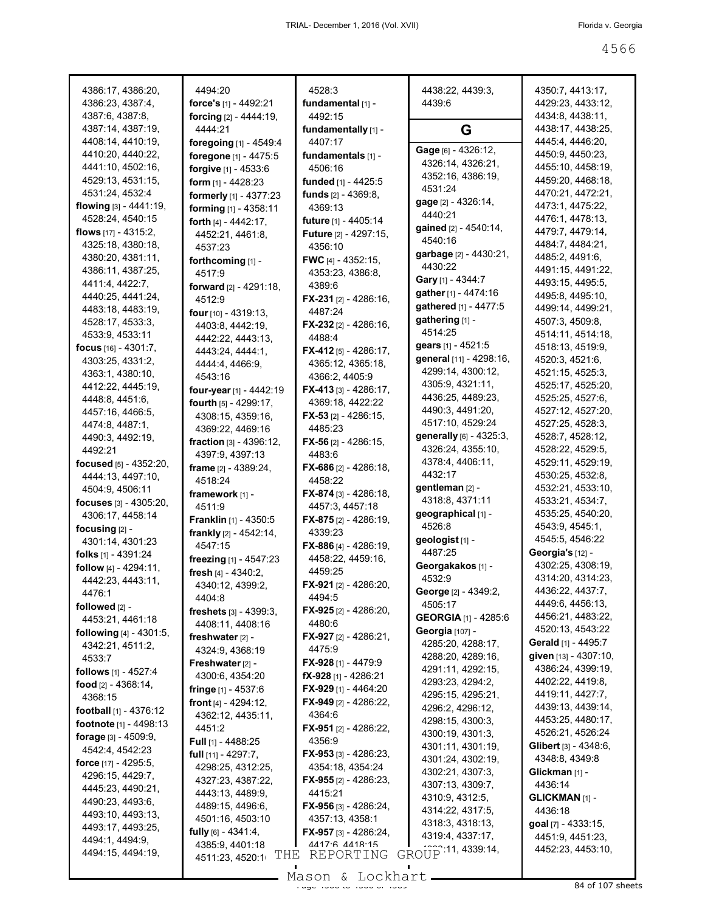| 4386:17, 4386:20,<br>4386:23, 4387:4,  | 4494:20<br>force's [1] - 4492:21      | 4528:3<br>fundamental [1] -         | 4438:22, 4439:3,<br>4439:6          | 4350:7, 4413:17,<br>4429:23, 4433:12, |
|----------------------------------------|---------------------------------------|-------------------------------------|-------------------------------------|---------------------------------------|
| 4387:6, 4387:8,<br>4387:14, 4387:19,   | forcing [2] - 4444:19,<br>4444:21     | 4492:15<br>fundamentally [1] -      | G                                   | 4434:8, 4438:11,<br>4438:17, 4438:25, |
| 4408:14, 4410:19,                      | foregoing [1] - 4549:4                | 4407:17                             |                                     | 4445:4, 4446:20,                      |
| 4410:20, 4440:22,                      | foregone [1] - 4475:5                 | fundamentals [1] -                  | Gage [6] - 4326:12,                 | 4450:9, 4450:23,                      |
| 4441:10, 4502:16,                      | forgive [1] - 4533:6                  | 4506:16                             | 4326:14, 4326:21,                   | 4455:10, 4458:19,                     |
| 4529:13, 4531:15,                      | <b>form</b> $[1] - 4428:23$           | funded [1] - 4425:5                 | 4352:16, 4386:19,                   | 4459:20, 4468:18,                     |
| 4531:24, 4532:4                        | formerly [1] - 4377:23                | funds [2] - 4369:8,                 | 4531:24                             | 4470:21, 4472:21,                     |
| flowing [3] - 4441:19,                 | forming [1] - 4358:11                 | 4369:13                             | gage [2] - 4326:14,<br>4440:21      | 4473:1, 4475:22,                      |
| 4528:24, 4540:15                       | forth [4] - 4442:17,                  | future [1] - 4405:14                | gained [2] - 4540:14,               | 4476:1, 4478:13,                      |
| flows $[17] - 4315:2$ ,                | 4452:21, 4461:8,                      | <b>Future</b> [2] - 4297:15,        | 4540:16                             | 4479:7, 4479:14,                      |
| 4325:18, 4380:18,                      | 4537:23                               | 4356:10                             | garbage [2] - 4430:21,              | 4484:7, 4484:21,                      |
| 4380:20, 4381:11,                      | forthcoming [1] -                     | <b>FWC</b> [4] - 4352:15,           | 4430:22                             | 4485:2, 4491:6,                       |
| 4386:11, 4387:25,                      | 4517:9                                | 4353:23, 4386:8,                    | Gary [1] - 4344:7                   | 4491:15, 4491:22,                     |
| 4411:4, 4422:7,                        | forward [2] - 4291:18,                | 4389:6                              | gather [1] - 4474:16                | 4493:15, 4495:5,<br>4495:8, 4495:10,  |
| 4440:25, 4441:24,<br>4483:18, 4483:19, | 4512:9                                | <b>FX-231</b> [2] - 4286:16,        | gathered [1] - 4477:5               | 4499:14, 4499:21,                     |
| 4528:17, 4533:3,                       | four [10] - 4319:13,                  | 4487:24                             | gathering [1] -                     | 4507:3, 4509:8,                       |
| 4533:9, 4533:11                        | 4403:8, 4442:19,                      | <b>FX-232</b> [2] - 4286:16,        | 4514:25                             | 4514:11, 4514:18,                     |
| focus $[16] - 4301:7$ ,                | 4442:22, 4443:13,                     | 4488:4                              | gears [1] - 4521:5                  | 4518:13, 4519:9,                      |
| 4303:25, 4331:2,                       | 4443:24, 4444:1,                      | FX-412 $[5]$ - 4286:17,             | general [11] - 4298:16,             | 4520:3, 4521:6,                       |
| 4363:1, 4380:10,                       | 4444:4, 4466:9,<br>4543:16            | 4365:12, 4365:18,<br>4366:2, 4405:9 | 4299:14, 4300:12,                   | 4521:15, 4525:3,                      |
| 4412:22, 4445:19,                      | four-year [1] - 4442:19               | FX-413 $[3] - 4286:17$ ,            | 4305:9, 4321:11,                    | 4525:17, 4525:20,                     |
| 4448:8, 4451:6,                        | fourth [5] - 4299:17,                 | 4369:18, 4422:22                    | 4436:25, 4489:23,                   | 4525:25, 4527:6,                      |
| 4457:16, 4466:5,                       | 4308:15, 4359:16,                     | <b>FX-53</b> $[2] - 4286:15$        | 4490:3, 4491:20,                    | 4527:12, 4527:20,                     |
| 4474:8, 4487:1,                        | 4369:22, 4469:16                      | 4485:23                             | 4517:10, 4529:24                    | 4527:25, 4528:3,                      |
| 4490:3, 4492:19,                       | fraction [3] - 4396:12,               | <b>FX-56</b> [2] - 4286:15,         | generally [6] - 4325:3,             | 4528:7, 4528:12,                      |
| 4492:21                                | 4397:9, 4397:13                       | 4483:6                              | 4326:24, 4355:10,                   | 4528:22, 4529:5,                      |
| focused [5] - 4352:20,                 | frame [2] - 4389:24,                  | <b>FX-686</b> [2] - 4286:18,        | 4378:4, 4406:11,                    | 4529:11, 4529:19,                     |
| 4444:13, 4497:10,                      | 4518:24                               | 4458:22                             | 4432:17                             | 4530:25, 4532:8,                      |
| 4504:9, 4506:11                        | framework [1] -                       | <b>FX-874</b> [3] - 4286:18,        | gentleman [2] -                     | 4532:21, 4533:10,                     |
| focuses [3] - 4305:20,                 | 4511:9                                | 4457:3, 4457:18                     | 4318:8, 4371:11                     | 4533:21, 4534:7,                      |
| 4306:17, 4458:14                       | <b>Franklin</b> [1] - 4350:5          | FX-875 [2] - 4286:19,               | geographical [1] -                  | 4535:25, 4540:20,                     |
| focusing $[2]$ -                       | frankly [2] - 4542:14,                | 4339:23                             | 4526.8                              | 4543:9, 4545:1,                       |
| 4301:14, 4301:23                       | 4547:15                               | FX-886 [4] - 4286:19,               | geologist [1] -<br>4487:25          | 4545:5, 4546:22<br>Georgia's [12] -   |
| folks [1] - 4391:24                    | freezing [1] - 4547:23                | 4458:22, 4459:16,                   | Georgakakos [1] -                   | 4302:25, 4308:19,                     |
| follow $[4] - 4294:11$ ,               | fresh $[4] - 4340:2$ ,                | 4459:25                             | 4532:9                              | 4314:20, 4314:23,                     |
| 4442:23, 4443:11,<br>4476:1            | 4340:12, 4399:2,                      | <b>FX-921</b> [2] - 4286:20,        | George [2] - 4349:2,                | 4436:22, 4437:7,                      |
| followed [2] -                         | 4404:8                                | 4494:5                              | 4505:17                             | 4449:6, 4456:13,                      |
| 4453:21, 4461:18                       | <b>freshets</b> $[3]$ - 4399:3,       | <b>FX-925</b> [2] - 4286:20,        | <b>GEORGIA</b> [1] - 4285:6         | 4456:21, 4483:22,                     |
| <b>following</b> $[4] - 4301:5$ ,      | 4408:11, 4408:16                      | 4480:6                              | Georgia [107] -                     | 4520:13, 4543:22                      |
| 4342:21, 4511:2,                       | freshwater [2] -                      | FX-927 [2] - 4286:21,               | 4285:20, 4288:17,                   | Gerald [1] - 4495:7                   |
| 4533:7                                 | 4324:9, 4368:19                       | 4475:9<br>FX-928 [1] - 4479:9       | 4288:20, 4289:16,                   | given [13] - 4307:10,                 |
| follows [1] - 4527:4                   | Freshwater $[2]$ -<br>4300:6, 4354:20 | <b>fX-928</b> [1] - 4286:21         | 4291:11, 4292:15,                   | 4386:24, 4399:19,                     |
| food $[2] - 4368:14,$                  | <b>fringe</b> $[1]$ - 4537:6          | <b>FX-929</b> [1] - 4464:20         | 4293:23, 4294:2,                    | 4402:22, 4419:8,                      |
| 4368:15                                | front $[4] - 4294:12$ ,               | FX-949 [2] - 4286:22.               | 4295:15, 4295:21,                   | 4419:11, 4427:7,                      |
| <b>football</b> $[1] - 4376:12$        | 4362:12, 4435:11,                     | 4364:6                              | 4296:2, 4296:12,                    | 4439:13, 4439:14,                     |
| footnote $[1] - 4498:13$               | 4451:2                                | <b>FX-951</b> [2] - 4286:22,        | 4298:15, 4300:3,                    | 4453:25, 4480:17,                     |
| forage $[3] - 4509.9$ ,                | <b>Full</b> [1] - 4488:25             | 4356:9                              | 4300:19, 4301:3,                    | 4526:21, 4526:24                      |
| 4542:4, 4542:23                        | full $[11] - 4297:7,$                 | <b>FX-953</b> [3] - 4286:23,        | 4301:11, 4301:19,                   | <b>Glibert</b> [3] - 4348:6,          |
| <b>force</b> [17] - 4295:5,            | 4298:25, 4312:25,                     | 4354:18, 4354:24                    | 4301:24, 4302:19,                   | 4348:8, 4349:8                        |
| 4296:15, 4429:7,                       | 4327:23, 4387:22,                     | <b>FX-955</b> [2] - 4286:23,        | 4302:21, 4307:3,                    | Glickman <sub>[1]</sub> -<br>4436:14  |
| 4445:23, 4490:21,                      | 4443:13, 4489:9,                      | 4415:21                             | 4307:13, 4309:7,<br>4310:9, 4312:5, |                                       |
| 4490:23, 4493:6,                       | 4489:15, 4496:6,                      | <b>FX-956</b> [3] - 4286:24,        | 4314:22, 4317:5,                    | GLICKMAN [1] -<br>4436:18             |
| 4493:10, 4493:13,                      | 4501:16, 4503:10                      | 4357:13, 4358:1                     | 4318:3, 4318:13,                    | goal [7] - 4333:15,                   |
| 4493:17, 4493:25,                      | fully $[6] - 4341:4,$                 | <b>FX-957</b> [3] - 4286:24,        | 4319:4, 4337:17,                    | 4451:9, 4451:23,                      |
| 4494:1, 4494:9,<br>4494:15, 4494:19,   | 4385:9, 4401:18                       | 4417 6 4418 15                      | GROUP 11, 4339:14,                  | 4452:23, 4453:10,                     |
|                                        | THE<br>4511:23, 4520:1                | REPORTING                           |                                     |                                       |
|                                        |                                       | Mason & Lockhart                    |                                     |                                       |

Mason & Lockhart <u>entitled and the 45 second section</u>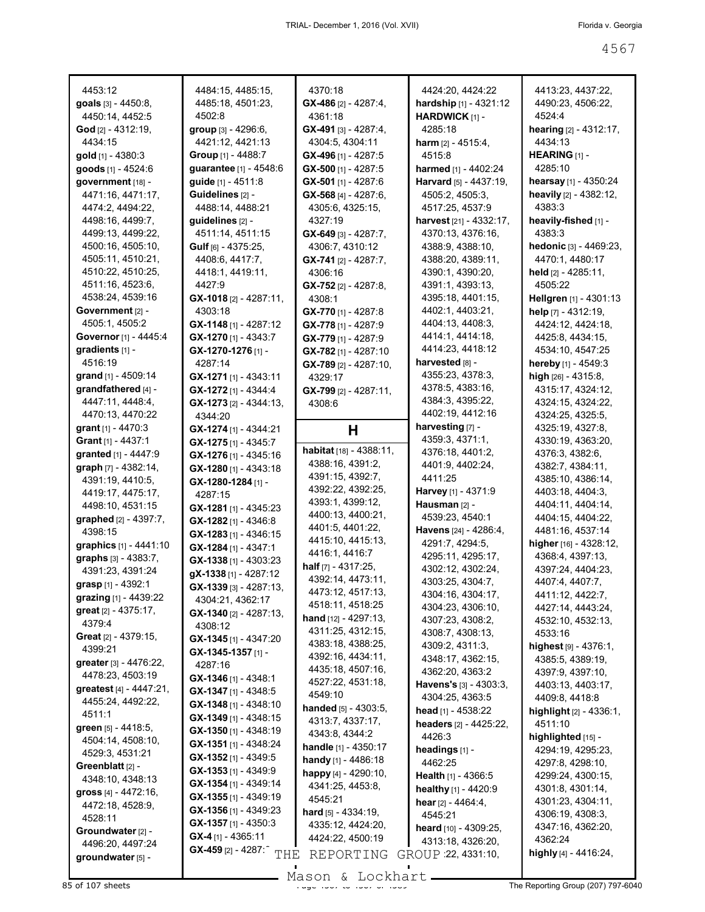| 4453:12                     | 4484:15, 4485:15,                                  | 4370:18                           | 4424:20, 4424:22             | 4413:23, 4437:22,                |
|-----------------------------|----------------------------------------------------|-----------------------------------|------------------------------|----------------------------------|
| goals [3] - 4450:8,         | 4485:18, 4501:23,                                  | $GX-486$ [2] - 4287:4,            | hardship [1] - 4321:12       | 4490:23, 4506:22,                |
| 4450:14, 4452:5             | 4502:8                                             | 4361:18                           | HARDWICK [1] -               | 4524:4                           |
|                             |                                                    |                                   |                              |                                  |
| <b>God</b> [2] - 4312:19,   | group [3] - 4296:6,                                | $GX-491$ [3] - 4287:4,            | 4285:18                      | <b>hearing</b> $[2] - 4312:17$ , |
| 4434:15                     | 4421:12, 4421:13                                   | 4304:5, 4304:11                   | <b>harm</b> $[2] - 4515:4$ , | 4434:13                          |
| gold $[1]$ - 4380:3         | Group [1] - 4488:7                                 | GX-496 [1] - 4287:5               | 4515:8                       | <b>HEARING</b> [1] -             |
| goods [1] - 4524:6          | guarantee [1] - 4548:6                             | GX-500 [1] - 4287:5               | harmed [1] - 4402:24         | 4285:10                          |
|                             | guide [1] - 4511:8                                 |                                   |                              |                                  |
| government [18] -           |                                                    | GX-501 [1] - 4287:6               | Harvard [5] - 4437:19,       | hearsay [1] - 4350:24            |
| 4471:16, 4471:17,           | Guidelines [2] -                                   | GX-568 [4] - 4287:6,              | 4505:2, 4505:3,              | heavily [2] - 4382:12,           |
| 4474:2, 4494:22,            | 4488:14, 4488:21                                   | 4305:6, 4325:15,                  | 4517:25, 4537:9              | 4383:3                           |
| 4498:16, 4499:7,            | guidelines [2] -                                   | 4327:19                           | harvest [21] - 4332:17,      | heavily-fished [1] -             |
| 4499:13, 4499:22,           | 4511:14, 4511:15                                   | GX-649 [3] - 4287:7.              | 4370:13, 4376:16,            | 4383:3                           |
|                             |                                                    |                                   |                              |                                  |
| 4500:16, 4505:10,           | Gulf $[6] - 4375:25$ ,                             | 4306:7, 4310:12                   | 4388.9, 4388.10,             | hedonic [3] - 4469:23,           |
| 4505:11, 4510:21,           | 4408:6, 4417:7,                                    | $GX-741$ [2] - 4287:7,            | 4388:20, 4389:11,            | 4470:1, 4480:17                  |
| 4510:22, 4510:25,           | 4418:1, 4419:11,                                   | 4306:16                           | 4390:1, 4390:20,             | held $[2] - 4285:11$ ,           |
| 4511:16, 4523:6,            | 4427:9                                             | $GX-752$ [2] - 4287:8,            | 4391:1, 4393:13,             | 4505:22                          |
| 4538:24, 4539:16            | $GX-1018$ [2] - 4287:11,                           | 4308:1                            | 4395:18, 4401:15,            | Hellgren [1] - 4301:13           |
| Government [2] -            | 4303:18                                            |                                   | 4402:1, 4403:21,             |                                  |
|                             |                                                    | GX-770 [1] - 4287:8               |                              | help [7] - 4312:19,              |
| 4505:1, 4505:2              | GX-1148 [1] - 4287:12                              | $GX-778$ [1] - 4287:9             | 4404:13, 4408:3,             | 4424:12, 4424:18,                |
| Governor [1] - 4445:4       | GX-1270 [1] - 4343:7                               | GX-779 [1] - 4287:9               | 4414:1, 4414:18,             | 4425:8, 4434:15,                 |
| gradients $[1]$ -           | GX-1270-1276 [1] -                                 | $GX-782$ [1] - 4287:10            | 4414:23, 4418:12             | 4534:10, 4547:25                 |
| 4516:19                     | 4287:14                                            | $GX-789$ [2] - 4287:10,           | harvested [8] -              | hereby [1] - 4549:3              |
| grand [1] - 4509:14         | GX-1271 [1] - 4343:11                              |                                   | 4355:23, 4378:3,             | high $[26] - 4315.8$ ,           |
|                             |                                                    | 4329:17                           | 4378:5, 4383:16,             |                                  |
| grandfathered [4] -         | GX-1272 [1] - 4344:4                               | GX-799 [2] - 4287:11,             |                              | 4315:17, 4324:12,                |
| 4447:11, 4448:4,            | GX-1273 [2] - 4344:13,                             | 4308:6                            | 4384:3, 4395:22,             | 4324:15, 4324:22,                |
| 4470:13, 4470:22            | 4344:20                                            |                                   | 4402:19, 4412:16             | 4324:25, 4325:5,                 |
| <b>grant</b> $[1] - 4470:3$ | $GX - 1274$ [1] - 4344:21                          | Н                                 | harvesting [7] -             | 4325:19, 4327:8,                 |
| <b>Grant</b> $[1]$ - 4437:1 | GX-1275 [1] - 4345:7                               |                                   | 4359:3, 4371:1,              | 4330:19, 4363:20,                |
|                             |                                                    | <b>habitat</b> $[18] - 4388:11$ , | 4376:18, 4401:2,             | 4376:3, 4382:6,                  |
| granted [1] - 4447:9        | GX-1276 [1] - 4345:16                              | 4388:16, 4391:2,                  |                              |                                  |
| graph [7] - 4382:14,        | $GX-1280$ [1] - 4343:18                            | 4391:15, 4392:7,                  | 4401:9, 4402:24,             | 4382:7, 4384:11,                 |
|                             |                                                    |                                   |                              |                                  |
| 4391:19, 4410:5,            | GX-1280-1284 [1] -                                 |                                   | 4411:25                      | 4385:10, 4386:14,                |
| 4419:17, 4475:17,           |                                                    | 4392:22, 4392:25,                 | Harvey [1] - 4371:9          | 4403:18, 4404:3,                 |
|                             | 4287:15                                            | 4393:1, 4399:12,                  |                              |                                  |
| 4498:10, 4531:15            | GX-1281 [1] - 4345:23                              | 4400:13, 4400:21,                 | Hausman [2] -                | 4404:11, 4404:14,                |
| graphed [2] - 4397:7,       | GX-1282 [1] - 4346:8                               |                                   | 4539:23, 4540:1              | 4404:15, 4404:22,                |
| 4398:15                     | $GX-1283$ [1] - 4346:15                            | 4401:5, 4401:22,                  | Havens [24] - 4286:4,        | 4481:16, 4537:14                 |
| graphics [1] - 4441:10      | $GX-1284$ [1] - 4347:1                             | 4415:10, 4415:13,                 | 4291:7, 4294:5,              | higher $[16] - 4328:12$ ,        |
| graphs $[3] - 4383:7,$      |                                                    | 4416:1, 4416:7                    | 4295:11, 4295:17,            | 4368:4, 4397:13,                 |
|                             | $GX-1338$ [1] - 4303:23                            | half $[7] - 4317:25$ ,            | 4302:12, 4302:24,            | 4397:24, 4404:23,                |
| 4391:23, 4391:24            | gX-1338[1] - 4287:12                               | 4392:14, 4473:11,                 | 4303:25, 4304:7,             | 4407:4, 4407:7,                  |
| grasp [1] - 4392:1          | GX-1339 [3] - 4287:13,                             | 4473:12, 4517:13,                 |                              |                                  |
| grazing [1] - 4439:22       | 4304:21, 4362:17                                   |                                   | 4304:16, 4304:17,            | 4411:12, 4422:7,                 |
| great [2] - 4375:17,        | GX-1340 [2] - 4287:13,                             | 4518:11, 4518:25                  | 4304:23, 4306:10,            | 4427:14, 4443:24,                |
| 4379:4                      | 4308:12                                            | hand [12] - 4297:13,              | 4307:23, 4308:2,             | 4532:10, 4532:13,                |
| Great [2] - 4379:15,        |                                                    | 4311:25, 4312:15,                 | 4308:7, 4308:13,             | 4533:16                          |
|                             | $GX-1345$ [1] - 4347:20                            | 4383:18, 4388:25,                 | 4309:2, 4311:3,              | highest $[9] - 4376:1,$          |
| 4399:21                     | GX-1345-1357 [1] -                                 | 4392:16, 4434:11,                 | 4348:17, 4362:15,            | 4385:5, 4389:19,                 |
| greater $[3] - 4476:22$ ,   | 4287:16                                            | 4435:18, 4507:16,                 |                              |                                  |
| 4478:23, 4503:19            | GX-1346 [1] - 4348:1                               |                                   | 4362:20, 4363:2              | 4397:9, 4397:10,                 |
| greatest [4] - 4447:21,     | $GX-1347$ [1] - 4348:5                             | 4527:22, 4531:18,                 | Havens's [3] - 4303:3,       | 4403:13, 4403:17,                |
| 4455:24, 4492:22,           |                                                    | 4549:10                           | 4304:25, 4363:5              | 4409:8, 4418:8                   |
| 4511:1                      | GX-1348 [1] - 4348:10                              | handed [5] - 4303:5.              | head $[1] - 4538:22$         | highlight [2] - 4336:1,          |
|                             | GX-1349 [1] - 4348:15                              | 4313:7, 4337:17,                  | headers [2] - 4425:22,       | 4511:10                          |
| green [5] - 4418:5,         | GX-1350 [1] - 4348:19                              | 4343:8, 4344:2                    | 4426:3                       |                                  |
| 4504:14, 4508:10,           | GX-1351 [1] - 4348:24                              | <b>handle</b> $[1] - 4350:17$     |                              | highlighted [15] -               |
| 4529:3, 4531:21             | GX-1352 [1] - 4349:5                               |                                   | headings [1] -               | 4294:19, 4295:23,                |
| Greenblatt <sub>[2]</sub> - |                                                    | handy [1] - 4486:18               | 4462:25                      | 4297:8, 4298:10,                 |
| 4348:10, 4348:13            | GX-1353 [1] - 4349:9                               | happy [4] - 4290:10,              | <b>Health</b> $[1] - 4366.5$ | 4299:24, 4300:15,                |
|                             | GX-1354 [1] - 4349:14                              | 4341:25, 4453:8,                  | healthy [1] - 4420:9         | 4301:8, 4301:14,                 |
| gross [4] - 4472:16,        | $GX-1355$ [1] - 4349:19                            | 4545:21                           | hear $[2] - 4464:4,$         | 4301:23, 4304:11,                |
| 4472:18, 4528:9,            | GX-1356 [1] - 4349:23                              | <b>hard</b> $[5] - 4334:19$ ,     |                              | 4306:19, 4308:3,                 |
| 4528:11                     | $GX-1357$ [1] - 4350:3                             |                                   | 4545:21                      |                                  |
| Groundwater [2] -           |                                                    | 4335:12, 4424:20,                 | heard [10] - 4309:25,        | 4347:16, 4362:20,                |
| 4496:20, 4497:24            | $GX-4$ [1] - 4365:11                               | 4424:22, 4500:19                  | 4313:18, 4326:20,            | 4362:24                          |
| groundwater [5] -           | $GX-459$ [2] - 4287:<br>$\operatorname{{\bf THE}}$ | REPORTING                         | GROUP : 22, 4331:10,         | highly [4] - 4416:24,            |

Mason & Lockhart **Page 4567 of 4568** The Reporting Group (207) 797-6040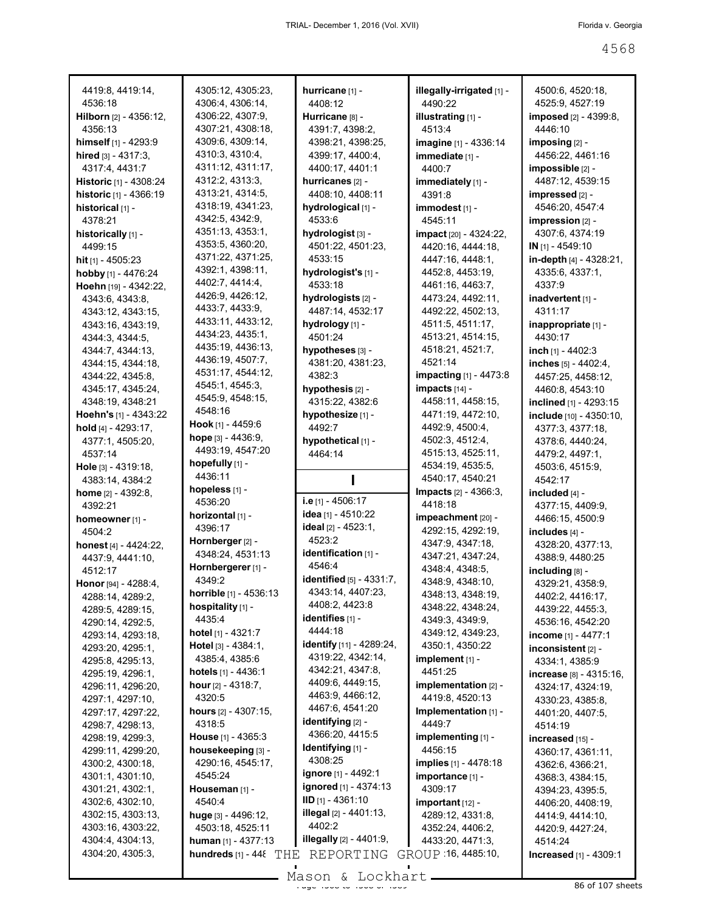| 4419:8, 4419:14,                     | 4305:12, 4305:23,              | hurricane [1] -                | illegally-irrigated [1] - | 4500:6, 4520:18,                      |
|--------------------------------------|--------------------------------|--------------------------------|---------------------------|---------------------------------------|
| 4536:18                              | 4306:4, 4306:14,               | 4408:12                        | 4490:22                   | 4525:9, 4527:19                       |
| Hilborn [2] - 4356:12,               | 4306:22, 4307:9,               | Hurricane [8] -                | illustrating [1] -        | imposed [2] - 4399:8,                 |
| 4356:13                              | 4307:21, 4308:18,              | 4391:7, 4398:2,                | 4513:4                    | 4446:10                               |
| himself [1] - 4293:9                 | 4309:6, 4309:14,               | 4398:21, 4398:25,              | imagine [1] - 4336:14     | imposing [2] -                        |
| hired [3] - 4317:3,                  | 4310:3, 4310:4,                | 4399:17, 4400:4,               | immediate [1] -           | 4456:22, 4461:16                      |
| 4317:4, 4431:7                       | 4311:12, 4311:17,              | 4400:17, 4401:1                | 4400:7                    | impossible [2] -                      |
| Historic [1] - 4308:24               | 4312:2, 4313:3,                | hurricanes [2] -               | immediately [1] -         | 4487:12, 4539:15                      |
| historic [1] - 4366:19               | 4313:21, 4314:5,               | 4408:10, 4408:11               | 4391:8                    | impressed [2] -                       |
| historical [1] -                     | 4318:19, 4341:23,              | hydrological [1] -             | immodest <sub>[1]</sub> - | 4546:20, 4547:4                       |
| 4378:21                              | 4342:5, 4342:9,                | 4533:6                         | 4545:11                   | impression [2] -                      |
| historically [1] -                   | 4351:13, 4353:1,               | hydrologist [3] -              | impact [20] - 4324:22,    | 4307:6, 4374:19                       |
| 4499:15                              | 4353:5, 4360:20,               | 4501:22, 4501:23,              | 4420:16, 4444:18,         | IN [1] - 4549:10                      |
| hit $[1] - 4505:23$                  | 4371:22, 4371:25,              | 4533:15                        | 4447:16, 4448:1,          | in-depth [4] - 4328:21,               |
| hobby [1] - 4476:24                  | 4392:1, 4398:11,               | hydrologist's [1] -            | 4452:8, 4453:19,          | 4335:6, 4337:1,                       |
| Hoehn [19] - 4342:22,                | 4402:7, 4414:4,                | 4533:18                        | 4461:16, 4463:7,          | 4337:9                                |
| 4343:6, 4343:8,                      | 4426:9, 4426:12,               | hydrologists [2] -             | 4473:24, 4492:11,         | inadvertent [1] -                     |
| 4343:12, 4343:15,                    | 4433:7, 4433:9,                | 4487:14, 4532:17               | 4492:22, 4502:13,         | 4311:17                               |
| 4343:16, 4343:19,                    | 4433:11, 4433:12,              | hydrology [1] -                | 4511:5, 4511:17,          | inappropriate [1] -                   |
| 4344:3, 4344:5,                      | 4434:23, 4435:1,               | 4501:24                        | 4513:21, 4514:15,         | 4430:17                               |
| 4344:7, 4344:13,                     | 4435:19, 4436:13,              | hypotheses [3] -               | 4518:21, 4521:7,          | inch $[1] - 4402:3$                   |
| 4344:15, 4344:18,                    | 4436:19, 4507:7,               | 4381:20, 4381:23,              | 4521:14                   | inches [5] - 4402:4,                  |
| 4344:22, 4345:8,                     | 4531:17, 4544:12,              | 4382:3                         | impacting [1] - 4473:8    | 4457:25, 4458:12,                     |
| 4345:17, 4345:24,                    | 4545:1, 4545:3,                | hypothesis [2] -               | impacts [14] -            | 4460:8, 4543:10                       |
| 4348:19, 4348:21                     | 4545:9, 4548:15,               | 4315:22, 4382:6                | 4458:11, 4458:15,         | inclined [1] - 4293:15                |
| Hoehn's [1] - 4343:22                | 4548:16                        | hypothesize [1] -              | 4471:19, 4472:10,         | include [10] - 4350:10,               |
| hold $[4] - 4293:17$ ,               | Hook [1] - 4459:6              | 4492:7                         | 4492:9, 4500:4,           | 4377:3, 4377:18,                      |
| 4377:1, 4505:20,                     | hope $[3] - 4436:9$ ,          | hypothetical [1] -             | 4502:3, 4512:4,           | 4378:6, 4440:24,                      |
| 4537:14                              | 4493:19, 4547:20               | 4464:14                        | 4515:13, 4525:11,         | 4479:2, 4497:1,                       |
| Hole [3] - 4319:18,                  | hopefully [1] -                |                                | 4534:19, 4535:5,          | 4503:6, 4515:9,                       |
| 4383:14, 4384:2                      | 4436:11                        |                                | 4540:17, 4540:21          | 4542:17                               |
| <b>home</b> $[2] - 4392:8$ ,         | hopeless [1] -                 |                                | Impacts [2] - 4366:3,     | included [4] -                        |
| 4392:21                              | 4536:20                        | i.e [1] - 4506:17              | 4418:18                   | 4377:15, 4409:9,                      |
| homeowner [1] -                      | horizontal [1] -               | idea [1] - 4510:22             | impeachment [20] -        | 4466:15, 4500:9                       |
| 4504:2                               | 4396:17                        | ideal [2] - 4523:1,            | 4292:15, 4292:19,         | includes [4] -                        |
|                                      | Hornberger [2] -               | 4523:2                         |                           |                                       |
| honest $[4] - 4424:22$ ,             |                                |                                | 4347:9, 4347:18,          | 4328:20, 4377:13,                     |
| 4437:9, 4441:10,                     | 4348:24, 4531:13               | identification [1] -           | 4347:21, 4347:24,         | 4388:9, 4480:25                       |
| 4512:17                              | Hornbergerer [1] -             | 4546:4                         | 4348:4, 4348:5,           | including [8] -                       |
| Honor [94] - 4288:4,                 | 4349:2                         | identified [5] - 4331:7,       | 4348:9, 4348:10,          |                                       |
|                                      | horrible [1] - 4536:13         | 4343:14, 4407:23,              | 4348:13, 4348:19,         | 4329:21, 4358:9,                      |
| 4288:14, 4289:2,<br>4289:5, 4289:15, | hospitality [1] -              | 4408:2, 4423:8                 | 4348:22, 4348:24,         | 4402:2, 4416:17,<br>4439:22, 4455:3,  |
| 4290:14, 4292:5,                     | 4435:4                         | identifies [1] -               | 4349:3, 4349:9,           | 4536:16, 4542:20                      |
| 4293:14, 4293:18,                    | hotel [1] - 4321:7             | 4444:18                        | 4349:12, 4349:23,         | income [1] - 4477:1                   |
| 4293:20, 4295:1,                     | Hotel $[3] - 4384:1$ ,         | identify [11] - 4289:24,       | 4350:1, 4350:22           | inconsistent [2] -                    |
| 4295:8, 4295:13,                     | 4385:4, 4385:6                 | 4319:22, 4342:14,              | implement [1] -           | 4334:1, 4385:9                        |
| 4295:19, 4296:1,                     | hotels $[1] - 4436:1$          | 4342:21, 4347:8,               | 4451:25                   | increase [8] - 4315:16,               |
| 4296:11, 4296:20,                    | hour $[2] - 4318:7,$           | 4409:6, 4449:15,               | implementation [2] -      |                                       |
| 4297:1, 4297:10,                     | 4320:5                         | 4463:9, 4466:12,               | 4419:8, 4520:13           | 4324:17, 4324:19,<br>4330:23, 4385:8, |
| 4297:17, 4297:22,                    | <b>hours</b> $[2] - 4307:15$ , | 4467:6, 4541:20                | Implementation [1] -      | 4401:20, 4407:5,                      |
| 4298:7, 4298:13,                     | 4318:5                         | identifying [2] -              | 4449:7                    | 4514:19                               |
| 4298:19, 4299:3,                     | <b>House</b> $[1] - 4365:3$    | 4366:20, 4415:5                | implementing [1] -        | increased [15] -                      |
| 4299:11, 4299:20,                    | housekeeping [3] -             | <b>Identifying</b> [1] -       | 4456:15                   | 4360:17, 4361:11,                     |
| 4300:2, 4300:18,                     | 4290:16, 4545:17,              | 4308:25                        | implies [1] - 4478:18     | 4362:6, 4366:21,                      |
| 4301:1, 4301:10,                     | 4545:24                        | <b>ignore</b> [1] - 4492:1     | importance [1] -          | 4368:3, 4384:15,                      |
| 4301:21, 4302:1,                     | Houseman [1] -                 | ignored [1] - 4374:13          | 4309:17                   | 4394:23, 4395:5,                      |
| 4302:6, 4302:10,                     | 4540:4                         | $ID_{[1]} - 4361:10$           | important [12] -          | 4406:20, 4408:19,                     |
| 4302:15, 4303:13,                    | huge [3] - 4496:12,            | illegal [2] - 4401:13,         | 4289:12, 4331:8,          | 4414:9, 4414:10,                      |
| 4303:16, 4303:22,                    | 4503:18, 4525:11               | 4402:2                         | 4352:24, 4406:2,          | 4420:9, 4427:24,                      |
| 4304:4, 4304:13,                     | human [1] - 4377:13            | <b>illegally</b> [2] - 4401:9, | 4433:20, 4471:3,          | 4514:24                               |
| 4304:20, 4305:3,                     | hundreds $[1]$ - 44 $\ell$ THE | REPORTING                      | GROUP 16, 4485:10,        | <b>Increased</b> [1] - 4309:1         |

Mason & Lockhart <u>entitled and the 45 second section</u>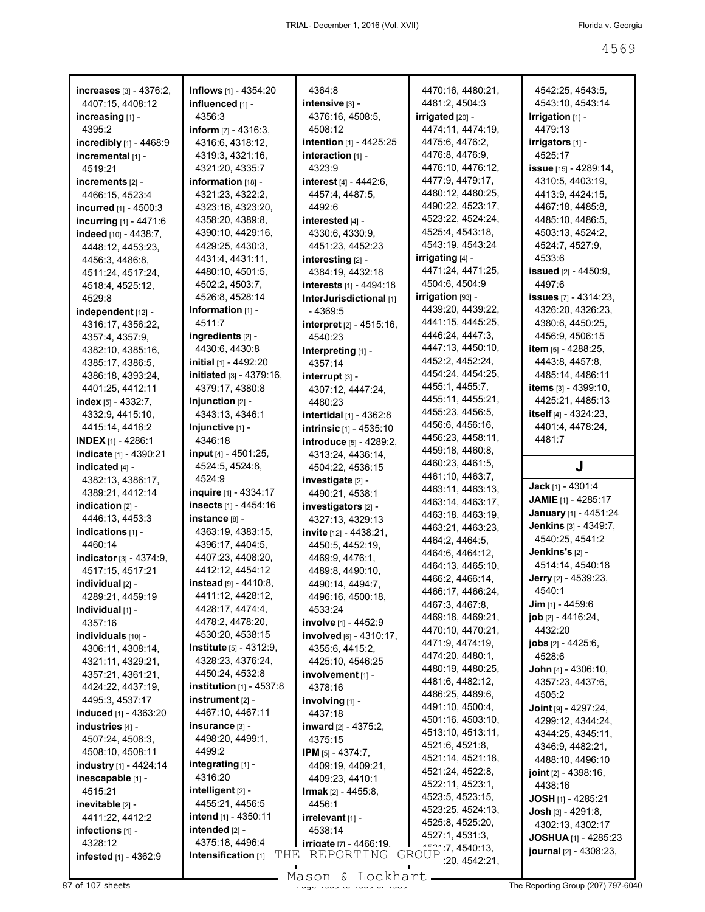| increases $[3] - 4376:2,$         | <b>Inflows</b> [1] - 4354:20      | 4364:8                           | 4470:16, 4480:21,       | 4542:25, 4543:5,                |
|-----------------------------------|-----------------------------------|----------------------------------|-------------------------|---------------------------------|
| 4407:15, 4408:12                  | influenced [1] -                  | $intersive$ $[3] -$              | 4481:2, 4504:3          | 4543:10, 4543:14                |
| increasing [1] -                  | 4356:3                            | 4376:16, 4508:5,                 | <b>irrigated</b> [20] - | $Irrigation$ [1] -              |
| 4395:2                            | <b>inform</b> $[7] - 4316:3$ ,    | 4508:12                          | 4474:11, 4474:19,       | 4479:13                         |
| <b>incredibly</b> $[1] - 4468.9$  | 4316:6, 4318:12,                  | intention [1] - 4425:25          | 4475:6, 4476:2,         | <b>irrigators</b> [1] -         |
| incremental [1] -                 | 4319:3, 4321:16,                  | interaction $[1]$ -              | 4476:8, 4476:9,         | 4525:17                         |
| 4519:21                           | 4321:20, 4335:7                   | 4323:9                           | 4476:10, 4476:12,       | <b>issue</b> [15] - 4289:14,    |
|                                   |                                   |                                  | 4477:9, 4479:17,        |                                 |
| increments $[2]$ -                | information $[18]$ -              | interest [4] - 4442:6,           |                         | 4310:5, 4403:19,                |
| 4466:15, 4523:4                   | 4321:23, 4322:2,                  | 4457:4, 4487:5,                  | 4480:12, 4480:25,       | 4413:9, 4424:15,                |
| <b>incurred</b> [1] - 4500:3      | 4323:16, 4323:20,                 | 4492:6                           | 4490:22, 4523:17,       | 4467:18, 4485:8,                |
| incurring $[1] - 4471.6$          | 4358:20, 4389:8,                  | interested $[4]$ -               | 4523:22, 4524:24,       | 4485:10, 4486:5,                |
| indeed [10] - 4438:7.             | 4390:10, 4429:16,                 | 4330:6, 4330:9,                  | 4525:4, 4543:18,        | 4503:13, 4524:2,                |
| 4448:12, 4453:23,                 | 4429:25, 4430:3,                  | 4451:23, 4452:23                 | 4543:19, 4543:24        | 4524:7, 4527:9,                 |
| 4456:3, 4486:8,                   | 4431:4, 4431:11,                  | interesting $[2]$ -              | irrigating [4] -        | 4533:6                          |
| 4511:24, 4517:24,                 | 4480:10, 4501:5,                  | 4384:19, 4432:18                 | 4471:24, 4471:25,       | <b>issued</b> $[2] - 4450.9$    |
| 4518:4, 4525:12,                  | 4502:2, 4503:7,                   | <b>interests</b> $[1] - 4494:18$ | 4504:6, 4504:9          | 4497:6                          |
| 4529:8                            | 4526:8, 4528:14                   | InterJurisdictional [1]          | $irrigation$ [93] -     | <b>issues</b> $[7] - 4314:23$ , |
| $index$ independent $[12] -$      | Information $[1]$ -               | - 4369:5                         | 4439:20, 4439:22,       | 4326:20, 4326:23,               |
|                                   | 4511:7                            |                                  | 4441:15, 4445:25,       | 4380:6, 4450:25,                |
| 4316:17, 4356:22,                 |                                   | <b>interpret</b> $[2] - 4515:16$ | 4446:24, 4447:3,        | 4456:9, 4506:15                 |
| 4357:4, 4357:9,                   | ingredients [2] -                 | 4540:23                          |                         |                                 |
| 4382:10, 4385:16,                 | 4430:6, 4430:8                    | Interpreting $[1]$ -             | 4447:13, 4450:10,       | item $[5] - 4288:25$ ,          |
| 4385:17, 4386:5,                  | <b>initial</b> [1] - 4492:20      | 4357:14                          | 4452:2, 4452:24,        | 4443.8, 4457:8,                 |
| 4386:18, 4393:24,                 | initiated [3] - 4379:16,          | $interrupt$ $[3] -$              | 4454:24, 4454:25,       | 4485:14, 4486:11                |
| 4401:25, 4412:11                  | 4379:17, 4380:8                   | 4307:12, 4447:24,                | 4455:1, 4455:7,         | <b>items</b> $[3] - 4399:10$ ,  |
| index $[5] - 4332:7$ ,            | Injunction $[2]$ -                | 4480:23                          | 4455:11, 4455:21,       | 4425:21, 4485:13                |
| 4332:9, 4415:10,                  | 4343:13, 4346:1                   | intertidal [1] - 4362:8          | 4455:23, 4456:5,        | itself [4] - 4324:23.           |
| 4415:14, 4416:2                   | Injunctive [1] -                  | <b>intrinsic</b> [1] - 4535:10   | 4456:6, 4456:16,        | 4401:4, 4478:24,                |
| <b>INDEX</b> [1] - 4286:1         | 4346:18                           | introduce [5] - 4289:2,          | 4456:23, 4458:11,       | 4481:7                          |
| indicate [1] - 4390:21            | <b>input</b> [4] - 4501:25,       | 4313:24, 4436:14,                | 4459:18, 4460:8,        |                                 |
| indicated $[4]$ -                 | 4524:5, 4524:8,                   | 4504:22, 4536:15                 | 4460:23, 4461:5,        | J                               |
|                                   |                                   |                                  |                         |                                 |
|                                   |                                   |                                  |                         |                                 |
| 4382:13, 4386:17,                 | 4524:9                            | investigate [2] -                | 4461:10, 4463:7,        |                                 |
| 4389:21, 4412:14                  | <b>inquire</b> [1] - 4334:17      | 4490:21, 4538:1                  | 4463:11, 4463:13,       | <b>Jack</b> [1] - 4301:4        |
| indication $[2]$ -                | insects [1] - 4454:16             | investigators [2] -              | 4463:14, 4463:17,       | <b>JAMIE</b> [1] - 4285:17      |
| 4446:13, 4453:3                   | instance [8] -                    | 4327:13, 4329:13                 | 4463:18, 4463:19,       | January [1] - 4451:24           |
| indications [1] -                 | 4363:19, 4383:15,                 | <b>invite</b> $[12] - 4438:21$ , | 4463:21, 4463:23,       | Jenkins [3] - 4349:7,           |
| 4460:14                           | 4396:17, 4404:5,                  | 4450:5, 4452:19,                 | 4464:2, 4464:5,         | 4540:25, 4541:2                 |
| <b>indicator</b> $[3] - 4374:9$ , | 4407:23, 4408:20,                 | 4469:9, 4476:1,                  | 4464:6, 4464:12,        | <b>Jenkins's</b> $[2]$ -        |
| 4517:15, 4517:21                  | 4412:12, 4454:12                  | 4489:8, 4490:10,                 | 4464:13, 4465:10,       | 4514:14, 4540:18                |
|                                   |                                   |                                  | 4466:2, 4466:14,        | Jerry [2] - 4539:23,            |
| individual [2] -                  | instead [9] - 4410:8,             | 4490:14, 4494:7,                 | 4466:17, 4466:24,       | 4540:1                          |
| 4289:21, 4459:19                  | 4411:12, 4428:12,                 | 4496:16, 4500:18,                | 4467:3, 4467:8,         | $\text{Jim}$ [1] - 4459:6       |
| <b>Individual</b> $[1]$ -         | 4428:17, 4474:4,                  | 4533:24                          | 4469:18, 4469:21,       | job [2] - 4416:24,              |
| 4357:16                           | 4478:2, 4478:20,                  | involve [1] - 4452:9             | 4470:10, 4470:21,       | 4432:20                         |
| individuals [10] -                | 4530:20, 4538:15                  | involved [6] - 4310:17,          | 4471:9, 4474:19,        | <b>jobs</b> $[2] - 4425:6$ ,    |
| 4306:11, 4308:14,                 | <b>Institute</b> $[5] - 4312:9$ , | 4355:6, 4415:2,                  | 4474:20, 4480:1,        | 4528:6                          |
| 4321:11, 4329:21,                 | 4328:23, 4376:24,                 | 4425:10, 4546:25                 | 4480:19, 4480:25,       |                                 |
| 4357:21, 4361:21,                 | 4450:24, 4532:8                   | involvement [1] -                |                         | <b>John</b> $[4] - 4306:10$ ,   |
| 4424:22, 4437:19,                 | <b>institution</b> $[1]$ - 4537:8 | 4378:16                          | 4481:6, 4482:12,        | 4357:23, 4437:6,                |
| 4495:3, 4537:17                   | instrument [2] -                  | involving [1] -                  | 4486:25, 4489:6,        | 4505:2                          |
| induced [1] - 4363:20             | 4467:10, 4467:11                  | 4437:18                          | 4491:10, 4500:4,        | <b>Joint</b> $[9] - 4297:24$ ,  |
| industries [4] -                  | insurance [3] -                   | <b>inward</b> $[2] - 4375:2$ ,   | 4501:16, 4503:10,       | 4299:12, 4344:24,               |
| 4507:24, 4508:3,                  | 4498:20, 4499:1,                  | 4375:15                          | 4513:10, 4513:11,       | 4344:25, 4345:11,               |
| 4508:10, 4508:11                  | 4499:2                            | <b>IPM</b> [5] - 4374:7,         | 4521:6, 4521:8,         | 4346:9, 4482:21,                |
| industry [1] - 4424:14            | integrating [1] -                 |                                  | 4521:14, 4521:18,       | 4488:10, 4496:10                |
|                                   | 4316:20                           | 4409:19, 4409:21,                | 4521:24, 4522:8,        | <b>joint</b> $[2] - 4398:16$ ,  |
| inescapable [1] -                 |                                   | 4409:23, 4410:1                  | 4522:11, 4523:1,        | 4438:16                         |
| 4515:21                           | intelligent [2] -                 | <b>Irmak</b> $[2] - 4455:8$ ,    | 4523:5, 4523:15,        | <b>JOSH</b> [1] - 4285:21       |
| inevitable [2] -                  | 4455:21, 4456:5                   | 4456:1                           | 4523:25, 4524:13,       | <b>Josh</b> $[3] - 4291:8$      |
| 4411:22, 4412:2                   | intend [1] - 4350:11              | irrelevant [1] -                 | 4525:8, 4525:20,        | 4302:13, 4302:17                |
| infections $[1]$ -                | intended [2] -                    | 4538:14                          | 4527:1, 4531:3,         |                                 |
| 4328:12                           | 4375:18, 4496:4                   | <b>irrigate</b> [7] - 4466:19.   | 1521.7, 4540.13,        | <b>JOSHUA</b> [1] - 4285:23     |
| infested [1] - 4362:9             | Intensification [1]<br>T.HF.      | REPORTING                        | GROUP<br>20,4542.21,    | journal $[2] - 4308:23$ ,       |

Mason & Lockhart **Page 4569 of 107 sheets** Page 4569 to 4569 Mason & Lockhart **Page 4569 The Reporting Group (207) 797-6040**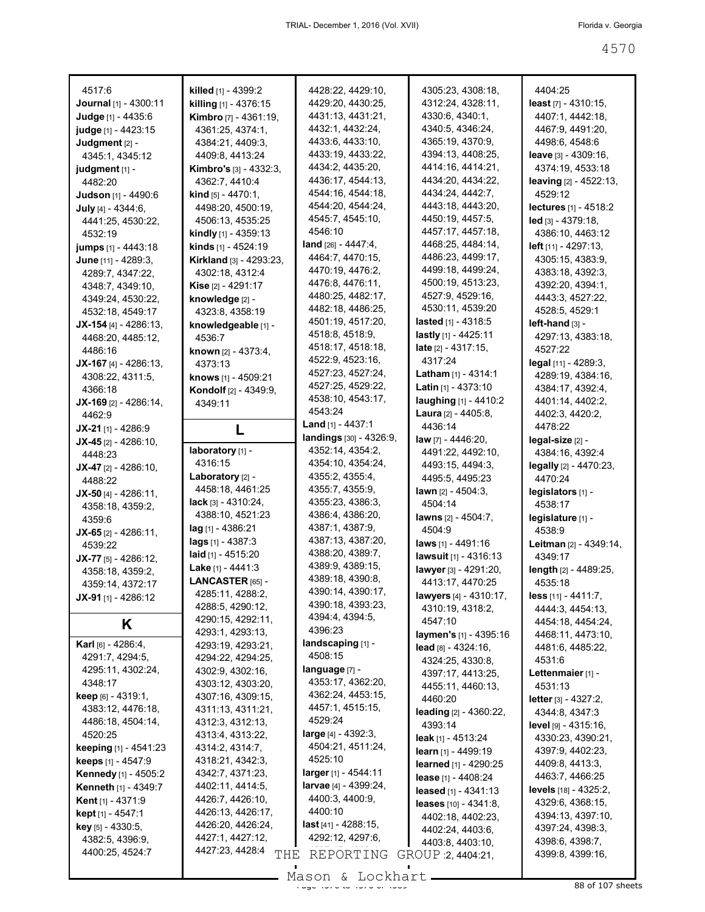| 4517:6                         | killed [1] - 4399:2            | 4428:22, 4429:10,              | 4305:23, 4308:18,                          | 4404:25                                |
|--------------------------------|--------------------------------|--------------------------------|--------------------------------------------|----------------------------------------|
| <b>Journal</b> [1] - 4300:11   | <b>killing</b> $[1] - 4376:15$ | 4429:20, 4430:25,              | 4312:24, 4328:11,                          | least $[7] - 4310:15$ ,                |
| Judge [1] - 4435:6             | <b>Kimbro</b> [7] - 4361:19,   | 4431:13, 4431:21,              | 4330:6, 4340:1,                            | 4407:1, 4442:18,                       |
| judge [1] - 4423:15            | 4361:25, 4374:1,               | 4432:1, 4432:24,               | 4340:5, 4346:24,                           | 4467:9, 4491:20,                       |
| Judgment [2] -                 | 4384:21, 4409:3,               | 4433:6, 4433:10,               | 4365:19, 4370:9,                           | 4498:6, 4548:6                         |
| 4345:1, 4345:12                | 4409:8, 4413:24                | 4433:19, 4433:22,              | 4394:13, 4408:25,                          | <b>leave</b> $[3] - 4309:16$ ,         |
| judgment $[1]$ -               | <b>Kimbro's</b> [3] - 4332:3,  | 4434:2, 4435:20,               | 4414:16, 4414:21,                          | 4374:19, 4533:18                       |
| 4482:20                        | 4362:7, 4410:4                 | 4436:17, 4544:13,              | 4434:20, 4434:22,                          | <b>leaving</b> $[2] - 4522:13$ ,       |
| <b>Judson</b> [1] - 4490:6     | <b>kind</b> $[5] - 4470:1$ ,   | 4544:16, 4544:18,              | 4434:24, 4442:7,                           | 4529:12                                |
| July [4] - 4344:6,             | 4498:20, 4500:19,              | 4544:20, 4544:24,              | 4443:18, 4443:20,                          | lectures [1] - 4518:2                  |
| 4441:25, 4530:22,              | 4506:13, 4535:25               | 4545:7, 4545:10,               | 4450:19, 4457:5,                           | led [3] - 4379:18,                     |
| 4532:19                        | kindly [1] - 4359:13           | 4546:10                        | 4457:17, 4457:18,                          | 4386:10, 4463:12                       |
| <b>jumps</b> [1] - 4443:18     | kinds [1] - 4524:19            | land $[26] - 4447:4,$          | 4468:25, 4484:14,                          | left [11] - 4297:13,                   |
| June [11] - 4289:3,            | <b>Kirkland</b> [3] - 4293:23, | 4464:7, 4470:15,               | 4486:23, 4499:17,                          | 4305:15, 4383:9,                       |
| 4289:7, 4347:22,               | 4302:18, 4312:4                | 4470:19, 4476:2,               | 4499:18, 4499:24,                          | 4383:18, 4392:3,                       |
| 4348:7, 4349:10,               | Kise [2] - 4291:17             | 4476:8, 4476:11,               | 4500:19, 4513:23,                          | 4392:20, 4394:1,                       |
| 4349:24, 4530:22,              | knowledge [2] -                | 4480:25, 4482:17,              | 4527:9, 4529:16,                           | 4443:3, 4527:22,                       |
| 4532:18, 4549:17               | 4323:8, 4358:19                | 4482:18, 4486:25,              | 4530:11, 4539:20                           | 4528:5, 4529:1                         |
| $JX-154$ [4] - 4286:13,        | knowledgeable [1] -            | 4501:19, 4517:20,              | <b>lasted</b> [1] - 4318:5                 | l <b>eft-hand</b> [3] -                |
| 4468:20, 4485:12,              | 4536:7                         | 4518:8, 4518:9,                | lastly $[1]$ - 4425:11                     | 4297:13, 4383:18,                      |
| 4486:16                        | <b>known</b> $[2] - 4373:4,$   | 4518:17, 4518:18,              | <b>late</b> $[2] - 4317:15$ ,              | 4527:22                                |
| <b>JX-167</b> [4] - 4286:13,   | 4373:13                        | 4522:9, 4523:16,               | 4317:24                                    | legal [11] - 4289:3,                   |
| 4308:22, 4311:5,               | knows [1] - 4509:21            | 4527:23, 4527:24,              | <b>Latham</b> [1] - 4314:1                 | 4289:19, 4384:16,                      |
| 4366:18                        | Kondolf [2] - 4349:9,          | 4527:25, 4529:22,              | Latin $[1] - 4373:10$                      | 4384:17, 4392:4,                       |
| $JX-169$ [2] - 4286:14,        | 4349:11                        | 4538:10, 4543:17,              | laughing [1] - 4410:2                      | 4401:14, 4402:2,                       |
| 4462:9                         |                                | 4543:24                        | <b>Laura</b> $[2] - 4405:8$ ,              | 4402:3, 4420:2,                        |
| <b>JX-21</b> [1] - 4286:9      | L                              | <b>Land</b> $[1] - 4437:1$     | 4436:14                                    | 4478:22                                |
| <b>JX-45</b> [2] - 4286:10,    |                                | landings [30] - 4326:9,        | law [7] - 4446:20,                         | legal-size [2] -                       |
| 4448:23                        | laboratory [1] -               | 4352:14, 4354:2,               | 4491:22, 4492:10,                          | 4384:16, 4392:4                        |
| $JX-47$ [2] - 4286:10,         | 4316:15                        | 4354:10, 4354:24,              | 4493:15, 4494:3,                           | legally [2] - 4470:23,                 |
| 4488:22                        | Laboratory [2] -               | 4355:2, 4355:4,                | 4495:5, 4495:23                            | 4470:24                                |
|                                |                                |                                |                                            |                                        |
|                                | 4458:18, 4461:25               | 4355:7, 4355:9,                | <b>lawn</b> $[2] - 4504:3$ ,               |                                        |
| <b>JX-50</b> [4] - 4286:11,    | <b>lack</b> [3] $- 4310:24,$   | 4355:23, 4386:3,               | 4504:14                                    | legislators [1] -<br>4538:17           |
| 4358:18, 4359:2,               | 4388:10, 4521:23               | 4386:4, 4386:20,               | lawns $[2] - 4504:7$ ,                     |                                        |
| 4359:6                         | <b>lag</b> [1] - 4386:21       | 4387:1, 4387:9,                | 4504:9                                     | legislature [1] -<br>4538.9            |
| $JX-65$ [2] - 4286:11,         | lags [1] - 4387:3              | 4387:13, 4387:20,              | laws [1] - 4491:16                         | Leitman [2] - 4349:14,                 |
| 4539:22                        | laid $[1]$ - 4515:20           | 4388:20, 4389:7,               |                                            | 4349:17                                |
| $JX-77$ [5] - 4286:12,         | <b>Lake</b> [1] - 4441:3       | 4389:9, 4389:15,               | lawsuit [1] - 4316:13                      |                                        |
| 4358:18, 4359:2,               | LANCASTER [65] -               | 4389:18, 4390:8,               | lawyer [3] - 4291:20,<br>4413:17, 4470:25  | length [2] - 4489:25,<br>4535:18       |
| 4359:14, 4372:17               | 4285:11, 4288:2,               | 4390:14, 4390:17,              |                                            |                                        |
| $JX-91$ [1] - 4286:12          | 4288:5, 4290:12,               | 4390:18, 4393:23,              | lawyers [4] - 4310:17,<br>4310:19, 4318:2, | $less$ [11] - 4411:7,                  |
|                                | 4290:15, 4292:11,              | 4394:4, 4394:5,                | 4547:10                                    | 4444:3, 4454:13,                       |
| Κ                              | 4293:1, 4293:13,               | 4396:23                        | laymen's [1] - 4395:16                     | 4454:18, 4454:24,<br>4468:11, 4473:10, |
| Karl [6] - 4286:4,             | 4293:19, 4293:21,              | landscaping [1] -              |                                            | 4481:6, 4485:22,                       |
| 4291:7, 4294:5,                | 4294:22, 4294:25,              | 4508:15                        | $lead$ [8] - 4324:16,<br>4324:25, 4330:8,  | 4531:6                                 |
| 4295:11, 4302:24,              | 4302:9, 4302:16,               | language [7] -                 | 4397:17, 4413:25,                          | Lettenmaier [1] -                      |
| 4348:17                        | 4303:12, 4303:20,              | 4353:17, 4362:20,              | 4455:11, 4460:13,                          | 4531:13                                |
| <b>keep</b> $[6] - 4319:1$ ,   | 4307:16, 4309:15,              | 4362:24, 4453:15,              | 4460:20                                    | <b>letter</b> [3] $-$ 4327:2,          |
| 4383:12, 4476:18,              | 4311:13, 4311:21,              | 4457:1, 4515:15,               | leading [2] - 4360:22,                     | 4344:8, 4347:3                         |
| 4486:18, 4504:14,              | 4312:3, 4312:13,               | 4529:24                        | 4393:14                                    | <b>level</b> $[9] - 4315:16$ ,         |
| 4520:25                        | 4313:4, 4313:22,               | <b>large</b> $[4] - 4392:3$ ,  | <b>leak</b> [1] - $4513:24$                | 4330:23, 4390:21,                      |
| <b>keeping</b> $[1]$ - 4541:23 | 4314:2, 4314:7,                | 4504:21, 4511:24,              | learn $[1] - 4499:19$                      | 4397:9, 4402:23,                       |
| <b>keeps</b> $[1] - 4547:9$    | 4318:21, 4342:3,               | 4525:10                        | learned [1] - 4290:25                      | 4409:8, 4413:3,                        |
| <b>Kennedy</b> [1] - 4505:2    | 4342:7, 4371:23,               | larger [1] - 4544:11           | lease $[1] - 4408:24$                      | 4463:7, 4466:25                        |
| <b>Kenneth [1] - 4349:7</b>    | 4402:11, 4414:5,               | <b>larvae</b> [4] - 4399:24,   | leased $[1] - 4341:13$                     | levels $[18] - 4325:2,$                |
| <b>Kent</b> [1] - 4371:9       | 4426:7, 4426:10,               | 4400:3, 4400:9,                | <b>leases</b> $[10] - 4341.8$              | 4329:6, 4368:15,                       |
| kept [1] - 4547:1              | 4426:13, 4426:17,              | 4400:10                        | 4402:18, 4402:23,                          | 4394:13, 4397:10,                      |
| key [5] - 4330:5,              | 4426:20, 4426:24,              | <b>last</b> $[41] - 4288:15$ , |                                            | 4397:24, 4398:3,                       |
| 4382:5, 4396:9,                | 4427:1, 4427:12,               | 4292:12, 4297:6,               | 4402:24, 4403:6,<br>4403:8, 4403:10,       | 4398:6, 4398:7,                        |
| 4400:25, 4524:7                | 4427:23, 4428:4<br>THE         | REPORTING                      | GROUP 2, 4404:21,                          | 4399:8, 4399:16,                       |

 $\frac{200011}{x}$  to  $\frac{20011101}{x}$  of  $\frac{200011101}{x}$  of  $\frac{20001101}{x}$  of  $\frac{20001101}{x}$  of  $\frac{20001101}{x}$  of  $\frac{20001101}{x}$  or  $\frac{20001101}{x}$  or  $\frac{20001101}{x}$  or  $\frac{20001101}{x}$  or  $\frac{20001101}{x}$  or  $\$ Mason & Lockhart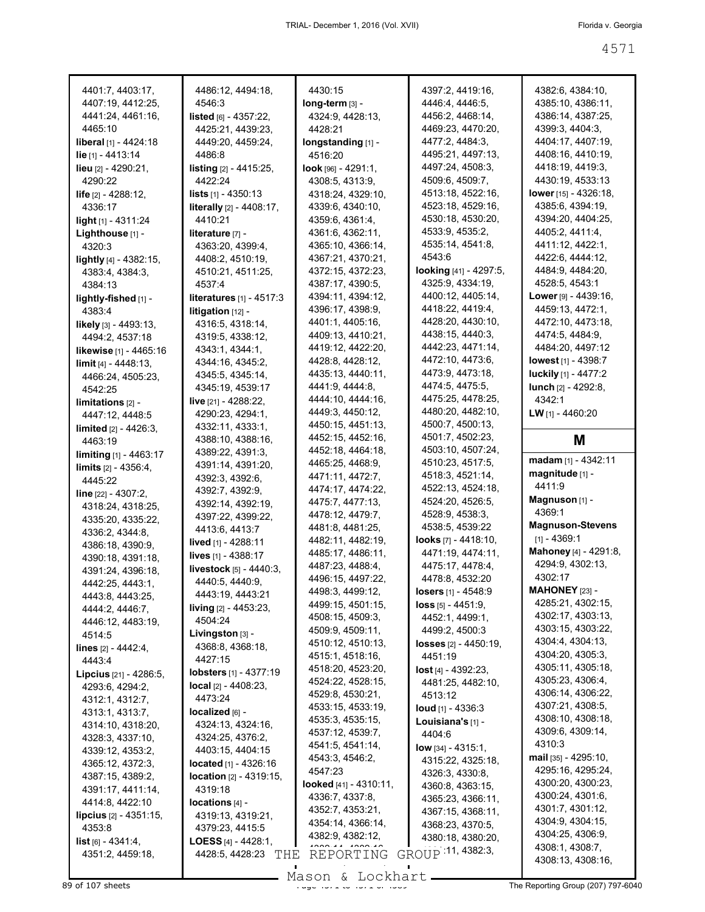| 4401:7, 4403:17,                       | 4486:12, 4494:18,                 | 4430:15                | 4397:2, 4419:16,                     | 4382:6, 4384:10,            |
|----------------------------------------|-----------------------------------|------------------------|--------------------------------------|-----------------------------|
| 4407:19, 4412:25,                      | 4546:3                            | long-term [3] -        | 4446:4, 4446:5,                      | 4385:10, 4386:11,           |
| 4441:24, 4461:16,                      | listed [6] - 4357:22,             | 4324:9, 4428:13,       | 4456:2, 4468:14,                     | 4386:14, 4387:25,           |
| 4465:10                                | 4425:21, 4439:23,                 | 4428:21                | 4469:23, 4470:20,                    | 4399:3, 4404:3,             |
| <b>liberal</b> [1] - 4424:18           | 4449:20, 4459:24,                 | longstanding [1] -     | 4477:2, 4484:3,                      | 4404:17, 4407:19,           |
| lie [1] - 4413:14                      | 4486:8                            | 4516:20                | 4495:21, 4497:13,                    | 4408:16, 4410:19,           |
|                                        | <b>listing</b> $[2] - 4415:25$ ,  | $look$ [96] - 4291:1,  | 4497:24, 4508:3,                     | 4418:19, 4419:3,            |
| <b>lieu</b> $[2] - 4290:21$            |                                   |                        |                                      | 4430:19, 4533:13            |
| 4290:22                                | 4422:24                           | 4308:5, 4313:9,        | 4509:6, 4509:7,<br>4513:18, 4522:16, | lower [15] - 4326:18,       |
| <b>life</b> $[2] - 4288:12$ ,          | lists [1] - 4350:13               | 4318:24, 4329:10,      |                                      |                             |
| 4336:17                                | <b>literally</b> [2] - 4408:17,   | 4339:6, 4340:10,       | 4523:18, 4529:16,                    | 4385:6, 4394:19,            |
| <b>light</b> $[1]$ - 4311:24           | 4410:21                           | 4359:6, 4361:4,        | 4530:18, 4530:20,                    | 4394:20, 4404:25,           |
| Lighthouse [1] -                       | <b>literature</b> $[7]$ -         | 4361:6, 4362:11,       | 4533.9, 4535.2,                      | 4405:2, 4411:4,             |
| 4320:3                                 | 4363:20, 4399:4,                  | 4365:10, 4366:14,      | 4535:14, 4541:8,                     | 4411:12, 4422:1,            |
| lightly [4] - 4382:15,                 | 4408:2, 4510:19,                  | 4367:21, 4370:21,      | 4543:6                               | 4422:6, 4444:12,            |
| 4383:4, 4384:3,                        | 4510:21, 4511:25,                 | 4372:15, 4372:23,      | looking [41] - 4297:5,               | 4484:9, 4484:20,            |
| 4384:13                                | 4537:4                            | 4387:17, 4390:5,       | 4325:9, 4334:19,                     | 4528:5, 4543:1              |
| lightly-fished [1] -                   | literatures [1] - 4517:3          | 4394:11, 4394:12,      | 4400:12, 4405:14,                    | <b>Lower</b> [9] - 4439:16, |
| 4383:4                                 | <b>litigation</b> $[12]$ -        | 4396:17, 4398:9,       | 4418:22, 4419:4,                     | 4459:13, 4472:1,            |
| <b>likely</b> $[3] - 4493:13$ ,        | 4316:5, 4318:14,                  | 4401:1, 4405:16,       | 4428:20, 4430:10,                    | 4472:10, 4473:18,           |
| 4494:2, 4537:18                        | 4319:5, 4338:12,                  | 4409:13, 4410:21,      | 4438:15, 4440:3,                     | 4474:5, 4484:9,             |
|                                        |                                   | 4419:12, 4422:20,      | 4442:23, 4471:14,                    | 4484:20, 4497:12            |
| likewise [1] - 4465:16                 | 4343:1, 4344:1,                   | 4428:8, 4428:12,       | 4472:10, 4473:6,                     | <b>lowest</b> [1] - 4398:7  |
| $\lim$ it [4] - 4448:13,               | 4344:16, 4345:2,                  |                        | 4473.9, 4473.18,                     | luckily [1] - 4477:2        |
| 4466:24, 4505:23,                      | 4345:5, 4345:14,                  | 4435:13, 4440:11,      |                                      |                             |
| 4542:25                                | 4345:19, 4539:17                  | 4441:9, 4444:8,        | 4474:5, 4475:5,                      | <b>lunch</b> $[2] - 4292:8$ |
| $limitations 22 -$                     | live $[21] - 4288:22$ ,           | 4444:10, 4444:16,      | 4475:25, 4478:25,                    | 4342:1                      |
| 4447:12, 4448:5                        | 4290:23, 4294:1,                  | 4449:3, 4450:12,       | 4480:20, 4482:10,                    | LW [1] - 4460:20            |
| $\lim$ ited $\left[2\right]$ - 4426:3, | 4332:11, 4333:1,                  | 4450:15, 4451:13,      | 4500:7, 4500:13,                     |                             |
| 4463:19                                | 4388:10, 4388:16,                 | 4452:15, 4452:16,      | 4501:7, 4502:23,                     | M                           |
| <b>limiting</b> $[1] - 4463:17$        | 4389:22, 4391:3,                  | 4452:18, 4464:18,      | 4503:10, 4507:24,                    |                             |
| <b>limits</b> $[2] - 4356:4$ ,         | 4391:14, 4391:20,                 | 4465:25, 4468:9,       | 4510:23, 4517:5,                     | madam $[1] - 4342:11$       |
| 4445:22                                | 4392:3, 4392:6,                   | 4471:11, 4472:7,       | 4518:3, 4521:14,                     | magnitude [1] -             |
| line $[22] - 4307:2$ ,                 | 4392:7, 4392:9,                   | 4474:17, 4474:22,      | 4522:13, 4524:18,                    | 4411:9                      |
| 4318:24, 4318:25,                      | 4392:14, 4392:19,                 | 4475:7, 4477:13,       | 4524:20, 4526:5,                     | Magnuson [1] -              |
|                                        | 4397:22, 4399:22,                 | 4478:12, 4479:7,       | 4528:9, 4538:3,                      | 4369:1                      |
| 4335:20, 4335:22,                      | 4413:6, 4413:7                    | 4481:8, 4481:25,       | 4538:5, 4539:22                      | <b>Magnuson-Stevens</b>     |
| 4336:2, 4344:8,                        | <b>lived</b> [1] - 4288:11        | 4482:11, 4482:19,      | <b>looks</b> [7] - 4418:10,          | $[1] - 4369:1$              |
| 4386:18, 4390:9,                       |                                   | 4485:17, 4486:11,      | 4471:19, 4474:11,                    | Mahoney [4] - 4291:8,       |
| 4390:18, 4391:18,                      | lives [1] - 4388:17               | 4487:23, 4488:4,       | 4475 17, 4478 4,                     | 4294:9, 4302:13,            |
| 4391:24, 4396:18,                      | <b>livestock</b> $[5] - 4440:3$ , | 4496:15, 4497:22,      | 4478.8, 4532:20                      | 4302:17                     |
| 4442:25, 4443:1,                       | 4440:5, 4440:9,                   | 4498:3, 4499:12,       | losers [1] - 4548:9                  | <b>MAHONEY</b> [23] -       |
| 4443:8, 4443:25,                       | 4443:19, 4443:21                  |                        |                                      | 4285:21, 4302:15,           |
| 4444:2, 4446:7,                        | living [2] - 4453:23,             | 4499:15, 4501:15,      | <b>loss</b> $[5] - 4451:9$ ,         | 4302:17, 4303:13,           |
| 4446:12, 4483:19,                      | 4504:24                           | 4508:15, 4509:3,       | 4452:1, 4499:1,                      | 4303:15, 4303:22,           |
| 4514:5                                 | Livingston $[3]$ -                | 4509:9, 4509:11,       | 4499:2, 4500:3                       |                             |
| lines [2] - 4442:4,                    | 4368:8, 4368:18,                  | 4510:12, 4510:13,      | <b>losses</b> $[2] - 4450:19$ ,      | 4304:4, 4304:13,            |
| 4443:4                                 | 4427:15                           | 4515:1, 4518:16,       | 4451:19                              | 4304:20, 4305:3,            |
| Lipcius [21] - 4286:5,                 | <b>lobsters</b> [1] - 4377:19     | 4518:20, 4523:20,      | lost [4] - 4392:23,                  | 4305:11, 4305:18,           |
| 4293:6, 4294:2,                        | <b>local</b> $[2] - 4408:23$ ,    | 4524:22, 4528:15,      | 4481:25, 4482:10,                    | 4305:23, 4306:4,            |
| 4312:1, 4312:7,                        | 4473:24                           | 4529:8, 4530:21,       | 4513:12                              | 4306:14, 4306:22,           |
| 4313:1, 4313:7,                        | $localized$ [6] -                 | 4533:15, 4533:19,      | <b>loud</b> $[1] - 4336:3$           | 4307:21, 4308:5,            |
| 4314:10, 4318:20,                      | 4324:13, 4324:16,                 | 4535:3, 4535:15,       | Louisiana's [1] -                    | 4308:10, 4308:18,           |
| 4328:3, 4337:10,                       | 4324:25, 4376:2,                  | 4537:12, 4539:7,       | 4404:6                               | 4309:6, 4309:14,            |
| 4339:12, 4353:2,                       | 4403:15, 4404:15                  | 4541:5, 4541:14,       | <b>low</b> [34] - 4315:1,            | 4310:3                      |
| 4365:12, 4372:3,                       | <b>located</b> $[1] - 4326:16$    | 4543:3, 4546:2,        | 4315:22, 4325:18,                    | mail [35] - 4295:10,        |
|                                        |                                   | 4547:23                | 4326:3, 4330:8,                      | 4295:16, 4295:24,           |
| 4387:15, 4389:2,                       | <b>location</b> $[2] - 4319:15$ , | looked [41] - 4310:11, | 4360:8, 4363:15,                     | 4300:20, 4300:23,           |
| 4391:17, 4411:14,                      | 4319:18                           | 4336:7, 4337:8,        | 4365:23, 4366:11,                    | 4300:24, 4301:6,            |
| 4414:8, 4422:10                        | locations $[4]$ -                 | 4352:7, 4353:21,       |                                      | 4301:7, 4301:12,            |
| <b>lipcius</b> $[2] - 4351:15$         | 4319:13, 4319:21,                 | 4354:14, 4366:14,      | 4367:15, 4368:11,                    | 4304:9, 4304:15,            |
| 4353:8                                 | 4379:23, 4415:5                   | 4382:9, 4382:12,       | 4368:23, 4370:5,                     | 4304:25, 4306:9,            |
| $list$ [6] - 4341:4,                   | LOESS $[4] - 4428:1,$             |                        | 4380:18, 4380:20,                    | 4308:1, 4308:7,             |
| 4351:2, 4459:18,                       | 4428:5, 4428:23<br>THE            | REPORTING              | GROUP 11, 4382:3,                    | 4308:13, 4308:16,           |
|                                        |                                   |                        |                                      |                             |

Mason & Lockhart **Page 4571 to 45**<br>B9 of 107 sheets **Page 1571 of 4589 The Reporting Group** (207) 797-6040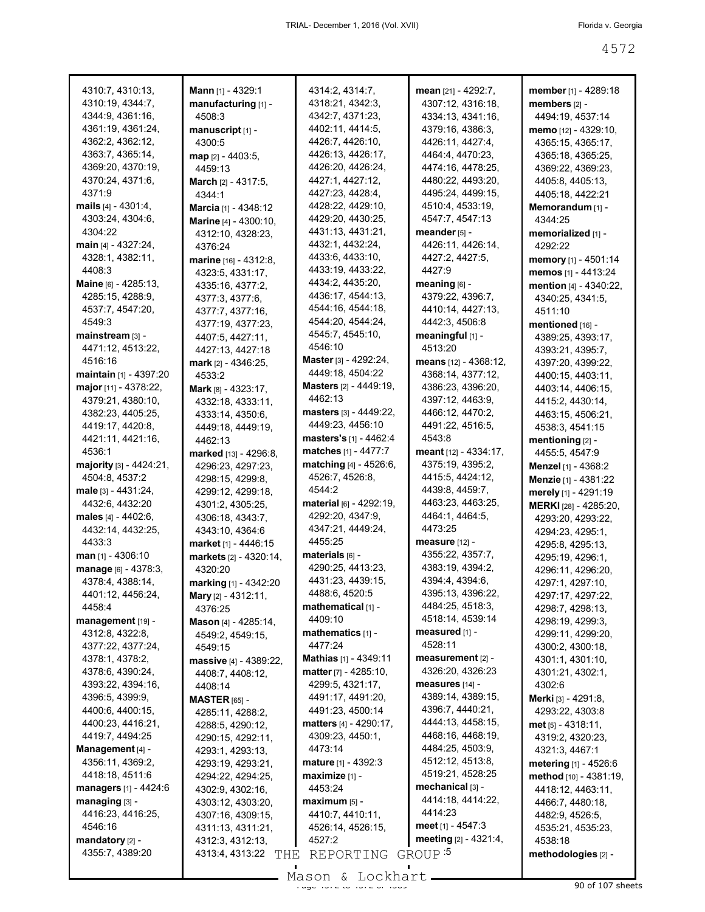| 4310:7, 4310:13,               | Mann [1] - 4329:1             | 4314:2, 4314:7,                 | mean [21] - 4292:7,           | member [1] - 4289:18        |
|--------------------------------|-------------------------------|---------------------------------|-------------------------------|-----------------------------|
| 4310:19, 4344:7,               | manufacturing [1] -           | 4318:21, 4342:3,                | 4307:12, 4316:18,             | members $[2]$ -             |
| 4344:9, 4361:16,               | 4508:3                        | 4342:7, 4371:23,                | 4334:13, 4341:16,             | 4494:19, 4537:14            |
| 4361:19, 4361:24,              | manuscript [1] -              | 4402:11, 4414:5,                | 4379:16, 4386:3,              | memo [12] - 4329:10,        |
| 4362:2, 4362:12,               | 4300:5                        | 4426:7, 4426:10,                | 4426:11, 4427:4,              | 4365:15, 4365:17,           |
| 4363:7, 4365:14,               | $map$ [2] - 4403:5,           | 4426:13, 4426:17,               | 4464:4, 4470:23,              | 4365:18, 4365:25,           |
| 4369:20, 4370:19,              | 4459:13                       | 4426:20, 4426:24,               | 4474:16, 4478:25,             | 4369:22, 4369:23,           |
| 4370:24, 4371:6,               | <b>March</b> $[2] - 4317:5$ , | 4427:1, 4427:12,                | 4480:22, 4493:20,             | 4405:8, 4405:13,            |
| 4371:9                         | 4344:1                        | 4427:23, 4428:4,                | 4495:24, 4499:15,             | 4405:18, 4422:21            |
| mails [4] - 4301:4,            | Marcia [1] - 4348:12          | 4428:22, 4429:10,               | 4510:4, 4533:19,              | Memorandum [1] -            |
| 4303:24, 4304:6,               | Marine [4] - 4300:10,         | 4429:20, 4430:25,               | 4547:7, 4547:13               | 4344:25                     |
| 4304:22                        | 4312:10, 4328:23,             | 4431:13, 4431:21,               | meander [5] -                 | memorialized [1] -          |
| main $[4] - 4327:24$ ,         | 4376:24                       | 4432:1, 4432:24,                | 4426:11, 4426:14,             | 4292:22                     |
| 4328:1, 4382:11,               | marine $[16] - 4312:8$ ,      | 4433:6, 4433:10,                | 4427:2, 4427:5,               | memory [1] - 4501:14        |
| 4408:3                         | 4323:5, 4331:17,              | 4433:19, 4433:22,               | 4427:9                        | memos [1] - 4413:24         |
| Maine [6] - 4285:13,           | 4335:16, 4377:2,              | 4434:2, 4435:20,                | meaning $[6]$ -               | mention [4] - 4340:22,      |
| 4285:15, 4288:9,               | 4377:3, 4377:6,               | 4436:17, 4544:13,               | 4379:22, 4396:7,              | 4340:25, 4341:5,            |
| 4537:7, 4547:20,               | 4377:7, 4377:16,              | 4544:16, 4544:18,               | 4410:14, 4427:13,             | 4511:10                     |
| 4549:3                         | 4377:19, 4377:23,             | 4544:20, 4544:24,               | 4442:3, 4506:8                | mentioned [16] -            |
| mainstream [3] -               | 4407:5, 4427:11,              | 4545:7, 4545:10,                | meaningful [1] -              | 4389:25, 4393:17,           |
| 4471:12, 4513:22,              | 4427:13, 4427:18              | 4546:10                         | 4513:20                       | 4393:21, 4395:7,            |
| 4516:16                        | mark $[2] - 4346:25$ ,        | <b>Master</b> [3] - 4292:24,    | <b>means</b> $[12] - 4368:12$ | 4397:20, 4399:22,           |
| <b>maintain</b> [1] - 4397:20  | 4533:2                        | 4449:18, 4504:22                | 4368:14, 4377:12,             | 4400:15, 4403:11,           |
| major [11] - 4378:22,          | <b>Mark</b> $[8] - 4323:17$ , | <b>Masters</b> [2] - 4449:19,   | 4386:23, 4396:20,             | 4403:14, 4406:15,           |
| 4379:21, 4380:10,              | 4332:18, 4333:11,             | 4462:13                         | 4397:12, 4463:9,              | 4415:2, 4430:14,            |
| 4382:23, 4405:25,              |                               | masters [3] - 4449:22,          | 4466:12, 4470:2,              |                             |
| 4419:17, 4420:8,               | 4333:14, 4350:6,              | 4449:23, 4456:10                | 4491:22, 4516:5,              | 4463:15, 4506:21,           |
| 4421:11, 4421:16,              | 4449:18, 4449:19,             | masters's [1] - 4462:4          | 4543:8                        | 4538:3, 4541:15             |
| 4536:1                         | 4462:13                       | matches [1] - 4477:7            | meant [12] - 4334:17,         | mentioning [2] -            |
|                                | marked [13] - 4296:8,         |                                 |                               | 4455:5, 4547:9              |
| majority $[3] - 4424:21$ ,     | 4296:23, 4297:23,             | matching [4] - 4526:6,          | 4375:19, 4395:2,              | Menzel [1] - 4368:2         |
| 4504:8, 4537:2                 | 4298:15, 4299:8,              | 4526:7, 4526:8,                 | 4415:5, 4424:12,              | <b>Menzie</b> [1] - 4381:22 |
| male [3] - 4431:24,            | 4299:12, 4299:18,             | 4544:2                          | 4439:8, 4459:7,               | merely [1] - 4291:19        |
| 4432:6, 4432:20                | 4301:2, 4305:25,              | material [6] - 4292:19,         | 4463:23, 4463:25,             | MERKI [28] - 4285:20,       |
| males $[4] - 4402:6$ ,         | 4306:18, 4343:7,              | 4292:20, 4347:9,                | 4464:1, 4464:5,               | 4293:20, 4293:22,           |
| 4432:14, 4432:25,              | 4343:10, 4364:6               | 4347:21, 4449:24,               | 4473:25                       | 4294:23, 4295:1,            |
| 4433:3                         | market [1] - 4446:15          | 4455:25                         | measure $[12]$ -              | 4295:8, 4295:13,            |
| man [1] - 4306:10              | markets [2] - 4320:14,        | materials [6] -                 | 4355:22, 4357:7,              | 4295:19, 4296:1,            |
| manage [6] - 4378:3,           | 4320:20                       | 4290:25, 4413:23,               | 4383:19, 4394:2,              | 4296:11, 4296:20,           |
| 4378:4, 4388:14,               | marking [1] - 4342:20         | 4431:23, 4439:15,               | 4394:4, 4394:6,               | 4297:1, 4297:10,            |
| 4401:12, 4456:24,              | Mary [2] - 4312:11,           | 4488:6, 4520:5                  | 4395:13, 4396:22,             | 4297:17, 4297:22,           |
| 4458:4                         | 4376:25                       | mathematical [1] -              | 4484:25, 4518:3,              | 4298:7, 4298:13,            |
| management [19] -              | Mason [4] - 4285:14,          | 4409:10                         | 4518:14, 4539:14              | 4298:19, 4299:3,            |
| 4312:8, 4322:8,                | 4549:2, 4549:15,              | mathematics [1] -               | measured $[1]$ -              | 4299:11, 4299:20,           |
| 4377:22, 4377:24,              | 4549:15                       | 4477:24                         | 4528:11                       | 4300:2, 4300:18,            |
| 4378:1, 4378:2,                | massive [4] - 4389:22,        | Mathias [1] - 4349:11           | measurement [2] -             | 4301:1, 4301:10,            |
| 4378:6, 4390:24,               | 4408:7, 4408:12,              | <b>matter</b> $[7] - 4285:10$ , | 4326:20, 4326:23              | 4301:21, 4302:1,            |
| 4393:22, 4394:16,              | 4408:14                       | 4299:5, 4321:17,                | measures [14] -               | 4302:6                      |
| 4396:5, 4399:9,                | <b>MASTER</b> $[65]$ -        | 4491:17, 4491:20,               | 4389:14, 4389:15,             | Merki [3] - 4291:8,         |
| 4400:6, 4400:15,               | 4285:11, 4288:2,              | 4491:23, 4500:14                | 4396:7, 4440:21,              | 4293:22, 4303:8             |
| 4400:23, 4416:21,              | 4288:5, 4290:12,              | matters [4] - 4290:17,          | 4444:13, 4458:15,             | met [5] - 4318:11,          |
| 4419:7, 4494:25                | 4290:15, 4292:11,             | 4309:23, 4450:1,                | 4468:16, 4468:19,             | 4319:2, 4320:23,            |
| Management [4] -               | 4293:1, 4293:13,              | 4473:14                         | 4484:25, 4503:9,              | 4321:3, 4467:1              |
| 4356:11, 4369:2,               | 4293:19, 4293:21,             | mature [1] - 4392:3             | 4512:12, 4513:8,              | metering [1] - 4526:6       |
| 4418:18, 4511:6                | 4294:22, 4294:25,             | maximize [1] -                  | 4519:21, 4528:25              | method $[10] - 4381:19$ ,   |
| <b>managers</b> $[1] - 4424:6$ | 4302:9, 4302:16,              | 4453:24                         | mechanical [3] -              | 4418:12, 4463:11,           |
| $m$ anaging [3] -              | 4303:12, 4303:20,             | $maximum$ [5] -                 | 4414:18, 4414:22,             | 4466:7, 4480:18,            |
| 4416:23, 4416:25,              | 4307:16, 4309:15,             | 4410:7, 4410:11,                | 4414:23                       | 4482:9, 4526:5,             |
| 4546:16                        | 4311:13, 4311:21,             | 4526:14, 4526:15,               | meet $[1] - 4547:3$           | 4535:21, 4535:23,           |
| mandatory [2] -                | 4312:3, 4312:13,              | 4527:2                          | meeting [2] - 4321:4,         | 4538:18                     |
| 4355:7, 4389:20                | 4313:4, 4313:22<br>THE        | REPORTING GROUP <sup>5</sup>    |                               | methodologies [2] -         |
|                                |                               |                                 |                               |                             |
|                                |                               |                                 |                               |                             |

Mason & Lockhart <u>entitled</u> and the 450 of 107 sheets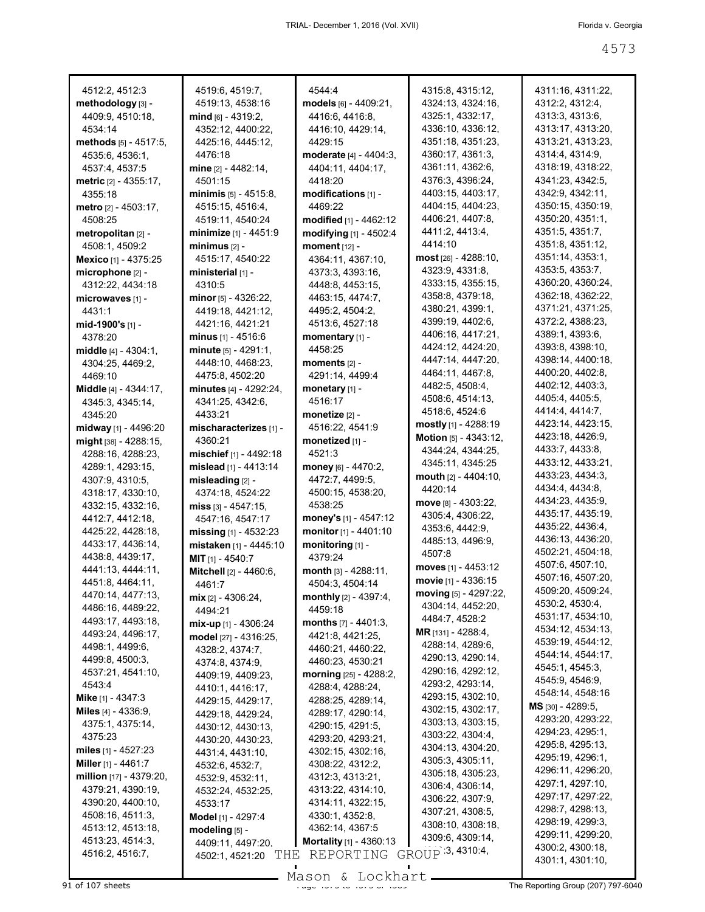| 4512:2, 4512:3               | 4519:6, 4519:7,                  | 4544:4                           | 4315:8, 4315:12,             | 4311:16, 4311:22,        |
|------------------------------|----------------------------------|----------------------------------|------------------------------|--------------------------|
| methodology [3] -            | 4519:13, 4538:16                 | models [6] - 4409:21,            | 4324:13, 4324:16,            | 4312:2, 4312:4,          |
| 4409:9, 4510:18,             | $mid_{[6]}$ - 4319:2,            | 4416:6, 4416:8,                  | 4325:1, 4332:17,             | 4313:3, 4313:6,          |
| 4534:14                      | 4352:12, 4400:22,                | 4416:10, 4429:14,                | 4336:10, 4336:12,            | 4313:17, 4313:20,        |
|                              |                                  |                                  |                              |                          |
| methods $[5] - 4517:5$ ,     | 4425:16, 4445:12,                | 4429:15                          | 4351:18, 4351:23,            | 4313:21, 4313:23,        |
| 4535:6, 4536:1,              | 4476:18                          | <b>moderate</b> $[4] - 4404:3$   | 4360:17, 4361:3,             | 4314:4, 4314:9,          |
| 4537:4, 4537:5               | mine [2] - 4482:14,              | 4404:11, 4404:17,                | 4361:11, 4362:6,             | 4318:19, 4318:22,        |
| <b>metric</b> [2] - 4355:17, | 4501:15                          | 4418:20                          | 4376:3, 4396:24,             | 4341:23, 4342:5,         |
| 4355:18                      | minimis $[5] - 4515.8$           | modifications [1] -              | 4403:15, 4403:17,            | 4342:9, 4342:11,         |
| <b>metro</b> [2] - 4503:17,  | 4515:15, 4516:4,                 | 4469:22                          | 4404:15, 4404:23,            | 4350:15, 4350:19,        |
| 4508:25                      | 4519:11, 4540:24                 | <b>modified</b> [1] - 4462:12    | 4406:21, 4407:8,             | 4350:20, 4351:1,         |
| metropolitan [2] -           | <b>minimize</b> [1] - 4451:9     | modifying [1] - 4502:4           | 4411:2, 4413:4,              | 4351:5, 4351:7,          |
| 4508:1, 4509:2               | $minimus_{[2]}$ -                | moment [12] -                    | 4414:10                      | 4351:8, 4351:12,         |
| <b>Mexico</b> [1] - 4375:25  | 4515:17, 4540:22                 | 4364:11, 4367:10,                | <b>most</b> [26] - 4288:10,  | 4351:14, 4353:1,         |
|                              |                                  |                                  | 4323:9, 4331:8,              | 4353:5, 4353:7,          |
| microphone [2] -             | ministerial $[1]$ -              | 4373:3, 4393:16,                 |                              |                          |
| 4312:22, 4434:18             | 4310:5                           | 4448:8, 4453:15,                 | 4333:15, 4355:15,            | 4360:20, 4360:24,        |
| microwaves [1] -             | minor $[5]$ - 4326:22,           | 4463:15, 4474:7,                 | 4358:8, 4379:18,             | 4362:18, 4362:22,        |
| 4431:1                       | 4419:18, 4421:12,                | 4495:2, 4504:2,                  | 4380:21, 4399:1,             | 4371:21, 4371:25,        |
| mid-1900's [1] -             | 4421:16, 4421:21                 | 4513:6, 4527:18                  | 4399:19, 4402:6,             | 4372:2, 4388:23,         |
| 4378:20                      | <b>minus</b> $[1] - 4516:6$      | momentary [1] -                  | 4406:16, 4417:21,            | 4389:1, 4393:6,          |
| <b>middle</b> [4] - 4304:1,  | minute $[5] - 4291:1$ ,          | 4458:25                          | 4424:12, 4424:20,            | 4393:8, 4398:10,         |
| 4304:25, 4469:2,             | 4448:10, 4468:23,                | moments $[2]$ -                  | 4447:14, 4447:20,            | 4398:14, 4400:18,        |
|                              | 4475:8, 4502:20                  | 4291:14, 4499:4                  | 4464:11, 4467:8,             | 4400:20, 4402:8,         |
| 4469:10                      |                                  |                                  | 4482:5, 4508:4,              | 4402:12, 4403:3,         |
| Middle [4] - 4344:17,        | minutes [4] - 4292:24,           | monetary $[1]$ -                 | 4508:6, 4514:13,             | 4405:4, 4405:5,          |
| 4345:3, 4345:14,             | 4341:25, 4342:6,                 | 4516:17                          |                              | 4414:4, 4414:7,          |
| 4345:20                      | 4433:21                          | monetize $[2]$ -                 | 4518:6, 4524:6               |                          |
| midway [1] - 4496:20         | mischaracterizes [1] -           | 4516:22, 4541:9                  | mostly $[1]$ - 4288:19       | 4423:14, 4423:15,        |
| might [38] - 4288:15,        | 4360:21                          | monetized [1] -                  | <b>Motion</b> [5] - 4343:12, | 4423:18, 4426:9,         |
| 4288:16, 4288:23,            | mischief $[1] - 4492:18$         | 4521:3                           | 4344:24, 4344:25,            | 4433:7, 4433:8,          |
| 4289:1, 4293:15,             | mislead [1] - 4413:14            | money [6] - 4470:2,              | 4345:11, 4345:25             | 4433:12, 4433:21,        |
| 4307:9, 4310:5,              | misleading $[2]$ -               | 4472:7, 4499:5,                  | mouth $[2] - 4404:10,$       | 4433:23, 4434:3,         |
| 4318:17, 4330:10,            | 4374:18, 4524:22                 | 4500:15, 4538:20,                | 4420:14                      | 4434:4, 4434:8,          |
|                              |                                  | 4538:25                          | <b>move</b> [8] - 4303:22,   | 4434:23, 4435:9,         |
| 4332:15, 4332:16,            | miss $\left[3\right]$ - 4547:15, |                                  | 4305:4, 4306:22,             | 4435:17, 4435:19,        |
| 4412:7, 4412:18,             | 4547:16, 4547:17                 | money's $[1] - 4547:12$          | 4353:6, 4442:9,              | 4435:22, 4436:4,         |
| 4425:22, 4428:18,            | missing $[1]$ - 4532:23          | monitor [1] - 4401:10            |                              | 4436:13, 4436:20,        |
| 4433:17, 4436:14,            | mistaken [1] - 4445:10           | monitoring [1] -                 | 4485:13, 4496:9,             | 4502:21, 4504:18,        |
| 4438:8, 4439:17,             | <b>MIT</b> $[1]$ - 4540:7        | 4379:24                          | 4507:8                       |                          |
| 4441:13, 4444:11,            | <b>Mitchell</b> [2] - 4460:6,    | month $[3] - 4288:11$ ,          | moves [1] - 4453:12          | 4507:6, 4507:10,         |
| 4451:8, 4464:11,             | 4461:7                           | 4504:3, 4504:14                  | movie [1] - 4336:15          | 4507:16, 4507:20,        |
| 4470:14, 4477:13,            | mix [2] - 4306:24,               | monthly [2] - 4397:4,            | moving [5] - 4297:22,        | 4509:20, 4509:24,        |
| 4486:16, 4489:22,            | 4494:21                          | 4459:18                          | 4304:14, 4452:20,            | 4530:2, 4530:4,          |
| 4493:17, 4493:18,            |                                  | months $[7] - 4401:3$ ,          | 4484:7, 4528:2               | 4531:17, 4534:10,        |
| 4493:24, 4496:17,            | mix-up [1] - 4306:24             | 4421:8, 4421:25,                 | MR [131] - 4288:4,           | 4534:12, 4534:13,        |
| 4498:1, 4499:6,              | model [27] - 4316:25,            |                                  | 4288:14, 4289:6,             | 4539:19, 4544:12,        |
|                              | 4328:2, 4374:7,                  | 4460:21, 4460:22,                | 4290:13, 4290:14,            | 4544:14, 4544:17,        |
| 4499:8, 4500:3,              | 4374:8, 4374:9,                  | 4460:23, 4530:21                 |                              | 4545:1, 4545:3,          |
| 4537:21, 4541:10,            | 4409:19, 4409:23,                | morning [25] - 4288:2,           | 4290:16, 4292:12,            | 4545:9, 4546:9,          |
| 4543:4                       | 4410:1, 4416:17,                 | 4288:4, 4288:24,                 | 4293:2, 4293:14,             | 4548:14, 4548:16         |
| Mike [1] - 4347:3            | 4429:15, 4429:17,                | 4288:25, 4289:14,                | 4293:15, 4302:10,            |                          |
| <b>Miles</b> $[4] - 4336:9,$ | 4429:18, 4429:24,                | 4289:17, 4290:14,                | 4302:15, 4302:17,            | <b>MS</b> [30] - 4289:5, |
| 4375:1, 4375:14,             | 4430:12, 4430:13,                | 4290:15, 4291:5,                 | 4303:13, 4303:15,            | 4293:20, 4293:22,        |
| 4375:23                      | 4430:20, 4430:23,                | 4293:20, 4293:21,                | 4303:22, 4304:4,             | 4294:23, 4295:1,         |
| miles $[1] - 4527:23$        | 4431:4, 4431:10,                 | 4302:15, 4302:16,                | 4304:13, 4304:20,            | 4295:8, 4295:13,         |
| Miller $[1]$ - 4461:7        |                                  | 4308:22, 4312:2,                 | 4305:3, 4305:11,             | 4295:19, 4296:1,         |
| million [17] - 4379:20,      | 4532:6, 4532:7,                  | 4312:3, 4313:21,                 | 4305:18, 4305:23,            | 4296:11, 4296:20,        |
| 4379:21, 4390:19,            | 4532:9, 4532:11,                 |                                  | 4306:4, 4306:14,             | 4297:1, 4297:10,         |
|                              | 4532:24, 4532:25,                | 4313:22, 4314:10,                | 4306:22, 4307:9,             | 4297:17, 4297:22,        |
| 4390:20, 4400:10,            | 4533:17                          | 4314:11, 4322:15,                | 4307:21, 4308:5,             | 4298:7, 4298:13,         |
| 4508:16, 4511:3,             | Model [1] - 4297:4               | 4330:1, 4352:8,                  |                              | 4298:19, 4299:3,         |
| 4513:12, 4513:18,            | modeling [5] -                   | 4362:14, 4367:5                  | 4308:10, 4308:18,            | 4299:11, 4299:20,        |
| 4513:23, 4514:3,             | 4409:11, 4497:20,                | <b>Mortality</b> $[1] - 4360:13$ | 4309:6, 4309:14,             | 4300:2, 4300:18,         |
| 4516:2, 4516:7,              | THE<br>4502:1, 4521:20           | REPORTING                        | GROUP 3, 4310:4,             |                          |
|                              |                                  |                                  |                              | 4301:1, 4301:10,         |

Mason & Lockhart **Page 4573 of 107 sheets** Page 4573 to 4589 Mason & Lockhart **Page 4573 of 468** The Reporting Group (207) 797-6040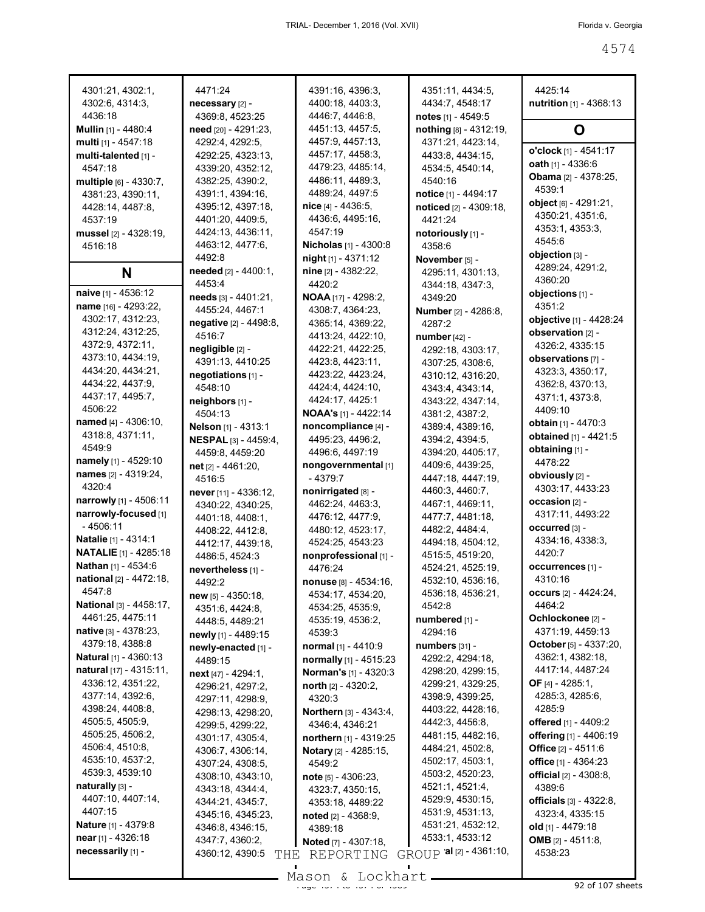| 4301:21, 4302:1,                  | 4471:24                                   | 4391:16, 4396:3,                      | 4351:11, 4434:5,                      | 4425:14                         |
|-----------------------------------|-------------------------------------------|---------------------------------------|---------------------------------------|---------------------------------|
| 4302:6, 4314:3,                   | necessary [2] -                           | 4400:18, 4403:3,                      | 4434:7, 4548:17                       | nutrition [1] - 4368:13         |
| 4436:18                           | 4369:8, 4523:25                           | 4446:7, 4446:8,                       | notes [1] - 4549:5                    |                                 |
| Mullin [1] - 4480:4               | need [20] - 4291:23,                      | 4451:13, 4457:5,                      | nothing [8] - 4312:19,                | O                               |
| multi [1] - 4547:18               | 4292:4, 4292:5,                           | 4457:9, 4457:13,                      | 4371:21, 4423:14,                     |                                 |
| multi-talented [1] -              | 4292:25, 4323:13,                         | 4457:17, 4458:3,                      | 4433.8, 4434:15,                      | o'clock [1] - 4541:17           |
| 4547:18                           | 4339:20, 4352:12,                         | 4479:23, 4485:14,                     | 4534:5, 4540:14,                      | oath [1] - 4336:6               |
| multiple [6] - 4330:7,            | 4382:25, 4390:2,                          | 4486:11, 4489:3,                      | 4540:16                               | Obama [2] - 4378:25,            |
| 4381:23, 4390:11,                 | 4391:1, 4394:16,                          | 4489:24, 4497:5                       | notice [1] - 4494:17                  | 4539.1                          |
| 4428:14, 4487:8,                  | 4395:12, 4397:18,                         | nice [4] - 4436:5,                    | noticed [2] - 4309:18,                | object [6] - 4291:21,           |
| 4537:19                           | 4401:20, 4409:5,                          | 4436:6, 4495:16,                      | 4421:24                               | 4350:21, 4351:6,                |
| mussel [2] - 4328:19,             | 4424:13, 4436:11,                         | 4547:19                               | notoriously [1] -                     | 4353:1, 4353:3,                 |
| 4516:18                           | 4463:12, 4477:6,                          | <b>Nicholas</b> [1] - 4300:8          | 4358:6                                | 4545:6<br>objection [3] -       |
|                                   | 4492:8                                    | $night$ [1] - 4371:12                 | November [5] -                        | 4289:24, 4291:2,                |
| N                                 | needed [2] - 4400:1,                      | nine [2] - 4382:22,                   | 4295:11, 4301:13,                     | 4360:20                         |
| naive [1] - 4536:12               | 4453:4                                    | 4420:2                                | 4344:18, 4347:3,                      | objections [1] -                |
| name [16] - 4293:22,              | needs [3] - 4401:21,                      | <b>NOAA</b> [17] - 4298:2,            | 4349:20                               | 4351:2                          |
| 4302:17, 4312:23,                 | 4455:24, 4467:1                           | 4308:7, 4364:23,                      | Number [2] - 4286:8,                  | objective [1] - 4428:24         |
| 4312:24, 4312:25,                 | negative [2] - 4498:8,<br>4516:7          | 4365:14, 4369:22,                     | 4287:2                                | observation [2] -               |
| 4372:9, 4372:11,                  |                                           | 4413:24, 4422:10,                     | number [42] -                         | 4326:2, 4335:15                 |
| 4373:10, 4434:19,                 | negligible [2] -<br>4391:13, 4410:25      | 4422:21, 4422:25,<br>4423:8, 4423:11, | 4292:18, 4303:17,                     | observations [7] -              |
| 4434:20, 4434:21,                 | negotiations [1] -                        | 4423:22, 4423:24,                     | 4307:25, 4308:6,<br>4310:12, 4316:20, | 4323:3, 4350:17,                |
| 4434:22, 4437:9,                  | 4548:10                                   | 4424:4, 4424:10,                      | 4343:4, 4343:14,                      | 4362:8, 4370:13,                |
| 4437:17, 4495:7,                  | neighbors [1] -                           | 4424:17, 4425:1                       | 4343:22, 4347:14,                     | 4371:1, 4373:8,                 |
| 4506:22                           | 4504:13                                   | <b>NOAA's</b> [1] - 4422:14           | 4381:2, 4387:2,                       | 4409:10                         |
| named [4] - 4306:10,              | Nelson [1] - 4313:1                       | noncompliance [4] -                   | 4389:4, 4389:16,                      | obtain [1] - 4470:3             |
| 4318:8, 4371:11,                  | <b>NESPAL</b> [3] - 4459:4,               | 4495:23, 4496:2,                      | 4394:2, 4394:5,                       | obtained [1] - 4421:5           |
| 4549.9                            | 4459:8, 4459:20                           | 4496:6, 4497:19                       | 4394:20, 4405:17,                     | obtaining [1] -                 |
| namely [1] - 4529:10              | net [2] - 4461:20,                        | nongovernmental [1]                   | 4409:6, 4439:25,                      | 4478:22                         |
| names [2] - 4319:24,              | 4516:5                                    | - 4379:7                              | 4447:18, 4447:19,                     | obviously [2] -                 |
| 4320:4                            | never [11] - 4336:12,                     | nonirrigated [8] -                    | 4460:3, 4460:7,                       | 4303:17, 4433:23                |
| narrowly [1] - 4506:11            | 4340:22, 4340:25,                         | 4462:24, 4463:3,                      | 4467:1, 4469:11,                      | occasion [2] -                  |
| narrowly-focused [1]              | 4401:18, 4408:1,                          | 4476:12, 4477:9,                      | 4477:7, 4481:18,                      | 4317:11, 4493:22                |
| - 4506:11                         | 4408:22, 4412:8,                          | 4480:12, 4523:17,                     | 4482:2, 4484:4,                       | occurred [3] -                  |
| <b>Natalie</b> [1] - 4314:1       | 4412:17, 4439:18,                         | 4524:25, 4543:23                      | 4494:18, 4504:12,                     | 4334:16, 4338:3,                |
| <b>NATALIE</b> [1] - 4285:18      | 4486:5, 4524:3                            | nonprofessional [1] -                 | 4515:5, 4519:20,                      | 4420:7                          |
| Nathan [1] - 4534:6               | nevertheless [1] -                        | 4476:24                               | 4524:21, 4525:19,                     | occurrences [1] -               |
| national [2] - 4472:18,<br>4547:8 | 4492:2                                    | nonuse [8] - 4534:16,                 | 4532:10, 4536:16,                     | 4310:16                         |
| <b>National</b> [3] - 4458:17,    | new [5] - 4350:18,                        | 4534:17, 4534:20,                     | 4536:18, 4536:21,                     | occurs [2] - 4424:24,<br>4464:2 |
| 4461:25, 4475:11                  | 4351:6, 4424:8,                           | 4534:25, 4535:9,                      | 4542:8                                | Ochlockonee [2] -               |
| native [3] - 4378:23,             | 4448:5, 4489:21                           | 4535:19, 4536:2,                      | numbered [1] -<br>4294:16             | 4371:19, 4459:13                |
| 4379:18, 4388:8                   | newly [1] - 4489:15                       | 4539:3<br>normal [1] - 4410:9         | numbers [31] -                        | <b>October</b> [5] - 4337:20,   |
| <b>Natural</b> [1] - 4360:13      | newly-enacted [1] -                       | normally [1] - 4515:23                | 4292:2, 4294:18,                      | 4362:1, 4382:18,                |
| natural $[17] - 4315:11$ ,        | 4489:15                                   | <b>Norman's</b> [1] - 4320:3          | 4298:20, 4299:15,                     | 4417:14, 4487:24                |
| 4336:12, 4351:22,                 | $next$ [47] - 4294:1,<br>4296:21, 4297:2, | north $[2] - 4320:2$ ,                | 4299:21, 4329:25,                     | <b>OF</b> [4] - 4285:1,         |
| 4377:14, 4392:6,                  | 4297:11, 4298:9,                          | 4320:3                                | 4398:9, 4399:25,                      | 4285:3, 4285:6,                 |
| 4398:24, 4408:8,                  | 4298:13, 4298:20,                         | Northern [3] - 4343:4,                | 4403:22, 4428:16,                     | 4285:9                          |
| 4505:5, 4505:9,                   | 4299:5, 4299:22,                          | 4346:4, 4346:21                       | 4442:3, 4456:8,                       | offered [1] - 4409:2            |
| 4505:25, 4506:2,                  | 4301:17, 4305:4,                          | northern [1] - 4319:25                | 4481:15, 4482:16,                     | offering [1] - 4406:19          |
| 4506:4, 4510:8,                   | 4306:7, 4306:14,                          | Notary [2] - 4285:15,                 | 4484:21, 4502:8,                      | Office $[2] - 4511.6$           |
| 4535:10, 4537:2,                  | 4307:24, 4308:5,                          | 4549:2                                | 4502:17, 4503:1,                      | office [1] - 4364:23            |
| 4539:3, 4539:10                   | 4308:10, 4343:10,                         | note [5] - 4306:23,                   | 4503:2, 4520:23,                      | <b>official</b> $[2] - 4308:8$  |
| naturally $[3]$ -                 | 4343:18, 4344:4,                          | 4323:7, 4350:15,                      | 4521:1, 4521:4,                       | 4389:6                          |
| 4407:10, 4407:14,                 | 4344:21, 4345:7,                          | 4353:18, 4489:22                      | 4529:9, 4530:15,                      | <b>officials</b> [3] - 4322:8,  |
| 4407:15                           | 4345:16, 4345:23,                         | noted $[2] - 4368:9$ ,                | 4531:9, 4531:13,                      | 4323:4, 4335:15                 |
| <b>Nature</b> [1] - 4379:8        | 4346:8, 4346:15,                          | 4389:18                               | 4531:21, 4532:12,                     | old [1] - 4479:18               |
| near [1] - 4326:18                | 4347:7, 4360:2,                           | <b>Noted</b> [7] - 4307:18,           | 4533:1, 4533:12                       | <b>OMB</b> $[2] - 4511:8$       |
| necessarily [1] -                 | 4360:12, 4390:5<br>THE                    | REPORTING                             | GROUP al [2] - 4361:10,               | 4538:23                         |

 $\frac{25}{3}$ Mason & Lockhart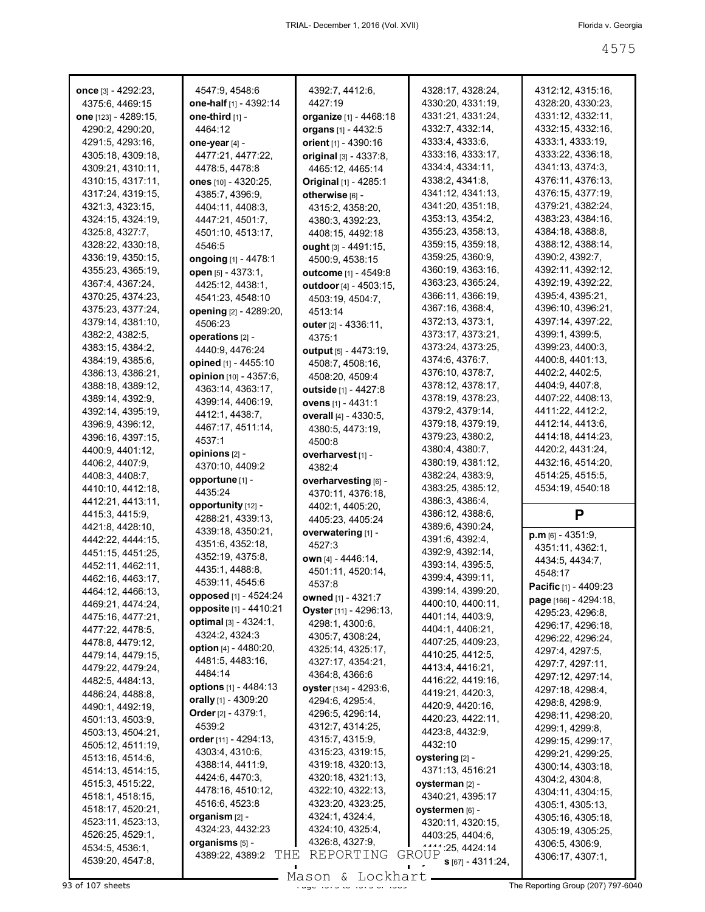| <b>once</b> [3] - 4292:23,           | 4547:9, 4548:6                | 4392:7, 4412:6,             | 4328:17, 4328:24,                      | 4312:12, 4315:16,                    |
|--------------------------------------|-------------------------------|-----------------------------|----------------------------------------|--------------------------------------|
| 4375:6, 4469:15                      | one-half [1] - 4392:14        | 4427:19                     | 4330:20, 4331:19,                      | 4328:20, 4330:23,                    |
| one [123] - 4289:15,                 | one-third [1] -               | organize [1] - 4468:18      | 4331:21, 4331:24,                      | 4331:12, 4332:11,                    |
| 4290:2, 4290:20,                     | 4464:12                       | organs [1] - 4432:5         | 4332:7, 4332:14,                       | 4332:15, 4332:16,                    |
| 4291:5, 4293:16,                     | one-year $[4]$ -              | orient [1] - 4390:16        | 4333:4, 4333:6,                        | 4333:1, 4333:19,                     |
| 4305:18, 4309:18,                    | 4477:21, 4477:22,             | original [3] - 4337:8,      | 4333:16, 4333:17,                      | 4333:22, 4336:18,                    |
| 4309:21, 4310:11,                    | 4478:5, 4478:8                | 4465:12, 4465:14            | 4334:4, 4334:11,                       | 4341:13, 4374:3,                     |
| 4310:15, 4317:11,                    | ones [10] - 4320:25,          | Original [1] - 4285:1       | 4338:2, 4341:8,                        | 4376:11, 4376:13,                    |
| 4317:24, 4319:15,                    | 4385:7, 4396:9,               | otherwise [6] -             | 4341:12, 4341:13,                      | 4376:15, 4377:19,                    |
| 4321:3, 4323:15,                     | 4404:11, 4408:3,              | 4315:2, 4358:20,            | 4341:20, 4351:18,                      | 4379:21, 4382:24,                    |
| 4324:15, 4324:19,                    | 4447:21, 4501:7,              | 4380:3, 4392:23,            | 4353:13, 4354:2,                       | 4383:23, 4384:16,                    |
| 4325:8, 4327:7,                      | 4501:10, 4513:17,             | 4408:15, 4492:18            | 4355:23, 4358:13,                      | 4384:18, 4388:8,                     |
| 4328:22, 4330:18,                    | 4546:5                        | ought $[3] - 4491:15$ ,     | 4359:15, 4359:18,                      | 4388:12, 4388:14,                    |
| 4336:19, 4350:15,                    | ongoing [1] - 4478:1          | 4500:9, 4538:15             | 4359:25, 4360:9,                       | 4390:2, 4392:7,                      |
| 4355:23, 4365:19,                    | open [5] - 4373:1,            | outcome [1] - 4549:8        | 4360:19, 4363:16,                      | 4392:11, 4392:12,                    |
| 4367:4, 4367:24,                     | 4425:12, 4438:1,              | outdoor [4] - 4503:15,      | 4363:23, 4365:24,                      | 4392:19, 4392:22,                    |
| 4370:25, 4374:23,                    | 4541:23, 4548:10              | 4503:19, 4504:7,            | 4366:11, 4366:19,                      | 4395:4, 4395:21,                     |
| 4375:23, 4377:24,                    | <b>opening</b> [2] - 4289:20, | 4513:14                     | 4367:16, 4368:4,<br>4372:13, 4373:1,   | 4396:10, 4396:21,                    |
| 4379:14, 4381:10,                    | 4506:23                       | outer $[2] - 4336:11,$      |                                        | 4397:14, 4397:22,                    |
| 4382:2, 4382:5,                      | operations [2] -              | 4375:1                      | 4373:17, 4373:21,                      | 4399:1, 4399:5,                      |
| 4383:15, 4384:2,                     | 4440:9, 4476:24               | output $[5] - 4473:19$ ,    | 4373:24, 4373:25,<br>4374:6, 4376:7,   | 4399:23, 4400:3,<br>4400:8, 4401:13, |
| 4384:19, 4385:6,                     | opined [1] - 4455:10          | 4508:7, 4508:16,            |                                        |                                      |
| 4386:13, 4386:21,                    | opinion [10] - 4357:6,        | 4508:20, 4509:4             | 4376:10, 4378:7,                       | 4402:2, 4402:5,<br>4404:9, 4407:8,   |
| 4388:18, 4389:12,                    | 4363:14, 4363:17,             | <b>outside</b> [1] - 4427:8 | 4378:12, 4378:17,<br>4378:19, 4378:23, | 4407:22, 4408:13,                    |
| 4389:14, 4392:9,                     | 4399:14, 4406:19,             | ovens [1] - 4431:1          | 4379:2, 4379:14,                       | 4411:22, 4412:2,                     |
| 4392:14, 4395:19,                    | 4412:1, 4438:7,               | overall [4] - 4330:5,       | 4379:18, 4379:19,                      | 4412:14, 4413:6,                     |
| 4396:9, 4396:12,                     | 4467:17, 4511:14,             | 4380:5, 4473:19,            | 4379:23, 4380:2,                       | 4414:18, 4414:23,                    |
| 4396:16, 4397:15,                    | 4537:1                        | 4500:8                      | 4380:4, 4380:7,                        | 4420:2, 4431:24,                     |
| 4400:9, 4401:12,                     | opinions [2] -                | overharvest [1] -           | 4380:19, 4381:12,                      | 4432:16, 4514:20,                    |
| 4406:2, 4407:9,                      | 4370:10, 4409:2               | 4382:4                      | 4382:24, 4383:9,                       | 4514:25, 4515:5,                     |
| 4408:3, 4408:7,                      | opportune [1] -               | overharvesting [6] -        |                                        |                                      |
|                                      |                               |                             |                                        |                                      |
| 4410:10, 4412:18,                    | 4435:24                       | 4370:11, 4376:18,           | 4383:25, 4385:12,                      | 4534:19, 4540:18                     |
| 4412:21, 4413:11,                    | opportunity [12] -            | 4402:1, 4405:20,            | 4386:3, 4386:4,                        |                                      |
| 4415:3, 4415:9,                      | 4288:21, 4339:13,             | 4405:23, 4405:24            | 4386:12, 4388:6,                       | P                                    |
| 4421:8, 4428:10,                     | 4339:18, 4350:21,             | overwatering [1] -          | 4389:6, 4390:24,                       | $p.m$ [6] - 4351:9,                  |
| 4442:22, 4444:15,                    | 4351:6, 4352:18,              | 4527:3                      | 4391:6, 4392:4,                        | 4351:11, 4362:1,                     |
| 4451:15, 4451:25,                    | 4352:19, 4375:8,              | <b>own</b> [4] - 4446:14,   | 4392:9, 4392:14,                       | 4434:5, 4434:7,                      |
| 4452:11, 4462:11,                    | 4435:1, 4488:8,               | 4501:11, 4520:14,           | 4393:14, 4395:5,                       | 4548:17                              |
| 4462:16, 4463:17,                    | 4539:11, 4545:6               | 4537:8                      | 4399:4, 4399:11,                       | Pacific [1] - 4409:23                |
| 4464:12, 4466:13,                    | opposed [1] - 4524:24         | owned [1] - 4321:7          | 4399:14, 4399:20,                      | page [166] - 4294:18,                |
| 4469:21, 4474:24,                    | opposite [1] - 4410:21        | Oyster [11] - 4296:13,      | 4400:10, 4400:11,                      | 4295:23, 4296:8,                     |
| 4475:16, 4477:21,                    | optimal [3] - 4324:1,         | 4298:1, 4300:6,             | 4401:14, 4403:9,                       | 4296:17, 4296:18,                    |
| 4477:22, 4478:5,                     | 4324:2, 4324:3                | 4305:7, 4308:24,            | 4404:1, 4406:21,                       | 4296:22, 4296:24,                    |
| 4478:8, 4479:12,                     | option [4] - 4480:20,         | 4325:14, 4325:17,           | 4407:25, 4409:23,                      | 4297:4, 4297:5,                      |
| 4479:14, 4479:15,                    | 4481:5, 4483:16,              | 4327:17, 4354:21,           | 4410:25, 4412:5,<br>4413:4, 4416:21,   | 4297:7, 4297:11,                     |
| 4479:22, 4479:24,                    | 4484:14                       | 4364:8, 4366:6              | 4416:22, 4419:16,                      | 4297:12, 4297:14,                    |
| 4482:5, 4484:13,                     | options [1] - 4484:13         | oyster [134] - 4293:6,      |                                        | 4297:18, 4298:4,                     |
| 4486:24, 4488:8,                     | orally [1] - 4309:20          | 4294:6, 4295:4,             | 4419:21, 4420:3,<br>4420:9, 4420:16,   | 4298:8, 4298:9,                      |
| 4490:1, 4492:19,<br>4501:13, 4503:9, | Order $[2] - 4379:1$ ,        | 4296:5, 4296:14,            | 4420:23, 4422:11,                      | 4298:11, 4298:20,                    |
| 4503:13, 4504:21,                    | 4539:2                        | 4312:7, 4314:25,            | 4423:8, 4432:9,                        | 4299:1, 4299:8,                      |
| 4505:12, 4511:19,                    | order [11] - 4294:13,         | 4315:7, 4315:9,             | 4432:10                                | 4299:15, 4299:17,                    |
| 4513:16, 4514:6,                     | 4303:4, 4310:6,               | 4315:23, 4319:15,           | oystering [2] -                        | 4299:21, 4299:25,                    |
| 4514:13, 4514:15,                    | 4388:14, 4411:9,              | 4319:18, 4320:13,           | 4371:13, 4516:21                       | 4300:14, 4303:18,                    |
| 4515:3, 4515:22,                     | 4424:6, 4470:3,               | 4320:18, 4321:13,           | oysterman [2] -                        | 4304:2, 4304:8,                      |
| 4518:1, 4518:15,                     | 4478:16, 4510:12,             | 4322:10, 4322:13,           | 4340:21, 4395:17                       | 4304:11, 4304:15,                    |
| 4518:17, 4520:21,                    | 4516:6, 4523:8                | 4323:20, 4323:25,           | oystermen [6] -                        | 4305:1, 4305:13,                     |
| 4523:11, 4523:13,                    | organism [2] -                | 4324:1, 4324:4,             | 4320:11, 4320:15,                      | 4305:16, 4305:18,                    |
| 4526:25, 4529:1,                     | 4324:23, 4432:23              | 4324:10, 4325:4,            | 4403:25, 4404:6,                       | 4305:19, 4305:25,                    |
| 4534:5, 4536:1,                      | organisms [5] -               | 4326:8, 4327:9,             | $1444 \cdot 25, 4424 \cdot 14$         | 4306:5, 4306:9,                      |
| 4539:20, 4547:8,                     | THE<br>4389:22, 4389:2        | REPORTING                   | GROUP<br>$S[67] - 4311:24,$            | 4306:17, 4307:1,                     |

Mason & Lockhart **Page 4575 of 107 sheets** Page 4575 to 46 and 458 Mason & Lockhart **Page 4575 of 46**<br>Page 1575 of 107 sheets Page 1575 of 1575 of 1575 of 1575 of 1575 of 1575 of 1575 of 1575 of 1575 of 1575 of 15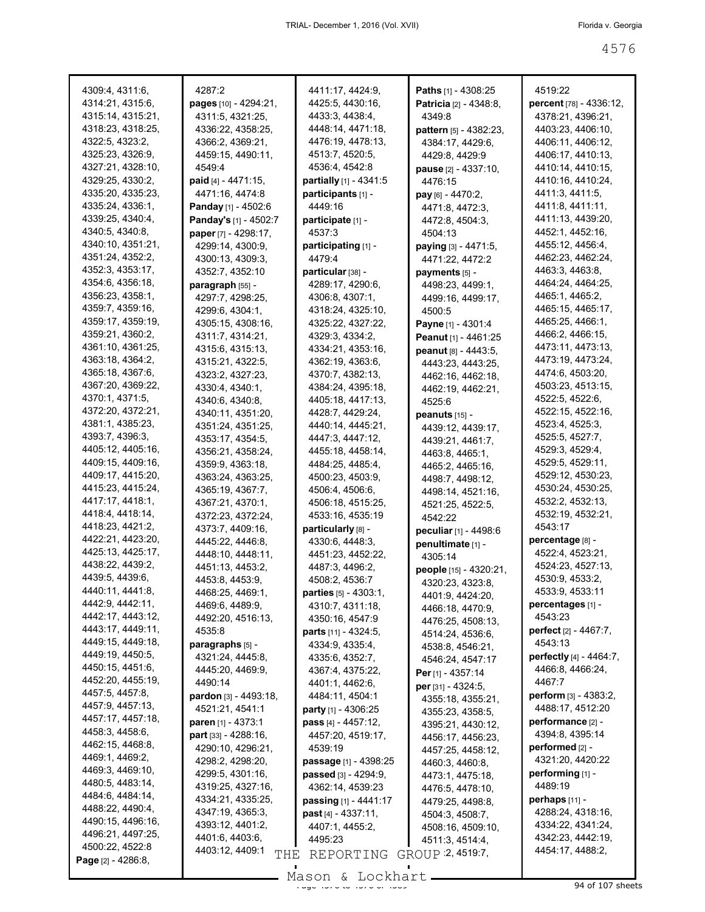| 4309:4, 4311:6,                        | 4287:2                       | 4411:17, 4424:9,                | <b>Paths</b> $[1] - 4308:25$  | 4519:22                         |
|----------------------------------------|------------------------------|---------------------------------|-------------------------------|---------------------------------|
| 4314:21, 4315:6,                       | <b>pages</b> [10] - 4294:21, | 4425:5, 4430:16,                | <b>Patricia</b> [2] - 4348:8, | <b>percent</b> [78] - 4336:12,  |
| 4315:14, 4315:21,                      | 4311:5, 4321:25,             | 4433:3, 4438:4,                 | 4349.8                        | 4378:21, 4396:21,               |
| 4318:23, 4318:25,                      | 4336:22, 4358:25,            | 4448:14, 4471:18,               | pattern [5] - 4382:23,        | 4403:23, 4406:10,               |
| 4322:5, 4323:2,                        | 4366:2, 4369:21,             | 4476:19, 4478:13,               | 4384:17, 4429:6,              | 4406:11, 4406:12,               |
| 4325:23, 4326:9,                       | 4459:15, 4490:11,            | 4513:7, 4520:5,                 | 4429:8, 4429:9                | 4406:17, 4410:13,               |
| 4327:21, 4328:10,                      | 4549:4                       | 4536:4, 4542:8                  | <b>pause</b> [2] - 4337:10,   | 4410:14, 4410:15,               |
| 4329:25, 4330:2,                       | <b>paid</b> [4] - 4471:15,   | partially [1] - 4341:5          | 4476:15                       | 4410:16, 4410:24,               |
| 4335:20, 4335:23,                      | 4471:16, 4474:8              | participants [1] -              | $pay [6] - 4470:2,$           | 4411:3, 4411:5,                 |
| 4335:24, 4336:1,                       | Panday [1] - 4502:6          | 4449:16                         | 4471:8, 4472:3,               | 4411:8, 4411:11,                |
| 4339:25, 4340:4,                       | Panday's [1] - 4502:7        | participate [1] -               | 4472:8, 4504:3,               | 4411:13, 4439:20,               |
| 4340:5, 4340:8,                        | paper [7] - 4298:17,         | 4537:3                          | 4504:13                       | 4452:1, 4452:16,                |
| 4340:10, 4351:21,                      | 4299:14, 4300:9,             | participating [1] -             | paying [3] - 4471:5,          | 4455:12, 4456:4,                |
| 4351:24, 4352:2,                       | 4300:13, 4309:3,             | 4479:4                          | 4471:22, 4472:2               | 4462:23, 4462:24,               |
| 4352:3, 4353:17,                       | 4352:7, 4352:10              | particular [38] -               | payments [5] -                | 4463:3, 4463:8,                 |
| 4354:6, 4356:18,                       | paragraph [55] -             | 4289:17, 4290:6,                | 4498:23, 4499:1,              | 4464:24, 4464:25,               |
| 4356:23, 4358:1,                       | 4297:7, 4298:25,             | 4306:8, 4307:1,                 | 4499:16, 4499:17,             | 4465:1, 4465:2,                 |
| 4359:7, 4359:16,                       | 4299:6, 4304:1,              | 4318:24, 4325:10,               | 4500:5                        | 4465:15, 4465:17,               |
| 4359:17, 4359:19,                      | 4305:15, 4308:16,            | 4325:22, 4327:22,               | Payne [1] - 4301:4            | 4465:25, 4466:1,                |
| 4359:21, 4360:2,                       | 4311:7, 4314:21,             | 4329:3, 4334:2,                 | Peanut [1] - 4461:25          | 4466:2, 4466:15,                |
| 4361:10, 4361:25,                      | 4315:6, 4315:13,             | 4334:21, 4353:16,               | peanut [8] - 4443:5,          | 4473:11, 4473:13,               |
| 4363:18, 4364:2,                       | 4315:21, 4322:5,             | 4362:19, 4363:6,                | 4443:23, 4443:25,             | 4473:19, 4473:24,               |
| 4365:18, 4367:6,                       | 4323:2, 4327:23,             | 4370:7, 4382:13,                | 4462:16, 4462:18,             | 4474:6, 4503:20,                |
| 4367:20, 4369:22,                      | 4330:4, 4340:1,              | 4384:24, 4395:18,               | 4462:19, 4462:21,             | 4503:23, 4513:15,               |
| 4370:1, 4371:5,                        | 4340:6, 4340:8,              | 4405:18, 4417:13,               | 4525:6                        | 4522:5, 4522:6,                 |
| 4372:20, 4372:21,                      | 4340:11, 4351:20,            | 4428:7, 4429:24,                | peanuts $[15]$ -              | 4522:15, 4522:16,               |
| 4381:1, 4385:23,                       | 4351:24, 4351:25,            | 4440:14, 4445:21,               | 4439:12, 4439:17,             | 4523:4, 4525:3,                 |
| 4393:7, 4396:3,                        | 4353:17, 4354:5,             | 4447:3, 4447:12,                | 4439:21, 4461:7,              | 4525:5, 4527:7,                 |
| 4405:12, 4405:16,                      | 4356:21, 4358:24,            | 4455:18, 4458:14,               | 4463:8, 4465:1,               | 4529:3, 4529:4,                 |
| 4409:15, 4409:16,                      | 4359:9, 4363:18,             | 4484:25, 4485:4,                | 4465:2, 4465:16,              | 4529:5, 4529:11,                |
| 4409:17, 4415:20,                      | 4363:24, 4363:25,            | 4500:23, 4503:9,                | 4498:7, 4498:12,              | 4529:12, 4530:23,               |
| 4415:23, 4415:24,                      | 4365:19, 4367:7,             | 4506:4, 4506:6,                 | 4498:14, 4521:16,             | 4530:24, 4530:25,               |
| 4417:17, 4418:1,                       | 4367:21, 4370:1,             | 4506:18, 4515:25,               | 4521:25, 4522:5,              | 4532:2, 4532:13,                |
| 4418:4, 4418:14,                       | 4372:23, 4372:24,            | 4533:16, 4535:19                | 4542:22                       | 4532:19, 4532:21,               |
| 4418:23, 4421:2,                       | 4373:7, 4409:16,             | particularly [8] -              | peculiar [1] - 4498:6         | 4543:17                         |
| 4422:21, 4423:20,                      | 4445:22, 4446:8,             | 4330:6, 4448:3,                 | penultimate [1] -             | percentage [8] -                |
| 4425:13, 4425:17,                      | 4448:10, 4448:11,            | 4451:23, 4452:22,               | 4305:14                       | 4522:4, 4523:21,                |
| 4438:22, 4439:2,                       | 4451:13, 4453:2,             | 4487:3, 4496:2,                 | people [15] - 4320:21,        | 4524:23, 4527:13,               |
| 4439:5, 4439:6,                        | 4453:8, 4453:9,              | 4508:2, 4536:7                  | 4320:23, 4323:8,              | 4530:9, 4533:2,                 |
| 4440:11, 4441:8,                       | 4468:25, 4469:1,             | <b>parties</b> $[5] - 4303:1$ , | 4401:9, 4424:20,              | 4533:9, 4533:11                 |
| 4442:9, 4442:11,<br>4442:17, 4443:12,  | 4469:6, 4489:9,              | 4310:7, 4311:18,                | 4466:18, 4470:9,              | percentages [1] -               |
|                                        | 4492:20, 4516:13,            | 4350:16, 4547:9                 | 4476:25, 4508:13,             | 4543:23                         |
| 4443:17, 4449:11,<br>4449:15, 4449:18, | 4535:8                       | parts [11] - 4324:5,            | 4514:24, 4536:6,              | <b>perfect</b> $[2] - 4467$ :7, |
| 4449:19, 4450:5,                       | paragraphs [5] -             | 4334:9, 4335:4,                 | 4538:8, 4546:21,              | 4543:13                         |
| 4450:15, 4451:6,                       | 4321:24, 4445:8,             | 4335:6, 4352:7,                 | 4546:24, 4547:17              | perfectly [4] - 4464:7,         |
| 4452:20, 4455:19,                      | 4445:20, 4469:9,             | 4367:4, 4375:22,                | Per $[1] - 4357:14$           | 4466:8, 4466:24,                |
| 4457:5, 4457:8,                        | 4490:14                      | 4401:1, 4462:6,                 | per [31] - 4324:5,            | 4467:7                          |
| 4457:9, 4457:13,                       | pardon [3] - 4493:18,        | 4484:11, 4504:1                 | 4355:18, 4355:21,             | <b>perform</b> $[3] - 4383:2$   |
| 4457:17, 4457:18,                      | 4521:21, 4541:1              | party [1] - 4306:25             | 4355:23, 4358:5,              | 4488:17, 4512:20                |
| 4458:3, 4458:6,                        | paren [1] - 4373:1           | pass [4] - 4457:12,             | 4395:21, 4430:12,             | performance [2] -               |
| 4462:15, 4468:8,                       | part [33] - 4288:16,         | 4457:20, 4519:17,               | 4456:17, 4456:23,             | 4394:8, 4395:14                 |
| 4469:1, 4469:2,                        | 4290:10, 4296:21,            | 4539:19                         | 4457:25, 4458:12,             | performed [2] -                 |
| 4469:3, 4469:10,                       | 4298:2, 4298:20,             | passage [1] - 4398:25           | 4460:3, 4460:8,               | 4321:20, 4420:22                |
| 4480:5, 4483:14,                       | 4299:5, 4301:16,             | passed [3] - 4294:9,            | 4473:1, 4475:18,              | performing [1] -                |
| 4484:6, 4484:14,                       | 4319:25, 4327:16,            | 4362:14, 4539:23                | 4476:5, 4478:10,              | 4489:19                         |
| 4488:22, 4490:4,                       | 4334:21, 4335:25,            | passing [1] - 4441:17           | 4479:25, 4498:8,              | perhaps $[11]$ -                |
| 4490:15, 4496:16,                      | 4347:19, 4365:3,             | past [4] - 4337:11,             | 4504:3, 4508:7,               | 4288:24, 4318:16,               |
| 4496:21, 4497:25,                      | 4393:12, 4401:2,             | 4407:1, 4455:2,                 | 4508:16, 4509:10,             | 4334:22, 4341:24,               |
| 4500:22, 4522:8                        | 4401:6, 4403:6,              | 4495:23                         | 4511:3, 4514:4,               | 4342:23, 4442:19,               |
| Page [2] - 4286:8,                     | 4403:12, 4409:1<br>THE       | REPORTING                       | GROUP 2, 4519:7,              | 4454:17, 4488:2,                |
|                                        |                              | Mason & Lockhart                |                               |                                 |

Mason & Lockhart <u>entitled and the 45</u>89 of 107 sheets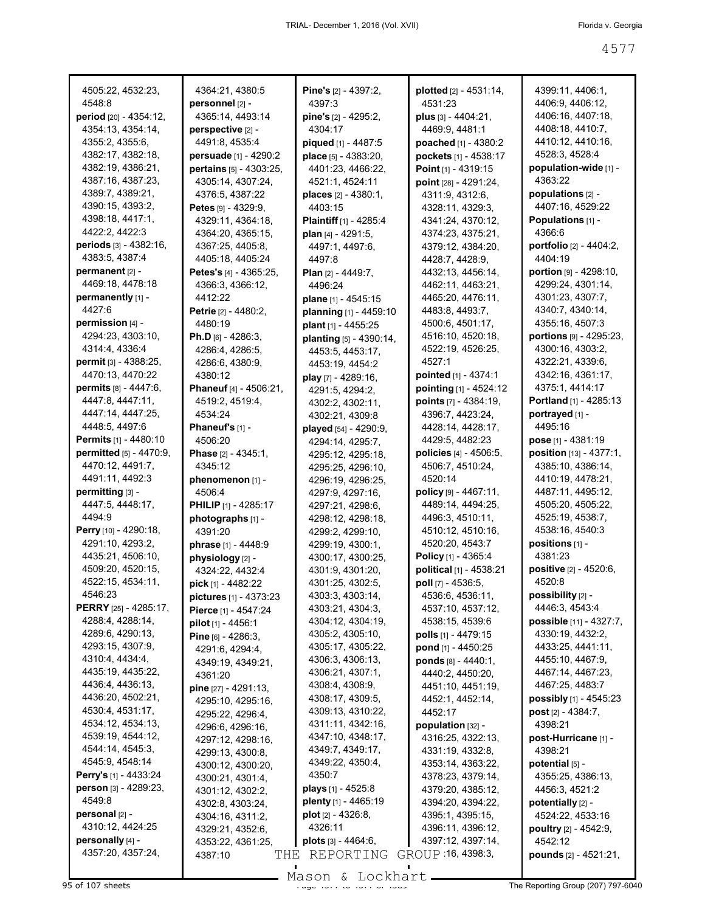| 4505:22, 4532:23,              | 4364:21, 4380:5                                       | Pine's [2] - 4397:2,          | plotted [2] - 4531:14,                 | 4399:11, 4406:1,              |
|--------------------------------|-------------------------------------------------------|-------------------------------|----------------------------------------|-------------------------------|
| 4548:8                         | personnel [2] -                                       | 4397:3                        | 4531:23                                | 4406:9, 4406:12,              |
| period [20] - 4354:12,         | 4365:14, 4493:14                                      | pine's $[2] - 4295:2$ ,       | plus [3] - 4404:21,                    | 4406:16, 4407:18,             |
| 4354:13, 4354:14,              | perspective [2] -                                     | 4304:17                       | 4469:9, 4481:1                         | 4408:18, 4410:7,              |
| 4355:2, 4355:6,                | 4491:8, 4535:4                                        | piqued [1] - 4487:5           | poached [1] - 4380:2                   | 4410:12, 4410:16,             |
| 4382:17, 4382:18,              | persuade [1] - 4290:2                                 | place [5] - 4383:20,          | pockets [1] - 4538:17                  | 4528:3, 4528:4                |
| 4382:19, 4386:21,              | pertains [5] - 4303:25,                               | 4401:23, 4466:22,             | Point [1] - 4319:15                    | population-wide [1] -         |
| 4387:16, 4387:23,              | 4305:14, 4307:24,                                     | 4521:1, 4524:11               | point [28] - 4291:24,                  | 4363:22                       |
| 4389:7, 4389:21,               | 4376:5, 4387:22                                       | places [2] - 4380:1,          | 4311:9, 4312:6,                        | populations [2] -             |
| 4390:15, 4393:2,               | Petes $[9] - 4329:9$ ,                                | 4403:15                       | 4328:11, 4329:3,                       | 4407:16, 4529:22              |
| 4398:18, 4417:1,               | 4329:11, 4364:18,                                     | <b>Plaintiff</b> [1] - 4285:4 | 4341:24, 4370:12,                      | Populations [1] -             |
| 4422:2, 4422:3                 | 4364:20, 4365:15,                                     | plan $[4] - 4291:5$ ,         | 4374:23, 4375:21,                      | 4366:6                        |
| periods [3] - 4382:16,         | 4367:25, 4405:8,                                      | 4497:1, 4497:6,               | 4379:12, 4384:20,                      | portfolio [2] - 4404:2,       |
| 4383:5, 4387:4                 | 4405:18, 4405:24                                      | 4497:8                        | 4428:7, 4428:9,                        | 4404:19                       |
| permanent [2] -                | <b>Petes's</b> [4] - 4365:25,                         | Plan $[2] - 4449:7$ ,         | 4432:13, 4456:14,                      | portion [9] - 4298:10,        |
| 4469:18, 4478:18               | 4366:3, 4366:12,                                      | 4496:24                       | 4462:11, 4463:21,                      | 4299:24, 4301:14,             |
| permanently [1] -              | 4412:22                                               | plane [1] - 4545:15           | 4465:20, 4476:11,                      | 4301:23, 4307:7,              |
| 4427:6                         | <b>Petrie</b> [2] - 4480:2,                           | planning [1] - 4459:10        | 4483:8, 4493:7,                        | 4340:7, 4340:14,              |
| permission [4] -               | 4480:19                                               | plant [1] - 4455:25           | 4500:6, 4501:17,                       | 4355:16, 4507:3               |
| 4294:23, 4303:10,              | <b>Ph.D</b> [6] - 4286:3,                             | planting [5] - 4390:14,       | 4516:10, 4520:18,                      | portions $[9] - 4295:23$ ,    |
| 4314:4, 4336:4                 | 4286:4, 4286:5,                                       | 4453:5, 4453:17,              | 4522:19, 4526:25,                      | 4300:16, 4303:2,              |
| permit [3] - 4388:25,          | 4286:6, 4380:9,                                       | 4453:19, 4454:2               | 4527:1                                 | 4322:21, 4339:6,              |
| 4470:13, 4470:22               | 4380:12                                               | play [7] - 4289:16.           | pointed [1] - 4374:1                   | 4342:16, 4361:17,             |
| <b>permits</b> $[8] - 4447.6$  | Phaneuf [4] - 4506:21,                                | 4291:5, 4294:2,               | pointing [1] - 4524:12                 | 4375:1, 4414:17               |
| 4447:8, 4447:11,               | 4519:2, 4519:4,                                       | 4302:2, 4302:11,              | points [7] - 4384:19,                  | <b>Portland</b> [1] - 4285:13 |
| 4447:14, 4447:25,              | 4534:24                                               | 4302:21, 4309:8               | 4396:7, 4423:24,                       | portrayed [1] -               |
| 4448:5, 4497:6                 | <b>Phaneuf's</b> $[1]$ -                              | played [54] - 4290:9,         | 4428:14, 4428:17,                      | 4495:16                       |
| <b>Permits</b> [1] - 4480:10   | 4506:20                                               | 4294:14, 4295:7,              | 4429:5, 4482:23                        | pose $[1] - 4381:19$          |
| <b>permitted</b> [5] - 4470:9, | Phase [2] - 4345:1,                                   | 4295:12, 4295:18,             | <b>policies</b> $[4] - 4506.5$ ,       | position [13] - 4377:1,       |
| 4470:12, 4491:7,               | 4345:12                                               | 4295:25, 4296:10,             | 4506:7, 4510:24,                       | 4385:10, 4386:14,             |
| 4491:11, 4492:3                | phenomenon [1] -                                      | 4296:19, 4296:25,             | 4520:14                                | 4410:19, 4478:21,             |
| $permitting$ [3] -             | 4506:4                                                | 4297:9, 4297:16,              | policy [9] - 4467:11,                  | 4487:11, 4495:12,             |
| 4447:5, 4448:17,               | <b>PHILIP</b> [1] - 4285:17                           | 4297:21, 4298:6,              | 4489:14, 4494:25,                      | 4505:20, 4505:22,             |
| 4494:9                         | photographs [1] -                                     | 4298:12, 4298:18,             | 4496:3, 4510:11,                       | 4525:19, 4538:7,              |
| Perry [10] - 4290:18,          | 4391:20                                               | 4299:2, 4299:10,              | 4510:12, 4510:16,                      | 4538:16, 4540:3               |
| 4291:10, 4293:2,               | phrase [1] - 4448:9                                   | 4299:19, 4300:1,              | 4520:20, 4543:7                        | positions [1] -               |
| 4435:21, 4506:10,              | physiology [2] -                                      | 4300:17, 4300:25,             | Policy [1] - 4365:4                    | 4381:23                       |
| 4509:20, 4520:15,              | 4324:22, 4432:4                                       | 4301:9, 4301:20,              | political [1] - 4538:21                | <b>positive</b> [2] - 4520:6, |
| 4522:15, 4534:11,              | <b>pick</b> [1] - 4482:22                             | 4301:25, 4302:5,              | poll [7] - 4536:5,                     | 4520:8                        |
| 4546:23                        |                                                       | 4303:3, 4303:14,              | 4536:6, 4536:11,                       | possibility [2] -             |
| PERRY [25] - 4285:17,          | <b>pictures</b> [1] - 4373:23<br>Pierce [1] - 4547:24 | 4303:21, 4304:3,              | 4537:10, 4537:12,                      | 4446:3, 4543:4                |
| 4288:4, 4288:14,               | pilot [1] - 4456:1                                    | 4304:12, 4304:19,             | 4538:15, 4539:6                        | possible [11] - 4327:7,       |
| 4289:6, 4290:13,               |                                                       | 4305:2, 4305:10,              | <b>polls</b> $[1] - 4479:15$           | 4330:19, 4432:2,              |
| 4293:15, 4307:9,               | Pine [6] - 4286:3,                                    | 4305:17, 4305:22,             | pond [1] - 4450:25                     | 4433:25, 4441:11,             |
| 4310:4, 4434:4,                | 4291:6, 4294:4,                                       | 4306:3, 4306:13,              | ponds [8] - 4440:1,                    | 4455:10, 4467:9,              |
| 4435:19, 4435:22,              | 4349:19, 4349:21,                                     | 4306:21, 4307:1,              | 4440:2, 4450:20,                       | 4467:14, 4467:23,             |
| 4436:4, 4436:13,               | 4361:20                                               | 4308:4, 4308:9,               | 4451:10, 4451:19,                      | 4467:25, 4483:7               |
| 4436:20, 4502:21,              | <b>pine</b> [27] - 4291:13,                           | 4308:17, 4309:5,              | 4452:1, 4452:14,                       | possibly [1] - 4545:23        |
| 4530:4, 4531:17,               | 4295:10, 4295:16,                                     | 4309:13, 4310:22,             | 4452:17                                | <b>post</b> $[2] - 4384:7$ ,  |
| 4534:12, 4534:13,              | 4295:22, 4296:4,                                      | 4311:11, 4342:16,             | population [32] -                      | 4398:21                       |
| 4539:19, 4544:12,              | 4296:6, 4296:16,                                      | 4347:10, 4348:17,             | 4316:25, 4322:13,                      | post-Hurricane [1] -          |
| 4544:14, 4545:3,               | 4297:12, 4298:16,                                     | 4349:7, 4349:17,              | 4331:19, 4332:8,                       | 4398:21                       |
| 4545:9, 4548:14                | 4299:13, 4300:8,                                      | 4349:22, 4350:4,              | 4353:14, 4363:22,                      | potential [5] -               |
| Perry's [1] - 4433:24          | 4300:12, 4300:20,                                     | 4350:7                        | 4378:23, 4379:14,                      | 4355:25, 4386:13,             |
| person [3] - 4289:23,          | 4300:21, 4301:4,                                      | <b>plays</b> $[1] - 4525.8$   | 4379:20, 4385:12,                      | 4456:3, 4521:2                |
| 4549:8                         | 4301:12, 4302:2,                                      | plenty [1] - 4465:19          | 4394:20, 4394:22,                      |                               |
| personal [2] -                 | 4302:8, 4303:24,                                      | <b>plot</b> $[2] - 4326:8$ ,  | 4395:1, 4395:15,                       | potentially [2] -             |
| 4310:12, 4424:25               | 4304:16, 4311:2,                                      | 4326:11                       |                                        | 4524:22, 4533:16              |
| personally $[4]$ -             | 4329:21, 4352:6,                                      |                               | 4396:11, 4396:12,                      | poultry $[2] - 4542:9$ ,      |
| 4357:20, 4357:24,              | 4353:22, 4361:25,                                     | <b>plots</b> $[3] - 4464:6$ , | 4397:12, 4397:14,<br>GROUP 16, 4398:3, | 4542:12                       |
|                                | THE<br>4387:10                                        | REPORTING                     |                                        | pounds $[2] - 4521:21$ ,      |
|                                |                                                       | $Məcon$ $Iochprt$             |                                        |                               |

Mason & Lockhart **Page 4578 The Reporting Group (207) 797-6040**<br>95 of 107 sheets **Page 1577 of 40** Page 1577 to 1577 or 1577 or 1592 The Reporting Group (207) 797-6040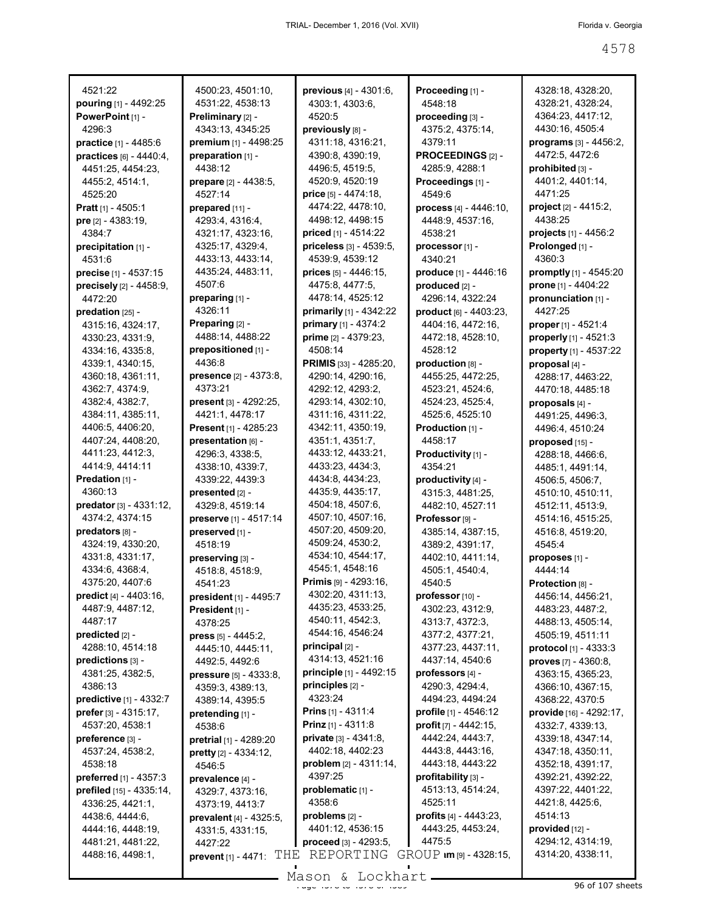| 4521:22                               | 4500:23, 4501:10,                     | previous [4] - 4301:6,               | Proceeding [1] -                       | 4328:18, 4328:20,                     |
|---------------------------------------|---------------------------------------|--------------------------------------|----------------------------------------|---------------------------------------|
| pouring [1] - 4492:25                 | 4531:22, 4538:13                      | 4303:1, 4303:6,                      | 4548:18                                | 4328:21, 4328:24,                     |
| PowerPoint [1] -                      | Preliminary [2] -                     | 4520:5                               | proceeding [3] -                       | 4364:23, 4417:12,                     |
| 4296:3                                | 4343:13, 4345:25                      | previously [8] -                     | 4375:2, 4375:14,                       | 4430:16, 4505:4                       |
| practice [1] - 4485:6                 | premium [1] - 4498:25                 | 4311:18, 4316:21,                    | 4379:11                                | programs [3] - 4456:2,                |
| practices [6] - 4440:4,               | preparation [1] -                     | 4390:8, 4390:19,                     | PROCEEDINGS [2] -                      | 4472:5, 4472:6                        |
| 4451:25, 4454:23,                     | 4438:12                               | 4496:5, 4519:5,                      | 4285:9, 4288:1                         | prohibited [3] -                      |
| 4455:2, 4514:1,                       | <b>prepare</b> [2] - 4438:5,          | 4520:9, 4520:19                      | Proceedings [1] -                      | 4401:2, 4401:14,                      |
| 4525:20                               | 4527:14                               | <b>price</b> $[5] - 4474:18$ ,       | 4549.6                                 | 4471:25                               |
| Pratt [1] - 4505:1                    | prepared [11] -                       | 4474:22, 4478:10,                    | process $[4] - 4446:10$ ,              | project [2] - 4415:2,                 |
| pre [2] - 4383:19,                    | 4293:4, 4316:4,                       | 4498:12, 4498:15                     | 4448:9, 4537:16,                       | 4438:25                               |
| 4384:7                                | 4321:17, 4323:16,                     | priced [1] - 4514:22                 | 4538:21                                | projects [1] - 4456:2                 |
| precipitation [1] -                   | 4325:17, 4329:4,                      | priceless [3] - 4539:5,              | processor [1] -                        | Prolonged [1] -                       |
| 4531:6                                | 4433:13, 4433:14,                     | 4539:9, 4539:12                      | 4340:21                                | 4360.3                                |
| precise [1] - 4537:15                 | 4435:24, 4483:11,                     | prices $[5] - 4446:15$ ,             | produce [1] - 4446:16                  | promptly $[1]$ - 4545:20              |
| precisely [2] - 4458:9,               | 4507:6                                | 4475:8, 4477:5,                      | produced [2] -                         | prone [1] - 4404:22                   |
| 4472:20                               | preparing [1] -                       | 4478:14, 4525:12                     | 4296:14, 4322:24                       | pronunciation [1] -                   |
| predation $[25]$ -                    | 4326:11                               | primarily [1] - 4342:22              | product [6] - 4403:23,                 | 4427:25                               |
| 4315:16, 4324:17,                     | Preparing [2] -                       | primary [1] - 4374:2                 | 4404:16, 4472:16,                      | proper [1] - 4521:4                   |
| 4330:23, 4331:9,                      | 4488:14, 4488:22                      | <b>prime</b> $[2] - 4379:23$ ,       | 4472:18, 4528:10,                      | properly [1] - 4521:3                 |
| 4334:16, 4335:8,                      | prepositioned [1] -                   | 4508:14                              | 4528:12                                | property [1] - 4537:22                |
| 4339:1, 4340:15,                      | 4436:8                                | PRIMIS [33] - 4285:20,               | production [8] -                       | proposal [4] -                        |
| 4360:18, 4361:11,                     | <b>presence</b> $[2] - 4373.8$        | 4290:14, 4290:16,                    | 4455:25, 4472:25,                      | 4288:17, 4463:22,                     |
| 4362:7, 4374:9,                       | 4373:21                               | 4292:12, 4293:2,                     | 4523:21, 4524:6,                       | 4470:18, 4485:18                      |
| 4382:4, 4382:7,                       | <b>present</b> $[3] - 4292:25$        | 4293:14, 4302:10,                    | 4524:23, 4525:4,                       | proposals [4] -                       |
| 4384:11, 4385:11,                     | 4421:1, 4478:17                       | 4311:16, 4311:22,                    | 4525:6, 4525:10                        | 4491:25, 4496:3,                      |
| 4406:5, 4406:20,<br>4407:24, 4408:20, | <b>Present</b> [1] - 4285:23          | 4342:11, 4350:19,<br>4351:1, 4351:7, | <b>Production</b> $[1]$ -<br>4458:17   | 4496:4, 4510:24                       |
| 4411:23, 4412:3,                      | presentation [6] -<br>4296:3, 4338:5, | 4433:12, 4433:21,                    |                                        | proposed [15] -                       |
| 4414:9, 4414:11                       |                                       | 4433:23, 4434:3,                     | Productivity [1] -<br>4354:21          | 4288:18, 4466:6,                      |
| <b>Predation</b> $[1]$ -              | 4338:10, 4339:7,                      | 4434:8, 4434:23,                     |                                        | 4485:1, 4491:14,                      |
| 4360:13                               | 4339:22, 4439:3<br>presented [2] -    | 4435:9, 4435:17,                     | productivity [4] -<br>4315:3, 4481:25, | 4506:5, 4506:7,                       |
| predator $[3] - 4331:12$ ,            | 4329:8, 4519:14                       | 4504:18, 4507:6,                     | 4482:10, 4527:11                       | 4510:10, 4510:11,<br>4512:11, 4513:9, |
| 4374:2, 4374:15                       | preserve [1] - 4517:14                | 4507:10, 4507:16,                    | Professor [9] -                        | 4514:16, 4515:25,                     |
| predators [8] -                       | preserved [1] -                       | 4507:20, 4509:20,                    | 4385:14, 4387:15,                      | 4516:8, 4519:20,                      |
| 4324:19, 4330:20,                     | 4518:19                               | 4509:24, 4530:2,                     | 4389:2, 4391:17,                       | 4545:4                                |
| 4331:8, 4331:17,                      | preserving [3] -                      | 4534:10, 4544:17,                    | 4402:10, 4411:14,                      | proposes [1] -                        |
| 4334:6, 4368:4,                       | 4518:8, 4518:9,                       | 4545:1, 4548:16                      | 4505:1, 4540:4,                        | 4444:14                               |
| 4375:20, 4407:6                       | 4541:23                               | <b>Primis</b> $[9] - 4293:16$ ,      | 4540:5                                 | Protection [8] -                      |
| predict [4] - 4403:16,                | <b>president</b> $[1]$ - 4495:7       | 4302:20, 4311:13,                    | professor [10] -                       | 4456:14, 4456:21,                     |
| 4487:9, 4487:12,                      | President [1] -                       | 4435:23, 4533:25,                    | 4302:23, 4312:9,                       | 4483:23, 4487:2,                      |
| 4487:17                               | 4378:25                               | 4540:11, 4542:3,                     | 4313:7, 4372:3,                        | 4488:13, 4505:14,                     |
| predicted $[2]$ -                     | <b>press</b> $[5] - 4445:2$ ,         | 4544:16, 4546:24                     | 4377:2, 4377:21,                       | 4505:19, 4511:11                      |
| 4288:10, 4514:18                      | 4445:10, 4445:11,                     | principal $[2]$ -                    | 4377:23, 4437:11,                      | protocol [1] - 4333:3                 |
| predictions [3] -                     | 4492:5, 4492:6                        | 4314:13, 4521:16                     | 4437:14, 4540:6                        | proves [7] - 4360:8,                  |
| 4381:25, 4382:5,                      | <b>pressure</b> $[5] - 4333:8$ ,      | principle [1] - 4492:15              | professors [4] -                       | 4363:15, 4365:23,                     |
| 4386:13                               | 4359:3, 4389:13,                      | principles [2] -                     | 4290:3, 4294:4,                        | 4366:10, 4367:15,                     |
| predictive [1] - 4332:7               | 4389:14, 4395:5                       | 4323:24                              | 4494:23, 4494:24                       | 4368:22, 4370:5                       |
| prefer $[3] - 4315:17$ ,              | pretending [1] -                      | <b>Prins</b> $[1] - 4311:4$          | profile $[1] - 4546:12$                | provide [16] - 4292:17,               |
| 4537:20, 4538:1                       | 4538:6                                | <b>Prinz</b> $[1] - 4311:8$          | profit [7] - 4442:15,                  | 4332:7, 4339:13,                      |
| preference [3] -                      | pretrial [1] - 4289:20                | <b>private</b> $[3] - 4341:8$        | 4442:24, 4443:7,                       | 4339:18, 4347:14,                     |
| 4537:24, 4538:2,                      | pretty [2] - 4334:12,                 | 4402:18, 4402:23                     | 4443:8, 4443:16,                       | 4347:18, 4350:11,                     |
| 4538:18                               | 4546:5                                | problem $[2] - 4311:14$ ,            | 4443:18, 4443:22                       | 4352:18, 4391:17,                     |
| preferred [1] - 4357:3                | prevalence [4] -                      | 4397:25                              | $profitability [3] -$                  | 4392:21, 4392:22,                     |
| prefiled $[15] - 4335:14$ ,           | 4329:7, 4373:16,                      | problematic [1] -                    | 4513:13, 4514:24,                      | 4397:22, 4401:22,                     |
| 4336:25, 4421:1,                      | 4373:19, 4413:7                       | 4358:6                               | 4525:11                                | 4421:8, 4425:6,                       |
| 4438:6, 4444:6,                       | prevalent [4] - 4325:5,               | $problems$ $[2] -$                   | profits $[4] - 4443:23$ ,              | 4514:13                               |
| 4444:16, 4448:19,                     | 4331:5, 4331:15,                      | 4401:12, 4536:15                     | 4443:25, 4453:24,                      | provided [12] -                       |
| 4481:21, 4481:22,                     | 4427:22                               | proceed [3] - 4293:5,                | 4475.5                                 | 4294:12, 4314:19,                     |
| 4488:16, 4498:1,                      | THE<br>prevent [1] - 4471             | REPORTING                            | GROUP Im [9] - 4328:15,                | 4314:20, 4338:11,                     |
|                                       |                                       |                                      |                                        |                                       |

 $\frac{25}{3}$ <br>Page 4578 to 4578 to 4589 and 4589  $\frac{25}{3}$  96 of 107 sheets Mason & Lockhart.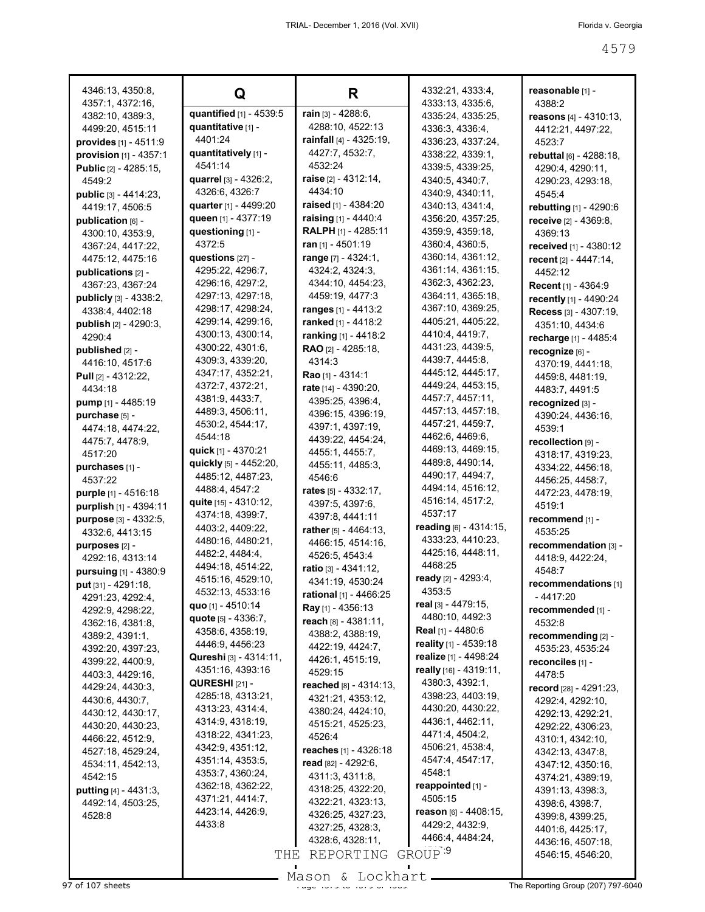| 4346:13, 4350:8,                       | Q                                              | R                                           | 4332:21, 4333:4,                       | reasonable [1] -                     |
|----------------------------------------|------------------------------------------------|---------------------------------------------|----------------------------------------|--------------------------------------|
| 4357:1, 4372:16,                       |                                                |                                             | 4333:13, 4335:6,                       | 4388:2                               |
| 4382:10, 4389:3,                       | quantified [1] - 4539:5                        | rain [3] - 4288:6,                          | 4335:24, 4335:25,                      | reasons $[4] - 4310:13$ ,            |
| 4499:20, 4515:11                       | quantitative [1] -<br>4401:24                  | 4288:10, 4522:13<br>rainfall [4] - 4325:19, | 4336:3, 4336:4,                        | 4412:21, 4497:22,                    |
| provides [1] - 4511:9                  |                                                | 4427:7, 4532:7,                             | 4336:23, 4337:24,                      | 4523:7                               |
| provision [1] - 4357:1                 | quantitatively [1] -                           | 4532:24                                     | 4338:22, 4339:1,                       | rebuttal [6] - 4288:18,              |
| <b>Public</b> [2] - 4285:15,           | 4541:14                                        |                                             | 4339:5, 4339:25,                       | 4290:4, 4290:11,                     |
| 4549:2                                 | <b>quarrel</b> [3] - 4326:2,<br>4326:6, 4326:7 | raise $[2] - 4312:14,$<br>4434:10           | 4340:5, 4340:7,                        | 4290:23, 4293:18,                    |
| public [3] - 4414:23,                  |                                                | raised [1] - 4384:20                        | 4340:9, 4340:11,                       | 4545:4                               |
| 4419:17, 4506:5                        | quarter [1] - 4499:20<br>queen [1] - 4377:19   | raising [1] - 4440:4                        | 4340:13, 4341:4,                       | <b>rebutting</b> [1] - 4290:6        |
| publication [6] -                      | questioning [1] -                              | <b>RALPH</b> [1] - 4285:11                  | 4356:20, 4357:25,<br>4359:9, 4359:18,  | receive [2] - 4369:8.                |
| 4300:10, 4353:9,                       | 4372:5                                         | ran $[1] - 4501:19$                         |                                        | 4369:13                              |
| 4367:24, 4417:22,                      |                                                | range [7] - 4324:1,                         | 4360:4, 4360:5,                        | received [1] - 4380:12               |
| 4475:12, 4475:16                       | questions $[27]$ -                             |                                             | 4360:14, 4361:12,<br>4361:14, 4361:15, | recent $[2] - 4447:14$ ,             |
| publications [2] -                     | 4295:22, 4296:7,<br>4296:16, 4297:2,           | 4324:2, 4324:3,<br>4344:10, 4454:23,        | 4362:3, 4362:23,                       | 4452:12                              |
| 4367:23, 4367:24                       | 4297:13, 4297:18,                              | 4459:19, 4477:3                             | 4364:11, 4365:18,                      | <b>Recent</b> [1] - 4364:9           |
| publicly [3] - 4338:2,                 | 4298:17, 4298:24,                              | ranges [1] - 4413:2                         | 4367:10, 4369:25,                      | recently [1] - 4490:24               |
| 4338:4, 4402:18                        | 4299:14, 4299:16,                              | ranked [1] - 4418:2                         | 4405:21, 4405:22,                      | Recess [3] - 4307:19,                |
| <b>publish</b> $[2] - 4290:3$          | 4300:13, 4300:14,                              | ranking [1] - 4418:2                        | 4410:4, 4419:7,                        | 4351:10, 4434:6                      |
| 4290:4                                 | 4300:22, 4301:6,                               | <b>RAO</b> $[2] - 4285:18$                  | 4431:23, 4439:5,                       | recharge [1] - 4485:4                |
| published [2] -                        | 4309:3, 4339:20,                               | 4314:3                                      | 4439:7, 4445:8,                        | recognize [6] -                      |
| 4416:10, 4517:6                        | 4347:17, 4352:21,                              | Rao [1] - 4314:1                            | 4445:12, 4445:17,                      | 4370:19, 4441:18,                    |
| <b>Pull</b> $[2] - 4312:22$<br>4434:18 | 4372:7, 4372:21,                               | rate [14] - 4390:20,                        | 4449:24, 4453:15,                      | 4459:8, 4481:19,                     |
| <b>pump</b> [1] - 4485:19              | 4381:9, 4433:7,                                | 4395:25, 4396:4,                            | 4457:7, 4457:11,                       | 4483:7, 4491:5                       |
| purchase [5] -                         | 4489:3, 4506:11,                               | 4396:15, 4396:19,                           | 4457:13, 4457:18,                      | recognized [3] -                     |
| 4474:18, 4474:22,                      | 4530:2, 4544:17,                               | 4397:1, 4397:19,                            | 4457:21, 4459:7,                       | 4390:24, 4436:16,<br>4539:1          |
| 4475:7, 4478:9,                        | 4544:18                                        | 4439:22, 4454:24,                           | 4462:6, 4469:6,                        | recollection [9] -                   |
| 4517:20                                | quick [1] - 4370:21                            | 4455:1, 4455:7,                             | 4469:13, 4469:15,                      | 4318:17, 4319:23,                    |
| purchases [1] -                        | quickly [5] - 4452:20,                         | 4455:11, 4485:3,                            | 4489:8, 4490:14,                       | 4334:22, 4456:18,                    |
| 4537:22                                | 4485:12, 4487:23,                              | 4546:6                                      | 4490:17, 4494:7,                       | 4456:25, 4458:7,                     |
| <b>purple</b> [1] - 4516:18            | 4488:4, 4547:2                                 | rates $[5] - 4332:17$ ,                     | 4494:14, 4516:12,                      | 4472:23, 4478:19,                    |
| purplish [1] - 4394:11                 | quite [15] - 4310:12,                          | 4397:5, 4397:6,                             | 4516:14, 4517:2,                       | 4519:1                               |
| purpose [3] - 4332:5,                  | 4374:18, 4399:7,                               | 4397:8, 4441:11                             | 4537:17                                | recommend [1] -                      |
| 4332:6, 4413:15                        | 4403:2, 4409:22,                               | rather [5] - 4464:13.                       | reading $[6] - 4314:15$ ,              | 4535:25                              |
| purposes [2] -                         | 4480:16, 4480:21,                              | 4466:15, 4514:16,                           | 4333:23, 4410:23,                      | recommendation [3] -                 |
| 4292:16, 4313:14                       | 4482:2, 4484:4,                                | 4526:5, 4543:4                              | 4425:16, 4448:11,                      | 4418:9, 4422:24,                     |
| pursuing [1] - 4380:9                  | 4494:18, 4514:22,                              | ratio [3] - $4341:12$ ,                     | 4468:25                                | 4548:7                               |
| put [31] - 4291:18,                    | 4515:16, 4529:10,                              | 4341:19, 4530:24                            | ready $[2] - 4293:4,$<br>4353.5        | recommendations [1]                  |
| 4291:23, 4292:4,                       | 4532:13, 4533:16                               | rational [1] - 4466:25                      | real [3] - 4479:15,                    | $-4417:20$                           |
| 4292:9, 4298:22,                       | quo [1] - 4510:14                              | Ray [1] - 4356:13                           | 4480:10, 4492:3                        | recommended [1] -                    |
| 4362:16, 4381:8,                       | quote [5] - 4336:7,<br>4358:6, 4358:19,        | reach [8] - 4381:11,                        | <b>Real</b> [1] - 4480:6               | 4532:8                               |
| 4389:2, 4391:1,                        | 4446:9, 4456:23                                | 4388:2, 4388:19,                            | reality [1] - 4539:18                  | recommending [2] -                   |
| 4392:20, 4397:23,                      | Qureshi [3] - 4314:11,                         | 4422:19, 4424:7,                            | realize [1] - 4498:24                  | 4535:23, 4535:24                     |
| 4399:22, 4400:9,                       | 4351:16, 4393:16                               | 4426:1, 4515:19,                            | really [16] - 4319:11,                 | reconciles [1] -                     |
| 4403:3, 4429:16,                       | <b>QURESHI</b> $[21]$ -                        | 4529:15                                     | 4380:3, 4392:1,                        | 4478:5                               |
| 4429:24, 4430:3,                       | 4285:18, 4313:21,                              | reached [8] - 4314:13,                      | 4398:23, 4403:19,                      | record [28] - 4291:23,               |
| 4430:6, 4430:7,                        | 4313:23, 4314:4,                               | 4321:21, 4353:12,<br>4380:24, 4424:10,      | 4430:20, 4430:22,                      | 4292:4, 4292:10,                     |
| 4430:12, 4430:17,                      | 4314:9, 4318:19,                               | 4515:21, 4525:23,                           | 4436:1, 4462:11,                       | 4292:13, 4292:21,                    |
| 4430:20, 4430:23,<br>4466:22, 4512:9,  | 4318:22, 4341:23,                              | 4526:4                                      | 4471:4, 4504:2,                        | 4292:22, 4306:23,                    |
| 4527:18, 4529:24,                      | 4342:9, 4351:12,                               | reaches [1] - 4326:18                       | 4506:21, 4538:4,                       | 4310:1, 4342:10,<br>4342:13, 4347:8, |
| 4534:11, 4542:13,                      | 4351:14, 4353:5,                               | read $[82] - 4292:6$ ,                      | 4547:4, 4547:17,                       | 4347:12, 4350:16,                    |
| 4542:15                                | 4353:7, 4360:24,                               | 4311:3, 4311:8,                             | 4548:1                                 | 4374:21, 4389:19,                    |
| putting [4] - 4431:3,                  | 4362:18, 4362:22,                              | 4318:25, 4322:20,                           | reappointed $[1]$ -                    | 4391:13, 4398:3,                     |
| 4492:14, 4503:25,                      | 4371:21, 4414:7,                               | 4322:21, 4323:13,                           | 4505:15                                | 4398:6, 4398:7,                      |
| 4528:8                                 | 4423:14, 4426:9,                               | 4326:25, 4327:23,                           | reason $[6] - 4408:15$ ,               | 4399:8, 4399:25,                     |
|                                        | 4433:8                                         | 4327:25, 4328:3,                            | 4429:2, 4432:9,                        | 4401:6, 4425:17,                     |
|                                        |                                                | 4328:6, 4328:11,                            | 4466:4, 4484:24,                       | 4436:16, 4507:18,                    |
|                                        | THE                                            | REPORTING                                   | GROUP <sup>9</sup>                     | 4546:15, 4546:20,                    |
|                                        |                                                |                                             |                                        |                                      |

er and the Hage 4579 to 4589 Mason & Lockhart **Page 4579 to 4579 and 1979 of 107 sheets** The Reporting Group (207) 797-6040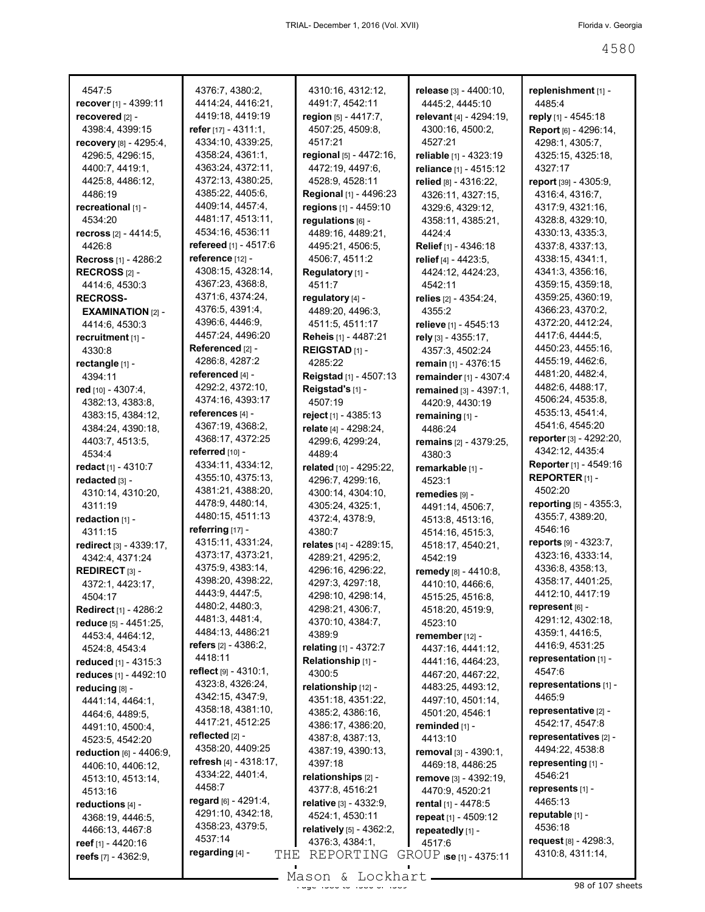| 4547:5                                    | 4376:7, 4380:2,                | 4310:16, 4312:12,            | release [3] - 4400:10,            | replenishment [1] -                       |
|-------------------------------------------|--------------------------------|------------------------------|-----------------------------------|-------------------------------------------|
| recover [1] - 4399:11                     | 4414:24, 4416:21,              | 4491:7, 4542:11              | 4445:2, 4445:10                   | 4485:4                                    |
| recovered [2] -                           | 4419:18, 4419:19               | region [5] - 4417:7,         | relevant [4] - 4294:19,           | reply [1] - 4545:18                       |
| 4398:4, 4399:15                           | refer $[17] - 4311:1$ ,        | 4507:25, 4509:8,             | 4300:16, 4500:2,                  | Report [6] - 4296:14,                     |
| recovery [8] - 4295:4,                    | 4334:10, 4339:25,              | 4517:21                      | 4527:21                           | 4298:1, 4305:7,                           |
| 4296:5, 4296:15,                          | 4358:24, 4361:1,               | regional [5] - 4472:16,      | reliable [1] - 4323:19            | 4325:15, 4325:18,                         |
| 4400:7, 4419:1,                           | 4363:24, 4372:11,              | 4472:19, 4497:6,             | reliance [1] - 4515:12            | 4327:17                                   |
| 4425:8, 4486:12,                          | 4372:13, 4380:25,              | 4528:9, 4528:11              | relied [8] - 4316:22,             | <b>report</b> [39] - 4305:9,              |
| 4486:19                                   | 4385:22, 4405:6,               | Regional [1] - 4496:23       | 4326:11, 4327:15,                 | 4316:4, 4316:7,                           |
| recreational [1] -                        | 4409:14, 4457:4,               | regions [1] - 4459:10        | 4329:6, 4329:12,                  | 4317:9, 4321:16,                          |
| 4534:20                                   | 4481:17, 4513:11,              | regulations [6] -            | 4358:11, 4385:21,                 | 4328:8, 4329:10,                          |
| recross $[2] - 4414:5$ ,                  | 4534:16, 4536:11               | 4489:16, 4489:21,            | 4424:4                            | 4330:13, 4335:3,                          |
| 4426:8                                    | <b>refereed</b> $[1] - 4517:6$ | 4495:21, 4506:5,             | Relief [1] - 4346:18              | 4337:8, 4337:13,                          |
| <b>Recross</b> [1] - 4286:2               | reference [12] -               | 4506:7, 4511:2               | relief [4] - 4423:5,              | 4338:15, 4341:1,                          |
| RECROSS $[2]$ -                           | 4308:15, 4328:14,              | Regulatory [1] -             | 4424:12, 4424:23,                 | 4341:3, 4356:16,                          |
| 4414:6, 4530:3                            | 4367:23, 4368:8,               | 4511:7                       | 4542:11                           | 4359:15, 4359:18,                         |
| <b>RECROSS-</b>                           | 4371:6, 4374:24,               | regulatory [4] -             | relies $[2] - 4354:24$ ,          | 4359:25, 4360:19,                         |
| $EXAMPLE 21 - 22$                         | 4376:5, 4391:4,                | 4489:20, 4496:3,             | 4355:2                            | 4366:23, 4370:2,                          |
| 4414:6, 4530:3                            | 4396:6, 4446:9,                | 4511:5, 4511:17              | relieve [1] - 4545:13             | 4372:20, 4412:24,                         |
| recruitment [1] -                         | 4457:24, 4496:20               | <b>Reheis</b> [1] - 4487:21  | rely [3] - 4355:17,               | 4417:6, 4444:5,                           |
| 4330:8                                    | Referenced [2] -               | REIGSTAD [1] -               | 4357:3, 4502:24                   | 4450:23, 4455:16,                         |
| rectangle [1] -                           | 4286:8, 4287:2                 | 4285:22                      | remain [1] - 4376:15              | 4455:19, 4462:6,                          |
| 4394:11                                   | referenced [4] -               | Reigstad [1] - 4507:13       | remainder [1] - 4307:4            | 4481:20, 4482:4,                          |
| red [10] - 4307:4,                        | 4292:2, 4372:10,               | Reigstad's [1] -             | remained [3] - 4397:1,            | 4482:6, 4488:17,                          |
| 4382:13, 4383:8,                          | 4374:16, 4393:17               | 4507:19                      | 4420:9, 4430:19                   | 4506:24, 4535:8,                          |
| 4383:15, 4384:12,                         | references [4] -               | reject [1] - 4385:13         | remaining [1] -                   | 4535:13, 4541:4,                          |
| 4384:24, 4390:18,                         | 4367:19, 4368:2,               | relate [4] - 4298:24,        | 4486:24                           | 4541 6, 4545:20                           |
| 4403:7, 4513:5,                           | 4368:17, 4372:25               | 4299:6, 4299:24,             | remains [2] - 4379:25,            | reporter [3] - 4292:20,                   |
| 4534:4                                    | referred $[10]$ -              | 4489:4                       | 4380.3                            | 4342:12, 4435:4                           |
| redact $[1] - 4310:7$                     | 4334:11, 4334:12,              | related [10] - 4295:22,      | remarkable [1] -                  | Reporter [1] - 4549:16                    |
| redacted [3] -                            | 4355:10, 4375:13,              | 4296:7, 4299:16,             | 4523:1                            | REPORTER $[1]$ -                          |
| 4310:14, 4310:20,                         | 4381:21, 4388:20,              | 4300:14, 4304:10,            | remedies [9] -                    | 4502:20                                   |
| 4311:19                                   | 4478:9, 4480:14,               | 4305:24, 4325:1,             | 4491:14, 4506:7,                  | reporting [5] - 4355:3,                   |
| redaction $[1]$ -                         | 4480:15, 4511:13               | 4372:4, 4378:9,              | 4513:8, 4513:16,                  | 4355:7, 4389:20,                          |
| 4311:15                                   | referring $[17]$ -             | 4380:7                       | 4514:16, 4515:3,                  | 4546:16                                   |
| redirect [3] - 4339:17,                   | 4315:11, 4331:24,              | relates [14] - 4289:15,      | 4518:17, 4540:21,                 | reports $[9] - 4323:7,$                   |
| 4342:4, 4371:24                           | 4373:17, 4373:21,              | 4289:21, 4295:2,             | 4542:19                           | 4323:16, 4333:14,                         |
| <b>REDIRECT</b> $[3]$ -                   | 4375:9, 4383:14,               | 4296:16, 4296:22,            | remedy [8] - 4410:8.              | 4336:8, 4358:13,                          |
| 4372:1, 4423:17,                          | 4398:20, 4398:22,              | 4297:3, 4297:18,             | 4410:10, 4466:6,                  | 4358:17, 4401:25,                         |
| 4504:17                                   | 4443:9, 4447:5,                | 4298:10, 4298:14,            | 4515:25, 4516:8,                  | 4412:10, 4417:19                          |
| <b>Redirect</b> [1] - 4286:2              | 4480:2, 4480:3,                | 4298:21, 4306:7,             | 4518:20, 4519:9,                  | represent [6] -                           |
| reduce [5] - 4451:25,                     | 4481:3, 4481:4,                | 4370:10, 4384:7,             | 4523:10                           | 4291:12, 4302:18,                         |
| 4453:4, 4464:12,                          | 4484:13, 4486:21               | 4389:9                       | remember [12] -                   | 4359:1, 4416:5,                           |
| 4524:8, 4543:4                            | refers $[2] - 4386:2$ ,        | relating [1] - 4372:7        | 4437:16, 4441:12,                 | 4416:9, 4531:25                           |
| reduced [1] - 4315:3                      | 4418:11                        | Relationship [1] -           | 4441:16, 4464:23,                 | representation [1] -                      |
| reduces [1] - 4492:10                     | reflect $[9] - 4310:1$ ,       | 4300:5                       | 4467:20, 4467:22,                 | 4547:6                                    |
| reducing [8] -                            | 4323:8, 4326:24,               | relationship [12] -          | 4483:25, 4493:12,                 | representations [1] -                     |
|                                           | 4342:15, 4347:9,               | 4351:18, 4351:22,            | 4497:10, 4501:14,                 | 4465:9                                    |
| 4441:14, 4464:1,                          | 4358:18, 4381:10,              | 4385:2, 4386:16,             | 4501:20, 4546:1                   | representative [2] -                      |
| 4464:6, 4489:5,                           | 4417:21, 4512:25               |                              |                                   |                                           |
| 4491:10, 4500:4,<br>4523:5, 4542:20       |                                |                              |                                   |                                           |
|                                           | reflected [2] -                | 4386:17, 4386:20,            | reminded [1] -                    | 4542:17, 4547:8                           |
|                                           |                                | 4387:8, 4387:13,             | 4413:10                           | representatives [2] -                     |
| reduction [6] - 4406:9,                   | 4358:20, 4409:25               | 4387:19, 4390:13,            | removal [3] - 4390:1,             | 4494:22, 4538:8                           |
| 4406:10, 4406:12,                         | refresh $[4] - 4318:17$ ,      | 4397:18                      | 4469:18, 4486:25                  | representing [1] -                        |
| 4513:10, 4513:14,                         | 4334:22, 4401:4,               | relationships [2] -          | remove [3] - 4392:19,             | 4546:21                                   |
| 4513:16                                   | 4458:7                         | 4377:8, 4516:21              | 4470:9, 4520:21                   | represents [1] -                          |
| reductions [4] -                          | regard [6] - 4291:4,           | relative [3] - 4332:9,       | rental $[1] - 4478.5$             | 4465:13                                   |
| 4368:19, 4446:5,                          | 4291:10, 4342:18,              | 4524:1, 4530:11              | repeat $[1] - 4509:12$            | reputable [1] -                           |
| 4466:13, 4467:8                           | 4358:23, 4379:5,<br>4537:14    | relatively [5] - 4362:2,     | repeatedly [1] -                  | 4536:18                                   |
| reef [1] - 4420:16<br>reefs [7] - 4362:9, | regarding [4] -<br>THE         | 4376:3, 4384:1,<br>REPORTING | 4517:6<br>GROUP ise [1] - 4375:11 | request [8] - 4298:3,<br>4310:8, 4311:14, |

Page 4580 to 4580 of 4589 98 of 107 sheets Mason & Lockhart.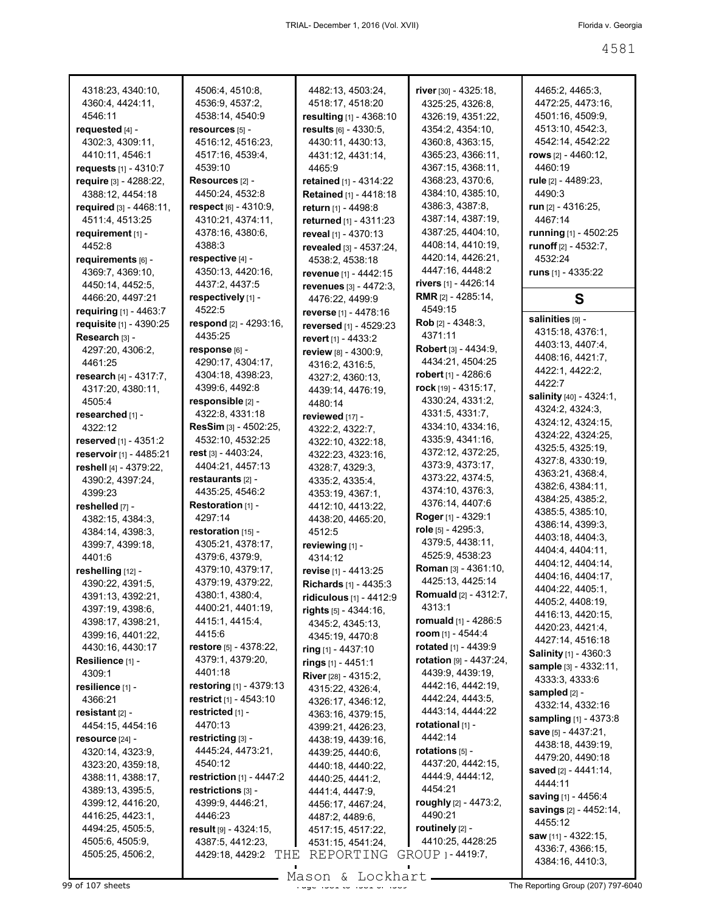| 4318:23, 4340:10,                          | 4506:4, 4510:8,                      | 4482:13, 4503:24,                                | river [30] - 4325:18,                 | 4465:2, 4465:3,                            |
|--------------------------------------------|--------------------------------------|--------------------------------------------------|---------------------------------------|--------------------------------------------|
| 4360:4, 4424:11,                           | 4536:9, 4537:2,                      | 4518:17, 4518:20                                 | 4325:25, 4326:8,                      | 4472:25, 4473:16,                          |
| 4546:11                                    | 4538:14, 4540:9                      | resulting [1] - 4368:10                          | 4326:19, 4351:22,                     | 4501:16, 4509:9,                           |
| requested $[4]$ -<br>4302:3, 4309:11,      | resources [5] -<br>4516:12, 4516:23, | results [6] - 4330:5,                            | 4354:2, 4354:10,                      | 4513:10, 4542:3,                           |
|                                            | 4517:16, 4539:4,                     | 4430:11, 4430:13,                                | 4360:8, 4363:15,<br>4365:23, 4366:11, | 4542:14, 4542:22<br>rows $[2] - 4460:12$ , |
| 4410:11, 4546:1                            | 4539:10                              | 4431:12, 4431:14,                                | 4367:15, 4368:11,                     | 4460:19                                    |
| requests $[1] - 4310:7$                    |                                      | 4465:9                                           | 4368:23, 4370:6,                      | rule [2] - 4489:23,                        |
| require [3] - 4288:22,<br>4388:12, 4454:18 | Resources [2] -<br>4450:24, 4532:8   | retained [1] - 4314:22<br>Retained [1] - 4418:18 | 4384:10, 4385:10,                     | 4490:3                                     |
| required [3] - 4468:11.                    | respect [6] - 4310:9,                |                                                  | 4386:3, 4387:8,                       | <b>run</b> [2] - 4316:25,                  |
| 4511:4, 4513:25                            | 4310:21, 4374:11,                    | return [1] - 4498:8<br>returned [1] - 4311:23    | 4387:14, 4387:19,                     | 4467:14                                    |
|                                            | 4378:16, 4380:6,                     |                                                  | 4387:25, 4404:10,                     | running [1] - 4502:25                      |
| requirement [1] -<br>4452:8                | 4388:3                               | reveal [1] - 4370:13                             | 4408:14, 4410:19,                     | runoff <sup>[2]</sup> - 4532:7,            |
| requirements [6] -                         | respective [4] -                     | revealed [3] - 4537:24,<br>4538:2, 4538:18       | 4420:14, 4426:21,                     | 4532:24                                    |
| 4369:7, 4369:10,                           | 4350:13, 4420:16,                    |                                                  | 4447:16, 4448:2                       | runs $[1]$ - 4335:22                       |
| 4450:14, 4452:5,                           | 4437:2, 4437:5                       | revenue [1] - 4442:15<br>revenues [3] - 4472:3,  | rivers [1] - 4426:14                  |                                            |
| 4466:20, 4497:21                           | respectively [1] -                   | 4476:22, 4499:9                                  | <b>RMR</b> <sub>[2]</sub> - 4285:14,  | S                                          |
| requiring [1] - 4463:7                     | 4522:5                               | reverse [1] - 4478:16                            | 4549:15                               |                                            |
| requisite [1] - 4390:25                    | respond [2] - 4293:16,               | reversed [1] - 4529:23                           | <b>Rob</b> $[2] - 4348:3$             | salinities [9] -                           |
| Research [3] -                             | 4435:25                              | revert [1] - 4433:2                              | 4371:11                               | 4315:18, 4376:1,                           |
| 4297:20, 4306:2,                           | response [6] -                       | review [8] - 4300:9,                             | Robert [3] - 4434:9,                  | 4403:13, 4407:4,                           |
| 4461:25                                    | 4290:17, 4304:17,                    | 4316:2, 4316:5,                                  | 4434:21, 4504:25                      | 4408:16, 4421:7,                           |
| research [4] - 4317:7,                     | 4304:18, 4398:23,                    | 4327:2, 4360:13,                                 | robert [1] - 4286:6                   | 4422:1, 4422:2,                            |
| 4317:20, 4380:11,                          | 4399:6, 4492:8                       | 4439:14, 4476:19,                                | rock [19] - 4315:17,                  | 4422:7                                     |
| 4505:4                                     | responsible [2] -                    | 4480:14                                          | 4330:24, 4331:2,                      | salinity [40] - 4324:1,                    |
| researched [1] -                           | 4322:8, 4331:18                      | reviewed [17] -                                  | 4331:5, 4331:7,                       | 4324:2, 4324:3,                            |
| 4322:12                                    | ResSim [3] - 4502:25,                | 4322:2, 4322:7,                                  | 4334:10, 4334:16,                     | 4324:12, 4324:15,                          |
| reserved [1] - 4351:2                      | 4532:10, 4532:25                     | 4322:10, 4322:18,                                | 4335:9, 4341:16,                      | 4324:22, 4324:25,                          |
| reservoir [1] - 4485:21                    | rest [3] - 4403:24,                  | 4322:23, 4323:16,                                | 4372:12, 4372:25,                     | 4325:5, 4325:19,                           |
| reshell [4] - 4379:22,                     | 4404:21, 4457:13                     | 4328:7, 4329:3,                                  | 4373:9, 4373:17,                      | 4327:8, 4330:19,                           |
| 4390:2, 4397:24,                           | restaurants [2] -                    | 4335:2, 4335:4,                                  | 4373:22, 4374:5,                      | 4363:21, 4368:4,                           |
| 4399:23                                    | 4435:25, 4546:2                      | 4353:19, 4367:1,                                 | 4374:10, 4376:3,                      | 4382:6, 4384:11,                           |
| reshelled [7] -                            | Restoration [1] -                    | 4412:10, 4413:22,                                | 4376:14, 4407:6                       | 4384:25, 4385:2,                           |
| 4382:15, 4384:3,                           | 4297:14                              | 4438:20, 4465:20,                                | Roger [1] - 4329:1                    | 4385:5, 4385:10,                           |
| 4384:14, 4398:3,                           | restoration [15] -                   | 4512:5                                           | role [5] - 4295:3,                    | 4386:14, 4399:3,                           |
| 4399:7, 4399:18,                           | 4305:21, 4378:17,                    | reviewing [1] -                                  | 4379:5, 4438:11,                      | 4403:18, 4404:3,                           |
| 4401:6                                     | 4379:6, 4379:9,                      | 4314:12                                          | 4525:9, 4538:23                       | 4404:4, 4404:11,                           |
| reshelling [12] -                          | 4379:10, 4379:17,                    | revise [1] - 4413:25                             | Roman [3] - 4361:10,                  | 4404:12, 4404:14,                          |
| 4390:22, 4391:5,                           | 4379:19, 4379:22,                    | Richards [1] - 4435:3                            | 4425:13, 4425:14                      | 4404:16, 4404:17,                          |
| 4391:13, 4392:21,                          | 4380:1, 4380:4,                      | ridiculous [1] - 4412:9                          | <b>Romuald</b> [2] - 4312:7,          | 4404:22, 4405:1,<br>4405:2, 4408:19,       |
| 4397:19, 4398:6,                           | 4400:21, 4401:19,                    | rights [5] - 4344:16,                            | 4313:1                                | 4416:13, 4420:15,                          |
| 4398:17, 4398:21,                          | 4415:1, 4415:4,                      | 4345:2, 4345:13,                                 | romuald [1] - 4286:5                  | 4420:23, 4421:4,                           |
| 4399:16, 4401:22,                          | 4415:6                               | 4345:19, 4470:8                                  | room [1] - 4544:4                     | 4427:14, 4516:18                           |
| 4430:16, 4430:17                           | restore $[5] - 4378:22$ ,            | ring [1] - 4437:10                               | rotated [1] - 4439:9                  | Salinity [1] - 4360:3                      |
| Resilience [1] -                           | 4379:1, 4379:20,                     | rings [1] - 4451:1                               | rotation [9] - 4437:24,               | sample [3] - 4332:11,                      |
| 4309:1                                     | 4401:18                              | River [28] - 4315:2,                             | 4439:9, 4439:19,                      | 4333:3, 4333:6                             |
| resilience [1] -                           | restoring [1] - 4379:13              | 4315:22, 4326:4,                                 | 4442:16, 4442:19,                     | sampled [2] -                              |
| 4366:21                                    | restrict [1] - 4543:10               | 4326:17, 4346:12,                                | 4442:24, 4443:5,                      | 4332:14, 4332:16                           |
| resistant $[2]$ -                          | restricted [1] -                     | 4363:16, 4379:15,                                | 4443:14, 4444:22                      | sampling [1] - 4373:8                      |
| 4454:15, 4454:16                           | 4470:13                              | 4399:21, 4426:23,                                | rotational [1] -                      | save $[5] - 4437:21$ ,                     |
| resource [24] -                            | restricting [3] -                    | 4438:19, 4439:16,                                | 4442:14                               | 4438:18, 4439:19,                          |
| 4320:14, 4323:9,                           | 4445:24, 4473:21,                    | 4439:25, 4440:6,                                 | rotations <sub>[5]</sub> -            | 4479:20, 4490:18                           |
| 4323:20, 4359:18,                          | 4540:12                              | 4440:18, 4440:22,                                | 4437:20, 4442:15,                     | saved $[2] - 4441:14$ ,                    |
| 4388:11, 4388:17,                          | <b>restriction</b> $[1] - 4447:2$    | 4440:25, 4441:2,                                 | 4444.9, 4444:12,                      | 4444:11                                    |
| 4389:13, 4395:5,                           | restrictions [3] -                   | 4441:4, 4447:9,                                  | 4454:21                               | saving $[1] - 4456:4$                      |
| 4399:12, 4416:20,                          | 4399:9, 4446:21,                     | 4456:17, 4467:24,                                | roughly [2] - 4473:2,                 | savings [2] - 4452:14,                     |
| 4416:25, 4423:1,                           | 4446:23                              | 4487:2, 4489:6,                                  | 4490:21                               | 4455:12                                    |
| 4494:25, 4505:5,                           | result $[9] - 4324:15$ ,             | 4517:15, 4517:22,                                | routinely $[2]$ -                     | saw [11] - 4322:15,                        |
| 4505:6, 4505:9,                            | 4387:5, 4412:23,                     | 4531:15, 4541:24,                                | 4410:25, 4428:25                      | 4336:7, 4366:15,                           |
| 4505:25, 4506:2,                           | 4429:18, 4429:2<br>THE               | REPORTING                                        | GROUP 1 - 4419:7,                     | 4384:16, 4410:3,                           |

Mason & Lockhart.

99 of 107 sheets Page 4581 to 4581 of 4589 The Reporting Group (207) 797-6040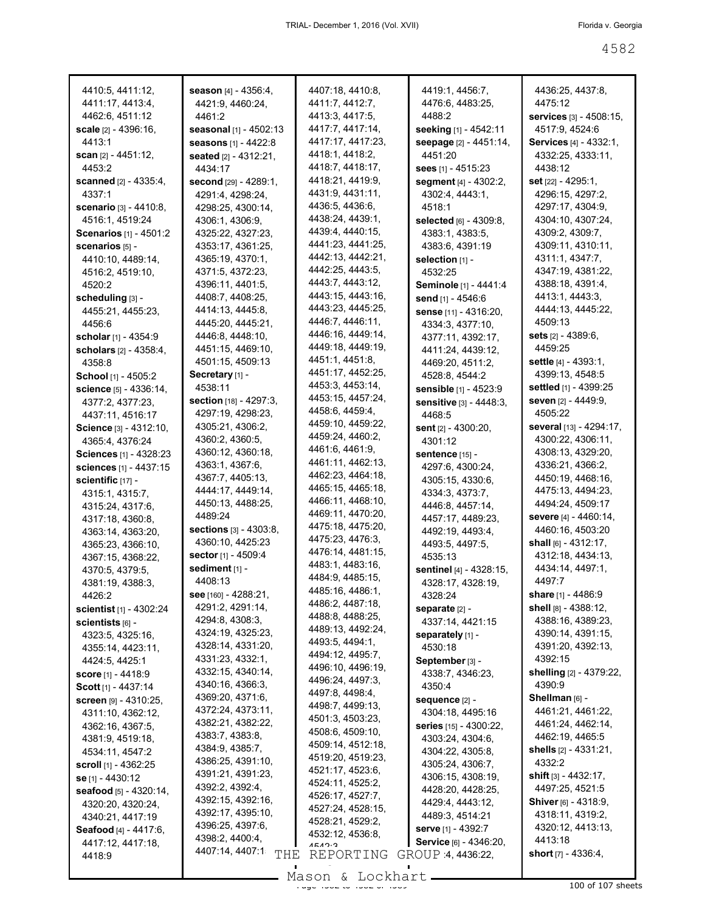| 4410:5, 4411:12,                 | <b>season</b> $[4] - 4356:4$   | 4407:18, 4410:8,           | 4419:1, 4456:7,               | 4436:25, 4437:8,                  |
|----------------------------------|--------------------------------|----------------------------|-------------------------------|-----------------------------------|
| 4411:17, 4413:4,                 | 4421:9, 4460:24,               | 4411:7, 4412:7,            | 4476:6, 4483:25,              | 4475:12                           |
| 4462:6, 4511:12                  | 4461:2                         | 4413:3, 4417:5,            | 4488:2                        | <b>services</b> $[3] - 4508:15$ , |
| <b>scale</b> $[2] - 4396:16$ ,   | seasonal [1] - 4502:13         | 4417:7, 4417:14,           | seeking [1] - 4542:11         | 4517:9, 4524:6                    |
| 4413:1                           | <b>seasons</b> $[1] - 4422:8$  | 4417:17, 4417:23,          | seepage [2] - 4451:14,        | <b>Services</b> [4] - 4332:1,     |
| <b>scan</b> [2] - 4451:12,       | <b>seated</b> [2] - 4312:21.   | 4418:1, 4418:2,            | 4451:20                       | 4332:25, 4333:11,                 |
| 4453:2                           | 4434:17                        | 4418:7, 4418:17,           | sees $[1] - 4515:23$          | 4438:12                           |
| <b>scanned</b> $[2] - 4335:4,$   | <b>second</b> $[29] - 4289:1$  | 4418:21, 4419:9,           | segment [4] - 4302:2,         | <b>set</b> [22] - 4295:1,         |
| 4337:1                           | 4291:4, 4298:24,               | 4431:9, 4431:11,           | 4302:4, 4443:1,               | 4296:15, 4297:2,                  |
| <b>scenario</b> $[3] - 4410:8,$  | 4298:25, 4300:14,              | 4436:5, 4436:6,            | 4518:1                        | 4297:17, 4304:9,                  |
| 4516:1, 4519:24                  | 4306:1, 4306:9,                | 4438:24, 4439:1,           | selected [6] - 4309:8,        | 4304:10, 4307:24,                 |
| <b>Scenarios</b> [1] - 4501:2    | 4325:22, 4327:23,              | 4439:4, 4440:15,           | 4383:1, 4383:5,               | 4309:2, 4309:7,                   |
| scenarios [5] -                  | 4353:17, 4361:25,              | 4441:23, 4441:25,          | 4383:6, 4391:19               | 4309:11, 4310:11,                 |
| 4410:10, 4489:14,                | 4365:19, 4370:1,               | 4442:13, 4442:21,          | selection [1] -               | 4311:1, 4347:7,                   |
| 4516:2, 4519:10,                 | 4371:5, 4372:23,               | 4442:25, 4443:5,           | 4532:25                       | 4347:19, 4381:22,                 |
| 4520:2                           | 4396:11, 4401:5,               | 4443:7, 4443:12,           | Seminole [1] - 4441:4         | 4388:18, 4391:4,                  |
| scheduling [3] -                 | 4408:7, 4408:25,               | 4443:15, 4443:16,          | send [1] - 4546:6             | 4413:1, 4443:3,                   |
| 4455:21, 4455:23,                | 4414:13, 4445:8,               | 4443:23, 4445:25,          | sense [11] - 4316:20,         | 4444:13, 4445:22,                 |
| 4456:6                           | 4445:20, 4445:21,              | 4446:7, 4446:11,           | 4334:3, 4377:10,              | 4509:13                           |
| <b>scholar</b> [1] - 4354:9      | 4446:8, 4448:10,               | 4446:16, 4449:14,          | 4377:11, 4392:17,             | <b>sets</b> [2] - 4389:6,         |
| <b>scholars</b> $[2] - 4358:4,$  | 4451:15, 4469:10,              | 4449:18, 4449:19,          | 4411:24, 4439:12,             | 4459:25                           |
| 4358:8                           | 4501:15, 4509:13               | 4451:1, 4451:8,            | 4469:20, 4511:2,              | <b>settle</b> $[4] - 4393:1,$     |
| School [1] - 4505:2              | Secretary [1] -                | 4451:17, 4452:25,          | 4528:8, 4544:2                | 4399:13, 4548:5                   |
| <b>science</b> [5] - 4336:14,    | 4538:11                        | 4453:3, 4453:14,           | <b>sensible</b> [1] - 4523:9  | settled [1] - 4399:25             |
| 4377:2, 4377:23,                 | <b>section</b> $[18] - 4297:3$ | 4453:15, 4457:24,          | Sensitive [3] - 4448:3,       | <b>seven</b> [2] - 4449:9,        |
| 4437:11, 4516:17                 | 4297:19, 4298:23,              | 4458:6, 4459:4,            | 4468.5                        | 4505:22                           |
| Science [3] - 4312:10,           | 4305:21, 4306:2,               | 4459:10, 4459:22,          | sent $[2] - 4300:20$ ,        | <b>several</b> [13] - 4294:17,    |
| 4365:4, 4376:24                  | 4360:2, 4360:5,                | 4459:24, 4460:2,           | 4301:12                       | 4300:22, 4306:11,                 |
| <b>Sciences</b> $[1] - 4328:23$  | 4360:12, 4360:18,              | 4461:6, 4461:9,            | sentence [15] -               | 4308:13, 4329:20,                 |
| <b>sciences</b> [1] - 4437:15    | 4363:1, 4367:6,                | 4461:11, 4462:13,          | 4297:6, 4300:24,              | 4336:21, 4366:2,                  |
| scientific [17] -                | 4367:7, 4405:13,               | 4462:23, 4464:18,          | 4305:15, 4330:6,              | 4450:19, 4468:16,                 |
| 4315:1, 4315:7,                  | 4444:17, 4449:14,              | 4465:15, 4465:18,          | 4334:3, 4373:7,               | 4475:13, 4494:23,                 |
| 4315:24, 4317:6,                 | 4450:13, 4488:25,              | 4466:11, 4468:10,          | 4446.8, 4457:14,              | 4494:24, 4509:17                  |
| 4317:18, 4360:8,                 | 4489:24                        | 4469:11, 4470:20,          | 4457:17, 4489:23,             | <b>severe</b> [4] - 4460:14,      |
| 4363:14, 4363:20,                | <b>sections</b> $[3] - 4303.8$ | 4475:18, 4475:20,          | 4492:19, 4493:4,              | 4460:16, 4503:20                  |
| 4365:23, 4366:10,                | 4360:10, 4425:23               | 4475:23, 4476:3,           | 4493:5, 4497:5,               | <b>shall</b> $[6] - 4312:17$ ,    |
| 4367:15, 4368:22,                | <b>sector</b> [1] - 4509:4     | 4476:14, 4481:15,          | 4535:13                       | 4312:18, 4434:13,                 |
| 4370:5, 4379:5,                  | sediment [1] -                 | 4483:1, 4483:16,           | sentinel [4] - 4328:15,       | 4434:14, 4497:1,                  |
| 4381:19, 4388:3,                 | 4408:13                        | 4484:9, 4485:15,           | 4328:17, 4328:19,             | 4497:7                            |
| 4426:2                           | see [160] - 4288:21,           | 4485:16, 4486:1,           | 4328:24                       | share [1] - 4486:9                |
| <b>scientist</b> [1] - 4302:24   | 4291:2, 4291:14,               | 4486:2, 4487:18,           | separate [2] -                | shell $[8] - 4388:12$ ,           |
| scientists [6] -                 | 4294:8, 4308:3,                | 4488:8, 4488:25,           | 4337:14, 4421:15              | 4388:16, 4389:23,                 |
| 4323:5, 4325:16,                 | 4324:19, 4325:23,              | 4489:13, 4492:24,          | separately [1] -              | 4390:14, 4391:15,                 |
| 4355:14, 4423:11,                | 4328:14, 4331:20,              | 4493:5, 4494:1,            | 4530:18                       | 4391:20, 4392:13,                 |
| 4424:5, 4425:1                   | 4331:23, 4332:1,               | 4494:12, 4495:7,           | September [3] -               | 4392:15                           |
| <b>score</b> [1] - 4418:9        | 4332:15, 4340:14,              | 4496:10, 4496:19,          | 4338:7, 4346:23,              | shelling [2] - 4379:22,           |
| Scott [1] - 4437:14              | 4340:16, 4366:3,               | 4496:24, 4497:3,           | 4350:4                        | 4390:9                            |
| <b>screen</b> [9] - 4310:25,     | 4369:20, 4371:6,               | 4497:8, 4498:4,            | sequence [2] -                | Shellman [6] -                    |
| 4311:10, 4362:12,                | 4372:24, 4373:11,              | 4498:7, 4499:13,           | 4304:18, 4495:16              | 4461:21, 4461:22,                 |
| 4362:16, 4367:5,                 | 4382:21, 4382:22,              | 4501:3, 4503:23,           | <b>series</b> [15] - 4300:22, | 4461:24, 4462:14,                 |
| 4381:9, 4519:18,                 | 4383:7, 4383:8,                | 4508:6, 4509:10,           | 4303:24, 4304:6,              | 4462:19, 4465:5                   |
| 4534:11, 4547:2                  | 4384:9, 4385:7,                | 4509:14, 4512:18,          | 4304:22, 4305:8,              | shells $[2] - 4331:21,$           |
| <b>scroll</b> $[1]$ - 4362:25    | 4386:25, 4391:10,              | 4519:20, 4519:23,          | 4305:24, 4306:7,              | 4332:2                            |
| se [1] - 4430:12                 | 4391:21, 4391:23,              | 4521:17, 4523:6,           | 4306:15, 4308:19,             | <b>shift</b> $[3] - 4432:17$ ,    |
| <b>seafood</b> $[5] - 4320:14$ , | 4392:2, 4392:4,                | 4524:11, 4525:2,           | 4428:20, 4428:25,             | 4497:25, 4521:5                   |
| 4320:20, 4320:24,                | 4392:15, 4392:16,              | 4526:17, 4527:7,           | 4429:4, 4443:12,              | Shiver [6] - 4318:9,              |
| 4340:21, 4417:19                 | 4392:17, 4395:10,              | 4527:24, 4528:15,          | 4489:3, 4514:21               | 4318:11, 4319:2,                  |
| Seafood [4] - 4417:6,            | 4396:25, 4397:6,               | 4528:21, 4529:2,           | serve [1] - 4392:7            | 4320:12, 4413:13,                 |
| 4417:12, 4417:18,                | 4398:2, 4400:4,                | 4532:12, 4536:8,<br>1510.2 | Service [6] - 4346:20,        | 4413:18                           |
| 4418:9                           | 4407:14, 4407:1<br>THE         | REPORTING                  | GROUP 4, 4436:22,             | short $[7] - 4336.4$ ,            |
|                                  |                                |                            |                               |                                   |
|                                  |                                | Mason & Lockhart           |                               |                                   |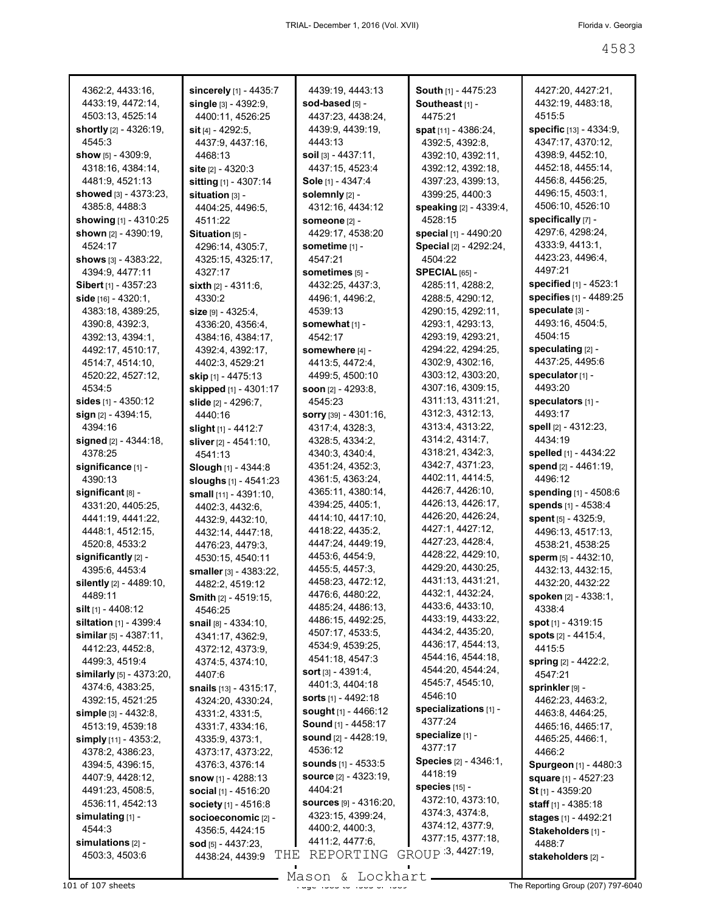| 4362:2, 4433:16,                 | sincerely [1] - 4435:7        | 4439:19, 4443:13                 | South [1] - 4475:23          | 4427:20, 4427:21,                 |
|----------------------------------|-------------------------------|----------------------------------|------------------------------|-----------------------------------|
| 4433:19, 4472:14,                | single $[3] - 4392.9$ ,       | sod-based [5] -                  | Southeast <sub>[1]</sub> -   | 4432:19, 4483:18,                 |
| 4503:13, 4525:14                 | 4400:11, 4526:25              | 4437:23, 4438:24,                | 4475:21                      | 4515:5                            |
|                                  |                               |                                  |                              |                                   |
| <b>shortly</b> $[2] - 4326:19$ , | <b>sit</b> $[4] - 4292:5$ ,   | 4439:9, 4439:19,                 | spat [11] - 4386:24,         | <b>specific</b> $[13] - 4334:9$ , |
| 4545.3                           | 4437:9, 4437:16,              | 4443:13                          | 4392:5, 4392:8,              | 4347:17, 4370:12,                 |
| show $[5] - 4309:9,$             | 4468:13                       | <b>soil</b> $[3] - 4437:11$ ,    | 4392:10, 4392:11,            | 4398:9, 4452:10,                  |
| 4318:16, 4384:14,                | site $[2] - 4320:3$           | 4437:15, 4523:4                  | 4392:12, 4392:18,            | 4452:18, 4455:14,                 |
| 4481:9, 4521:13                  | sitting [1] - 4307:14         | Sole [1] - 4347:4                | 4397:23, 4399:13,            | 4456:8, 4456:25,                  |
| <b>showed</b> [3] - 4373:23,     | situation [3] -               | solemnly [2] -                   | 4399:25, 4400:3              | 4496:15, 4503:1,                  |
| 4385:8, 4488:3                   |                               | 4312:16, 4434:12                 | speaking [2] - 4339:4,       | 4506:10, 4526:10                  |
|                                  | 4404:25, 4496:5,              |                                  |                              |                                   |
| <b>showing</b> [1] - 4310:25     | 4511:22                       | SOMeone [2] -                    | 4528:15                      | specifically [7] -                |
| shown $[2] - 4390:19$ ,          | Situation [5] -               | 4429:17, 4538:20                 | <b>special</b> [1] - 4490:20 | 4297:6, 4298:24,                  |
| 4524:17                          | 4296:14, 4305:7,              | sometime [1] -                   | Special [2] - 4292:24,       | 4333:9, 4413:1,                   |
| <b>shows</b> [3] - 4383:22,      | 4325:15, 4325:17,             | 4547:21                          | 4504:22                      | 4423:23, 4496:4,                  |
| 4394:9, 4477:11                  | 4327:17                       | sometimes [5] -                  | $SPECIAL$ [65] -             | 4497:21                           |
| <b>Sibert</b> [1] - 4357:23      | <b>sixth</b> $[2] - 4311:6$ , | 4432:25, 4437:3,                 | 4285:11, 4288:2,             | <b>specified</b> $[1] - 4523:1$   |
| side $[16] - 4320:1$ ,           | 4330:2                        |                                  |                              | specifies [1] - 4489:25           |
|                                  |                               | 4496:1, 4496:2,                  | 4288:5, 4290:12,             |                                   |
| 4383:18, 4389:25,                | $size$ [9] - 4325:4,          | 4539:13                          | 4290:15, 4292:11,            | speculate [3] -                   |
| 4390:8, 4392:3,                  | 4336:20, 4356:4,              | somewhat [1] -                   | 4293:1, 4293:13,             | 4493:16, 4504:5,                  |
| 4392:13, 4394:1,                 | 4384:16, 4384:17,             | 4542:17                          | 4293:19, 4293:21,            | 4504:15                           |
| 4492:17, 4510:17,                | 4392:4, 4392:17,              | somewhere [4] -                  | 4294:22, 4294:25,            | speculating [2] -                 |
| 4514:7, 4514:10,                 | 4402:3, 4529:21               | 4413:5, 4472:4,                  | 4302:9, 4302:16,             | 4437:25, 4495:6                   |
| 4520:22, 4527:12,                | <b>skip</b> [1] - 4475:13     | 4499:5, 4500:10                  | 4303:12, 4303:20,            | speculator [1] -                  |
|                                  |                               |                                  |                              |                                   |
| 4534:5                           | skipped [1] - 4301:17         | soon $[2] - 4293:8$ ,            | 4307:16, 4309:15,            | 4493:20                           |
| sides $[1]$ - 4350:12            | <b>slide</b> [2] - 4296:7,    | 4545:23                          | 4311:13, 4311:21,            | speculators [1] -                 |
| sign $[2] - 4394:15$ ,           | 4440:16                       | <b>sorry</b> $[39] - 4301:16$ ,  | 4312:3, 4312:13,             | 4493:17                           |
| 4394:16                          | slight $[1]$ - 4412:7         | 4317:4, 4328:3,                  | 4313:4, 4313:22,             | spell [2] - 4312:23,              |
| signed $[2] - 4344:18$ ,         | sliver [2] - 4541:10,         | 4328:5, 4334:2,                  | 4314:2, 4314:7,              | 4434:19                           |
| 4378:25                          | 4541:13                       | 4340:3, 4340:4,                  | 4318:21, 4342:3,             | spelled [1] - 4434:22             |
| significance [1] -               |                               | 4351:24, 4352:3,                 | 4342:7, 4371:23,             | spend $[2] - 4461:19$ ,           |
|                                  | Slough [1] - 4344:8           |                                  | 4402:11, 4414:5,             | 4496:12                           |
| 4390:13                          | sloughs $[1] - 4541:23$       | 4361:5, 4363:24,                 |                              |                                   |
| significant [8] -                | small [11] - 4391:10,         | 4365:11, 4380:14,                | 4426:7, 4426:10,             | <b>spending</b> [1] - 4508:6      |
| 4331:20, 4405:25,                | 4402:3, 4432:6,               | 4394:25, 4405:1,                 | 4426:13, 4426:17,            | spends [1] - 4538:4               |
| 4441:19, 4441:22,                | 4432:9, 4432:10,              | 4414:10, 4417:10,                | 4426:20, 4426:24,            | spent $[5] - 4325.9$ ,            |
| 4448:1, 4512:15,                 | 4432:14, 4447:18,             | 4418:22, 4435:2,                 | 4427:1, 4427:12,             | 4496:13, 4517:13,                 |
| 4520:8, 4533:2                   | 4476:23, 4479:3,              | 4447:24, 4449:19,                | 4427:23, 4428:4,             | 4538:21, 4538:25                  |
| significantly $[2]$ -            |                               | 4453:6, 4454:9,                  | 4428:22, 4429:10,            | sperm $[5] - 4432:10$ ,           |
|                                  | 4530:15, 4540:11              |                                  | 4429:20, 4430:25,            |                                   |
| 4395:6, 4453:4                   | smaller [3] - 4383:22,        | 4455:5, 4457:3,                  |                              | 4432:13, 4432:15,                 |
| <b>silently</b> $[2] - 4489:10,$ | 4482:2, 4519:12               | 4458:23, 4472:12,                | 4431:13, 4431:21,            | 4432:20, 4432:22                  |
| 4489:11                          | <b>Smith</b> $[2]$ - 4519:15, | 4476:6, 4480:22,                 | 4432:1, 4432:24,             | spoken [2] - 4338:1,              |
| <b>silt</b> [1] - 4408:12        | 4546:25                       | 4485:24, 4486:13,                | 4433:6, 4433:10,             | 4338:4                            |
| siltation [1] - 4399:4           | snail [8] - 4334:10,          | 4486:15, 4492:25,                | 4433:19, 4433:22,            | spot [1] - 4319:15                |
| similar $[5] - 4387:11$ ,        | 4341:17, 4362:9,              | 4507:17, 4533:5,                 | 4434:2, 4435:20,             | spots [2] - 4415:4,               |
| 4412:23, 4452:8,                 |                               | 4534:9, 4539:25,                 | 4436:17, 4544:13,            | 4415:5                            |
|                                  | 4372:12, 4373:9,              | 4541:18, 4547:3                  | 4544:16, 4544:18,            |                                   |
| 4499:3, 4519:4                   | 4374:5, 4374:10,              | <b>sort</b> $[3] - 4391:4$ ,     | 4544:20, 4544:24,            | spring $[2] - 4422:2,$            |
| similarly [5] - 4373:20,         | 4407:6                        |                                  | 4545:7, 4545:10,             | 4547:21                           |
| 4374:6, 4383:25,                 | snails [13] - 4315:17,        | 4401:3, 4404:18                  |                              | sprinkler [9] -                   |
| 4392:15, 4521:25                 | 4324:20, 4330:24,             | sorts [1] - 4492:18              | 4546:10                      | 4462:23, 4463:2,                  |
| simple [3] - 4432:8,             | 4331:2, 4331:5,               | <b>sought</b> [1] - 4466:12      | specializations [1] -        | 4463:8, 4464:25,                  |
| 4513:19, 4539:18                 | 4331:7, 4334:16,              | Sound [1] - 4458:17              | 4377:24                      | 4465:16, 4465:17,                 |
| simply [11] - 4353:2,            | 4335.9, 4373.1,               | <b>sound</b> $[2] - 4428:19$ ,   | specialize [1] -             | 4465:25, 4466:1,                  |
|                                  |                               | 4536:12                          | 4377:17                      |                                   |
| 4378:2, 4386:23,                 | 4373:17, 4373:22,             |                                  | Species [2] - 4346:1,        | 4466:2                            |
| 4394:5, 4396:15,                 | 4376:3, 4376:14               | <b>sounds</b> [1] - 4533:5       | 4418:19                      | Spurgeon [1] - 4480:3             |
| 4407:9, 4428:12,                 | <b>snow</b> $[1] - 4288:13$   | <b>source</b> [2] - 4323:19,     |                              | square [1] - 4527:23              |
| 4491:23, 4508:5,                 | social [1] - 4516:20          | 4404:21                          | species $[15]$ -             | St $[1]$ - 4359:20                |
| 4536:11, 4542:13                 | society [1] - 4516:8          | <b>sources</b> $[9] - 4316:20$ , | 4372:10, 4373:10,            | staff [1] - 4385:18               |
| simulating [1] -                 | socioeconomic [2] -           | 4323:15, 4399:24,                | 4374:3, 4374:8,              | stages [1] - 4492:21              |
| 4544:3                           | 4356:5, 4424:15               | 4400:2, 4400:3,                  | 4374:12, 4377:9,             | Stakeholders [1] -                |
| simulations $[2]$ -              | sod $[5] - 4437:23$ ,         | 4411:2, 4477:6,                  | 4377:15, 4377:18,            | 4488.7                            |
| 4503:3, 4503:6                   | THE                           | REPORTING                        | GROUP 3, 4427:19,            |                                   |
|                                  | 4438:24, 4439:9               |                                  |                              | stakeholders [2] -                |
|                                  |                               |                                  |                              |                                   |

101 of 107 sheets **Page 1023 of 4583** Mason & Lockhart **Page 4583** The Reporting Group (207) 797-6040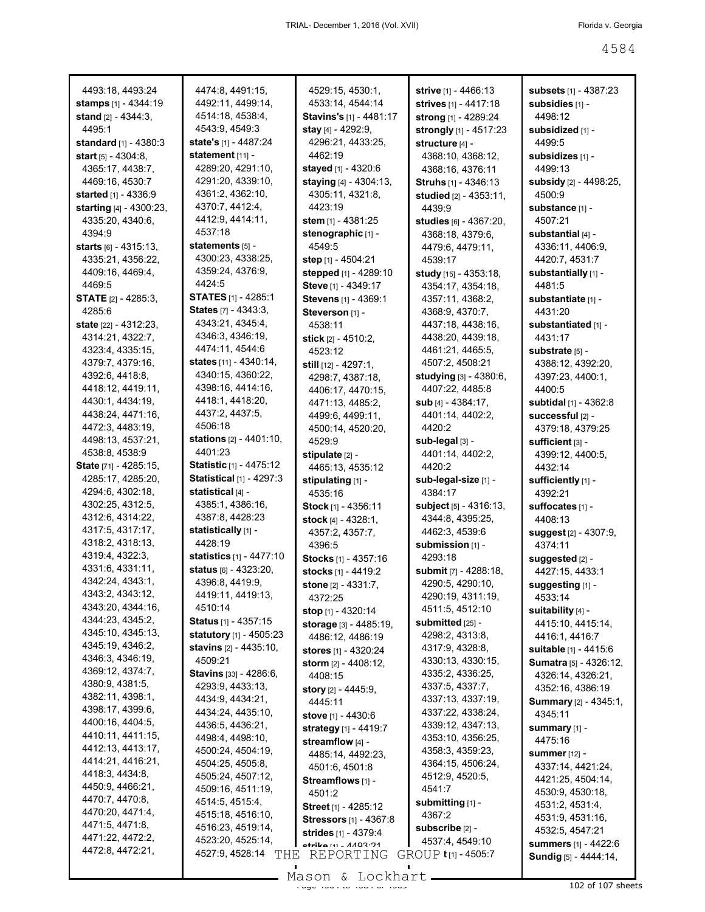| 4493:18, 4493:24<br>stamps [1] - 4344:19 | 4474:8, 4491:15,<br>4492:11, 4499:14,             | 4529:15, 4530:1,<br>4533:14, 4544:14     | strive [1] - 4466:13<br>strives [1] - 4417:18 | subsets [1] - 4387:23<br>subsidies [1] -      |
|------------------------------------------|---------------------------------------------------|------------------------------------------|-----------------------------------------------|-----------------------------------------------|
| stand [2] - 4344:3,                      | 4514:18, 4538:4,                                  | Stavins's [1] - 4481:17                  | strong [1] - 4289:24                          | 4498:12                                       |
| 4495:1                                   | 4543:9, 4549:3                                    | stay $[4] - 4292:9$ ,                    | strongly [1] - 4517:23                        | subsidized [1] -                              |
| standard [1] - 4380:3                    | state's [1] - 4487:24                             | 4296:21, 4433:25,                        | structure [4] -                               | 4499:5                                        |
| start $[5] - 4304:8$ ,                   | statement [11] -                                  | 4462:19                                  | 4368:10, 4368:12,                             | subsidizes [1] -                              |
| 4365:17, 4438:7,                         | 4289:20, 4291:10,                                 | stayed [1] - 4320:6                      | 4368:16, 4376:11                              | 4499:13                                       |
| 4469:16, 4530:7                          | 4291:20, 4339:10,                                 | staying [4] - 4304:13,                   | Struhs [1] - 4346:13                          | subsidy [2] - 4498:25,                        |
| started [1] - 4336:9                     | 4361:2, 4362:10,                                  | 4305:11, 4321:8,                         | studied [2] - 4353:11,                        | 4500:9                                        |
| starting [4] - 4300:23,                  | 4370:7, 4412:4,                                   | 4423:19                                  | 4439:9                                        | substance [1] -                               |
| 4335:20, 4340:6,                         | 4412:9, 4414:11,                                  | stem $[1] - 4381:25$                     | studies [6] - 4367:20,                        | 4507:21                                       |
| 4394:9                                   | 4537:18                                           | stenographic [1] -                       | 4368:18, 4379:6,                              | substantial [4] -                             |
| starts [6] - 4315:13,                    | statements [5] -                                  | 4549:5                                   | 4479:6, 4479:11,                              | 4336:11, 4406:9,                              |
| 4335:21, 4356:22,                        | 4300:23, 4338:25,                                 | step [1] - 4504:21                       | 4539:17                                       | 4420:7, 4531:7                                |
| 4409:16, 4469:4,                         | 4359:24, 4376:9,                                  | stepped [1] - 4289:10                    | study [15] - 4353:18,                         | substantially [1] -                           |
| 4469:5                                   | 4424:5                                            | Steve [1] - 4349:17                      | 4354:17, 4354:18,                             | 4481:5                                        |
| <b>STATE</b> $[2] - 4285:3$              | <b>STATES</b> [1] - 4285:1                        | Stevens [1] - 4369:1                     | 4357:11, 4368:2,                              | substantiate [1] -                            |
| 4285:6                                   | <b>States</b> $[7] - 4343:3$ ,                    | Steverson [1] -                          | 4368:9, 4370:7,                               | 4431:20                                       |
| state [22] - 4312:23,                    | 4343:21, 4345:4,                                  | 4538:11                                  | 4437:18, 4438:16,                             | substantiated [1] -                           |
| 4314:21, 4322:7,                         | 4346:3, 4346:19,                                  | stick [2] - 4510:2,                      | 4438:20, 4439:18,                             | 4431:17                                       |
| 4323:4, 4335:15,                         | 4474:11, 4544:6                                   | 4523:12                                  | 4461:21, 4465:5,                              | substrate [5] -                               |
| 4379:7, 4379:16,                         | states [11] - 4340:14,                            | still [12] - 4297:1,                     | 4507:2, 4508:21                               | 4388:12, 4392:20,                             |
| 4392:6, 4418:8,                          | 4340:15, 4360:22,                                 | 4298:7, 4387:18,                         | studying [3] - 4380:6,                        | 4397:23, 4400:1,                              |
| 4418:12, 4419:11,                        | 4398:16, 4414:16,                                 | 4406:17, 4470:15,                        | 4407:22, 4485:8                               | 4400:5                                        |
| 4430:1, 4434:19,                         | 4418:1, 4418:20,                                  | 4471:13, 4485:2,                         | sub $[4] - 4384:17$ ,                         | subtidal [1] - 4362:8                         |
| 4438:24, 4471:16,                        | 4437:2, 4437:5,                                   | 4499:6, 4499:11,                         | 4401:14, 4402:2,                              | successful [2] -                              |
| 4472:3, 4483:19,                         | 4506:18                                           | 4500:14, 4520:20,                        | 4420:2                                        | 4379:18, 4379:25                              |
| 4498:13, 4537:21,                        | <b>stations</b> [2] - 4401:10,<br>4401:23         | 4529:9                                   | sub-legal [3] -                               | sufficient [3] -                              |
| 4538:8, 4538:9<br>State [71] - 4285:15,  | <b>Statistic [1] - 4475:12</b>                    | stipulate [2] -                          | 4401:14, 4402:2,                              | 4399:12, 4400:5,                              |
|                                          |                                                   | 4465:13, 4535:12                         | 4420:2                                        | 4432:14                                       |
|                                          |                                                   |                                          |                                               |                                               |
| 4285:17, 4285:20,                        | <b>Statistical [1] - 4297:3</b>                   | stipulating [1] -                        | sub-legal-size [1] -                          | sufficiently [1] -                            |
| 4294:6, 4302:18,                         | statistical [4] -                                 | 4535:16                                  | 4384:17                                       | 4392:21                                       |
| 4302:25, 4312:5,                         | 4385:1, 4386:16,                                  | Stock [1] - 4356:11                      | subject [5] - 4316:13,                        | suffocates [1] -                              |
| 4312:6, 4314:22,                         | 4387:8, 4428:23                                   | stock [4] - 4328:1,                      | 4344:8, 4395:25,                              | 4408:13                                       |
| 4317:5, 4317:17,                         | statistically [1] -                               | 4357:2, 4357:7,                          | 4462:3, 4539:6                                | suggest [2] - 4307:9,                         |
| 4318:2, 4318:13,                         | 4428:19                                           | 4396:5                                   | submission [1] -                              | 4374:11                                       |
| 4319:4, 4322:3,<br>4331:6, 4331:11,      | statistics [1] - 4477:10<br>status [6] - 4323:20, | Stocks [1] - 4357:16                     | 4293:18                                       | suggested [2] -                               |
| 4342:24, 4343:1,                         |                                                   | stocks [1] - 4419:2                      | submit [7] - 4288:18,                         | 4427:15, 4433:1                               |
| 4343:2, 4343:12,                         | 4396:8, 4419:9,<br>4419:11, 4419:13,              | stone [2] - 4331:7,                      | 4290:5, 4290:10,                              | suggesting [1] -                              |
| 4343:20, 4344:16,                        | 4510:14                                           | 4372:25                                  | 4290:19, 4311:19,                             | 4533:14                                       |
| 4344:23, 4345:2,                         | <b>Status</b> [1] - 4357:15                       | stop [1] - 4320:14                       | 4511:5, 4512:10<br>submitted [25] -           | suitability [4] -                             |
| 4345:10, 4345:13,                        | statutory [1] - 4505:23                           | storage [3] - 4485:19,                   | 4298:2, 4313:8,                               | 4415:10, 4415:14,<br>4416:1, 4416:7           |
| 4345:19, 4346:2,                         | <b>stavins</b> [2] - 4435:10,                     | 4486:12, 4486:19<br>stores [1] - 4320:24 | 4317:9, 4328:8,                               | suitable [1] - 4415:6                         |
| 4346:3, 4346:19,                         | 4509:21                                           | storm $[2] - 4408:12$ ,                  | 4330:13, 4330:15,                             | Sumatra [5] - 4326:12,                        |
| 4369:12, 4374:7,                         | <b>Stavins</b> [33] - 4286:6,                     | 4408:15                                  | 4335:2, 4336:25,                              | 4326:14, 4326:21,                             |
| 4380:9, 4381:5,                          | 4293:9, 4433:13,                                  | story [2] - 4445:9,                      | 4337:5, 4337:7,                               | 4352:16, 4386:19                              |
| 4382:11, 4398:1,                         | 4434:9, 4434:21,                                  | 4445:11                                  | 4337:13, 4337:19,                             | Summary [2] - 4345:1,                         |
| 4398:17, 4399:6,                         | 4434:24, 4435:10,                                 | stove [1] - 4430:6                       | 4337:22, 4338:24,                             | 4345:11                                       |
| 4400:16, 4404:5,                         | 4436:5, 4436:21,                                  | strategy [1] - 4419:7                    | 4339:12, 4347:13,                             | $summary$ [1] -                               |
| 4410:11, 4411:15,                        | 4498:4, 4498:10,                                  | streamflow [4] -                         | 4353:10, 4356:25,                             | 4475:16                                       |
| 4412:13, 4413:17,                        | 4500:24, 4504:19,                                 | 4485:14, 4492:23,                        | 4358:3, 4359:23,                              | <b>summer</b> $[12]$ -                        |
| 4414:21, 4416:21,                        | 4504:25, 4505:8,                                  | 4501:6, 4501:8                           | 4364:15, 4506:24,                             | 4337:14, 4421:24,                             |
| 4418:3, 4434:8,                          | 4505:24, 4507:12,                                 | Streamflows [1] -                        | 4512:9, 4520:5,                               | 4421:25, 4504:14,                             |
| 4450:9, 4466:21,                         | 4509:16, 4511:19,                                 | 4501:2                                   | 4541:7                                        | 4530:9, 4530:18,                              |
| 4470:7, 4470:8,                          | 4514:5, 4515:4,                                   | Street [1] - 4285:12                     | submitting [1] -                              | 4531:2, 4531:4,                               |
| 4470:20, 4471:4,<br>4471:5, 4471:8,      | 4515:18, 4516:10,                                 | <b>Stressors</b> [1] - 4367:8            | 4367:2                                        | 4531:9, 4531:16,                              |
|                                          | 4516:23, 4519:14,                                 | strides [1] - 4379:4                     | subscribe [2] -                               | 4532:5, 4547:21                               |
| 4471:22, 4472:2,<br>4472:8, 4472:21,     | 4523:20, 4525:14,<br>4527:9, 4528:14<br>THE       | etrika [4] _ 4403.21<br>REPORTING        | 4537:4, 4549:10<br>GROUP t[1] - 4505:7        | summers [1] - 4422:6<br>Sundig [5] - 4444:14, |

Mason & Lockhart 102 of 107 sheets

 $\mathcal{L}_{\mathcal{A}}$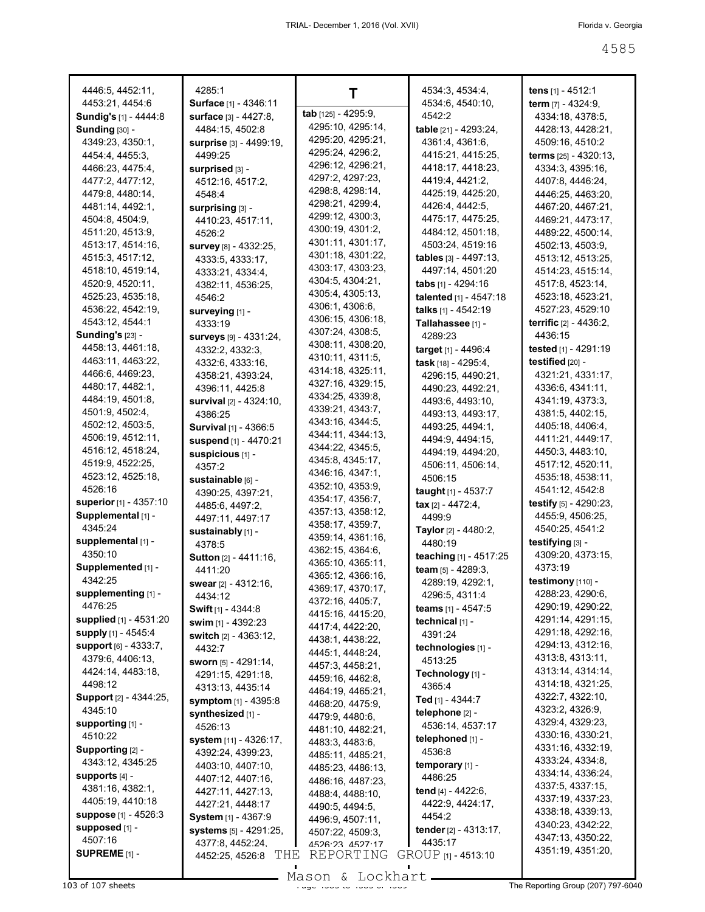| 4446:5, 4452:11,                   | 4285:1                       | т                                     | 4534:3, 4534:4,             | tens [1] - 4512:1                |
|------------------------------------|------------------------------|---------------------------------------|-----------------------------|----------------------------------|
| 4453:21, 4454:6                    | Surface [1] - 4346:11        |                                       | 4534:6, 4540:10,            | term $[7] - 4324:9$ ,            |
| <b>Sundig's [1] - 4444:8</b>       | surface [3] - 4427:8,        | tab [125] - 4295:9,                   | 4542:2                      | 4334:18, 4378:5,                 |
| <b>Sunding <math>[30]</math> -</b> | 4484:15, 4502:8              | 4295:10, 4295:14,                     | table [21] - 4293:24,       | 4428:13, 4428:21,                |
| 4349:23, 4350:1,                   | surprise [3] - 4499:19,      | 4295:20, 4295:21,                     | 4361:4, 4361:6,             | 4509:16, 4510:2                  |
| 4454:4, 4455:3,                    | 4499:25                      | 4295:24, 4296:2,                      | 4415:21, 4415:25,           | <b>terms</b> $[25] - 4320:13$ ,  |
| 4466:23, 4475:4,                   | surprised [3] -              | 4296:12, 4296:21,                     | 4418:17, 4418:23,           | 4334:3, 4395:16,                 |
| 4477:2, 4477:12,                   | 4512:16, 4517:2,             | 4297:2, 4297:23,                      | 4419:4, 4421:2,             | 4407:8, 4446:24,                 |
| 4479:8, 4480:14,                   | 4548:4                       | 4298:8, 4298:14,                      | 4425:19, 4425:20,           | 4446:25, 4463:20,                |
| 4481:14, 4492:1,                   | surprising [3] -             | 4298:21, 4299:4,                      | 4426:4, 4442:5,             | 4467:20, 4467:21,                |
| 4504:8, 4504:9,                    | 4410:23, 4517:11,            | 4299:12, 4300:3,                      | 4475:17, 4475:25,           | 4469:21, 4473:17,                |
| 4511:20, 4513:9,                   | 4526:2                       | 4300:19, 4301:2,                      | 4484:12, 4501:18,           | 4489:22, 4500:14,                |
| 4513:17, 4514:16,                  | survey [8] - 4332:25,        | 4301:11, 4301:17,                     | 4503:24, 4519:16            | 4502:13, 4503:9,                 |
| 4515:3, 4517:12,                   | 4333:5, 4333:17,             | 4301:18, 4301:22,                     | tables $[3] - 4497:13$ ,    | 4513:12, 4513:25,                |
| 4518:10, 4519:14,                  | 4333:21, 4334:4,             | 4303:17, 4303:23,                     | 4497:14, 4501:20            | 4514:23, 4515:14,                |
| 4520:9, 4520:11,                   | 4382:11, 4536:25,            | 4304:5, 4304:21,                      | tabs [1] - 4294:16          | 4517:8, 4523:14,                 |
| 4525:23, 4535:18,                  | 4546:2                       | 4305:4, 4305:13,                      | talented [1] - 4547:18      | 4523:18, 4523:21,                |
| 4536:22, 4542:19,                  | surveying [1] -              | 4306:1, 4306:6,                       | talks [1] - 4542:19         | 4527:23, 4529:10                 |
| 4543:12, 4544:1                    | 4333:19                      | 4306:15, 4306:18,                     | Tallahassee [1] -           | <b>terrific</b> $[2] - 4436:2$ , |
| <b>Sunding's [23] -</b>            | surveys [9] - 4331:24,       | 4307:24, 4308:5,                      | 4289:23                     | 4436:15                          |
| 4458:13, 4461:18,                  | 4332:2, 4332:3,              | 4308:11, 4308:20,                     | target [1] - 4496:4         | tested [1] - 4291:19             |
| 4463:11, 4463:22,                  | 4332:6, 4333:16,             | 4310:11, 4311:5,                      | task [18] - 4295:4,         | testified [20] -                 |
| 4466:6, 4469:23,                   | 4358:21, 4393:24,            | 4314:18, 4325:11,                     | 4296:15, 4490:21,           | 4321:21, 4331:17,                |
| 4480:17, 4482:1,                   | 4396:11, 4425:8              | 4327:16, 4329:15,                     | 4490:23, 4492:21,           | 4336:6, 4341:11,                 |
| 4484:19, 4501:8,                   | survival [2] - 4324:10,      | 4334:25, 4339:8,                      | 4493:6, 4493:10,            | 4341:19, 4373:3,                 |
| 4501:9, 4502:4,                    | 4386:25                      | 4339:21, 4343:7,                      | 4493:13, 4493:17,           | 4381:5, 4402:15,                 |
| 4502:12, 4503:5,                   | <b>Survival</b> [1] - 4366:5 | 4343:16, 4344:5,                      | 4493:25, 4494:1,            | 4405:18, 4406:4,                 |
| 4506:19, 4512:11,                  | suspend [1] - 4470:21        | 4344:11, 4344:13,                     | 4494:9, 4494:15,            | 4411:21, 4449:17,                |
| 4516:12, 4518:24,                  | suspicious [1] -             | 4344:22, 4345:5,                      | 4494:19, 4494:20,           | 4450:3, 4483:10,                 |
| 4519:9, 4522:25,                   | 4357:2                       | 4345:8, 4345:17,                      | 4506:11, 4506:14,           | 4517:12, 4520:11,                |
| 4523:12, 4525:18,                  | sustainable [6] -            | 4346:16, 4347:1,                      | 4506:15                     | 4535:18, 4538:11,                |
| 4526:16                            | 4390:25, 4397:21,            | 4352:10, 4353:9,                      | taught [1] - 4537:7         | 4541:12, 4542:8                  |
| superior [1] - 4357:10             | 4485:6, 4497:2,              | 4354:17, 4356:7,                      | $\textbf{tax}[2] - 4472:4,$ | testify $[5] - 4290:23$ ,        |
| Supplemental [1] -                 | 4497:11, 4497:17             | 4357:13, 4358:12,                     | 4499.9                      | 4455:9, 4506:25,                 |
| 4345:24                            | sustainably [1] -            | 4358:17, 4359:7,                      | Taylor [2] - 4480:2,        | 4540:25, 4541:2                  |
| supplemental [1] -                 | 4378:5                       | 4359:14, 4361:16,                     | 4480:19                     | testifying [3] -                 |
| 4350:10                            | <b>Sutton</b> [2] - 4411:16, | 4362:15, 4364:6,                      | teaching [1] - 4517:25      | 4309:20, 4373:15,                |
| Supplemented [1] -                 | 4411:20                      | 4365:10, 4365:11,                     | team $[5] - 4289:3$ ,       | 4373:19                          |
| 4342:25                            | swear [2] - 4312:16,         | 4365:12, 4366:16,                     | 4289:19, 4292:1,            | testimony [110] -                |
| supplementing [1] -                | 4434:12                      | 4369:17, 4370:17,                     | 4296:5, 4311:4              | 4288:23, 4290:6,                 |
| 4476:25                            | <b>Swift</b> [1] - 4344:8    | 4372:16, 4405:7,<br>4415:16, 4415:20, | <b>teams</b> $[1]$ - 4547:5 | 4290:19, 4290:22,                |
| supplied [1] - 4531:20             | swim [1] - 4392:23           |                                       | technical [1] -             | 4291:14, 4291:15,                |
| <b>supply</b> [1] - 4545:4         | switch [2] - 4363:12,        | 4417:4, 4422:20,<br>4438:1, 4438:22,  | 4391:24                     | 4291:18, 4292:16,                |
| <b>support</b> $[6] - 4333.7$      | 4432:7                       | 4445:1, 4448:24,                      | technologies [1] -          | 4294:13, 4312:16,                |
| 4379:6, 4406:13,                   | sworn [5] - 4291:14,         | 4457:3, 4458:21,                      | 4513:25                     | 4313:8, 4313:11,                 |
| 4424:14, 4483:18,                  | 4291:15, 4291:18,            | 4459:16, 4462:8,                      | Technology [1] -            | 4313:14, 4314:14,                |
| 4498:12                            | 4313:13, 4435:14             | 4464:19, 4465:21,                     | 4365:4                      | 4314:18, 4321:25,                |
| Support [2] - 4344:25,             | symptom [1] - 4395:8         | 4468:20, 4475:9,                      | Ted [1] - 4344:7            | 4322:7, 4322:10,                 |
| 4345:10                            | synthesized [1] -            | 4479:9, 4480:6,                       | telephone [2] -             | 4323:2, 4326:9,                  |
| supporting $[1]$ -                 | 4526:13                      | 4481:10, 4482:21,                     | 4536:14, 4537:17            | 4329:4, 4329:23,                 |
| 4510:22                            | system [11] - 4326:17,       | 4483:3, 4483:6,                       | telephoned [1] -            | 4330:16, 4330:21,                |
| Supporting [2] -                   | 4392:24, 4399:23,            | 4485:11, 4485:21,                     | 4536:8                      | 4331:16, 4332:19,                |
| 4343:12, 4345:25                   | 4403:10, 4407:10,            | 4485:23, 4486:13,                     | temporary [1] -             | 4333:24, 4334:8,                 |
| $supports$ [4] -                   | 4407:12, 4407:16,            | 4486:16, 4487:23,                     | 4486:25                     | 4334:14, 4336:24,                |
| 4381:16, 4382:1,                   | 4427:11, 4427:13,            | 4488:4, 4488:10,                      | tend [4] - 4422:6,          | 4337:5, 4337:15,                 |
| 4405:19, 4410:18                   | 4427:21, 4448:17             | 4490:5, 4494:5,                       | 4422:9, 4424:17,            | 4337:19, 4337:23,                |
| suppose [1] - 4526:3               | System [1] - 4367:9          | 4496:9, 4507:11,                      | 4454:2                      | 4338:18, 4339:13,                |
| supposed [1] -                     | systems [5] - 4291:25,       | 4507:22, 4509:3,                      | tender [2] - 4313:17,       | 4340:23, 4342:22,                |
| 4507:16                            | 4377:8, 4452:24.             | 4526.23 4527.17                       | 4435:17                     | 4347:13, 4350:22,                |
| SUPREME <sub>[1]</sub> -           | THE<br>4452:25, 4526:8       | REPORTING                             | GROUP [1] - 4513:10         | 4351:19, 4351:20,                |
|                                    |                              |                                       |                             |                                  |

103 of 107 sheets **Page 100 of 107 sheets** Page 107 Sheets African Mason & Lockhart **Communist Communist Page 1585 of 40**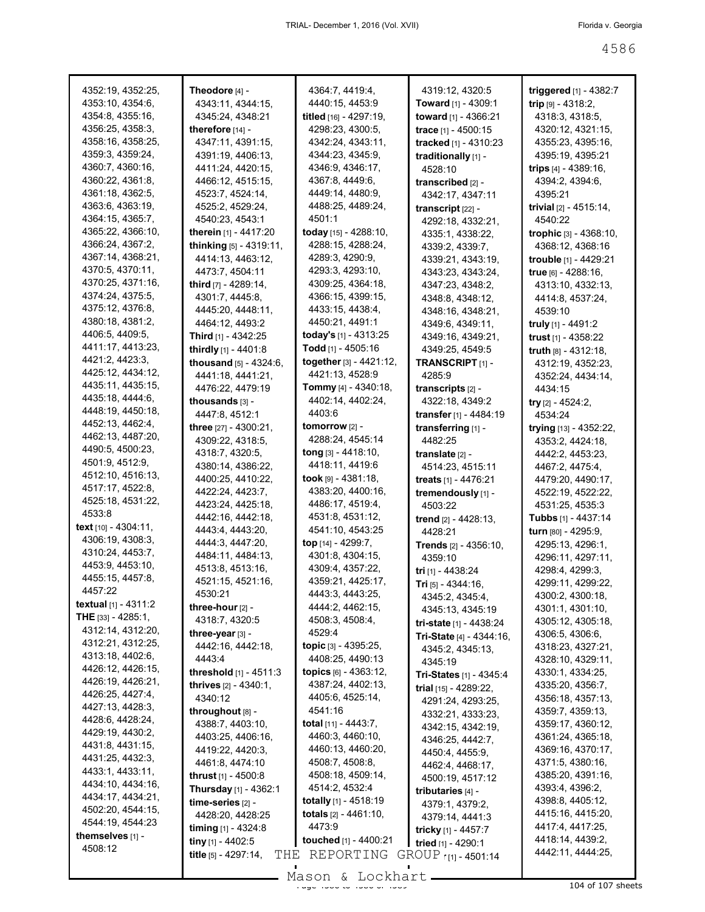| 4352:19, 4352:25,             | Theodore [4] -                  | 4364:7, 4419:4,                 | 4319:12, 4320:5                 | triggered [1] - 4382:7         |
|-------------------------------|---------------------------------|---------------------------------|---------------------------------|--------------------------------|
| 4353:10, 4354:6,              | 4343:11, 4344:15,               | 4440:15, 4453:9                 | <b>Toward</b> [1] - 4309:1      | trip $[9] - 4318:2$ ,          |
| 4354:8, 4355:16,              | 4345:24, 4348:21                | titled [16] - 4297:19,          | toward [1] - 4366:21            | 4318:3, 4318:5,                |
| 4356:25, 4358:3,              | therefore $[14]$ -              | 4298:23, 4300:5,                | trace [1] - 4500:15             | 4320:12, 4321:15,              |
| 4358:16, 4358:25,             | 4347:11, 4391:15,               | 4342:24, 4343:11,               | tracked [1] - 4310:23           | 4355:23, 4395:16,              |
| 4359:3, 4359:24,              | 4391:19, 4406:13,               | 4344:23, 4345:9,                | traditionally [1] -             | 4395:19, 4395:21               |
| 4360:7, 4360:16,              | 4411:24, 4420:15,               | 4346:9, 4346:17,                | 4528:10                         | trips $[4] - 4389:16$ ,        |
| 4360:22, 4361:8,              | 4466:12, 4515:15,               | 4367:8, 4449:6,                 | transcribed [2] -               | 4394:2, 4394:6,                |
| 4361:18, 4362:5,              | 4523:7, 4524:14,                | 4449:14, 4480:9,                | 4342:17, 4347:11                | 4395:21                        |
| 4363:6, 4363:19,              | 4525:2, 4529:24,                | 4488:25, 4489:24,               | transcript [22] -               | trivial $[2] - 4515:14$ ,      |
| 4364:15, 4365:7,              | 4540:23, 4543:1                 | 4501:1                          | 4292:18, 4332:21,               | 4540:22                        |
| 4365:22, 4366:10,             | therein [1] - 4417:20           | today $[15] - 4288:10$ ,        | 4335:1, 4338:22,                | trophic [3] - 4368:10,         |
| 4366:24, 4367:2,              | thinking $[5] - 4319:11$ ,      | 4288:15, 4288:24,               | 4339:2, 4339:7,                 | 4368:12, 4368:16               |
| 4367:14, 4368:21,             | 4414:13, 4463:12,               | 4289:3, 4290:9,                 | 4339:21, 4343:19,               | <b>trouble</b> $[1] - 4429:21$ |
| 4370:5, 4370:11,              | 4473:7, 4504:11                 | 4293:3, 4293:10,                | 4343:23, 4343:24,               | true [6] - 4288:16,            |
| 4370:25, 4371:16,             | third [7] - 4289:14,            | 4309:25, 4364:18,               | 4347:23, 4348:2,                | 4313:10, 4332:13,              |
| 4374:24, 4375:5,              | 4301:7, 4445:8,                 | 4366:15, 4399:15,               | 4348:8, 4348:12,                | 4414:8, 4537:24,               |
| 4375:12, 4376:8,              | 4445:20, 4448:11,               | 4433:15, 4438:4,                | 4348:16, 4348:21,               | 4539:10                        |
| 4380:18, 4381:2,              | 4464:12, 4493:2                 | 4450:21, 4491:1                 | 4349.6, 4349:11,                | truly $[1]$ - 4491:2           |
| 4406:5, 4409:5,               | Third [1] - 4342:25             | today's [1] - 4313:25           |                                 |                                |
| 4411:17, 4413:23,             |                                 | Todd $[1]$ - 4505:16            | 4349:16, 4349:21,               | trust [1] - 4358:22            |
| 4421:2, 4423:3,               | thirdly [1] - 4401:8            |                                 | 4349:25, 4549:5                 | truth [8] - 4312:18,           |
| 4425:12, 4434:12,             | thousand [5] - 4324:6,          | together $[3] - 4421:12$ ,      | TRANSCRIPT [1] -                | 4312:19, 4352:23,              |
| 4435:11, 4435:15,             | 4441:18, 4441:21,               | 4421:13, 4528:9                 | 4285:9                          | 4352:24, 4434:14,              |
| 4435:18, 4444:6,              | 4476:22, 4479:19                | <b>Tommy</b> [4] - 4340:18,     | transcripts [2] -               | 4434:15                        |
| 4448:19, 4450:18,             | thousands [3] -                 | 4402:14, 4402:24,               | 4322:18, 4349:2                 | try $[2] - 4524:2,$            |
| 4452:13, 4462:4,              | 4447:8, 4512:1                  | 4403:6                          | transfer [1] - 4484:19          | 4534:24                        |
| 4462:13, 4487:20,             | three [27] - 4300:21,           | tomorrow [2] -                  | transferring [1] -              | trying [13] - 4352:22,         |
| 4490:5, 4500:23,              | 4309:22, 4318:5,                | 4288:24, 4545:14                | 4482:25                         | 4353:2, 4424:18,               |
|                               | 4318:7, 4320:5,                 | <b>tong</b> $[3] - 4418:10$ ,   | translate [2] -                 | 4442:2, 4453:23,               |
| 4501:9, 4512:9,               | 4380:14, 4386:22,               | 4418:11, 4419:6                 | 4514:23, 4515:11                | 4467:2, 4475:4,                |
| 4512:10, 4516:13,             | 4400:25, 4410:22,               | took $[9] - 4381:18$ ,          | <b>treats</b> $[1] - 4476:21$   | 4479:20, 4490:17,              |
| 4517:17, 4522:8,              | 4422:24, 4423:7,                | 4383:20, 4400:16,               | tremendously [1] -              | 4522:19, 4522:22,              |
| 4525:18, 4531:22,             | 4423:24, 4425:18,               | 4486:17, 4519:4,                | 4503:22                         | 4531:25, 4535:3                |
| 4533:8                        | 4442:16, 4442:18,               | 4531:8, 4531:12,                | trend [2] - 4428:13,            |                                |
| text $[10] - 4304:11$ ,       | 4443:4, 4443:20,                | 4541:10, 4543:25                | 4428:21                         | turn [80] - 4295:9,            |
| 4306:19, 4308:3.              | 4444:3, 4447:20,                | top [14] - 4299:7,              | <b>Trends</b> $[2] - 4356:10$ , | 4295:13, 4296:1,               |
| 4310:24, 4453:7,              | 4484:11, 4484:13,               | 4301:8, 4304:15,                | 4359:10                         | 4296:11, 4297:11,              |
| 4453:9, 4453:10,              | 4513:8, 4513:16,                | 4309:4, 4357:22,                | tri [1] - 4438:24               | 4298:4, 4299:3,                |
| 4455:15, 4457:8,              | 4521:15, 4521:16,               | 4359:21, 4425:17,               | Tri [5] - 4344:16,              | 4299:11, 4299:22,              |
| 4457:22                       | 4530:21                         | 4443:3, 4443:25,                | 4345:2, 4345:4,                 | 4300:2, 4300:18,               |
| <b>textual</b> $[1] - 4311:2$ | three-hour [2] -                | 4444:2, 4462:15,                | 4345:13, 4345:19                | 4301:1, 4301:10,               |
| THE [33] - 4285:1,            | 4318:7, 4320:5                  | 4508:3, 4508:4,                 | tri-state [1] - 4438:24         | 4305:12, 4305:18,              |
| 4312:14, 4312:20,             | three-year $[3]$ -              | 4529:4                          | Tri-State $[4] - 4344:16$ ,     | 4306:5, 4306:6,                |
| 4312:21, 4312:25,             | 4442:16, 4442:18,               | <b>topic</b> $[3] - 4395:25,$   | 4345:2, 4345:13,                | 4318:23, 4327:21,              |
| 4313:18, 4402:6,              | 4443:4                          | 4408:25, 4490:13                | 4345:19                         | 4328:10, 4329:11,              |
| 4426:12, 4426:15,             | threshold [1] - 4511:3          | <b>topics</b> $[6] - 4363:12$ , | Tri-States [1] - 4345:4         | 4330:1, 4334:25,               |
| 4426:19, 4426:21,             | <b>thrives</b> $[2] - 4340.1$ , | 4387:24, 4402:13,               | trial $[15] - 4289:22$ ,        | 4335:20, 4356:7,               |
| 4426:25, 4427:4,              | 4340:12                         | 4405:6, 4525:14,                | 4291:24, 4293:25,               | 4356:18, 4357:13,              |
| 4427:13, 4428:3,              | throughout [8] -                | 4541:16                         | 4332:21, 4333:23,               | 4359:7, 4359:13,               |
| 4428:6, 4428:24,              | 4388:7, 4403:10,                | <b>total</b> $[11] - 4443$ : 7, | 4342:15, 4342:19,               | 4359:17, 4360:12,              |
| 4429:19, 4430:2,              | 4403:25, 4406:16,               | 4460:3, 4460:10,                | 4346:25, 4442:7,                | 4361:24, 4365:18,              |
| 4431:8, 4431:15,              | 4419:22, 4420:3,                | 4460:13, 4460:20,               | 4450:4, 4455:9,                 | 4369:16, 4370:17,              |
| 4431:25, 4432:3,              | 4461:8, 4474:10                 | 4508:7, 4508:8,                 | 4462:4, 4468:17,                | 4371:5, 4380:16,               |
| 4433:1, 4433:11,              | <b>thrust</b> $[1] - 4500:8$    | 4508:18, 4509:14,               | 4500:19, 4517:12                | 4385:20, 4391:16,              |
| 4434:10, 4434:16,             | Thursday [1] - 4362:1           | 4514:2, 4532:4                  | tributaries [4] -               | 4393:4, 4396:2,                |
| 4434:17, 4434:21,             | time-series [2] -               | totally [1] - 4518:19           | 4379:1, 4379:2,                 | 4398:8, 4405:12,               |
| 4502:20, 4544:15,             | 4428:20, 4428:25                | <b>totals</b> $[2] - 4461:10$ , | 4379:14, 4441:3                 | 4415:16, 4415:20,              |
| 4544:19, 4544:23              | timing $[1] - 4324:8$           | 4473:9                          |                                 | 4417:4, 4417:25,               |
| themselves [1] -              | tiny [1] - 4402:5               | touched [1] - 4400:21           | tricky [1] - 4457:7             | 4418:14, 4439:2,               |
| 4508:12                       | title [5] - 4297:14,<br>THE     | REPORTING                       | tried [1] - 4290:1              | 4442:11, 4444:25,              |
|                               |                                 |                                 | GROUP r[1] - 4501:14            |                                |

 $\frac{2586 \text{ N}}{104 \text{ of } 107 \text{ sheets}}$ Mason & Lockhart.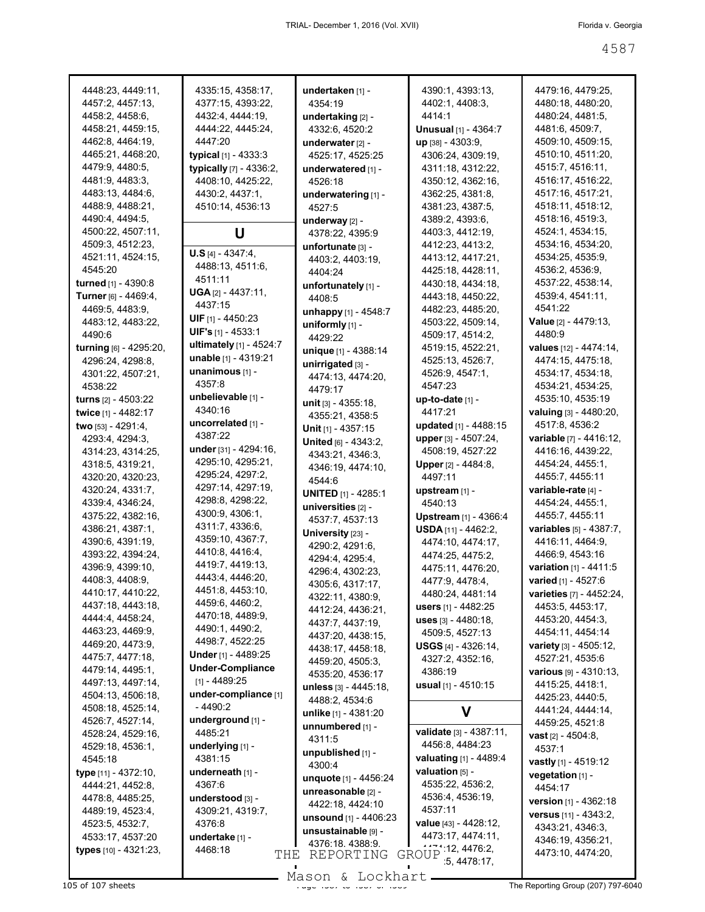| 4448:23, 4449:11,      | 4335:15, 4358:17,          | undertaken [1] -               | 4390:1, 4393:13,              | 4479:16, 4479:25,               |
|------------------------|----------------------------|--------------------------------|-------------------------------|---------------------------------|
| 4457:2, 4457:13,       | 4377:15, 4393:22,          | 4354:19                        | 4402:1, 4408:3,               | 4480:18, 4480:20,               |
| 4458:2, 4458:6,        | 4432:4, 4444:19,           | undertaking [2] -              | 4414:1                        | 4480:24, 4481:5,                |
| 4458:21, 4459:15,      | 4444:22, 4445:24,          | 4332:6, 4520:2                 | <b>Unusual</b> [1] - 4364:7   | 4481:6, 4509:7,                 |
| 4462:8, 4464:19,       | 4447:20                    | underwater [2] -               | up [38] - 4303:9,             | 4509:10, 4509:15,               |
| 4465:21, 4468:20,      | typical $[1] - 4333:3$     | 4525:17, 4525:25               | 4306:24, 4309:19,             | 4510:10, 4511:20,               |
| 4479:9, 4480:5,        | typically [7] - 4336:2,    |                                | 4311:18, 4312:22,             | 4515:7, 4516:11,                |
|                        |                            | underwatered [1] -             |                               |                                 |
| 4481:9, 4483:3,        | 4408:10, 4425:22,          | 4526:18                        | 4350:12, 4362:16,             | 4516:17, 4516:22,               |
| 4483:13, 4484:6,       | 4430:2, 4437:1,            | underwatering [1] -            | 4362:25, 4381:8,              | 4517:16, 4517:21,               |
| 4488:9, 4488:21,       | 4510:14, 4536:13           | 4527:5                         | 4381:23, 4387:5,              | 4518:11, 4518:12,               |
| 4490:4, 4494:5,        |                            | underway [2] -                 | 4389:2, 4393:6,               | 4518:16, 4519:3,                |
| 4500:22, 4507:11,      | U                          | 4378:22, 4395:9                | 4403:3, 4412:19,              | 4524:1, 4534:15,                |
| 4509:3, 4512:23,       | $U.S [4] - 4347:4,$        | unfortunate [3] -              | 4412:23, 4413:2,              | 4534:16, 4534:20,               |
| 4521:11, 4524:15,      |                            | 4403:2, 4403:19,               | 4413:12, 4417:21,             | 4534:25, 4535:9,                |
| 4545:20                | 4488:13, 4511:6,           | 4404:24                        | 4425:18, 4428:11,             | 4536:2, 4536:9,                 |
| turned [1] - 4390:8    | 4511:11                    | unfortunately [1] -            | 4430:18, 4434:18,             | 4537:22, 4538:14,               |
| Turner [6] - 4469:4,   | $UGA [2] - 4437:11,$       | 4408:5                         | 4443:18, 4450:22,             | 4539:4, 4541:11,                |
| 4469:5, 4483:9,        | 4437:15                    | unhappy [1] - 4548:7           | 4482:23, 4485:20,             | 4541:22                         |
| 4483:12, 4483:22,      | <b>UIF</b> $[1] - 4450:23$ | uniformly $[1]$ -              | 4503:22, 4509:14,             | Value [2] - 4479:13,            |
| 4490:6                 | UIF's [1] - 4533:1         | 4429:22                        | 4509:17, 4514:2,              | 4480.9                          |
| turning [6] - 4295:20, | ultimately [1] - 4524:7    |                                | 4519:15, 4522:21,             | values [12] - 4474:14,          |
| 4296:24, 4298:8,       | unable [1] - 4319:21       | unique [1] - 4388:14           | 4525:13, 4526:7,              | 4474:15, 4475:18,               |
| 4301:22, 4507:21,      | unanimous [1] -            | unirrigated [3] -              |                               | 4534:17, 4534:18,               |
|                        | 4357:8                     | 4474:13, 4474:20,              | 4526:9, 4547:1,<br>4547:23    |                                 |
| 4538:22                | unbelievable [1] -         | 4479:17                        |                               | 4534:21, 4534:25,               |
| turns [2] - 4503:22    | 4340:16                    | unit [3] - 4355:18,            | <b>up-to-date</b> [1] -       | 4535:10, 4535:19                |
| twice [1] - 4482:17    |                            | 4355:21, 4358:5                | 4417:21                       | valuing [3] - 4480:20,          |
| two [53] - 4291:4,     | uncorrelated [1] -         | Unit $[1] - 4357:15$           | updated [1] - 4488:15         | 4517:8, 4536:2                  |
| 4293:4, 4294:3,        | 4387:22                    | United [6] - 4343:2,           | upper [3] - 4507:24,          | <b>variable</b> [7] - 4416:12,  |
| 4314:23, 4314:25,      | under [31] - 4294:16,      | 4343:21, 4346:3,               | 4508:19, 4527:22              | 4416:16, 4439:22,               |
| 4318:5, 4319:21,       | 4295:10, 4295:21,          | 4346:19, 4474:10,              | <b>Upper</b> [2] - 4484:8,    | 4454:24, 4455:1,                |
| 4320:20, 4320:23,      | 4295:24, 4297:2,           | 4544:6                         | 4497:11                       | 4455:7, 4455:11                 |
| 4320:24, 4331:7,       | 4297:14, 4297:19,          | <b>UNITED [1] - 4285:1</b>     | upstream [1] -                | variable-rate [4] -             |
| 4339:4, 4346:24,       | 4298:8, 4298:22,           | universities [2] -             | 4540:13                       | 4454:24, 4455:1,                |
| 4375:22, 4382:16,      | 4300:9, 4306:1,            |                                | Upstream [1] - 4366:4         | 4455:7, 4455:11                 |
| 4386:21, 4387:1,       | 4311:7, 4336:6,            | 4537:7, 4537:13                | <b>USDA</b> [11] - 4462:2,    | <b>variables</b> [5] - 4387:7,  |
| 4390:6, 4391:19,       | 4359:10, 4367:7,           | University [23] -              | 4474:10, 4474:17,             | 4416:11, 4464:9,                |
| 4393:22, 4394:24,      | 4410:8, 4416:4,            | 4290:2, 4291:6,                | 4474:25, 4475:2,              | 4466:9, 4543:16                 |
| 4396:9, 4399:10,       | 4419:7, 4419:13,           | 4294:4, 4295:4,                |                               | variation [1] - 4411:5          |
| 4408:3, 4408:9,        | 4443:4, 4446:20,           | 4296:4, 4302:23,               | 4475:11, 4476:20,             | varied [1] - 4527:6             |
| 4410:17, 4410:22,      | 4451:8, 4453:10,           | 4305:6, 4317:17,               | 4477.9, 4478.4,               |                                 |
|                        | 4459:6, 4460:2,            | 4322:11, 4380:9,               | 4480:24, 4481:14              | <b>varieties</b> [7] - 4452:24, |
| 4437:18, 4443:18,      | 4470:18, 4489:9,           | 4412:24, 4436:21,              | users $[1] - 4482:25$         | 4453:5, 4453:17,                |
| 4444:4, 4458:24,       |                            | 4437:7, 4437:19,               | $uses [3] - 4480:18,$         | 4453:20, 4454:3,                |
| 4463:23, 4469:9,       | 4490:1, 4490:2,            | 4437:20, 4438:15,              | 4509:5, 4527:13               | 4454:11, 4454:14                |
| 4469:20, 4473:9,       | 4498:7, 4522:25            | 4438:17, 4458:18,              | <b>USGS</b> $[4]$ - 4326:14,  | variety [3] - 4505:12,          |
| 4475:7, 4477:18,       | Under [1] - 4489:25        | 4459:20, 4505:3,               | 4327:2, 4352:16,              | 4527:21, 4535:6                 |
| 4479:14, 4495:1,       | <b>Under-Compliance</b>    | 4535:20, 4536:17               | 4386:19                       | various [9] - 4310:13,          |
| 4497:13, 4497:14,      | $[1] - 4489:25$            | unless [3] - 4445:18,          | usual $[1]$ - 4510:15         | 4415:25, 4418:1,                |
| 4504:13, 4506:18,      | under-compliance [1]       | 4488:2, 4534:6                 |                               | 4425:23, 4440:5,                |
| 4508:18, 4525:14,      | $-4490:2$                  | unlike [1] - 4381:20           | V                             | 4441:24, 4444:14,               |
| 4526:7, 4527:14,       | underground [1] -          | unnumbered [1] -               |                               | 4459:25, 4521:8                 |
| 4528:24, 4529:16,      | 4485:21                    |                                | validate [3] - 4387:11,       | <b>vast</b> $[2] - 4504:8$ ,    |
| 4529:18, 4536:1,       | underlying [1] -           | 4311:5                         | 4456:8, 4484:23               | 4537:1                          |
| 4545:18                | 4381:15                    | unpublished [1] -              | valuating [1] - 4489:4        | vastly [1] - 4519:12            |
| type [11] - 4372:10,   | underneath [1] -           | 4300:4                         | valuation $[5]$ -             | vegetation [1] -                |
| 4444:21, 4452:8,       | 4367:6                     | unquote [1] - 4456:24          | 4535:22, 4536:2,              |                                 |
| 4478:8, 4485:25,       | understood [3] -           | unreasonable [2] -             | 4536:4, 4536:19,              | 4454:17                         |
| 4489:19, 4523:4,       | 4309:21, 4319:7,           | 4422:18, 4424:10               | 4537:11                       | version [1] - 4362:18           |
|                        | 4376:8                     | <b>unsound</b> $[1] - 4406:23$ | value [43] - 4428:12,         | versus [11] - 4343:2,           |
| 4523:5, 4532:7,        |                            | unsustainable [9] -            | 4473:17, 4474:11,             | 4343:21, 4346:3,                |
| 4533:17, 4537:20       | undertake [1] -            | 4376:18.4388:9.                |                               | 4346:19, 4356:21,               |
| types [10] - 4321:23,  | 4468:18<br>THE             | REPORTING                      | GROUP - 4476.2,<br>5,4478.17, | 4473:10, 4474:20,               |
|                        |                            |                                |                               |                                 |

Mason & Lockhart **Page 4587 of 107 sheets** Page 107 sheets Page 107 Sheets Page 107 Sheets Page 107 Sheets Page 107 Sheets Page 1087 The Reporting Group (207) 797-6040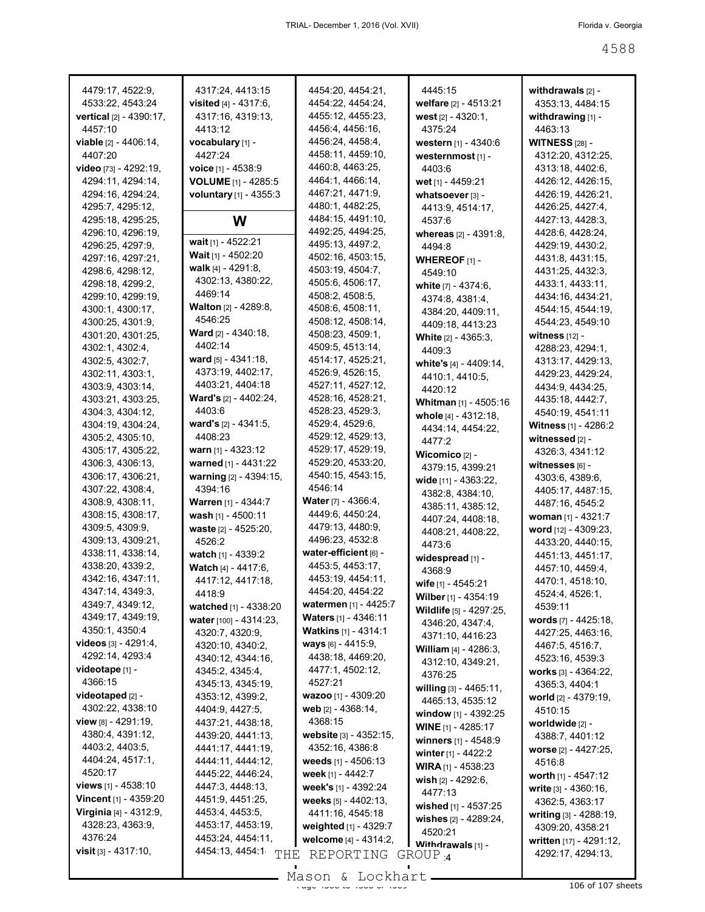| 4479:17, 4522:9,               | 4317:24, 4413:15               | 4454:20, 4454:21,           | 4445:15                                 | withdrawals $[2]$ -     |
|--------------------------------|--------------------------------|-----------------------------|-----------------------------------------|-------------------------|
| 4533:22, 4543:24               | visited $[4] - 4317:6$ ,       | 4454:22, 4454:24,           | welfare [2] - 4513:21                   | 4353:13, 4484:15        |
| vertical [2] - 4390:17,        | 4317:16, 4319:13,              | 4455:12, 4455:23,           | west [2] - 4320:1,                      | withdrawing [1] -       |
| 4457:10                        | 4413:12                        | 4456:4, 4456:16,            | 4375:24                                 | 4463:13                 |
| viable [2] - 4406:14,          | vocabulary [1] -               | 4456:24, 4458:4,            | western [1] - 4340:6                    | <b>WITNESS [28] -</b>   |
| 4407:20                        | 4427:24                        | 4458:11, 4459:10,           | westernmost [1] -                       | 4312:20, 4312:25,       |
| video [73] - 4292:19,          | voice [1] - 4538:9             | 4460:8, 4463:25,            | 4403:6                                  | 4313:18, 4402:6,        |
| 4294:11, 4294:14,              | <b>VOLUME</b> [1] - 4285:5     | 4464:1, 4466:14,            | wet [1] - 4459:21                       | 4426:12, 4426:15,       |
| 4294:16, 4294:24,              | voluntary [1] - 4355:3         | 4467:21, 4471:9,            | whatsoever [3] -                        | 4426:19, 4426:21,       |
| 4295:7, 4295:12,               |                                | 4480:1, 4482:25,            | 4413:9, 4514:17,                        | 4426:25, 4427:4,        |
| 4295:18, 4295:25,              | W                              | 4484:15, 4491:10,           | 4537:6                                  | 4427:13, 4428:3,        |
| 4296:10, 4296:19,              |                                | 4492:25, 4494:25,           | whereas [2] - 4391:8,                   | 4428:6, 4428:24,        |
| 4296:25, 4297:9,               | wait [1] - 4522:21             | 4495:13, 4497:2,            | 4494:8                                  | 4429:19, 4430:2,        |
| 4297:16, 4297:21,              | Wait [1] - 4502:20             | 4502:16, 4503:15,           | <b>WHEREOF</b> $[1]$ -                  | 4431:8, 4431:15,        |
| 4298:6, 4298:12,               | walk [4] - 4291:8,             | 4503:19, 4504:7,            | 4549:10                                 | 4431:25, 4432:3,        |
| 4298:18, 4299:2,               | 4302:13, 4380:22,              | 4505:6, 4506:17,            | white $[7] - 4374:6$ ,                  | 4433:1, 4433:11,        |
| 4299:10, 4299:19,              | 4469:14                        | 4508:2, 4508:5,             | 4374:8, 4381:4,                         | 4434:16, 4434:21,       |
| 4300:1, 4300:17,               | <b>Walton</b> [2] - 4289:8,    | 4508:6, 4508:11,            | 4384:20, 4409:11,                       | 4544:15, 4544:19,       |
| 4300:25, 4301:9,               | 4546:25                        | 4508:12, 4508:14,           | 4409:18, 4413:23                        | 4544:23, 4549:10        |
| 4301:20, 4301:25,              | <b>Ward</b> [2] - 4340:18,     | 4508:23, 4509:1,            | <b>White</b> $[2] - 4365:3$ ,           | witness $[12]$ -        |
| 4302:1, 4302:4,                | 4402:14                        | 4509:5, 4513:14,            | 4409:3                                  | 4288:23, 4294:1,        |
| 4302:5, 4302:7,                | ward [5] - 4341:18,            | 4514:17, 4525:21,           | white's [4] - 4409:14,                  | 4313:17, 4429:13,       |
| 4302:11, 4303:1,               | 4373:19, 4402:17,              | 4526:9, 4526:15,            | 4410:1, 4410:5,                         | 4429:23, 4429:24,       |
| 4303:9, 4303:14,               | 4403:21, 4404:18               | 4527:11, 4527:12,           | 4420:12                                 | 4434:9, 4434:25,        |
| 4303:21, 4303:25,              | Ward's [2] - 4402:24,          | 4528:16, 4528:21,           | Whitman [1] - 4505:16                   | 4435:18, 4442:7,        |
| 4304:3, 4304:12,               | 4403:6                         | 4528:23, 4529:3,            | whole [4] - 4312:18,                    | 4540:19, 4541:11        |
| 4304:19, 4304:24,              | ward's [2] - 4341:5,           | 4529:4, 4529:6,             | 4434:14, 4454:22,                       | Witness [1] - 4286:2    |
| 4305:2, 4305:10,               | 4408:23                        | 4529:12, 4529:13,           | 4477.2                                  | witnessed [2] -         |
| 4305:17, 4305:22,              | warn $[1] - 4323:12$           | 4529:17, 4529:19,           | Wicomico $[2]$ -                        | 4326:3, 4341:12         |
| 4306:3, 4306:13,               | warned [1] - 4431:22           | 4529:20, 4533:20,           | 4379:15, 4399:21                        | witnesses $[6]$ -       |
| 4306:17, 4306:21,              | warning [2] - 4394:15,         | 4540:15, 4543:15,           | wide [11] - 4363:22,                    | 4303:6, 4389:6,         |
| 4307:22, 4308:4,               | 4394:16                        | 4546:14                     | 4382:8, 4384:10,                        | 4405:17, 4487:15,       |
| 4308:9, 4308:11,               | <b>Warren [1] - 4344:7</b>     | <b>Water</b> [7] - 4366:4,  | 4385:11, 4385:12,                       | 4487:16, 4545:2         |
| 4308:15, 4308:17,              | wash [1] - 4500:11             | 4449:6, 4450:24,            | 4407:24, 4408:18,                       | woman [1] - 4321:7      |
| 4309:5, 4309:9,                | waste [2] - 4525:20,           | 4479:13, 4480:9,            | 4408:21, 4408:22,                       | word [12] - 4309:23,    |
| 4309:13, 4309:21,              | 4526:2                         | 4496:23, 4532:8             | 4473:6                                  | 4433:20, 4440:15,       |
| 4338:11, 4338:14,              | watch [1] - 4339:2             | water-efficient [6] -       | widespread [1] -                        | 4451:13, 4451:17,       |
| 4338:20, 4339:2,               | Watch [4] - 4417:6,            | 4453:5, 4453:17,            | 4368.9                                  | 4457:10, 4459:4,        |
| 4342:16, 4347:11,              | 4417:12, 4417:18,              | 4453:19, 4454:11,           | wife [1] - 4545:21                      | 4470:1, 4518:10,        |
| 4347:14, 4349:3,               | 4418:9                         | 4454:20, 4454:22            | Wilber [1] - $4354:19$                  | 4524:4, 4526:1,         |
| 4349:7, 4349:12,               | <b>watched</b> $[1] - 4338:20$ | watermen [1] - 4425:7       | Wildlife [5] - 4297:25.                 | 4539:11                 |
| 4349:17, 4349:19,              | water [100] - 4314:23,         | <b>Waters</b> [1] - 4346:11 | 4346:20, 4347:4,                        | words [7] - 4425:18,    |
| 4350:1, 4350:4                 | 4320:7, 4320:9,                | <b>Watkins</b> [1] - 4314:1 | 4371:10, 4416:23                        | 4427:25, 4463:16,       |
| videos [3] - 4291:4,           | 4320:10, 4340:2,               | ways [6] - 4415:9,          | William [4] - 4286:3.                   | 4467:5, 4516:7,         |
| 4292:14, 4293:4                | 4340:12, 4344:16,              | 4438:18, 4469:20,           | 4312:10, 4349:21,                       | 4523:16, 4539:3         |
| videotape [1] -                | 4345:2, 4345:4,                | 4477:1, 4502:12,            | 4376:25                                 | works $[3] - 4364:22$ , |
| 4366:15                        | 4345:13, 4345:19,              | 4527:21                     | willing [3] - 4465:11,                  | 4365:3, 4404:1          |
| videotaped [2] -               | 4353:12, 4399:2,               | wazoo [1] - 4309:20         | 4465:13, 4535:12                        | world [2] - 4379:19,    |
| 4302:22, 4338:10               | 4404:9, 4427:5,                | web [2] - 4368:14,          | window $[1]$ - 4392:25                  | 4510:15                 |
| view $[8] - 4291:19$ ,         | 4437:21, 4438:18,              | 4368:15                     | <b>WINE</b> [1] - 4285:17               | worldwide [2] -         |
| 4380:4, 4391:12,               | 4439:20, 4441:13,              | website [3] - 4352:15,      | winners [1] - 4548:9                    | 4388:7, 4401:12         |
| 4403:2, 4403:5,                | 4441:17, 4441:19,              | 4352:16, 4386:8             | winter $[1] - 4422:2$                   | worse [2] - 4427:25,    |
| 4404:24, 4517:1,               | 4444:11, 4444:12,              | weeds $[1] - 4506:13$       | <b>WIRA</b> $[1]$ - 4538:23             | 4516:8                  |
| 4520:17                        | 4445:22, 4446:24,              | week [1] - 4442:7           |                                         | worth [1] - 4547:12     |
| views $[1] - 4538:10$          | 4447:3, 4448:13,               | week's [1] - 4392:24        | wish [2] - 4292:6,<br>4477:13           | write $[3] - 4360:16$ , |
| Vincent [1] - 4359:20          | 4451:9, 4451:25,               | weeks $[5] - 4402:13$ ,     |                                         | 4362:5, 4363:17         |
| Virginia [4] - 4312:9,         | 4453:4, 4453:5,                | 4411:16, 4545:18            | wished [1] - 4537:25                    | writing [3] - 4288:19,  |
| 4328:23, 4363:9,               | 4453:17, 4453:19,              | weighted [1] - 4329:7       | wishes [2] - 4289:24,                   | 4309:20, 4358:21        |
| 4376:24                        | 4453:24, 4454:11,              | welcome [4] - 4314:2,       | 4520:21                                 | written [17] - 4291:12, |
| <b>visit</b> $[3] - 4317:10$ , | 4454:13, 4454:1<br>THE         | REPORTING                   | Withdrawals [1] -<br>GROUP <sub>4</sub> | 4292:17, 4294:13,       |
|                                |                                |                             |                                         |                         |
|                                |                                | M <sub>0</sub>              |                                         |                         |

Mason & Lockhart 106 of 107 sheets